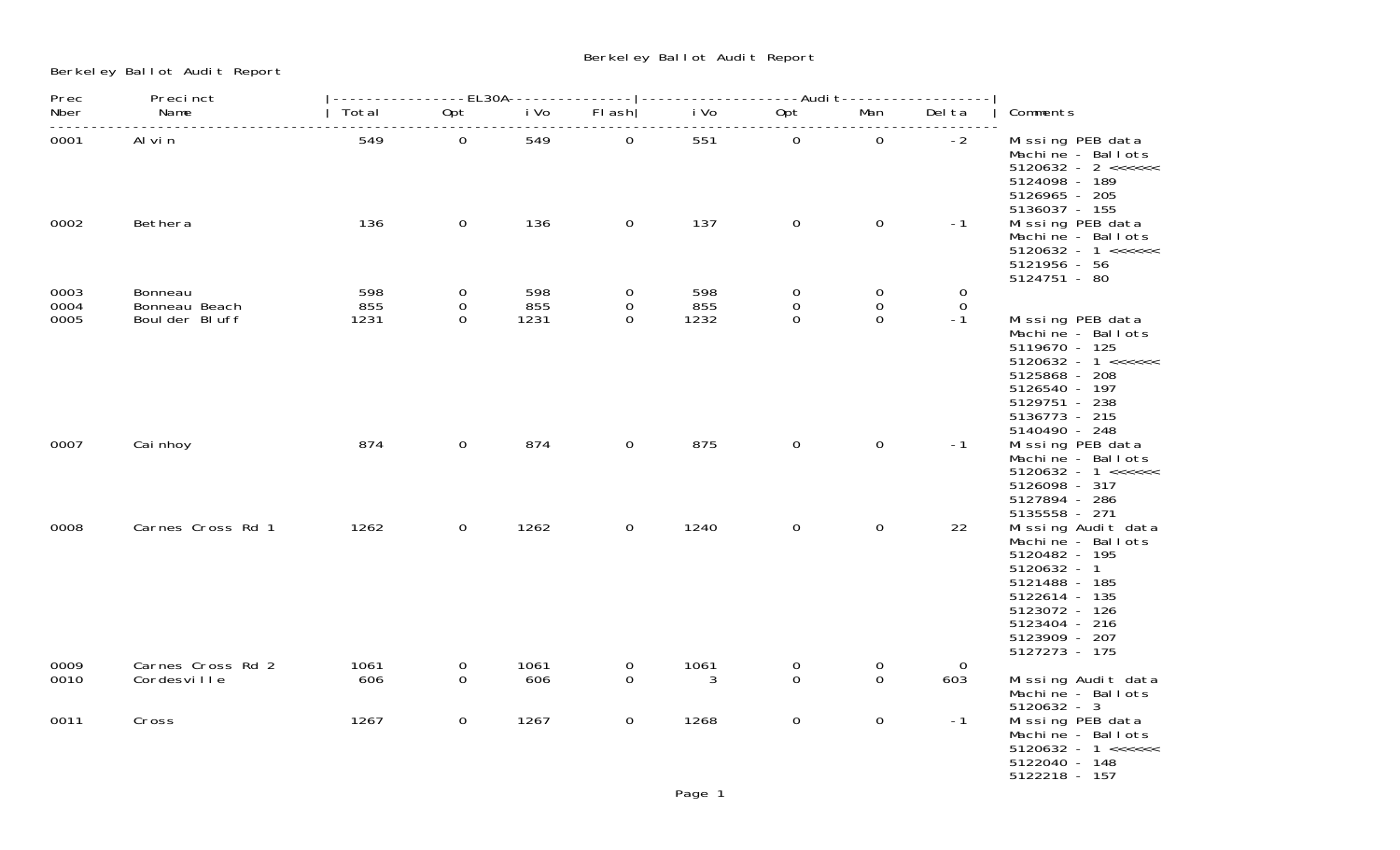Berkeley Ballot Audit Report

| Prec         | Precinct                         |             |                |             |                  | ---------------EL30A-------------- -------------------Audi t------------------- |                |                  |                       |                                                                                                                                                                                       |
|--------------|----------------------------------|-------------|----------------|-------------|------------------|---------------------------------------------------------------------------------|----------------|------------------|-----------------------|---------------------------------------------------------------------------------------------------------------------------------------------------------------------------------------|
| Nber         | Name                             | Total       | Opt            | i Vo        | FI ash           | i Vo                                                                            | Opt            | Man              | Del ta                | Comments                                                                                                                                                                              |
| 0001         | Al vin                           | 549         | $\overline{0}$ | 549         | $\overline{0}$   | 551                                                                             | $\overline{0}$ | $\overline{0}$   | $-2$                  | Missing PEB data<br>Machine - Ballots<br>5124098 - 189<br>5126965 - 205                                                                                                               |
| 0002         | Bethera                          | 136         | $\mathbf 0$    | 136         | $\overline{0}$   | 137                                                                             | $\overline{0}$ | $\mathbf 0$      | $-1$                  | 5136037 - 155<br>Missing PEB data<br>Machine - Ballots<br>$5120632 - 1 \leq \leq \leq \leq \leq$<br>5121956 - 56<br>5124751 - 80                                                      |
| 0003         | Bonneau                          | 598         | $\overline{0}$ | 598         | $\overline{0}$   | 598                                                                             | 0              | $\mathbf 0$      | $\mathbf 0$           |                                                                                                                                                                                       |
| 0004         | Bonneau Beach                    | 855         | $\mathbf{0}$   | 855         | $\overline{0}$   | 855                                                                             | 0              | $\mathbf 0$      | $\Omega$              |                                                                                                                                                                                       |
| 0005         | Boul der Bluff                   | 1231        | $\Omega$       | 1231        | $\Omega$         | 1232                                                                            | $\Omega$       | $\mathbf 0$      | $-1$                  | Missing PEB data<br>Machine - Ballots<br>5119670 - 125<br>$5120632 - 1 \leq \leq \leq \leq \leq$<br>5125868 - 208<br>5126540 - 197<br>5129751 - 238<br>5136773 - 215<br>5140490 - 248 |
| 0007         | Cai nhoy                         | 874         | $\overline{0}$ | 874         | $\mathbf 0$      | 875                                                                             | $\mathbf 0$    | $\mathbf 0$      | $-1$                  | Missing PEB data<br>Machine - Ballots<br>$5120632 - 1 \leq \leq \leq \leq \leq$<br>5126098 - 317<br>5127894 - 286<br>5135558 - 271                                                    |
| 0008         | Carnes Cross Rd 1                | 1262        | $\overline{0}$ | 1262        | $\overline{0}$   | 1240                                                                            | 0              | $\overline{0}$   | 22                    | Missing Audit data<br>Machine - Ballots<br>5120482 - 195<br>$5120632 - 1$<br>5121488 - 185<br>5122614 - 135<br>5123072 - 126<br>5123404 - 216<br>5123909 - 207<br>5127273 - 175       |
| 0009<br>0010 | Carnes Cross Rd 2<br>Cordesville | 1061<br>606 | 0<br>$\Omega$  | 1061<br>606 | 0<br>$\mathbf 0$ | 1061<br>3                                                                       | 0<br>$\Omega$  | 0<br>$\mathbf 0$ | $\overline{0}$<br>603 | Missing Audit data<br>Machine - Ballots<br>$5120632 - 3$                                                                                                                              |
| 0011         | Cross                            | 1267        | $\mathbf 0$    | 1267        | $\overline{0}$   | 1268                                                                            | $\mathsf{O}$   | $\mathbf 0$      | $-1$                  | Missing PEB data<br>Machine - Ballots<br>$5120632 - 1 \leq \leq \leq \leq \leq$<br>5122040 - 148<br>5122218 - 157                                                                     |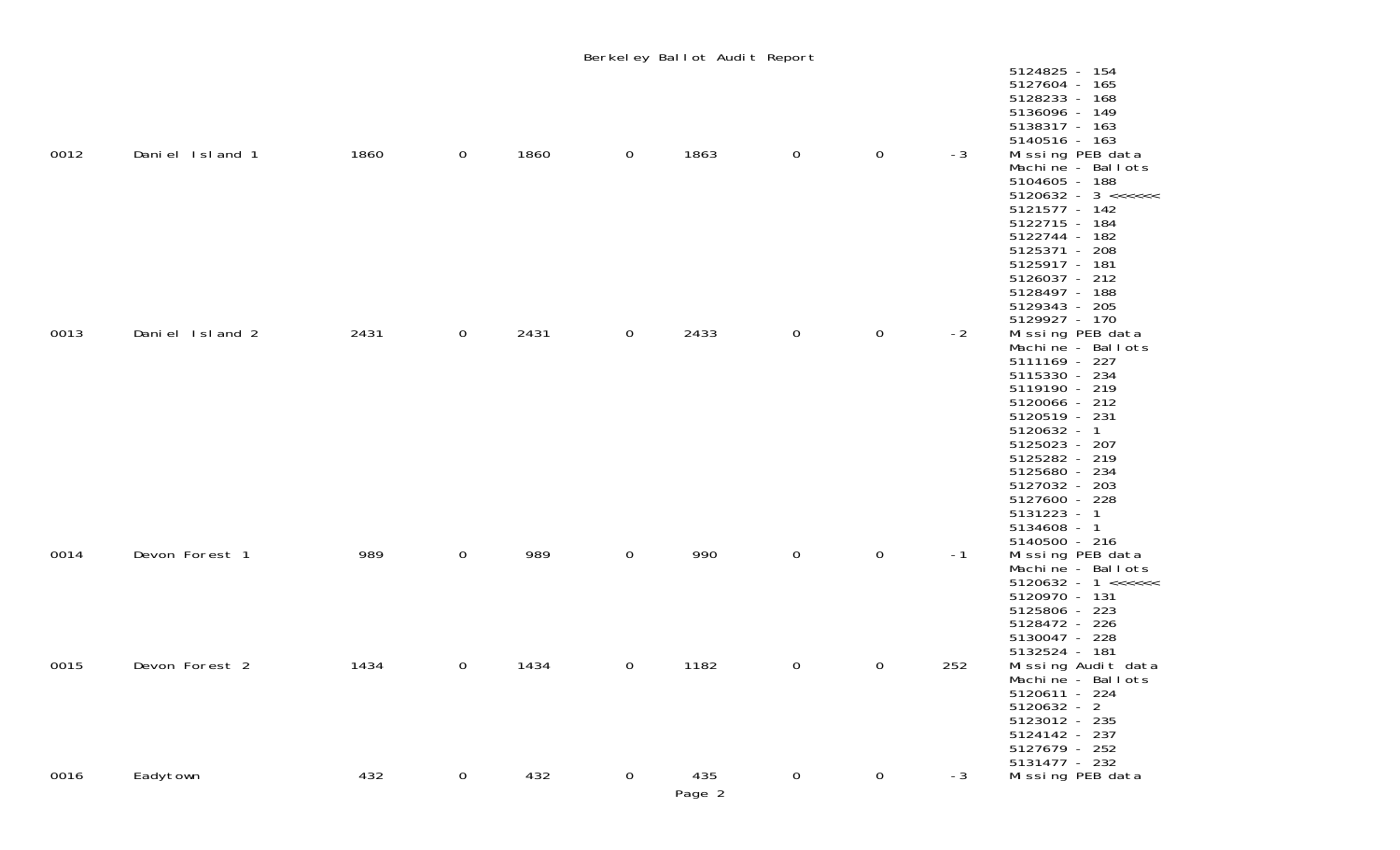|      |                 |      |   |      |                | Berkeley Ballot Audit Report |                     |                |      |                                                                                                                                                                                                                                                                                                      |
|------|-----------------|------|---|------|----------------|------------------------------|---------------------|----------------|------|------------------------------------------------------------------------------------------------------------------------------------------------------------------------------------------------------------------------------------------------------------------------------------------------------|
|      |                 |      |   |      |                |                              |                     |                |      | 5124825 - 154<br>5127604 - 165<br>5128233 - 168<br>5136096 - 149<br>5138317 - 163<br>5140516 - 163                                                                                                                                                                                                   |
| 0012 | Daniel Island 1 | 1860 | 0 | 1860 | $\mathbf 0$    | 1863                         | $\mathsf{O}\xspace$ | $\mathsf{O}$   | $-3$ | Missing PEB data<br>Machine - Ballots<br>5104605 - 188<br>$5120632 - 3 \leq \leq \leq \leq \leq \leq$<br>5121577 - 142<br>5122715 - 184<br>5122744 - 182<br>5125371 - 208<br>5125917 - 181<br>5126037 - 212<br>5128497 - 188                                                                         |
| 0013 | Daniel Island 2 | 2431 | 0 | 2431 | 0              | 2433                         | $\mathbf 0$         | $\mathbf 0$    | $-2$ | 5129343 - 205<br>5129927 - 170<br>Missing PEB data<br>Machine - Ballots<br>5111169 - 227<br>5115330 - 234<br>5119190 - 219<br>5120066 - 212<br>5120519 - 231<br>$5120632 - 1$<br>5125023 - 207<br>5125282 - 219<br>5125680 - 234<br>5127032 - 203<br>5127600 - 228<br>$5131223 - 1$<br>$5134608 - 1$ |
| 0014 | Devon Forest 1  | 989  | 0 | 989  | $\mathbf 0$    | 990                          | $\mathsf{O}\xspace$ | $\mathbf 0$    | $-1$ | 5140500 - 216<br>Missing PEB data<br>Machine - Ballots<br>$5120632 - 1 \leq \leq \leq \leq \leq$<br>5120970 - 131<br>5125806 - 223<br>5128472 - 226<br>5130047 - 228<br>5132524 - 181                                                                                                                |
| 0015 | Devon Forest 2  | 1434 | 0 | 1434 | $\overline{0}$ | 1182                         | 0                   | $\mathbf 0$    | 252  | Missing Audit data<br>Machine - Ballots<br>5120611 - 224<br>$5120632 - 2$<br>5123012 - 235<br>5124142 - 237<br>5127679 - 252<br>5131477 - 232                                                                                                                                                        |
| 0016 | Eadytown        | 432  | 0 | 432  | $\mathbf 0$    | 435<br>Page 2                | $\mathbf 0$         | $\overline{0}$ | $-3$ | Missing PEB data                                                                                                                                                                                                                                                                                     |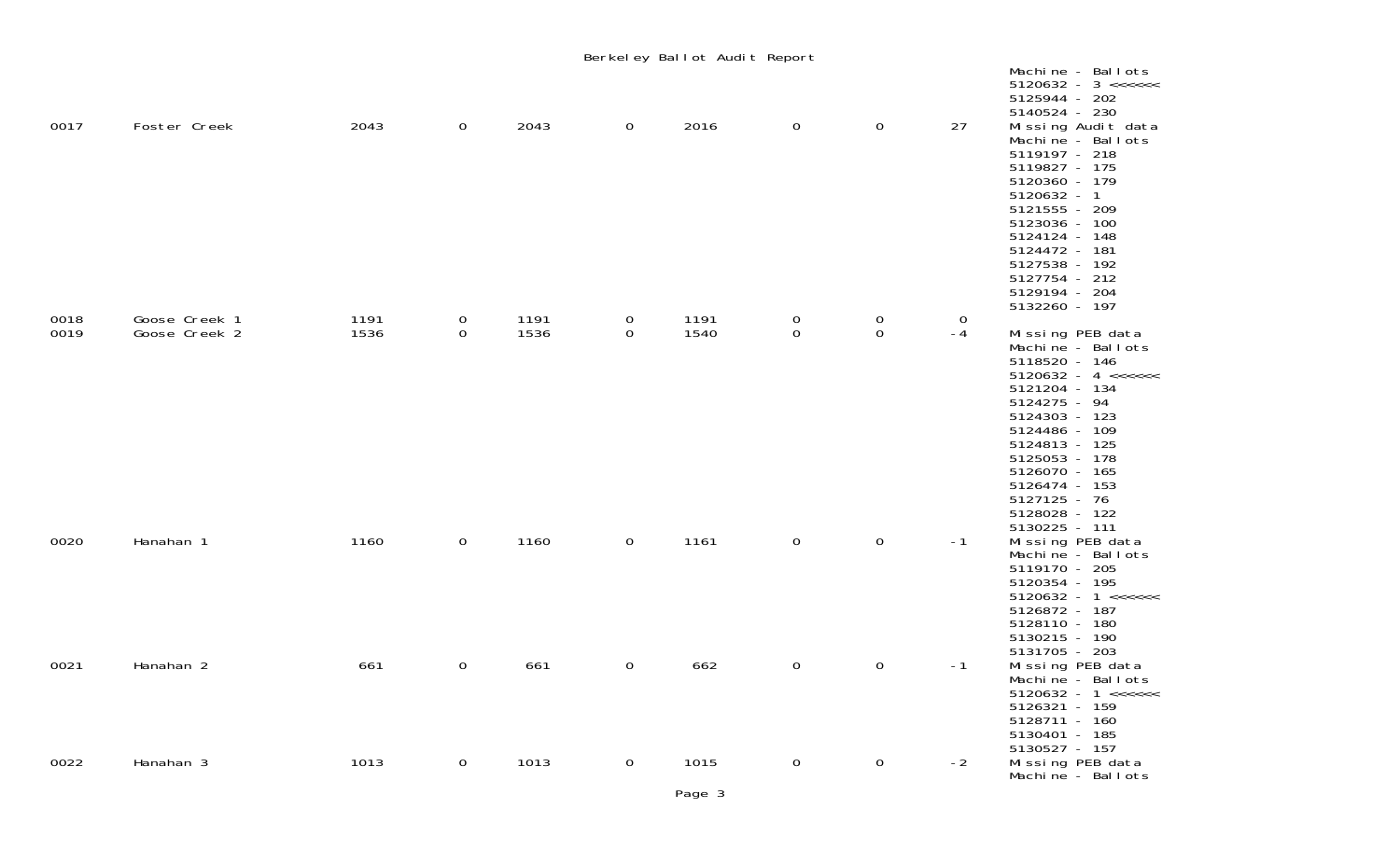|      |               |      |                |      |                | Berkeley Ballot Audit Report |             |                |      |                                                                                                                                                                                                                                                                            |
|------|---------------|------|----------------|------|----------------|------------------------------|-------------|----------------|------|----------------------------------------------------------------------------------------------------------------------------------------------------------------------------------------------------------------------------------------------------------------------------|
|      |               |      |                |      |                |                              |             |                |      | Machine - Ballots<br>$5120632 - 3 \leq \leq \leq \leq \leq \leq$<br>5125944 - 202<br>5140524 - 230                                                                                                                                                                         |
| 0017 | Foster Creek  | 2043 | $\overline{0}$ | 2043 | $\mathbf 0$    | 2016                         | $\mathbf 0$ | $\mathbf 0$    | 27   | Missing Audit data<br>Machine - Ballots<br>5119197 - 218<br>5119827 - 175<br>5120360 - 179<br>5120632 - 1<br>5121555 - 209<br>5123036 - 100<br>5124124 - 148<br>5124472 - 181<br>5127538 - 192<br>5127754 - 212<br>5129194 - 204<br>5132260 - 197                          |
| 0018 | Goose Creek 1 | 1191 | 0              | 1191 | $\mathbf 0$    | 1191                         | $\mathbf 0$ | $\overline{0}$ | 0    |                                                                                                                                                                                                                                                                            |
| 0019 | Goose Creek 2 | 1536 | 0              | 1536 | $\mathbf 0$    | 1540                         | $\mathbf 0$ | $\mathbf 0$    | $-4$ | Missing PEB data<br>Machine - Ballots<br>5118520 - 146<br>$5120632 - 4 \leq \leq \leq \leq \leq$<br>5121204 - 134<br>5124275 - 94<br>5124303 - 123<br>5124486 - 109<br>5124813 - 125<br>5125053 - 178<br>5126070 - 165<br>5126474 - 153<br>$5127125 - 76$<br>5128028 - 122 |
| 0020 | Hanahan 1     | 1160 | $\mathbf 0$    | 1160 | $\overline{0}$ | 1161                         | $\mathbf 0$ | $\mathbf 0$    | $-1$ | 5130225 - 111<br>Missing PEB data<br>Machine - Ballots<br>5119170 - 205<br>5120354 - 195<br>$5120632 - 1 \leq \leq \leq \leq \leq$<br>5126872 - 187<br>5128110 - 180<br>5130215 - 190                                                                                      |
| 0021 | Hanahan 2     | 661  | 0              | 661  | $\mathbf 0$    | 662                          | $\mathbf 0$ | $\mathbf 0$    | $-1$ | 5131705 - 203<br>Missing PEB data<br>Machine - Ballots<br>$5120632 - 1 \leq \leq \leq \leq \leq$<br>5126321 - 159<br>5128711 - 160<br>5130401 - 185                                                                                                                        |
| 0022 | Hanahan 3     | 1013 | $\overline{0}$ | 1013 | $\overline{O}$ | 1015                         | $\mathbf 0$ | $\overline{0}$ | $-2$ | 5130527 - 157<br>Missing PEB data<br>Machine - Ballots                                                                                                                                                                                                                     |

Page 3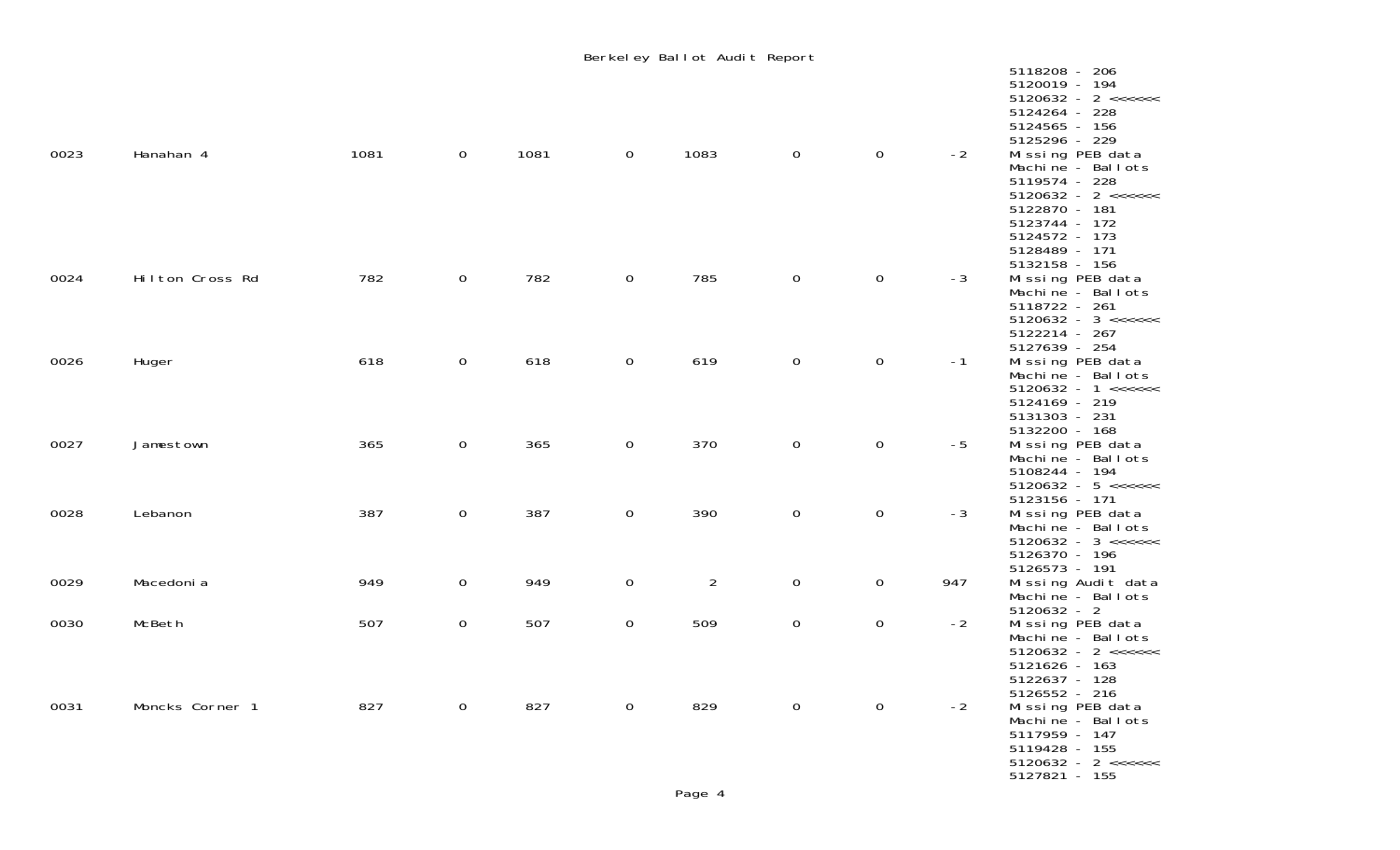|      |                 |      |                     |      |                     | Berkeley Ballot Audit Report |                |                |      |                                                                                                                                                                                                                                          |
|------|-----------------|------|---------------------|------|---------------------|------------------------------|----------------|----------------|------|------------------------------------------------------------------------------------------------------------------------------------------------------------------------------------------------------------------------------------------|
| 0023 | Hanahan 4       | 1081 | $\mathbf 0$         | 1081 | $\mathsf{O}$        | 1083                         | $\overline{0}$ | $\mathbf 0$    | $-2$ | 5118208 - 206<br>5120019 - 194<br>$5120632 - 2 \leq x \leq x \leq 1$<br>5124264 - 228<br>5124565 - 156<br>5125296 - 229<br>Missing PEB data<br>Machine - Ballots<br>5119574 - 228<br>$5120632 - 2 \leq x \leq x \leq 1$<br>5122870 - 181 |
| 0024 | Hilton Cross Rd | 782  | $\mathbf 0$         | 782  | $\mathsf{O}$        | 785                          | 0              | $\mathbf 0$    | $-3$ | 5123744 - 172<br>5124572 - 173<br>5128489 - 171<br>5132158 - 156<br>Missing PEB data<br>Machine - Ballots<br>5118722 - 261<br>5122214 - 267                                                                                              |
| 0026 | Huger           | 618  | $\mathsf{O}\xspace$ | 618  | 0                   | 619                          | 0              | $\mathbf 0$    | $-1$ | 5127639 - 254<br>Missing PEB data<br>Machine - Ballots<br>$5120632 - 1 \leq \leq \leq \leq \leq$<br>5124169 - 219                                                                                                                        |
| 0027 | Jamestown       | 365  | $\mathsf{O}\xspace$ | 365  | $\mathsf{O}\xspace$ | 370                          | $\mathbf 0$    | $\mathbf 0$    | $-5$ | 5131303 - 231<br>5132200 - 168<br>Missing PEB data<br>Machine - Ballots<br>5108244 - 194<br>$5120632 - 5 \leq x \leq x \leq 1$                                                                                                           |
| 0028 | Lebanon         | 387  | $\mathsf{O}\xspace$ | 387  | 0                   | 390                          | $\mathbf 0$    | $\mathbf 0$    | $-3$ | 5123156 - 171<br>Missing PEB data<br>Machine - Ballots<br>5126370 - 196                                                                                                                                                                  |
| 0029 | Macedoni a      | 949  | $\mathbf 0$         | 949  | 0                   | $\overline{2}$               | $\mathbf 0$    | $\overline{0}$ | 947  | 5126573 - 191<br>Missing Audit data<br>Machine - Ballots                                                                                                                                                                                 |
| 0030 | McBeth          | 507  | $\boldsymbol{0}$    | 507  | 0                   | 509                          | $\mathbf 0$    | $\mathsf{O}$   | $-2$ | $5120632 - 2$<br>Missing PEB data<br>Machine - Ballots<br>$5120632 - 2 \leq x \leq x \leq 1$<br>5121626 - 163<br>5122637 - 128                                                                                                           |
| 0031 | Moncks Corner 1 | 827  | $\overline{0}$      | 827  | $\overline{0}$      | 829                          | $\overline{0}$ | $\overline{0}$ | $-2$ | 5126552 - 216<br>Missing PEB data<br>Machine - Ballots<br>5117959 - 147<br>5119428 - 155<br>$5120632 - 2 \leq x \leq x \leq 1$<br>5127821 - 155                                                                                          |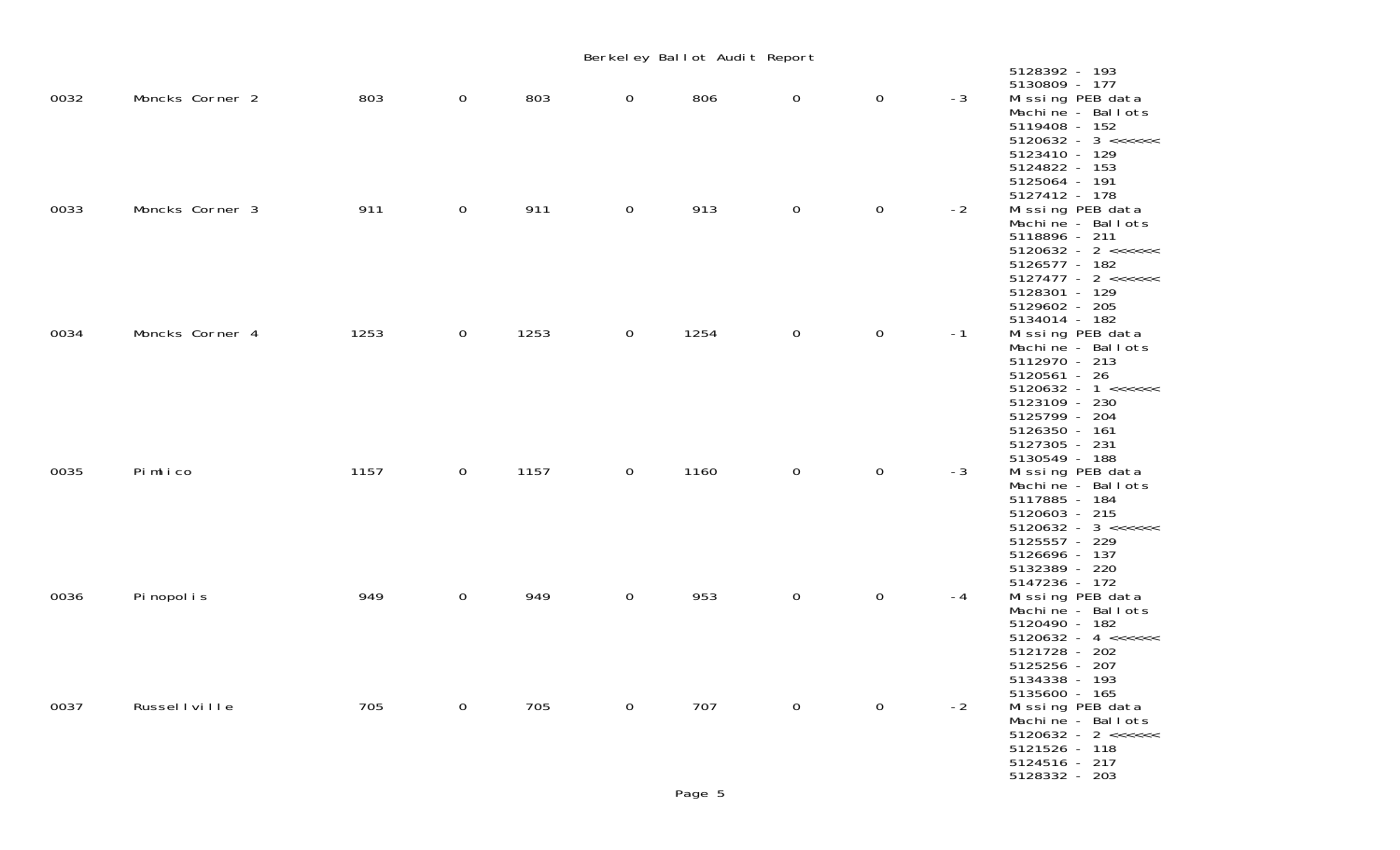|      |                 |      |                |      |                | Berkeley Ballot Audit Report |                |              |      |                                                                                                                                                                                                                                  |
|------|-----------------|------|----------------|------|----------------|------------------------------|----------------|--------------|------|----------------------------------------------------------------------------------------------------------------------------------------------------------------------------------------------------------------------------------|
| 0032 | Moncks Corner 2 | 803  | $\overline{0}$ | 803  | $\overline{0}$ | 806                          | 0              | $\mathbf 0$  | $-3$ | 5128392 - 193<br>5130809 - 177<br>Missing PEB data<br>Machine - Ballots<br>5119408 - 152<br>$5120632 - 3 \leq \leq \leq \leq \leq \leq$                                                                                          |
| 0033 | Moncks Corner 3 | 911  | $\overline{O}$ | 911  | $\mathbf{0}$   | 913                          | $\mathbf{O}$   | $\mathbf 0$  | $-2$ | 5123410 - 129<br>5124822 - 153<br>5125064 - 191<br>5127412 - 178<br>Missing PEB data<br>Machine - Ballots<br>5118896 - 211<br>$5120632 - 2 \leq x \leq x \leq 1$<br>5126577 - 182<br>$5127477 - 2 \leq \leq \leq \leq \leq \leq$ |
| 0034 | Moncks Corner 4 | 1253 | $\overline{0}$ | 1253 | $\overline{0}$ | 1254                         | $\mathbf 0$    | 0            | $-1$ | 5128301 - 129<br>5129602 - 205<br>5134014 - 182<br>Missing PEB data<br>Machine - Ballots<br>5112970 - 213<br>5120561 - 26<br>$5120632 - 1 \leq \leq \leq \leq \leq$<br>5123109 - 230                                             |
| 0035 | Pimlico         | 1157 | $\overline{0}$ | 1157 | $\overline{0}$ | 1160                         | $\mathsf{O}$   | $\mathsf{O}$ | $-3$ | 5125799 - 204<br>5126350 - 161<br>5127305 - 231<br>5130549 - 188<br>Missing PEB data<br>Machine - Ballots<br>5117885 - 184<br>5120603 - 215<br>$5120632 - 3 \leq \leq \leq \leq \leq \leq$<br>5125557 - 229                      |
| 0036 | Pi nopol i s    | 949  | $\mathsf{O}$   | 949  | $\mathsf{O}$   | 953                          | 0              | $\mathbf 0$  | $-4$ | 5126696 - 137<br>5132389 - 220<br>5147236 - 172<br>Missing PEB data<br>Machine - Ballots<br>5120490 - 182<br>$5120632 - 4 \leq \leq \leq \leq \leq$<br>5121728 - 202                                                             |
| 0037 | Russel I ville  | 705  | $\overline{0}$ | 705  | $\overline{0}$ | 707                          | $\overline{0}$ | $\mathbf 0$  | $-2$ | 5125256 - 207<br>5134338 - 193<br>5135600 - 165<br>Missing PEB data<br>Machine - Ballots<br>$5120632 - 2 \leq x \leq x \leq 1$<br>5121526 - 118<br>5124516 - 217<br>5128332 - 203                                                |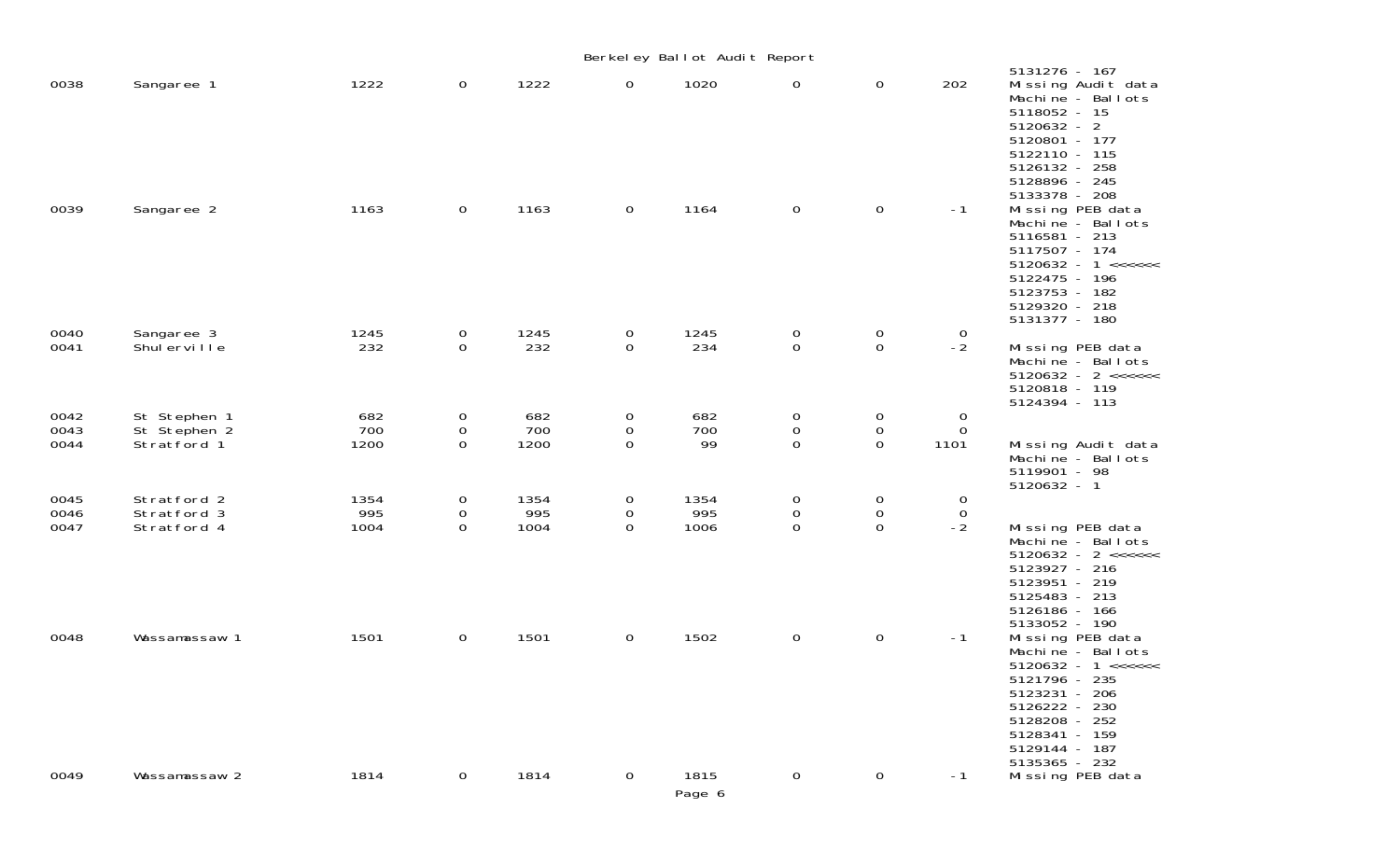|                      |                                             |                     |                                        |                     |                       | Berkeley Ballot Audit Report |                                       |                                                     |                                  |                                                                                                                                                                                                        |
|----------------------|---------------------------------------------|---------------------|----------------------------------------|---------------------|-----------------------|------------------------------|---------------------------------------|-----------------------------------------------------|----------------------------------|--------------------------------------------------------------------------------------------------------------------------------------------------------------------------------------------------------|
| 0038                 | Sangaree 1                                  | 1222                | $\overline{0}$                         | 1222                | $\mathbf 0$           | 1020                         | 0                                     | $\mathbf 0$                                         | 202                              | 5131276 - 167<br>Missing Audit data<br>Machine - Ballots<br>5118052 - 15<br>$5120632 - 2$<br>5120801 - 177<br>5122110 - 115<br>5126132 - 258<br>5128896 - 245                                          |
| 0039                 | Sangaree 2                                  | 1163                | $\overline{0}$                         | 1163                | 0                     | 1164                         | $\mathsf{O}$                          | $\mathbf 0$                                         | $-1$                             | 5133378 - 208<br>Missing PEB data<br>Machine - Ballots<br>5116581 - 213<br>5117507 - 174<br>$5120632 - 1 \leq \leq \leq \leq \leq$<br>5122475 - 196<br>5123753 - 182<br>5129320 - 218<br>5131377 - 180 |
| 0040<br>0041         | Sangaree 3<br>Shul erville                  | 1245<br>232         | $\overline{0}$<br>$\overline{0}$       | 1245<br>232         | 0<br>$\mathbf 0$      | 1245<br>234                  | 0<br>$\mathbf 0$                      | $\boldsymbol{0}$<br>$\boldsymbol{0}$                | 0<br>$-2$                        | Missing PEB data<br>Machine - Ballots<br>$5120632 - 2 \leq x \leq x \leq 1$<br>5120818 - 119<br>5124394 - 113                                                                                          |
| 0042<br>0043<br>0044 | St Stephen 1<br>St Stephen 2<br>Stratford 1 | 682<br>700<br>1200  | 0<br>0<br>$\Omega$                     | 682<br>700<br>1200  | 0<br>0<br>$\mathbf 0$ | 682<br>700<br>99             | $\pmb{0}$<br>$\pmb{0}$<br>0           | $\mathbf 0$<br>$\pmb{0}$<br>$\mathbf 0$             | 0<br>$\mathsf{O}\xspace$<br>1101 | Missing Audit data<br>Machine - Ballots<br>5119901 - 98<br>$5120632 - 1$                                                                                                                               |
| 0045<br>0046<br>0047 | Stratford 2<br>Stratford 3<br>Stratford 4   | 1354<br>995<br>1004 | $\mathbf 0$<br>$\mathbf 0$<br>$\Omega$ | 1354<br>995<br>1004 | 0<br>0<br>$\Omega$    | 1354<br>995<br>1006          | $\pmb{0}$<br>$\mathsf{O}\xspace$<br>0 | $\boldsymbol{0}$<br>$\mathsf{O}\xspace$<br>$\Omega$ | 0<br>$\mathsf{O}$<br>$-2$        | Missing PEB data<br>Machine - Ballots<br>$5120632 - 2 \leq x \leq x \leq 1$<br>5123927 - 216<br>5123951 - 219<br>5125483 - 213<br>5126186 - 166<br>5133052 - 190                                       |
| 0048                 | Wassamassaw 1                               | 1501                | $\overline{0}$                         | 1501                | $\mathsf{O}$          | 1502                         | $\mathsf{O}$                          | $\mathbf 0$                                         | $-1$                             | Missing PEB data<br>Machine - Ballots<br>$5120632 - 1 \leq \leq \leq \leq \leq$<br>5121796 - 235<br>5123231 - 206<br>5126222 - 230<br>5128208 - 252<br>5128341 - 159<br>5129144 - 187<br>5135365 - 232 |
| 0049                 | Wassamassaw 2                               | 1814                | $\overline{0}$                         | 1814                | 0                     | 1815<br>Page 6               | $\mathbf 0$                           | $\mathbf 0$                                         | $-1$                             | Missing PEB data                                                                                                                                                                                       |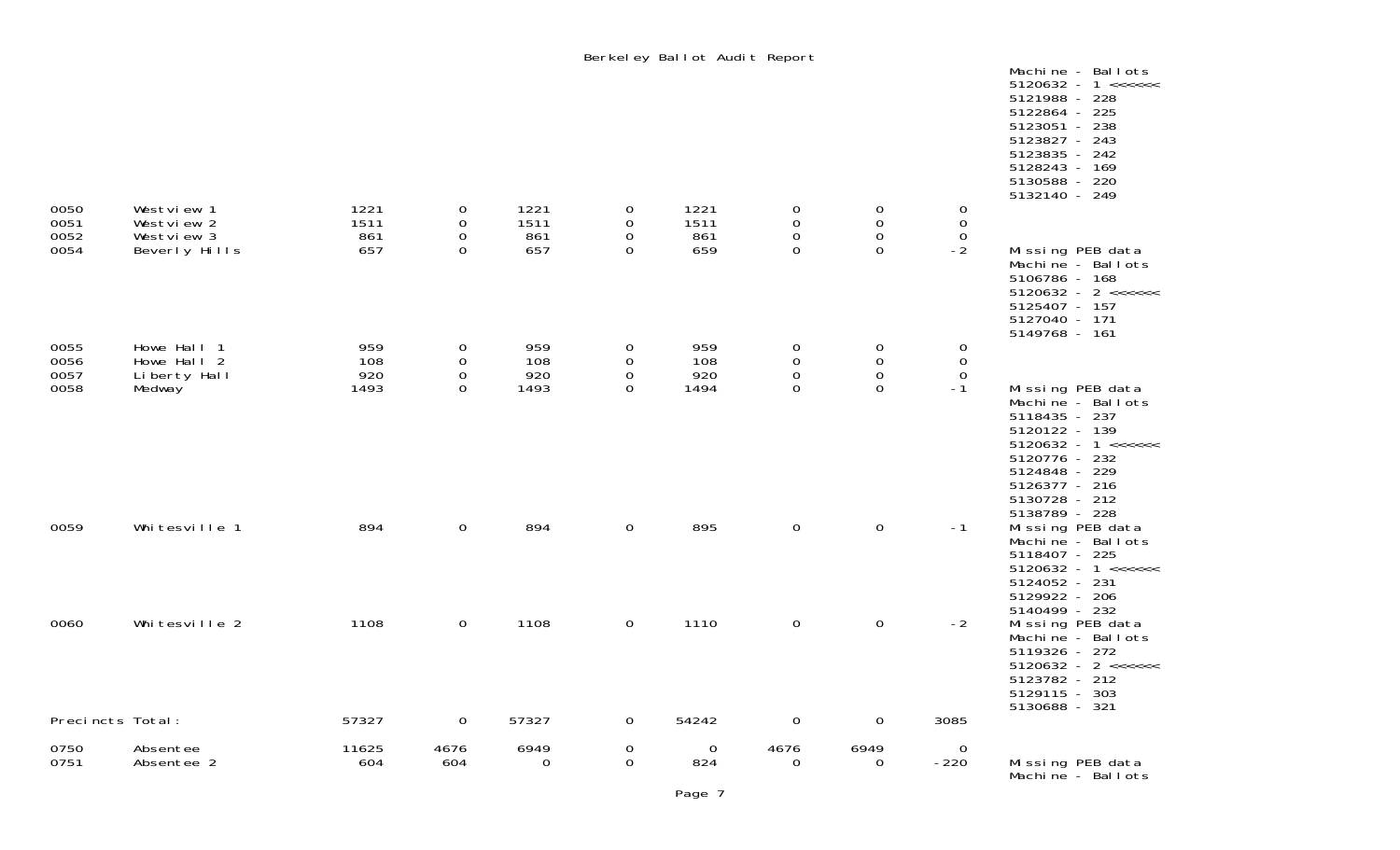|                              |                                                         |                            |                                                     |                            |                                           | Berkeley Ballot Audit Report |                                                          |                                                          |                                            | Machine - Ballots<br>$5120632 - 1 \leq \leq \leq \leq \leq$<br>5121988 - 228<br>5122864 - 225<br>5123051 - 238<br>5123827 - 243<br>5123835 - 242<br>5128243 - 169<br>5130588 - 220<br>5132140 - 249 |
|------------------------------|---------------------------------------------------------|----------------------------|-----------------------------------------------------|----------------------------|-------------------------------------------|------------------------------|----------------------------------------------------------|----------------------------------------------------------|--------------------------------------------|-----------------------------------------------------------------------------------------------------------------------------------------------------------------------------------------------------|
| 0050<br>0051<br>0052<br>0054 | Westview 1<br>Westview 2<br>Westview 3<br>Beverly Hills | 1221<br>1511<br>861<br>657 | 0<br>0<br>$\mathbf 0$<br>$\mathbf 0$                | 1221<br>1511<br>861<br>657 | 0<br>0<br>0<br>$\mathbf 0$                | 1221<br>1511<br>861<br>659   | $\mathbf 0$<br>$\mathbf 0$<br>$\mathbf 0$<br>$\mathbf 0$ | $\mathbf 0$<br>$\mathbf 0$<br>$\mathsf O$<br>$\mathsf O$ | 0<br>$\mathbf 0$<br>$\mathbf 0$<br>$-2$    | Missing PEB data<br>Machine - Ballots                                                                                                                                                               |
|                              |                                                         |                            |                                                     |                            |                                           |                              |                                                          |                                                          |                                            | 5106786 - 168<br>$5120632 - 2 \leq x \leq x \leq 1$<br>5125407 - 157<br>5127040 - 171<br>5149768 - 161                                                                                              |
| 0055<br>0056<br>0057<br>0058 | Howe Hall 1<br>Howe Hall 2<br>Liberty Hall<br>Medway    | 959<br>108<br>920<br>1493  | 0<br>$\mathbf 0$<br>$\mathsf{O}\xspace$<br>$\Omega$ | 959<br>108<br>920<br>1493  | 0<br>0<br>$\mathsf{O}\xspace$<br>$\Omega$ | 959<br>108<br>920<br>1494    | $\mathbf 0$<br>$\mathbf 0$<br>$\mathsf{O}$<br>0          | 0<br>$\mathsf{O}\xspace$<br>$\,0\,$<br>$\mathbf 0$       | 0<br>$\mathbf 0$<br>$\overline{0}$<br>$-1$ | Missing PEB data<br>Machine - Ballots<br>5118435 - 237<br>5120122 - 139<br>$5120632 - 1 \leq x \leq x \leq 1$<br>5120776 - 232<br>5124848 - 229                                                     |
| 0059                         | Whitesville 1                                           | 894                        | $\mathbf 0$                                         | 894                        | 0                                         | 895                          | $\mathsf{O}$                                             | $\mathbf 0$                                              | $-1$                                       | 5126377 - 216<br>5130728 - 212<br>5138789 - 228<br>Missing PEB data<br>Machine - Ballots<br>5118407 - 225<br>$5120632 - 1 \leq \leq \leq \leq \leq$<br>5124052 - 231<br>5129922 - 206               |
| 0060                         | Whitesville 2                                           | 1108                       | $\boldsymbol{0}$                                    | 1108                       | 0                                         | 1110                         | $\mathsf{O}$                                             | $\mathbf 0$                                              | $-2$                                       | 5140499 - 232<br>Missing PEB data<br>Machine - Ballots<br>5119326 - 272<br>$5120632 - 2 \leq x \leq x \leq 1$<br>5123782 - 212<br>5129115 - 303<br>5130688 - 321                                    |
| Precincts Total:             |                                                         | 57327                      | $\mathbf 0$                                         | 57327                      | $\mathsf{O}$                              | 54242                        | $\mathbf 0$                                              | $\mathbf 0$                                              | 3085                                       |                                                                                                                                                                                                     |
| 0750<br>0751                 | Absentee<br>Absentee 2                                  | 11625<br>604               | 4676<br>604                                         | 6949<br>0                  | 0<br>$\mathsf{O}$                         | $\mathbf 0$<br>824           | 4676<br>0                                                | 6949<br>$\mathbf{0}$                                     | $\overline{O}$<br>$-220$                   | Missing PEB data<br>Machine - Ballots                                                                                                                                                               |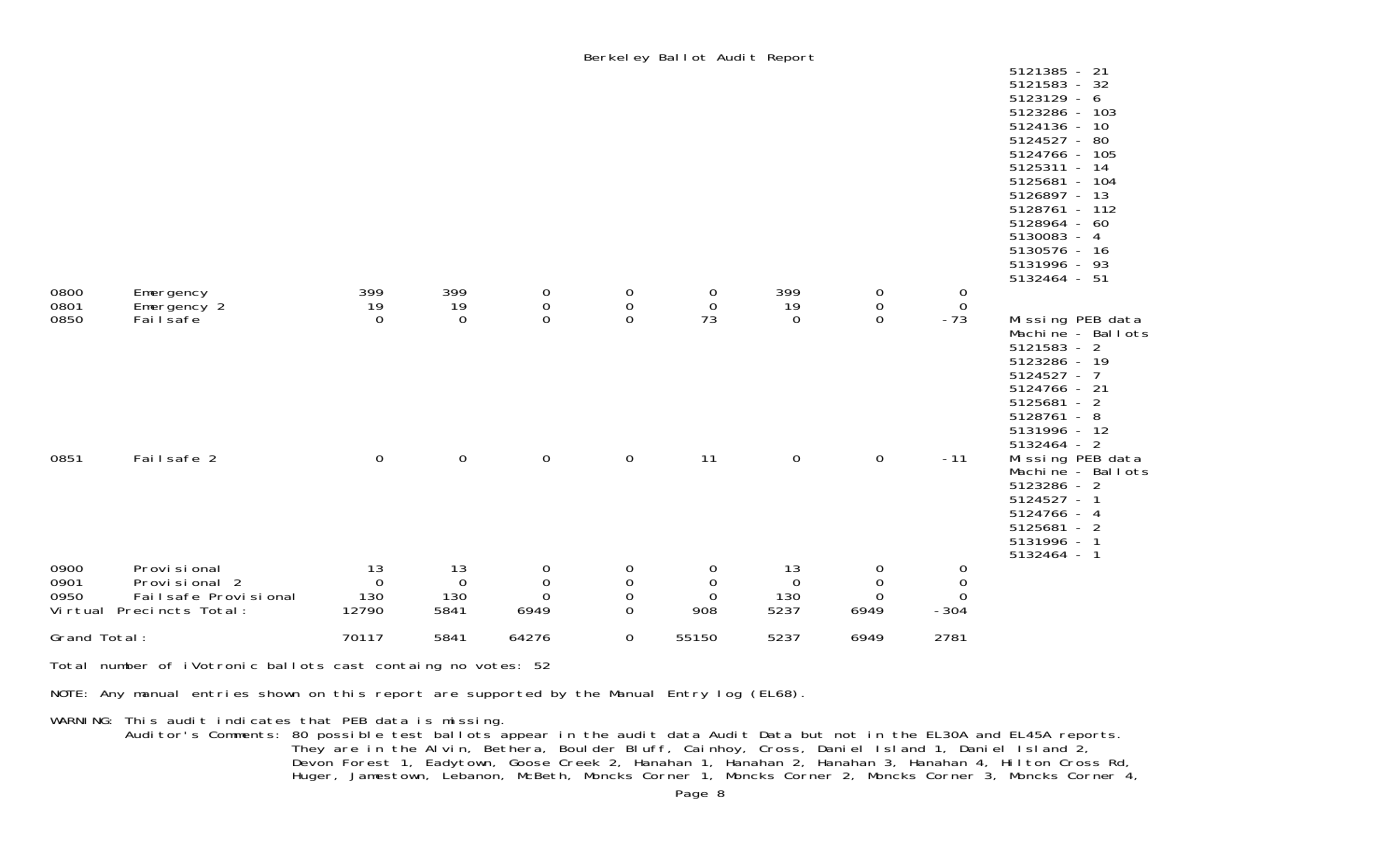|              |                                       |                       |                    |                                    |                                                     | Berkeley Ballot Audit Report    |                       |                                    |                                  |                                                                                                                                                                                                                                                                      |
|--------------|---------------------------------------|-----------------------|--------------------|------------------------------------|-----------------------------------------------------|---------------------------------|-----------------------|------------------------------------|----------------------------------|----------------------------------------------------------------------------------------------------------------------------------------------------------------------------------------------------------------------------------------------------------------------|
|              |                                       |                       |                    |                                    |                                                     |                                 |                       |                                    |                                  | 5121385 - 21<br>5121583 - 32<br>$5123129 - 6$<br>5123286 - 103<br>5124136<br>$-10$<br>5124527 - 80<br>5124766 - 105<br>5125311 - 14<br>5125681 - 104<br>5126897 - 13<br>5128761 - 112<br>5128964 - 60<br>5130083 - 4<br>5130576 - 16<br>5131996 - 93<br>5132464 - 51 |
| 0800<br>0801 | Emergency<br>Emergency 2              | 399<br>19             | 399<br>19          | $\mathbf 0$<br>$\mathsf{O}\xspace$ | 0<br>$\mathsf{O}\xspace$                            | $\mathbf 0$<br>$\boldsymbol{0}$ | 399<br>19             | $\mathbf 0$<br>$\mathsf{O}\xspace$ | $\overline{0}$<br>$\overline{0}$ |                                                                                                                                                                                                                                                                      |
| 0850         | Fai I safe                            | $\overline{0}$        | $\mathbf 0$        | $\mathbf 0$                        | $\mathsf{O}\xspace$                                 | 73                              | $\overline{0}$        | $\mathsf{O}\xspace$                | $-73$                            | Missing PEB data<br>Machine - Ballots<br>$5121583 - 2$<br>5123286 - 19<br>$5124527 - 7$<br>5124766 - 21<br>$5125681 - 2$<br>5128761 - 8<br>5131996 - 12                                                                                                              |
| 0851         | Failsafe 2                            | $\mathsf{O}\xspace$   | $\mathbf 0$        | $\boldsymbol{0}$                   | $\mathsf{O}$                                        | 11                              | $\mathsf{O}$          | $\boldsymbol{0}$                   | $-11$                            | $5132464 - 2$<br>Missing PEB data<br>Machine - Ballots<br>5123286 - 2<br>5124527 -<br>5124766 - 4<br>5125681 - 2<br>5131996 - 1<br>5132464 - 1                                                                                                                       |
| 0900         | Provi si onal                         | 13                    | 13                 | 0                                  | 0                                                   | $\boldsymbol{0}$                | 13                    | $\mathbf 0$                        | $\mathbf 0$                      |                                                                                                                                                                                                                                                                      |
| 0901<br>0950 | Provisional 2<br>Failsafe Provisional | $\overline{0}$<br>130 | $\mathbf 0$<br>130 | $\mathbf 0$<br>$\mathbf 0$         | $\boldsymbol{0}$<br>$\boldsymbol{0}$<br>$\mathbf 0$ | $\boldsymbol{0}$<br>$\mathbf 0$ | $\overline{0}$<br>130 | $\mathbf 0$<br>$\mathbf 0$         | $\boldsymbol{0}$<br>$\mathbf 0$  |                                                                                                                                                                                                                                                                      |
|              | Virtual Precincts Total:              | 12790                 | 5841               | 6949                               |                                                     | 908                             | 5237                  | 6949                               | $-304$                           |                                                                                                                                                                                                                                                                      |
| Grand Total: |                                       | 70117                 | 5841               | 64276                              | $\boldsymbol{0}$                                    | 55150                           | 5237                  | 6949                               | 2781                             |                                                                                                                                                                                                                                                                      |

Total number of iVotronic ballots cast containg no votes: 52

NOTE: Any manual entries shown on this report are supported by the Manual Entry log (EL68).

WARNING: This audit indicates that PEB data is missing.

 Auditor's Comments: 80 possible test ballots appear in the audit data Audit Data but not in the EL30A and EL45A reports. They are in the Alvin, Bethera, Boulder Bluff, Cainhoy, Cross, Daniel Island 1, Daniel Island 2, Devon Forest 1, Eadytown, Goose Creek 2, Hanahan 1, Hanahan 2, Hanahan 3, Hanahan 4, Hilton Cross Rd, Huger, Jamestown, Lebanon, McBeth, Moncks Corner 1, Moncks Corner 2, Moncks Corner 3, Moncks Corner 4,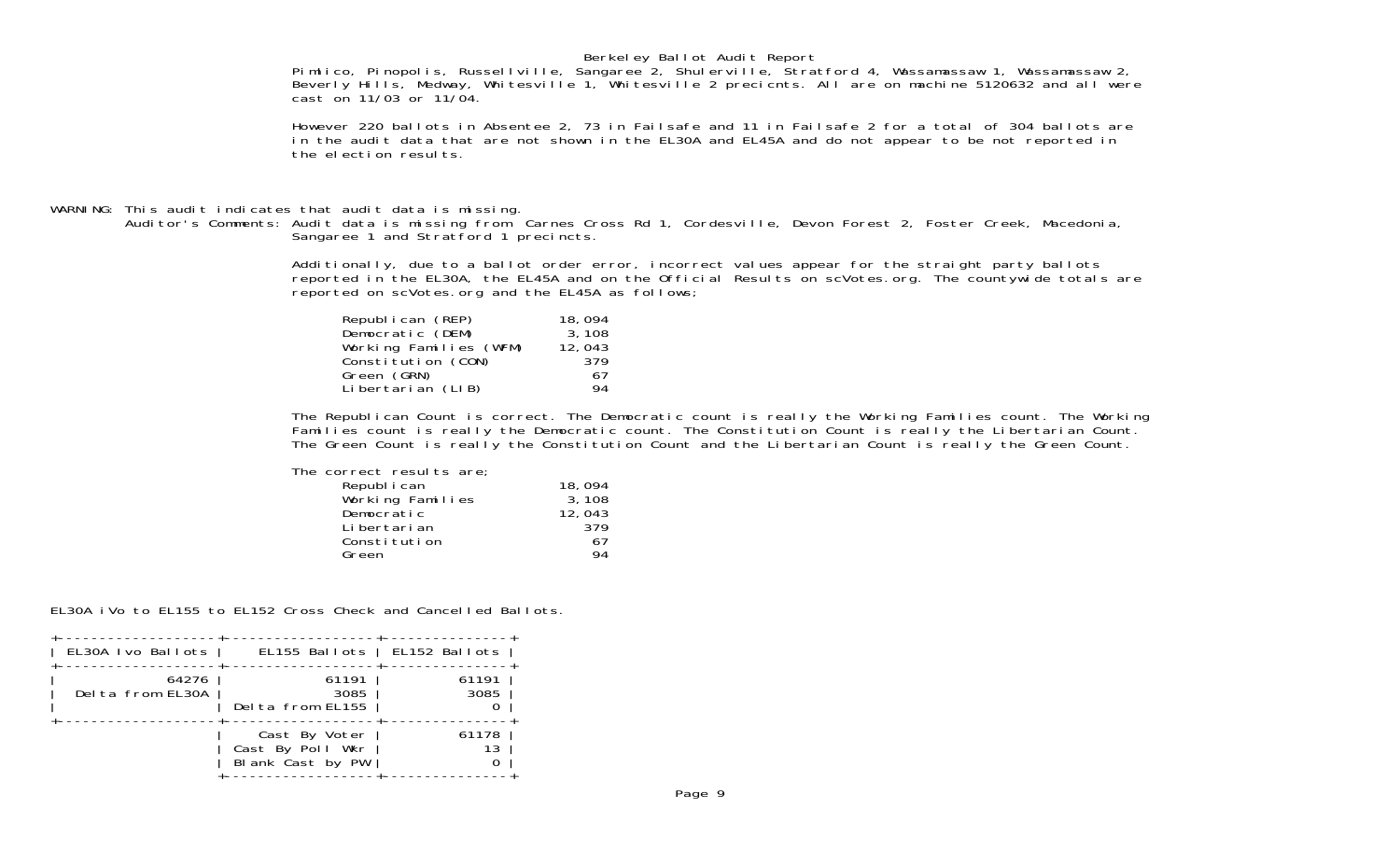## Berkeley Ballot Audit Report

Pimlico, Pinopolis, Russellville, Sangaree 2, Shulerville, Stratford 4, Wassamassaw 1, Wassamassaw 2, Beverly Hills, Medway, Whitesville 1, Whitesville 2 precicnts. All are on machine 5120632 and all were cast on 11/03 or 11/04.

 However 220 ballots in Absentee 2, 73 in Failsafe and 11 in Failsafe 2 for a total of 304 ballots are in the audit data that are not shown in the EL30A and EL45A and do not appear to be not reported in the election results.

## WARNING: This audit indicates that audit data is missing.

 Auditor's Comments: Audit data is missing from Carnes Cross Rd 1, Cordesville, Devon Forest 2, Foster Creek, Macedonia, Sangaree 1 and Stratford 1 precincts.

> Additionally, due to a ballot order error, incorrect values appear for the straight party ballots reported in the EL30A, the EL45A and on the Official Results on scVotes.org. The countywide totals are reported on scVotes.org and the EL45A as follows;

| Republican (REP)       | 18,094 |
|------------------------|--------|
| Democratic (DEM)       | 3, 108 |
| Working Families (WFM) | 12,043 |
| Constitution (CON)     | 379    |
| Green (GRN)            | 67     |
| Libertarian (LIB)      | 94     |

 The Republican Count is correct. The Democratic count is really the Working Families count. The Working Families count is really the Democratic count. The Constitution Count is really the Libertarian Count. The Green Count is really the Constitution Count and the Libertarian Count is really the Green Count.

| 18,094 |
|--------|
| 3, 108 |
| 12,043 |
| 379    |
| 67     |
| 94     |
|        |

EL30A iVo to EL155 to EL152 Cross Check and Cancelled Ballots.

| EL30A Ivo Ballots         |                                                       | EL155 Ballots   EL152 Ballots |  |
|---------------------------|-------------------------------------------------------|-------------------------------|--|
|                           |                                                       |                               |  |
| 64276<br>Delta from EL30A | 61191<br>3085<br>Delta from EL155                     | 61191<br>3085                 |  |
|                           | Cast By Voter<br>Cast By Poll Wkr<br>Blank Cast by PW | 61178<br>13                   |  |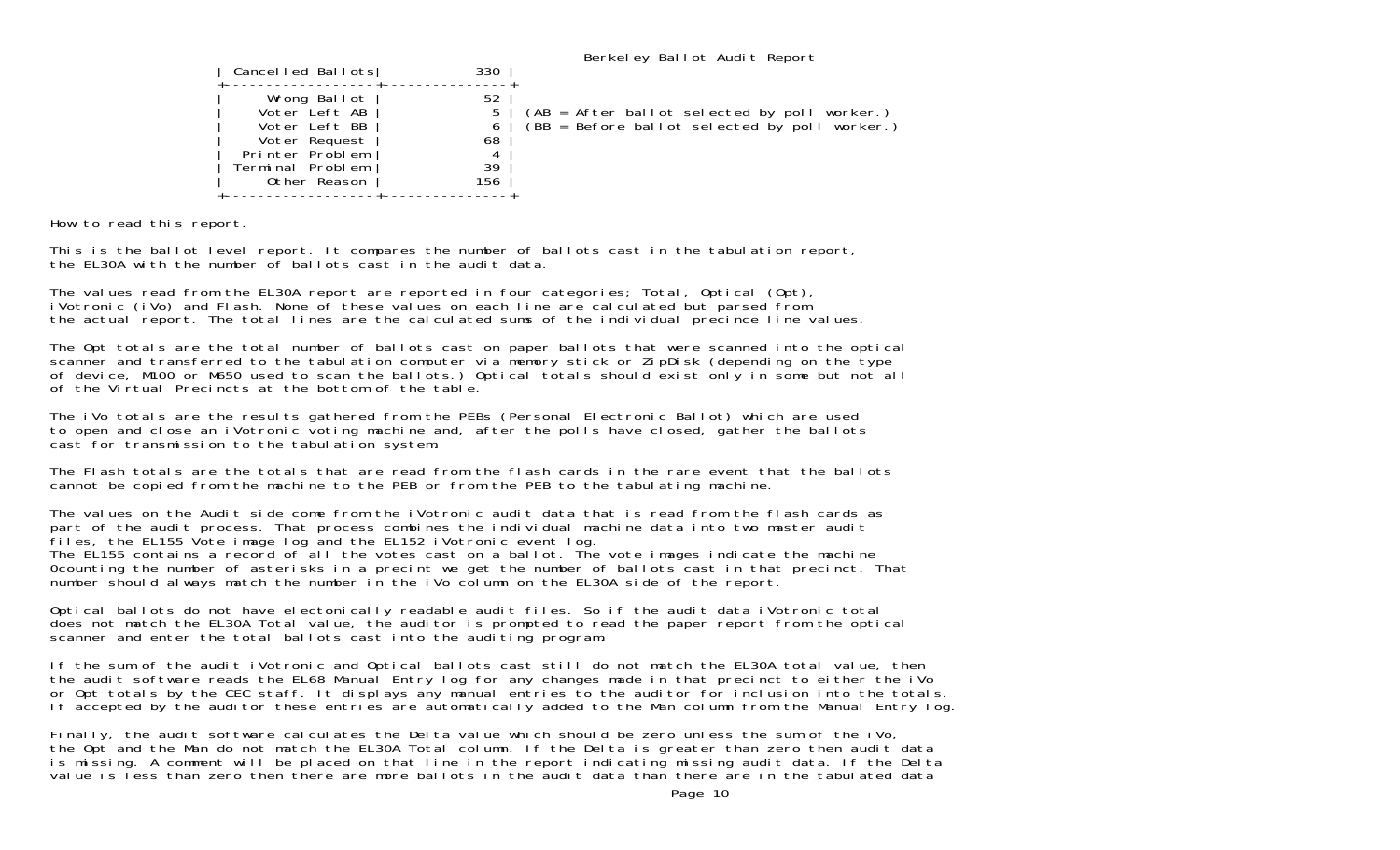| Cancelled Ballots                                                                                                      | 330                             | Berkeley Ballot Audit Report                                                                    |
|------------------------------------------------------------------------------------------------------------------------|---------------------------------|-------------------------------------------------------------------------------------------------|
| Wrong Ballot<br>Voter Left AB<br>Voter Left BB<br>Voter Request<br>Printer Problem<br>Terminal Problem<br>Other Reason | 52<br>6<br>68<br>4<br>39<br>156 | (AB = After ballot selected by poll worker.)<br>$(BB = Before ballot selected by poll worker.)$ |

How to read this report.

This is the ballot level report. It compares the number of ballots cast in the tabulation report, the EL30A with the number of ballots cast in the audit data.

The values read from the EL30A report are reported in four categories; Total, Optical (Opt), iVotronic (iVo) and Flash. None of these values on each line are calculated but parsed from the actual report. The total lines are the calculated sums of the individual precince line values.

The Opt totals are the total number of ballots cast on paper ballots that were scanned into the optical scanner and transferred to the tabulation computer via memory stick or ZipDisk (depending on the type of device, M100 or M650 used to scan the ballots.) Optical totals should exist only in some but not all of the Virtual Precincts at the bottom of the table.

The iVo totals are the results gathered from the PEBs (Personal Electronic Ballot) which are used to open and close an iVotronic voting machine and, after the polls have closed, gather the ballots cast for transmission to the tabulation system.

The Flash totals are the totals that are read from the flash cards in the rare event that the ballots cannot be copied from the machine to the PEB or from the PEB to the tabulating machine.

The values on the Audit side come from the iVotronic audit data that is read from the flash cards as part of the audit process. That process combines the individual machine data into two master audit files, the EL155 Vote image log and the EL152 iVotronic event log. The EL155 contains a record of all the votes cast on a ballot. The vote images indicate the machine 0counting the number of asterisks in a precint we get the number of ballots cast in that precinct. That number should always match the number in the iVo column on the EL30A side of the report.

Optical ballots do not have electonically readable audit files. So if the audit data iVotronic total does not match the EL30A Total value, the auditor is prompted to read the paper report from the optical scanner and enter the total ballots cast into the auditing program.

If the sum of the audit iVotronic and Optical ballots cast still do not match the EL30A total value, then the audit software reads the EL68 Manual Entry log for any changes made in that precinct to either the iVo or Opt totals by the CEC staff. It displays any manual entries to the auditor for inclusion into the totals. If accepted by the auditor these entries are automatically added to the Man column from the Manual Entry log.

Finally, the audit software calculates the Delta value which should be zero unless the sum of the iVo, the Opt and the Man do not match the EL30A Total column. If the Delta is greater than zero then audit data is missing. A comment will be placed on that line in the report indicating missing audit data. If the Delta value is less than zero then there are more ballots in the audit data than there are in the tabulated data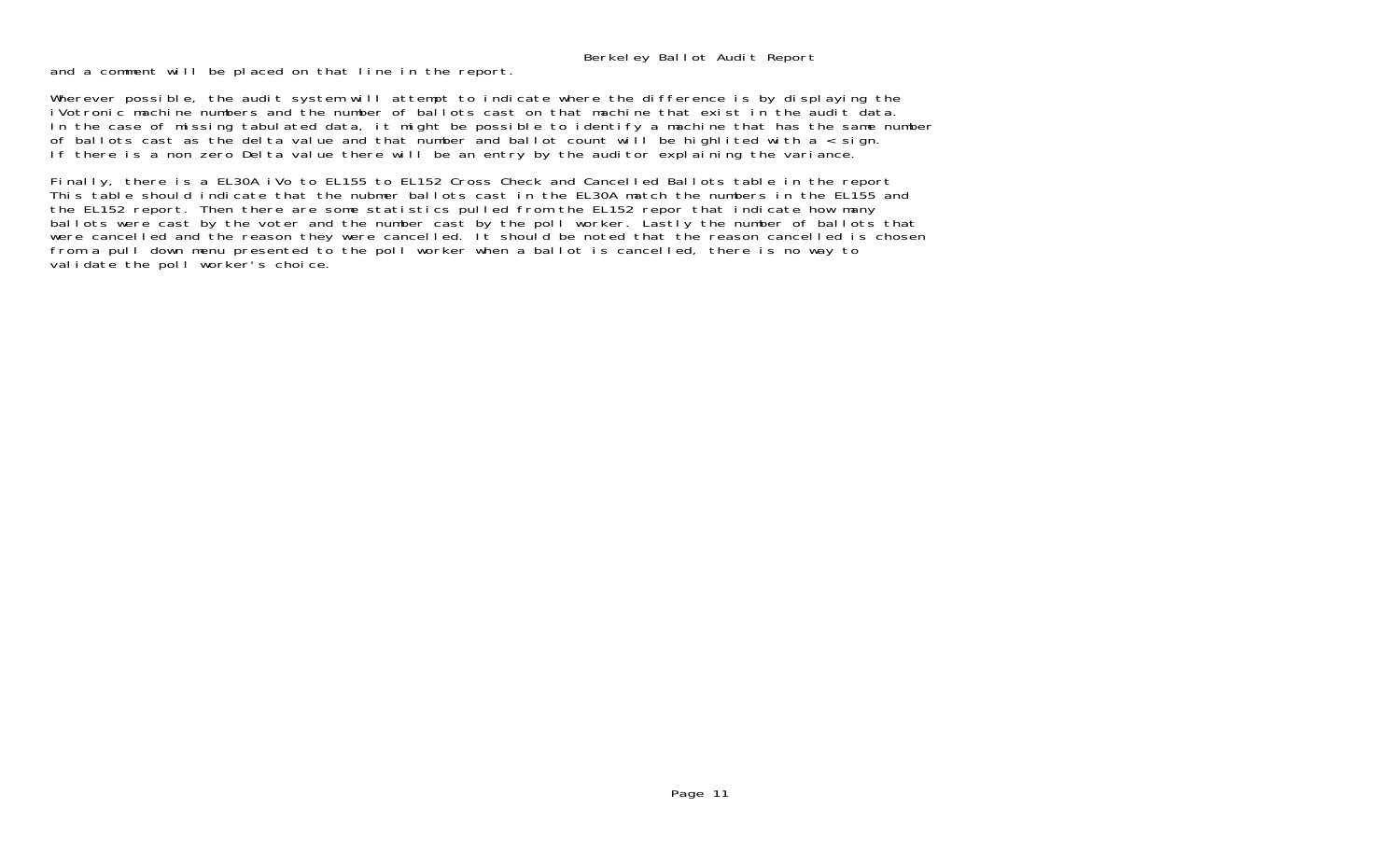Berkeley Ballot Audit Report

and a comment will be placed on that line in the report.

Wherever possible, the audit system will attempt to indicate where the difference is by displaying the iVotronic machine numbers and the number of ballots cast on that machine that exist in the audit data.In the case of missing tabulated data, it might be possible to identify a machine that has the same number of ballots cast as the delta value and that number and ballot count will be highlited with a < sign. If there is a non zero Delta value there will be an entry by the auditor explaining the variance.

Finally, there is a EL30A iVo to EL155 to EL152 Cross Check and Cancelled Ballots table in the report This table should indicate that the nubmer ballots cast in the EL30A match the numbers in the EL155 and the EL152 report. Then there are some statistics pulled from the EL152 repor that indicate how many ballots were cast by the voter and the number cast by the poll worker. Lastly the number of ballots that were cancelled and the reason they were cancelled. It should be noted that the reason cancelled is chosen from a pull down menu presented to the poll worker when a ballot is cancelled, there is no way to validate the poll worker's choice.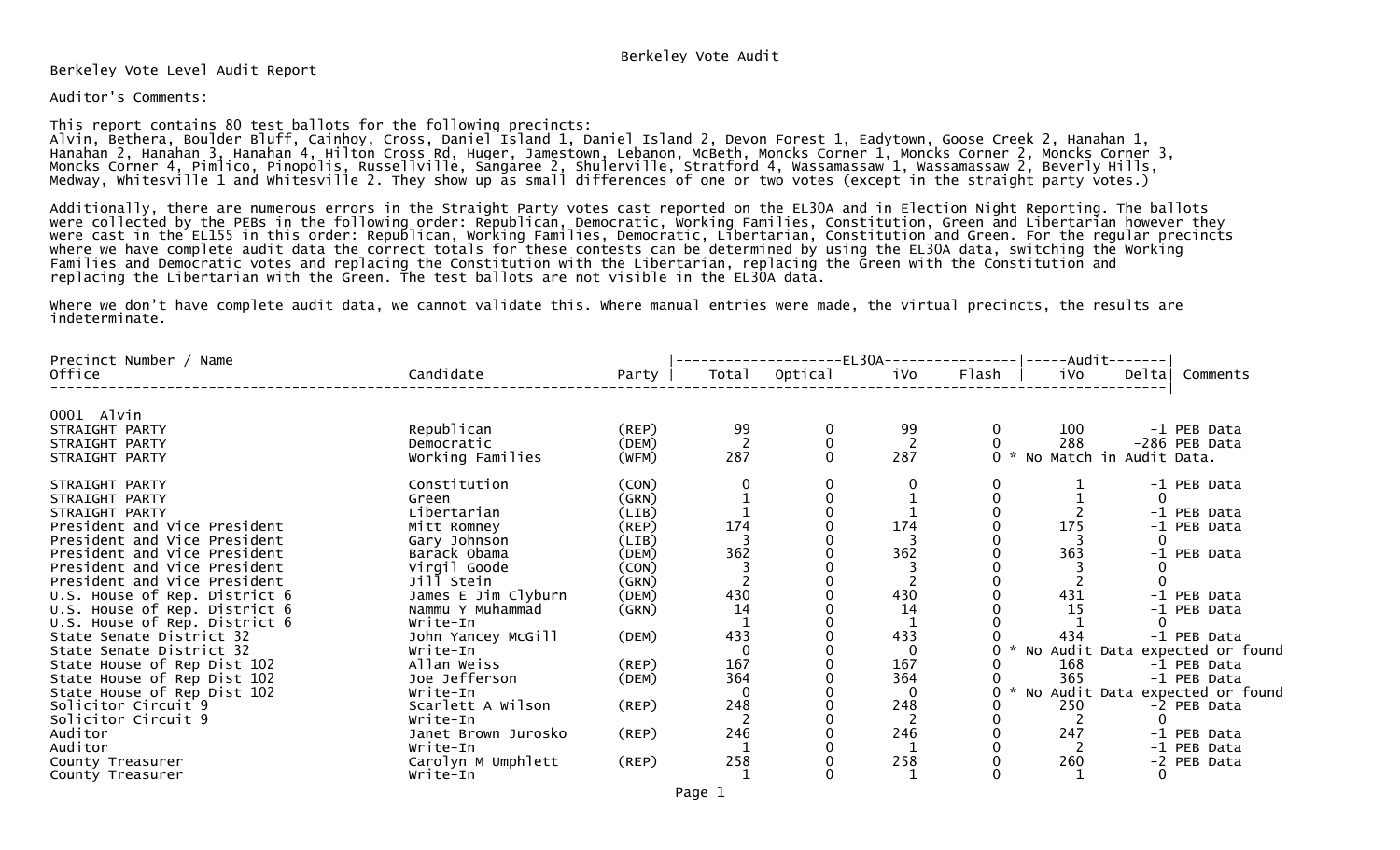Berkeley Vote Level Audit Report

## Auditor's Comments:

This report contains 80 test ballots for the following precincts:

Alvin, Bethera, Boulder Bluff, Cainhoy, Cross, Daniel Island 1, Daniel Island 2, Devon Forest 1, Eadytown, Goose Creek 2, Hanahan 1, Hanahan 2, Hanahan 3, Hanahan 4, Hilton Cross Rd, Huger, Jamestown, Lebanon, McBeth, Moncks Corner 1, Moncks Corner 2, Moncks Corner 3, Moncks Corner 4, Pimlico, Pinopolis, Russellville, Sangaree 2, Shulerville, Stratford 4, Wassamassaw 1, Wassamassaw 2, Beverly Hills, Medway, Whitesville 1 and Whitesville 2. They show up as small differences of one or two votes (except in the straight party votes.)

Additionally, there are numerous errors in the Straight Party votes cast reported on the EL30A and in Election Night Reporting. The ballots were collected by the PEBs in the following order: Republican, Democratic, Working Families, Constitution, Green and Libertarian however they were cast in the EL155 in this order: Republican, Working Families, Democratic, Libertarian, Constitution and Green. For the regular precincts where we have complete audit data the correct totals for these contests can be determined by using the EL30A data, switching the Working Families and Democratic votes and replacing the Constitution with the Libertarian, replacing the Green with the Constitution and replacing the Libertarian with the Green. The test ballots are not visible in the EL30A data.

Where we don't have complete audit data, we cannot validate this. Where manual entries were made, the virtual precincts, the results are indeterminate.

| Precinct Number / Name        |                     |             |       |         | $-EL30A--$ |       | -Audit-·                |       |                   |
|-------------------------------|---------------------|-------------|-------|---------|------------|-------|-------------------------|-------|-------------------|
| Office                        | Candidate           | Party       | Total | Optical | iVo        | Flash | iVo                     | Delta | Comments          |
| 0001 Alvin                    |                     |             |       |         |            |       |                         |       |                   |
| STRAIGHT PARTY                | Republican          | $($ REP $)$ | 99    |         | 99         |       | 100                     |       | -1 PEB Data       |
| STRAIGHT PARTY                | Democratic          | (DEM)       |       |         |            |       | 288                     |       | -286 PEB Data     |
| STRAIGHT PARTY                | Working Families    | (WFM)       | 287   |         | 287        |       | No Match in Audit Data. |       |                   |
| STRAIGHT PARTY                | Constitution        | (CON)       |       |         |            |       |                         |       | -1 PEB Data       |
| STRAIGHT PARTY                | Green               | (GRN)       |       |         |            |       |                         |       |                   |
| STRAIGHT PARTY                | Libertarian         | (LIB)       |       |         |            |       |                         |       | -1 PEB Data       |
| President and Vice President  | Mitt Romney         | (REP)       | 174   |         | 174        |       | 175                     |       | -1 PEB Data       |
| President and Vice President  | Gary Johnson        | (LIB)       |       |         |            |       |                         | 0     |                   |
| President and Vice President  | Barack Obama        | (DEM)       | 362   |         | 362        |       | 363                     |       | -1 PEB Data       |
| President and Vice President  | Virgil Goode        | (CON)       |       |         |            |       |                         |       |                   |
| President and Vice President  | Jill Stein          | (GRN)       |       |         |            |       |                         |       |                   |
| U.S. House of Rep. District 6 | James E Jim Clyburn | (DEM)       | 430   |         | 430        |       | 431                     |       | -1 PEB Data       |
| U.S. House of Rep. District 6 | Nammu Y Muhammad    | (GRN)       | 14    |         | 14         |       | 15                      |       | -1 PEB Data       |
| U.S. House of Rep. District 6 | Write-In            |             |       |         |            |       |                         |       |                   |
| State Senate District 32      | John Yancey McGill  | (DEM)       | 433   |         | 433        |       | 434                     |       | -1 PEB Data       |
| State Senate District 32      | Write-In            |             |       |         | 0          |       | No Audit Data           |       | expected or found |
| State House of Rep Dist 102   | Allan Weiss         | (REP)       | 167   |         | 167        |       | 168                     |       | -1 PEB Data       |
| State House of Rep Dist 102   | Joe Jefferson       | (DEM)       | 364   |         | 364        |       | 365                     |       | -1 PEB Data       |
| State House of Rep Dist 102   | Write-In            |             |       |         | 0          |       | No Audit Data           |       | expected or found |
| Solicitor Circuit 9           | Scarlett A Wilson   | $($ REP $)$ | 248   |         | 248        |       | 250                     |       | -2 PEB Data       |
| Solicitor Circuit 9           | Write-In            |             |       |         |            |       |                         |       |                   |
| Auditor                       | Janet Brown Jurosko | (REP)       | 246   |         | 246        |       | 247                     |       | -1 PEB Data       |
| Auditor                       | Write-In            |             |       |         |            |       |                         |       | -1 PEB Data       |
| County Treasurer              | Carolyn M Umphlett  | $($ REP $)$ | 258   |         | 258        |       | 260                     |       | -2 PEB Data       |
| County Treasurer              | Write-In            |             |       |         |            |       |                         |       |                   |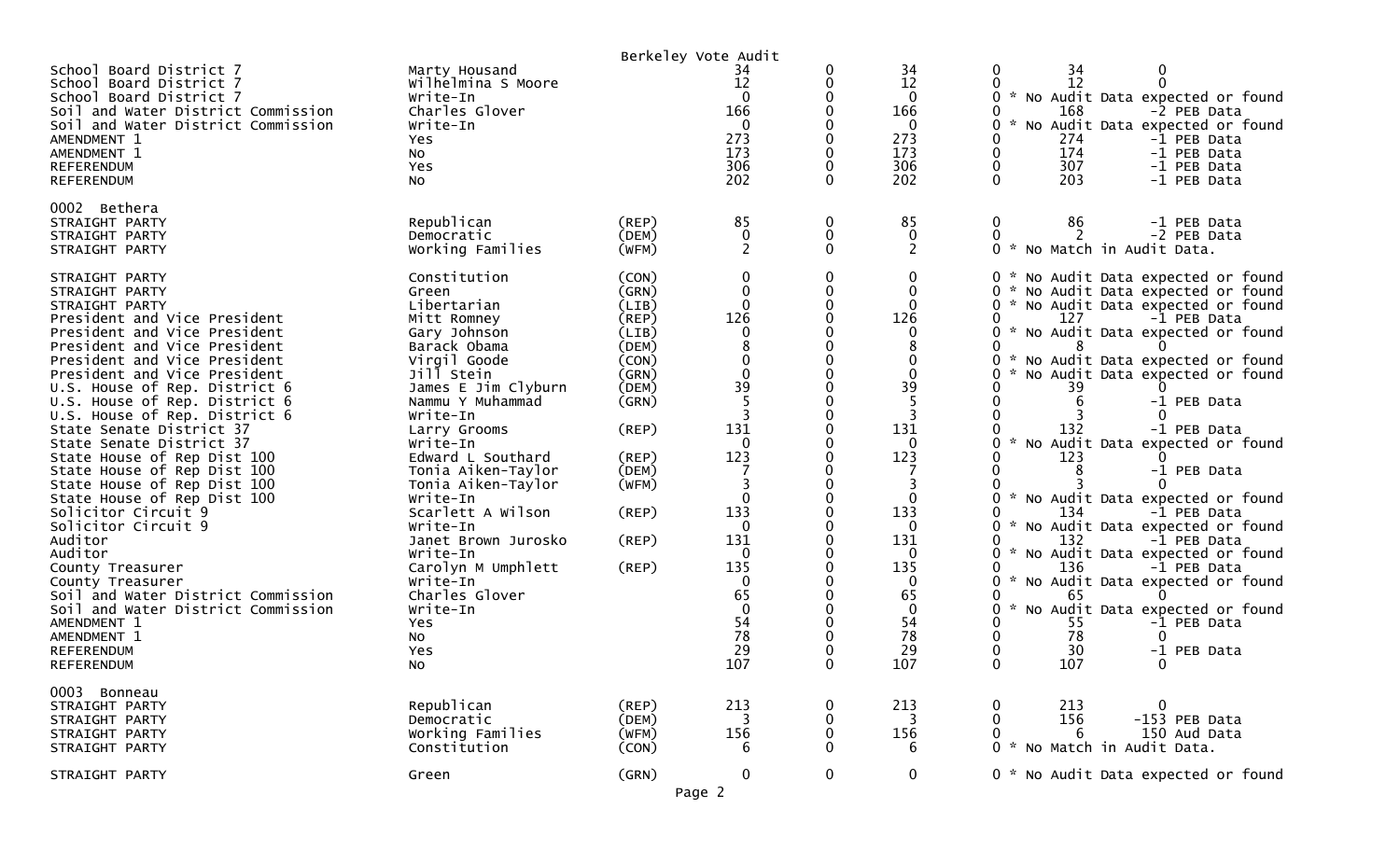|                                                                                                                                                                                                                                                                                                                                                                                                                                                                                                                                                                                                                                                                                                                                                                    |                                                                                                                                                                                                                                                                                                                                                                                                                                                         |                                                                                                                                                       | Berkeley Vote Audit                                                                                                                                                                                 |                               |                                                                                                                                                                             |                                                                                                                                                                                                                                                                                                                                                                                                                                                                                                                                                                                                                                                                                          |
|--------------------------------------------------------------------------------------------------------------------------------------------------------------------------------------------------------------------------------------------------------------------------------------------------------------------------------------------------------------------------------------------------------------------------------------------------------------------------------------------------------------------------------------------------------------------------------------------------------------------------------------------------------------------------------------------------------------------------------------------------------------------|---------------------------------------------------------------------------------------------------------------------------------------------------------------------------------------------------------------------------------------------------------------------------------------------------------------------------------------------------------------------------------------------------------------------------------------------------------|-------------------------------------------------------------------------------------------------------------------------------------------------------|-----------------------------------------------------------------------------------------------------------------------------------------------------------------------------------------------------|-------------------------------|-----------------------------------------------------------------------------------------------------------------------------------------------------------------------------|------------------------------------------------------------------------------------------------------------------------------------------------------------------------------------------------------------------------------------------------------------------------------------------------------------------------------------------------------------------------------------------------------------------------------------------------------------------------------------------------------------------------------------------------------------------------------------------------------------------------------------------------------------------------------------------|
| School Board District 7<br>School Board District 7<br>School Board District 7<br>Soil and Water District Commission<br>Soil and Water District Commission<br>AMENDMENT 1<br>AMENDMENT 1<br>REFERENDUM<br><b>REFERENDUM</b>                                                                                                                                                                                                                                                                                                                                                                                                                                                                                                                                         | Marty Housand<br>Wilhelmina S Moore<br>Write-In<br>Charles Glover<br>Write-In<br>Yes<br>No<br>Yes<br>No                                                                                                                                                                                                                                                                                                                                                 |                                                                                                                                                       | 34<br>12<br>$\Omega$<br>166<br>$\mathbf{0}$<br>273<br>173<br>306<br>202                                                                                                                             | 0<br>0<br>0<br>$\Omega$       | 34<br>12<br>$\mathbf{0}$<br>166<br>0<br>273<br>173<br>306<br>202                                                                                                            | 34<br>12<br>* No Audit Data expected or found<br>168<br>-2 PEB Data<br>$\mathcal{H}$<br>No Audit Data expected or found<br>274<br>-1 PEB Data<br>174<br>-1 PEB Data<br>307<br>-1 PEB Data<br>$\Omega$<br>203<br>-1 PEB Data                                                                                                                                                                                                                                                                                                                                                                                                                                                              |
| 0002 Bethera<br>STRAIGHT PARTY<br>STRAIGHT PARTY<br>STRAIGHT PARTY                                                                                                                                                                                                                                                                                                                                                                                                                                                                                                                                                                                                                                                                                                 | Republican<br>Democratic<br>Working Families                                                                                                                                                                                                                                                                                                                                                                                                            | $($ REP $)$<br>(DEM)<br>(WFM)                                                                                                                         | 85<br>$\mathbf 0$<br>2                                                                                                                                                                              | 0<br>0<br>0                   | 85<br>0<br>2                                                                                                                                                                | 86<br>0<br>-1 PEB Data<br>2<br>-2 PEB Data<br>$\Omega$<br>* No Match in Audit Data.                                                                                                                                                                                                                                                                                                                                                                                                                                                                                                                                                                                                      |
| STRAIGHT PARTY<br>STRAIGHT PARTY<br>STRAIGHT PARTY<br>President and Vice President<br>President and Vice President<br>President and Vice President<br>President and Vice President<br>President and Vice President<br>U.S. House of Rep. District 6<br>U.S. House of Rep. District 6<br>U.S. House of Rep. District 6<br>State Senate District 37<br>State Senate District 37<br>State House of Rep Dist 100<br>State House of Rep Dist 100<br>State House of Rep Dist 100<br>State House of Rep Dist 100<br>Solicitor Circuit 9<br>Solicitor Circuit 9<br>Auditor<br>Auditor<br>County Treasurer<br>County Treasurer<br>Soil and Water District Commission<br>Soil and Water District Commission<br>AMENDMENT 1<br>AMENDMENT 1<br><b>REFERENDUM</b><br>REFERENDUM | Constitution<br>Green<br>Libertarian<br>Mitt Romney<br>Gary Johnson<br>Barack Obama<br>Virgil Goode<br>Jill Stein<br>James E Jim Clyburn<br>Nammu Y Muhammad<br>Write-In<br>Larry Grooms<br>Write-In<br>Edward L Southard<br>Tonia Aiken-Taylor<br>Tonia Aiken-Taylor<br>Write-In<br>Scarlett A Wilson<br>Write-In<br>Janet Brown Jurosko<br>Write-In<br>Carolyn M Umphlett<br>Write-In<br>Charles Glover<br>Write-In<br><b>Yes</b><br>NO.<br>Yes<br>No | (CON)<br>(GRN)<br>(LIB)<br>(REP)<br>(LIB)<br>(DEM)<br>(CON)<br>(GRN)<br>(DEM)<br>(GRN)<br>(REP)<br>(REP)<br>(DEM)<br>(WFM)<br>(REP)<br>(REP)<br>(REP) | 0<br>$\mathbf 0$<br>$\Omega$<br>126<br>0<br>$\Omega$<br>39<br>131<br>0<br>123<br>3<br>$\Omega$<br>133<br>$\mathbf{0}$<br>131<br>$\mathbf{0}$<br>135<br>0<br>65<br>$\Omega$<br>54<br>78<br>29<br>107 | 0<br>$\mathbf{0}$<br>$\Omega$ | 0<br>0<br>$\Omega$<br>126<br>0<br>39<br>3<br>131<br>$\mathbf{0}$<br>123<br>3<br>$\Omega$<br>133<br>0<br>131<br>0<br>135<br>0<br>65<br>$\mathbf{0}$<br>54<br>78<br>29<br>107 | * No Audit Data expected or found<br>* No Audit Data expected or found<br>* No Audit Data expected or found<br>127<br>-1 PEB Data<br>* No Audit Data expected or found<br>8<br>* No Audit Data expected or found<br>No Audit Data expected or found<br>39<br>6<br>-1 PEB Data<br>132<br>-1 PEB Data<br>* No Audit Data expected or found<br>123<br>-1 PEB Data<br>$\sim$<br>No Audit Data expected or found<br>134<br>-1 PEB Data<br>No Audit Data expected or found<br>132<br>-1 PEB Data<br>* No Audit Data expected or found<br>136<br>-1 PEB Data<br>No Audit Data expected or found<br>65<br>No Audit Data expected or found<br>55<br>-1 PEB Data<br>78<br>30<br>-1 PEB Data<br>107 |
| 0003 Bonneau<br>STRAIGHT PARTY<br>STRAIGHT PARTY<br>STRAIGHT PARTY<br>STRAIGHT PARTY                                                                                                                                                                                                                                                                                                                                                                                                                                                                                                                                                                                                                                                                               | Republican<br>Democratic<br>Working Families<br>Constitution                                                                                                                                                                                                                                                                                                                                                                                            | $($ REP $)$<br>(DEM)<br>(WFM)<br>(CON)                                                                                                                | 213<br>3<br>156<br>6                                                                                                                                                                                | 0                             | 213<br>3<br>156<br>6                                                                                                                                                        | $\mathbf 0$<br>213<br>156<br>-153 PEB Data<br>150 Aud Data<br>6<br>No Match in Audit Data.                                                                                                                                                                                                                                                                                                                                                                                                                                                                                                                                                                                               |
| STRAIGHT PARTY                                                                                                                                                                                                                                                                                                                                                                                                                                                                                                                                                                                                                                                                                                                                                     | Green                                                                                                                                                                                                                                                                                                                                                                                                                                                   | (GRN)                                                                                                                                                 | 0<br>Page 2                                                                                                                                                                                         | 0                             | $\mathbf 0$                                                                                                                                                                 | * No Audit Data expected or found                                                                                                                                                                                                                                                                                                                                                                                                                                                                                                                                                                                                                                                        |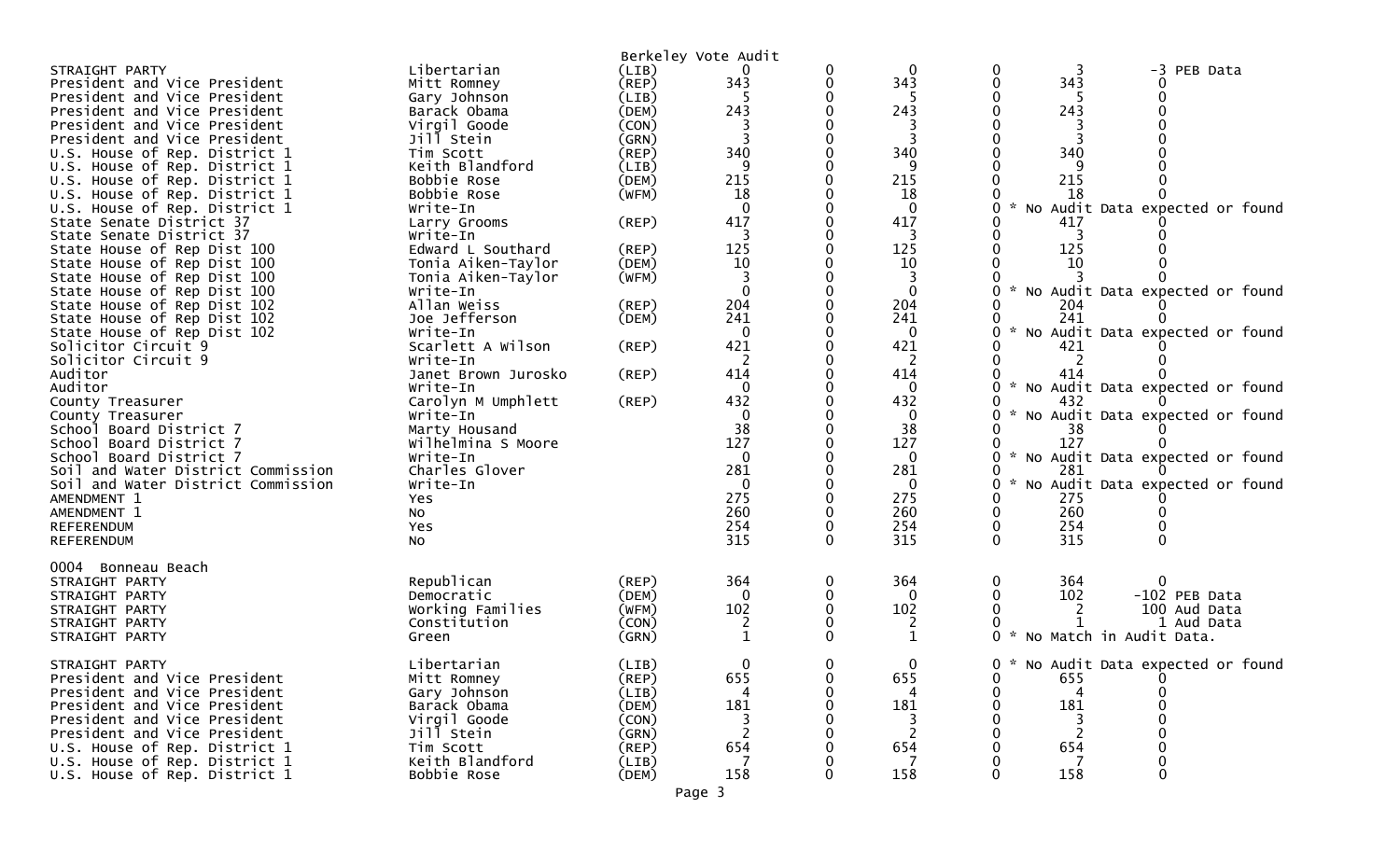| STRAIGHT PARTY<br>President and Vice President<br>President and Vice President<br>President and Vice President<br>President and Vice President<br>President and Vice President<br>U.S. House of Rep. District 1<br>U.S. House of Rep. District 1<br>U.S. House of Rep. District 1<br>U.S. House of Rep. District 1<br>U.S. House of Rep. District 1<br>State Senate District 37<br>State Senate District 37<br>State House of Rep Dist 100<br>State House of Rep Dist 100<br>State House of Rep Dist 100<br>State House of Rep Dist 100<br>State House of Rep Dist 102<br>State House of Rep Dist 102<br>State House of Rep Dist 102<br>Solicitor Circuit 9<br>Solicitor Circuit 9<br>Auditor<br>Auditor<br>County Treasurer<br>County Treasurer<br>School Board District 7<br>School Board District 7<br>School Board District 7<br>Soil and Water District Commission<br>Soil and Water District Commission | Libertarian<br>Mitt Romney<br>Gary Johnson<br>Barack Obama<br>Virgil Goode<br>Jill Stein<br>Tim Scott<br>Keith Blandford<br>Bobbie Rose<br>Bobbie Rose<br>Write-In<br>Larry Grooms<br>Write-In<br>Edward L Southard<br>Tonia Aiken-Taylor<br>Tonia Aiken-Taylor<br>Write-In<br>Allan Weiss<br>Joe Jefferson<br>Write-In<br>Scarlett A Wilson<br>Write-In<br>Janet Brown Jurosko<br>Write-In<br>Carolyn M Umphlett<br>Write-In<br>Marty Housand<br>Wilhelmina S Moore<br>Write-In<br>Charles Glover<br>Write-In | (LIB)<br>(REP)<br>(LIB)<br>(DEM)<br>(CON)<br>(GRN)<br>(REP)<br>(LIB)<br>(DEM)<br>(WFM)<br>$($ REP $)$<br>(REP)<br>(DEM)<br>(WFM)<br>(REP)<br>(DEM)<br>$($ REP $)$<br>(REP)<br>(REP) | Berkeley Vote Audit<br>343<br>243<br>340<br>9<br>215<br>18<br>$\Omega$<br>417<br>125<br>10<br>3<br>$\Omega$<br>204<br>241<br>0<br>421<br>2<br>414<br>$\Omega$<br>432<br>0<br>38<br>127<br>0<br>281<br>$\Omega$ | 0<br>0        | 0<br>343<br>243<br>3<br>340<br>9<br>215<br>18<br>0<br>417<br>3<br>125<br>10<br>3<br>$\mathbf 0$<br>204<br>241<br>$\Omega$<br>421<br>2<br>414<br>$\mathbf{0}$<br>432<br>$\mathbf 0$<br>38<br>127<br>$\bf{0}$<br>281<br>$\mathbf 0$ | 0<br>PEB Data<br>-3<br>0<br>343<br>0<br>243<br>340<br>q<br>215<br>18<br>$\mathcal{H}$<br>No Audit Data expected or found<br>417<br>3<br>125<br>10<br>0<br>No Audit Data expected or found<br>204<br>241<br>No Audit Data expected or found<br>421<br>2<br>414<br>No Audit Data expected or found<br>0<br>432<br>No Audit Data expected or found<br>38<br>O<br>127<br>$\mathcal{H}$<br>No Audit Data expected or found<br>281<br>No Audit Data expected or found<br>0 |
|---------------------------------------------------------------------------------------------------------------------------------------------------------------------------------------------------------------------------------------------------------------------------------------------------------------------------------------------------------------------------------------------------------------------------------------------------------------------------------------------------------------------------------------------------------------------------------------------------------------------------------------------------------------------------------------------------------------------------------------------------------------------------------------------------------------------------------------------------------------------------------------------------------------|----------------------------------------------------------------------------------------------------------------------------------------------------------------------------------------------------------------------------------------------------------------------------------------------------------------------------------------------------------------------------------------------------------------------------------------------------------------------------------------------------------------|-------------------------------------------------------------------------------------------------------------------------------------------------------------------------------------|----------------------------------------------------------------------------------------------------------------------------------------------------------------------------------------------------------------|---------------|-----------------------------------------------------------------------------------------------------------------------------------------------------------------------------------------------------------------------------------|----------------------------------------------------------------------------------------------------------------------------------------------------------------------------------------------------------------------------------------------------------------------------------------------------------------------------------------------------------------------------------------------------------------------------------------------------------------------|
| AMENDMENT 1<br>AMENDMENT 1<br><b>REFERENDUM</b>                                                                                                                                                                                                                                                                                                                                                                                                                                                                                                                                                                                                                                                                                                                                                                                                                                                               | Yes<br>No<br>Yes                                                                                                                                                                                                                                                                                                                                                                                                                                                                                               |                                                                                                                                                                                     | 275<br>260<br>254<br>315                                                                                                                                                                                       | 0<br>0        | 275<br>260<br>254<br>315                                                                                                                                                                                                          | 275<br>260<br>0<br>254<br>0<br>315<br>$\mathbf{0}$                                                                                                                                                                                                                                                                                                                                                                                                                   |
| <b>REFERENDUM</b><br>0004 Bonneau Beach<br>STRAIGHT PARTY<br>STRAIGHT PARTY<br>STRAIGHT PARTY<br>STRAIGHT PARTY<br>STRAIGHT PARTY                                                                                                                                                                                                                                                                                                                                                                                                                                                                                                                                                                                                                                                                                                                                                                             | No<br>Republican<br>Democratic<br>Working Families<br>Constitution<br>Green                                                                                                                                                                                                                                                                                                                                                                                                                                    | $($ REP $)$<br>(DEM)<br>(WFM)<br>(CON)<br>(GRN)                                                                                                                                     | 364<br>$\Omega$<br>102<br>2<br>1                                                                                                                                                                               | 0<br>$\Omega$ | 364<br>0<br>102<br>2<br>1                                                                                                                                                                                                         | 364<br>$\Omega$<br>0<br>102<br>-102 PEB Data<br>100 Aud Data<br>1 Aud Data<br>0 * No Match in Audit Data.                                                                                                                                                                                                                                                                                                                                                            |
| STRAIGHT PARTY<br>President and Vice President<br>President and Vice President<br>President and Vice President<br>President and Vice President<br>President and Vice President<br>U.S. House of Rep. District 1<br>U.S. House of Rep. District 1<br>U.S. House of Rep. District 1                                                                                                                                                                                                                                                                                                                                                                                                                                                                                                                                                                                                                             | Libertarian<br>Mitt Romney<br>Gary Johnson<br>Barack Obama<br>Virgil Goode<br>Jill Stein<br>Tim Scott<br>Keith Blandford<br>Bobbie Rose                                                                                                                                                                                                                                                                                                                                                                        | (LIB)<br>(REP)<br>(LIB)<br>(DEM)<br>(CON)<br>(GRN)<br>(REP)<br>(LIB)<br>(DEM)                                                                                                       | $\Omega$<br>655<br>181<br>3<br>654<br>158                                                                                                                                                                      | $\Omega$      | $\Omega$<br>655<br>181<br>3<br>2<br>654<br>158                                                                                                                                                                                    | 0 * No Audit Data expected or found<br>0<br>655<br>181<br>3<br>2<br>654<br>158<br>0                                                                                                                                                                                                                                                                                                                                                                                  |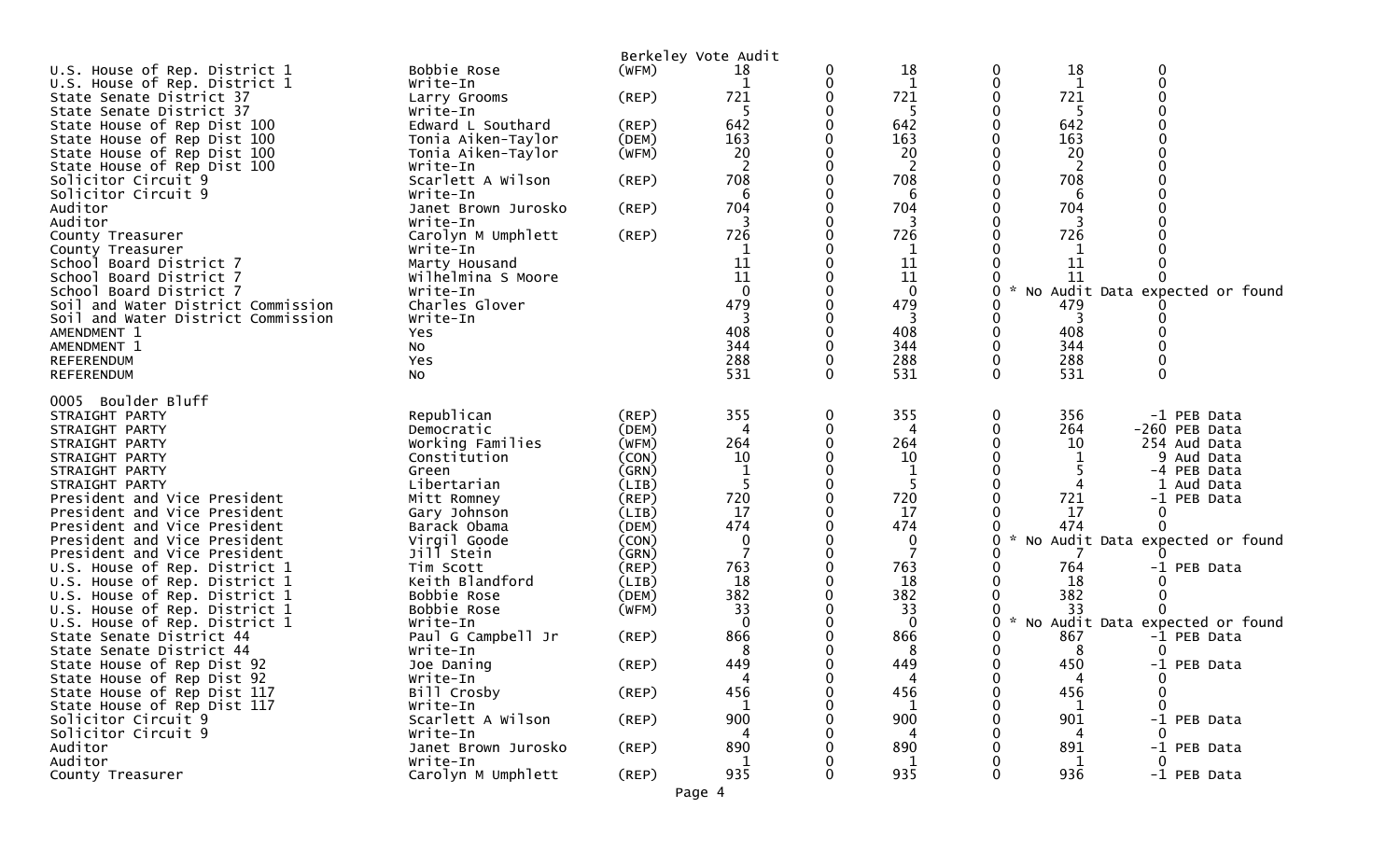|                                                               |                                |                      | Berkeley Vote Audit |   |                     |          |              |                                 |
|---------------------------------------------------------------|--------------------------------|----------------------|---------------------|---|---------------------|----------|--------------|---------------------------------|
| U.S. House of Rep. District 1                                 | Bobbie Rose                    | (WFM)                | 18                  |   | 18                  | 0        | 18           | 0                               |
| U.S. House of Rep. District 1                                 | Write-In                       |                      | 1                   |   | 1                   | 0        | $\mathbf{1}$ | $\mathbf 0$                     |
| State Senate District 37                                      | Larry Grooms                   | (REP)                | 721                 |   | 721                 |          | 721          |                                 |
| State Senate District 37                                      | Write-In                       |                      | .5                  |   | 5                   |          | -5           |                                 |
| State House of Rep Dist 100                                   | Edward L Southard              | (REP)                | 642                 |   | 642                 |          | 642          |                                 |
| State House of Rep Dist 100                                   | Tonia Aiken-Taylor             | (DEM)                | 163                 |   | 163                 |          | 163          |                                 |
| State House of Rep Dist 100                                   | Tonia Aiken-Taylor             | (WFM)                | 20                  |   | 20                  |          | 20           |                                 |
| State House of Rep Dist 100                                   | Write-In                       |                      | 2                   |   | $\overline{2}$      |          | 2            |                                 |
| Solicitor Circuit 9                                           | Scarlett A Wilson              | (REP)                | 708                 |   | 708                 |          | 708          |                                 |
| Solicitor Circuit 9<br>Auditor                                | Write-In                       |                      | 6                   |   | 6                   |          | 6<br>704     |                                 |
| Auditor                                                       | Janet Brown Jurosko            | (REP)                | 704                 |   | 704                 |          |              |                                 |
|                                                               | Write-In<br>Carolyn M Umphlett | (REP)                | 3<br>726            |   | 3<br>726            |          | 3<br>726     |                                 |
| County Treasurer                                              | Write-In                       |                      | 1                   |   | 1                   |          |              |                                 |
| County Treasurer<br>School Board District 7                   | Marty Housand                  |                      | 11                  |   | 11                  |          | 11           |                                 |
| School Board District 7                                       | Wilhelmina S Moore             |                      | 11                  |   | 11                  |          | 11           |                                 |
| School Board District 7                                       | Write-In                       |                      | $\Omega$            |   | $\mathbf 0$         | 0        |              | No Audit Data expected or found |
| Soil and Water District Commission                            | Charles Glover                 |                      | 479                 |   | 479                 |          | 479          |                                 |
| Soil and Water District Commission                            | Write-In                       |                      | 3                   |   | 3                   | 0        | 3            |                                 |
| AMENDMENT 1                                                   | <b>Yes</b>                     |                      | 408                 |   | 408                 |          | 408          |                                 |
| AMENDMENT 1                                                   | NO.                            |                      | 344                 |   | 344                 |          | 344          |                                 |
| REFERENDUM                                                    | Yes                            |                      | 288                 |   | 288                 | 0        | 288          |                                 |
| <b>REFERENDUM</b>                                             | <b>NO</b>                      |                      | 531                 |   | 531                 | $\Omega$ | 531          |                                 |
|                                                               |                                |                      |                     |   |                     |          |              |                                 |
| Boulder Bluff<br>0005                                         |                                |                      |                     |   |                     |          |              |                                 |
| STRAIGHT PARTY                                                | Republican                     | $($ REP $)$          | 355                 | 0 | 355                 | 0        | 356          | -1 PEB Data                     |
| STRAIGHT PARTY                                                | Democratic                     | (DEM)                |                     |   |                     | 0        | 264          | -260 PEB Data                   |
| STRAIGHT PARTY                                                | Working Families               | (WFM)                | 264                 |   | 264                 |          | 10           | 254 Aud Data                    |
| STRAIGHT PARTY                                                | Constitution                   | (CON)                | 10                  |   | 10                  |          |              | 9 Aud Data                      |
| STRAIGHT PARTY                                                | Green                          | (GRN)                |                     |   |                     |          |              | -4 PEB Data                     |
| STRAIGHT PARTY                                                | Libertarian                    | (LIB)                | 5                   |   | 5                   |          |              | Aud Data                        |
| President and Vice President                                  | Mitt Romney                    | $($ REP $)$          | 720                 |   | 720                 |          | 721          | -1 PEB Data                     |
| President and Vice President                                  | Gary Johnson                   | (LIB)                | 17                  |   | 17                  |          | 17           | 0                               |
| President and Vice President                                  | Barack Obama                   | (DEM)                | 474                 |   | 474                 | 0        | 474          |                                 |
| President and Vice President                                  | Virgil Goode<br>Jill Stein     | (CON)                | 0                   |   | 0<br>$\overline{7}$ |          |              | No Audit Data expected or found |
| President and Vice President<br>U.S. House of Rep. District 1 | Tim Scott                      | (GRN)<br>$($ REP $)$ | 763                 |   | 763                 |          | 764          | -1 PEB Data                     |
| U.S. House of Rep. District 1                                 | Keith Blandford                | (LIB)                | 18                  |   | 18                  |          | 18           |                                 |
| U.S. House of Rep. District 1                                 | Bobbie Rose                    | (DEM)                | 382                 |   | 382                 |          | 382          |                                 |
| U.S. House of Rep. District 1                                 | Bobbie Rose                    | (WFM)                | 33                  |   | 33                  |          | 33           |                                 |
| U.S. House of Rep. District 1                                 | Write-In                       |                      | $\Omega$            |   | $\mathbf{0}$        | 0        |              | No Audit Data expected or found |
| State Senate District 44                                      | Paul G Campbell Jr             | (REP)                | 866                 |   | 866                 |          | 867          | -1 PEB Data                     |
| State Senate District 44                                      | Write-In                       |                      | 8                   |   | 8                   |          | 8            |                                 |
| State House of Rep Dist 92                                    | Joe Daning                     | (REP)                | 449                 |   | 449                 | 0        | 450          | -1 PEB Data                     |
| State House of Rep Dist 92                                    | Write-In                       |                      | 4                   |   | 4                   | 0        |              |                                 |
| State House of Rep Dist 117                                   | Bill Crosby                    | (REP)                | 456                 |   | 456                 |          | 456          |                                 |
| State House of Rep Dist 117                                   | Write-In                       |                      |                     |   |                     |          |              |                                 |
| Solicitor Circuit 9                                           | Scarlett A Wilson              | (REP)                | 900                 |   | 900                 |          | 901          | -1 PEB Data                     |
| Solicitor Circuit 9                                           | Write-In                       |                      |                     |   | 4                   |          | 4            |                                 |
| Auditor                                                       | Janet Brown Jurosko            | (REP)                | 890                 |   | 890                 |          | 891          | -1 PEB Data                     |
| Auditor                                                       | Write-In                       |                      | 1                   |   | 1                   |          | 1            | $\Omega$                        |
| County Treasurer                                              | Carolyn M Umphlett             | $($ REP $)$          | 935                 |   | 935                 | 0        | 936          | -1 PEB Data                     |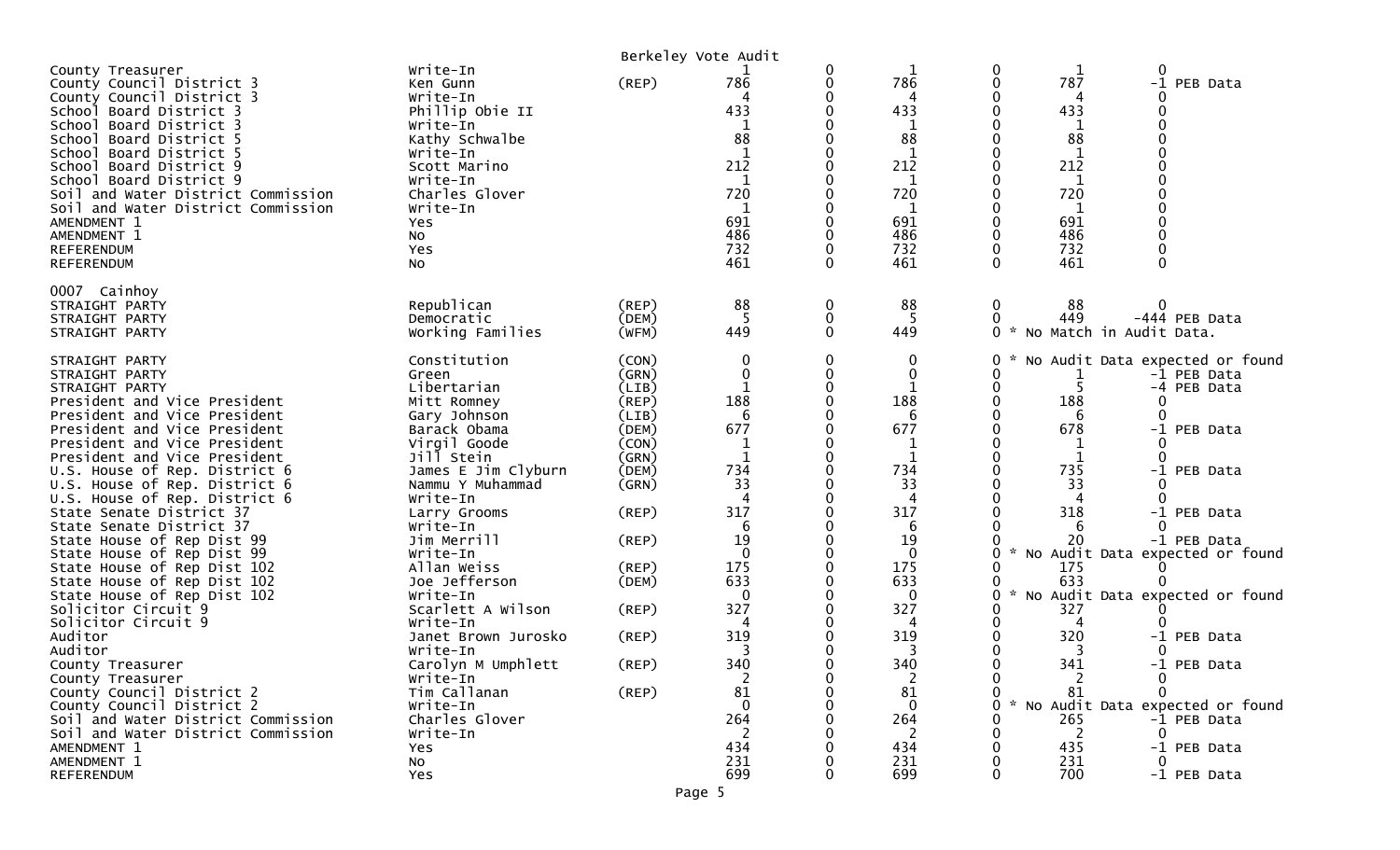|                                                                                                                                                                                                                                                                                                                                                                                           |                                                                                                                                                                                   |                                                             | Berkeley Vote Audit                                                                  |                  |                                                                                                           |                                                                                                                                           |                                                                                                         |
|-------------------------------------------------------------------------------------------------------------------------------------------------------------------------------------------------------------------------------------------------------------------------------------------------------------------------------------------------------------------------------------------|-----------------------------------------------------------------------------------------------------------------------------------------------------------------------------------|-------------------------------------------------------------|--------------------------------------------------------------------------------------|------------------|-----------------------------------------------------------------------------------------------------------|-------------------------------------------------------------------------------------------------------------------------------------------|---------------------------------------------------------------------------------------------------------|
| County Treasurer<br>County Council District 3<br>County Council District 3<br>School Board District 3<br>School Board District 3<br>School Board District 5<br>School Board District 5<br>School Board District 9<br>School Board District 9<br>Soil and Water District Commission<br>Soil and Water District Commission<br>AMENDMENT 1<br>AMENDMENT 1<br>REFERENDUM<br><b>REFERENDUM</b> | Write-In<br>Ken Gunn<br>Write-In<br>Phillip Obie II<br>Write-In<br>Kathy Schwalbe<br>Write-In<br>Scott Marino<br>Write-In<br>Charles Glover<br>Write-In<br>Yes<br>No<br>Yes<br>No | (REP)                                                       | 786<br>433<br>88<br>$\mathbf{1}$<br>212<br>1<br>720<br>1<br>691<br>486<br>732<br>461 | 0<br>0<br>0<br>0 | 786<br>4<br>433<br>$\mathbf{1}$<br>88<br>$\mathbf{1}$<br>212<br>1<br>720<br>1<br>691<br>486<br>732<br>461 | 0<br>0<br>787<br>0<br>4<br>433<br>1<br>88<br>$\mathbf{1}$<br>212<br>0<br>1<br>720<br>-1<br>691<br>486<br>0<br>0<br>732<br>$\Omega$<br>461 | $-1$<br>PEB Data<br>$\Omega$                                                                            |
| 0007 Cainhoy<br>STRAIGHT PARTY<br>STRAIGHT PARTY<br>STRAIGHT PARTY                                                                                                                                                                                                                                                                                                                        | Republican<br>Democratic<br>Working Families                                                                                                                                      | (REP)<br>(DEM)<br>(WFM)                                     | 88<br>5<br>449                                                                       | 0<br>0<br>0      | 88<br>5<br>449                                                                                            | 88<br>0<br>449<br>0<br>0<br>$\mathcal{H}$                                                                                                 | -444 PEB Data<br>No Match in Audit Data.                                                                |
| STRAIGHT PARTY<br>STRAIGHT PARTY<br>STRAIGHT PARTY<br>President and Vice President<br>President and Vice President<br>President and Vice President<br>President and Vice President                                                                                                                                                                                                        | Constitution<br>Green<br>Libertarian<br>Mitt Romney<br>Gary Johnson<br>Barack Obama<br>Virgil Goode                                                                               | (CON)<br>(GRN)<br>(LIB)<br>(REP)<br>(LIB)<br>(DEM)<br>(CON) | 0<br>0<br>188<br>6<br>677<br>$\mathbf 1$                                             | 0                | 0<br>0<br>1<br>188<br>6<br>677<br>1                                                                       | 0<br>0<br>$\mathbf 0$<br>0<br>188<br>6<br>678<br>0<br>1                                                                                   | No Audit Data expected or found<br>-1 PEB Data<br>-4 PEB Data<br>0<br>∩<br>PEB Data<br>$-1$<br>$\Omega$ |
| President and Vice President<br>U.S. House of Rep. District 6<br>U.S. House of Rep. District 6<br>U.S. House of Rep. District 6<br>State Senate District 37                                                                                                                                                                                                                               | Jill Stein<br>James E Jim Clyburn<br>Nammu Y Muhammad<br>Write-In<br>Larry Grooms                                                                                                 | (GRN)<br>(DEM)<br>(GRN)<br>(REP)                            | $\mathbf 1$<br>734<br>33<br>317                                                      |                  | 1<br>734<br>33<br>4<br>317                                                                                | 1<br>735<br>0<br>33<br>0<br>4<br>318                                                                                                      | -1 PEB Data<br>∩<br>-1 PEB Data                                                                         |
| State Senate District 37<br>State House of Rep Dist 99<br>State House of Rep Dist 99<br>State House of Rep Dist 102<br>State House of Rep Dist 102                                                                                                                                                                                                                                        | Write-In<br>Jim Merrill<br>Write-In<br>Allan Weiss<br>Joe Jefferson                                                                                                               | (REP)<br>(REP)<br>(DEM)                                     | 6<br>19<br>$\Omega$<br>175<br>633                                                    |                  | 6<br>19<br>0<br>175<br>633                                                                                | 6<br>20<br>0<br>175<br>633<br>0                                                                                                           | $\Omega$<br>-1 PEB Data<br>No Audit Data expected or found                                              |
| State House of Rep Dist 102<br>Solicitor Circuit 9<br>Solicitor Circuit 9<br>Auditor<br>Auditor                                                                                                                                                                                                                                                                                           | Write-In<br>Scarlett A Wilson<br>Write-In<br>Janet Brown Jurosko<br>Write-In                                                                                                      | (REP)<br>(REP)                                              | $\mathbf 0$<br>327<br>319<br>3                                                       |                  | 0<br>327<br>4<br>319<br>3                                                                                 | 0<br>327<br>4<br>320<br>3                                                                                                                 | No Audit Data expected or found<br>-1 PEB Data                                                          |
| County Treasurer<br>County Treasurer<br>County Council District 2<br>County Council District 2<br>Soil and Water District Commission                                                                                                                                                                                                                                                      | Carolyn M Umphlett<br>Write-In<br>Tim Callanan<br>Write-In<br>Charles Glover                                                                                                      | (REP)<br>(REP)                                              | 340<br>2<br>81<br>0<br>264                                                           |                  | 340<br>$\overline{2}$<br>81<br>$\mathbf 0$<br>264                                                         | 341<br>0<br>$\Omega$<br>81<br>265                                                                                                         | -1 PEB Data<br>No Audit Data expected or found<br>-1 PEB Data                                           |
| Soil and Water District Commission<br>AMENDMENT 1<br>AMENDMENT 1<br>REFERENDUM                                                                                                                                                                                                                                                                                                            | Write-In<br>Yes<br>No<br>Yes                                                                                                                                                      |                                                             | 2<br>434<br>231<br>699                                                               |                  | 2<br>434<br>231<br>699                                                                                    | -2<br>435<br>231<br>700<br>0                                                                                                              | -1 PEB Data<br>-1 PEB Data                                                                              |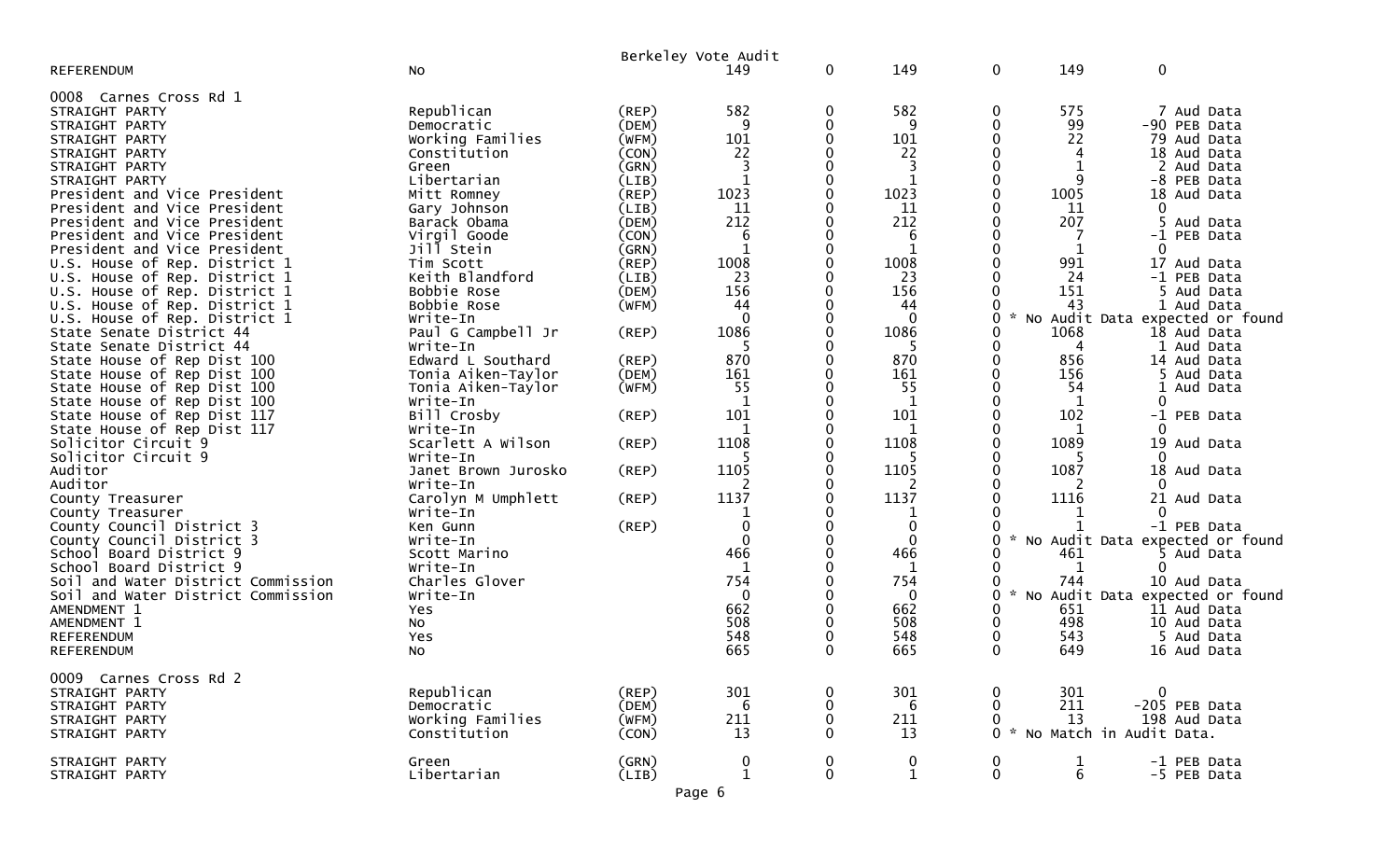|                                    |                       |                | Berkeley Vote Audit |   |              |                  |                                         |                                 |  |
|------------------------------------|-----------------------|----------------|---------------------|---|--------------|------------------|-----------------------------------------|---------------------------------|--|
| <b>REFERENDUM</b>                  | No                    |                | 149                 | 0 | 149          | $\mathbf 0$      | 149                                     | 0                               |  |
| 0008 Carnes Cross Rd 1             |                       |                |                     |   |              |                  |                                         |                                 |  |
| STRAIGHT PARTY                     | Republican            | $($ REP $)$    | 582                 | 0 | 582          | $\mathbf 0$      | 575                                     | 7 Aud Data                      |  |
| STRAIGHT PARTY                     | Democratic            | (DEM)          | 9                   |   | 9            | 0                | 99                                      | -90 PEB Data                    |  |
| STRAIGHT PARTY                     | Working Families      | (WFM)          | 101                 |   | 101          |                  | 22                                      | 79 Aud Data                     |  |
|                                    |                       |                | 22                  |   | 22           |                  | 4                                       | 18 Aud Data                     |  |
| STRAIGHT PARTY<br>STRAIGHT PARTY   | Constitution<br>Green | (CON)<br>(GRN) | 3                   |   | 3            |                  |                                         | Aud Data                        |  |
|                                    | Libertarian           |                |                     |   |              |                  | 9                                       | -8 PEB Data                     |  |
| STRAIGHT PARTY                     |                       | (LIB)          |                     |   |              |                  |                                         |                                 |  |
| President and Vice President       | Mitt Romney           | (REP)          | 1023                |   | 1023         |                  | 1005                                    | 18 Aud Data<br>$\Omega$         |  |
| President and Vice President       | Gary Johnson          | (LIB)          | 11                  |   | 11           |                  | 11                                      |                                 |  |
| President and Vice President       | Barack Obama          | (DEM)          | 212                 |   | 212          |                  | 207                                     | 5 Aud Data                      |  |
| President and Vice President       | Virgil Goode          | (CON)          | 6                   |   | 6            |                  |                                         | -1 PEB Data                     |  |
| President and Vice President       | Jill Stein            | (GRN)          |                     |   | 1            |                  |                                         | 0                               |  |
| U.S. House of Rep. District 1      | Tim Scott             | (REP)          | 1008                |   | 1008         |                  | 991                                     | 17 Aud Data                     |  |
| U.S. House of Rep. District 1      | Keith Blandford       | (LIB)          | 23                  |   | 23           |                  | 24                                      | -1 PEB Data                     |  |
| U.S. House of Rep. District 1      | Bobbie Rose           | (DEM)          | 156                 |   | 156          |                  | 151                                     | 5 Aud Data                      |  |
| U.S. House of Rep. District 1      | Bobbie Rose           | (WFM)          | 44                  |   | 44           |                  | 43                                      | 1 Aud Data                      |  |
| U.S. House of Rep. District 1      | Write-In              |                | $\Omega$            |   | $\mathbf{0}$ | 0                | $\boldsymbol{\mathcal{L}}$<br><b>NO</b> | Audit Data expected or found    |  |
| State Senate District 44           | Paul G Campbell Jr    | (REP)          | 1086                |   | 1086         |                  | 1068                                    | 18 Aud Data                     |  |
| State Senate District 44           | Write-In              |                |                     |   |              |                  | 4                                       | 1 Aud Data                      |  |
| State House of Rep Dist 100        | Edward L Southard     | (REP)          | 870                 |   | 870          |                  | 856                                     | 14 Aud Data                     |  |
| State House of Rep Dist 100        | Tonia Aiken-Taylor    | (DEM)          | 161                 |   | 161          |                  | 156                                     | 5 Aud Data                      |  |
| State House of Rep Dist 100        | Tonia Aiken-Taylor    | (WFM)          | 55                  |   | 55           |                  | 54                                      | 1 Aud Data                      |  |
| State House of Rep Dist 100        | Write-In              |                | 1                   |   | 1            |                  | 1                                       | 0                               |  |
| State House of Rep Dist 117        | Bill Crosby           | (REP)          | 101                 |   | 101          |                  | 102                                     | -1 PEB Data                     |  |
| State House of Rep Dist 117        | Write-In              |                |                     |   |              |                  |                                         |                                 |  |
| Solicitor Circuit 9                | Scarlett A Wilson     | (REP)          | 1108                |   | 1108         | 0                | 1089                                    | 19 Aud Data                     |  |
| Solicitor Circuit 9                | Write-In              |                |                     |   |              |                  |                                         |                                 |  |
| Auditor                            | Janet Brown Jurosko   | (REP)          | 1105                |   | 1105         |                  | 1087                                    | 18 Aud Data                     |  |
| Auditor                            | Write-In              |                | 2                   |   | 2            |                  | 2                                       |                                 |  |
| County Treasurer                   | Carolyn M Umphlett    | (REP)          | 1137                |   | 1137         |                  | 1116                                    | 21 Aud Data                     |  |
| County Treasurer                   | Write-In              |                |                     |   |              |                  |                                         |                                 |  |
| County Council District 3          | Ken Gunn              | (REP)          | $\mathbf 0$         |   | $\mathbf 0$  |                  |                                         | -1 PEB Data                     |  |
| County Council District 3          | Write-In              |                | $\Omega$            |   | $\Omega$     |                  |                                         | No Audit Data expected or found |  |
| School Board District 9            | Scott Marino          |                | 466                 |   | 466          |                  | 461                                     | 5 Aud Data                      |  |
| School Board District 9            | Write-In              |                | 1                   |   | 1            |                  | 1                                       |                                 |  |
| Soil and Water District Commission | Charles Glover        |                | 754                 |   | 754          |                  | 744                                     | 10 Aud Data                     |  |
| Soil and Water District Commission | Write-In              |                | $\Omega$            |   | $\Omega$     | U                | $\sim$<br><b>NO</b><br>Audit Data       | expected or found               |  |
| AMENDMENT 1                        | Yes                   |                | 662                 |   | 662          |                  | 651                                     | 11 Aud Data                     |  |
| AMENDMENT 1                        | No                    |                | 508                 |   | 508          | 0                | 498                                     | 10 Aud Data                     |  |
| <b>REFERENDUM</b>                  | Yes                   |                | 548                 |   | 548          |                  | 543                                     | 5 Aud Data                      |  |
| REFERENDUM                         | NO.                   |                | 665                 |   | 665          | 0                | 649                                     | 16 Aud Data                     |  |
|                                    |                       |                |                     |   |              |                  |                                         |                                 |  |
| 0009 Carnes Cross Rd 2             |                       |                |                     |   |              |                  |                                         |                                 |  |
| STRAIGHT PARTY                     | Republican            | (REP)          | 301                 |   | 301          |                  | 301                                     | $\mathbf{0}$                    |  |
| STRAIGHT PARTY                     | Democratic            | (DEM)          | 6                   |   | 6            |                  | 211                                     | -205 PEB Data                   |  |
| STRAIGHT PARTY                     | Working Families      | (WFM)          | 211                 |   | 211          |                  | 13                                      | 198 Aud Data                    |  |
| STRAIGHT PARTY                     | Constitution          | (CON)          | $\overline{13}$     |   | 13           | 0                | $\sim$                                  | No Match in Audit Data.         |  |
|                                    |                       |                |                     |   |              |                  |                                         |                                 |  |
| STRAIGHT PARTY                     | Green                 | (GRN)          | $\boldsymbol{0}$    | 0 | 0            | $\boldsymbol{0}$ | $\frac{1}{6}$                           | -1 PEB Data                     |  |
| STRAIGHT PARTY                     | Libertarian           | (LIB)          | $\mathbf{1}$        | 0 | $\mathbf{1}$ | $\pmb{0}$        |                                         | -5 PEB Data                     |  |
|                                    |                       |                | Page 6              |   |              |                  |                                         |                                 |  |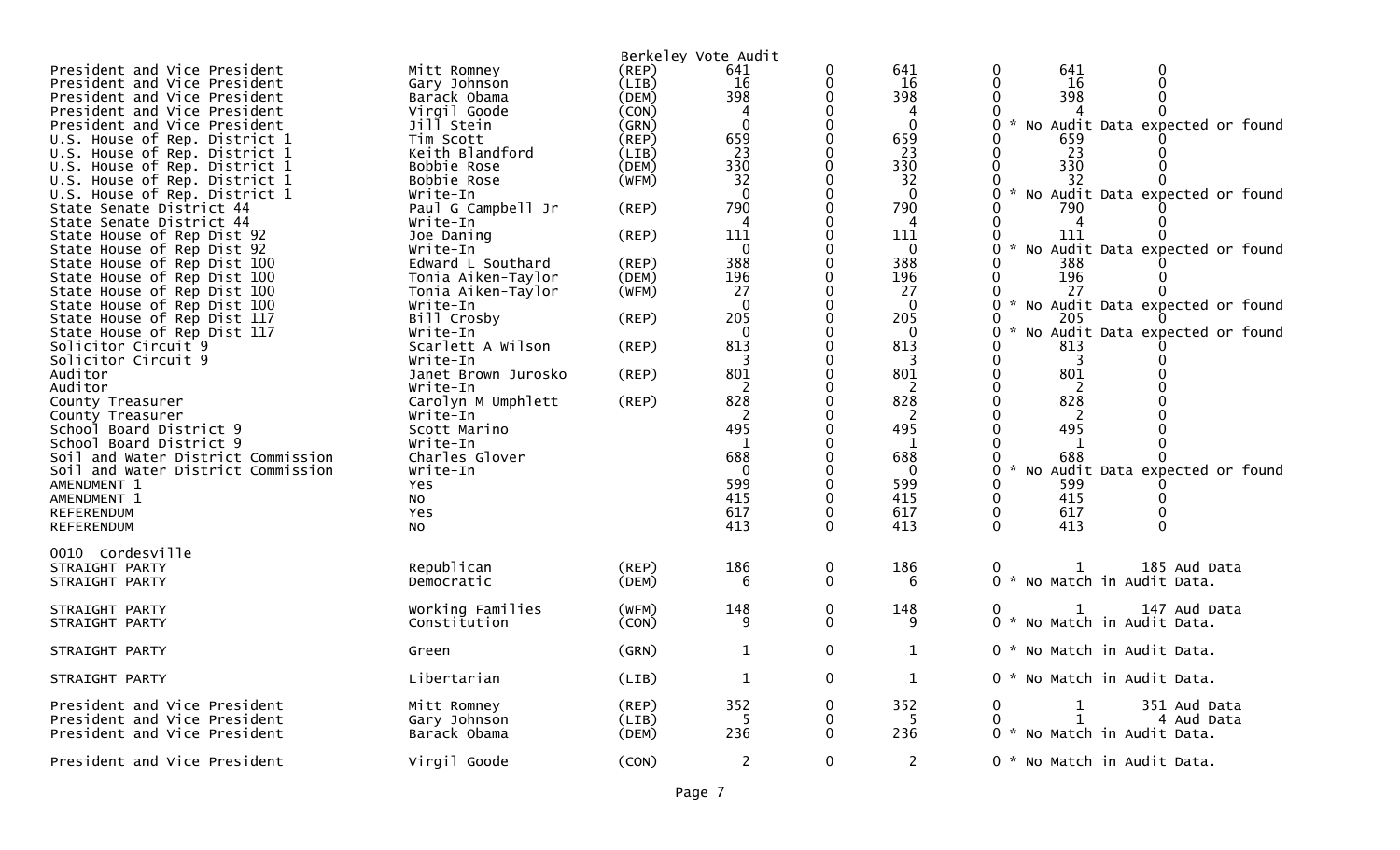| President and Vice President<br>President and Vice President<br>President and Vice President<br>President and Vice President<br>President and Vice President<br>U.S. House of Rep. District 1<br>U.S. House of Rep. District 1<br>U.S. House of Rep. District 1<br>U.S. House of Rep. District 1 | Mitt Romney<br>Gary Johnson<br>Barack Obama<br>Virgil Goode<br>Jill Stein<br>Tim Scott<br>Keith Blandford<br>Bobbie Rose<br>Bobbie Rose               | (REP)<br>(LIB)<br>(DEM)<br>(CON)<br>(GRN)<br>(REP)<br>(LIB)<br>(DEM)<br>(WFM) | Berkeley Vote Audit<br>641<br>16<br>398<br>$\mathbf{0}$<br>659<br>23<br>330<br>32 | 0<br>0                      | 641<br>16<br>398<br>4<br>$\mathbf{0}$<br>659<br>23<br>330<br>32          | 641<br>0<br>0<br>0<br>0<br>16<br>398<br>0<br>* No Audit Data expected or found<br>659<br>23<br>330<br>32                                       |
|--------------------------------------------------------------------------------------------------------------------------------------------------------------------------------------------------------------------------------------------------------------------------------------------------|-------------------------------------------------------------------------------------------------------------------------------------------------------|-------------------------------------------------------------------------------|-----------------------------------------------------------------------------------|-----------------------------|--------------------------------------------------------------------------|------------------------------------------------------------------------------------------------------------------------------------------------|
| U.S. House of Rep. District 1<br>State Senate District 44<br>State Senate District 44<br>State House of Rep Dist 92                                                                                                                                                                              | Write-In<br>Paul G Campbell Jr<br>Write-In<br>Joe Daning                                                                                              | (REP)<br>(REP)                                                                | $\Omega$<br>790<br>111                                                            | 0                           | $\Omega$<br>790<br>111                                                   | * No Audit Data expected or found<br>0<br>790<br>0<br>111                                                                                      |
| State House of Rep Dist 92<br>State House of Rep Dist 100<br>State House of Rep Dist 100<br>State House of Rep Dist 100<br>State House of Rep Dist 100                                                                                                                                           | Write-In<br>Edward L Southard<br>Tonia Aiken-Taylor<br>Tonia Aiken-Taylor<br>Write-In                                                                 | (REP)<br>(DEM)<br>(WFM)                                                       | $\mathbf{0}$<br>388<br>196<br>27<br>0                                             |                             | $\mathbf 0$<br>388<br>196<br>27<br>$\Omega$                              | 0<br>No Audit Data expected or found<br>388<br>196<br>27<br>0<br>* No Audit Data expected or found                                             |
| State House of Rep Dist 117<br>State House of Rep Dist 117<br>Solicitor Circuit 9<br>Solicitor Circuit 9                                                                                                                                                                                         | Bill Crosby<br>Write-In<br>Scarlett A Wilson<br>Write-In                                                                                              | (REP)<br>(REP)                                                                | 205<br>0<br>813<br>3                                                              | 0                           | 205<br>$\Omega$<br>813<br>3                                              | 205<br>0<br>No Audit Data expected or found<br>813<br>0<br>3                                                                                   |
| Auditor<br>Auditor<br>County Treasurer<br>County Treasurer<br>School Board District 9<br>School Board District 9<br>Soil and Water District Commission<br>Soil and Water District Commission<br>AMENDMENT 1<br>AMENDMENT 1<br>REFERENDUM<br>REFERENDUM                                           | Janet Brown Jurosko<br>Write-In<br>Carolyn M Umphlett<br>Write-In<br>Scott Marino<br>Write-In<br>Charles Glover<br>Write-In<br>Yes<br>No<br>Yes<br>No | (REP)<br>(REP)                                                                | 801<br>828<br>-2<br>495<br>1<br>688<br>$\Omega$<br>599<br>415<br>617<br>413       | 0<br>0<br>0<br>$\mathbf{0}$ | 801<br>2<br>828<br>2<br>495<br>1<br>688<br>0<br>599<br>415<br>617<br>413 | 801<br>0<br>828<br>2<br>495<br>1<br>688<br>0<br>No Audit Data expected or found<br>599<br>0<br>415<br>0<br>617<br>0<br>$\mathbf 0$<br>0<br>413 |
| 0010 Cordesville<br>STRAIGHT PARTY<br>STRAIGHT PARTY                                                                                                                                                                                                                                             | Republican<br>Democratic                                                                                                                              | (REP)<br>(DEM)                                                                | 186<br>6                                                                          | 0<br>0                      | 186<br>6                                                                 | 185 Aud Data<br>1<br>0 * No Match in Audit Data.                                                                                               |
| STRAIGHT PARTY<br>STRAIGHT PARTY                                                                                                                                                                                                                                                                 | Working Families<br>Constitution                                                                                                                      | (WFM)<br>(CON)                                                                | 148<br>9                                                                          | 0<br>0                      | 148<br>9                                                                 | 147 Aud Data<br>0 * No Match in Audit Data.                                                                                                    |
| STRAIGHT PARTY                                                                                                                                                                                                                                                                                   | Green                                                                                                                                                 | (GRN)                                                                         | $\mathbf{1}$                                                                      | 0                           | 1                                                                        | 0 * No Match in Audit Data.                                                                                                                    |
| STRAIGHT PARTY                                                                                                                                                                                                                                                                                   | Libertarian                                                                                                                                           | (LIB)                                                                         | $\mathbf{1}$                                                                      | 0                           | $\mathbf{1}$                                                             | 0 * No Match in Audit Data.                                                                                                                    |
| President and Vice President<br>President and Vice President<br>President and Vice President                                                                                                                                                                                                     | Mitt Romney<br>Gary Johnson<br>Barack Obama                                                                                                           | (REP)<br>(LIB)<br>(DEM)                                                       | 352<br>5<br>236                                                                   | 0<br>0<br>0                 | 352<br>5<br>236                                                          | 351 Aud Data<br>0<br>1<br>1<br>4 Aud Data<br>0<br>0 * No Match in Audit Data.                                                                  |
| President and Vice President                                                                                                                                                                                                                                                                     | Virgil Goode                                                                                                                                          | (CON)                                                                         | $\overline{2}$                                                                    | 0                           | 2                                                                        | 0 * No Match in Audit Data.                                                                                                                    |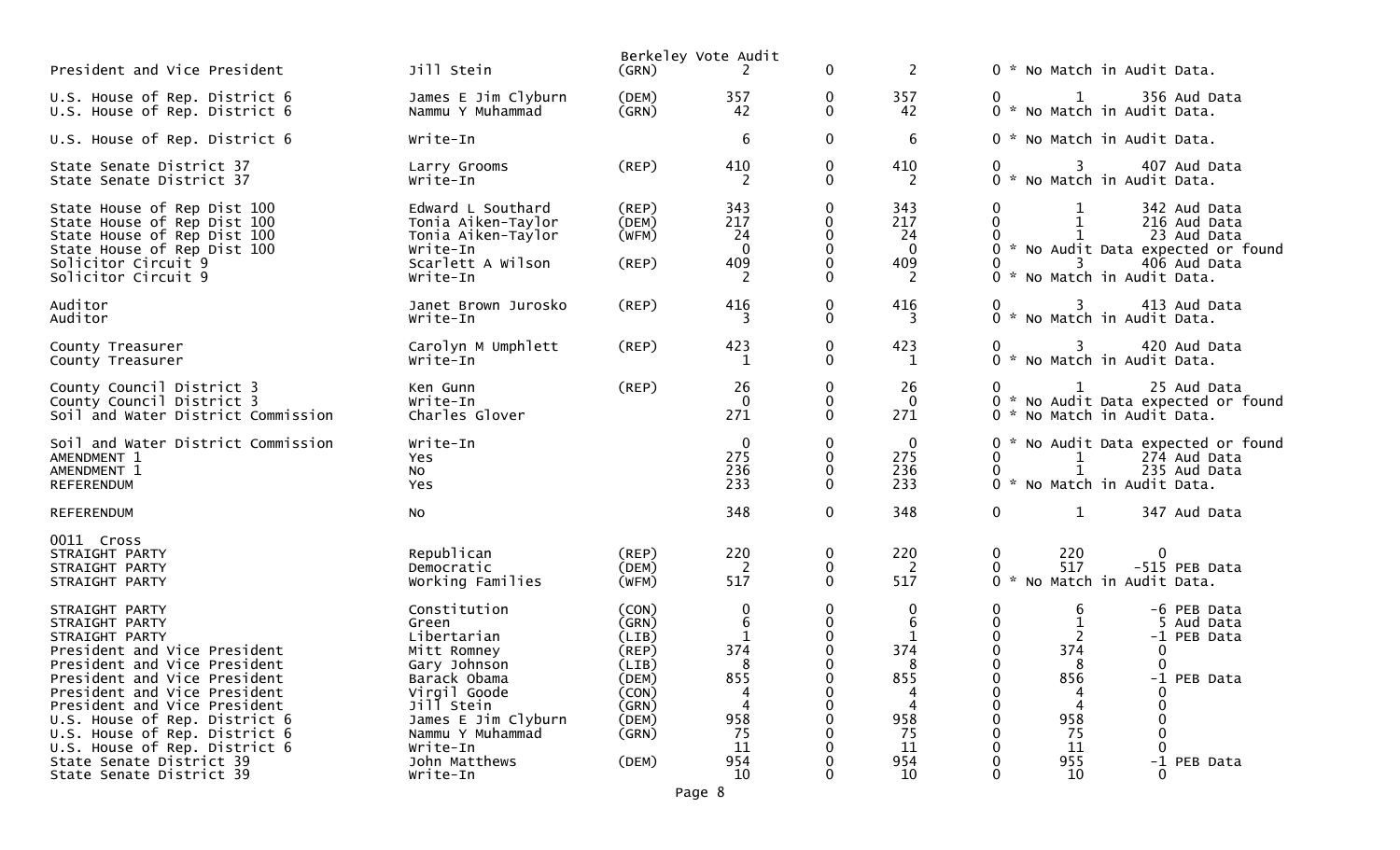| President and Vice President                                                                                                                                                                                                                                                                                          | Jill Stein                                                                                                                                                               | (GRN)                                                                                  | Berkeley Vote Audit<br>2                                              | $\mathbf{0}$                         | 2                                                           | 0 * No Match in Audit Data.                                                                                                                                                   |  |
|-----------------------------------------------------------------------------------------------------------------------------------------------------------------------------------------------------------------------------------------------------------------------------------------------------------------------|--------------------------------------------------------------------------------------------------------------------------------------------------------------------------|----------------------------------------------------------------------------------------|-----------------------------------------------------------------------|--------------------------------------|-------------------------------------------------------------|-------------------------------------------------------------------------------------------------------------------------------------------------------------------------------|--|
| U.S. House of Rep. District 6<br>U.S. House of Rep. District 6                                                                                                                                                                                                                                                        | James E Jim Clyburn<br>Nammu Y Muhammad                                                                                                                                  | (DEM)<br>(GRN)                                                                         | 357<br>42                                                             | 0<br>$\mathbf{0}$                    | 357<br>42                                                   | 356 Aud Data<br>$\mathbf{1}$<br>0 * No Match in Audit Data.                                                                                                                   |  |
| U.S. House of Rep. District 6                                                                                                                                                                                                                                                                                         | Write-In                                                                                                                                                                 |                                                                                        | 6                                                                     | $\mathbf 0$                          | 6                                                           | 0 * No Match in Audit Data.                                                                                                                                                   |  |
| State Senate District 37<br>State Senate District 37                                                                                                                                                                                                                                                                  | Larry Grooms<br>Write-In                                                                                                                                                 | (REP)                                                                                  | 410<br>2                                                              | $\mathbf 0$<br>0                     | 410                                                         | 3<br>407 Aud Data<br>0 * No Match in Audit Data.                                                                                                                              |  |
| State House of Rep Dist 100<br>State House of Rep Dist 100<br>State House of Rep Dist 100<br>State House of Rep Dist 100<br>Solicitor Circuit 9<br>Solicitor Circuit 9                                                                                                                                                | Edward L Southard<br>Tonia Aiken-Taylor<br>Tonia Aiken-Taylor<br>Write-In<br>Scarlett A Wilson<br>Write-In                                                               | (REP)<br>(DEM)<br>(WFM)<br>$($ REP $)$                                                 | 343<br>217<br>24<br>$\mathbf 0$<br>409<br>2                           | 0<br>0<br>0<br>$\Omega$<br>0         | 343<br>217<br>24<br>$\mathbf 0$<br>409<br>2                 | 0<br>342 Aud Data<br>216 Aud Data<br>0<br>23 Aud Data<br>0 * No Audit Data expected or found<br>$\overline{\mathbf{3}}$<br>406 Aud Data<br>0 * No Match in Audit Data.        |  |
| Auditor<br>Auditor                                                                                                                                                                                                                                                                                                    | Janet Brown Jurosko<br>Write-In                                                                                                                                          | $($ REP $)$                                                                            | 416<br>3                                                              | 0<br>$\mathbf{0}$                    | 416<br>3                                                    | 413 Aud Data<br>0<br>3<br>0 * No Match in Audit Data.                                                                                                                         |  |
| County Treasurer<br>County Treasurer                                                                                                                                                                                                                                                                                  | Carolyn M Umphlett<br>Write-In                                                                                                                                           | (REP)                                                                                  | 423                                                                   | 0<br>$\mathbf{0}$                    | 423<br>-1                                                   | 420 Aud Data<br>$3^{\circ}$<br>0 * No Match in Audit Data.                                                                                                                    |  |
| County Council District 3<br>County Council District 3<br>Soil and Water District Commission                                                                                                                                                                                                                          | Ken Gunn<br>Write-In<br>Charles Glover                                                                                                                                   | $($ REP $)$                                                                            | 26<br>$\mathbf 0$<br>271                                              | 0<br>0<br>$\mathbf{0}$               | 26<br>$\mathbf 0$<br>271                                    | 25 Aud Data<br>0<br>0 * No Audit Data expected or found<br>0 * No Match in Audit Data.                                                                                        |  |
| Soil and Water District Commission<br>AMENDMENT 1<br>AMENDMENT 1<br>REFERENDUM                                                                                                                                                                                                                                        | Write-In<br><b>Yes</b><br>NO.<br>Yes                                                                                                                                     |                                                                                        | $\mathbf 0$<br>275<br>236<br>233                                      | $\mathbf 0$<br>0<br>0<br>0           | $\bf{0}$<br>275<br>236<br>233                               | 0 * No Audit Data expected or found<br>0<br>274 Aud Data<br>1<br>235 Aud Data<br>0<br>0 * No Match in Audit Data.                                                             |  |
| <b>REFERENDUM</b>                                                                                                                                                                                                                                                                                                     | No                                                                                                                                                                       |                                                                                        | 348                                                                   | $\mathbf 0$                          | 348                                                         | 0<br>$\mathbf{1}$<br>347 Aud Data                                                                                                                                             |  |
| 0011 Cross<br>STRAIGHT PARTY<br>STRAIGHT PARTY<br>STRAIGHT PARTY                                                                                                                                                                                                                                                      | Republican<br>Democratic<br>Working Families                                                                                                                             | (REP)<br>(DEM)<br>(WFM)                                                                | 220<br><sup>2</sup><br>517                                            | 0<br>0<br>$\mathbf{0}$               | 220<br>2<br>517                                             | 220<br>0<br>0<br>517<br>-515 PEB Data<br>0<br>0 * No Match in Audit Data.                                                                                                     |  |
| STRAIGHT PARTY<br>STRAIGHT PARTY<br>STRAIGHT PARTY<br>President and Vice President<br>President and Vice President<br>President and Vice President<br>President and Vice President<br>President and Vice President<br>U.S. House of Rep. District 6<br>U.S. House of Rep. District 6<br>U.S. House of Rep. District 6 | Constitution<br>Green<br>Libertarian<br>Mitt Romney<br>Gary Johnson<br>Barack Obama<br>Virgil Goode<br>Jill Stein<br>James E Jim Clyburn<br>Nammu Y Muhammad<br>Write-In | (CON)<br>(GRN)<br>(LIB)<br>(REP)<br>(LIB)<br>(DEM)<br>(CON)<br>(GRN)<br>(DEM)<br>(GRN) | 0<br>6<br>$\mathbf 1$<br>374<br>8<br>855<br>4<br>4<br>958<br>75<br>11 | $\mathbf 0$<br>0<br>0<br>0<br>0<br>0 | 0<br>6<br>1<br>374<br>8<br>855<br>4<br>4<br>958<br>75<br>11 | 0<br>6<br>-6 PEB Data<br>0<br>5 Aud Data<br>0<br>2<br>-1 PEB Data<br>0<br>374<br>0<br>0<br>0<br>8<br>0<br>856<br>-1 PEB Data<br>0<br>4<br>0<br>0<br>4<br>958<br>75<br>11<br>0 |  |
| State Senate District 39<br>State Senate District 39                                                                                                                                                                                                                                                                  | John Matthews<br>Write-In                                                                                                                                                | (DEM)                                                                                  | 954<br>10                                                             | 0                                    | 954<br>10                                                   | 955<br>-1 PEB Data<br>10<br>0<br>0                                                                                                                                            |  |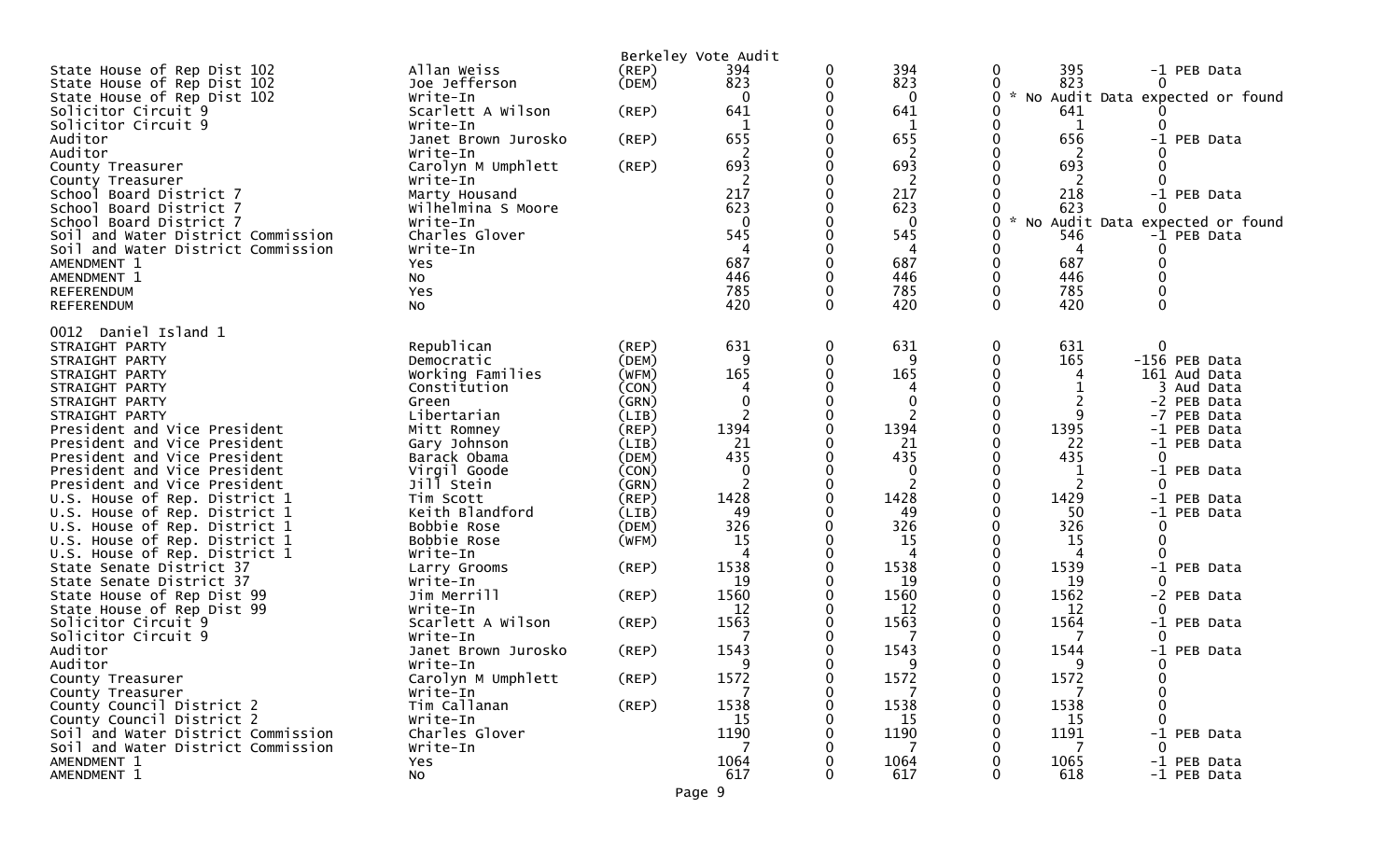|                                                              |                            |                | Berkeley Vote Audit |          |                  |              |                |          |                                 |
|--------------------------------------------------------------|----------------------------|----------------|---------------------|----------|------------------|--------------|----------------|----------|---------------------------------|
| State House of Rep Dist 102                                  | Allan Weiss                | (REP)          | 394                 | 0        | 394              | 0            | 395            |          | -1 PEB Data                     |
| State House of Rep Dist 102                                  | Joe Jefferson              | (DEM)          | 823                 | 0        | 823              | 0            | 823            |          |                                 |
| State House of Rep Dist 102                                  | Write-In                   |                | $\mathbf{0}$        | 0        | $\mathbf{0}$     | $\mathbf{0}$ | $\mathcal{H}$  |          | No Audit Data expected or found |
| Solicitor Circuit 9                                          | Scarlett A Wilson          | (REP)          | 641                 | 0        | 641              | 0            | 641            |          |                                 |
| Solicitor Circuit 9                                          | Write-In                   |                |                     |          |                  |              | 1              |          |                                 |
| Auditor                                                      | Janet Brown Jurosko        | (REP)          | 655                 | 0        | 655              | 0            | 656            |          | -1 PEB Data                     |
| Auditor                                                      | Write-In                   |                | 2                   |          | $\overline{2}$   |              | 2              |          |                                 |
| County Treasurer                                             | Carolyn M Umphlett         | (REP)          | 693                 | ∩        | 693              | 0            | 693            |          |                                 |
| County Treasurer                                             | Write-In                   |                | 2                   | 0        | 2                |              | -2             |          |                                 |
| School Board District 7                                      | Marty Housand              |                | 217                 |          | 217              |              | 218            |          | -1 PEB Data                     |
| School Board District 7                                      | Wilhelmina S Moore         |                | 623                 |          | 623              |              | 623            |          |                                 |
| School Board District 7                                      | Write-In                   |                | $\mathbf{0}$        |          | $\mathbf{0}$     | 0            | No Audit Data  |          | expected or found               |
| Soil and Water District Commission                           | Charles Glover             |                | 545                 | 0        | 545              | 0            | 546            |          | -1 PEB Data                     |
| Soil and Water District Commission                           | Write-In                   |                | 687                 | 0        | 4<br>687         | $\mathbf 0$  | 4<br>687       | $\Omega$ |                                 |
| AMENDMENT 1                                                  | Yes                        |                | 446                 |          | 446              | 0            | 446            |          |                                 |
| AMENDMENT 1<br>REFERENDUM                                    | No<br>Yes                  |                | 785                 | 0        | 785              | $\mathbf 0$  | 785            |          |                                 |
| REFERENDUM                                                   | <b>NO</b>                  |                | 420                 | $\Omega$ | 420              | $\Omega$     | 420            | $\Omega$ |                                 |
|                                                              |                            |                |                     |          |                  |              |                |          |                                 |
| 0012 Daniel Island 1                                         |                            |                |                     |          |                  |              |                |          |                                 |
| STRAIGHT PARTY                                               | Republican                 | (REP)          | 631                 | 0        | 631              | 0            | 631            | 0        |                                 |
| STRAIGHT PARTY                                               | Democratic                 | (DEM)          | 9                   | 0        | 9                | 0            | 165            |          | -156 PEB Data                   |
| STRAIGHT PARTY                                               | Working Families           | (WFM)          | 165                 | ∩        | 165              | 0            |                |          | 161 Aud Data                    |
| STRAIGHT PARTY                                               | Constitution               | (CON)          | 4                   |          | 4                |              |                |          | 3 Aud Data                      |
| STRAIGHT PARTY                                               | Green                      | (GRN)          | 0                   |          | 0                |              | $\overline{c}$ |          | -2 PEB Data                     |
| STRAIGHT PARTY                                               | Libertarian                | (LIB)          |                     | 0        | $\overline{2}$   | $\Omega$     | 9              |          | -7 PEB Data                     |
| President and Vice President                                 | Mitt Romney                | (REP)          | 1394                |          | 1394             | 0            | 1395           |          | -1 PEB Data                     |
| President and Vice President                                 | Gary Johnson               | (LIB)          | 21                  | ∩        | 21               | 0            | 22             |          | -1 PEB Data                     |
| President and Vice President                                 | Barack Obama               | (DEM)          | 435                 |          | 435              |              | 435            |          |                                 |
| President and Vice President<br>President and Vice President | Virgil Goode<br>Jill Stein | (CON)<br>(GRN) | $\mathbf 0$<br>2    | 0        | $\mathbf 0$<br>2 | 0            | 1<br>2         | ∩        | -1 PEB Data                     |
| U.S. House of Rep. District 1                                | Tim Scott                  | (REP)          | 1428                | ∩        | 1428             | $\Omega$     | 1429           |          | -1 PEB Data                     |
| U.S. House of Rep. District 1                                | Keith Blandford            | (LIB)          | 49                  | 0        | 49               | 0            | 50             |          | -1 PEB Data                     |
| U.S. House of Rep. District 1                                | Bobbie Rose                | (DEM)          | 326                 |          | 326              | 0            | 326            |          |                                 |
| U.S. House of Rep. District 1                                | Bobbie Rose                | (WFM)          | 15                  | ∩        | 15               | 0            | 15             | 0        |                                 |
| U.S. House of Rep. District 1                                | Write-In                   |                | Δ                   |          | 4                |              | 4              | ∩        |                                 |
| State Senate District 37                                     | Larry Grooms               | (REP)          | 1538                |          | 1538             |              | 1539           |          | -1 PEB Data                     |
| State Senate District 37                                     | Write-In                   |                | 19                  | 0        | 19               | 0            | 19             | ∩        |                                 |
| State House of Rep Dist 99                                   | Jim Merrill                | (REP)          | 1560                |          | 1560             |              | 1562           |          | -2 PEB Data                     |
| State House of Rep Dist 99                                   | Write-In                   |                | 12                  |          | 12               |              | 12             |          |                                 |
| Solicitor Circuit 9                                          | Scarlett A Wilson          | (REP)          | 1563                |          | 1563             |              | 1564           |          | -1 PEB Data                     |
| Solicitor Circuit 9                                          | Write-In                   |                |                     |          | 7                |              |                |          |                                 |
| Auditor                                                      | Janet Brown Jurosko        | $($ REP $)$    | 1543                |          | 1543             |              | 1544           |          | -1 PEB Data                     |
| Auditor                                                      | Write-In                   |                | q                   | U        | q                | ∩            | q              | $\Omega$ |                                 |
| County Treasurer                                             | Carolyn M Umphlett         | (REP)          | 1572                | 0        | 1572             | 0            | 1572           | 0        |                                 |
| County Treasurer                                             | Write-In                   |                |                     | 0        |                  | 0            |                |          |                                 |
| County Council District 2                                    | Tim Callanan               | (REP)          | 1538                |          | 1538             |              | 1538           |          |                                 |
| County Council District 2                                    | Write-In                   |                | 15                  |          | 15               |              | 15             |          |                                 |
| Soil and Water District Commission                           | Charles Glover             |                | 1190                |          | 1190             |              | 1191           |          | -1 PEB Data                     |
| Soil and Water District Commission                           | Write-In                   |                | 7                   |          | 7                |              |                |          |                                 |
| AMENDMENT 1                                                  | Yes                        |                | 1064                |          | 1064             |              | 1065           |          | -1 PEB Data                     |
| AMENDMENT 1                                                  | No                         |                | 617                 | 0        | 617              | 0            | 618            |          | -1 PEB Data                     |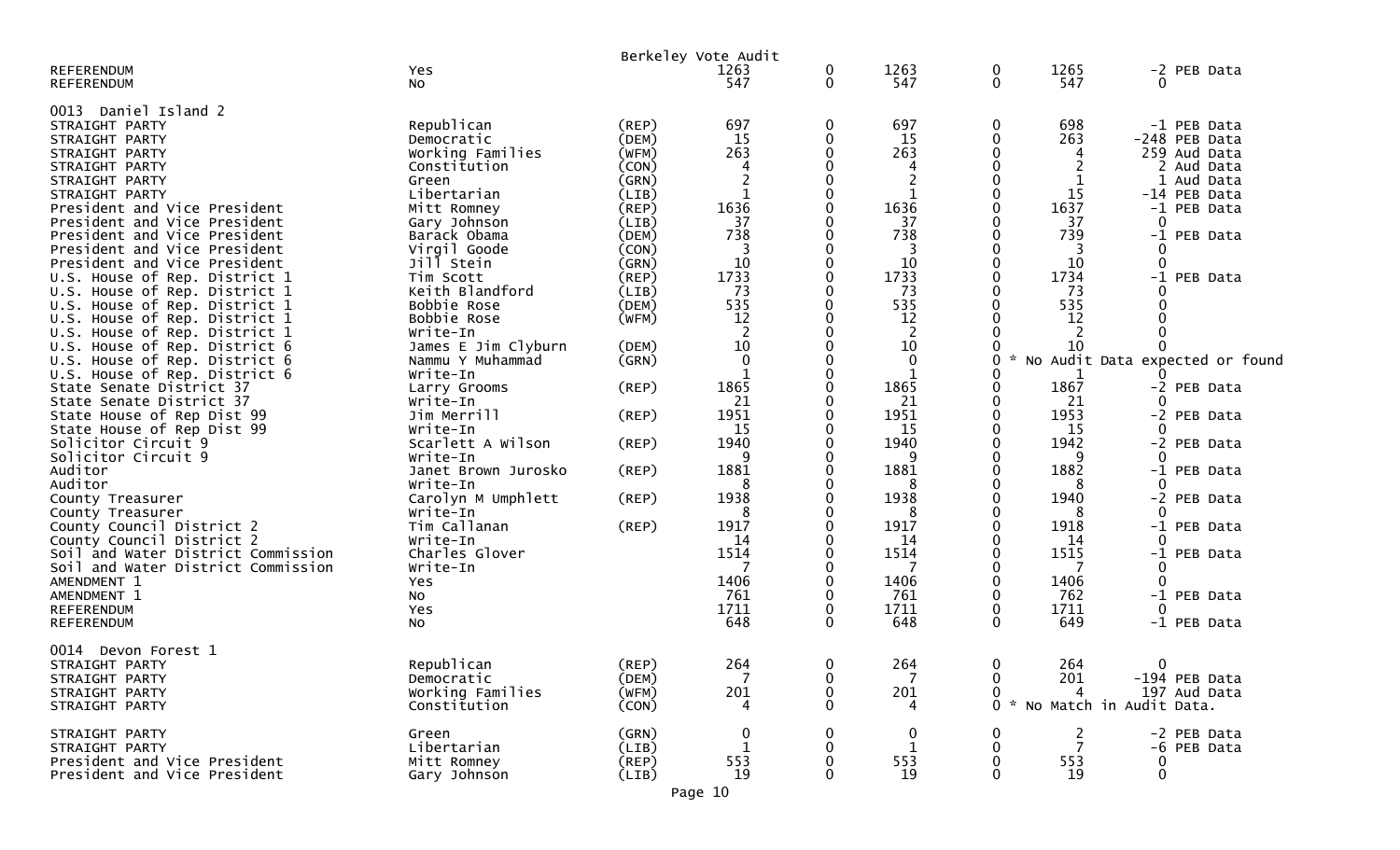| <b>REFERENDUM</b><br><b>REFERENDUM</b>                                                                                           | Yes<br>NO.                                                       |                                        | Berkeley Vote Audit<br>1263<br>547  | $\mathbf 0$<br>$\mathbf 0$ | 1263<br>547                                  | 0<br>0                      | 1265<br>547                                    |                      | -2 PEB Data                                                |
|----------------------------------------------------------------------------------------------------------------------------------|------------------------------------------------------------------|----------------------------------------|-------------------------------------|----------------------------|----------------------------------------------|-----------------------------|------------------------------------------------|----------------------|------------------------------------------------------------|
| 0013 Daniel Island 2<br>STRAIGHT PARTY<br>STRAIGHT PARTY<br>STRAIGHT PARTY<br>STRAIGHT PARTY                                     | Republican<br>Democratic<br>Working Families<br>Constitution     | $($ REP $)$<br>(DEM)<br>(WFM)<br>(CON) | 697<br>15<br>263<br>4               | 0<br>0<br>0                | 697<br>15<br>263<br>4                        | 0<br>0                      | 698<br>263<br>4                                |                      | -1 PEB Data<br>-248 PEB Data<br>259 Aud Data<br>2 Aud Data |
| STRAIGHT PARTY<br>STRAIGHT PARTY<br>President and Vice President<br>President and Vice President                                 | Green<br>Libertarian<br>Mitt Romney<br>Gary Johnson              | (GRN)<br>(LIB)<br>(REP)<br>(LIB)       | 2<br>1636<br>37                     | 0                          | $\overline{c}$<br>$\mathbf{1}$<br>1636<br>37 | 0<br>0                      | 1<br>15<br>1637<br>37                          | $\Omega$             | 1 Aud Data<br>-14 PEB Data<br>-1 PEB Data                  |
| President and Vice President<br>President and Vice President<br>President and Vice President                                     | Barack Obama<br>Virgil Goode<br>Jill Stein                       | (DEM)<br>(CON)<br>(GRN)                | 738<br>3<br>10                      |                            | 738<br>3<br>10                               |                             | 739<br>3<br>10                                 | $\Omega$             | -1 PEB Data                                                |
| U.S. House of Rep. District 1<br>U.S. House of Rep. District 1<br>U.S. House of Rep. District 1<br>U.S. House of Rep. District 1 | Tim Scott<br>Keith Blandford<br>Bobbie Rose<br>Bobbie Rose       | (REP)<br>(LIB)<br>(DEM)<br>(WFM)       | 1733<br>73<br>535<br>12             | 0                          | 1733<br>73<br>535<br>12                      | 0<br>0                      | 1734<br>73<br>535<br>12                        | $-1$                 | PEB Data                                                   |
| U.S. House of Rep. District 1<br>U.S. House of Rep. District 6<br>U.S. House of Rep. District 6<br>U.S. House of Rep. District 6 | Write-In<br>James E Jim Clyburn<br>Nammu Y Muhammad<br>Write-In  | (DEM)<br>(GRN)                         | $\overline{c}$<br>10<br>$\mathbf 0$ |                            | 2<br>10<br>$\Omega$<br>$\mathbf 1$           | 0<br>0                      | 2<br>10<br>1                                   |                      | No Audit Data expected or found                            |
| State Senate District 37<br>State Senate District 37<br>State House of Rep Dist 99                                               | Larry Grooms<br>Write-In<br>Jim Merrill                          | (REP)<br>(REP)                         | 1865<br>21<br>1951                  |                            | 1865<br>21<br>1951                           | 0<br>0<br>0<br>0            | 1867<br>21<br>1953                             |                      | -2 PEB Data<br>-2 PEB Data                                 |
| State House of Rep Dist 99<br>Solicitor Circuit 9<br>Solicitor Circuit 9<br>Auditor                                              | Write-In<br>Scarlett A Wilson<br>Write-In<br>Janet Brown Jurosko | (REP)<br>(REP)                         | <b>15</b><br>1940<br>1881           | 0                          | 15<br>1940<br>9<br>1881                      | 0<br>0                      | 15<br>1942<br>9<br>1882                        | $\Omega$             | -2 PEB Data<br>-1 PEB Data                                 |
| Auditor<br>County Treasurer<br>County Treasurer<br>County Council District 2                                                     | Write-In<br>Carolyn M Umphlett<br>Write-In<br>Tim Callanan       | (REP)<br>(REP)                         | 8<br>1938<br>8<br>1917              |                            | 8<br>1938<br>8<br>1917                       | 0<br>0                      | 8<br>1940<br>8<br>1918                         | O                    | -2 PEB Data<br>-1 PEB Data                                 |
| County Council District 2<br>Soil and Water District Commission<br>Soil and Water District Commission                            | Write-In<br>Charles Glover<br>Write-In                           |                                        | 14<br>1514                          |                            | 14<br>1514<br>7                              | 0                           | 14<br>1515<br>7                                | $\Omega$<br>0        | -1 PEB Data                                                |
| AMENDMENT 1<br>AMENDMENT 1<br>REFERENDUM<br><b>REFERENDUM</b>                                                                    | Yes<br>No<br>Yes<br>No                                           |                                        | 1406<br>761<br>1711<br>648          | 0<br>$\mathbf{0}$          | 1406<br>761<br>1711<br>648                   | 0<br>0<br>0<br>$\mathbf{0}$ | 1406<br>762<br>1711<br>649                     | $\Omega$<br>$\Omega$ | -1 PEB Data<br>-1 PEB Data                                 |
| 0014 Devon Forest 1<br>STRAIGHT PARTY<br>STRAIGHT PARTY<br>STRAIGHT PARTY<br>STRAIGHT PARTY                                      | Republican<br>Democratic<br>Working Families<br>Constitution     | (REP)<br>(DEM)<br>(WFM)<br>(CON)       | 264<br>201                          | $\mathbf 0$<br>0<br>0<br>0 | 264<br>201<br>4                              | $\mathbf 0$<br>0<br>0       | 264<br>201<br>4<br>0 * No Match in Audit Data. | $\overline{0}$       | -194 PEB Data<br>197 Aud Data                              |
| STRAIGHT PARTY<br>STRAIGHT PARTY<br>President and Vice President<br>President and Vice President                                 | Green<br>Libertarian<br>Mitt Romney<br>Gary Johnson              | (GRN)<br>(LIB)<br>$($ REP $)$<br>(LIB) | 0<br>553<br>19                      | $\Omega$                   | $\boldsymbol{0}$<br>1<br>553<br>19           | 0<br>0<br>0<br>0            | 2<br>7<br>553<br>19                            | 0<br>$\mathbf{0}$    | -2 PEB Data<br>-6 PEB Data                                 |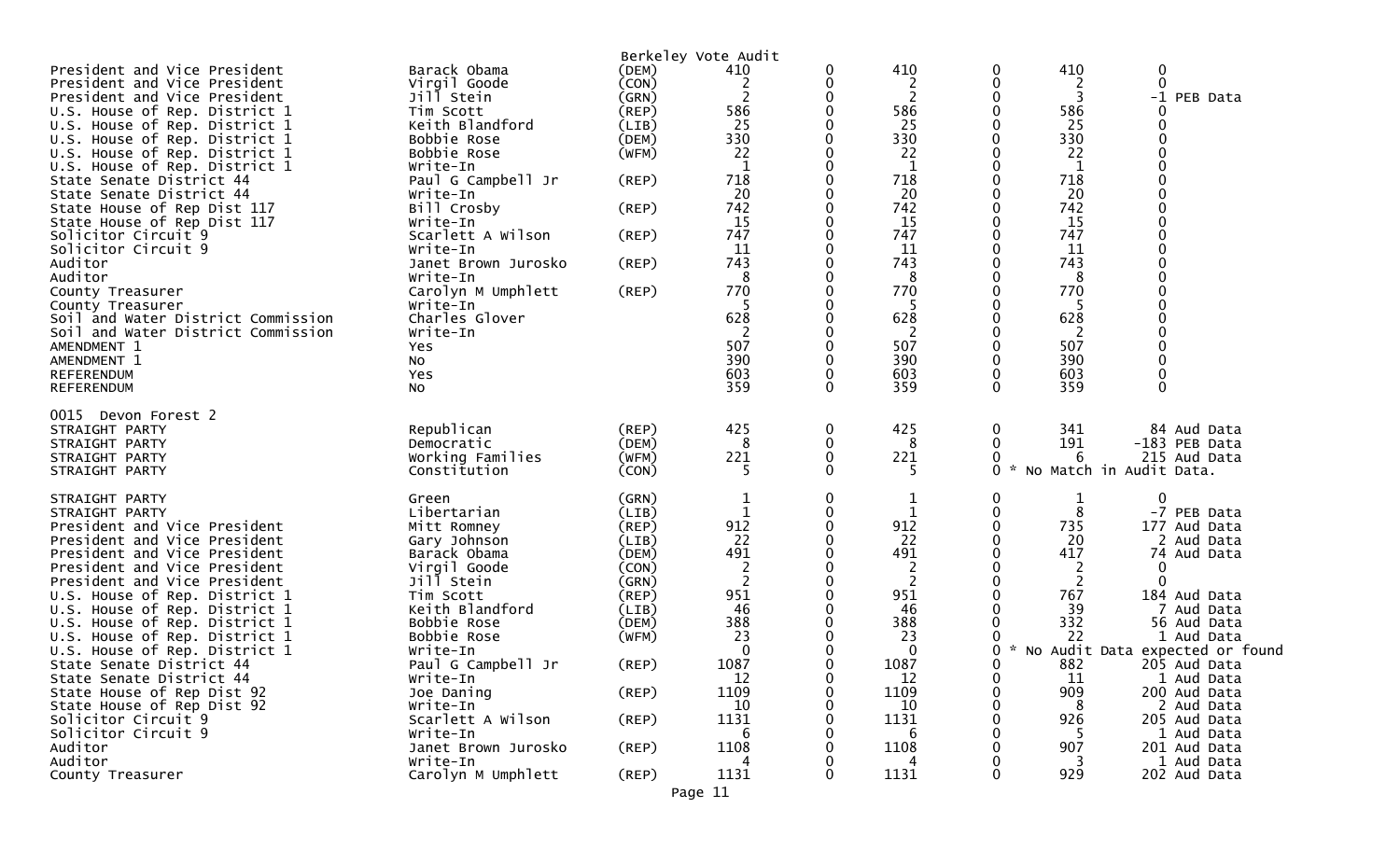|                                            |                                 |             | Berkeley Vote Audit |   |                |                         |            |                                 |
|--------------------------------------------|---------------------------------|-------------|---------------------|---|----------------|-------------------------|------------|---------------------------------|
| President and Vice President               | Barack Obama                    | (DEM)       | 410                 | 0 | 410            | 0                       | 410        | 0                               |
| President and Vice President               | Virgil Goode                    | (CON)       | 2                   | 0 | 2              | 0                       | 2          | $\Omega$                        |
| President and Vice President               | Jill Stein                      | (GRN)       | 2                   | 0 | $\overline{c}$ | 0                       | 3          | $-1$<br>PEB Data                |
| U.S. House of Rep. District 1              | Tim Scott                       | (REP)       | 586                 | 0 | 586            | 0                       | 586        |                                 |
| U.S. House of Rep. District 1              | Keith Blandford                 | (LIB)       | 25                  |   | 25             |                         | 25         |                                 |
| U.S. House of Rep. District 1              | Bobbie Rose                     | (DEM)       | 330                 | 0 | 330            | 0                       | 330        |                                 |
| U.S. House of Rep. District 1              | Bobbie Rose                     | (WFM)       | 22                  |   | 22             |                         | 22         |                                 |
| U.S. House of Rep. District 1              | Write-In                        |             |                     |   | 1              | 0                       | 1          |                                 |
| State Senate District 44                   | Paul G Campbell Jr              | (REP)       | 718                 |   | 718            | 0                       | 718        |                                 |
| State Senate District 44                   | Write-In                        |             | 20                  |   | 20             |                         | 20         |                                 |
| State House of Rep Dist 117                | Bill Crosby                     | $($ REP $)$ | 742                 |   | 742            | 0                       | 742        |                                 |
| State House of Rep Dist 117                | Write-In                        |             | 15                  |   | 15             |                         | 15         |                                 |
| Solicitor Circuit 9                        | Scarlett A Wilson               | (REP)       | 747                 | 0 | 747            |                         | 747        |                                 |
| Solicitor Circuit 9                        | Write-In                        |             | 11                  | 0 | 11             | 0                       | 11         |                                 |
| Auditor                                    | Janet Brown Jurosko             | (REP)       | 743                 | 0 | 743            | 0                       | 743        |                                 |
| Auditor                                    | Write-In                        |             | 8                   |   | 8              |                         | 8          |                                 |
| County Treasurer                           | Carolyn M Umphlett              | (REP)       | 770                 | ∩ | 770            | 0                       | 770        |                                 |
| County Treasurer                           | Write-In                        |             | 5                   |   | 5              |                         | 5          |                                 |
| Soil and Water District Commission         | Charles Glover                  |             | 628                 |   | 628            |                         | 628        |                                 |
| Soil and Water District Commission         | Write-In                        |             | 2                   | 0 | 2              | 0                       | 2          |                                 |
| AMENDMENT 1                                | Yes                             |             | 507<br>390          | 0 | 507            | 0<br>0                  | 507        |                                 |
| AMENDMENT 1                                | <b>NO</b>                       |             | 603                 | 0 | 390            |                         | 390        |                                 |
| REFERENDUM                                 | Yes                             |             | 359                 | 0 | 603<br>359     | $\mathbf 0$<br>$\Omega$ | 603<br>359 | $\Omega$                        |
| REFERENDUM                                 | NO.                             |             |                     |   |                |                         |            |                                 |
| 0015<br>Devon Forest 2                     |                                 |             |                     |   |                |                         |            |                                 |
| STRAIGHT PARTY                             | Republican                      | $($ REP $)$ | 425                 | 0 | 425            | 0                       | 341        | 84 Aud Data                     |
| STRAIGHT PARTY                             | Democratic                      | (DEM)       | 8                   | 0 | 8              |                         | 191        | -183 PEB Data                   |
| STRAIGHT PARTY                             | Working Families                | (WFM)       | 221                 | 0 | 221            | 0                       | 6          | 215 Aud Data                    |
| STRAIGHT PARTY                             | Constitution                    | (CON)       | 5                   | 0 | 5.             | 0                       |            | No Match in Audit Data.         |
|                                            |                                 |             |                     |   |                |                         |            |                                 |
| STRAIGHT PARTY                             | Green                           | (GRN)       |                     | 0 | 1              | 0                       |            | $\mathbf 0$                     |
| STRAIGHT PARTY                             | Libertarian                     | (LIB)       | 1                   | 0 | 1              | 0                       | 8          | -7 PEB Data                     |
| President and Vice President               | Mitt Romney                     | $($ REP $)$ | 912                 | 0 | 912            | 0                       | 735        | 177 Aud Data                    |
| President and Vice President               | Gary Johnson                    | (LIB)       | 22                  | 0 | 22             | 0                       | 20         | 2 Aud Data                      |
| President and Vice President               | Barack Obama                    | (DEM)       | 491                 | 0 | 491            | 0                       | 417        | 74 Aud Data                     |
| President and Vice President               | Virgil Goode                    | (CON)       | $\overline{2}$      |   | 2              |                         | 2          | 0                               |
| President and Vice President               | Jill Stein                      | (GRN)       | $\overline{2}$      | 0 | $\overline{2}$ | 0                       | 2          | ∩                               |
| U.S. House of Rep. District 1              | Tim Scott                       | (REP)       | 951                 |   | 951            |                         | 767        | 184 Aud Data                    |
| U.S. House of Rep. District 1              | Keith Blandford                 | (LIB)       | 46                  |   | 46             |                         | 39         | 7 Aud Data                      |
| U.S. House of Rep. District 1              | Bobbie Rose                     | (DEM)       | 388                 |   | 388            |                         | 332        | 56 Aud Data                     |
| U.S. House of Rep. District 1              | Bobbie Rose                     | (WFM)       | 23                  |   | 23             |                         | 22         | 1 Aud Data                      |
| U.S. House of Rep. District 1              | Write-In                        |             | 0                   |   | 0              | 0                       |            | No Audit Data expected or found |
| State Senate District 44                   | Paul G Campbell Jr              | (REP)       | 1087                |   | 1087           | ∩                       | 882        | 205 Aud Data                    |
| State Senate District 44                   | Write-In                        |             | 12                  | 0 | 12             | 0                       | 11         | 1 Aud Data                      |
| State House of Rep Dist 92                 | Joe Daning                      | $($ REP $)$ | 1109                | 0 | 1109           | 0                       | 909        | 200 Aud Data                    |
| State House of Rep Dist 92                 | Write-In                        |             | 10                  |   | 10             | 0                       | 8          | 2 Aud Data                      |
| Solicitor Circuit 9<br>Solicitor Circuit 9 | Scarlett A Wilson               | (REP)       | 1131<br>6           |   | 1131<br>6      |                         | 926        | 205 Aud Data                    |
| Auditor                                    | Write-In<br>Janet Brown Jurosko | (REP)       | 1108                |   | 1108           | 0                       | 5<br>907   | 1 Aud Data<br>201 Aud Data      |
| Auditor                                    | Write-In                        |             | Δ                   |   | 4              | 0                       | 3          | 1 Aud Data                      |
| County Treasurer                           | Carolyn M Umphlett              | (REP)       | 1131                | 0 | 1131           | $\mathbf{0}$            | 929        | 202 Aud Data                    |
|                                            |                                 |             |                     |   |                |                         |            |                                 |
|                                            |                                 |             | Page 11             |   |                |                         |            |                                 |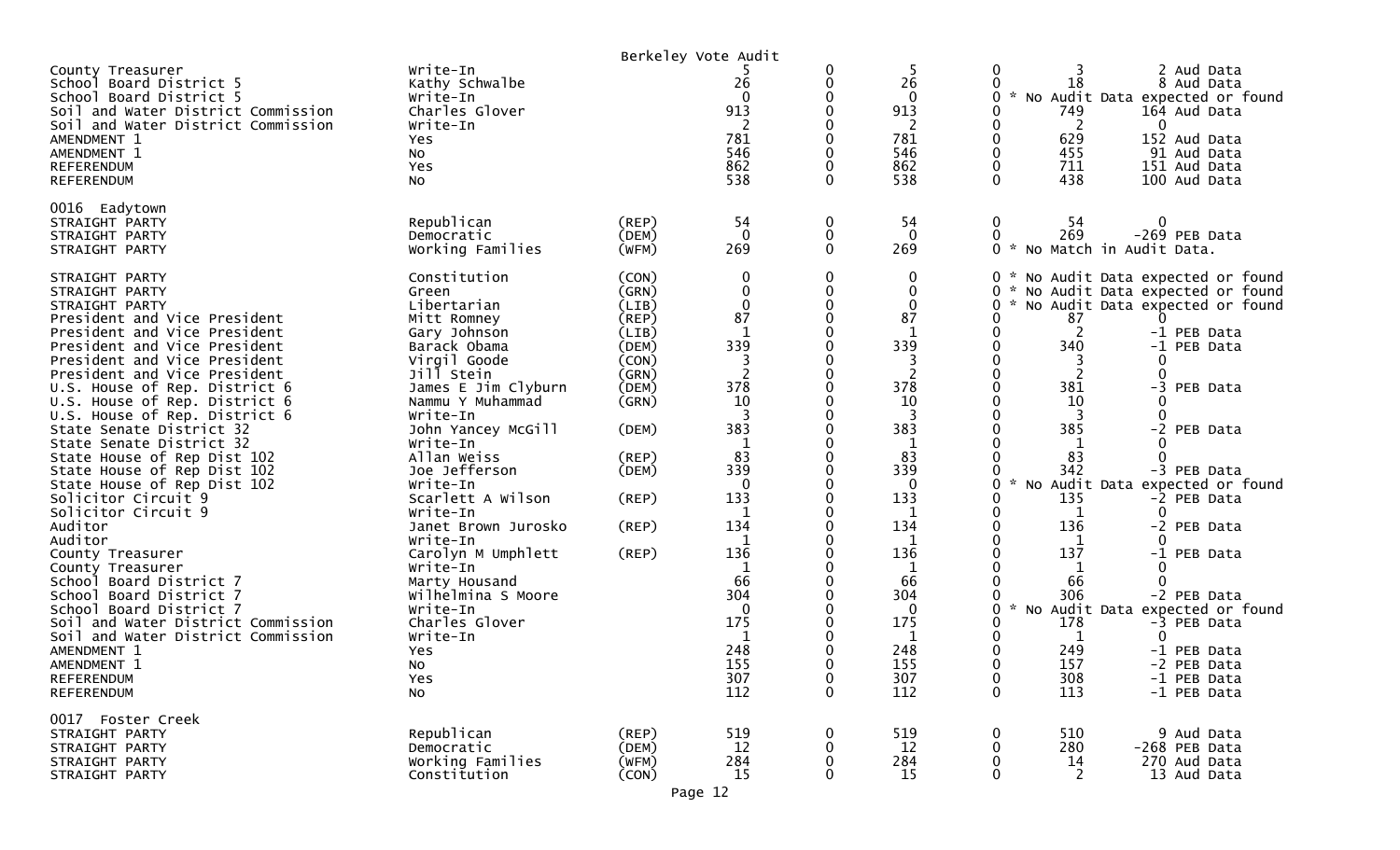| Write-In<br>Kathy Schwalbe<br>Write-In<br>Charles Glover     |                                                                                                                              | 26<br>913                        |                                                              | 5<br>26<br>0<br>913              | 0<br>3<br>18<br>$\sim$<br>749                                  | 2 Aud Data<br>8 Aud Data<br>No Audit Data expected or found<br>164 Aud Data<br>0                            |
|--------------------------------------------------------------|------------------------------------------------------------------------------------------------------------------------------|----------------------------------|--------------------------------------------------------------|----------------------------------|----------------------------------------------------------------|-------------------------------------------------------------------------------------------------------------|
| Yes<br>No<br>Yes<br>No                                       |                                                                                                                              | 781<br>546<br>862<br>538         |                                                              | 781<br>546<br>862<br>538         | 629<br>0<br>455<br>$\mathbf{0}$<br>0<br>711<br>$\Omega$<br>438 | 152 Aud Data<br>91 Aud Data<br>151 Aud Data<br>100 Aud Data                                                 |
| Republican<br>Democratic<br>Working Families                 | $($ REP $)$<br>(DEM)<br>(WFM)                                                                                                | 54<br>$\Omega$<br>269            | 0<br>0<br>0                                                  | 54<br>$\mathbf{0}$<br>269        | $\boldsymbol{0}$<br>-54<br>269<br>0<br>$0 *$                   | 0<br>-269 PEB Data                                                                                          |
| Constitution<br>Green                                        | (CON)<br>(GRN)                                                                                                               |                                  | 0                                                            | 0<br>$\mathbf 0$                 | 0<br>*                                                         | 0 * No Audit Data expected or found<br>* No Audit Data expected or found<br>No Audit Data expected or found |
| Mitt Romney<br>Gary Johnson<br>Barack Obama                  | (REP)<br>(LIB)<br>(DEM)                                                                                                      | 87<br>$\mathbf{1}$<br>339<br>3   |                                                              | 87<br>1<br>339<br>3              | 87<br>$\overline{2}$<br>0<br>340<br>0<br>3                     | -1 PEB Data<br>-1 PEB Data                                                                                  |
| Jill Stein<br>James E Jim Clyburn<br>Nammu Y Muhammad        | (GRN)<br>(DEM)<br>(GRN)                                                                                                      | 2<br>378<br>10                   |                                                              | $\overline{2}$<br>378<br>10<br>3 | $\overline{2}$<br>381<br>0<br>10<br>3                          | $\Omega$<br>-3<br>PEB Data<br>0                                                                             |
| John Yancey McGill<br>Write-In<br>Allan Weiss                | (DEM)<br>(REP)                                                                                                               | 383<br>1<br>83                   |                                                              | 383<br>1<br>83                   | 385<br>1<br>83                                                 | -2 PEB Data<br>$\Omega$                                                                                     |
| Write-In<br>Scarlett A Wilson                                | (REP)                                                                                                                        | $\Omega$<br>133                  |                                                              | $\mathbf 0$<br>133               | 342<br>$\sim$<br>0<br>135                                      | -3 PEB Data<br>No Audit Data expected or found<br>-2 PEB Data                                               |
| Janet Brown Jurosko<br>Write-In                              | (REP)                                                                                                                        | 134<br>1                         |                                                              | 134<br>1                         | 0<br>136<br>1                                                  | 0<br>-2 PEB Data<br>-1 PEB Data                                                                             |
| Write-In<br>Marty Housand                                    |                                                                                                                              | 1<br>66                          |                                                              | 1<br>66                          | 1<br>66                                                        | 0<br>-2 PEB Data                                                                                            |
| Write-In<br>Charles Glover<br>Write-In                       |                                                                                                                              | $\Omega$<br>175<br>1             |                                                              | $\mathbf{0}$<br>175<br>1         | $\sim$<br>0<br>178<br>0<br>1                                   | No Audit Data expected or found<br>-3 PEB Data<br>0                                                         |
| Yes<br>No<br>Yes<br>No                                       |                                                                                                                              | 248<br>155<br>307<br>112         | $\mathbf{0}$<br>$\mathbf 0$                                  | 248<br>155<br>307<br>112         | 249<br>157<br>0<br>$\bf{0}$<br>308<br>$\mathbf 0$<br>113       | -1 PEB Data<br>-2 PEB Data<br>-1 PEB Data<br>-1 PEB Data                                                    |
| Republican<br>Democratic<br>Working Families<br>Constitution | (REP)<br>(DEM)<br>(WFM)<br>(CON)                                                                                             | 519<br>12<br>284<br>15           | $\mathbf 0$<br>0<br>0<br>$\Omega$                            | 519<br>12<br>284<br>15           | 0<br>510<br>0<br>280<br>0<br>14<br>$\overline{2}$<br>0         | 9 Aud Data<br>-268 PEB Data<br>270 Aud Data<br>13 Aud Data                                                  |
|                                                              | Write-In<br>Libertarian<br>Virgil Goode<br>Write-In<br>Joe Jefferson<br>Write-In<br>Carolyn M Umphlett<br>Wilhelmina S Moore | (LIB)<br>(CON)<br>(DEM)<br>(REP) | Berkeley Vote Audit<br>2<br>$\mathbf 0$<br>339<br>136<br>304 |                                  | 2<br>0<br>339<br>136<br>304                                    | 2<br>No Match in Audit Data.<br>0<br>0<br>137<br>306                                                        |

Page 12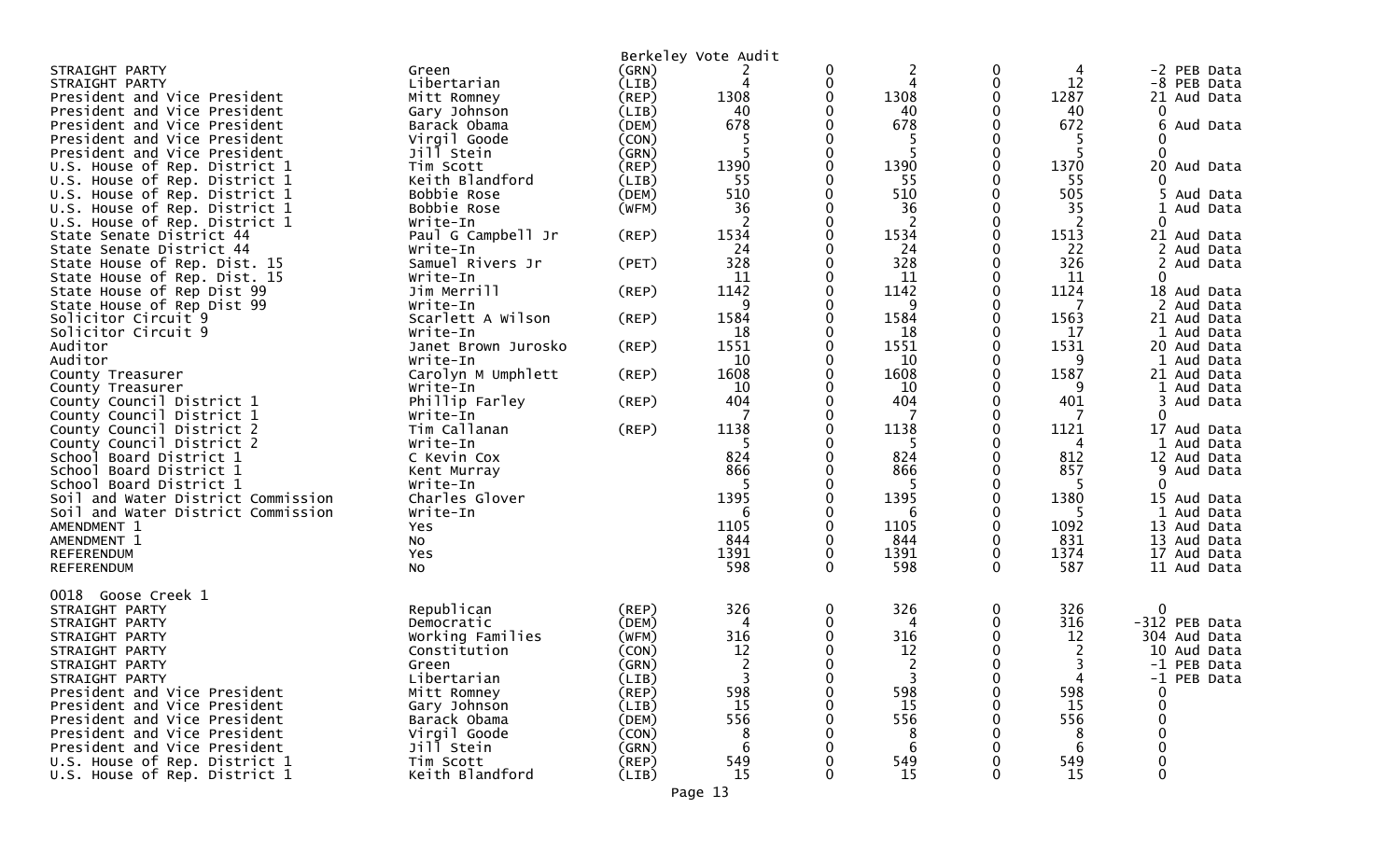|                                    |                                 |             | Berkeley Vote Audit |        |                |   |            |                           |
|------------------------------------|---------------------------------|-------------|---------------------|--------|----------------|---|------------|---------------------------|
| STRAIGHT PARTY                     | Green                           | (GRN)       |                     | 0      | 2              | 0 | 4          | -2 PEB Data               |
| STRAIGHT PARTY                     | Libertarian                     | (LIB)       | 4                   | 0      | 4              |   | 12         | -8 PEB Data               |
| President and Vice President       | Mitt Romney                     | (REP)       | 1308                | 0      | 1308           |   | 1287       | 21 Aud Data               |
| President and Vice President       | Gary Johnson                    | (LIB)       | 40                  | 0      | 40             |   | 40         | 0                         |
| President and Vice President       | Barack Obama                    | (DEM)       | 678                 | 0      | 678            |   | 672        | 6<br>Aud Data             |
| President and Vice President       | Virgil Goode                    | (CON)       |                     | 0      |                |   |            |                           |
| President and Vice President       | Jill Stein                      | (GRN)       | 5                   | 0      | 5              |   | 5          | $\Omega$                  |
| U.S. House of Rep. District 1      | Tim Scott                       | $($ REP $)$ | 1390                | 0      | 1390           |   | 1370       | 20 Aud Data               |
| U.S. House of Rep. District 1      | Keith Blandford                 | (LIB)       | 55                  | 0      | 55             |   | 55         | 0                         |
| U.S. House of Rep. District 1      | Bobbie Rose                     | (DEM)       | 510                 | 0      | 510            |   | 505        | 5 Aud Data                |
| U.S. House of Rep. District 1      | Bobbie Rose                     | (WFM)       | 36                  | 0      | 36             |   | 35         | 1<br>Aud Data             |
| U.S. House of Rep. District 1      | Write-In                        |             |                     | 0      |                |   | 2          | 0                         |
| State Senate District 44           | Paul G Campbell Jr              | (REP)       | 1534                | 0      | 1534           |   | 1513       | 21 Aud Data               |
| State Senate District 44           | Write-In                        |             | 24                  | 0      | 24             |   | 22         | 2 Aud Data                |
| State House of Rep. Dist. 15       | Samuel Rivers Jr                | (PET)       | 328                 | 0      | 328            |   | 326        | Aud Data                  |
| State House of Rep. Dist. 15       | Write-In                        |             | 11                  | 0      | -11            |   | 11         | 0                         |
| State House of Rep Dist 99         | Jim Merrill                     | (REP)       | 1142                | 0      | 1142           |   | 1124       | 18 Aud Data               |
| State House of Rep Dist 99         |                                 |             | 9                   | 0      | 9              |   | 7          | 2 Aud Data                |
|                                    | Write-In                        |             | 1584                |        |                |   | 1563       |                           |
| Solicitor Circuit 9                | Scarlett A Wilson               | (REP)       |                     | 0<br>0 | 1584           |   | 17         | 21 Aud Data               |
| Solicitor Circuit 9<br>Auditor     | Write-In                        |             | 18<br>1551          | 0      | 18<br>1551     |   | 1531       | 1 Aud Data<br>20 Aud Data |
| Auditor                            | Janet Brown Jurosko<br>Write-In | $($ REP $)$ | 10                  | 0      | 10             |   | 9          | 1 Aud Data                |
|                                    |                                 |             | 1608                | 0      | 1608           |   | 1587       | 21 Aud Data               |
| County Treasurer                   | Carolyn M Umphlett<br>Write-In  | (REP)       | 10                  | 0      | 10             |   | 9          | 1 Aud Data                |
| County Treasurer                   |                                 |             | 404                 |        | 404            |   | 401        | 3                         |
| County Council District 1          | Phillip Farley                  | (REP)       |                     | 0      |                |   | 7          | Aud Data<br>$\mathbf 0$   |
| County Council District 1          | Write-In                        |             | 1138                | 0<br>0 |                |   |            | 17 Aud Data               |
| County Council District 2          | Tim Callanan                    | (REP)       |                     | 0      | 1138           |   | 1121       |                           |
| County Council District 2          | Write-In                        |             | 5<br>824            | 0      | -5<br>824      |   | 4          | Aud Data                  |
| School Board District 1            | C Kevin Cox                     |             | 866                 | 0      |                |   | 812<br>857 | 12 Aud Data               |
| School Board District 1            | Kent Murray                     |             | 5                   | 0      | 866<br>5       |   |            | 9<br>Aud Data<br>0        |
| School Board District 1            | Write-In                        |             | 1395                |        | 1395           |   | 5<br>1380  |                           |
| Soil and Water District Commission | Charles Glover                  |             |                     | 0      |                |   | 5          | 15 Aud Data               |
| Soil and Water District Commission | Write-In                        |             | 6                   | 0      | 6              |   |            | 1 Aud Data                |
| AMENDMENT 1                        | Yes                             |             | 1105                | 0      | 1105           |   | 1092       | 13 Aud Data               |
| AMENDMENT 1                        | No                              |             | 844                 | 0      | 844            |   | 831        | 13 Aud Data               |
| REFERENDUM                         | Yes                             |             | 1391                | 0      | 1391           |   | 1374       | 17 Aud Data               |
| REFERENDUM                         | No.                             |             | 598                 | 0      | 598            | 0 | 587        | 11 Aud Data               |
| 0018 Goose Creek 1                 |                                 |             |                     |        |                |   |            |                           |
| STRAIGHT PARTY                     | Republican                      | (REP)       | 326                 | 0      | 326            |   | 326        | 0                         |
| STRAIGHT PARTY                     | Democratic                      | (DEM)       | 4                   | 0      | 4              |   | 316        | -312 PEB Data             |
| STRAIGHT PARTY                     | Working Families                | (WFM)       | 316                 | 0      | 316            |   | 12         | 304 Aud Data              |
| STRAIGHT PARTY                     | Constitution                    | (CON)       | 12                  | 0      | 12             |   | 2          | 10 Aud Data               |
| STRAIGHT PARTY                     |                                 | (GRN)       | $\overline{2}$      | O.     | 2              |   | 3          | -1 PEB Data               |
| STRAIGHT PARTY                     | Green<br>Libertarian            | (LIB)       | 3                   | 0      | $\overline{3}$ |   | 4          | -1 PEB Data               |
| President and Vice President       | Mitt Romney                     | (REP)       | 598                 | 0      | 598            |   | 598        |                           |
| President and Vice President       | Gary Johnson                    | (LIB)       | <b>15</b>           |        | 15             |   | 15         |                           |
| President and Vice President       | Barack Obama                    | (DEM)       | 556                 | 0      | 556            |   | 556        |                           |
| President and Vice President       | Virgil Goode                    | (CON)       |                     |        | 8              |   | 8          |                           |
| President and Vice President       | Jill Stein                      | (GRN)       | -6                  |        | 6              |   | 6          |                           |
| U.S. House of Rep. District 1      | Tim Scott                       | (REP)       | 549                 | O      | 549            |   | 549        |                           |
| U.S. House of Rep. District 1      | Keith Blandford                 | (LIB)       | 15                  | 0      | 15             |   | 15         |                           |
|                                    |                                 |             |                     |        |                |   |            |                           |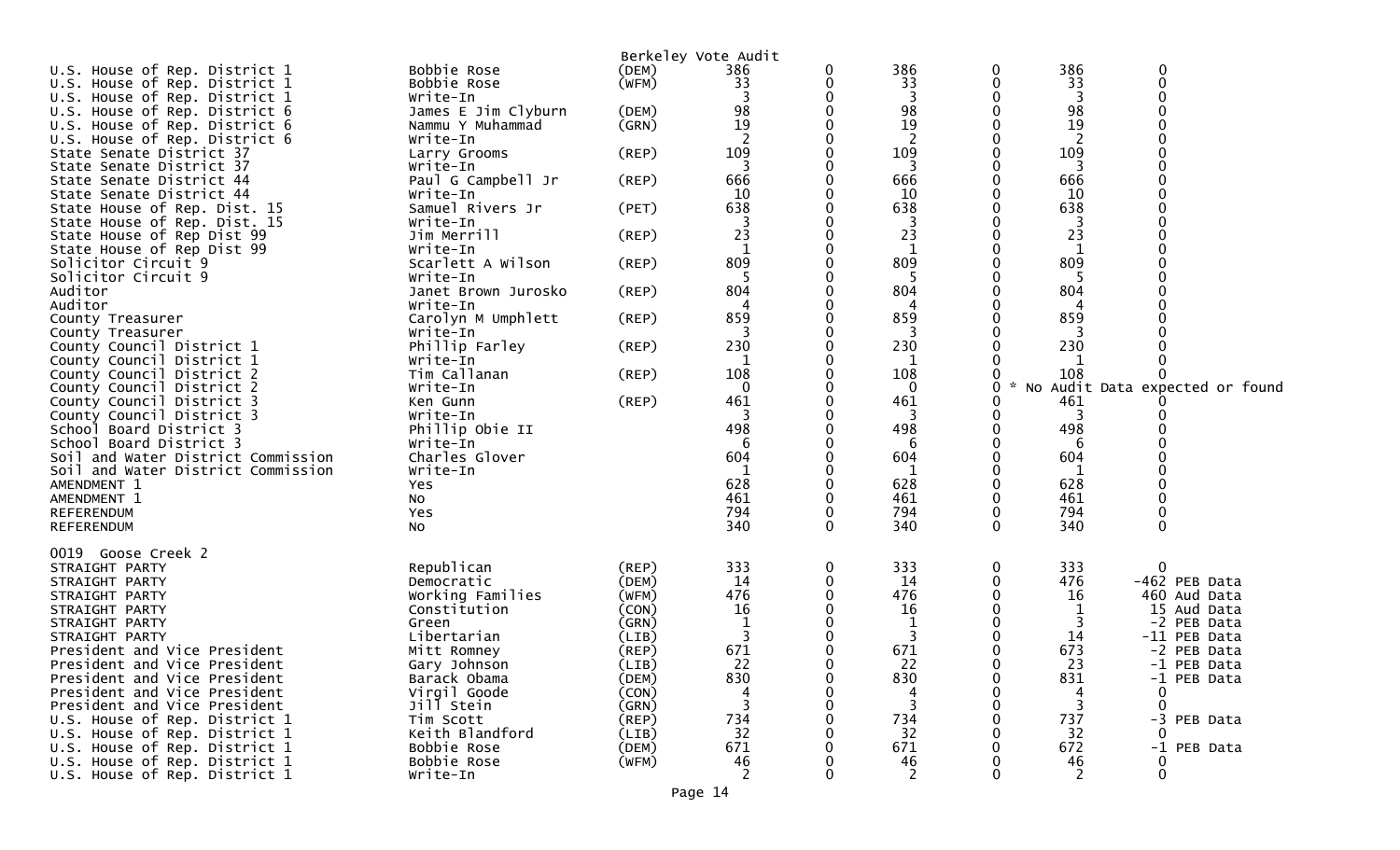| U.S. House of Rep. District 1                                            | Bobbie Rose                | (DEM)       | Berkeley Vote Audit<br>386 | 0            | 386      | 0            | 386          | $\mathbf 0$                     |
|--------------------------------------------------------------------------|----------------------------|-------------|----------------------------|--------------|----------|--------------|--------------|---------------------------------|
| U.S. House of Rep. District 1                                            | Bobbie Rose                | (WFM)       | 33                         | 0            | 33       | 0            | 33           | 0                               |
| U.S. House of Rep. District 1                                            | Write-In                   |             |                            |              | 3        |              | 3            |                                 |
| U.S. House of Rep. District 6                                            | James E Jim Clyburn        | (DEM)       | 98                         | 0            | 98       | 0            | 98           |                                 |
| U.S. House of Rep. District 6                                            | Nammu Y Muhammad           | (GRN)       | 19                         |              | 19       |              | 19           |                                 |
| U.S. House of Rep. District 6                                            | Write-In                   |             |                            |              | 2        |              |              |                                 |
| State Senate District 37                                                 | Larry Grooms               | (REP)       | 109                        |              | 109      |              | 109          |                                 |
| State Senate District 37                                                 | Write-In                   |             | 3                          |              | 3        |              | 3            |                                 |
| State Senate District 44                                                 | Paul G Campbell Jr         | (REP)       | 666                        |              | 666      |              | 666          |                                 |
| State Senate District 44                                                 | Write-In                   |             | 10                         |              | 10       |              | 10           |                                 |
| State House of Rep. Dist. 15                                             | Samuel Rivers Jr           | (PET)       | 638                        |              | 638      |              | 638          |                                 |
| State House of Rep. Dist. 15                                             | Write-In                   |             |                            |              | 3        |              | 3            |                                 |
| State House of Rep Dist 99                                               | Jim Merrill                | (REP)       | 23                         |              | 23       |              | 23           |                                 |
| State House of Rep Dist 99                                               | Write-In                   |             | 1                          |              | 1        |              | 1            |                                 |
| Solicitor Circuit 9                                                      | Scarlett A Wilson          | $($ REP $)$ | 809                        |              | 809      |              | 809          |                                 |
| Solicitor Circuit 9                                                      | Write-In                   |             | 5                          | 0            | 5        | 0            | 5            |                                 |
| Auditor                                                                  | Janet Brown Jurosko        | (REP)       | 804                        |              | 804      |              | 804          |                                 |
| Auditor                                                                  | Write-In                   |             |                            |              |          |              |              |                                 |
| County Treasurer                                                         | Carolyn M Umphlett         | (REP)       | 859                        | 0            | 859      | 0            | 859          |                                 |
| County Treasurer                                                         | Write-In                   |             | 3                          |              | 3        |              | 3            |                                 |
| County Council District 1                                                | Phillip Farley             | $($ REP $)$ | 230                        |              | 230      |              | 230          |                                 |
| County Council District 1                                                | Write-In                   |             | 1                          |              | 1        |              | 1            |                                 |
| County Council District 2                                                | Tim Callanan               | (REP)       | 108                        |              | 108      |              | 108          |                                 |
| County Council District 2                                                | Write-In                   |             | 0                          |              | 0        | 0            | $\mathbf{x}$ | No Audit Data expected or found |
| County Council District 3                                                | Ken Gunn                   | (REP)       | 461                        |              | 461      | 0            | 461          |                                 |
| County Council District 3                                                | Write-In                   |             | 3                          |              | 3        |              | 3            |                                 |
| School Board District 3                                                  | Phillip Obie II            |             | 498                        |              | 498      | 0            | 498          |                                 |
| School Board District 3                                                  | Write-In                   |             | 6<br>604                   |              | 6<br>604 |              | 6<br>604     |                                 |
| Soil and Water District Commission<br>Soil and Water District Commission | Charles Glover<br>Write-In |             |                            |              |          | 0            |              |                                 |
| AMENDMENT 1                                                              | Yes                        |             | 628                        |              | 628      | 0            | 628          |                                 |
| AMENDMENT 1                                                              | NO.                        |             | 461                        |              | 461      |              | 461          |                                 |
| REFERENDUM                                                               | Yes                        |             | 794                        | 0            | 794      | $\mathbf 0$  | 794          |                                 |
| <b>REFERENDUM</b>                                                        | No                         |             | 340                        | $\mathbf{0}$ | 340      | $\mathbf{0}$ | 340          | $\Omega$                        |
|                                                                          |                            |             |                            |              |          |              |              |                                 |
| 0019 Goose Creek 2                                                       |                            |             |                            |              |          |              |              |                                 |
| STRAIGHT PARTY                                                           | Republican                 | (REP)       | 333                        | 0            | 333      | 0            | 333          | ∩                               |
| STRAIGHT PARTY                                                           | Democratic                 | (DEM)       | 14                         | 0            | 14       | 0            | 476          | -462 PEB Data                   |
| STRAIGHT PARTY                                                           | Working Families           | (WFM)       | 476                        |              | 476      |              | 16           | 460 Aud Data                    |
| STRAIGHT PARTY                                                           | Constitution               | (CON)       | 16                         |              | 16       |              | 1            | 15 Aud Data                     |
| STRAIGHT PARTY                                                           | Green                      | (GRN)       |                            |              | 1        |              | 3            | -2 PEB Data                     |
| STRAIGHT PARTY                                                           | Libertarian                | (LIB)       | 3                          |              | 3        |              | 14           | -11 PEB Data                    |
| President and Vice President                                             | Mitt Romney                | $($ REP $)$ | 671                        |              | 671      | 0            | 673          | -2 PEB Data                     |
| President and Vice President                                             | Gary Johnson               | (LIB)       | 22                         | ∩            | 22       | 0            | 23           | -1 PEB Data                     |
| President and Vice President                                             | Barack Obama               | (DEM)       | 830                        | 0            | 830      | 0            | 831          | -1 PEB Data                     |
| President and Vice President                                             | Virgil Goode               | (CON)       |                            |              | 4        |              | 4            | 0                               |
| President and Vice President                                             | Jill Stein                 | (GRN)       | 3                          |              | 3        |              | 3            | 0                               |
| U.S. House of Rep. District 1                                            | Tim Scott                  | (REP)       | 734                        |              | 734      |              | 737          | -3 PEB Data                     |
| U.S. House of Rep. District 1                                            | Keith Blandford            | (LIB)       | 32                         |              | 32       |              | 32           |                                 |
| U.S. House of Rep. District 1                                            | Bobbie Rose                | (DEM)       | 671                        |              | 671      |              | 672          | -1 PEB Data                     |
| U.S. House of Rep. District 1                                            | Bobbie Rose                | (WFM)       | 46<br>2                    |              | 46<br>2  | 0            | 46<br>2      | $\Omega$                        |
| U.S. House of Rep. District 1                                            | Write-In                   |             |                            |              |          |              |              |                                 |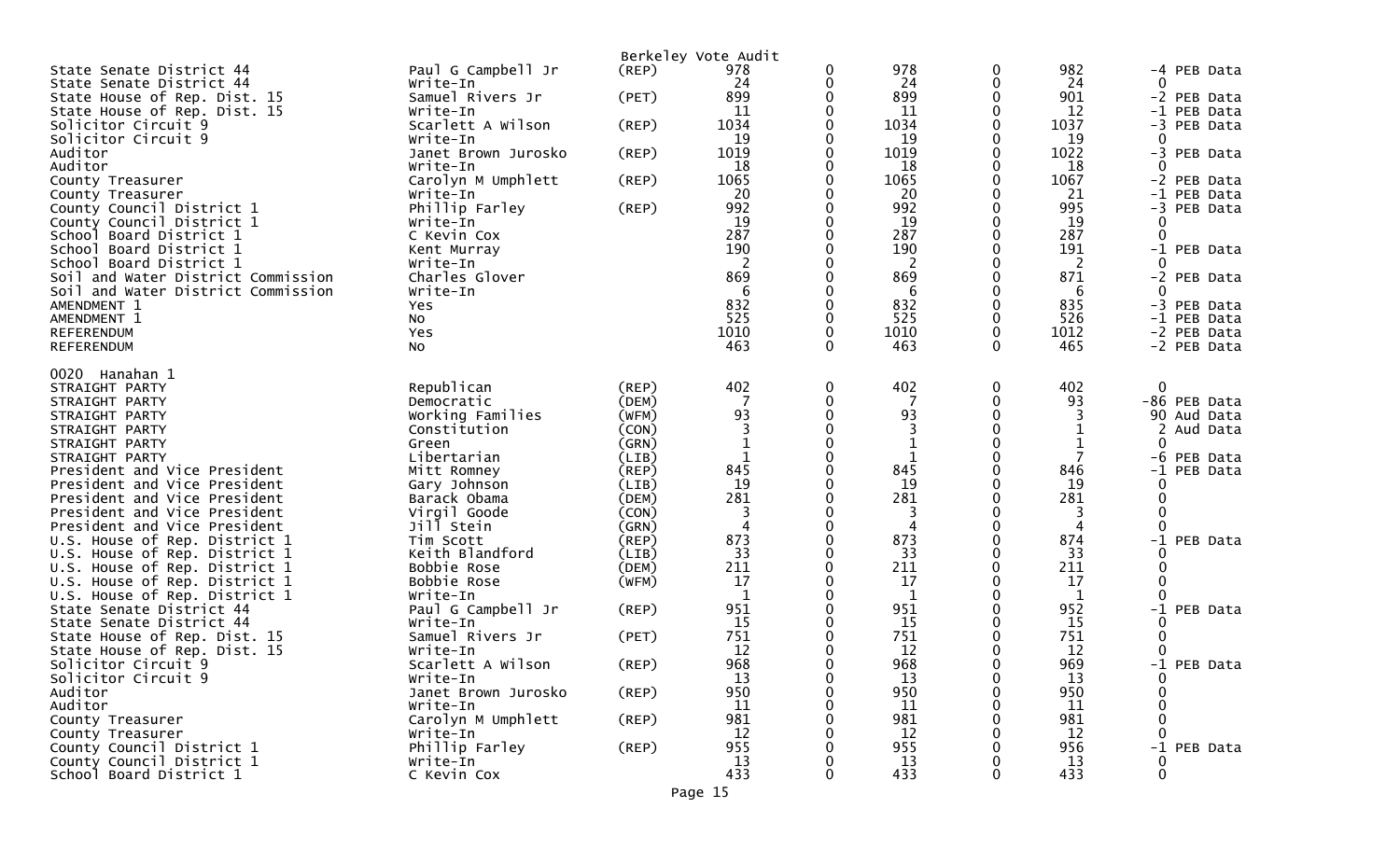|                                                              |                             |                | Berkeley Vote Audit |          |           |   |           |                       |
|--------------------------------------------------------------|-----------------------------|----------------|---------------------|----------|-----------|---|-----------|-----------------------|
| State Senate District 44                                     | Paul G Campbell Jr          | (REP)          | 978                 | 0        | 978       | 0 | 982       | -4 PEB Data           |
| State Senate District 44                                     | Write-In                    |                | 24                  | 0        | 24        | 0 | 24        | 0                     |
| State House of Rep. Dist. 15                                 | Samuel Rivers Jr            | (PET)          | 899                 | 0        | 899       | 0 | 901       | -2 PEB Data           |
| State House of Rep. Dist. 15                                 | Write-In                    |                | 11                  | 0        | 11        | 0 | 12        | -1 PEB Data           |
| Solicitor Circuit 9                                          | Scarlett A Wilson           | (REP)          | 1034                | 0        | 1034      |   | 1037      | -3 PEB Data           |
| Solicitor Circuit 9                                          | Write-In                    |                | 19                  |          | 19        |   | 19        | 0                     |
| Auditor                                                      | Janet Brown Jurosko         | (REP)          | 1019                | 0        | 1019      |   | 1022      | -3 PEB Data           |
| Auditor                                                      | Write-In                    |                | 18                  | 0        | 18        |   | 18        | $\Omega$              |
| County Treasurer                                             | Carolyn M Umphlett          | (REP)          | 1065                | 0        | 1065      | 0 | 1067      | -2 PEB Data           |
| County Treasurer                                             | Write-In                    |                | 20                  | 0        | 20        |   | 21        | -1 PEB Data           |
| County Council District 1                                    | Phillip Farley              | (REP)          | 992                 | 0        | 992       |   | 995       | -3 PEB Data           |
| County Council District 1                                    | Write-In                    |                | 19                  | 0        | 19        | o | 19        | 0                     |
| School Board District 1                                      | C Kevin Cox                 |                | 287                 | 0        | 287       | 0 | 287       | $\Omega$              |
| School Board District 1<br>School Board District 1           | Kent Murray<br>Write-In     |                | 190                 | 0<br>0   | 190<br>2  | o | 191<br>2  | $-1$<br>PEB Data<br>0 |
| Soil and Water District Commission                           | Charles Glover              |                | 869                 |          | 869       |   | 871       | -2 PEB Data           |
| Soil and Water District Commission                           | Write-In                    |                | 6                   |          | 6         |   | 6         | $\Omega$              |
| AMENDMENT 1                                                  | Yes                         |                | 832                 | 0        | 832       |   | 835       | -3 PEB Data           |
| AMENDMENT 1                                                  | No                          |                | 525                 | 0        | 525       |   | 526       | -1 PEB Data           |
| <b>REFERENDUM</b>                                            | Yes                         |                | 1010                | 0        | 1010      | 0 | 1012      | -2 PEB Data           |
| REFERENDUM                                                   | No.                         |                | 463                 | 0        | 463       | 0 | 465       | -2 PEB Data           |
|                                                              |                             |                |                     |          |           |   |           |                       |
| 0020 Hanahan 1                                               |                             |                |                     |          |           |   |           |                       |
| STRAIGHT PARTY                                               | Republican                  | (REP)          | 402                 | 0        | 402       | 0 | 402       | 0                     |
| STRAIGHT PARTY                                               | Democratic                  | (DEM)          | -7                  | 0        |           | 0 | 93        | -86 PEB Data          |
| STRAIGHT PARTY                                               | Working Families            | (WFM)          | 93                  | 0        | 93        |   | 3         | 90 Aud Data           |
| STRAIGHT PARTY                                               | Constitution                | (CON)          | 3                   | $\Omega$ | 3         | 0 |           | 2<br>Aud Data         |
| STRAIGHT PARTY                                               | Green                       | (GRN)          | 1                   | 0        | 1         | 0 |           | 0                     |
| STRAIGHT PARTY                                               | Libertarian                 | (LIB)          | 1<br>845            | 0<br>0   | 845       |   | 846       | -6<br>PEB Data        |
| President and Vice President<br>President and Vice President | Mitt Romney<br>Gary Johnson | (REP)<br>(LIB) | 19                  | 0        | 19        | 0 | 19        | -1<br>PEB Data<br>O   |
| President and Vice President                                 | Barack Obama                | (DEM)          | 281                 | 0        | 281       |   | 281       |                       |
| President and Vice President                                 | Virgil Goode                | (CON)          |                     | 0        | 3         |   |           |                       |
| President and Vice President                                 | Jill Stein                  | (GRN)          |                     | 0        | 4         |   | 4         | 0                     |
| U.S. House of Rep. District 1                                | Tim Scott                   | (REP)          | 873                 | 0        | 873       |   | 874       | -1<br>PEB Data        |
| U.S. House of Rep. District 1                                | Keith Blandford             | (LIB)          | 33                  | 0        | 33        | 0 | 33        |                       |
| U.S. House of Rep. District 1                                | Bobbie Rose                 | (DEM)          | 211                 | 0        | 211       | 0 | 211       |                       |
| U.S. House of Rep. District 1                                | Bobbie Rose                 | (WFM)          | 17                  | 0        | 17        |   | 17        |                       |
| U.S. House of Rep. District 1                                | Write-In                    |                | -1                  | 0        | 1         |   | 1         | 0                     |
| State Senate District 44                                     | Paul G Campbell Jr          | (REP)          | 951                 | 0        | 951       |   | 952       | -1<br>PEB Data        |
| State Senate District 44                                     | Write-In                    |                | 15                  |          | 15        |   | 15        |                       |
| State House of Rep. Dist. 15                                 | Samuel Rivers Jr            | (PET)          | 751                 |          | 751       |   | 751       | 0                     |
| State House of Rep. Dist. 15                                 | Write-In                    |                | 12                  |          | 12        |   | 12        | 0                     |
| Solicitor Circuit 9                                          | Scarlett A Wilson           | $($ REP $)$    | 968                 | n        | 968       | 0 | 969       | PEB Data<br>$-1$      |
| Solicitor Circuit 9                                          | Write-In                    |                | 13                  | 0        | 13        | 0 | 13        | 0                     |
| Auditor                                                      | Janet Brown Jurosko         | (REP)          | 950                 | 0        | 950       | 0 | 950       |                       |
| Auditor                                                      | Write-In                    |                | 11                  |          | 11        |   | -11       |                       |
| County Treasurer                                             | Carolyn M Umphlett          | (REP)          | 981<br>12           |          | 981<br>12 |   | 981<br>12 |                       |
| County Treasurer<br>County Council District 1                | Write-In<br>Phillip Farley  | $($ REP $)$    | 955                 |          | 955       |   | 956       | $-1$<br>PEB Data      |
| County Council District 1                                    | Write-In                    |                | 13                  |          | 13        |   | 13        |                       |
| School Board District 1                                      | C Kevin Cox                 |                | 433                 | 0        | 433       |   | 433       | ∩                     |
|                                                              |                             |                |                     |          |           |   |           |                       |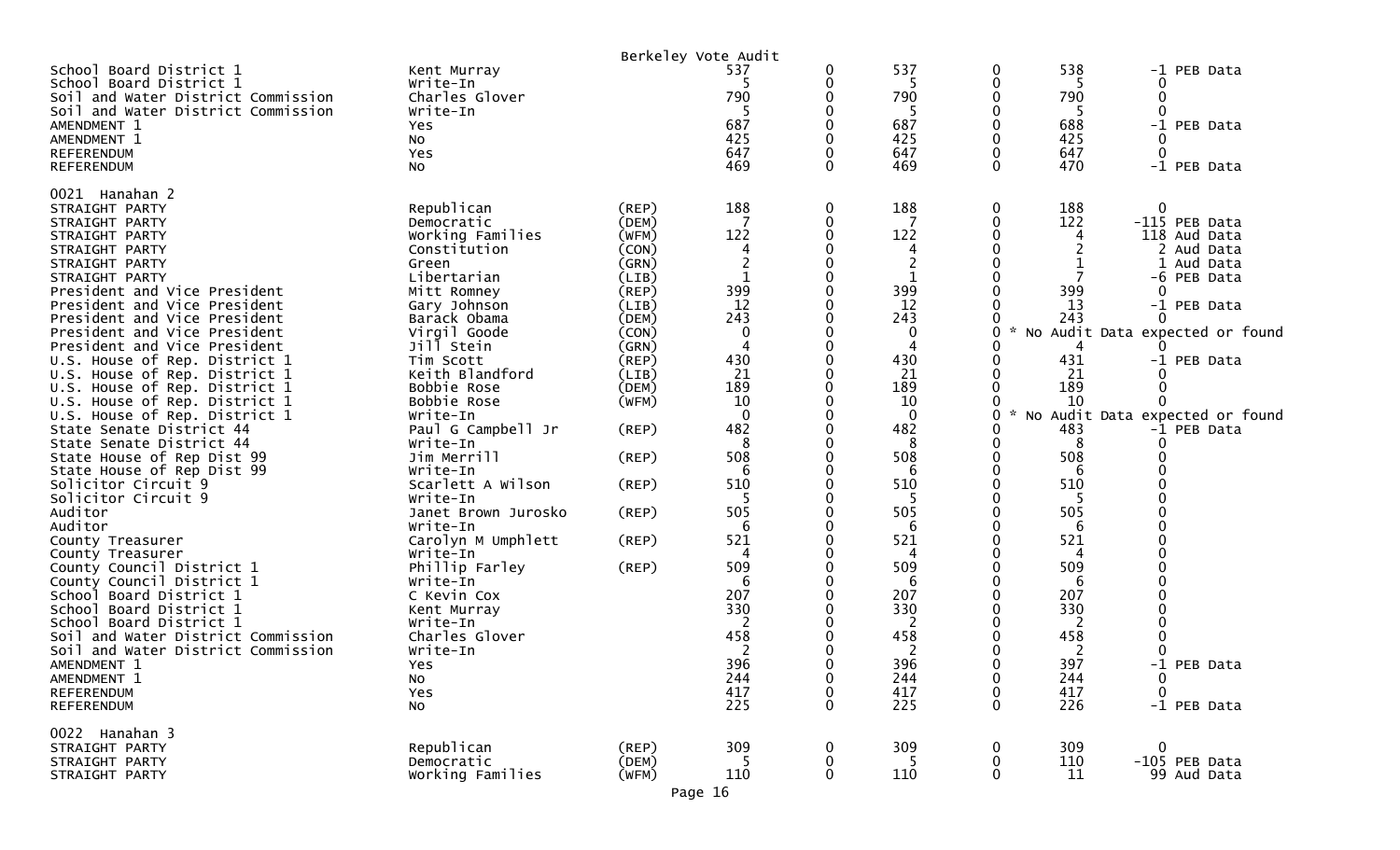|                                                    |                         |             | Berkeley Vote Audit |          |             |        |           |                                 |
|----------------------------------------------------|-------------------------|-------------|---------------------|----------|-------------|--------|-----------|---------------------------------|
| School Board District 1<br>School Board District 1 | Kent Murray<br>Write-In |             | 537                 | 0        | 537<br>5    | 0<br>0 | 538<br>5  | -1 PEB Data<br>0                |
| Soil and Water District Commission                 | Charles Glover          |             | 790                 |          | 790<br>-5   | 0<br>0 | 790       | 0<br>$\Omega$                   |
| Soil and Water District Commission<br>AMENDMENT 1  | Write-In<br>Yes         |             | 687                 |          | 687         | 0      | 688       | -1 PEB Data                     |
| AMENDMENT 1                                        | No                      |             | 425                 |          | 425         | 0      | 425       |                                 |
| <b>REFERENDUM</b>                                  | Yes                     |             | 647                 |          | 647         | 0      | 647       | 0                               |
| <b>REFERENDUM</b>                                  | NO.                     |             | 469                 | 0        | 469         | 0      | 470       | -1 PEB Data                     |
|                                                    |                         |             |                     |          |             |        |           |                                 |
| 0021 Hanahan 2                                     |                         |             |                     |          |             |        |           |                                 |
| STRAIGHT PARTY                                     | Republican              | (REP)       | 188                 | 0        | 188         | 0      | 188       | $\mathbf 0$                     |
| STRAIGHT PARTY                                     | Democratic              | (DEM)       |                     | 0        |             | 0      | 122       | -115 PEB Data                   |
| STRAIGHT PARTY                                     | Working Families        | (WFM)       | 122                 |          | 122         |        | 4         | 118 Aud Data                    |
| STRAIGHT PARTY                                     | Constitution            | (CON)       | 4                   |          | 4           |        |           | 2 Aud Data                      |
| STRAIGHT PARTY                                     | Green                   | (GRN)       | 2                   |          | 2           |        |           | 1 Aud Data                      |
| STRAIGHT PARTY                                     | Libertarian             | (LIB)       | $\mathbf{1}$        |          | $\mathbf 1$ |        |           | -6 PEB Data                     |
| President and Vice President                       | Mitt Romney             | (REP)       | 399                 |          | 399         |        | 399       | $\Omega$                        |
| President and Vice President                       | Gary Johnson            | (LIB)       | 12                  |          | 12          |        | 13        | -1 PEB Data                     |
| President and Vice President                       | Barack Obama            | (DEM)       | 243                 |          | 243         |        | 243       | $\Omega$                        |
| President and Vice President                       | Virgil Goode            | (CON)       | $\boldsymbol{0}$    |          | 0           | 0      |           | No Audit Data expected or found |
| President and Vice President                       | Jill Stein              | (GRN)       | 4                   |          | 4           |        |           |                                 |
| U.S. House of Rep. District 1                      | Tim Scott               | (REP)       | 430                 |          | 430         | 0      | 431       | -1 PEB Data                     |
| U.S. House of Rep. District 1                      | Keith Blandford         | (LIB)       | 21                  |          | 21          |        | 21        |                                 |
| U.S. House of Rep. District 1                      | Bobbie Rose             | (DEM)       | 189                 |          | 189         | U      | 189       |                                 |
| U.S. House of Rep. District 1                      | Bobbie Rose             | (WFM)       | 10                  |          | 10          |        | 10        |                                 |
| U.S. House of Rep. District 1                      | Write-In                |             | $\overline{0}$      |          | $\mathbf 0$ | 0      |           | No Audit Data expected or found |
| State Senate District 44                           | Paul G Campbell Jr      | (REP)       | 482                 |          | 482         | 0      | 483       | -1 PEB Data                     |
| State Senate District 44                           | Write-In                |             | 8                   |          | 8           | 0      | 8         | 0                               |
| State House of Rep Dist 99                         | Jim Merrill             | (REP)       | 508                 |          | 508         | 0      | 508       |                                 |
| State House of Rep Dist 99                         | Write-In                |             | 6                   |          | 6           |        |           |                                 |
| Solicitor Circuit 9                                | Scarlett A Wilson       | (REP)       | 510                 |          | 510         |        | 510       |                                 |
| Solicitor Circuit 9                                | Write-In                |             |                     |          |             |        |           |                                 |
| Auditor                                            | Janet Brown Jurosko     | (REP)       | 505                 |          | 505         |        | 505       |                                 |
| Auditor                                            | Write-In                |             | 6                   |          | 6           |        | 6         |                                 |
| County Treasurer                                   | Carolyn M Umphlett      | (REP)       | 521                 |          | 521         |        | 521       |                                 |
| County Treasurer                                   | Write-In                |             | 4                   |          | 4           |        | 4         |                                 |
| County Council District 1                          | Phillip Farley          | (REP)       | 509                 |          | 509         |        | 509       |                                 |
| County Council District 1                          | Write-In                |             | 6                   |          | 6           |        | 6         |                                 |
| School Board District 1                            | C Kevin Cox             |             | 207                 |          | 207         |        | 207       |                                 |
| School Board District 1                            | Kent Murray             |             | 330                 |          | 330         |        | 330       |                                 |
| School Board District 1                            | Write-In                |             | 2                   |          | 2           |        | 2         |                                 |
| Soil and Water District Commission                 | Charles Glover          |             | 458                 |          | 458         |        | 458       |                                 |
| Soil and Water District Commission                 | Write-In                |             | 2                   |          | 2           |        | 2         |                                 |
| AMENDMENT 1                                        | Yes                     |             | 396                 | 0        | 396         | 0      | 397       | -1 PEB Data                     |
| AMENDMENT 1                                        | No                      |             | 244                 | $\bf{0}$ | 244         | 0      | 244       | $\bf{0}$                        |
| <b>REFERENDUM</b>                                  | Yes                     |             | 417                 | 0        | 417         | 0      | 417       | $\Omega$                        |
| <b>REFERENDUM</b>                                  | No                      |             | 225                 | 0        | 225         | 0      | 226       | -1 PEB Data                     |
|                                                    |                         |             |                     |          |             |        |           |                                 |
| 0022 Hanahan 3<br>STRAIGHT PARTY                   | Republican              | $($ REP $)$ | 309                 |          | 309         | 0      | 309       | $\mathbf 0$                     |
|                                                    | Democratic              | (DEM)       |                     | 0        | -5          |        |           | -105 PEB Data                   |
| STRAIGHT PARTY<br>STRAIGHT PARTY                   | Working Families        | (WFM)       | 110                 | 0<br>0   | 110         | 0<br>0 | 110<br>11 | 99 Aud Data                     |
|                                                    |                         |             |                     |          |             |        |           |                                 |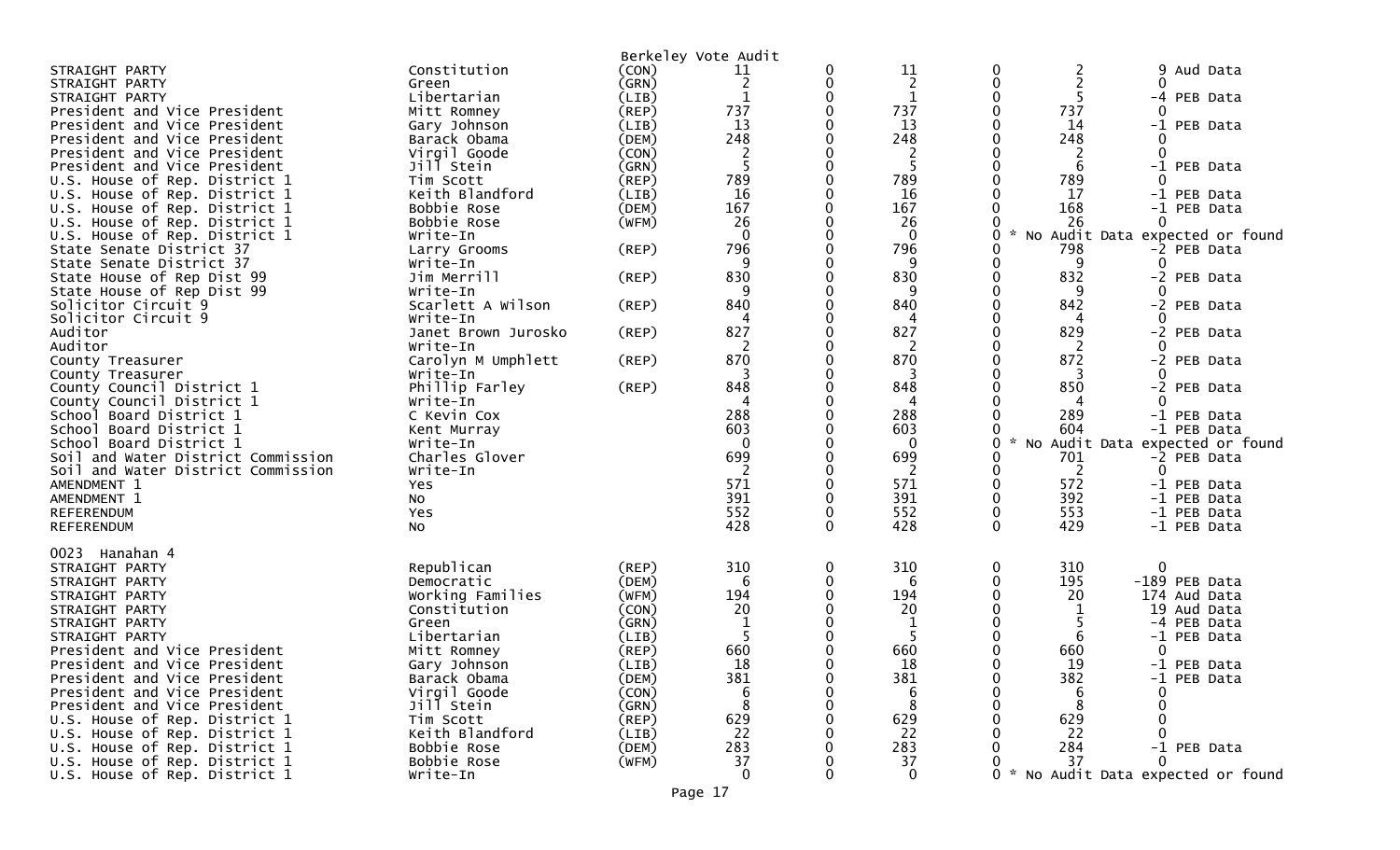|                                                      |                         |             | Berkeley Vote Audit |             |                |                  |                            |                                 |
|------------------------------------------------------|-------------------------|-------------|---------------------|-------------|----------------|------------------|----------------------------|---------------------------------|
| STRAIGHT PARTY                                       | Constitution            | (CON)       | 11                  |             | 11             | $\boldsymbol{0}$ | 2<br>9                     | Aud Data                        |
| STRAIGHT PARTY                                       | Green                   | (GRN)       | $\overline{2}$      | 0           | 2              | $\mathbf 0$      | $\overline{2}$             |                                 |
| STRAIGHT PARTY                                       | Libertarian             | (LIB)       | 1                   | 0           | $\mathbf{1}$   | $\mathbf{0}$     | 5<br>-4                    | PEB Data                        |
| President and Vice President                         | Mitt Romney             | (REP)       | 737                 |             | 737            | 0                | 737                        |                                 |
| President and Vice President                         | Gary Johnson            | (LIB)       | 13                  |             | 13             |                  | 14<br>$-1$                 | PEB Data                        |
| President and Vice President                         | Barack Obama            | (DEM)       | 248                 |             | 248            |                  | 248                        |                                 |
| President and Vice President                         | Virgil Goode            | (CON)       | 2                   |             | $\overline{2}$ |                  | $\overline{2}$<br>$\Omega$ |                                 |
| President and Vice President                         | Jill Stein              | (GRN)       | 5                   | 0           | -5             | 0                | 6<br>-1                    | PEB Data                        |
| U.S. House of Rep. District 1                        | Tim Scott               | (REP)       | 789                 |             | 789            |                  | 789<br>0                   |                                 |
| U.S. House of Rep. District 1                        | Keith Blandford         | (LIB)       | 16                  |             | 16             |                  | 17                         | -1 PEB Data                     |
| U.S. House of Rep. District 1                        | Bobbie Rose             | (DEM)       | 167                 |             | 167            |                  | 168                        | -1 PEB Data                     |
| U.S. House of Rep. District 1                        | Bobbie Rose             | (WFM)       | 26                  |             | 26             |                  | 26<br>$\Omega$             |                                 |
| U.S. House of Rep. District 1                        | Write-In                |             | $\mathbf 0$         |             | $\mathbf 0$    | 0                |                            | No Audit Data expected or found |
| State Senate District 37                             | Larry Grooms            | (REP)       | 796                 |             | 796            |                  | 798                        | -2 PEB Data                     |
| State Senate District 37                             | Write-In                |             | 9                   |             | 9              | 0                | 9                          |                                 |
| State House of Rep Dist 99                           | Jim Merrill             | (REP)       | 830                 |             | 830            | 0                | 832                        | -2 PEB Data                     |
| State House of Rep Dist 99                           | Write-In                |             |                     |             | q              | 0                | 9                          |                                 |
| Solicitor Circuit 9                                  | Scarlett A Wilson       | (REP)       | 840                 |             | 840            | 0                | 842                        | -2 PEB Data                     |
| Solicitor Circuit 9                                  | Write-In                |             |                     |             | 4              |                  | 4                          |                                 |
| Auditor                                              | Janet Brown Jurosko     | (REP)       | 827                 |             | 827            | O                | 829                        | -2 PEB Data                     |
| Auditor                                              | Write-In                |             | 2                   |             | 2<br>870       |                  | 2<br>0                     |                                 |
| County Treasurer                                     | Carolyn M Umphlett      | $($ REP $)$ | 870                 |             |                |                  | 872                        | -2 PEB Data                     |
| County Treasurer                                     | Write-In                |             | 848                 |             | 848            |                  | 850                        |                                 |
| County Council District 1                            | Phillip Farley          | (REP)       |                     |             | 4              |                  |                            | -2 PEB Data                     |
| County Council District 1<br>School Board District 1 | Write-In<br>C Kevin Cox |             | 288                 |             | 288            |                  | 289                        | -1 PEB Data                     |
| School Board District 1                              |                         |             | 603                 |             | 603            |                  | 604                        | -1 PEB Data                     |
| School Board District 1                              | Kent Murray<br>Write-In |             | $\Omega$            |             | $\mathbf{0}$   | 0                |                            | No Audit Data expected or found |
| Soil and Water District Commission                   | Charles Glover          |             | 699                 |             | 699            |                  | 701                        | -2 PEB Data                     |
| Soil and Water District Commission                   | Write-In                |             | $\overline{2}$      |             | 2              |                  | 2<br>0                     |                                 |
| AMENDMENT 1                                          | Yes                     |             | 571                 |             | 571            | 0                | 572                        | -1 PEB Data                     |
| AMENDMENT 1                                          | No                      |             | 391                 |             | 391            | $\mathbf 0$      | 392                        | -1 PEB Data                     |
| REFERENDUM                                           | Yes                     |             | 552                 | 0           | 552            | 0                | 553                        | -1 PEB Data                     |
| REFERENDUM                                           | No                      |             | 428                 | 0           | 428            | 0                | 429                        | -1 PEB Data                     |
|                                                      |                         |             |                     |             |                |                  |                            |                                 |
| 0023 Hanahan 4                                       |                         |             |                     |             |                |                  |                            |                                 |
| STRAIGHT PARTY                                       | Republican              | (REP)       | 310                 | $\mathbf 0$ | 310            | 0                | 310<br>0                   |                                 |
| STRAIGHT PARTY                                       | Democratic              | (DEM)       | 6                   | 0           | 6              | $\Omega$         | 195                        | -189 PEB Data                   |
| STRAIGHT PARTY                                       | Working Families        | (WFM)       | 194                 |             | 194            |                  | 20                         | 174 Aud Data                    |
| STRAIGHT PARTY                                       | Constitution            | (CON)       | 20                  |             | 20             |                  |                            | 19 Aud Data                     |
| STRAIGHT PARTY                                       | Green                   | (GRN)       |                     |             |                |                  | -4                         | PEB Data                        |
| STRAIGHT PARTY                                       | Libertarian             | (LIB)       | 5                   |             | 5              |                  | 6                          | -1 PEB Data                     |
| President and Vice President                         | Mitt Romney             | $($ REP $)$ | 660                 |             | 660            |                  | 660<br>0                   |                                 |
| President and Vice President                         | Gary Johnson            | (LIB)       | 18                  |             | 18             | ∩                | 19                         | -1 PEB Data                     |
| President and Vice President                         | Barack Obama            | (DEM)       | 381                 |             | 381            | 0                | 382                        | -1 PEB Data                     |
| President and Vice President                         | Virgil Goode            | (CON)       | 6                   |             | 6              |                  | 6<br>0                     |                                 |
| President and Vice President                         | Jill Stein              | (GRN)       | 8                   |             | 8              |                  | 8                          |                                 |
| U.S. House of Rep. District 1                        | Tim Scott               | (REP)       | 629                 |             | 629            |                  | 629                        |                                 |
| U.S. House of Rep. District 1                        | Keith Blandford         | (LIB)       | 22                  |             | 22             |                  | 22                         |                                 |
| U.S. House of Rep. District 1                        | Bobbie Rose             | (DEM)       | 283                 |             | 283            |                  | 284                        | -1 PEB Data                     |
| U.S. House of Rep. District 1                        | Bobbie Rose             | (WFM)       | 37                  |             | 37             |                  | 37<br>0                    |                                 |
| U.S. House of Rep. District 1                        | Write-In                |             | 0                   |             | $\mathbf 0$    | 0                |                            | No Audit Data expected or found |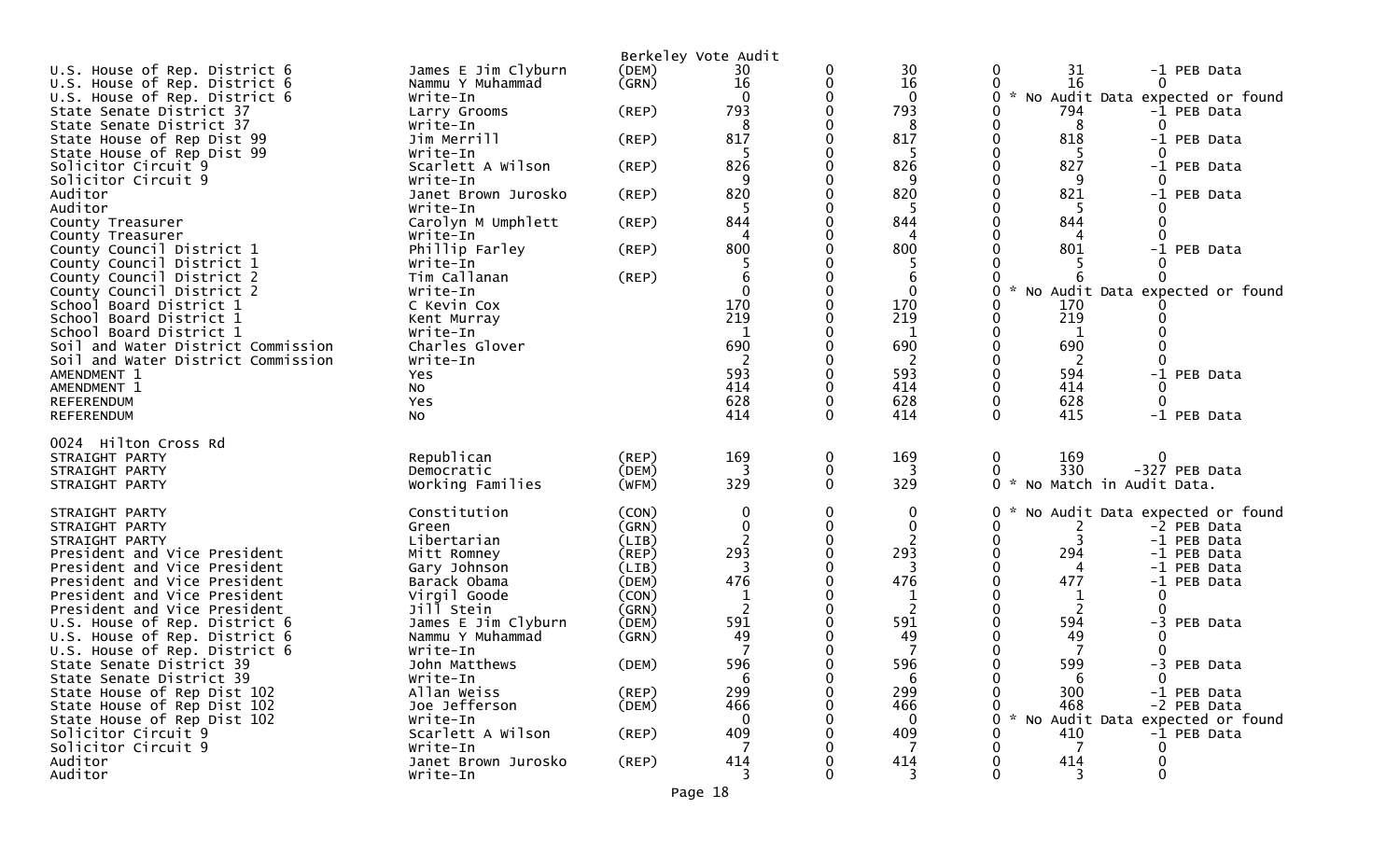|                                                           |                           |             | Berkeley Vote Audit |          |                   |                                                      |
|-----------------------------------------------------------|---------------------------|-------------|---------------------|----------|-------------------|------------------------------------------------------|
| U.S. House of Rep. District 6                             | James E Jim Clyburn       | (DEM)       | 30                  | 0        | 30                | 31<br>-1 PEB Data                                    |
| U.S. House of Rep. District 6                             | Nammu Y Muhammad          | (GRN)       | 16                  | 0        | 16                | 16                                                   |
| U.S. House of Rep. District 6                             | Write-In                  |             | $\Omega$            |          | $\mathbf{0}$      | $\mathcal{H}$<br>No Audit Data expected or found     |
| State Senate District 37<br>State Senate District 37      | Larry Grooms<br>Write-In  | $($ REP $)$ | 793<br>8            |          | 793<br>8          | 794<br>-1 PEB Data<br>8                              |
| State House of Rep Dist 99                                | Jim Merrill               | (REP)       | 817                 |          | 817               | 818<br>-1 PEB Data                                   |
| State House of Rep Dist 99                                | Write-In                  |             |                     |          | 5                 | -5                                                   |
| Solicitor Circuit 9                                       | Scarlett A Wilson         | (REP)       | 826                 |          | 826               | 827<br>-1 PEB Data                                   |
| Solicitor Circuit 9                                       | Write-In                  |             | 9                   |          | 9                 | 9                                                    |
| Auditor                                                   | Janet Brown Jurosko       | (REP)       | 820                 |          | 820               | 821<br>-1 PEB Data                                   |
| Auditor                                                   | Write-In                  |             |                     |          |                   |                                                      |
| County Treasurer                                          | Carolyn M Umphlett        | (REP)       | 844                 |          | 844               | 844                                                  |
| County Treasurer                                          | Write-In                  |             | 4                   |          | 4                 |                                                      |
| County Council District 1                                 | Phillip Farley            | (REP)       | 800                 |          | 800               | 801<br>-1 PEB Data                                   |
| County Council District 1                                 | Write-In                  |             |                     |          |                   |                                                      |
| County Council District 2<br>County Council District 2    | Tim Callanan<br>Write-In  | (REP)       | 6<br>$\mathbf 0$    | 0        | 6<br>$\mathbf{0}$ | No Audit Data expected or found                      |
| School Board District 1                                   | C Kevin Cox               |             | 170                 |          | 170               | 170                                                  |
| School Board District 1                                   | Kent Murray               |             | 219                 |          | 219               | 219                                                  |
| School Board District 1                                   | Write-In                  |             | 1                   | 0        | 1                 |                                                      |
| Soil and Water District Commission                        | Charles Glover            |             | 690                 |          | 690               | 690                                                  |
| Soil and Water District Commission                        | Write-In                  |             |                     |          | 2                 |                                                      |
| AMENDMENT 1                                               | Yes                       |             | 593                 |          | 593               | 594<br>-1 PEB Data                                   |
| AMENDMENT 1                                               | No                        |             | 414                 |          | 414               | 414                                                  |
| REFERENDUM                                                | Yes                       |             | 628                 |          | 628               | 628<br>$\Omega$                                      |
| REFERENDUM                                                | NO.                       |             | 414                 | $\Omega$ | 414               | 415<br>-1 PEB Data                                   |
| 0024 Hilton Cross Rd                                      |                           |             |                     |          |                   |                                                      |
| STRAIGHT PARTY                                            | Republican                | (REP)       | 169                 | 0        | 169               | 169<br>0                                             |
| STRAIGHT PARTY                                            | Democratic                | (DEM)       | 3                   | 0        | 3                 | 330<br>-327 PEB Data                                 |
| STRAIGHT PARTY                                            | Working Families          | (WFM)       | 329                 | 0        | 329               | $\mathcal{H}$<br>No Match in Audit Data.<br>$\Omega$ |
| STRAIGHT PARTY                                            | Constitution              | (CON)       | 0                   | 0        | 0                 | No Audit Data expected or found                      |
| STRAIGHT PARTY                                            | Green                     | (GRN)       | 0                   | 0        | 0                 | -2 PEB Data<br>2                                     |
| STRAIGHT PARTY                                            | Libertarian               | (LIB)       |                     |          |                   | 3<br>-1 PEB Data                                     |
| President and Vice President                              | Mitt Romney               | $($ REP $)$ | 293                 |          | 293               | 294<br>-1 PEB Data                                   |
| President and Vice President                              | Gary Johnson              | (LIB)       |                     |          | 3                 | -1 PEB Data                                          |
| President and Vice President                              | Barack Obama              | (DEM)       | 476                 |          | 476               | 477<br>-1 PEB Data                                   |
| President and Vice President                              | Virgil Goode              | (CON)       | $\mathbf 1$         |          | 1                 | 1                                                    |
| President and Vice President                              | Jill Stein                | (GRN)       | 2                   |          |                   |                                                      |
| U.S. House of Rep. District 6                             | James E Jim Clyburn       | (DEM)       | 591                 |          | 591               | 594<br>-3 PEB Data                                   |
| U.S. House of Rep. District 6                             | Nammu Y Muhammad          | (GRN)       | 49                  |          | 49                | 49                                                   |
| U.S. House of Rep. District 6<br>State Senate District 39 | Write-In<br>John Matthews | (DEM)       | 596                 |          | 596               | 599<br>-3 PEB Data                                   |
| State Senate District 39                                  | Write-In                  |             | 6                   | 0        | 6                 | $\mathbf 0$<br>6                                     |
| State House of Rep Dist 102                               | Allan Weiss               | (REP)       | 299                 |          | 299               | 300<br>-1 PEB Data                                   |
| State House of Rep Dist 102                               | Joe Jefferson             | (DEM)       | 466                 |          | 466               | 468<br>-2 PEB Data                                   |
| State House of Rep Dist 102                               | Write-In                  |             | $\mathbf{0}$        |          | $\mathbf{0}$      | $\mathcal{H}$<br>No Audit Data expected or found     |
| Solicitor Circuit 9                                       | Scarlett A Wilson         | (REP)       | 409                 |          | 409               | 410<br>-1 PEB Data                                   |
| Solicitor Circuit 9                                       | Write-In                  |             | 7                   |          |                   | 7                                                    |
| Auditor                                                   | Janet Brown Jurosko       | $($ REP $)$ | 414                 |          | 414               | 414                                                  |
| Auditor                                                   | Write-In                  |             | 3                   |          | 3                 | $\Omega$<br>3                                        |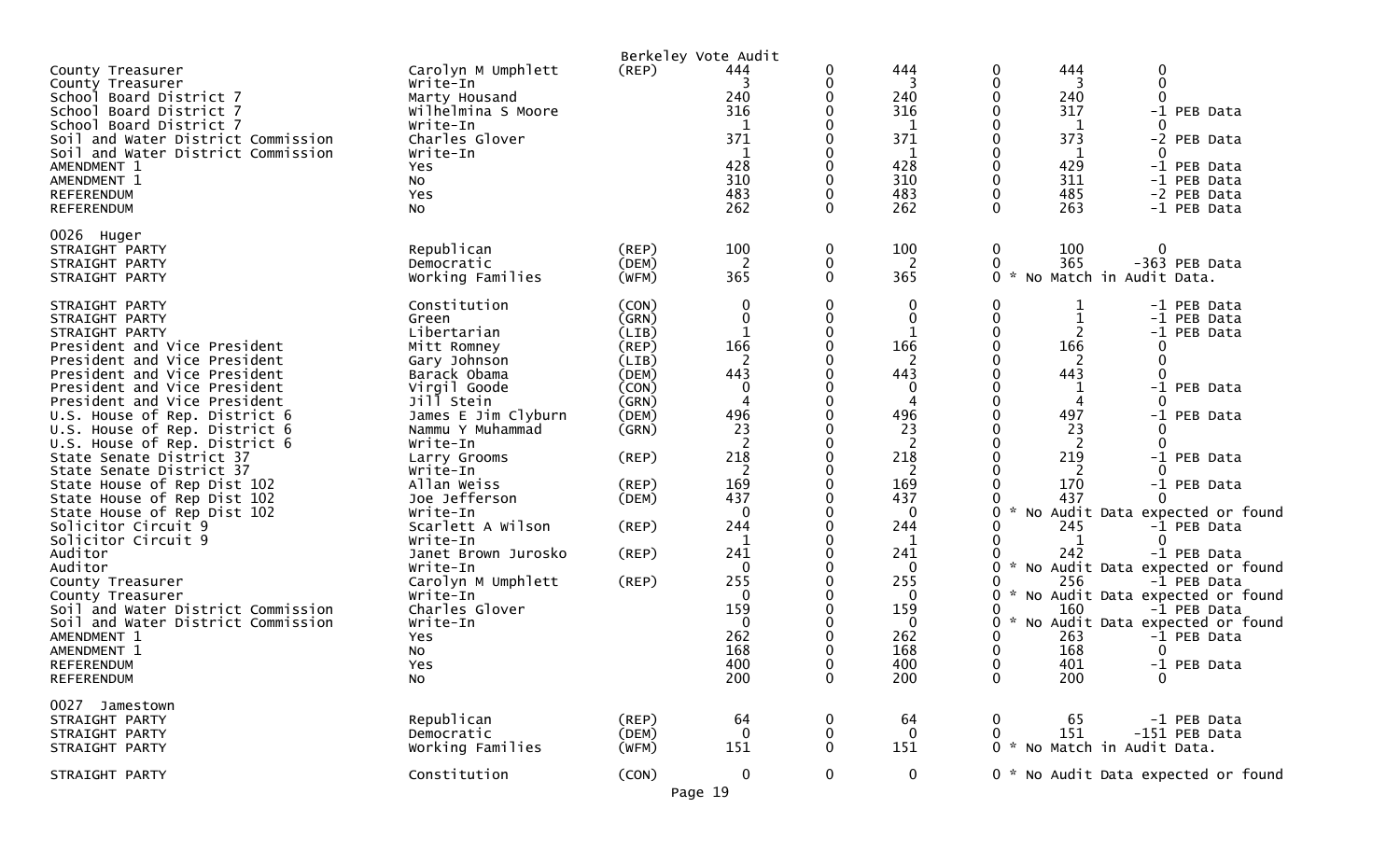|                                      |                                |       | Berkeley Vote Audit |              |              |                    |     |                                                |
|--------------------------------------|--------------------------------|-------|---------------------|--------------|--------------|--------------------|-----|------------------------------------------------|
| County Treasurer                     | Carolyn M Umphlett             | (REP) | 444                 | 0            | 444          | 0                  | 444 | 0                                              |
| County Treasurer                     | Write-In                       |       |                     | 0            | 3            | 0                  | 3   | $\Omega$                                       |
| School Board District 7              | Marty Housand                  |       | 240                 | 0            | 240          | 0                  | 240 |                                                |
| School Board District 7              | Wilhelmina S Moore             |       | 316                 | 0            | 316          | 0                  | 317 | -1 PEB Data                                    |
| School Board District 7              | Write-In                       |       | 1                   | 0            | 1            | 0                  | 1   | 0                                              |
| Soil and Water District Commission   | Charles Glover                 |       | 371                 |              | 371          | 0                  | 373 | -2 PEB Data                                    |
| Soil and Water District Commission   | Write-In                       |       | 1                   |              | $\mathbf{1}$ | 0                  | 1   | 0                                              |
| AMENDMENT 1                          | Yes                            |       | 428                 | 0            | 428          | 0                  | 429 | -1 PEB Data                                    |
| AMENDMENT 1                          | No                             |       | 310                 |              | 310          | 0                  | 311 | -1 PEB Data                                    |
| <b>REFERENDUM</b>                    | Yes                            |       | 483                 | 0            | 483          | 0                  | 485 | -2 PEB Data                                    |
| REFERENDUM                           | No                             |       | 262                 | 0            | 262          | $\mathbf{0}$       | 263 | -1 PEB Data                                    |
| 0026 Huger                           |                                |       |                     |              |              |                    |     |                                                |
| STRAIGHT PARTY                       | Republican                     | (REP) | 100                 | 0            | 100          | 0                  | 100 | $\mathbf 0$                                    |
| STRAIGHT PARTY                       | Democratic                     | (DEM) | 2                   | 0            | 2            | $\mathbf{0}$       | 365 | -363 PEB Data                                  |
| STRAIGHT PARTY                       | Working Families               | (WFM) | 365                 | $\mathbf{0}$ | 365          | $\mathbf{0}$<br>*  |     | No Match in Audit Data.                        |
|                                      |                                |       |                     |              |              |                    |     |                                                |
| STRAIGHT PARTY                       | Constitution                   | (CON) | 0                   | 0            | 0            | 0                  | 1   | -1 PEB Data                                    |
| STRAIGHT PARTY                       | Green                          | (GRN) | 0                   | 0            | 0            | $\mathbf{0}$       |     | -1 PEB Data                                    |
| STRAIGHT PARTY                       | Libertarian                    | (LIB) | 1                   | 0            | 1            | 0                  | 2   | -1 PEB Data                                    |
| President and Vice President         | Mitt Romney                    | (REP) | 166                 | 0            | 166          | $\Omega$           | 166 |                                                |
| President and Vice President         | Gary Johnson                   | (LIB) | 2                   | 0            | 2            | 0                  | 2   | 0                                              |
| President and Vice President         | Barack Obama                   | (DEM) | 443                 |              | 443          |                    | 443 | $\Omega$                                       |
| President and Vice President         | Virgil Goode                   | (CON) | 0                   | 0            | 0            | 0                  |     | $-1$<br>PEB Data                               |
| President and Vice President         | Jill Stein                     | (GRN) | 4                   | 0            | 4            | 0                  | 4   | 0                                              |
| U.S. House of Rep. District 6        | James E Jim Clyburn            | (DEM) | 496                 |              | 496          |                    | 497 | $-1$<br>PEB Data                               |
| U.S. House of Rep. District 6        | Nammu Y Muhammad               | (GRN) | 23                  | 0            | 23           | 0                  | 23  |                                                |
| U.S. House of Rep. District 6        | Write-In                       |       | 2                   | 0            | 2            | 0                  | 2   | 0                                              |
| State Senate District 37             | Larry Grooms                   | (REP) | 218                 | 0            | 218          | 0                  | 219 | $-1$<br>PEB Data                               |
| State Senate District 37             | Write-In                       |       | 2                   | 0            | 2            | 0                  | 2   |                                                |
| State House of Rep Dist 102          | Allan Weiss                    | (REP) | 169                 | 0            | 169          |                    | 170 | -1 PEB Data                                    |
| State House of Rep Dist 102          | Joe Jefferson                  | (DEM) | 437                 |              | 437          |                    | 437 |                                                |
| State House of Rep Dist 102          | Write-In                       |       | $\mathbf{0}$        | 0            | 0            | 0                  |     | No Audit Data expected or found                |
| Solicitor Circuit 9                  | Scarlett A Wilson              | (REP) | 244                 | 0            | 244          | 0                  | 245 | -1 PEB Data                                    |
| Solicitor Circuit 9                  | Write-In                       |       | 1                   | 0<br>0       | 1            | 0<br>0             | -1  | 0                                              |
| Auditor                              | Janet Brown Jurosko            | (REP) | 241                 | 0            | 241<br>0     |                    | 242 | -1 PEB Data                                    |
| Auditor                              | Write-In                       | (REP) | 0<br>255            | 0            | 255          | 0                  | 256 | No Audit Data expected or found<br>-1 PEB Data |
| County Treasurer<br>County Treasurer | Carolyn M Umphlett<br>Write-In |       | 0                   |              | 0            | $\mathbf{x}$<br>0  |     | No Audit Data expected or found                |
| Soil and Water District Commission   | Charles Glover                 |       | 159                 | 0            | 159          | 0                  | 160 | -1 PEB Data                                    |
| Soil and Water District Commission   | Write-In                       |       | 0                   |              | 0            | 0                  |     | No Audit Data expected or found                |
| AMENDMENT 1                          | Yes                            |       | 262                 | ∩            | 262          | 0                  | 263 | -1 PEB Data                                    |
| AMENDMENT 1                          | No                             |       | 168                 |              | 168          | 0                  | 168 | 0                                              |
| <b>REFERENDUM</b>                    | Yes                            |       | 400                 | 0            | 400          | 0                  | 401 | -1 PEB Data                                    |
| <b>REFERENDUM</b>                    | No                             |       | 200                 | $\bf{0}$     | 200          | 0                  | 200 | $\bf{0}$                                       |
|                                      |                                |       |                     |              |              |                    |     |                                                |
| 0027 Jamestown                       |                                |       |                     |              |              |                    |     |                                                |
| STRAIGHT PARTY                       | Republican                     | (REP) | 64                  | 0            | 64           | 0                  | 65  | -1 PEB Data                                    |
| STRAIGHT PARTY                       | Democratic                     | (DEM) | 0                   | 0            | $\mathbf 0$  | 0                  | 151 | -151 PEB Data                                  |
| STRAIGHT PARTY                       | Working Families               | (WFM) | 151                 | 0            | 151          | 0<br>$\mathcal{H}$ |     | No Match in Audit Data.                        |
| STRAIGHT PARTY                       | Constitution                   | (CON) | $\mathbf 0$         | 0            | $\mathbf 0$  |                    |     | 0 * No Audit Data expected or found            |
|                                      |                                |       | Page 19             |              |              |                    |     |                                                |
|                                      |                                |       |                     |              |              |                    |     |                                                |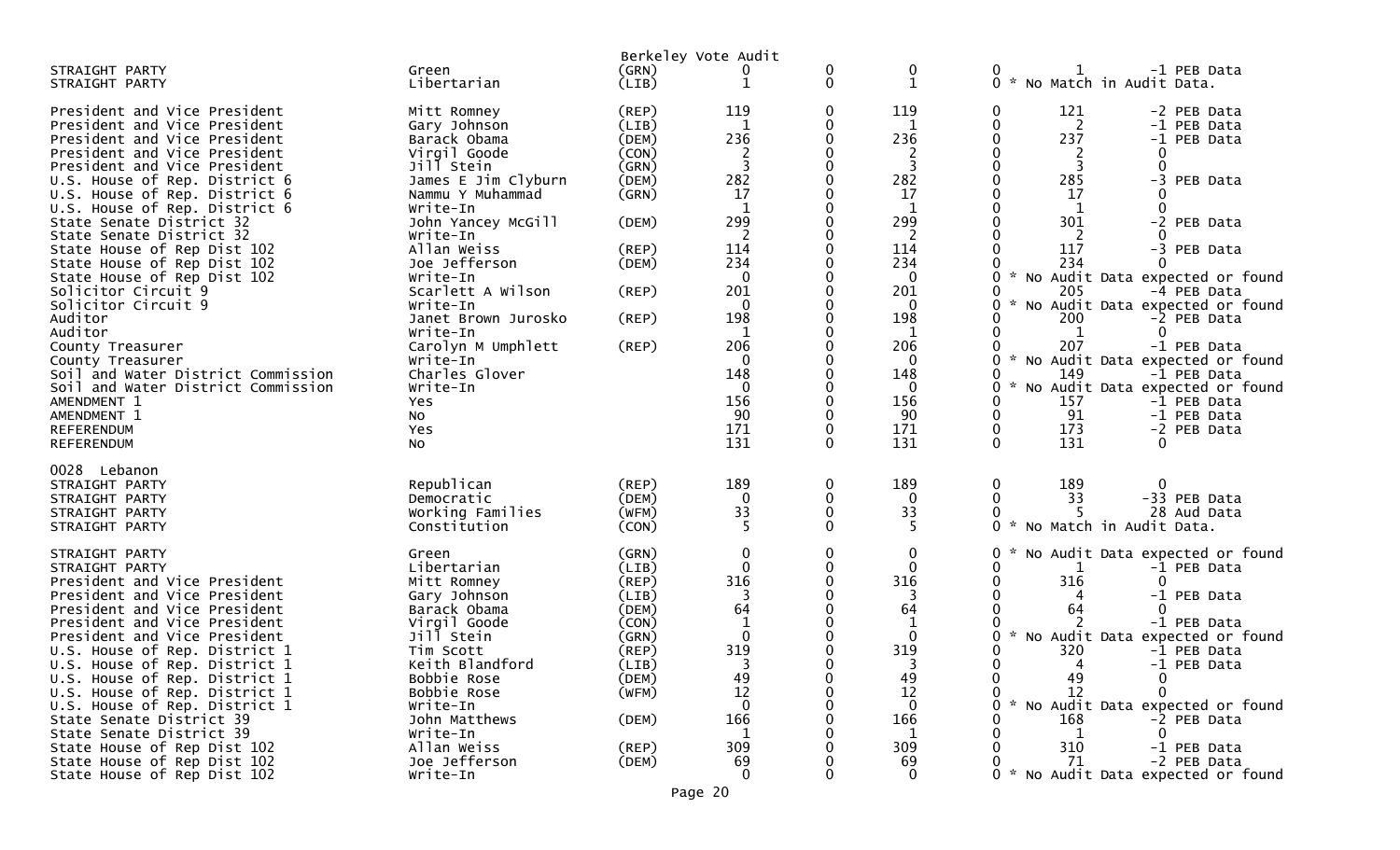|                                                                                                                                                                                                                                                                                                                                                                                                                                                                                                                                                                                                                                                          |                                                                                                                                                                                                                                                                                                                                                                                          |                                                                                                                               | Berkeley Vote Audit                                                                                                                                          |                  |                                                                                                                                                                                  |                                                                                                                                                                                                                                                                                                                                                                                                                                                                                                                                                                                  |
|----------------------------------------------------------------------------------------------------------------------------------------------------------------------------------------------------------------------------------------------------------------------------------------------------------------------------------------------------------------------------------------------------------------------------------------------------------------------------------------------------------------------------------------------------------------------------------------------------------------------------------------------------------|------------------------------------------------------------------------------------------------------------------------------------------------------------------------------------------------------------------------------------------------------------------------------------------------------------------------------------------------------------------------------------------|-------------------------------------------------------------------------------------------------------------------------------|--------------------------------------------------------------------------------------------------------------------------------------------------------------|------------------|----------------------------------------------------------------------------------------------------------------------------------------------------------------------------------|----------------------------------------------------------------------------------------------------------------------------------------------------------------------------------------------------------------------------------------------------------------------------------------------------------------------------------------------------------------------------------------------------------------------------------------------------------------------------------------------------------------------------------------------------------------------------------|
| STRAIGHT PARTY<br>STRAIGHT PARTY                                                                                                                                                                                                                                                                                                                                                                                                                                                                                                                                                                                                                         | Green<br>Libertarian                                                                                                                                                                                                                                                                                                                                                                     | (GRN)<br>(LIB)                                                                                                                | 1                                                                                                                                                            | 0<br>0           | 0<br>$\mathbf{1}$                                                                                                                                                                | -1 PEB Data<br>0<br>0 * No Match in Audit Data.                                                                                                                                                                                                                                                                                                                                                                                                                                                                                                                                  |
| President and Vice President<br>President and Vice President<br>President and Vice President<br>President and Vice President<br>President and Vice President<br>U.S. House of Rep. District 6<br>U.S. House of Rep. District 6<br>U.S. House of Rep. District 6<br>State Senate District 32<br>State Senate District 32<br>State House of Rep Dist 102<br>State House of Rep Dist 102<br>State House of Rep Dist 102<br>Solicitor Circuit 9<br>Solicitor Circuit 9<br>Auditor<br>Auditor<br>County Treasurer<br>County Treasurer<br>Soil and Water District Commission<br>Soil and Water District Commission<br>AMENDMENT 1<br>AMENDMENT 1<br>REFERENDUM | Mitt Romney<br>Gary Johnson<br>Barack Obama<br>Virgil Goode<br>Jill Stein<br>James E Jim Clyburn<br>Nammu Y Muhammad<br>Write-In<br>John Yancey McGill<br>Write-In<br>Allan Weiss<br>Joe Jefferson<br>Write-In<br>Scarlett A Wilson<br>Write-In<br>Janet Brown Jurosko<br>Write-In<br>Carolyn M Umphlett<br>Write-In<br>Charles Glover<br>Write-In<br>Yes<br>No<br>Yes<br>N <sub>O</sub> | (REP)<br>(LIB)<br>(DEM)<br>(CON)<br>(GRN)<br>(DEM)<br>(GRN)<br>(DEM)<br>(REP)<br>(DEM)<br>$($ REP $)$<br>(REP)<br>$($ REP $)$ | 119<br>1<br>236<br>2<br>3<br>282<br>17<br>1<br>299<br>2<br>114<br>234<br>0<br>201<br>0<br>198<br>1<br>206<br>$\Omega$<br>148<br>0<br>156<br>90<br>171<br>131 | 0<br>0<br>0<br>0 | 119<br>1<br>236<br>2<br>$\overline{3}$<br>282<br>17<br>1<br>299<br>2<br>114<br>234<br>$\Omega$<br>201<br>0<br>198<br>1<br>206<br>$\Omega$<br>148<br>0<br>156<br>90<br>171<br>131 | 121<br>0<br>-2 PEB Data<br>0<br>2<br>-1 PEB Data<br>237<br>0<br>-1 PEB Data<br>0<br>$\Omega$<br>3<br>285<br>$-3$<br>PEB Data<br>17<br>0<br>$\Omega$<br>1<br>301<br>-2 PEB Data<br>2<br>117<br>-3 PEB Data<br>234<br>No Audit Data expected or found<br>0<br>205<br>-4 PEB Data<br>No Audit Data expected or found<br>200<br>-2 PEB Data<br>0<br>1<br>0<br>207<br>-1 PEB Data<br>No Audit Data expected or found<br>U<br>149<br>-1 PEB Data<br>No Audit Data expected or found<br>157<br>-1 PEB Data<br>91<br>0<br>-1 PEB Data<br>0<br>173<br>-2 PEB Data<br>131<br>$\Omega$<br>0 |
| <b>REFERENDUM</b><br>0028 Lebanon<br>STRAIGHT PARTY<br>STRAIGHT PARTY<br>STRAIGHT PARTY<br>STRAIGHT PARTY                                                                                                                                                                                                                                                                                                                                                                                                                                                                                                                                                | Republican<br>Democratic<br>Working Families<br>Constitution                                                                                                                                                                                                                                                                                                                             | (REP)<br>(DEM)<br>(WFM)<br>(CON)                                                                                              | 189<br>$\mathbf{0}$<br>33<br>-5                                                                                                                              | 0<br>0<br>0<br>0 | 189<br>$\mathbf 0$<br>33<br>-5                                                                                                                                                   | 189<br>0<br>0<br>0<br>33<br>-33 PEB Data<br>28 Aud Data<br>No Match in Audit Data.<br>0<br>$\mathcal{H}$                                                                                                                                                                                                                                                                                                                                                                                                                                                                         |
| STRAIGHT PARTY<br>STRAIGHT PARTY<br>President and Vice President<br>President and Vice President<br>President and Vice President<br>President and Vice President<br>President and Vice President<br>U.S. House of Rep. District 1<br>U.S. House of Rep. District 1<br>U.S. House of Rep. District 1<br>U.S. House of Rep. District 1<br>U.S. House of Rep. District 1<br>State Senate District 39<br>State Senate District 39<br>State House of Rep Dist 102<br>State House of Rep Dist 102<br>State House of Rep Dist 102                                                                                                                               | Green<br>Libertarian<br>Mitt Romney<br>Gary Johnson<br>Barack Obama<br>Virgil Goode<br>Jill Stein<br>Tim Scott<br>Keith Blandford<br>Bobbie Rose<br>Bobbie Rose<br>Write-In<br>John Matthews<br>Write-In<br>Allan Weiss<br>Joe Jefferson<br>Write-In                                                                                                                                     | (GRN)<br>(LIB)<br>(REP)<br>(LIB)<br>(DEM)<br>(CON)<br>(GRN)<br>(REP)<br>(LIB)<br>(DEM)<br>(WFM)<br>(DEM)<br>(REP)<br>(DEM)    | 0<br>$\Omega$<br>316<br>64<br>$\Omega$<br>319<br>49<br>12<br>$\Omega$<br>166<br>1<br>309<br>69<br>$\Omega$                                                   | 0<br>0           | $\mathbf 0$<br>$\Omega$<br>316<br>3<br>64<br>$\mathbf{0}$<br>319<br>49<br>12<br>$\mathbf 0$<br>166<br>1<br>309<br>69<br>$\overline{0}$                                           | No Audit Data expected or found<br>0<br>-1 PEB Data<br>0<br>316<br>0<br>-1 PEB Data<br>64<br>-1 PEB Data<br>$\mathcal{H}$<br>U<br>No Audit Data expected or found<br>320<br>0<br>-1 PEB Data<br>0<br>-1 PEB Data<br>$\Lambda$<br>49<br>0<br>0<br>12<br>$\Omega$<br>$\mathcal{H}$<br>No Audit Data expected or found<br>U<br>168<br>-2 PEB Data<br>1<br>0<br>310<br>-1 PEB Data<br>71<br>-2 PEB Data<br>* No Audit Data expected or found                                                                                                                                         |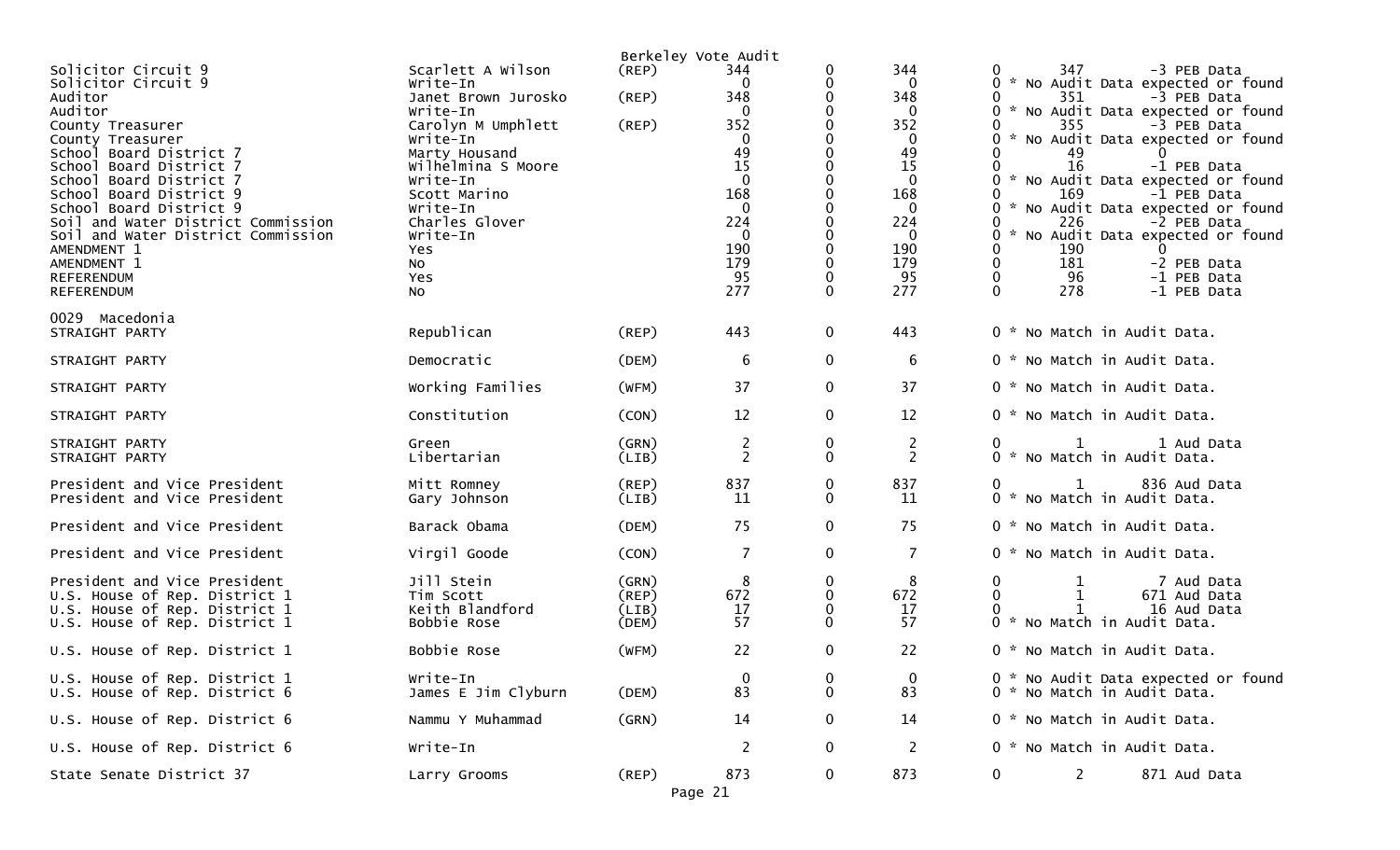|                                                                                                                                                                                                                                                                                                                                                                                       |                                                                                                                                                                                                                                             |                                  | Berkeley Vote Audit                                                                                                                   |                         |                                                                                                                                         |                                                                                                                                                                                                                                                                                                                                                                                                                                                       |
|---------------------------------------------------------------------------------------------------------------------------------------------------------------------------------------------------------------------------------------------------------------------------------------------------------------------------------------------------------------------------------------|---------------------------------------------------------------------------------------------------------------------------------------------------------------------------------------------------------------------------------------------|----------------------------------|---------------------------------------------------------------------------------------------------------------------------------------|-------------------------|-----------------------------------------------------------------------------------------------------------------------------------------|-------------------------------------------------------------------------------------------------------------------------------------------------------------------------------------------------------------------------------------------------------------------------------------------------------------------------------------------------------------------------------------------------------------------------------------------------------|
| Solicitor Circuit 9<br>Solicitor Circuit 9<br>Auditor<br>Auditor<br>County Treasurer<br>County Treasurer<br>School Board District 7<br>School Board District 7<br>School Board District 7<br>School Board District 9<br>School Board District 9<br>Soil and Water District Commission<br>Soil and Water District Commission<br>AMENDMENT 1<br>AMENDMENT 1<br>REFERENDUM<br>REFERENDUM | Scarlett A Wilson<br>Write-In<br>Janet Brown Jurosko<br>Write-In<br>Carolyn M Umphlett<br>Write-In<br>Marty Housand<br>Wilhelmina S Moore<br>Write-In<br>Scott Marino<br>Write-In<br>Charles Glover<br>Write-In<br>Yes<br>NO.<br>Yes<br>NO. | (REP)<br>(REP)<br>(REP)          | 344<br>0<br>348<br>0<br>352<br>$\mathbf{0}$<br>49<br>15<br>$\mathbf{0}$<br>168<br>0<br>224<br>$\mathbf{0}$<br>190<br>179<br>95<br>277 | 0<br>0<br>0             | 344<br>0<br>348<br>$\Omega$<br>352<br>$\bf{0}$<br>49<br>15<br>$\Omega$<br>168<br>$\Omega$<br>224<br>$\bf{0}$<br>190<br>179<br>95<br>277 | 347<br>-3 PEB Data<br>* No Audit Data expected or found<br>351<br>-3 PEB Data<br>* No Audit Data expected or found<br>355<br>-3 PEB Data<br>* No Audit Data expected or found<br>49<br>16<br>-1 PEB Data<br>* No Audit Data expected or found<br>169<br>-1 PEB Data<br>* No Audit Data expected or found<br>226<br>-2 PEB Data<br>No Audit Data expected or found<br>190<br>181<br>-2 PEB Data<br>96<br>-1 PEB Data<br>$\Omega$<br>278<br>-1 PEB Data |
| 0029 Macedonia<br>STRAIGHT PARTY                                                                                                                                                                                                                                                                                                                                                      | Republican                                                                                                                                                                                                                                  | (REP)                            | 443                                                                                                                                   | $\mathbf 0$             | 443                                                                                                                                     | 0 * No Match in Audit Data.                                                                                                                                                                                                                                                                                                                                                                                                                           |
| STRAIGHT PARTY                                                                                                                                                                                                                                                                                                                                                                        | Democratic                                                                                                                                                                                                                                  | (DEM)                            | 6                                                                                                                                     | $\mathbf 0$             | 6                                                                                                                                       | 0 * No Match in Audit Data.                                                                                                                                                                                                                                                                                                                                                                                                                           |
| STRAIGHT PARTY                                                                                                                                                                                                                                                                                                                                                                        | Working Families                                                                                                                                                                                                                            | (WFM)                            | 37                                                                                                                                    | $\mathbf 0$             | 37                                                                                                                                      | 0 * No Match in Audit Data.                                                                                                                                                                                                                                                                                                                                                                                                                           |
| STRAIGHT PARTY                                                                                                                                                                                                                                                                                                                                                                        | Constitution                                                                                                                                                                                                                                | (CON)                            | 12                                                                                                                                    | 0                       | 12                                                                                                                                      | 0 * No Match in Audit Data.                                                                                                                                                                                                                                                                                                                                                                                                                           |
| STRAIGHT PARTY<br>STRAIGHT PARTY                                                                                                                                                                                                                                                                                                                                                      | Green<br>Libertarian                                                                                                                                                                                                                        | (GRN)<br>(LIB)                   | 2<br>$\overline{2}$                                                                                                                   | 0<br>$\mathbf{0}$       | $\overline{c}$<br>$\overline{2}$                                                                                                        | $\mathbf 1$<br>1 Aud Data<br>$\Omega$<br>0 * No Match in Audit Data.                                                                                                                                                                                                                                                                                                                                                                                  |
| President and Vice President<br>President and Vice President                                                                                                                                                                                                                                                                                                                          | Mitt Romney<br>Gary Johnson                                                                                                                                                                                                                 | (REP)<br>(LIB)                   | 837<br>11                                                                                                                             | 0<br>$\mathbf{0}$       | 837<br>11                                                                                                                               | 836 Aud Data<br>$\mathbf{0}$<br>$\mathbf{1}$<br>0 * No Match in Audit Data.                                                                                                                                                                                                                                                                                                                                                                           |
| President and Vice President                                                                                                                                                                                                                                                                                                                                                          | Barack Obama                                                                                                                                                                                                                                | (DEM)                            | 75                                                                                                                                    | $\mathbf 0$             | 75                                                                                                                                      | 0 * No Match in Audit Data.                                                                                                                                                                                                                                                                                                                                                                                                                           |
| President and Vice President                                                                                                                                                                                                                                                                                                                                                          | Virgil Goode                                                                                                                                                                                                                                | (CON)                            | $\overline{7}$                                                                                                                        | $\mathbf 0$             | $\overline{7}$                                                                                                                          | 0 * No Match in Audit Data.                                                                                                                                                                                                                                                                                                                                                                                                                           |
| President and Vice President<br>U.S. House of Rep. District 1<br>U.S. House of Rep. District 1<br>U.S. House of Rep. District 1                                                                                                                                                                                                                                                       | Jill Stein<br>Tim Scott<br>Keith Blandford<br>Bobbie Rose                                                                                                                                                                                   | (GRN)<br>(REP)<br>(LIB)<br>(DEM) | 8<br>672<br>17<br>57                                                                                                                  | 0<br>0<br>0<br>$\Omega$ | 8<br>672<br>17<br>57                                                                                                                    | 0<br>7 Aud Data<br>671 Aud Data<br>16 Aud Data<br>0 * No Match in Audit Data.                                                                                                                                                                                                                                                                                                                                                                         |
| U.S. House of Rep. District 1                                                                                                                                                                                                                                                                                                                                                         | Bobbie Rose                                                                                                                                                                                                                                 | (WFM)                            | 22                                                                                                                                    | $\mathbf 0$             | 22                                                                                                                                      | 0 * No Match in Audit Data.                                                                                                                                                                                                                                                                                                                                                                                                                           |
| U.S. House of Rep. District 1<br>U.S. House of Rep. District 6                                                                                                                                                                                                                                                                                                                        | Write-In<br>James E Jim Clyburn                                                                                                                                                                                                             | (DEM)                            | $\mathbf 0$<br>83                                                                                                                     | 0<br>0                  | 0<br>83                                                                                                                                 | 0 * No Audit Data expected or found<br>0 * No Match in Audit Data.                                                                                                                                                                                                                                                                                                                                                                                    |
| U.S. House of Rep. District 6                                                                                                                                                                                                                                                                                                                                                         | Nammu Y Muhammad                                                                                                                                                                                                                            | (GRN)                            | 14                                                                                                                                    | 0                       | 14                                                                                                                                      | 0 * No Match in Audit Data.                                                                                                                                                                                                                                                                                                                                                                                                                           |
| U.S. House of Rep. District 6                                                                                                                                                                                                                                                                                                                                                         | Write-In                                                                                                                                                                                                                                    |                                  | $\overline{c}$                                                                                                                        | $\mathbf 0$             | $\overline{2}$                                                                                                                          | 0 * No Match in Audit Data.                                                                                                                                                                                                                                                                                                                                                                                                                           |
| State Senate District 37                                                                                                                                                                                                                                                                                                                                                              | Larry Grooms                                                                                                                                                                                                                                | (REP)                            | 873<br>Page 21                                                                                                                        | 0                       | 873                                                                                                                                     | $\mathbf{2}$<br>$\bf{0}$<br>871 Aud Data                                                                                                                                                                                                                                                                                                                                                                                                              |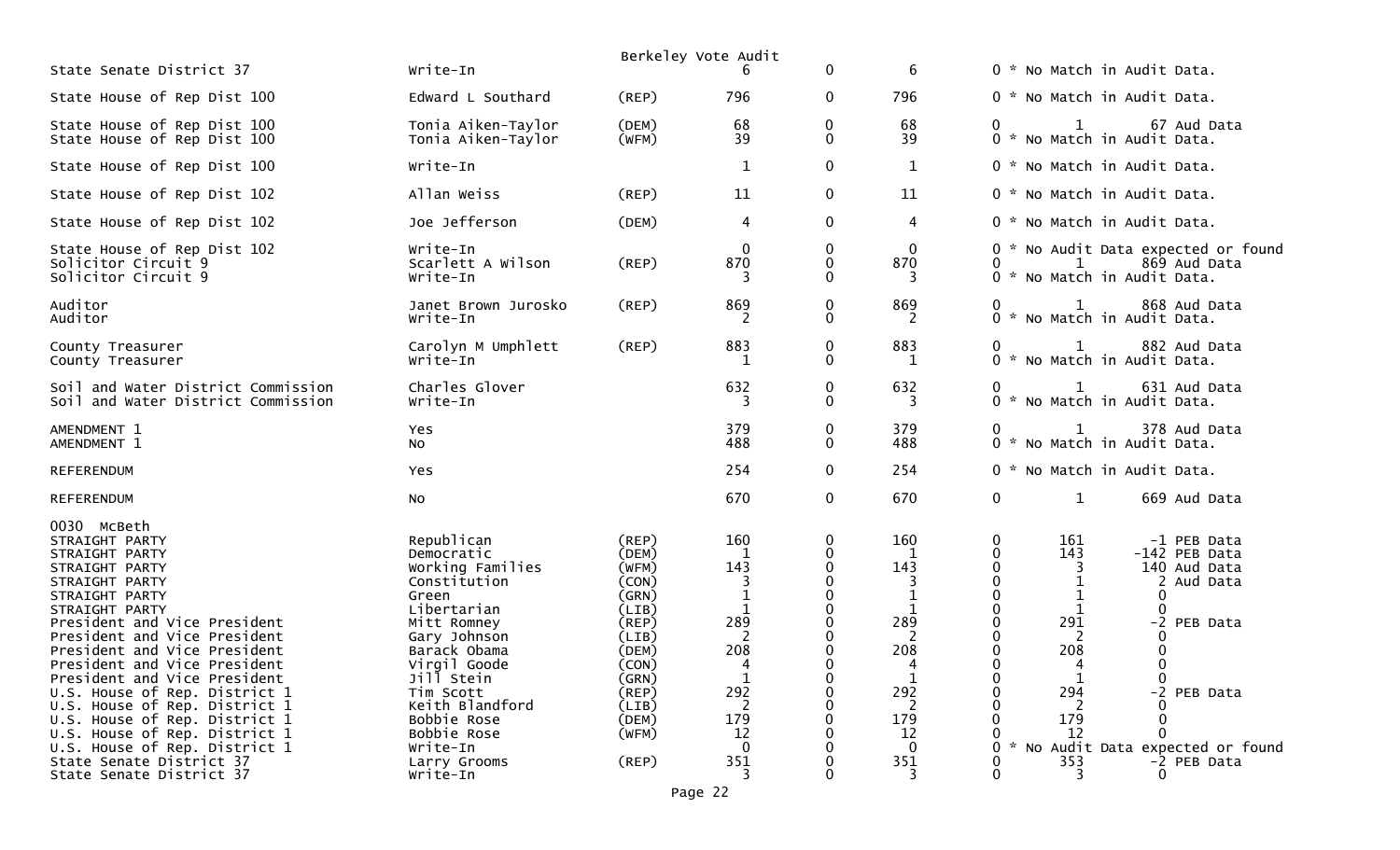|                                                                                                                                                                                                                                                                                                                                                                                                                             |                                                                                                                                                                                                                                 |                                                                                                                                           | Berkeley Vote Audit                                                                  |              |                                                                                      |                                                                                                                 |                                                                                                         |
|-----------------------------------------------------------------------------------------------------------------------------------------------------------------------------------------------------------------------------------------------------------------------------------------------------------------------------------------------------------------------------------------------------------------------------|---------------------------------------------------------------------------------------------------------------------------------------------------------------------------------------------------------------------------------|-------------------------------------------------------------------------------------------------------------------------------------------|--------------------------------------------------------------------------------------|--------------|--------------------------------------------------------------------------------------|-----------------------------------------------------------------------------------------------------------------|---------------------------------------------------------------------------------------------------------|
| State Senate District 37                                                                                                                                                                                                                                                                                                                                                                                                    | Write-In                                                                                                                                                                                                                        |                                                                                                                                           |                                                                                      | $\mathbf 0$  | 6                                                                                    | 0 * No Match in Audit Data.                                                                                     |                                                                                                         |
| State House of Rep Dist 100                                                                                                                                                                                                                                                                                                                                                                                                 | Edward L Southard                                                                                                                                                                                                               | (REP)                                                                                                                                     | 796                                                                                  | $\mathbf{0}$ | 796                                                                                  | 0 * No Match in Audit Data.                                                                                     |                                                                                                         |
| State House of Rep Dist 100<br>State House of Rep Dist 100                                                                                                                                                                                                                                                                                                                                                                  | Tonia Aiken-Taylor<br>Tonia Aiken-Taylor                                                                                                                                                                                        | (DEM)<br>(WFM)                                                                                                                            | 68<br>39                                                                             | 0<br>0       | 68<br>39                                                                             | 1<br>0 * No Match in Audit Data.                                                                                | 67 Aud Data                                                                                             |
| State House of Rep Dist 100                                                                                                                                                                                                                                                                                                                                                                                                 | Write-In                                                                                                                                                                                                                        |                                                                                                                                           | $\mathbf{1}$                                                                         | $\pmb{0}$    | 1                                                                                    | 0 * No Match in Audit Data.                                                                                     |                                                                                                         |
| State House of Rep Dist 102                                                                                                                                                                                                                                                                                                                                                                                                 | Allan Weiss                                                                                                                                                                                                                     | (REP)                                                                                                                                     | 11                                                                                   | $\mathbf{0}$ | 11                                                                                   | 0 * No Match in Audit Data.                                                                                     |                                                                                                         |
| State House of Rep Dist 102                                                                                                                                                                                                                                                                                                                                                                                                 | Joe Jefferson                                                                                                                                                                                                                   | (DEM)                                                                                                                                     | 4                                                                                    | 0            | 4                                                                                    | 0 * No Match in Audit Data.                                                                                     |                                                                                                         |
| State House of Rep Dist 102<br>Solicitor Circuit 9<br>Solicitor Circuit 9                                                                                                                                                                                                                                                                                                                                                   | Write-In<br>Scarlett A Wilson<br>Write-In                                                                                                                                                                                       | (REP)                                                                                                                                     | $\mathbf{0}$<br>870                                                                  | 0<br>0<br>0  | $\mathbf 0$<br>870                                                                   | 1<br>0<br>0 * No Match in Audit Data.                                                                           | 0 * No Audit Data expected or found<br>869 Aud Data                                                     |
| Auditor<br>Auditor                                                                                                                                                                                                                                                                                                                                                                                                          | Janet Brown Jurosko<br>Write-In                                                                                                                                                                                                 | (REP)                                                                                                                                     | 869<br>2                                                                             | 0<br>0       | 869<br>2                                                                             | 0<br>$\mathbf{1}$<br>0 * No Match in Audit Data.                                                                | 868 Aud Data                                                                                            |
| County Treasurer<br>County Treasurer                                                                                                                                                                                                                                                                                                                                                                                        | Carolyn M Umphlett<br>Write-In                                                                                                                                                                                                  | (REP)                                                                                                                                     | 883<br>-1                                                                            | 0<br>0       | 883<br>-1                                                                            | $\mathbf{1}$<br>0<br>0 * No Match in Audit Data.                                                                | 882 Aud Data                                                                                            |
| Soil and Water District Commission<br>Soil and Water District Commission                                                                                                                                                                                                                                                                                                                                                    | Charles Glover<br>Write-In                                                                                                                                                                                                      |                                                                                                                                           | 632<br>3                                                                             | 0<br>0       | 632<br>3                                                                             | 0<br>1<br>0 * No Match in Audit Data.                                                                           | 631 Aud Data                                                                                            |
| AMENDMENT 1<br>AMENDMENT 1                                                                                                                                                                                                                                                                                                                                                                                                  | Yes<br><b>NO</b>                                                                                                                                                                                                                |                                                                                                                                           | 379<br>488                                                                           | 0<br>0       | 379<br>488                                                                           | $\mathbf{1}$<br>0 * No Match in Audit Data.                                                                     | 378 Aud Data                                                                                            |
| <b>REFERENDUM</b>                                                                                                                                                                                                                                                                                                                                                                                                           | Yes                                                                                                                                                                                                                             |                                                                                                                                           | 254                                                                                  | $\mathbf{0}$ | 254                                                                                  | 0 * No Match in Audit Data.                                                                                     |                                                                                                         |
| <b>REFERENDUM</b>                                                                                                                                                                                                                                                                                                                                                                                                           | No                                                                                                                                                                                                                              |                                                                                                                                           | 670                                                                                  | $\mathbf 0$  | 670                                                                                  | 0<br>$\mathbf{1}$                                                                                               | 669 Aud Data                                                                                            |
| 0030 McBeth<br>STRAIGHT PARTY<br>STRAIGHT PARTY<br>STRAIGHT PARTY<br>STRAIGHT PARTY<br>STRAIGHT PARTY<br>STRAIGHT PARTY<br>President and Vice President<br>President and Vice President<br>President and Vice President<br>President and Vice President<br>President and Vice President<br>U.S. House of Rep. District 1<br>U.S. House of Rep. District 1<br>U.S. House of Rep. District 1<br>U.S. House of Rep. District 1 | Republican<br>Democratic<br>Working Families<br>Constitution<br>Green<br>Libertarian<br>Mitt Romney<br>Gary Johnson<br>Barack Obama<br>Virgil Goode<br>Jill Stein<br>Tim Scott<br>Keith Blandford<br>Bobbie Rose<br>Bobbie Rose | (REP)<br>(DEM)<br>(WFM)<br>(CON)<br>(GRN)<br>(LIB)<br>$($ REP $)$<br>(LIB)<br>(DEM)<br>(CON)<br>(GRN)<br>(REP)<br>(LIB)<br>(DEM)<br>(WFM) | 160<br>1<br>143<br>3<br>$\mathbf 1$<br>1<br>289<br>2<br>208<br>4<br>292<br>179<br>12 | 0<br>0<br>0  | 160<br>1<br>143<br>3<br>$\mathbf 1$<br>1<br>289<br>208<br>4<br>292<br>2<br>179<br>12 | 0<br>161<br>$\mathbf 0$<br>143<br>0<br>3<br>$\Omega$<br>0<br>0<br>1<br>291<br>208<br>4<br>294<br>0<br>179<br>12 | -1 PEB Data<br>-142 PEB Data<br>140 Aud Data<br>2 Aud Data<br>0<br>-2 PEB Data<br>0<br>-2 PEB Data<br>∩ |
| U.S. House of Rep. District 1<br>State Senate District 37<br>State Senate District 37                                                                                                                                                                                                                                                                                                                                       | Write-In<br>Larry Grooms<br>Write-In                                                                                                                                                                                            | (REP)                                                                                                                                     | $\mathbf{0}$<br>351<br>3                                                             |              | $\mathbf 0$<br>351                                                                   | 0<br>353<br>3                                                                                                   | No Audit Data expected or found<br>-2 PEB Data<br>0                                                     |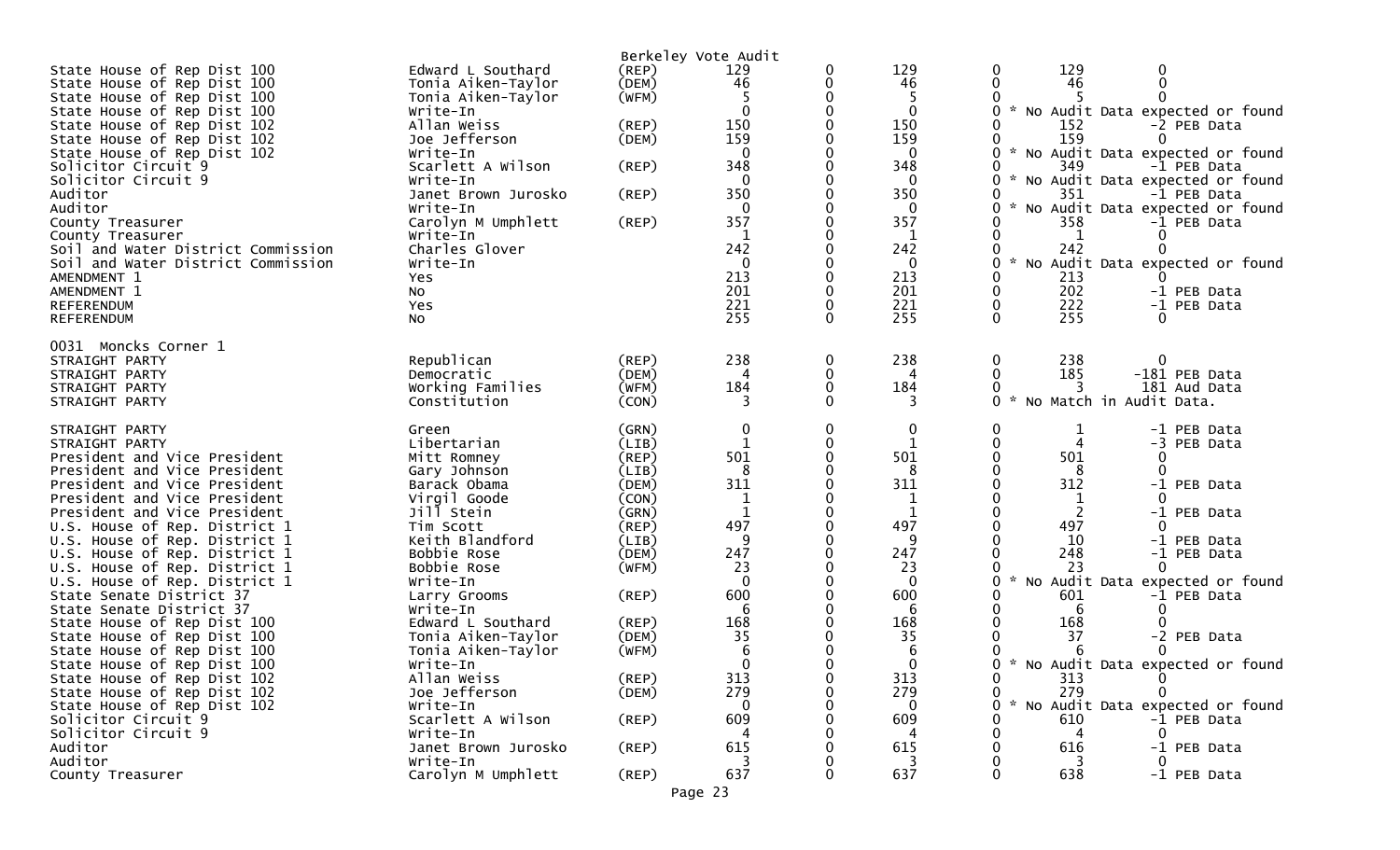|                                                              |                                |                | Berkeley Vote Audit |          |                    |                                                         |
|--------------------------------------------------------------|--------------------------------|----------------|---------------------|----------|--------------------|---------------------------------------------------------|
| State House of Rep Dist 100                                  | Edward L Southard              | (REP)          | 129                 | 0        | 129                | 129<br>0<br>0                                           |
| State House of Rep Dist 100                                  | Tonia Aiken-Taylor             | (DEM)          | 46                  |          | 46                 | 46                                                      |
| State House of Rep Dist 100                                  | Tonia Aiken-Taylor             | (WFM)          | $\Omega$            |          |                    |                                                         |
| State House of Rep Dist 100<br>State House of Rep Dist 102   | Write-In<br>Allan Weiss        | (REP)          | 150                 |          | $\mathbf 0$<br>150 | * No Audit Data expected or found<br>152<br>-2 PEB Data |
| State House of Rep Dist 102                                  | Joe Jefferson                  | (DEM)          | 159                 |          | 159                | 159                                                     |
| State House of Rep Dist 102                                  | Write-In                       |                | $\Omega$            |          | $\mathbf 0$        | No Audit Data expected or found                         |
| Solicitor Circuit 9                                          | Scarlett A Wilson              | (REP)          | 348                 |          | 348                | 349<br>-1 PEB Data                                      |
| Solicitor Circuit 9                                          | Write-In                       |                | 0                   |          | $\bf{0}$           | No Audit Data expected or found<br>0<br><b>A</b>        |
| Auditor                                                      | Janet Brown Jurosko            | $($ REP $)$    | 350                 |          | 350                | 351<br>-1 PEB Data                                      |
| Auditor                                                      | Write-In                       |                |                     |          | 0                  | $\sim$<br>0<br>No Audit Data expected or found          |
| County Treasurer<br>County Treasurer                         | Carolyn M Umphlett<br>Write-In | (REP)          | 357<br>1            |          | 357<br>1           | 358<br>-1 PEB Data<br>1                                 |
| Soil and Water District Commission                           | Charles Glover                 |                | 242                 |          | 242                | 242                                                     |
| Soil and Water District Commission                           | Write-In                       |                | 0                   |          | 0                  | No Audit Data expected or found<br>0                    |
| AMENDMENT 1                                                  | Yes                            |                | 213                 |          | 213                | 213                                                     |
| AMENDMENT 1                                                  | NO.                            |                | 201                 |          | 201                | 202<br>0<br>-1 PEB Data                                 |
| REFERENDUM                                                   | Yes                            |                | 221                 |          | 221                | 222<br>0<br>-1 PEB Data                                 |
| REFERENDUM                                                   | <b>NO</b>                      |                | 255                 | $\Omega$ | 255                | 255<br>$\Omega$<br>∩                                    |
| 0031 Moncks Corner 1                                         |                                |                |                     |          |                    |                                                         |
| STRAIGHT PARTY                                               | Republican                     | $($ REP $)$    | 238                 | 0        | 238                | 0<br>238<br>$\Omega$                                    |
| STRAIGHT PARTY                                               | Democratic                     | (DEM)          |                     |          |                    | 185<br>$\Omega$<br>-181 PEB Data                        |
| STRAIGHT PARTY                                               | Working Families               | (WFM)          | 184                 | 0        | 184                | 181 Aud Data<br>3<br>$\sim$                             |
| STRAIGHT PARTY                                               | Constitution                   | (CON)          | 3                   |          | 3                  | No Match in Audit Data.<br>0                            |
| STRAIGHT PARTY                                               | Green                          | (GRN)          | $\mathbf 0$         | 0        | 0                  | 0<br>1<br>-1 PEB Data                                   |
| STRAIGHT PARTY                                               | Libertarian                    | (LIB)          |                     |          | 1                  | $\mathbf{0}$<br>-3 PEB Data                             |
| President and Vice President                                 | Mitt Romney                    | (REP)          | 501                 |          | 501                | 501<br>0<br>0                                           |
| President and Vice President<br>President and Vice President | Gary Johnson<br>Barack Obama   | (LIB)<br>(DEM) | 8<br>311            |          | 8<br>311           | 8<br>$\Omega$<br>312<br>-1 PEB Data                     |
| President and Vice President                                 | Virgil Goode                   | (CON)          | 1                   |          |                    | ∩                                                       |
| President and Vice President                                 | Jill Stein                     | (GRN)          | $\mathbf{1}$        |          | 1                  | 2<br>-1 PEB Data                                        |
| U.S. House of Rep. District 1                                | Tim Scott                      | (REP)          | 497                 |          | 497                | 497                                                     |
| U.S. House of Rep. District 1                                | Keith Blandford                | (LIB)          | q                   |          | 9                  | 10<br>-1 PEB Data                                       |
| U.S. House of Rep. District 1                                | Bobbie Rose                    | (DEM)          | 247                 |          | 247                | 248<br>-1 PEB Data                                      |
| U.S. House of Rep. District 1                                | Bobbie Rose                    | (WFM)          | 23                  |          | 23                 | 23<br>0                                                 |
| U.S. House of Rep. District 1                                | Write-In                       |                | $\Omega$<br>600     |          | $\Omega$<br>600    | No Audit Data expected or found<br>0<br>601             |
| State Senate District 37<br>State Senate District 37         | Larry Grooms<br>Write-In       | (REP)          | 6                   |          | 6                  | -1 PEB Data<br>6                                        |
| State House of Rep Dist 100                                  | Edward L Southard              | (REP)          | 168                 |          | 168                | 168                                                     |
| State House of Rep Dist 100                                  | Tonia Aiken-Taylor             | (DEM)          | 35                  |          | 35                 | 37<br>-2 PEB Data                                       |
| State House of Rep Dist 100                                  | Tonia Aiken-Taylor             | (WFM)          |                     |          | 6                  |                                                         |
| State House of Rep Dist 100                                  | Write-In                       |                |                     |          | $\Omega$           | ∩<br>$\sim$<br>No Audit Data expected or found          |
| State House of Rep Dist 102                                  | Allan Weiss                    | $($ REP $)$    | 313                 |          | 313                | 313<br>$\overline{0}$<br>0                              |
| State House of Rep Dist 102                                  | Joe Jefferson                  | (DEM)          | 279                 |          | 279                | 279<br>0<br>$\sim$                                      |
| State House of Rep Dist 102                                  | Write-In                       |                | 0                   |          | 0                  | No Audit Data expected or found<br>0                    |
| Solicitor Circuit 9<br>Solicitor Circuit 9                   | Scarlett A Wilson<br>Write-In  | $($ REP $)$    | 609                 |          | 609<br>4           | 610<br>-1 PEB Data<br>4<br>0                            |
| Auditor                                                      | Janet Brown Jurosko            | $($ REP $)$    | 615                 |          | 615                | 616<br>-1 PEB Data                                      |
| Auditor                                                      | Write-In                       |                |                     |          | 3                  | 3<br>0                                                  |
| County Treasurer                                             | Carolyn M Umphlett             | (REP)          | 637                 |          | 637                | 638<br>0<br>-1 PEB Data                                 |
|                                                              |                                |                | Page 23             |          |                    |                                                         |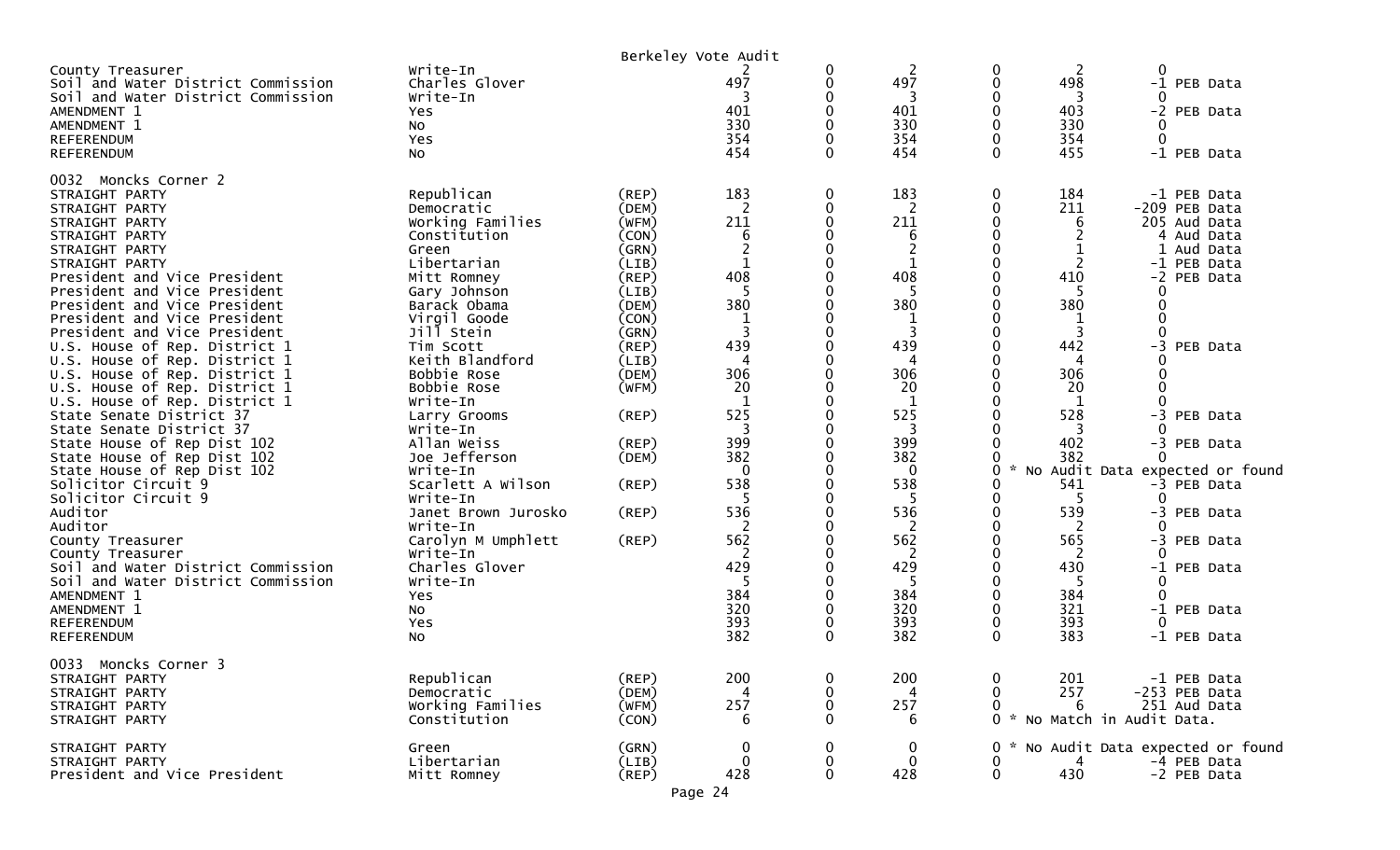|                                                                                                                                                                                                  |                                                                                                                     |                                                                            | Berkeley Vote Audit                                 |                         |                                                                      |                         |                                       |                              |                                                                                                        |
|--------------------------------------------------------------------------------------------------------------------------------------------------------------------------------------------------|---------------------------------------------------------------------------------------------------------------------|----------------------------------------------------------------------------|-----------------------------------------------------|-------------------------|----------------------------------------------------------------------|-------------------------|---------------------------------------|------------------------------|--------------------------------------------------------------------------------------------------------|
| County Treasurer<br>Soil and Water District Commission<br>Soil and Water District Commission<br>AMENDMENT 1<br>AMENDMENT 1                                                                       | Write-In<br>Charles Glover<br>Write-In<br>Yes<br>No                                                                 |                                                                            | 497<br>401<br>330                                   | 0<br>0<br>∩<br>0        | 2<br>497<br>3<br>401<br>330                                          | 0<br>0<br>$\Omega$<br>0 | 2<br>498<br>3<br>403<br>330           | 0<br>0<br>0                  | -1 PEB Data<br>-2 PEB Data                                                                             |
| <b>REFERENDUM</b><br><b>REFERENDUM</b>                                                                                                                                                           | <b>Yes</b><br>No                                                                                                    |                                                                            | 354<br>454                                          | $\Omega$                | 354<br>454                                                           | 0<br>$\Omega$           | 354<br>455                            | $\mathbf{0}$                 | -1 PEB Data                                                                                            |
| 0032 Moncks Corner 2<br>STRAIGHT PARTY<br>STRAIGHT PARTY<br>STRAIGHT PARTY<br>STRAIGHT PARTY<br>STRAIGHT PARTY<br>STRAIGHT PARTY<br>President and Vice President<br>President and Vice President | Republican<br>Democratic<br>Working Families<br>Constitution<br>Green<br>Libertarian<br>Mitt Romney<br>Gary Johnson | $($ REP $)$<br>(DEM)<br>(WFM)<br>(CON)<br>(GRN)<br>(LIB)<br>(REP)<br>(LIB) | 183<br>2<br>211<br>6<br>$\overline{2}$<br>408<br>-5 | $\mathbf 0$<br>0<br>0   | 183<br>$\overline{2}$<br>211<br>6<br>$\overline{2}$<br>1<br>408<br>5 | 0<br>0<br>0             | 184<br>211<br>6<br>2<br>410<br>5      | 0<br>0                       | -1 PEB Data<br>-209 PEB Data<br>205 Aud Data<br>4 Aud Data<br>1 Aud Data<br>-1 PEB Data<br>-2 PEB Data |
| President and Vice President<br>President and Vice President<br>President and Vice President<br>U.S. House of Rep. District 1<br>U.S. House of Rep. District 1                                   | Barack Obama<br>Virgil Goode<br>Jill Stein<br>Tim Scott<br>Keith Blandford                                          | (DEM)<br>(CON)<br>(GRN)<br>(REP)<br>(LIB)                                  | 380<br>3<br>439<br>4                                |                         | 380<br>3<br>439<br>4                                                 |                         | 380<br>3<br>442<br>4                  | $\Omega$<br>$\Omega$<br>$-3$ | PEB Data                                                                                               |
| U.S. House of Rep. District 1<br>U.S. House of Rep. District 1<br>U.S. House of Rep. District 1<br>State Senate District 37<br>State Senate District 37                                          | Bobbie Rose<br>Bobbie Rose<br>Write-In<br>Larry Grooms<br>Write-In                                                  | (DEM)<br>(WFM)<br>(REP)                                                    | 306<br>20<br>$\mathbf{1}$<br>525<br>3               |                         | 306<br>20<br>1<br>525<br>3                                           | 0                       | 306<br>20<br>$\mathbf{1}$<br>528<br>3 | $\Omega$                     | -3 PEB Data                                                                                            |
| State House of Rep Dist 102<br>State House of Rep Dist 102<br>State House of Rep Dist 102                                                                                                        | Allan Weiss<br>Joe Jefferson<br>Write-In                                                                            | $($ REP $)$<br>(DEM)                                                       | 399<br>382<br>0                                     | 0                       | 399<br>382<br>0                                                      | $\mathcal{R}$<br>0      | 402<br>382                            | $\Omega$                     | -3 PEB Data<br>No Audit Data expected or found                                                         |
| Solicitor Circuit 9<br>Solicitor Circuit 9<br>Auditor<br>Auditor                                                                                                                                 | Scarlett A Wilson<br>Write-In<br>Janet Brown Jurosko<br>Write-In                                                    | (REP)<br>(REP)                                                             | 538<br>536<br>2                                     |                         | 538<br>5<br>536<br>2                                                 | 0<br>0<br>0             | 541<br>-5<br>539<br>2                 | ∩<br>0                       | -3 PEB Data<br>-3 PEB Data                                                                             |
| County Treasurer<br>County Treasurer<br>Soil and Water District Commission                                                                                                                       | Carolyn M Umphlett<br>Write-In<br>Charles Glover                                                                    | (REP)                                                                      | 562<br>2<br>429                                     |                         | 562<br>2<br>429                                                      |                         | 565<br>430                            | 0                            | -3 PEB Data<br>-1 PEB Data                                                                             |
| Soil and Water District Commission<br>AMENDMENT 1<br>AMENDMENT 1<br><b>REFERENDUM</b><br><b>REFERENDUM</b>                                                                                       | Write-In<br>Yes<br>No<br>Yes<br>NO.                                                                                 |                                                                            | 384<br>320<br>393<br>382                            | 0<br>$\Omega$           | -5<br>384<br>320<br>393<br>382                                       | 0<br>0<br>$\mathbf{0}$  | -5<br>384<br>321<br>393<br>383        | 0<br>$\Omega$<br>$\Omega$    | -1 PEB Data<br>-1 PEB Data                                                                             |
| 0033 Moncks Corner 3<br>STRAIGHT PARTY<br>STRAIGHT PARTY<br>STRAIGHT PARTY<br>STRAIGHT PARTY                                                                                                     | Republican<br>Democratic<br>Working Families<br>Constitution                                                        | (REP)<br>(DEM)<br>(WFM)<br>(CON)                                           | 200<br>4<br>257<br>6                                | 0<br>0<br>0<br>$\Omega$ | 200<br>4<br>257<br>6                                                 | 0<br>0<br>0             | 201<br>257<br>6                       | 0 * No Match in Audit Data.  | -1 PEB Data<br>-253 PEB Data<br>251 Aud Data                                                           |
| STRAIGHT PARTY<br>STRAIGHT PARTY<br>President and Vice President                                                                                                                                 | Green<br>Libertarian<br>Mitt Romney                                                                                 | (GRN)<br>(LIB)<br>$($ REP $)$                                              | 0<br>0<br>428                                       | 0<br>0<br>$\Omega$      | 0<br>$\mathbf 0$<br>428                                              | 0<br>0<br>$\mathbf 0$   | 430                                   |                              | No Audit Data expected or found<br>-4 PEB Data<br>-2 PEB Data                                          |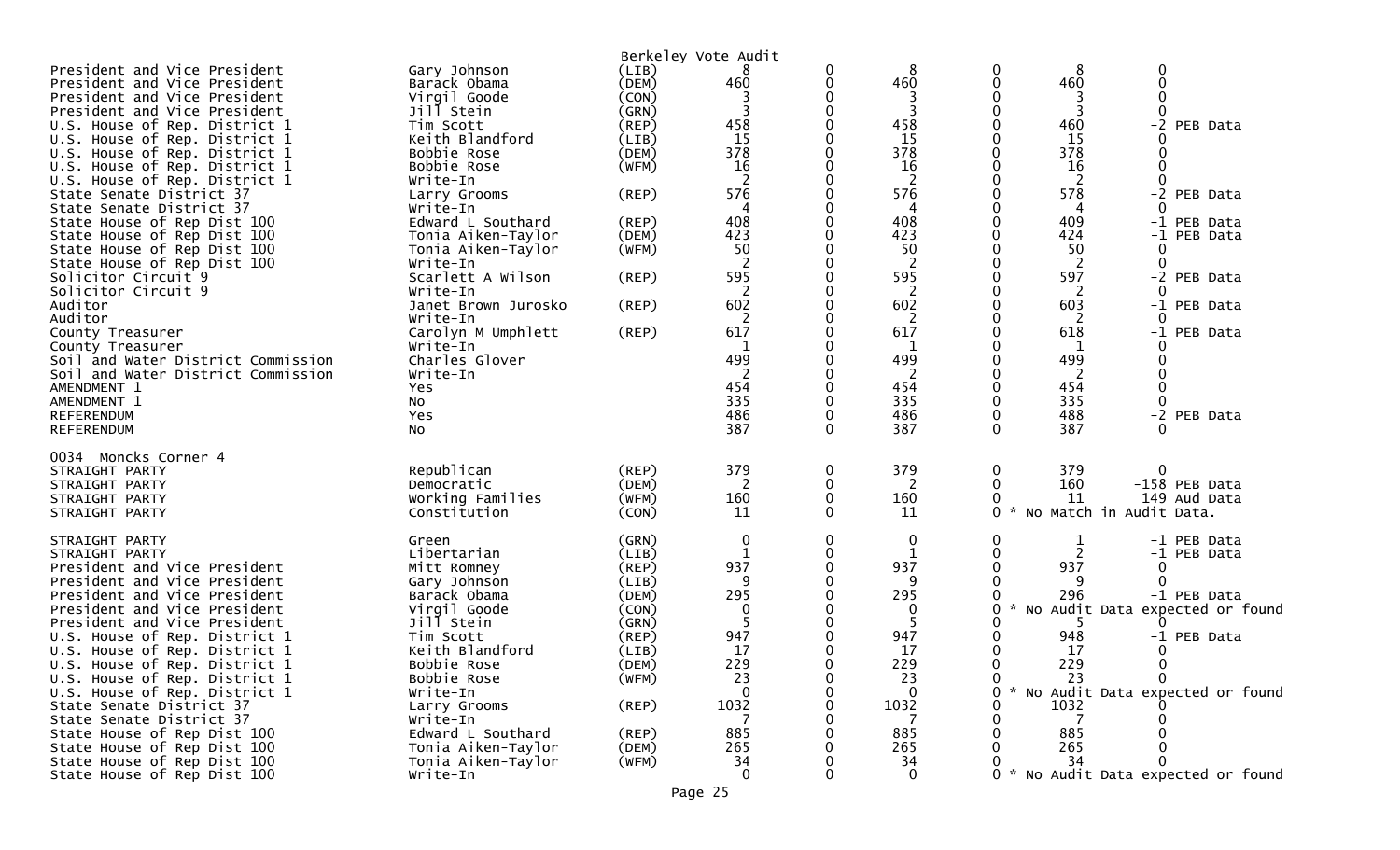|                                    |                                |                | Berkeley Vote Audit |          |                |          |                                   |          |                                   |
|------------------------------------|--------------------------------|----------------|---------------------|----------|----------------|----------|-----------------------------------|----------|-----------------------------------|
| President and Vice President       | Gary Johnson                   | (LIB)          | 8                   | 0        | 8              | 0        | 8                                 | $\Omega$ |                                   |
| President and Vice President       | Barack Obama                   | (DEM)          | 460                 | 0        | 460            | 0        | 460                               |          |                                   |
| President and Vice President       | Virgil Goode                   | (CON)          | 3                   |          | 3              |          | 3                                 |          |                                   |
| President and Vice President       | Jill Stein                     | (GRN)          | 3                   | U        | 3              | 0        | 3                                 |          |                                   |
| U.S. House of Rep. District 1      | Tim Scott                      | (REP)          | 458                 |          | 458            | 0        | 460                               | $-2$     | PEB Data                          |
| U.S. House of Rep. District 1      | Keith Blandford                | (LIB)          | 15                  |          | 15             |          | 15                                |          |                                   |
| U.S. House of Rep. District 1      | Bobbie Rose                    | (DEM)          | 378                 |          | 378            | 0        | 378                               |          |                                   |
| U.S. House of Rep. District 1      | Bobbie Rose                    | (WFM)          | 16                  |          | 16             |          | 16                                |          |                                   |
| U.S. House of Rep. District 1      | Write-In                       |                | 2                   |          | 2              |          | -2                                |          |                                   |
| State Senate District 37           | Larry Grooms                   | (REP)          | 576                 |          | 576            |          | 578                               |          | -2 PEB Data                       |
| State Senate District 37           | Write-In                       |                | 4                   |          | 4              |          | 4                                 |          |                                   |
| State House of Rep Dist 100        | Edward L Southard              | (REP)          | 408                 |          | 408            | $\Omega$ | 409                               |          | -1 PEB Data                       |
| State House of Rep Dist 100        | Tonia Aiken-Taylor             | (DEM)          | 423                 | 0        | 423            | 0        | 424                               |          | -1 PEB Data                       |
| State House of Rep Dist 100        | Tonia Aiken-Taylor             | (WFM)          | 50                  |          | 50             |          | 50                                | 0        |                                   |
| State House of Rep Dist 100        | Write-In                       |                | 2                   |          | 2              | 0        | <sup>2</sup>                      |          |                                   |
| Solicitor Circuit 9                | Scarlett A Wilson              | (REP)          | 595                 |          | 595            | $\Omega$ | 597                               |          | -2 PEB Data                       |
| Solicitor Circuit 9                | Write-In                       |                | 2                   |          | 2              |          | -2                                |          |                                   |
| Auditor                            | Janet Brown Jurosko            | (REP)          | 602                 |          | 602            | ∩        | 603                               |          | -1 PEB Data                       |
| Auditor                            | Write-In                       |                | 2                   |          | 2              |          | 2                                 | 0        |                                   |
| County Treasurer                   | Carolyn M Umphlett             | (REP)          | 617                 |          | 617            |          | 618                               | $-1$     | PEB Data                          |
| County Treasurer                   | Write-In                       |                |                     |          | 1              |          |                                   |          |                                   |
| Soil and Water District Commission | Charles Glover                 |                | 499                 |          | 499            | 0        | 499                               |          |                                   |
| Soil and Water District Commission | Write-In                       |                | 2                   |          | $\overline{2}$ |          | 2                                 |          |                                   |
| AMENDMENT 1                        | Yes                            |                | 454                 | U        | 454            | ∩        | 454                               |          |                                   |
| AMENDMENT 1                        | No                             |                | 335                 | 0        | 335            | 0        | 335                               | 0        |                                   |
| <b>REFERENDUM</b>                  | Yes                            |                | 486                 | 0        | 486            | 0        | 488                               |          | -2 PEB Data                       |
| <b>REFERENDUM</b>                  | <b>NO</b>                      |                | 387                 | $\Omega$ | 387            | $\Omega$ | 387                               |          |                                   |
|                                    |                                |                |                     |          |                |          |                                   |          |                                   |
| 0034 Moncks Corner 4               | Republican                     |                | 379                 |          | 379            |          |                                   |          |                                   |
| STRAIGHT PARTY                     |                                | (REP)<br>(DEM) |                     | 0<br>0   | 2              | 0<br>0   | 379<br>160                        |          | -158 PEB Data                     |
| STRAIGHT PARTY<br>STRAIGHT PARTY   | Democratic<br>Working Families | (WFM)          | 2<br>160            | 0        | 160            | 0        | 11                                |          | 149 Aud Data                      |
| STRAIGHT PARTY                     | Constitution                   | (CON)          | 11                  | $\Omega$ | 11             | 0        | No Match in Audit Data.<br>$\sim$ |          |                                   |
|                                    |                                |                |                     |          |                |          |                                   |          |                                   |
| STRAIGHT PARTY                     | Green                          | (GRN)          | $\mathbf 0$         | 0        | 0              | 0        | 1                                 |          | -1 PEB Data                       |
| STRAIGHT PARTY                     | Libertarian                    | (LIB)          | $\mathbf{1}$        | 0        | $\mathbf{1}$   | ∩        | 2                                 |          | -1 PEB Data                       |
| President and Vice President       | Mitt Romney                    | (REP)          | 937                 | 0        | 937            | 0        | 937                               | 0        |                                   |
| President and Vice President       | Gary Johnson                   | (LIB)          | 9                   |          | 9              |          | -9                                |          |                                   |
| President and Vice President       | Barack Obama                   | (DEM)          | 295                 |          | 295            |          | 296                               |          | -1 PEB Data                       |
| President and Vice President       | Virgil Goode                   | (CON)          | 0                   |          | $\mathbf{0}$   | 0        | $\sim$                            |          | No Audit Data expected or found   |
| President and Vice President       | Jill Stein                     | (GRN)          |                     |          |                |          | -5                                |          |                                   |
| U.S. House of Rep. District 1      | Tim Scott                      | (REP)          | 947                 |          | 947            |          | 948                               |          | -1 PEB Data                       |
| U.S. House of Rep. District 1      | Keith Blandford                | (LIB)          | 17                  |          | 17             |          | 17                                | 0        |                                   |
| U.S. House of Rep. District 1      | Bobbie Rose                    | (DEM)          | 229                 |          | 229            | 0        | 229                               | $\bf{0}$ |                                   |
| U.S. House of Rep. District 1      | Bobbie Rose                    | (WFM)          | 23                  | 0        | 23             | 0        | 23                                | $\Omega$ |                                   |
| U.S. House of Rep. District 1      | Write-In                       |                | $\Omega$            |          | $\Omega$       |          |                                   |          | * No Audit Data expected or found |
| State Senate District 37           | Larry Grooms                   | (REP)          | 1032                |          | 1032           |          | 1032                              |          |                                   |
| State Senate District 37           | Write-In                       |                |                     |          |                |          |                                   |          |                                   |
| State House of Rep Dist 100        | Edward L Southard              | (REP)          | 885                 |          | 885            |          | 885                               |          |                                   |
| State House of Rep Dist 100        | Tonia Aiken-Taylor             | (DEM)          | 265                 |          | 265            |          | 265                               |          |                                   |
| State House of Rep Dist 100        | Tonia Aiken-Taylor             | (WFM)          | 34                  |          | 34             |          | 34                                |          |                                   |
| State House of Rep Dist 100        | Write-In                       |                | $\Omega$            |          | $\Omega$       |          |                                   |          | * No Audit Data expected or found |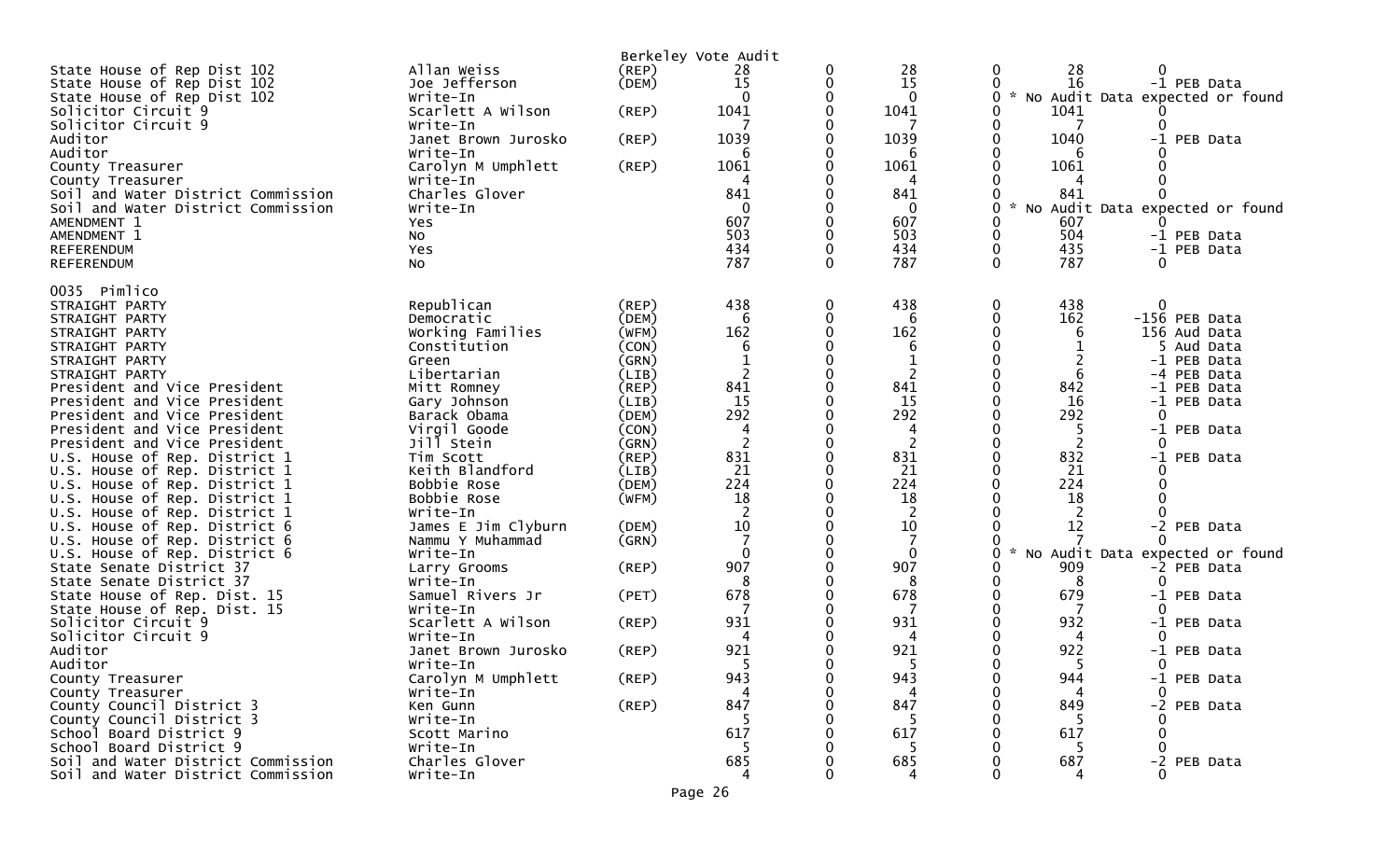|                                                              |                                |                | Berkeley Vote Audit |          |                |                                                       |
|--------------------------------------------------------------|--------------------------------|----------------|---------------------|----------|----------------|-------------------------------------------------------|
| State House of Rep Dist 102                                  | Allan Weiss                    | $($ REP $)$    | 28                  | 0        | 28             | 28<br>0                                               |
| State House of Rep Dist 102                                  | Joe Jefferson                  | (DEM)          | 15                  | 0        | 15             | 16<br>-1 PEB Data                                     |
| State House of Rep Dist 102                                  | Write-In                       |                | $\Omega$            |          | $\mathbf{0}$   | No Audit Data expected or found<br>$\mathcal{H}$<br>0 |
| Solicitor Circuit 9                                          | Scarlett A Wilson              | (REP)          | 1041                |          | 1041           | 1041                                                  |
| Solicitor Circuit 9                                          | Write-In                       |                |                     |          |                | ∩                                                     |
| Auditor                                                      | Janet Brown Jurosko            | (REP)          | 1039                |          | 1039           | 0<br>1040<br>-1 PEB Data                              |
| Auditor                                                      | Write-In                       |                | 6                   |          | 6              | 6                                                     |
| County Treasurer                                             | Carolyn M Umphlett             | (REP)          | 1061                |          | 1061           | 1061                                                  |
| County Treasurer                                             | Write-In                       |                |                     |          | 4              |                                                       |
| Soil and Water District Commission                           | Charles Glover                 |                | 841                 |          | 841            | 841<br>$\mathcal{R}$                                  |
| Soil and Water District Commission<br>AMENDMENT 1            | Write-In                       |                | $\Omega$<br>607     |          | 0<br>607       | 0<br>No Audit Data expected or found                  |
| AMENDMENT 1                                                  | Yes<br>No                      |                | 503                 |          | 503            | 607<br>504<br>0<br>-1 PEB Data                        |
| REFERENDUM                                                   | Yes                            |                | 434                 |          | 434            | 0<br>435<br>-1 PEB Data                               |
| REFERENDUM                                                   | <b>NO</b>                      |                | 787                 | $\Omega$ | 787            | $\Omega$<br>787<br>$\Omega$                           |
|                                                              |                                |                |                     |          |                |                                                       |
| 0035 Pimlico                                                 |                                |                |                     |          |                |                                                       |
| STRAIGHT PARTY                                               | Republican                     | (REP)          | 438                 | 0        | 438            | 0<br>0<br>438                                         |
| STRAIGHT PARTY                                               | Democratic                     | (DEM)          | 6                   | $\Omega$ | 6              | 162<br>0<br>-156 PEB Data                             |
| STRAIGHT PARTY                                               | Working Families               | (WFM)          | 162                 |          | 162            | 156 Aud Data<br>6                                     |
| STRAIGHT PARTY                                               | Constitution                   | (CON)          | 6                   |          | 6              | 5 Aud Data                                            |
| STRAIGHT PARTY                                               | Green                          | (GRN)          | 1                   |          | $\mathbf{1}$   | 2<br>-1 PEB Data                                      |
| STRAIGHT PARTY                                               | Libertarian                    | (LIB)          | 2                   |          | 2              | 6<br>PEB Data<br>-4                                   |
| President and Vice President                                 | Mitt Romney                    | (REP)          | 841                 |          | 841            | 842<br>-1 PEB Data                                    |
| President and Vice President<br>President and Vice President | Gary Johnson                   | (LIB)          | 15<br>292           |          | 15<br>292      | 16<br>-1 PEB Data<br>292<br>$\Omega$                  |
|                                                              | Barack Obama                   | (DEM)<br>(CON) | 4                   |          | 4              | 5<br>$-1$<br>PEB Data                                 |
| President and Vice President<br>President and Vice President | Virgil Goode<br>Jill Stein     | (GRN)          | $\overline{2}$      | $\Omega$ | $\overline{2}$ | 2<br>0                                                |
| U.S. House of Rep. District 1                                | Tim Scott                      | (REP)          | 831                 |          | 831            | 832<br>-1 PEB Data                                    |
| U.S. House of Rep. District 1                                | Keith Blandford                | (LIB)          | 21                  |          | 21             | 21                                                    |
| U.S. House of Rep. District 1                                | Bobbie Rose                    | (DEM)          | 224                 |          | 224            | 224<br>0                                              |
| U.S. House of Rep. District 1                                | Bobbie Rose                    | (WFM)          | 18                  |          | 18             | 18                                                    |
| U.S. House of Rep. District 1                                | Write-In                       |                | 2                   |          | 2              | 2                                                     |
| U.S. House of Rep. District 6                                | James E Jim Clyburn            | (DEM)          | $10\,$              |          | 10             | 12<br>-2 PEB Data                                     |
| U.S. House of Rep. District 6                                | Nammu Y Muhammad               | (GRN)          |                     |          |                |                                                       |
| U.S. House of Rep. District 6                                | Write-In                       |                | $\Omega$            |          | $\mathbf{0}$   | $\sim$<br>No Audit Data expected or found<br>U        |
| State Senate District 37                                     | Larry Grooms                   | (REP)          | 907                 |          | 907            | 909<br>-2 PEB Data                                    |
| State Senate District 37                                     | Write-In                       |                | 8                   |          | 8              | 8<br>0                                                |
| State House of Rep. Dist. 15                                 | Samuel Rivers Jr               | (PET)          | 678                 |          | 678            | 679<br>-1 PEB Data                                    |
| State House of Rep. Dist. 15                                 | Write-In                       |                |                     |          |                | 0                                                     |
| Solicitor Circuit 9                                          | Scarlett A Wilson              | (REP)          | 931                 |          | 931            | 932<br>-1 PEB Data                                    |
| Solicitor Circuit 9                                          | Write-In                       |                |                     |          | 4              | 0<br>Δ                                                |
| Auditor                                                      | Janet Brown Jurosko            | (REP)          | 921                 |          | 921            | 922<br>-1 PEB Data                                    |
| Auditor                                                      | Write-In                       |                |                     |          |                | $\Omega$                                              |
| County Treasurer                                             | Carolyn M Umphlett<br>Write-In | (REP)          | 943                 |          | 943            | 944<br>-1 PEB Data<br>0<br>0                          |
| County Treasurer<br>County Council District 3                | Ken Gunn                       | $($ REP $)$    | 847                 |          | 847            | 849<br>-2 PEB Data                                    |
| County Council District 3                                    | Write-In                       |                |                     |          | 5              |                                                       |
| School Board District 9                                      | Scott Marino                   |                | 617                 |          | 617            | 617                                                   |
| School Board District 9                                      | Write-In                       |                |                     |          |                |                                                       |
| Soil and Water District Commission                           | Charles Glover                 |                | 685                 |          | 685            | 687<br>-2 PEB Data                                    |
| Soil and Water District Commission                           | Write-In                       |                |                     |          |                |                                                       |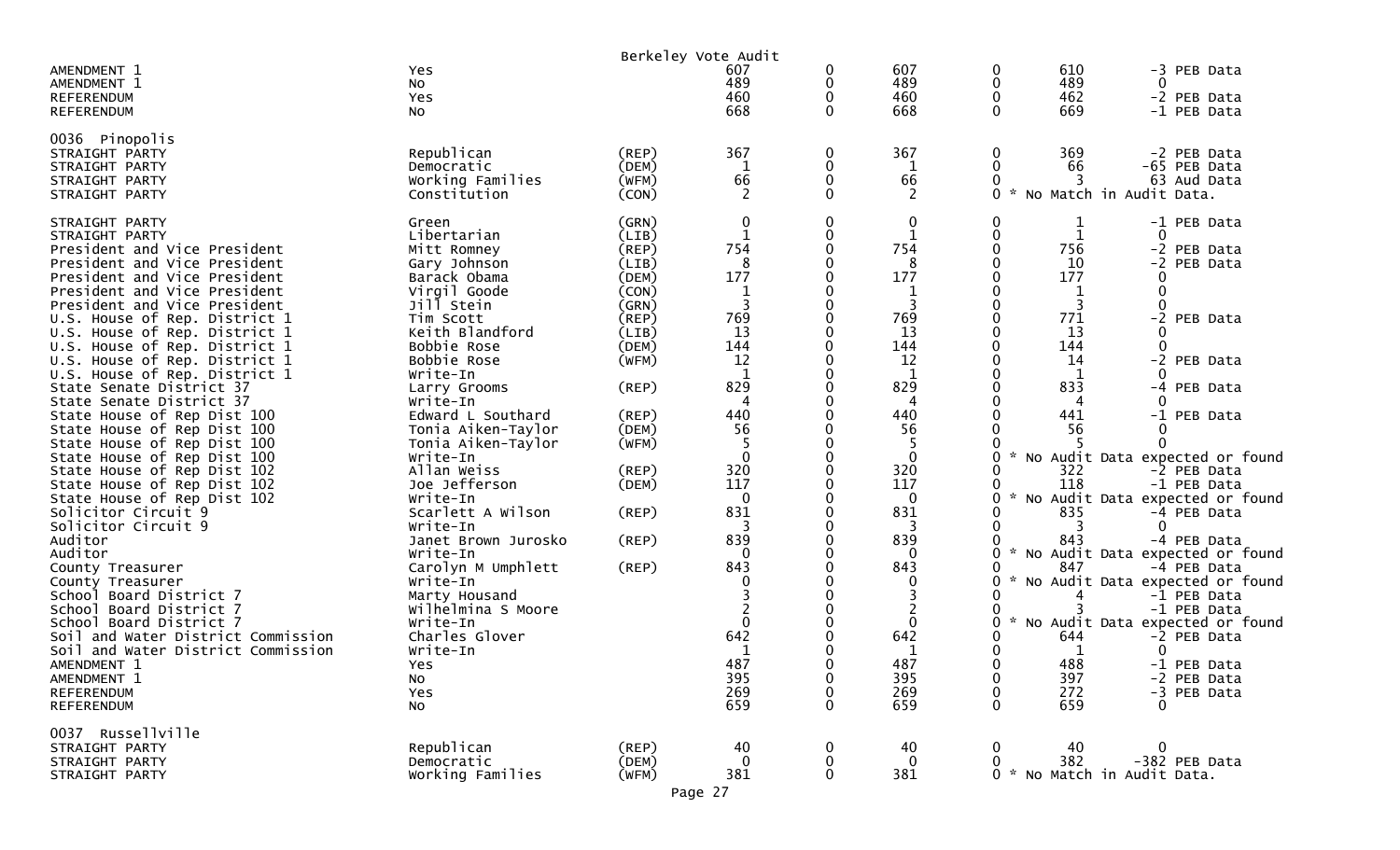|                                                               |                                |                      | Berkeley Vote Audit   |             |                    |             |                   |                                                |
|---------------------------------------------------------------|--------------------------------|----------------------|-----------------------|-------------|--------------------|-------------|-------------------|------------------------------------------------|
| AMENDMENT 1<br>AMENDMENT 1<br><b>REFERENDUM</b>               | Yes<br>No<br>Yes               |                      | 607<br>489<br>460     | 0<br>0<br>0 | 607<br>489<br>460  | 0<br>0<br>0 | 610<br>489<br>462 | -3 PEB Data<br>$\Omega$<br>-2 PEB Data         |
| <b>REFERENDUM</b>                                             | No                             |                      | 668                   | $\Omega$    | 668                | $\Omega$    | 669               | -1 PEB Data                                    |
| 0036 Pinopolis                                                |                                |                      |                       |             |                    | 0           |                   |                                                |
| STRAIGHT PARTY<br>STRAIGHT PARTY                              | Republican<br>Democratic       | $($ REP $)$<br>(DEM) | 367<br>1              | 0<br>0      | 367<br>1           | 0           | 369<br>66         | -2 PEB Data<br>-65 PEB Data                    |
| STRAIGHT PARTY                                                | Working Families               | (WFM)                | 66                    |             | 66                 |             | 3                 | 63 Aud Data                                    |
| STRAIGHT PARTY                                                | Constitution                   | (CON)                | 2                     | 0           | 2                  | 0           |                   | No Match in Audit Data.                        |
| STRAIGHT PARTY                                                | Green                          | (GRN)                | 0                     | 0           | 0                  | 0           |                   | -1 PEB Data                                    |
| STRAIGHT PARTY                                                | Libertarian                    | (LIB)                |                       | 0           | -1                 | 0           |                   | 0                                              |
| President and Vice President<br>President and Vice President  | Mitt Romney<br>Gary Johnson    | $($ REP $)$<br>(LIB) | 754<br>8              |             | 754<br>8           | 0<br>0      | 756<br>10         | -2 PEB Data<br>-2 PEB Data                     |
| President and Vice President                                  | Barack Obama                   | (DEM)                | 177                   |             | 177                | 0           | 177               | O                                              |
| President and Vice President                                  | Virgil Goode                   | (CON)                | 1                     |             | 1                  |             | 1                 | $\mathbf{0}$                                   |
| President and Vice President                                  | Jill Stein                     | (GRN)                | 3                     |             | 3                  | 0           | 3                 |                                                |
| U.S. House of Rep. District 1                                 | Tim Scott                      | (REP)                | 769                   |             | 769                |             | 771               | -2 PEB Data                                    |
| U.S. House of Rep. District 1                                 | Keith Blandford                | (LIB)                | 13                    |             | 13                 |             | 13                |                                                |
| U.S. House of Rep. District 1                                 | Bobbie Rose                    | (DEM)                | 144                   |             | 144                |             | 144               |                                                |
| U.S. House of Rep. District 1                                 | Bobbie Rose                    | (WFM)                | 12                    |             | 12                 |             | 14                | -2 PEB Data                                    |
| U.S. House of Rep. District 1<br>State Senate District 37     | Write-In<br>Larry Grooms       | $($ REP $)$          | 1<br>829              | ∩           | $\mathbf 1$<br>829 | 0           | 1<br>833          | -4 PEB Data                                    |
| State Senate District 37                                      | Write-In                       |                      | 4                     |             | 4                  |             | 4                 | $\Omega$                                       |
| State House of Rep Dist 100                                   | Edward L Southard              | (REP)                | 440                   |             | 440                |             | 441               | -1 PEB Data                                    |
| State House of Rep Dist 100                                   | Tonia Aiken-Taylor             | (DEM)                | 56                    |             | 56                 |             | 56                |                                                |
| State House of Rep Dist 100                                   | Tonia Aiken-Taylor             | (WFM)                | 5                     |             | -5                 |             |                   | $\Omega$                                       |
| State House of Rep Dist 100                                   | Write-In                       |                      | $\mathbf 0$           |             | $\mathbf 0$        | 0           |                   | No Audit Data expected or found                |
| State House of Rep Dist 102                                   | Allan Weiss                    | $($ REP $)$          | 320                   |             | 320                |             | 322               | -2 PEB Data                                    |
| State House of Rep Dist 102                                   | Joe Jefferson                  | (DEM)                | 117                   |             | 117                | O           | 118               | -1 PEB Data                                    |
| State House of Rep Dist 102<br>Solicitor Circuit 9            | Write-In<br>Scarlett A Wilson  | (REP)                | $\Omega$<br>831       |             | 0<br>831           |             | 835               | No Audit Data expected or found<br>-4 PEB Data |
| Solicitor Circuit 9                                           | Write-In                       |                      | 3                     |             | 3                  |             | 3                 | ∩                                              |
| Auditor                                                       | Janet Brown Jurosko            | (REP)                | 839                   |             | 839                |             | 843               | -4 PEB Data                                    |
| Auditor                                                       | Write-In                       |                      | $\Omega$              |             | 0                  | 0           |                   | No Audit Data expected or found                |
| County Treasurer                                              | Carolyn M Umphlett             | (REP)                | 843                   |             | 843                |             | 847               | -4 PEB Data                                    |
| County Treasurer                                              | Write-In                       |                      |                       |             | 0                  |             |                   | No Audit Data expected or found                |
| School Board District 7                                       | Marty Housand                  |                      |                       |             |                    |             |                   | -1 PEB Data                                    |
| School Board District 7                                       | Wilhelmina S Moore             |                      | 2<br>$\Omega$         |             | $\overline{c}$     | 0<br>0      |                   | -1 PEB Data                                    |
| School Board District 7<br>Soil and Water District Commission | Write-In<br>Charles Glover     |                      | 642                   |             | $\mathbf 0$<br>642 |             | 644               | No Audit Data expected or found<br>-2 PEB Data |
| Soil and Water District Commission                            | Write-In                       |                      |                       |             | 1                  |             |                   | 0                                              |
| AMENDMENT 1                                                   | Yes                            |                      | 487                   |             | 487                | 0           | 488               | -1 PEB Data                                    |
| AMENDMENT 1                                                   | No                             |                      | 395                   | $\bf{0}$    | 395                | 0           | 397               | -2 PEB Data                                    |
| <b>REFERENDUM</b>                                             | Yes                            |                      | 269                   | 0           | 269                | 0           | 272               | -3 PEB Data                                    |
| <b>REFERENDUM</b>                                             | No                             |                      | 659                   | 0           | 659                | 0           | 659               | 0                                              |
| 0037 Russellville                                             |                                |                      |                       |             |                    |             |                   |                                                |
| STRAIGHT PARTY                                                | Republican                     | $($ REP $)$          | 40                    | 0           | 40                 | 0           | 40                | 0                                              |
| STRAIGHT PARTY<br>STRAIGHT PARTY                              | Democratic<br>Working Families | (DEM)<br>(WFM)       | $\overline{0}$<br>381 | 0<br>0      | 0<br>381           | 0<br>0      | 382               | -382 PEB Data<br>* No Match in Audit Data.     |
|                                                               |                                |                      |                       |             |                    |             |                   |                                                |

Page 27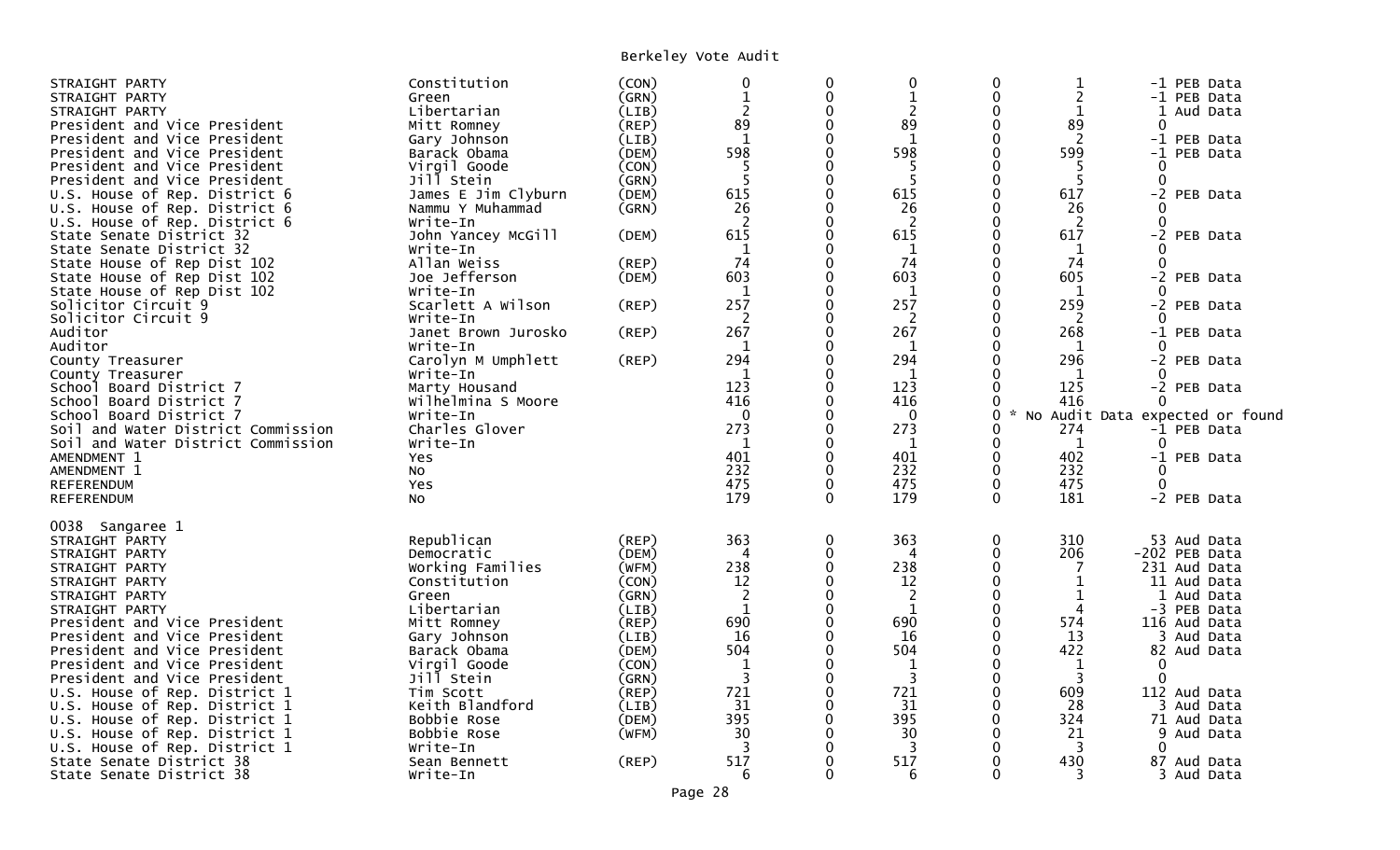| STRAIGHT PARTY<br>STRAIGHT PARTY<br>STRAIGHT PARTY                                              | Constitution<br>Green<br>Libertarian                  | (CON)<br>(GRN)<br>(LIB) | $\mathbf 0$<br>$\mathbf{1}$<br>$\overline{2}$ | 0<br>$\mathbf 0$<br>$\Omega$     | 0<br>$\mathbf{1}$<br>$\overline{2}$   | $\mathbf 0$<br>0<br>0                    | 2<br>1                        |                                             | -1 PEB Data<br>-1 PEB Data<br>1 Aud Data     |  |
|-------------------------------------------------------------------------------------------------|-------------------------------------------------------|-------------------------|-----------------------------------------------|----------------------------------|---------------------------------------|------------------------------------------|-------------------------------|---------------------------------------------|----------------------------------------------|--|
| President and Vice President<br>President and Vice President                                    | Mitt Romney<br>Gary Johnson                           | (REP)<br>(LIB)          | 89<br>1                                       | $\Omega$<br>$\Omega$             | 89<br>1                               | $\mathbf 0$<br>$\mathbf 0$               | 89<br>2                       | $\mathbf{0}$                                | -1 PEB Data                                  |  |
| President and Vice President<br>President and Vice President<br>President and Vice President    | Barack Obama<br>Virgil Goode<br>Jill Stein            | (DEM)<br>(CON)<br>(GRN) | 598<br>5<br>5                                 | $\mathbf{0}$<br>0<br>$\mathbf 0$ | 598<br>5<br>5                         | 0<br>0<br>0                              | 599<br>-5<br>5                | 0<br>$\Omega$                               | -1 PEB Data                                  |  |
| U.S. House of Rep. District 6<br>U.S. House of Rep. District 6<br>U.S. House of Rep. District 6 | James E Jim Clyburn<br>Nammu Y Muhammad<br>Write-In   | (DEM)<br>(GRN)          | 615<br>26<br>2                                | 0<br>0<br>0                      | 615<br>26<br>2                        | $\Omega$<br>$\Omega$<br>0                | 617<br>26<br>2                | $\Omega$<br>$\Omega$                        | -2 PEB Data                                  |  |
| State Senate District 32<br>State Senate District 32                                            | John Yancey McGill<br>Write-In                        | (DEM)                   | 615<br>1                                      | 0<br>$\Omega$                    | 615<br>$\mathbf 1$                    | 0<br>0                                   | 617<br>1                      |                                             | -2 PEB Data                                  |  |
| State House of Rep Dist 102<br>State House of Rep Dist 102<br>State House of Rep Dist 102       | Allan Weiss<br>Joe Jefferson<br>Write-In              | (REP)<br>(DEM)          | 74<br>603<br>1                                | 0<br>∩<br>0                      | 74<br>603<br>$\mathbf 1$              | 0<br>0<br>0                              | 74<br>605<br>1                | ∩                                           | -2 PEB Data                                  |  |
| Solicitor Circuit 9<br>Solicitor Circuit 9<br>Auditor                                           | Scarlett A Wilson<br>Write-In                         | (REP)                   | 257<br>2<br>267                               | $\Omega$<br>0<br>$\mathbf 0$     | 257<br>$\overline{c}$<br>267          | $\Omega$<br>0<br>0                       | 259<br>2<br>268               | $\Omega$                                    | -2 PEB Data                                  |  |
| Auditor<br>County Treasurer                                                                     | Janet Brown Jurosko<br>Write-In<br>Carolyn M Umphlett | (REP)<br>(REP)          | 1<br>294                                      | 0                                | 1<br>294                              | 0<br>$\mathbf{0}$                        | 1<br>296                      | ∩                                           | -1 PEB Data<br>-2 PEB Data                   |  |
| County Treasurer<br>School Board District 7<br>School Board District 7                          | Write-In<br>Marty Housand<br>Wilhelmina S Moore       |                         | 123<br>416                                    | 0                                | 1<br>123<br>416                       | 0<br>0<br>0                              | $\mathbf{1}$<br>125<br>416    |                                             | -2 PEB Data                                  |  |
| School Board District 7<br>Soil and Water District Commission                                   | Write-In<br>Charles Glover                            |                         | $\Omega$<br>273                               | 0<br>$\Omega$<br>0               | $\mathbf{0}$<br>273                   | $\Omega$<br>0<br>0                       | $\sim$<br>274<br>$\mathbf{1}$ | No Audit Data expected or found<br>$\Omega$ | -1 PEB Data                                  |  |
| Soil and Water District Commission<br>AMENDMENT 1<br>AMENDMENT 1                                | Write-In<br><b>Yes</b><br>No                          |                         | $\mathbf 1$<br>401<br>232                     | $\Omega$<br>0                    | $\mathbf{1}$<br>401<br>232            | 0<br>$\mathbf 0$                         | 402<br>232                    | 0                                           | -1 PEB Data                                  |  |
| REFERENDUM<br>REFERENDUM                                                                        | Yes<br><b>NO</b>                                      |                         | 475<br>179                                    | $\mathbf{0}$<br>$\Omega$         | 475<br>179                            | $\mathbf{0}$<br>$\Omega$                 | 475<br>181                    | $\Omega$                                    | -2 PEB Data                                  |  |
| 0038 Sangaree 1<br>STRAIGHT PARTY                                                               | Republican                                            | (REP)                   | 363                                           | 0                                | 363                                   | 0                                        | 310                           |                                             | 53 Aud Data                                  |  |
| STRAIGHT PARTY<br>STRAIGHT PARTY<br>STRAIGHT PARTY                                              | Democratic<br>Working Families<br>Constitution        | (DEM)<br>(WFM)<br>(CON) | 4<br>238<br>12                                | 0<br>$\Omega$<br>$\Omega$        | 4<br>238<br>12                        | $\mathbf{0}$<br>$\Omega$<br>$\mathbf{0}$ | 206<br>7                      |                                             | -202 PEB Data<br>231 Aud Data<br>11 Aud Data |  |
| STRAIGHT PARTY<br>STRAIGHT PARTY<br>President and Vice President                                | Green<br>Libertarian<br>Mitt Romney                   | (GRN)<br>(LIB)<br>(REP) | $\overline{2}$<br>$\mathbf 1$<br>690          | $\Omega$<br>$\Omega$<br>0        | $\overline{2}$<br>$\mathbf{1}$<br>690 | $\mathbf 0$<br>$\mathbf 0$<br>0          | 1<br>4<br>574                 |                                             | 1 Aud Data<br>-3 PEB Data<br>116 Aud Data    |  |
| President and Vice President<br>President and Vice President                                    | Gary Johnson<br>Barack Obama                          | (LIB)<br>(DEM)          | 16<br>504                                     | $\Omega$<br>$\Omega$             | 16<br>504                             | $\Omega$<br>$\Omega$                     | 13<br>422                     |                                             | 3 Aud Data<br>82 Aud Data                    |  |
| President and Vice President<br>President and Vice President<br>U.S. House of Rep. District 1   | Virgil Goode<br>Jill Stein<br>Tim Scott               | (CON)<br>(GRN)<br>(REP) | 1<br>3<br>721                                 | $\Omega$<br>0<br>0               | 1<br>3<br>721                         | $\Omega$<br>0<br>$\mathbf{0}$            | 1<br>3<br>609                 | $\Omega$<br>$\Omega$                        | 112 Aud Data                                 |  |
| U.S. House of Rep. District 1<br>U.S. House of Rep. District 1                                  | Keith Blandford<br>Bobbie Rose                        | (LIB)<br>(DEM)          | 31<br>395                                     | 0<br>0                           | 31<br>395                             | 0<br>$\Omega$                            | 28<br>324                     |                                             | 3 Aud Data<br>71 Aud Data                    |  |
| U.S. House of Rep. District 1<br>U.S. House of Rep. District 1<br>State Senate District 38      | Bobbie Rose<br>Write-In<br>Sean Bennett               | (WFM)<br>(REP)          | 30<br>3<br>517                                | 0                                | 30<br>3<br>517                        | 0<br>0<br>0                              | 21<br>3<br>430                | 0                                           | 9 Aud Data<br>87 Aud Data                    |  |
| State Senate District 38                                                                        | Write-In                                              |                         | 6                                             | 0                                | 6                                     | $\Omega$                                 | 3                             |                                             | 3 Aud Data                                   |  |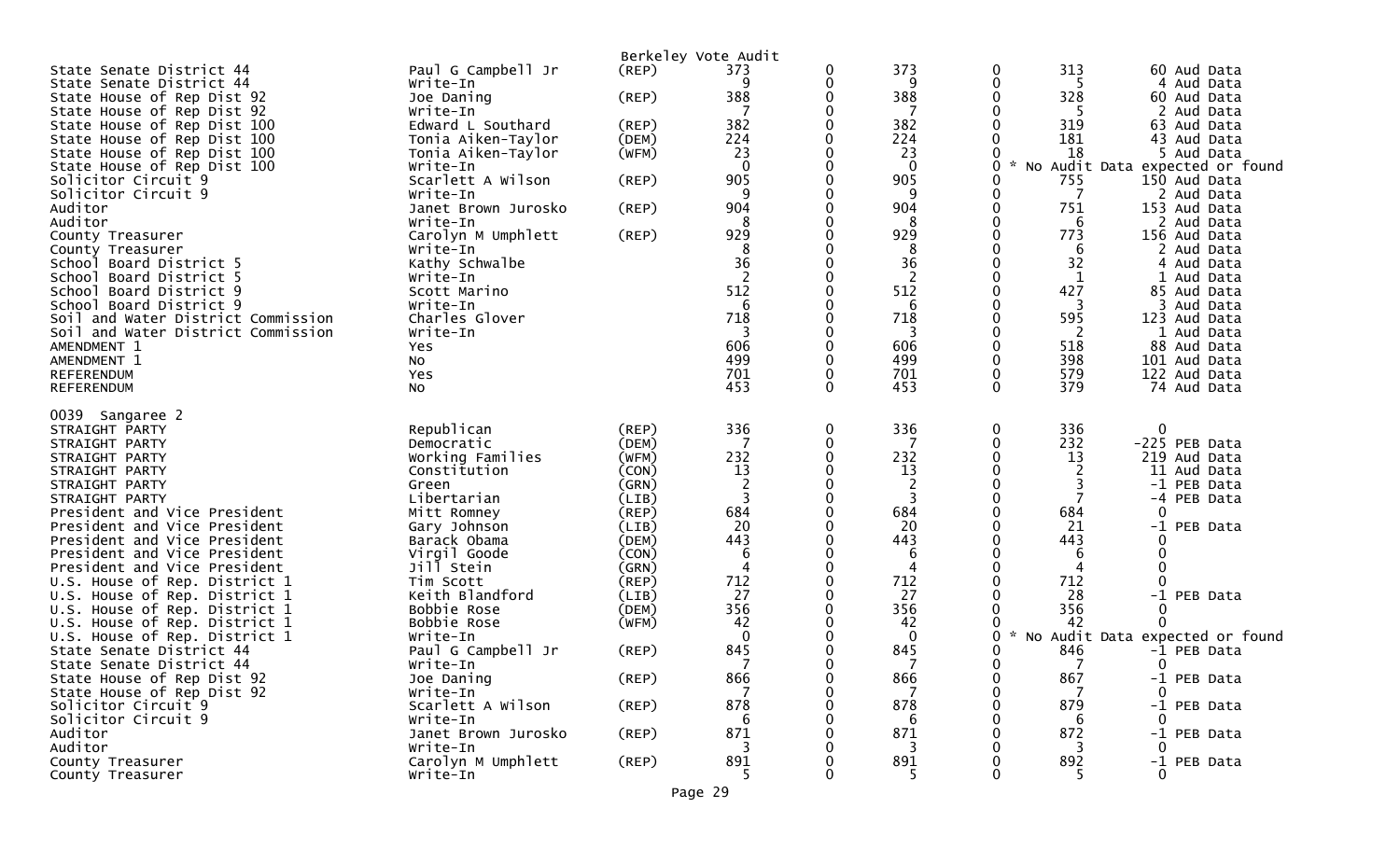|                                                               |                                         |                | Berkeley Vote Audit |          |                |              |                                 |                |                              |  |
|---------------------------------------------------------------|-----------------------------------------|----------------|---------------------|----------|----------------|--------------|---------------------------------|----------------|------------------------------|--|
| State Senate District 44                                      | Paul G Campbell Jr                      | (REP)          | 373                 |          | 373            | 0            | 313                             |                | 60 Aud Data                  |  |
| State Senate District 44                                      | Write-In                                |                | 9                   | 0        | 9              | 0            | 5                               |                | 4 Aud Data                   |  |
| State House of Rep Dist 92                                    | Joe Daning                              | (REP)          | 388                 | 0        | 388            | $\mathbf{0}$ | 328                             |                | 60 Aud Data                  |  |
| State House of Rep Dist 92                                    | Write-In                                |                | 7                   |          | 7              |              | -5                              |                | Aud Data                     |  |
| State House of Rep Dist 100<br>State House of Rep Dist 100    | Edward L Southard<br>Tonia Aiken-Taylor | (REP)<br>(DEM) | 382<br>224          |          | 382<br>224     |              | 319<br>181                      |                | 63 Aud Data<br>43 Aud Data   |  |
| State House of Rep Dist 100                                   | Tonia Aiken-Taylor                      | (WFM)          | 23                  |          | 23             |              | 18                              |                | 5 Aud Data                   |  |
| State House of Rep Dist 100                                   | Write-In                                |                | $\mathbf 0$         |          | $\mathbf 0$    | 0            | No Audit Data expected or found |                |                              |  |
| Solicitor Circuit 9                                           | Scarlett A Wilson                       | (REP)          | 905                 |          | 905            |              | 755                             |                | 150 Aud Data                 |  |
| Solicitor Circuit 9                                           | Write-In                                |                | 9                   |          | 9              | 0            | 7                               |                | 2 Aud Data                   |  |
| Auditor                                                       | Janet Brown Jurosko                     | (REP)          | 904                 |          | 904            | 0            | 751                             |                | 153 Aud Data                 |  |
| Auditor                                                       | Write-In                                |                |                     |          | 8              | 0            | 6                               |                | 2 Aud Data                   |  |
| County Treasurer                                              | Carolyn M Umphlett                      | (REP)          | 929                 |          | 929            | 0            | 773                             |                | 156 Aud Data                 |  |
| County Treasurer<br>School Board District 5                   | Write-In<br>Kathy Schwalbe              |                | 8<br>36             |          | 8<br>36        |              | 6<br>32                         |                | 2 Aud Data<br>4 Aud Data     |  |
| School Board District 5                                       | Write-In                                |                | 2                   |          | $\overline{2}$ |              | 1                               |                | Aud Data                     |  |
| School Board District 9                                       | Scott Marino                            |                | 512                 |          | 512            |              | 427                             |                | 85 Aud Data                  |  |
| School Board District 9                                       | Write-In                                |                | 6                   |          | 6              |              | 3                               | 3              | Aud Data                     |  |
| Soil and Water District Commission                            | Charles Glover                          |                | 718                 |          | 718            | 0            | 595                             |                | 123 Aud Data                 |  |
| Soil and Water District Commission                            | Write-In                                |                | 3                   |          | 3              |              | 2                               |                | 1 Aud Data                   |  |
| AMENDMENT 1                                                   | Yes                                     |                | 606                 |          | 606            |              | 518                             |                | 88 Aud Data                  |  |
| AMENDMENT 1<br>REFERENDUM                                     | NO.<br>Yes                              |                | 499<br>701          |          | 499<br>701     | 0            | 398<br>579                      |                | 101 Aud Data<br>122 Aud Data |  |
| <b>REFERENDUM</b>                                             | NO.                                     |                | 453                 | $\Omega$ | 453            | $\Omega$     | 379                             |                | 74 Aud Data                  |  |
|                                                               |                                         |                |                     |          |                |              |                                 |                |                              |  |
| 0039<br>Sangaree 2                                            |                                         |                |                     |          |                |              |                                 |                |                              |  |
| STRAIGHT PARTY                                                | Republican                              | (REF)          | 336                 | 0        | 336            | 0            | 336                             | 0              |                              |  |
| STRAIGHT PARTY                                                | Democratic                              | (DEM)          |                     | 0<br>0   | 7              | 0            | 232                             |                | -225 PEB Data                |  |
| STRAIGHT PARTY<br>STRAIGHT PARTY                              | Working Families<br>Constitution        | (WFM)<br>(CON) | 232<br>13           |          | 232<br>13      |              | 13<br>2                         |                | 219 Aud Data<br>11 Aud Data  |  |
| STRAIGHT PARTY                                                | Green                                   | (GRN)          | 2                   |          | 2              |              |                                 | $-1$           | PEB Data                     |  |
| STRAIGHT PARTY                                                | Libertarian                             | (LIB)          | 3                   |          | 3              |              |                                 | -4             | PEB Data                     |  |
| President and Vice President                                  | Mitt Romney                             | (REP)          | 684                 |          | 684            |              | 684                             | 0              |                              |  |
| President and Vice President                                  | Gary Johnson                            | (LIB)          | 20                  |          | 20             |              | 21                              | $-1$           | PEB Data                     |  |
| President and Vice President                                  | Barack Obama                            | (DEM)          | 443                 |          | 443            |              | 443                             |                |                              |  |
| President and Vice President                                  | Virgil Goode                            | (CON)          | 6                   |          | 6              |              | 6                               | 0              |                              |  |
| President and Vice President<br>U.S. House of Rep. District 1 | Jill Stein<br>Tim Scott                 | (GRN)<br>(REP) | 4<br>712            |          | 4<br>712       |              | 4<br>712                        | $\Omega$       |                              |  |
| U.S. House of Rep. District 1                                 | Keith Blandford                         | (LIB)          | 27                  |          | 27             |              | 28                              |                | -1 PEB Data                  |  |
| U.S. House of Rep. District 1                                 | Bobbie Rose                             | (DEM)          | 356                 |          | 356            |              | 356                             | 0              |                              |  |
| U.S. House of Rep. District 1                                 | Bobbie Rose                             | (WFM)          | 42                  |          | 42             |              | 42                              |                |                              |  |
| U.S. House of Rep. District 1                                 | Write-In                                |                | $\Omega$            |          | $\mathbf 0$    | 0            | No Audit Data expected or found |                |                              |  |
| State Senate District 44                                      | Paul G Campbell Jr                      | (REP)          | 845                 |          | 845            |              | 846                             |                | -1 PEB Data                  |  |
| State Senate District 44                                      | Write-In                                |                |                     |          |                | ∩            |                                 | $\overline{0}$ |                              |  |
| State House of Rep Dist 92                                    | Joe Daning                              | (REP)          | 866                 | 0        | 866            | 0            | 867                             |                | -1 PEB Data                  |  |
| State House of Rep Dist 92<br>Solicitor Circuit 9             | Write-In<br>Scarlett A Wilson           | (REP)          | 878                 |          | 878            |              | 879                             | 0              | -1 PEB Data                  |  |
| Solicitor Circuit 9                                           | Write-In                                |                | 6                   |          | 6              |              | 6                               | 0              |                              |  |
| Auditor                                                       | Janet Brown Jurosko                     | (REP)          | 871                 |          | 871            |              | 872                             |                | -1 PEB Data                  |  |
| Auditor                                                       | Write-In                                |                |                     |          | 3              |              | 3                               | 0              |                              |  |
| County Treasurer                                              | Carolyn M Umphlett                      | (REP)          | 891                 |          | 891            |              | 892                             |                | -1 PEB Data                  |  |
| County Treasurer                                              | Write-In                                |                |                     |          | 5              |              |                                 |                |                              |  |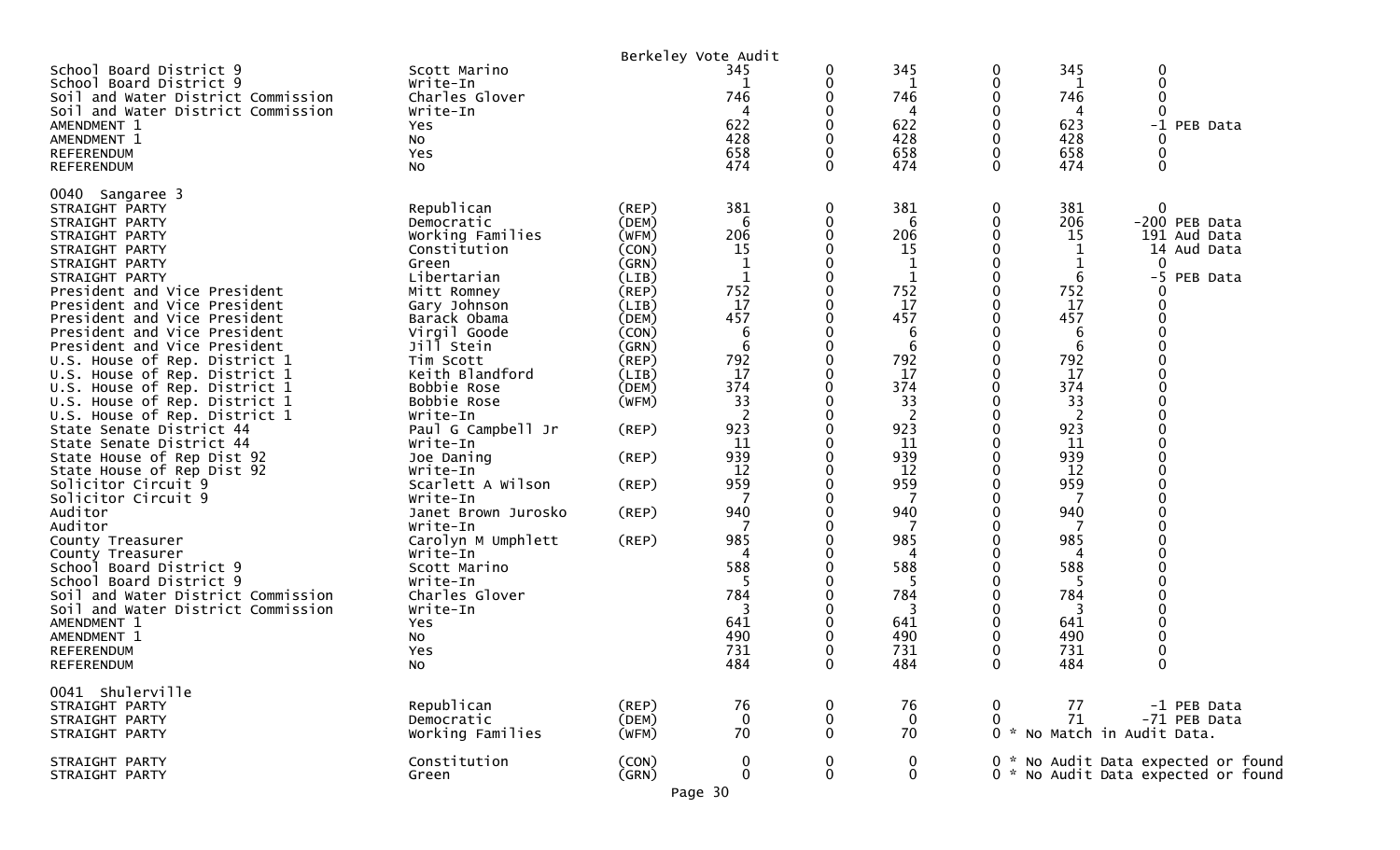|                                                                                                                                                                                                                                                                                                                                                                                                                                                                                                                                                                                                                                                                                                                                                                                                                                                                                                     |                                                                                                                                                                                                                                                                                                                                                                                                                                                                                                   |                                                                                                                                                                                  | Berkeley Vote Audit                                                                                                                                                                          |                                                                                        |                                                                                                                                                                                                                 |                                                                              |                                                                                                                                                                                            |                                                                                                      |
|-----------------------------------------------------------------------------------------------------------------------------------------------------------------------------------------------------------------------------------------------------------------------------------------------------------------------------------------------------------------------------------------------------------------------------------------------------------------------------------------------------------------------------------------------------------------------------------------------------------------------------------------------------------------------------------------------------------------------------------------------------------------------------------------------------------------------------------------------------------------------------------------------------|---------------------------------------------------------------------------------------------------------------------------------------------------------------------------------------------------------------------------------------------------------------------------------------------------------------------------------------------------------------------------------------------------------------------------------------------------------------------------------------------------|----------------------------------------------------------------------------------------------------------------------------------------------------------------------------------|----------------------------------------------------------------------------------------------------------------------------------------------------------------------------------------------|----------------------------------------------------------------------------------------|-----------------------------------------------------------------------------------------------------------------------------------------------------------------------------------------------------------------|------------------------------------------------------------------------------|--------------------------------------------------------------------------------------------------------------------------------------------------------------------------------------------|------------------------------------------------------------------------------------------------------|
| School Board District 9<br>School Board District 9<br>Soil and Water District Commission<br>Soil and Water District Commission<br>AMENDMENT 1<br>AMENDMENT 1<br><b>REFERENDUM</b><br><b>REFERENDUM</b>                                                                                                                                                                                                                                                                                                                                                                                                                                                                                                                                                                                                                                                                                              | Scott Marino<br>Write-In<br>Charles Glover<br>Write-In<br>Yes<br>NO.<br>Yes<br><b>NO</b>                                                                                                                                                                                                                                                                                                                                                                                                          |                                                                                                                                                                                  | 345<br>746<br>4<br>622<br>428<br>658<br>474                                                                                                                                                  | 0<br>0<br>O<br>0<br>0<br>0<br>0                                                        | 345<br>1<br>746<br>4<br>622<br>428<br>658<br>474                                                                                                                                                                | 0<br>0<br>0<br>0<br>0<br>0<br>0<br>$\mathbf{0}$                              | 345<br>746<br>4<br>623<br>428<br>658<br>474                                                                                                                                                | 0<br>0<br>-1 PEB Data<br>0<br>$\mathbf 0$                                                            |
| 0040 Sangaree 3<br>STRAIGHT PARTY<br>STRAIGHT PARTY<br>STRAIGHT PARTY<br>STRAIGHT PARTY<br>STRAIGHT PARTY<br>STRAIGHT PARTY<br>President and Vice President<br>President and Vice President<br>President and Vice President<br>President and Vice President<br>President and Vice President<br>U.S. House of Rep. District 1<br>U.S. House of Rep. District 1<br>U.S. House of Rep. District 1<br>U.S. House of Rep. District 1<br>U.S. House of Rep. District 1<br>State Senate District 44<br>State Senate District 44<br>State House of Rep Dist 92<br>State House of Rep Dist 92<br>Solicitor Circuit 9<br>Solicitor Circuit 9<br>Auditor<br>Auditor<br>County Treasurer<br>County Treasurer<br>School Board District 9<br>School Board District 9<br>Soil and Water District Commission<br>Soil and Water District Commission<br>AMENDMENT 1<br>AMENDMENT 1<br><b>REFERENDUM</b><br>REFERENDUM | Republican<br>Democratic<br>Working Families<br>Constitution<br>Green<br>Libertarian<br>Mitt Romney<br>Gary Johnson<br>Barack Obama<br>Virgil Goode<br>Jill Stein<br>Tim Scott<br>Keith Blandford<br>Bobbie Rose<br>Bobbie Rose<br>Write-In<br>Paul G Campbell Jr<br>Write-In<br>Joe Daning<br>Write-In<br>Scarlett A Wilson<br>Write-In<br>Janet Brown Jurosko<br>Write-In<br>Carolyn M Umphlett<br>Write-In<br>Scott Marino<br>Write-In<br>Charles Glover<br>Write-In<br>Yes<br>No<br>Yes<br>No | (REP)<br>(DEM)<br>(WFM)<br>(CON)<br>(GRN)<br>(LIB)<br>(REP)<br>(LIB)<br>(DEM)<br>(CON)<br>(GRN)<br>(REP)<br>(LIB)<br>(DEM)<br>(WFM)<br>(REP)<br>(REP)<br>(REP)<br>(REP)<br>(REP) | 381<br>6<br>206<br>15<br>1<br>752<br>17<br>457<br>6<br>6<br>792<br>17<br>374<br>33<br>-2<br>923<br>11<br>939<br>12<br>959<br>940<br>985<br>588<br>-5<br>784<br>3<br>641<br>490<br>731<br>484 | 0<br>0<br>0<br>0<br>0<br>U<br>0<br>0<br>0<br>0<br>0<br>0<br>0<br>0<br>0<br>0<br>0<br>0 | 381<br>6<br>206<br>15<br>1<br>$\mathbf{1}$<br>752<br>17<br>457<br>6<br>6<br>792<br>17<br>374<br>33<br>2<br>923<br>11<br>939<br>12<br>959<br>940<br>7<br>985<br>588<br>5<br>784<br>3<br>641<br>490<br>731<br>484 | 0<br>0<br>0<br>0<br>0<br>0<br>0<br>0<br>0<br>0<br>0<br>0<br>0<br>0<br>0<br>0 | 381<br>206<br>15<br>6<br>752<br>17<br>457<br>6<br>6<br>792<br>17<br>374<br>33<br>2<br>923<br>11<br>939<br>12<br>959<br>940<br>7<br>985<br>588<br>5<br>784<br>3<br>641<br>490<br>731<br>484 | $\mathbf 0$<br>-200 PEB Data<br>191 Aud Data<br>14 Aud Data<br>$\mathbf{0}$<br>$-5$<br>PEB Data<br>0 |
| 0041 Shulerville<br>STRAIGHT PARTY<br>STRAIGHT PARTY<br>STRAIGHT PARTY                                                                                                                                                                                                                                                                                                                                                                                                                                                                                                                                                                                                                                                                                                                                                                                                                              | Republican<br>Democratic<br>Working Families                                                                                                                                                                                                                                                                                                                                                                                                                                                      | $($ REP $)$<br>(DEM)<br>(WFM)                                                                                                                                                    | 76<br>$\mathbf 0$<br>70                                                                                                                                                                      | 0<br>0<br>0                                                                            | 76<br>$\mathbf 0$<br>70                                                                                                                                                                                         | 0<br>0                                                                       | 77<br>71                                                                                                                                                                                   | -1 PEB Data<br>-71 PEB Data<br>0 * No Match in Audit Data.                                           |
| STRAIGHT PARTY<br>STRAIGHT PARTY                                                                                                                                                                                                                                                                                                                                                                                                                                                                                                                                                                                                                                                                                                                                                                                                                                                                    | Constitution<br>Green                                                                                                                                                                                                                                                                                                                                                                                                                                                                             | (CON)<br>(GRN)                                                                                                                                                                   | $\boldsymbol{0}$<br>$\bf{0}$                                                                                                                                                                 | 0<br>$\mathbf 0$                                                                       | 0<br>$\mathbf 0$                                                                                                                                                                                                |                                                                              |                                                                                                                                                                                            | 0 * No Audit Data expected or found<br>0 * No Audit Data expected or found                           |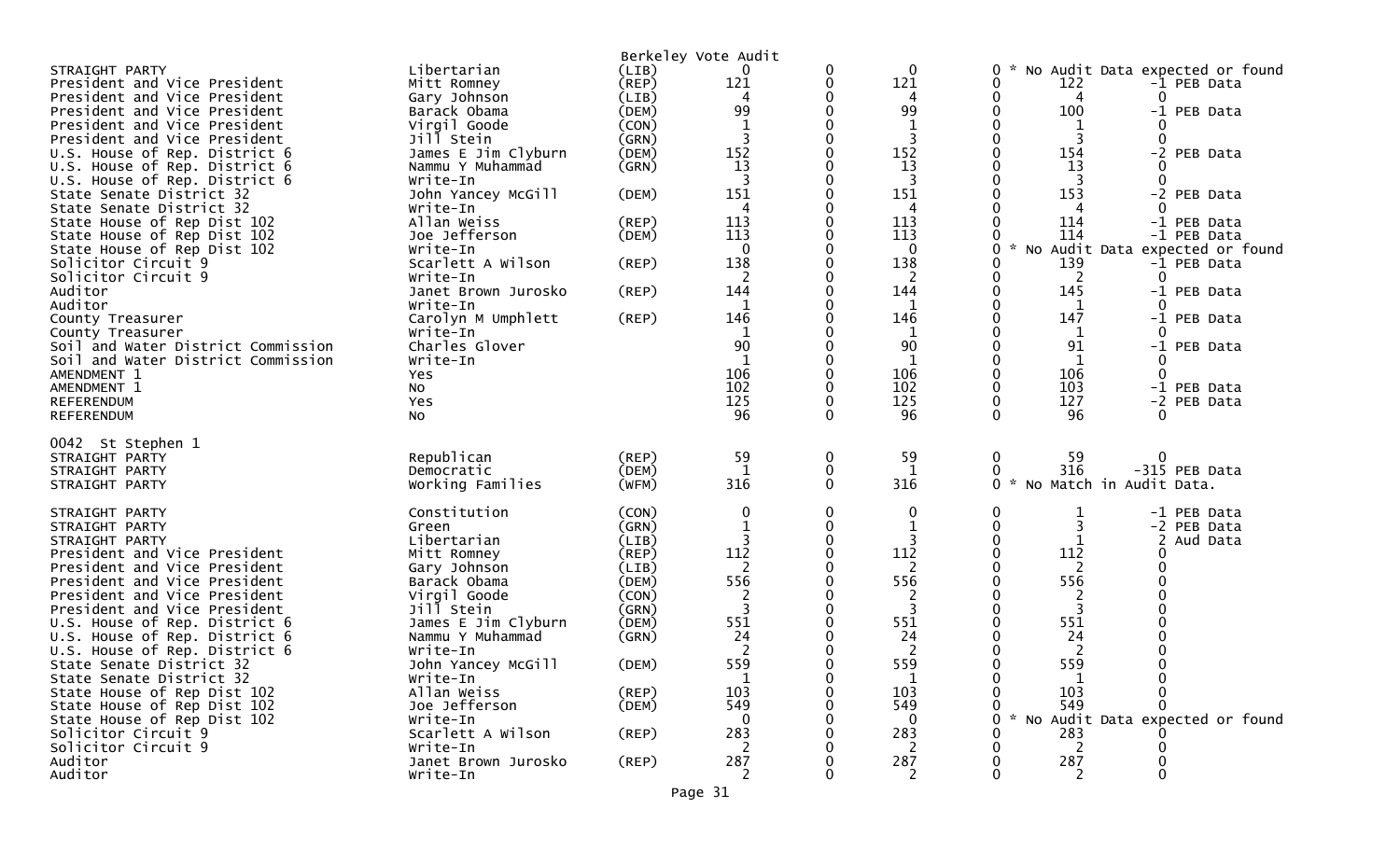|                                      |                                 |             | Berkeley Vote Audit |              |             |                                          |
|--------------------------------------|---------------------------------|-------------|---------------------|--------------|-------------|------------------------------------------|
| STRAIGHT PARTY                       | Libertarian                     | (LIB)       | 0                   | 0            | $\mathbf 0$ | 0<br>No Audit Data expected or found     |
| President and Vice President         | Mitt Romney                     | (REP)       | 121                 | 0            | 121         | 122<br>0<br>-1 PEB Data                  |
| President and Vice President         | Gary Johnson                    | (LIB)       | 4                   | 0            | 4           | 0<br>4<br>0                              |
| President and Vice President         | Barack Obama                    | (DEM)       | 99                  |              | 99          | 100<br>0<br>-1 PEB Data                  |
| President and Vice President         | Virgil Goode                    | (CON)       |                     |              | 1           |                                          |
| President and Vice President         | Jill Stein                      | (GRN)       | $\overline{3}$      | 0            | 3           | 3<br>0<br>$\Omega$                       |
| U.S. House of Rep. District 6        | James E Jim Clyburn             | (DEM)       | 152                 |              | 152         | 0<br>154<br>-2 PEB Data                  |
| U.S. House of Rep. District 6        | Nammu Y Muhammad                | (GRN)       | 13                  |              | 13          | 13<br>0                                  |
| U.S. House of Rep. District 6        | Write-In                        |             | 3                   | 0            | 3           | 3<br>0<br>0                              |
| State Senate District 32             | John Yancey McGill              | (DEM)       | 151                 |              | 151         | 153<br>-2 PEB Data                       |
| State Senate District 32             | Write-In                        |             |                     |              | 4           |                                          |
| State House of Rep Dist 102          | Allan Weiss                     | $($ REP $)$ | 113                 |              | 113         | 114<br>-1 PEB Data                       |
| State House of Rep Dist 102          | Joe Jefferson                   | (DEM)       | 113                 |              | 113         | 114<br>-1 PEB Data<br>$\mathcal{H}$      |
| State House of Rep Dist 102          | Write-In                        |             | $\Omega$            |              | 0           | 0<br>No Audit Data expected or found     |
| Solicitor Circuit 9                  | Scarlett A Wilson               | (REP)       | 138                 |              | 138         | 139<br>0<br>-1 PEB Data                  |
| Solicitor Circuit 9<br>Auditor       | Write-In<br>Janet Brown Jurosko |             | 2<br>144            | ∩            | 2<br>144    | 0<br>2<br>0<br>145<br>0<br>-1 PEB Data   |
| Auditor                              | Write-In                        | $($ REP $)$ |                     |              |             | 0                                        |
|                                      | Carolyn M Umphlett              |             | 1<br>146            |              | 1<br>146    | 1<br>$\Omega$<br>0<br>147<br>-1 PEB Data |
| County Treasurer<br>County Treasurer | Write-In                        | (REP)       | 1                   |              | 1           | 0<br>$\Omega$<br>1                       |
| Soil and Water District Commission   | Charles Glover                  |             | 90                  |              | 90          | 91<br>0<br>-1 PEB Data                   |
| Soil and Water District Commission   | Write-In                        |             | 1                   |              | -1          | 1                                        |
| AMENDMENT 1                          | Yes                             |             | 106                 | ∩            | 106         | 0<br>106<br>0                            |
| AMENDMENT 1                          | No                              |             | 102                 | $\Omega$     | 102         | 103<br>0<br>-1 PEB Data                  |
| <b>REFERENDUM</b>                    | Yes                             |             | 125                 | $\Omega$     | 125         | 127<br>0<br>-2 PEB Data                  |
| <b>REFERENDUM</b>                    | <b>NO</b>                       |             | 96                  | $\Omega$     | 96          | $\Omega$<br>96<br>∩                      |
|                                      |                                 |             |                     |              |             |                                          |
| 0042 St Stephen 1                    |                                 |             |                     |              |             |                                          |
| STRAIGHT PARTY                       | Republican                      | (REP)       | 59                  | 0            | 59          | 0<br>0<br>59                             |
| STRAIGHT PARTY                       | Democratic                      | (DEM)       | 1                   | $\mathbf 0$  | 1           | 316<br>-315 PEB Data<br>0                |
| STRAIGHT PARTY                       | Working Families                | (WFM)       | 316                 | $\mathbf{0}$ | 316         | $\sim$<br>No Match in Audit Data.<br>0   |
| STRAIGHT PARTY                       | Constitution                    | (CON)       | 0                   | 0            | 0           | 0<br>1<br>-1 PEB Data                    |
| STRAIGHT PARTY                       | Green                           | (GRN)       |                     | 0            | $\mathbf 1$ | $\Omega$<br>-2 PEB Data                  |
| STRAIGHT PARTY                       | Libertarian                     | (LIB)       |                     | ∩            | 3           | 0<br>2<br>Aud Data                       |
| President and Vice President         | Mitt Romney                     | $($ REP $)$ | 112                 |              | 112         | $\Omega$<br>112<br>O                     |
| President and Vice President         | Gary Johnson                    | (LIB)       | 2                   |              | 2           | 0<br>2                                   |
| President and Vice President         | Barack Obama                    | (DEM)       | 556                 | ∩            | 556         | 556<br>0                                 |
| President and Vice President         | Virgil Goode                    | (CON)       | $\overline{2}$      |              | 2           | 2                                        |
| President and Vice President         | Jill Stein                      | (GRN)       | 3                   |              | 3           | 3                                        |
| U.S. House of Rep. District 6        | James E Jim Clyburn             | (DEM)       | 551                 |              | 551         | 551<br>0                                 |
| U.S. House of Rep. District 6        | Nammu Y Muhammad                | (GRN)       | 24                  |              | 24          | 24                                       |
| U.S. House of Rep. District 6        | Write-In                        |             |                     |              | 2           |                                          |
| State Senate District 32             | John Yancey McGill              | (DEM)       | 559                 |              | 559         | 559                                      |
| State Senate District 32             | Write-In                        |             | $\mathbf{1}$        | 0            | $\mathbf 1$ | $\mathbf{1}$<br>0<br>0                   |
| State House of Rep Dist 102          | Allan Weiss                     | (REP)       | 103                 |              | 103         | 103                                      |
| State House of Rep Dist 102          | Joe Jefferson                   | (DEM)       | 549                 |              | 549         | 549                                      |
| State House of Rep Dist 102          | Write-In                        |             | ∩                   |              | 0           | * No Audit Data expected or found<br>0   |
| Solicitor Circuit 9                  | Scarlett A Wilson               | $($ REP $)$ | 283                 |              | 283         | 283                                      |
| Solicitor Circuit 9                  | Write-In                        |             | 2                   |              | 2           | 2                                        |
| Auditor                              | Janet Brown Jurosko             | (REP)       | 287                 |              | 287         | 287                                      |
| Auditor                              | Write-In                        |             | 2                   |              | 2           | 2                                        |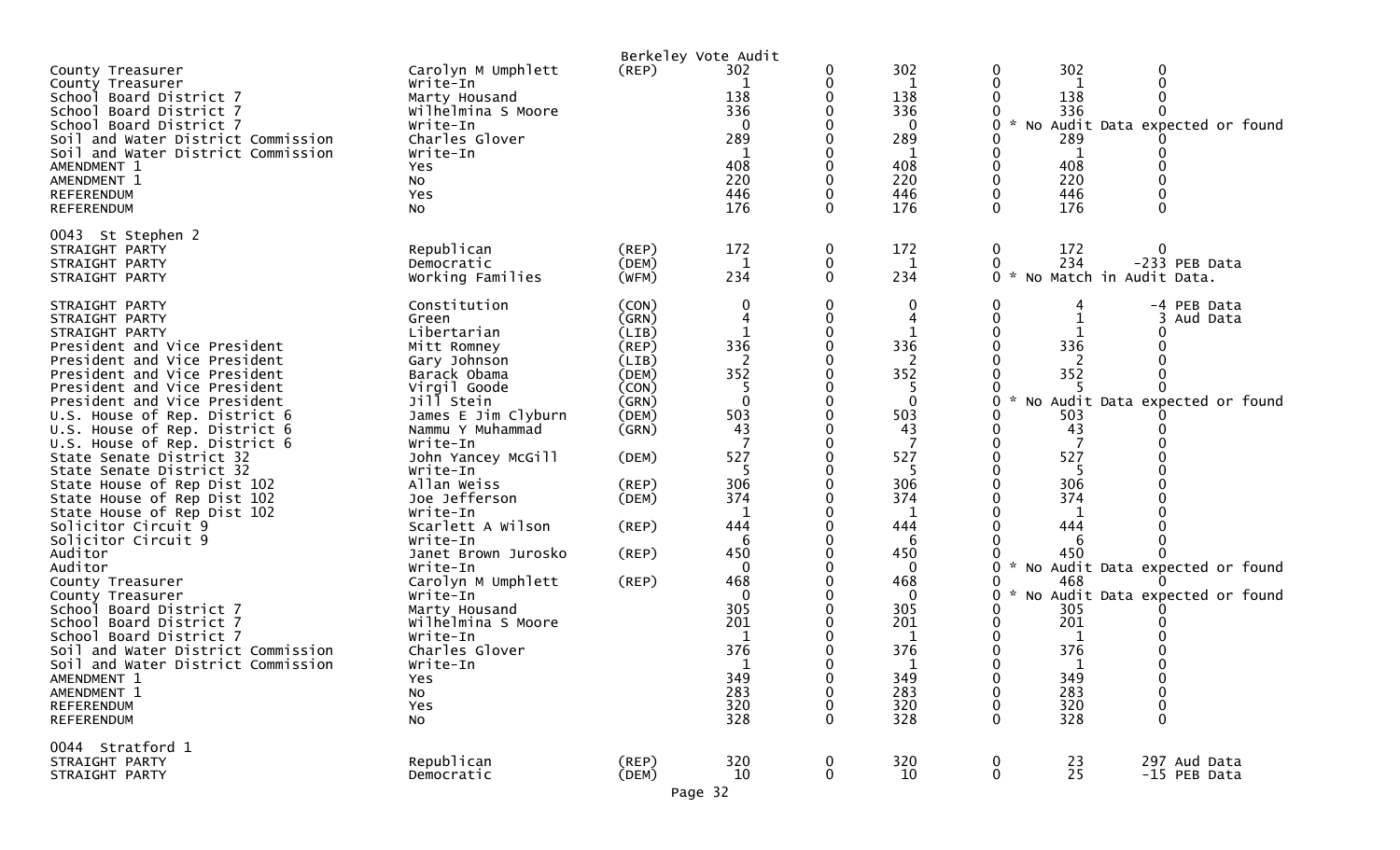|                                                                                                                                                                                                                                                                                                                                                                                                                                                                                                                                                                                                                                                                                                                                                                                                               |                                                                                                                                                                                                                                                                                                                                                                                                                                                                         |                                                                                                                                              | Berkeley Vote Audit                                                                                                                                                        |                                 |                                                                                                                                                                                      |                                                                                  |                                                                                                                                        |                                                                                                                                                        |
|---------------------------------------------------------------------------------------------------------------------------------------------------------------------------------------------------------------------------------------------------------------------------------------------------------------------------------------------------------------------------------------------------------------------------------------------------------------------------------------------------------------------------------------------------------------------------------------------------------------------------------------------------------------------------------------------------------------------------------------------------------------------------------------------------------------|-------------------------------------------------------------------------------------------------------------------------------------------------------------------------------------------------------------------------------------------------------------------------------------------------------------------------------------------------------------------------------------------------------------------------------------------------------------------------|----------------------------------------------------------------------------------------------------------------------------------------------|----------------------------------------------------------------------------------------------------------------------------------------------------------------------------|---------------------------------|--------------------------------------------------------------------------------------------------------------------------------------------------------------------------------------|----------------------------------------------------------------------------------|----------------------------------------------------------------------------------------------------------------------------------------|--------------------------------------------------------------------------------------------------------------------------------------------------------|
| County Treasurer<br>County Treasurer<br>School Board District 7<br>School Board District 7<br>School Board District 7<br>Soil and Water District Commission<br>Soil and Water District Commission<br>AMENDMENT 1<br>AMENDMENT 1<br>REFERENDUM<br>REFERENDUM                                                                                                                                                                                                                                                                                                                                                                                                                                                                                                                                                   | Carolyn M Umphlett<br>Write-In<br>Marty Housand<br>Wilhelmina S Moore<br>Write-In<br>Charles Glover<br>Write-In<br>Yes<br>No<br>Yes<br>NO.                                                                                                                                                                                                                                                                                                                              | (REP)                                                                                                                                        | 302<br>138<br>336<br>289<br>408<br>220<br>446<br>176                                                                                                                       | 0<br>0                          | 302<br>1<br>138<br>336<br>0<br>289<br>1<br>408<br>220<br>446<br>176                                                                                                                  | 0<br>$\mathcal{H}$<br>0<br>$\Omega$<br>0                                         | 302<br>1<br>138<br>336<br>289<br>1<br>408<br>220<br>446<br>176                                                                         | 0<br>No Audit Data expected or found<br>0                                                                                                              |
| 0043 St Stephen 2<br>STRAIGHT PARTY<br>STRAIGHT PARTY<br>STRAIGHT PARTY                                                                                                                                                                                                                                                                                                                                                                                                                                                                                                                                                                                                                                                                                                                                       | Republican<br>Democratic<br>Working Families                                                                                                                                                                                                                                                                                                                                                                                                                            | (REP)<br>(DEM)<br>(WFM)                                                                                                                      | 172<br>1<br>234                                                                                                                                                            | 0<br>0<br>$\mathbf{0}$          | 172<br>1<br>234                                                                                                                                                                      | $\boldsymbol{0}$<br>0<br>ი ∗                                                     | 172<br>234                                                                                                                             | -233 PEB Data<br>No Match in Audit Data.                                                                                                               |
| STRAIGHT PARTY<br>STRAIGHT PARTY<br>STRAIGHT PARTY<br>President and Vice President<br>President and Vice President<br>President and Vice President<br>President and Vice President<br>President and Vice President<br>U.S. House of Rep. District 6<br>U.S. House of Rep. District 6<br>U.S. House of Rep. District 6<br>State Senate District 32<br>State Senate District 32<br>State House of Rep Dist 102<br>State House of Rep Dist 102<br>State House of Rep Dist 102<br>Solicitor Circuit 9<br>Solicitor Circuit 9<br>Auditor<br>Auditor<br>County Treasurer<br>County Treasurer<br>School Board District 7<br>School Board District 7<br>School Board District 7<br>Soil and Water District Commission<br>Soil and Water District Commission<br>AMENDMENT 1<br>AMENDMENT 1<br>REFERENDUM<br>REFERENDUM | Constitution<br>Green<br>Libertarian<br>Mitt Romney<br>Gary Johnson<br>Barack Obama<br>Virgil Goode<br>Jill Stein<br>James E Jim Clyburn<br>Nammu Y Muhammad<br>Write-In<br>John Yancey McGill<br>Write-In<br>Allan Weiss<br>Joe Jefferson<br>Write-In<br>Scarlett A Wilson<br>Write-In<br>Janet Brown Jurosko<br>Write-In<br>Carolyn M Umphlett<br>Write-In<br>Marty Housand<br>Wilhelmina S Moore<br>Write-In<br>Charles Glover<br>Write-In<br>Yes<br>No<br>Yes<br>No | (CON)<br>(GRN)<br>(LIB)<br>(REP)<br>(LIB)<br>(DEM)<br>(CON)<br>(GRN)<br>(DEM)<br>(GRN)<br>(DEM)<br>(REP)<br>(DEM)<br>(REP)<br>(REP)<br>(REP) | 0<br>336<br>2<br>352<br>5<br>$\mathbf{0}$<br>503<br>43<br>527<br>306<br>374<br>1<br>444<br>6<br>450<br>0<br>468<br>0<br>305<br>201<br>1<br>376<br>349<br>283<br>320<br>328 | 0<br>0<br>0<br>0<br>0           | 0<br>4<br>336<br>2<br>352<br>5<br>$\mathbf{0}$<br>503<br>43<br>527<br>5<br>306<br>374<br>1<br>444<br>6<br>450<br>0<br>468<br>0<br>305<br>201<br>1<br>376<br>349<br>283<br>320<br>328 | $\bf{0}$<br>$\sim$<br>0<br>0<br>$\mathcal{H}$<br>0<br>0<br>0<br>0<br>0<br>0<br>0 | 336<br>2<br>352<br>503<br>43<br>527<br>306<br>374<br>1<br>444<br>6<br>450<br>468<br>305<br>201<br>1<br>376<br>349<br>283<br>320<br>328 | -4 PEB Data<br>Aud Data<br>No Audit Data expected or found<br>No Audit Data expected or found<br>* No Audit Data expected or found<br>0<br>0<br>0<br>0 |
| 0044 Stratford 1<br>STRAIGHT PARTY<br>STRAIGHT PARTY                                                                                                                                                                                                                                                                                                                                                                                                                                                                                                                                                                                                                                                                                                                                                          | Republican<br>Democratic                                                                                                                                                                                                                                                                                                                                                                                                                                                | (REP)<br>(DEM)                                                                                                                               | 320<br>10<br>Page 32                                                                                                                                                       | $\boldsymbol{0}$<br>$\mathbf 0$ | 320<br>10                                                                                                                                                                            | 0<br>$\mathbf 0$                                                                 | 23<br>25                                                                                                                               | 297 Aud Data<br>-15 PEB Data                                                                                                                           |
|                                                                                                                                                                                                                                                                                                                                                                                                                                                                                                                                                                                                                                                                                                                                                                                                               |                                                                                                                                                                                                                                                                                                                                                                                                                                                                         |                                                                                                                                              |                                                                                                                                                                            |                                 |                                                                                                                                                                                      |                                                                                  |                                                                                                                                        |                                                                                                                                                        |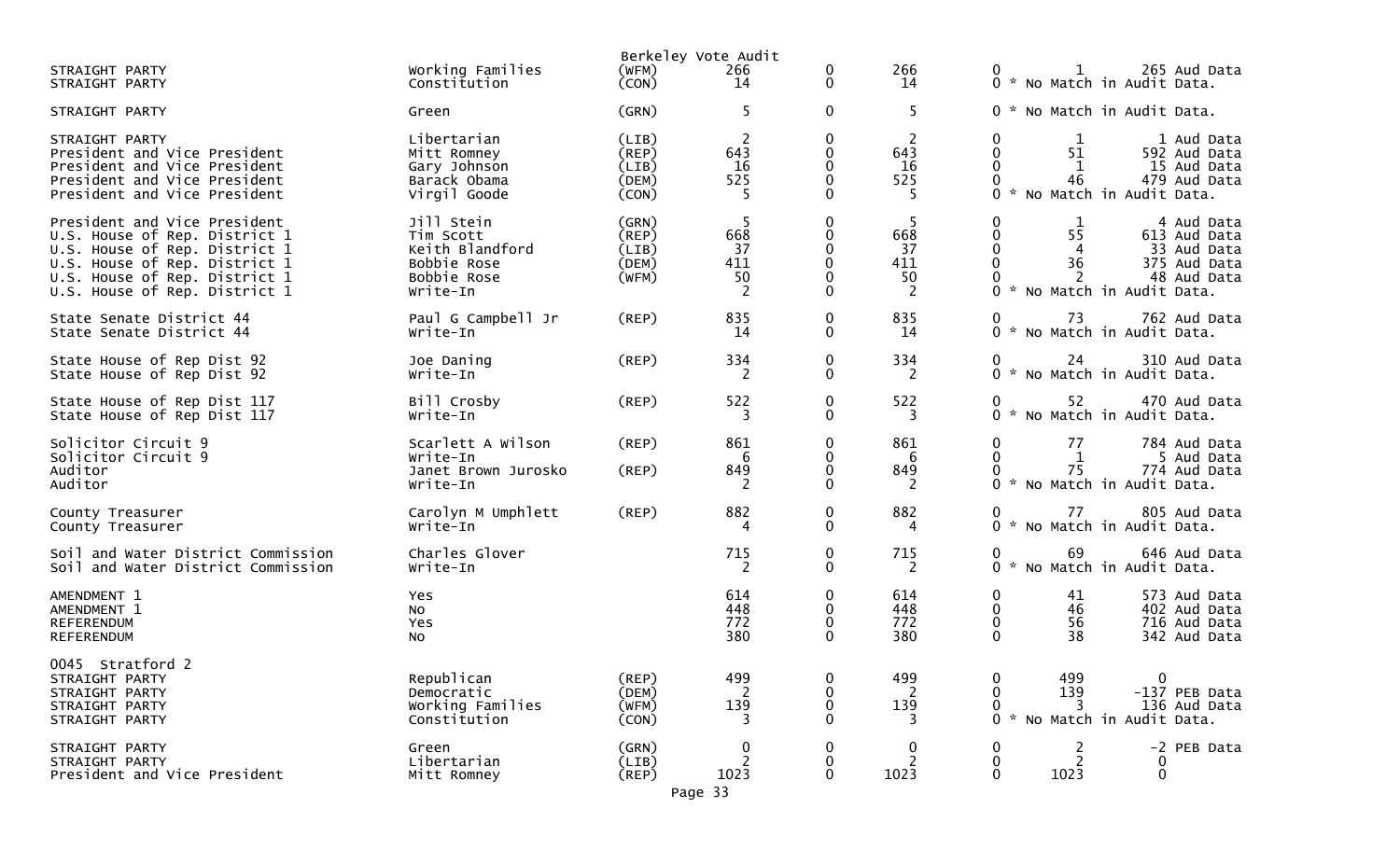|                                                                                                                                                                                                   |                                                                                      | Berkeley Vote Audit                       |                                                |                                                                 |                                    |                                                                                                                                                                                     |
|---------------------------------------------------------------------------------------------------------------------------------------------------------------------------------------------------|--------------------------------------------------------------------------------------|-------------------------------------------|------------------------------------------------|-----------------------------------------------------------------|------------------------------------|-------------------------------------------------------------------------------------------------------------------------------------------------------------------------------------|
| STRAIGHT PARTY<br>STRAIGHT PARTY                                                                                                                                                                  | Working Families<br>Constitution                                                     | (WFM)<br>(CON)                            | 266<br>14                                      | 0<br>$\mathbf{0}$                                               | 266<br>14                          | 0 1 265 Aud Data<br>0 * No Match in Audit Data.                                                                                                                                     |
| STRAIGHT PARTY                                                                                                                                                                                    | Green                                                                                | (GRN)                                     | 5                                              | $\mathbf 0$                                                     | 5                                  | 0 * No Match in Audit Data.                                                                                                                                                         |
| STRAIGHT PARTY<br>President and Vice President<br>President and Vice President<br>President and Vice President<br>President and Vice President                                                    | Libertarian<br>Mitt Romney<br>Gary Johnson<br>Barack Obama<br>Virgil Goode           | (LIB)<br>(REP)<br>(LIB)<br>(DEM)<br>(CON) | -2<br>643<br>16<br>525<br>-5                   | 0<br>$\mathbf{0}$<br>$\mathbf 0$<br>$\mathbf 0$<br>$\mathbf{0}$ | -2<br>643<br>16<br>525<br>5        | 0<br>1<br>1 Aud Data<br>$\Omega$<br>51<br>592 Aud Data<br>0<br>15 Aud Data<br>1<br>479 Aud Data<br>46<br>0 * No Match in Audit Data.                                                |
| President and Vice President<br>U.S. House of Rep. District 1<br>U.S. House of Rep. District 1<br>U.S. House of Rep. District 1<br>U.S. House of Rep. District 1<br>U.S. House of Rep. District 1 | Jill Stein<br>Tim Scott<br>Keith Blandford<br>Bobbie Rose<br>Bobbie Rose<br>Write-In | (GRN)<br>(REP)<br>(LIB)<br>(DEM)<br>(WFM) | -5<br>668<br>37<br>411<br>50<br>$\overline{2}$ | $\mathbf{0}$<br>0<br>0<br>$\mathbf 0$<br>$\Omega$<br>0          | - 5<br>668<br>37<br>411<br>50<br>2 | 0<br>1<br>4 Aud Data<br>$\mathbf{0}$<br>55<br>613 Aud Data<br>$\mathbf 0$<br>$\overline{4}$<br>33 Aud Data<br>36<br>375 Aud Data<br>2<br>48 Aud Data<br>0 * No Match in Audit Data. |
| State Senate District 44<br>State Senate District 44                                                                                                                                              | Paul G Campbell Jr<br>Write-In                                                       | (REP)                                     | 835<br>14                                      | 0<br>$\mathbf{0}$                                               | 835<br>14                          | 762 Aud Data<br>73<br>0 * No Match in Audit Data.                                                                                                                                   |
| State House of Rep Dist 92<br>State House of Rep Dist 92                                                                                                                                          | Joe Daning<br>Write-In                                                               | (REP)                                     | 334<br>$\overline{2}$                          | 0<br>$\mathbf{0}$                                               | 334<br>2                           | 24<br>310 Aud Data<br>0<br>0 * No Match in Audit Data.                                                                                                                              |
| State House of Rep Dist 117<br>State House of Rep Dist 117                                                                                                                                        | Bill Crosby<br>Write-In                                                              | (REP)                                     | 522<br>3                                       | $\mathbf 0$<br>$\mathbf{0}$                                     | 522<br>3                           | 470 Aud Data<br>52<br>0<br>0 * No Match in Audit Data.                                                                                                                              |
| Solicitor Circuit 9<br>Solicitor Circuit 9<br>Auditor<br>Auditor                                                                                                                                  | Scarlett A Wilson<br>Write-In<br>Janet Brown Jurosko<br>Write-In                     | $($ REP $)$<br>(REP)                      | 861<br>6<br>849<br>2                           | 0<br>0<br>0<br>$\Omega$                                         | 861<br>6<br>849<br><sup>2</sup>    | 0<br>77<br>784 Aud Data<br>0<br>1<br>5 Aud Data<br>75<br>774 Aud Data<br>0 * No Match in Audit Data.                                                                                |
| County Treasurer<br>County Treasurer                                                                                                                                                              | Carolyn M Umphlett<br>Write-In                                                       | (REP)                                     | 882<br>4                                       | 0<br>$\Omega$                                                   | 882<br>4                           | 805 Aud Data<br>$\mathbf{0}$<br>77 —<br>0 * No Match in Audit Data.                                                                                                                 |
| Soil and Water District Commission<br>Soil and Water District Commission                                                                                                                          | Charles Glover<br>Write-In                                                           |                                           | 715<br><sup>2</sup>                            | 0<br>$\Omega$                                                   | 715<br><sup>2</sup>                | 69<br>646 Aud Data<br>0<br>0 * No Match in Audit Data.                                                                                                                              |
| AMENDMENT 1<br>AMENDMENT 1<br>REFERENDUM<br>REFERENDUM                                                                                                                                            | Yes<br>NO.<br>Yes<br>NO.                                                             |                                           | 614<br>448<br>772<br>380                       | 0<br>$\mathbf 0$<br>0<br>$\Omega$                               | 614<br>448<br>772<br>380           | 0<br>41<br>573 Aud Data<br>$\mathbf{0}$<br>46<br>402 Aud Data<br>0<br>56<br>716 Aud Data<br>$\Omega$<br>38<br>342 Aud Data                                                          |
| 0045 Stratford 2<br>STRAIGHT PARTY<br>STRAIGHT PARTY<br>STRAIGHT PARTY<br>STRAIGHT PARTY                                                                                                          | Republican<br>Democratic<br>Working Families<br>Constitution                         | (REP)<br>(DEM)<br>(WFM)<br>(CON)          | 499<br>-2<br>139<br>3                          | 0<br>0<br>0                                                     | 499<br>139<br>3                    | 0<br>499<br>O<br>139<br>-137 PEB Data<br>0<br>136 Aud Data<br>3<br>0<br>No Match in Audit Data.                                                                                     |
| STRAIGHT PARTY<br>STRAIGHT PARTY<br>President and Vice President                                                                                                                                  | Green<br>Libertarian<br>Mitt Romney                                                  | (GRN)<br>(LIB)<br>(REP)<br>Page 33        | 0<br>1023                                      | 0<br>0<br>$\Omega$                                              | 0<br>2<br>1023                     | -2 PEB Data<br>2<br>$\overline{2}$<br>0<br>0<br>0<br>1023<br>$\Omega$                                                                                                               |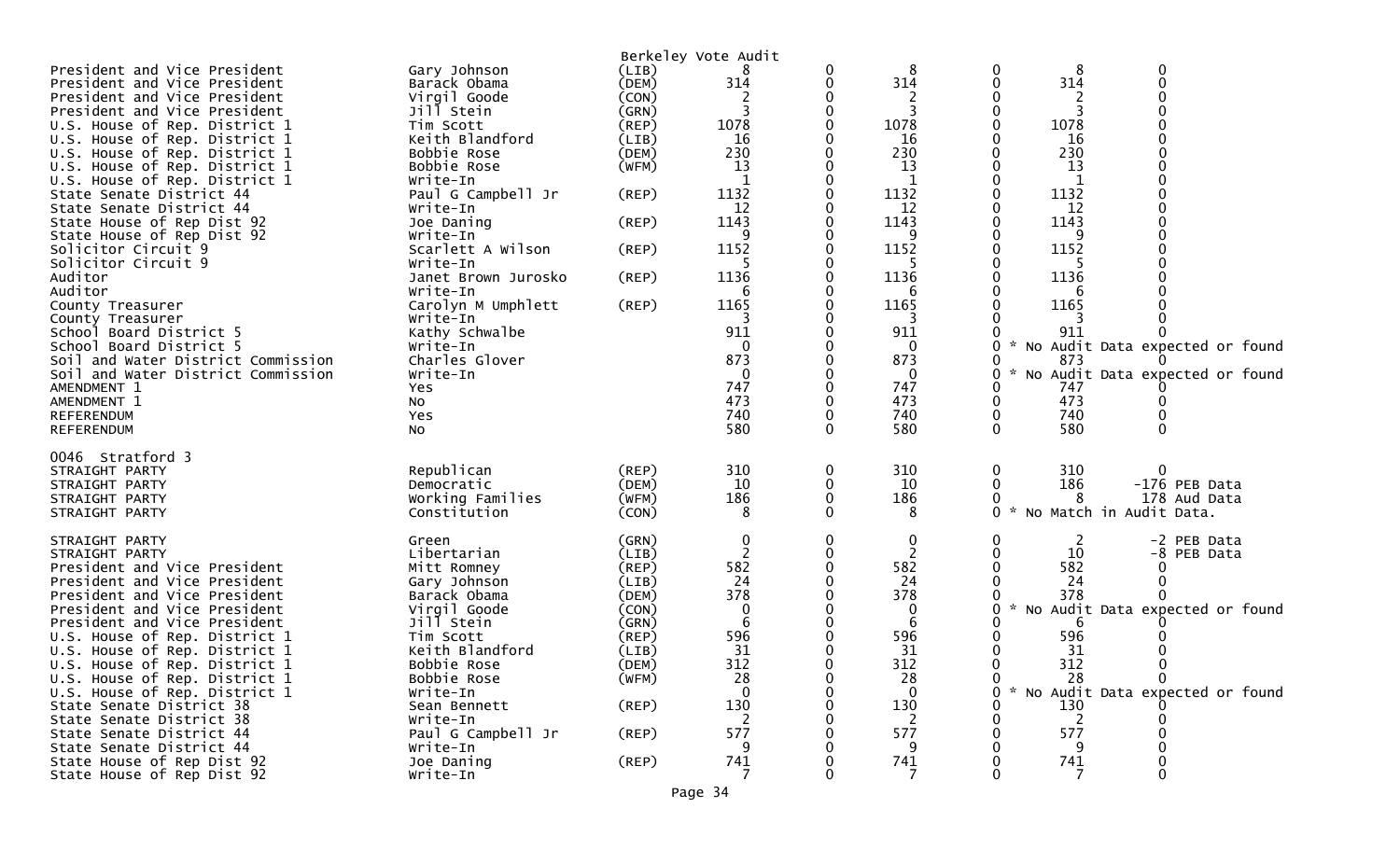| President and Vice President<br>President and Vice President<br>President and Vice President<br>President and Vice President<br>U.S. House of Rep. District 1<br>U.S. House of Rep. District 1<br>U.S. House of Rep. District 1<br>U.S. House of Rep. District 1<br>U.S. House of Rep. District 1<br>State Senate District 44<br>State Senate District 44<br>State House of Rep Dist 92<br>State House of Rep Dist 92<br>Solicitor Circuit 9<br>Solicitor Circuit 9<br>Auditor<br>Auditor<br>County Treasurer<br>County Treasurer<br>School Board District 5<br>School Board District 5<br>Soil and Water District Commission<br>Soil and Water District Commission<br>AMENDMENT 1<br>AMENDMENT 1<br><b>REFERENDUM</b> | Gary Johnson<br>Barack Obama<br>Virgil Goode<br>Jill Stein<br>Tim Scott<br>Keith Blandford<br>Bobbie Rose<br>Bobbie Rose<br>Write-In<br>Paul G Campbell Jr<br>Write-In<br>Joe Daning<br>Write-In<br>Scarlett A Wilson<br>Write-In<br>Janet Brown Jurosko<br>Write-In<br>Carolyn M Umphlett<br>Write-In<br>Kathy Schwalbe<br>Write-In<br>Charles Glover<br>Write-In<br>Yes<br>NO.<br>Yes | (LIB)<br>(DEM)<br>(CON)<br>(GRN)<br>(REP)<br>(LIB)<br>(DEM)<br>(WFM)<br>$($ REP $)$<br>$($ REP $)$<br>(REP)<br>(REP)<br>$($ REP $)$          | Berkeley Vote Audit<br>314<br>1078<br>-16<br>230<br>13<br>1<br>1132<br>12<br>1143<br>1152<br>1136<br>b<br>1165<br>911<br>$\Omega$<br>873<br>0<br>747<br>473<br>740 |   | 8<br>314<br>2<br>1078<br>16<br>230<br>13<br>1<br>1132<br>12<br>1143<br>1152<br>-5<br>1136<br>6<br>1165<br>911<br>$\Omega$<br>873<br>$\Omega$<br>747<br>473<br>740 | 0<br>1078<br>1132<br>1143<br>1152<br>1136<br>1165<br>$\mathcal{H}$<br>0<br>0<br>$\mathcal{H}$<br>0<br>0 | 8<br>314<br>2<br>-16<br>230<br>13<br>1<br>12<br>6<br>911<br>No Audit Data expected or found<br>873<br>No Audit Data expected or found<br>747<br>473<br>740                                                     |
|------------------------------------------------------------------------------------------------------------------------------------------------------------------------------------------------------------------------------------------------------------------------------------------------------------------------------------------------------------------------------------------------------------------------------------------------------------------------------------------------------------------------------------------------------------------------------------------------------------------------------------------------------------------------------------------------------------------------|-----------------------------------------------------------------------------------------------------------------------------------------------------------------------------------------------------------------------------------------------------------------------------------------------------------------------------------------------------------------------------------------|----------------------------------------------------------------------------------------------------------------------------------------------|--------------------------------------------------------------------------------------------------------------------------------------------------------------------|---|-------------------------------------------------------------------------------------------------------------------------------------------------------------------|---------------------------------------------------------------------------------------------------------|----------------------------------------------------------------------------------------------------------------------------------------------------------------------------------------------------------------|
| <b>REFERENDUM</b><br>0046 Stratford 3<br>STRAIGHT PARTY<br>STRAIGHT PARTY<br>STRAIGHT PARTY<br>STRAIGHT PARTY                                                                                                                                                                                                                                                                                                                                                                                                                                                                                                                                                                                                          | <b>NO</b><br>Republican<br>Democratic<br>Working Families<br>Constitution                                                                                                                                                                                                                                                                                                               | $($ REP $)$<br>(DEM)<br>(WFM)<br>(CON)                                                                                                       | 580<br>310<br>10<br>186<br>8                                                                                                                                       | 0 | 580<br>310<br>10<br>186<br>8                                                                                                                                      | 0<br>0<br>$\sim$<br>0                                                                                   | 580<br>$\Omega$<br>310<br>186<br>-176 PEB Data<br>178 Aud Data<br>8<br>No Match in Audit Data.                                                                                                                 |
| STRAIGHT PARTY<br>STRAIGHT PARTY<br>President and Vice President<br>President and Vice President<br>President and Vice President<br>President and Vice President<br>President and Vice President<br>U.S. House of Rep. District 1<br>U.S. House of Rep. District 1<br>U.S. House of Rep. District 1<br>U.S. House of Rep. District 1<br>U.S. House of Rep. District 1<br>State Senate District 38<br>State Senate District 38<br>State Senate District 44<br>State Senate District 44<br>State House of Rep Dist 92<br>State House of Rep Dist 92                                                                                                                                                                      | Green<br>Libertarian<br>Mitt Romney<br>Gary Johnson<br>Barack Obama<br>Virgil Goode<br>Jill Stein<br>Tim Scott<br>Keith Blandford<br>Bobbie Rose<br>Bobbie Rose<br>Write-In<br>Sean Bennett<br>Write-In<br>Paul G Campbell Jr<br>Write-In<br>Joe Daning<br>Write-In                                                                                                                     | (GRN)<br>(LIB)<br>$($ REP $)$<br>(LIB)<br>(DEM)<br>(CON)<br>(GRN)<br>(REP)<br>(LIB)<br>(DEM)<br>(WFM)<br>$($ REP $)$<br>$($ REP $)$<br>(REP) | $\mathbf 0$<br>2<br>582<br>24<br>378<br>0<br>596<br>31<br>312<br>28<br>$\Omega$<br>130<br>2<br>577<br>741                                                          |   | 0<br>582<br>24<br>378<br>0<br>6<br>596<br>31<br>312<br>28<br>$\Omega$<br>130<br>2<br>577<br>9<br>741                                                              | 0<br>0<br>0                                                                                             | 2<br>-2 PEB Data<br>10<br>-8 PEB Data<br>582<br>-24<br>378<br>* No Audit Data expected or found<br>6<br>596<br>31<br>312<br>28<br>$\Omega$<br>* No Audit Data expected or found<br>130<br>2<br>577<br>9<br>741 |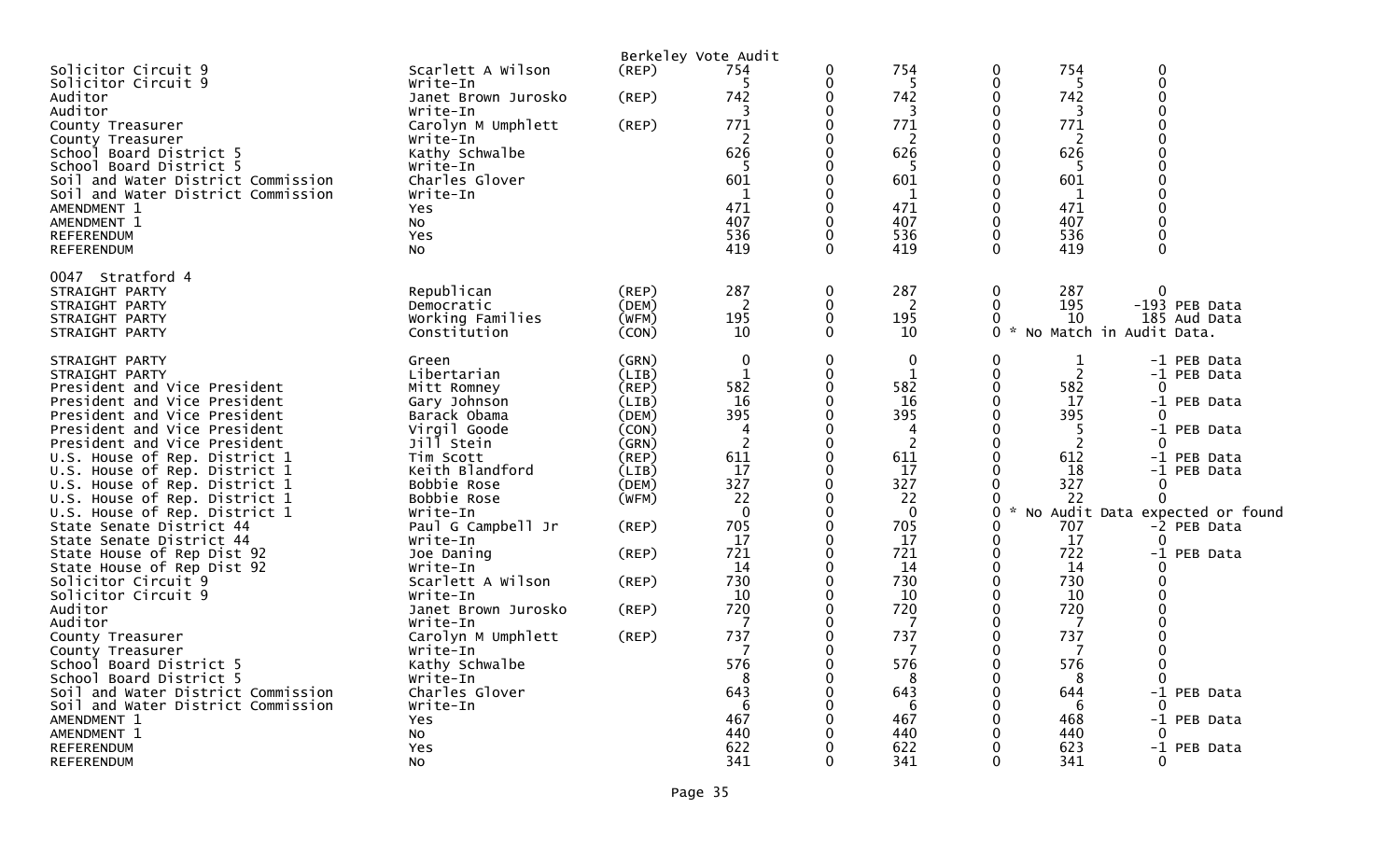|                                                                          |                               |                | Berkeley Vote Audit |               |                |                                |                                     |                                 |
|--------------------------------------------------------------------------|-------------------------------|----------------|---------------------|---------------|----------------|--------------------------------|-------------------------------------|---------------------------------|
| Solicitor Circuit 9<br>Solicitor Circuit 9                               | Scarlett A Wilson<br>Write-In | $($ REP $)$    | 754<br>5            | 0<br>0        | 754<br>5       | $\Omega$<br>$\mathbf 0$        | 754<br>$\Omega$<br>$\mathbf 0$<br>5 |                                 |
| Auditor                                                                  | Janet Brown Jurosko           | (REP)          | 742                 | 0             | 742            | $\Omega$                       | 742<br>$\Omega$                     |                                 |
| Auditor                                                                  | Write-In                      |                | 3                   | 0             | 3              | $\mathbf 0$                    | $\Omega$<br>3                       |                                 |
| County Treasurer                                                         | Carolyn M Umphlett            | (REP)          | 771                 | 0             | 771            | $\Omega$                       | 771                                 |                                 |
| County Treasurer                                                         | Write-In                      |                | 2                   | 0             | $\overline{c}$ | $\mathbf 0$                    | 2                                   |                                 |
| School Board District 5                                                  | Kathy Schwalbe                |                | 626                 | 0             | 626            | $\Omega$                       | 626                                 |                                 |
| School Board District 5                                                  | Write-In                      |                | -5<br>601           | 0<br>0        | -5<br>601      | $\Omega$                       | -5<br>601                           |                                 |
| Soil and Water District Commission<br>Soil and Water District Commission | Charles Glover                |                | 1                   | 0             | $\mathbf{1}$   | $\mathbf 0$<br>$\Omega$        | 1                                   |                                 |
| AMENDMENT 1                                                              | Write-In<br><b>Yes</b>        |                | 471                 | 0             | 471            | $\mathbf 0$                    | 471                                 |                                 |
| AMENDMENT 1                                                              | <b>NO</b>                     |                | 407                 | $\Omega$      | 407            | $\Omega$                       | 407                                 |                                 |
| <b>REFERENDUM</b>                                                        | Yes                           |                | 536                 | 0             | 536            | $\Omega$                       | 536                                 |                                 |
| REFERENDUM                                                               | N <sub>O</sub>                |                | 419                 | $\Omega$      | 419            | $\Omega$                       | 419<br>$\Omega$                     |                                 |
|                                                                          |                               |                |                     |               |                |                                |                                     |                                 |
| 0047 Stratford 4                                                         |                               |                |                     |               |                |                                |                                     |                                 |
| STRAIGHT PARTY                                                           | Republican                    | (REP)          | 287                 | $\mathbf 0$   | 287            | $\Omega$                       | $\Omega$<br>287                     |                                 |
| STRAIGHT PARTY                                                           | Democratic                    | (DEM)          | 2                   | 0             | 2              | $\mathbf{0}$                   | 195                                 | -193 PEB Data                   |
| STRAIGHT PARTY                                                           | Working Families              | (WFM)          | 195                 | $\mathbf 0$   | 195            | $\Omega$<br>$\Omega$<br>$\sim$ | 10                                  | 185 Aud Data                    |
| STRAIGHT PARTY                                                           | Constitution                  | (CON)          | 10                  | $\mathbf{0}$  | 10             |                                | No Match in Audit Data.             |                                 |
| STRAIGHT PARTY                                                           | Green                         | (GRN)          | $\mathbf 0$         | $\mathbf{0}$  | 0              | $\mathbf{0}$                   | $\mathbf 1$                         | -1 PEB Data                     |
| STRAIGHT PARTY                                                           | Libertarian                   | (LIB)          | $\mathbf{1}$        | 0             | $\mathbf{1}$   | $\mathbf 0$                    | $\overline{2}$                      | -1 PEB Data                     |
| President and Vice President                                             | Mitt Romney                   | (REP)          | 582                 | 0             | 582            | $\Omega$                       | 582<br>$\Omega$                     |                                 |
| President and Vice President                                             | Gary Johnson                  | (LIB)          | 16                  | 0             | 16             | $\mathbf 0$                    | 17                                  | -1 PEB Data                     |
| President and Vice President                                             | Barack Obama                  | (DEM)          | 395                 | 0             | 395            | $\Omega$                       | 395<br>$\Omega$                     |                                 |
| President and Vice President                                             | Virgil Goode                  | (CON)          | 4                   | 0             | 4              | $\Omega$                       | -5                                  | -1 PEB Data                     |
| President and Vice President                                             | Jill Stein                    | (GRN)          | 2                   | 0             | $\overline{2}$ | $\Omega$                       | 2<br>$\Omega$                       |                                 |
| U.S. House of Rep. District 1                                            | Tim Scott                     | (REP)          | 611                 | 0             | 611            | $\Omega$                       | 612                                 | -1 PEB Data                     |
| U.S. House of Rep. District 1                                            | Keith Blandford               | (LIB)          | 17<br>327           | 0<br>$\Omega$ | 17<br>327      | $\Omega$<br>$\Omega$           | 18<br>327<br>0                      | -1 PEB Data                     |
| U.S. House of Rep. District 1<br>U.S. House of Rep. District 1           | Bobbie Rose<br>Bobbie Rose    | (DEM)<br>(WFM) | 22                  | 0             | 22             | 0                              | 22<br>$\mathbf 0$                   |                                 |
| U.S. House of Rep. District 1                                            | Write-In                      |                | $\mathbf{0}$        | O             | $\mathbf{0}$   | 0                              |                                     | No Audit Data expected or found |
| State Senate District 44                                                 | Paul G Campbell Jr            | (REP)          | 705                 | 0             | 705            | $\Omega$                       | 707                                 | -2 PEB Data                     |
| State Senate District 44                                                 | Write-In                      |                | 17                  | $\mathbf 0$   | 17             | $\mathbf{0}$                   | 17<br>$\Omega$                      |                                 |
| State House of Rep Dist 92                                               | Joe Daning                    | (REP)          | 721                 | 0             | 721            | $\mathbf 0$                    | 722                                 | -1 PEB Data                     |
| State House of Rep Dist 92                                               | Write-In                      |                | 14                  | 0             | 14             | $\mathbf 0$                    | 14<br>$\Omega$                      |                                 |
| Solicitor Circuit 9                                                      | Scarlett A Wilson             | (REP)          | 730                 | 0             | 730            | $\Omega$                       | 730<br>$\Omega$                     |                                 |
| Solicitor Circuit 9                                                      | Write-In                      |                | 10                  | 0             | 10             | 0                              | 10                                  |                                 |
| Auditor                                                                  | Janet Brown Jurosko           | (REP)          | 720                 | 0             | 720            | $\Omega$                       | 720                                 |                                 |
| Auditor                                                                  | Write-In                      |                | -7                  | 0             | 7              | $\Omega$                       | 7                                   |                                 |
| County Treasurer                                                         | Carolyn M Umphlett            | (REP)          | 737                 | 0             | 737            | $\mathbf 0$                    | 737                                 |                                 |
| County Treasurer                                                         | Write-In                      |                | 7                   | 0             | 7              | $\Omega$                       | -7                                  |                                 |
| School Board District 5                                                  | Kathy Schwalbe                |                | 576                 | 0             | 576            | 0                              | 576<br>$\Omega$                     |                                 |
| School Board District 5                                                  | Write-In                      |                | 8                   | 0             | 8              | $\Omega$                       | ∩<br>8                              |                                 |
| Soil and Water District Commission                                       | Charles Glover                |                | 643                 | 0             | 643            | 0                              | 644                                 | -1 PEB Data                     |
| Soil and Water District Commission                                       | Write-In                      |                | -6                  | 0             | 6              | $\Omega$                       | 6<br>$\Omega$                       |                                 |
| AMENDMENT 1                                                              | <b>Yes</b>                    |                | 467<br>440          | 0<br>0        | 467<br>440     | 0                              | 468<br>440<br>$\Omega$              | -1 PEB Data                     |
| AMENDMENT 1<br><b>REFERENDUM</b>                                         | No<br>Yes                     |                | 622                 | 0             | 622            | 0                              | 623                                 | -1 PEB Data                     |
| <b>REFERENDUM</b>                                                        | <b>NO</b>                     |                | 341                 | 0             | 341            | $\Omega$                       | 341<br>$\mathbf{0}$                 |                                 |
|                                                                          |                               |                |                     |               |                |                                |                                     |                                 |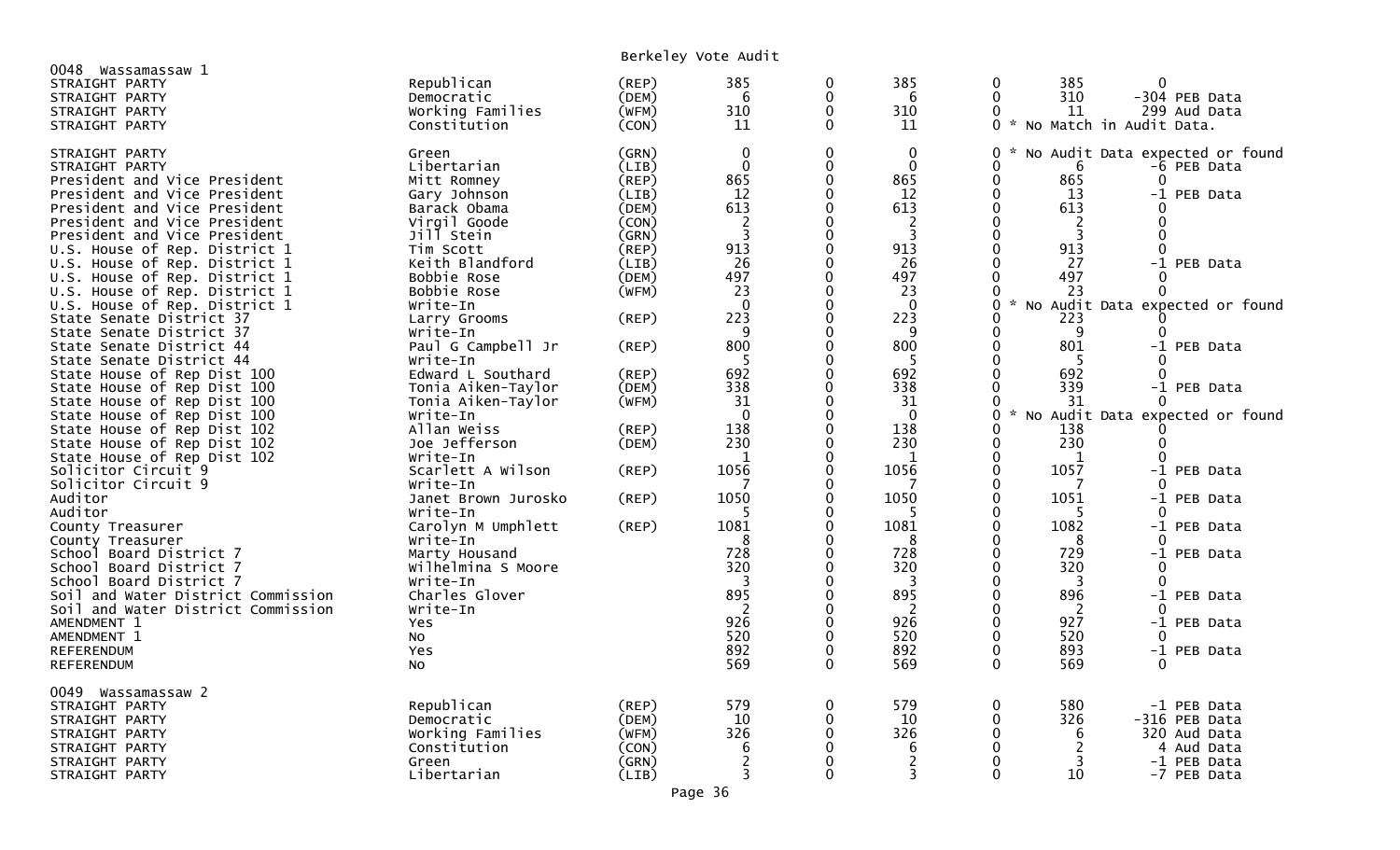| 0048<br>Wassamassaw 1<br>STRAIGHT PARTY<br>STRAIGHT PARTY<br>STRAIGHT PARTY<br>STRAIGHT PARTY                                                                    | Republican<br>Democratic<br>Working Families<br>Constitution                          | (REP)<br>(DEM)<br>(WFM)<br>(CON)                   | 385<br>6<br>310<br>11                                                 | 0<br>$\mathbf{0}$<br>0<br>$\mathbf{0}$                    | 385<br>6<br>310<br>11                                            | 0<br>$\Omega$<br>$\Omega$<br>0<br>$\mathcal{H}$ | 385<br>310<br>11                             | 0<br>-304 PEB Data<br>299 Aud Data<br>No Match in Audit Data.                               |
|------------------------------------------------------------------------------------------------------------------------------------------------------------------|---------------------------------------------------------------------------------------|----------------------------------------------------|-----------------------------------------------------------------------|-----------------------------------------------------------|------------------------------------------------------------------|-------------------------------------------------|----------------------------------------------|---------------------------------------------------------------------------------------------|
| STRAIGHT PARTY<br>STRAIGHT PARTY<br>President and Vice President<br>President and Vice President<br>President and Vice President<br>President and Vice President | Green<br>Libertarian<br>Mitt Romney<br>Gary Johnson<br>Barack Obama<br>Virgil Goode   | (GRN)<br>(LIB)<br>(REP)<br>(LIB)<br>(DEM)<br>(CON) | $\boldsymbol{0}$<br>$\mathbf 0$<br>865<br>12<br>613<br>$\overline{2}$ | 0<br>$\mathbf 0$<br>0<br>$\Omega$<br>$\Omega$<br>$\Omega$ | $\mathbf 0$<br>$\mathbf 0$<br>865<br>12<br>613<br>$\overline{2}$ | 0<br>0<br>0<br>$\Omega$<br>$\Omega$<br>$\Omega$ | 6<br>865<br>13<br>613<br>2                   | No Audit Data expected or found<br>-6 PEB Data<br>0<br>-1 PEB Data<br>∩<br>0                |
| President and Vice President<br>U.S. House of Rep. District 1<br>U.S. House of Rep. District 1<br>U.S. House of Rep. District 1<br>U.S. House of Rep. District 1 | Jill Stein<br>Tim Scott<br>Keith Blandford<br>Bobbie Rose<br>Bobbie Rose              | (GRN)<br>(REP)<br>(LIB)<br>(DEM)<br>(WFM)          | 3<br>913<br>26<br>497<br>23                                           | 0<br>$\Omega$<br>0<br>$\Omega$<br>0                       | 3<br>913<br>26<br>497<br>23                                      | $\Omega$<br>$\Omega$<br>0<br>0<br>0<br>$\sim$   | 3<br>913<br>27<br>497<br>23                  | 0<br>0<br>-1 PEB Data<br>0                                                                  |
| U.S. House of Rep. District 1<br>State Senate District 37<br>State Senate District 37<br>State Senate District 44                                                | Write-In<br>Larry Grooms<br>Write-In<br>Paul G Campbell Jr                            | $($ REP $)$<br>(REP)                               | $\mathbf 0$<br>223<br>9<br>800                                        | $\Omega$<br>$\Omega$<br>0<br>$\Omega$                     | $\mathbf 0$<br>223<br>9<br>800                                   | $\Omega$<br>0<br>0<br>$\Omega$                  | 223<br>9<br>801                              | No Audit Data expected or found<br>-1 PEB Data                                              |
| State Senate District 44<br>State House of Rep Dist 100<br>State House of Rep Dist 100<br>State House of Rep Dist 100<br>State House of Rep Dist 100             | Write-In<br>Edward L Southard<br>Tonia Aiken-Taylor<br>Tonia Aiken-Taylor<br>Write-In | (REP)<br>(DEM)<br>(WFM)                            | -5<br>692<br>338<br>31<br>$\Omega$                                    | 0<br>0<br>$\Omega$<br>$\Omega$<br>0                       | -5<br>692<br>338<br>31<br>$\mathbf{0}$                           | 0<br>0<br>0<br>0<br>$\Omega$<br>÷.              | 5<br>692<br>339<br>31                        | 0<br>-1 PEB Data<br>No Audit Data expected or found                                         |
| State House of Rep Dist 102<br>State House of Rep Dist 102<br>State House of Rep Dist 102<br>Solicitor Circuit 9                                                 | Allan Weiss<br>Joe Jefferson<br>Write-In<br>Scarlett A Wilson                         | (REP)<br>(DEM)<br>(REP)                            | 138<br>230<br>1<br>1056                                               | 0<br>0<br>0<br>0                                          | 138<br>230<br>1<br>1056                                          | O<br>0<br>0<br>0                                | 138<br>230<br>1<br>1057                      | $\Omega$<br>-1 PEB Data                                                                     |
| Solicitor Circuit 9<br>Auditor<br>Auditor                                                                                                                        | Write-In<br>Janet Brown Jurosko<br>Write-In<br>Carolyn M Umphlett                     | (REP)<br>(REP)                                     | 1050<br>1081                                                          | 0<br>0<br>$\Omega$<br>O                                   | 1050<br>5<br>1081                                                | 0<br>0<br>$\Omega$<br>O                         | 7<br>1051<br>5<br>1082                       | -1 PEB Data                                                                                 |
| County Treasurer<br>County Treasurer<br>School Board District 7<br>School Board District 7<br>School Board District 7                                            | Write-In<br>Marty Housand<br>Wilhelmina S Moore                                       |                                                    | 8<br>728<br>320                                                       | 0<br>0<br>0<br>0                                          | 8<br>728<br>320<br>3                                             | 0<br>$\Omega$<br>0<br>0                         | 8<br>729<br>320<br>3                         | -1 PEB Data<br>0<br>-1 PEB Data<br>$\Omega$<br>0                                            |
| Soil and Water District Commission<br>Soil and Water District Commission<br>AMENDMENT 1                                                                          | Write-In<br>Charles Glover<br>Write-In<br>Yes                                         |                                                    | 895<br>2<br>926                                                       | 0<br>$\Omega$<br>0                                        | 895<br>2<br>926                                                  | $\Omega$<br>$\Omega$<br>0                       | 896<br>2<br>927                              | -1 PEB Data<br>-1 PEB Data                                                                  |
| AMENDMENT 1<br><b>REFERENDUM</b><br>REFERENDUM                                                                                                                   | No<br>Yes<br>No                                                                       |                                                    | 520<br>892<br>569                                                     | 0<br>0<br>$\Omega$                                        | 520<br>892<br>569                                                | $\Omega$<br>0<br>$\Omega$                       | 520<br>893<br>569                            | 0<br>-1 PEB Data<br>$\Omega$                                                                |
| 0049 Wassamassaw 2<br>STRAIGHT PARTY<br>STRAIGHT PARTY<br>STRAIGHT PARTY<br>STRAIGHT PARTY<br>STRAIGHT PARTY<br>STRAIGHT PARTY                                   | Republican<br>Democratic<br>Working Families<br>Constitution<br>Green<br>Libertarian  | (REP)<br>(DEM)<br>(WFM)<br>(CON)<br>(GRN)<br>(LIB) | 579<br>10<br>326<br>6<br>2<br>3                                       | 0<br>0<br>$\Omega$<br>0<br>0<br>0                         | 579<br>10<br>326<br>6<br>$\overline{c}$<br>3                     | $\Omega$<br>0<br>0<br>$\Omega$<br>0<br>0        | 580<br>326<br>6<br>$\overline{c}$<br>3<br>10 | -1 PEB Data<br>-316 PEB Data<br>320 Aud Data<br>4<br>Aud Data<br>-1 PEB Data<br>-7 PEB Data |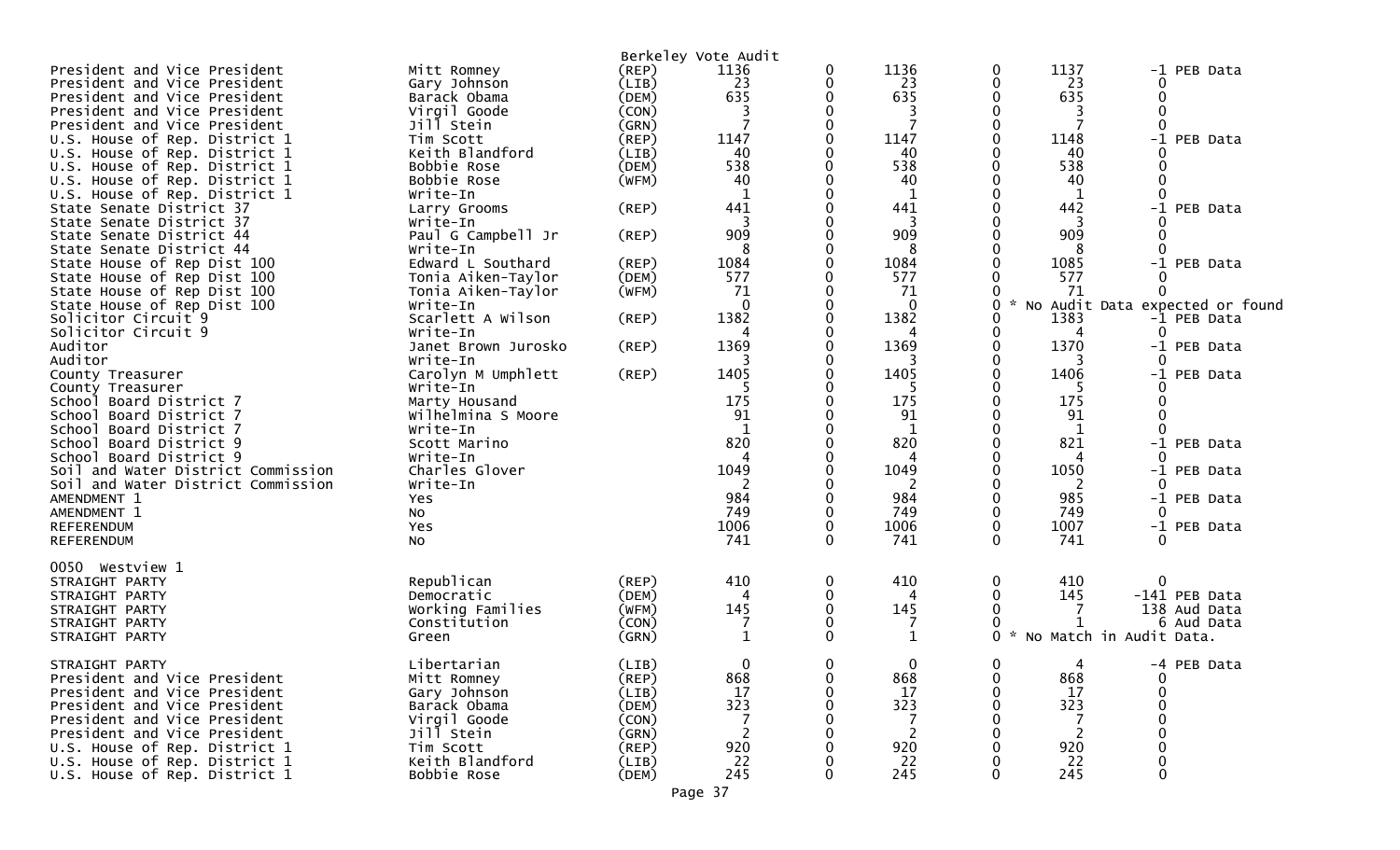|                                    |                     |             | Berkeley Vote Audit |          |              |          |                                    |      |                                 |
|------------------------------------|---------------------|-------------|---------------------|----------|--------------|----------|------------------------------------|------|---------------------------------|
| President and Vice President       | Mitt Romney         | (REP)       | 1136                | 0        | 1136         | 0        | 1137                               | -1   | PEB Data                        |
| President and Vice President       | Gary Johnson        | (LIB)       | 23                  | 0        | 23           | 0        | 23                                 | 0    |                                 |
| President and Vice President       | Barack Obama        | (DEM)       | 635                 |          | 635          | 0        | 635                                |      |                                 |
| President and Vice President       | Virgil Goode        | (CON)       | 3                   |          |              |          | 3                                  |      |                                 |
| President and Vice President       | Jill Stein          | (GRN)       | $\overline{7}$      | 0        | 7            | 0        |                                    | ∩    |                                 |
| U.S. House of Rep. District 1      | Tim Scott           | (REP)       | 1147                |          | 1147         |          | 1148                               | $-1$ | PEB Data                        |
| U.S. House of Rep. District 1      | Keith Blandford     | (LIB)       | 40                  |          | 40           | 0        | 40                                 |      |                                 |
| U.S. House of Rep. District 1      | Bobbie Rose         | (DEM)       | 538                 | 0        | 538          | 0        | 538                                |      |                                 |
| U.S. House of Rep. District 1      | Bobbie Rose         | (WFM)       | 40                  |          | 40           |          | 40                                 |      |                                 |
| U.S. House of Rep. District 1      | Write-In            |             | -1                  |          | $\mathbf{1}$ |          | $\mathbf{1}$                       | 0    |                                 |
| State Senate District 37           | Larry Grooms        | $($ REP $)$ | 441                 |          | 441          |          | 442                                | $-1$ | PEB Data                        |
| State Senate District 37           | Write-In            |             | 3                   |          | 3            |          | 3                                  |      |                                 |
| State Senate District 44           | Paul G Campbell Jr  | (REP)       | 909                 |          | 909          | 0        | 909                                |      |                                 |
| State Senate District 44           | Write-In            |             | 8                   |          | 8            |          | 8                                  |      |                                 |
| State House of Rep Dist 100        | Edward L Southard   | $($ REP $)$ | 1084                | U        | 1084         |          | 1085                               | $-1$ | PEB Data                        |
| State House of Rep Dist 100        | Tonia Aiken-Taylor  | (DEM)       | 577                 |          | 577          |          | 577                                |      |                                 |
| State House of Rep Dist 100        | Tonia Aiken-Taylor  | (WFM)       | 71                  |          | 71           |          | 71                                 |      |                                 |
| State House of Rep Dist 100        | Write-In            |             | $\mathbf 0$         |          | $\mathbf 0$  | 0        |                                    |      | No Audit Data expected or found |
| Solicitor Circuit 9                | Scarlett A Wilson   | (REP)       | 1382                |          | 1382         | 0        | 1383                               |      | -1 PEB Data                     |
| Solicitor Circuit 9                | Write-In            |             |                     |          | 4            | 0        | Δ                                  |      |                                 |
| Auditor                            | Janet Brown Jurosko | (REP)       | 1369                |          | 1369         | 0        | 1370                               |      | -1 PEB Data                     |
| Auditor                            | Write-In            |             | 3                   |          | 3            | 0        | 3                                  | 0    |                                 |
|                                    | Carolyn M Umphlett  |             | 1405                |          | 1405         |          | 1406                               |      |                                 |
| County Treasurer                   | Write-In            | $($ REP $)$ |                     |          | 5            | 0        |                                    | $-1$ | PEB Data                        |
| County Treasurer                   |                     |             | 175                 |          | 175          | 0        | 175                                |      |                                 |
| School Board District 7            | Marty Housand       |             |                     |          |              |          |                                    |      |                                 |
| School Board District 7            | Wilhelmina S Moore  |             | 91                  |          | 91           |          | 91                                 |      |                                 |
| School<br>Board District 7         | Write-In            |             |                     |          | 1            |          |                                    |      |                                 |
| School<br>Board District 9         | Scott Marino        |             | 820                 |          | 820          | 0        | 821                                |      | -1 PEB Data                     |
| School Board District 9            | Write-In            |             |                     |          | 4            | 0        | 4                                  |      |                                 |
| Soil and Water District Commission | Charles Glover      |             | 1049                |          | 1049         | ∩        | 1050                               |      | -1 PEB Data                     |
| Soil and Water District Commission | Write-In            |             | 2                   |          | 2            |          | 2                                  | 0    |                                 |
| AMENDMENT 1                        | Yes                 |             | 984                 |          | 984          |          | 985                                |      | -1 PEB Data                     |
| AMENDMENT 1                        | No                  |             | 749                 | 0        | 749          | 0        | 749                                |      |                                 |
| <b>REFERENDUM</b>                  | Yes                 |             | 1006                | 0        | 1006         | 0        | 1007                               |      | -1 PEB Data                     |
| <b>REFERENDUM</b>                  | <b>NO</b>           |             | 741                 | $\Omega$ | 741          | 0        | 741                                |      |                                 |
|                                    |                     |             |                     |          |              |          |                                    |      |                                 |
| 0050 Westview 1                    |                     |             |                     |          |              |          |                                    |      |                                 |
| STRAIGHT PARTY                     | Republican          | (REP)       | 410                 | 0        | 410          | 0        | 410                                | 0    |                                 |
| STRAIGHT PARTY                     | Democratic          | (DEM)       |                     |          | Δ            | 0        | 145                                |      | -141 PEB Data                   |
| STRAIGHT PARTY                     | Working Families    | (WFM)       | 145                 | 0        | 145          |          |                                    |      | 138 Aud Data                    |
| STRAIGHT PARTY                     | Constitution        | (CON)       |                     | 0        | 7            |          |                                    |      | 6 Aud Data                      |
| STRAIGHT PARTY                     | Green               | (GRN)       | $\mathbf{1}$        | 0        | $\mathbf{1}$ | $\Omega$ | $\star$<br>No Match in Audit Data. |      |                                 |
|                                    |                     |             |                     |          |              |          |                                    |      |                                 |
| STRAIGHT PARTY                     | Libertarian         | (LIB)       | 0                   | 0        | 0            | 0        | 4                                  |      | -4 PEB Data                     |
| President and Vice President       | Mitt Romney         | (REP)       | 868                 |          | 868          |          | 868                                |      |                                 |
| President and Vice President       | Gary Johnson        | (LIB)       | 17                  |          | 17           |          | 17                                 |      |                                 |
| President and Vice President       | Barack Obama        | (DEM)       | 323                 |          | 323          |          | 323                                |      |                                 |
| President and Vice President       | Virgil Goode        | (CON)       |                     |          |              |          |                                    |      |                                 |
| President and Vice President       | Jill Stein          | (GRN)       | 2                   |          | 2            |          | 2                                  |      |                                 |
| U.S. House of Rep. District 1      | Tim Scott           | $($ REP $)$ | 920                 |          | 920          |          | 920                                |      |                                 |
| U.S. House of Rep. District 1      | Keith Blandford     | (LIB)       | 22                  |          | 22           |          | 22                                 |      |                                 |
| U.S. House of Rep. District 1      | Bobbie Rose         | (DEM)       | 245                 |          | 245          |          | 245                                | 0    |                                 |
|                                    |                     |             |                     |          |              |          |                                    |      |                                 |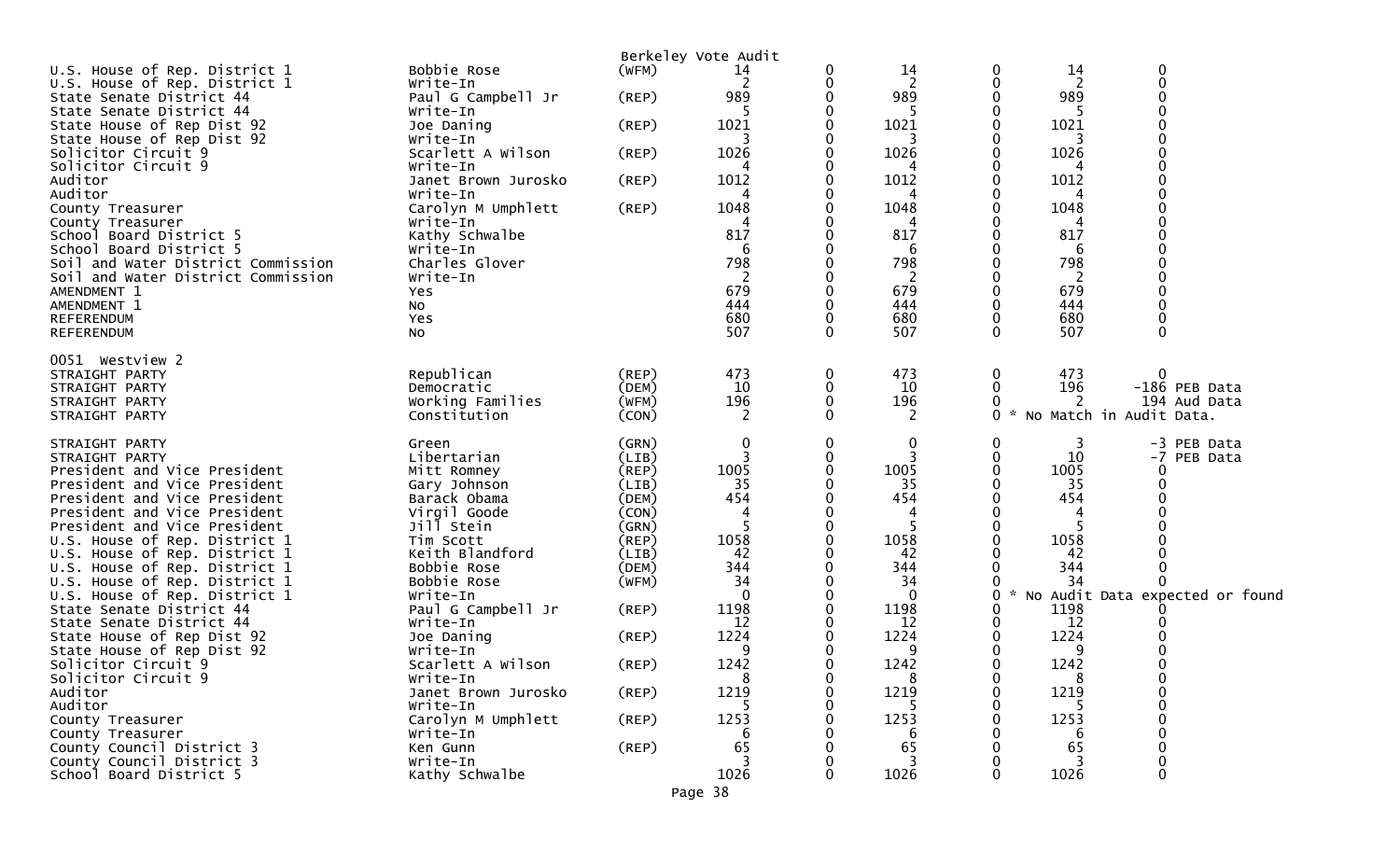| U.S. House of Rep. District 1                                            | Bobbie Rose                   | (WFM)          | Berkeley Vote Audit<br>14 | 0           | 14        | 0      | 14       | $\Omega$                        |
|--------------------------------------------------------------------------|-------------------------------|----------------|---------------------------|-------------|-----------|--------|----------|---------------------------------|
| U.S. House of Rep. District 1                                            | Write-In                      |                | 2                         | 0           | 2         | 0      | 2        | $\Omega$                        |
| State Senate District 44                                                 | Paul G Campbell Jr            | $($ REP $)$    | 989                       |             | 989       |        | 989      |                                 |
| State Senate District 44                                                 | Write-In                      |                |                           |             | -5        |        |          |                                 |
| State House of Rep Dist 92                                               | Joe Daning                    | $($ REP $)$    | 1021                      |             | 1021      |        | 1021     |                                 |
| State House of Rep Dist 92                                               | Write-In                      |                |                           |             |           |        |          |                                 |
| Solicitor Circuit 9                                                      | Scarlett A Wilson             | $($ REP $)$    | 1026                      |             | 1026      |        | 1026     |                                 |
| Solicitor Circuit 9                                                      | Write-In                      |                |                           |             | 4         |        | 4        |                                 |
| Auditor                                                                  | Janet Brown Jurosko           | (REP)          | 1012                      |             | 1012      |        | 1012     |                                 |
| Auditor                                                                  | Write-In                      |                | 4                         |             | 4         |        |          |                                 |
| County Treasurer                                                         | Carolyn M Umphlett            | (REP)          | 1048                      |             | 1048      |        | 1048     |                                 |
| County Treasurer                                                         | Write-In                      |                |                           |             |           |        |          |                                 |
| School Board District 5                                                  | Kathy Schwalbe                |                | 817                       |             | 817       |        | 817      |                                 |
| School Board District 5                                                  | Write-In<br>Charles Glover    |                | 6<br>798                  |             | 6<br>798  |        | 6<br>798 |                                 |
| Soil and Water District Commission<br>Soil and Water District Commission | Write-In                      |                | 2                         |             | 2         |        | -2       |                                 |
| AMENDMENT 1                                                              | <b>Yes</b>                    |                | 679                       |             | 679       |        | 679      |                                 |
| AMENDMENT 1                                                              | No                            |                | 444                       |             | 444       |        | 444      |                                 |
| REFERENDUM                                                               | Yes                           |                | 680                       |             | 680       |        | 680      |                                 |
| REFERENDUM                                                               | NO.                           |                | 507                       | $\Omega$    | 507       | 0      | 507      | $\Omega$                        |
|                                                                          |                               |                |                           |             |           |        |          |                                 |
| 0051 Westview 2                                                          |                               |                |                           |             |           |        |          |                                 |
| STRAIGHT PARTY                                                           | Republican                    | $($ REP $)$    | 473                       | 0           | 473       | 0      | 473      | 0                               |
| STRAIGHT PARTY                                                           | Democratic                    | (DEM)          | 10                        | 0           | 10        | 0      | 196      | -186 PEB Data                   |
| STRAIGHT PARTY                                                           | Working Families              | (WFM)          | 196                       | $\Omega$    | 196       | 0      | 2        | 194 Aud Data                    |
| STRAIGHT PARTY                                                           | Constitution                  | (CON)          | 2                         | 0           | 2         | 0      | ×.       | No Match in Audit Data.         |
|                                                                          |                               |                |                           | 0           | 0         | 0      |          |                                 |
| STRAIGHT PARTY<br>STRAIGHT PARTY                                         | Green<br>Libertarian          | (GRN)<br>(LIB) | 0                         |             |           | 0      | 3<br>10  | -3 PEB Data<br>-7 PEB Data      |
| President and Vice President                                             | Mitt Romney                   | $($ REP $)$    | 1005                      |             | 1005      |        | 1005     |                                 |
| President and Vice President                                             | Gary Johnson                  | (LIB)          | 35                        |             | 35        |        | 35       |                                 |
| President and Vice President                                             | Barack Obama                  | (DEM)          | 454                       |             | 454       |        | 454      |                                 |
| President and Vice President                                             | Virgil Goode                  | (CON)          | 4                         |             | 4         |        |          |                                 |
| President and Vice President                                             | Jill Stein                    | (GRN)          |                           |             | -5        |        |          |                                 |
| U.S. House of Rep. District 1                                            | Tim Scott                     | (REP)          | 1058                      |             | 1058      |        | 1058     |                                 |
| U.S. House of Rep. District 1                                            | Keith Blandford               | (LIB)          | 42                        |             | 42        |        | 42       |                                 |
| U.S. House of Rep. District 1                                            | Bobbie Rose                   | (DEM)          | 344                       |             | 344       |        | 344      |                                 |
| U.S. House of Rep. District 1                                            | Bobbie Rose                   | (WFM)          | 34                        |             | 34        |        | 34       |                                 |
| U.S. House of Rep. District 1                                            | Write-In                      |                | $\Omega$                  |             | $\Omega$  | 0      | $\sim$   | No Audit Data expected or found |
| State Senate District 44                                                 | Paul G Campbell Jr            | (REP)          | 1198                      |             | 1198      |        | 1198     |                                 |
| State Senate District 44                                                 | Write-In                      |                | 12                        |             | 12        |        | 12       |                                 |
| State House of Rep Dist 92                                               | Joe Daning                    | $($ REP $)$    | 1224                      |             | 1224      |        | 1224     |                                 |
| State House of Rep Dist 92                                               | Write-In                      |                | 9                         | $\mathbf 0$ | 9         | 0      | 9        |                                 |
| Solicitor Circuit 9<br>Solicitor Circuit 9                               | Scarlett A Wilson<br>Write-In | (REP)          | 1242<br>8                 | 0           | 1242<br>8 | 0<br>0 | 1242     | $\Omega$                        |
| Auditor                                                                  | Janet Brown Jurosko           | $($ REP $)$    | 1219                      |             | 1219      | 0      | 1219     |                                 |
| Auditor                                                                  | Write-In                      |                |                           |             |           |        |          |                                 |
| County Treasurer                                                         | Carolyn M Umphlett            | (REP)          | 1253                      |             | 1253      |        | 1253     |                                 |
| County Treasurer                                                         | Write-In                      |                | 6                         |             | 6         |        | 6        |                                 |
| County Council District 3                                                | Ken Gunn                      | (REP)          | 65                        |             | 65        |        | 65       |                                 |
| County Council District 3                                                | Write-In                      |                |                           |             |           |        |          |                                 |
| School Board District 5                                                  | Kathy Schwalbe                |                | 1026                      | U           | 1026      | 0      | 1026     | $\Omega$                        |
|                                                                          |                               |                | Page 38                   |             |           |        |          |                                 |
|                                                                          |                               |                |                           |             |           |        |          |                                 |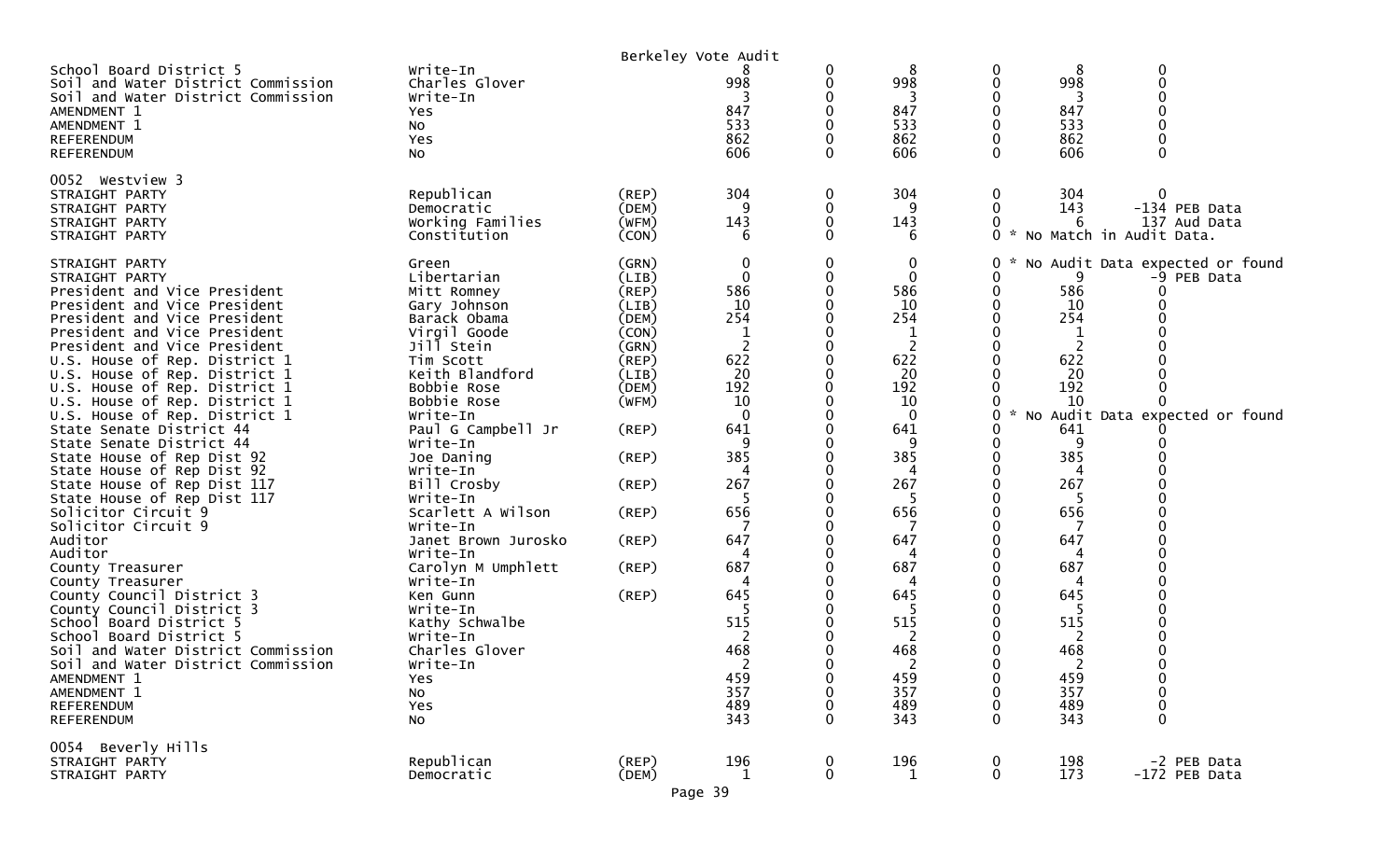|                                                                                                     |                                        |             | Berkeley Vote Audit |             |               |              |            |                                 |
|-----------------------------------------------------------------------------------------------------|----------------------------------------|-------------|---------------------|-------------|---------------|--------------|------------|---------------------------------|
| School Board District 5<br>Soil and Water District Commission<br>Soil and Water District Commission | Write-In<br>Charles Glover<br>Write-In |             | 998                 | 0           | 8<br>998<br>3 | 0<br>0       | 8<br>998   | 0                               |
| AMENDMENT 1<br>AMENDMENT 1                                                                          | Yes                                    |             | 847<br>533          |             | 847<br>533    | 0            | 847<br>533 |                                 |
| <b>REFERENDUM</b>                                                                                   | NO.<br>Yes                             |             | 862                 |             | 862           | 0            | 862        |                                 |
| <b>REFERENDUM</b>                                                                                   | No                                     |             | 606                 | $\Omega$    | 606           | $\Omega$     | 606        | 0                               |
|                                                                                                     |                                        |             |                     |             |               |              |            |                                 |
| 0052 Westview 3                                                                                     |                                        |             |                     |             |               |              |            |                                 |
| STRAIGHT PARTY                                                                                      | Republican                             | $($ REP $)$ | 304                 | 0           | 304           | 0            | 304        | 0                               |
| STRAIGHT PARTY                                                                                      | Democratic                             | (DEM)       | 9                   | 0           | 9             | 0            | 143        | -134 PEB Data                   |
| STRAIGHT PARTY                                                                                      | Working Families                       | (WFM)       | 143                 |             | 143           |              | 6          | 137 Aud Data                    |
| STRAIGHT PARTY                                                                                      | Constitution                           | (CON)       | 6                   | O           | 6             |              |            | 0 * No Match in Audit Data.     |
| STRAIGHT PARTY                                                                                      | Green                                  | (GRN)       | 0                   | 0           | 0             | 0            |            | No Audit Data expected or found |
| STRAIGHT PARTY                                                                                      | Libertarian                            | (LIB)       | $\mathbf{0}$        |             | $\mathbf{0}$  | 0            | 9          | -9 PEB Data                     |
| President and Vice President                                                                        | Mitt Romney                            | $($ REP $)$ | 586                 |             | 586           | 0            | 586        | 0                               |
| President and Vice President                                                                        | Gary Johnson                           | (LIB)       | 10                  |             | 10            |              | 10         |                                 |
| President and Vice President                                                                        | Barack Obama                           | (DEM)       | 254                 |             | 254           |              | 254        |                                 |
| President and Vice President                                                                        | Virgil Goode                           | (CON)       |                     |             | 1             |              | 1          |                                 |
| President and Vice President                                                                        | Jill Stein                             | (GRN)       | 2                   |             | 2             |              |            |                                 |
| U.S. House of Rep. District 1                                                                       | Tim Scott                              | $($ REP $)$ | 622                 |             | 622           |              | 622        |                                 |
| U.S. House of Rep. District 1                                                                       | Keith Blandford                        | (LIB)       | 20                  |             | 20            |              | 20         |                                 |
| U.S. House of Rep. District 1                                                                       | Bobbie Rose                            | (DEM)       | 192                 |             | 192           |              | 192        |                                 |
| U.S. House of Rep. District 1                                                                       | Bobbie Rose                            | (WFM)       | 10                  |             | 10            |              | 10         |                                 |
| U.S. House of Rep. District 1                                                                       | Write-In                               |             | $\Omega$            |             | $\mathbf{0}$  | 0            |            | No Audit Data expected or found |
| State Senate District 44                                                                            | Paul G Campbell Jr                     | $($ REP $)$ | 641                 |             | 641           |              | 641        |                                 |
| State Senate District 44                                                                            | Write-In                               |             |                     |             | 9             |              | 9          |                                 |
| State House of Rep Dist 92                                                                          | Joe Daning                             | (REP)       | 385                 |             | 385           |              | 385        |                                 |
| State House of Rep Dist 92                                                                          | Write-In                               |             |                     |             |               |              | 4          |                                 |
| State House of Rep Dist 117                                                                         | Bill Crosby                            | (REP)       | 267                 |             | 267           |              | 267        |                                 |
| State House of Rep Dist 117                                                                         | Write-In                               |             |                     |             |               |              |            |                                 |
| Solicitor Circuit 9                                                                                 | Scarlett A Wilson                      | $($ REP $)$ | 656                 |             | 656           |              | 656        |                                 |
| Solicitor Circuit 9                                                                                 | Write-In                               |             |                     |             |               |              |            |                                 |
| Auditor                                                                                             | Janet Brown Jurosko                    | (REP)       | 647                 |             | 647           |              | 647        |                                 |
| Auditor                                                                                             | Write-In                               |             |                     |             | 4             |              |            |                                 |
| County Treasurer                                                                                    | Carolyn M Umphlett                     | (REP)       | 687                 |             | 687           |              | 687        |                                 |
| County Treasurer                                                                                    | Write-In                               |             |                     |             |               |              |            |                                 |
| County Council District 3                                                                           | Ken Gunn                               | (REP)       | 645                 |             | 645           |              | 645        |                                 |
| County Council District 3<br>School Board District 5                                                | Write-In                               |             | 515                 |             | 5<br>515      |              | -5         |                                 |
| School Board District 5                                                                             | Kathy Schwalbe<br>Write-In             |             | 2                   |             | 2             |              | 515<br>2   |                                 |
| Soil and Water District Commission                                                                  | Charles Glover                         |             | 468                 |             | 468           |              | 468        |                                 |
| Soil and Water District Commission                                                                  | Write-In                               |             | 2                   |             | 2             |              | 2          |                                 |
| AMENDMENT 1                                                                                         | Yes                                    |             | 459                 | 0           | 459           | 0            | 459        | 0                               |
| AMENDMENT 1                                                                                         | No                                     |             | 357                 | 0           | 357           | 0            | 357        | $\mathbf 0$                     |
| <b>REFERENDUM</b>                                                                                   | Yes                                    |             | 489                 | 0           | 489           | 0            | 489        | 0                               |
| REFERENDUM                                                                                          | No                                     |             | 343                 | $\Omega$    | 343           | $\mathbf{0}$ | 343        | $\mathbf 0$                     |
|                                                                                                     |                                        |             |                     |             |               |              |            |                                 |
| 0054 Beverly Hills                                                                                  |                                        |             |                     |             |               |              |            |                                 |
| STRAIGHT PARTY                                                                                      | Republican                             | $($ REP $)$ | 196                 | $\mathbf 0$ | 196           | 0            | 198        | -2 PEB Data                     |
| STRAIGHT PARTY                                                                                      | Democratic                             | (DEM)       | $\mathbf{1}$        | $\pmb{0}$   | $\mathbf 1$   | $\pmb{0}$    | 173        | -172 PEB Data                   |
|                                                                                                     |                                        |             | Page 39             |             |               |              |            |                                 |
|                                                                                                     |                                        |             |                     |             |               |              |            |                                 |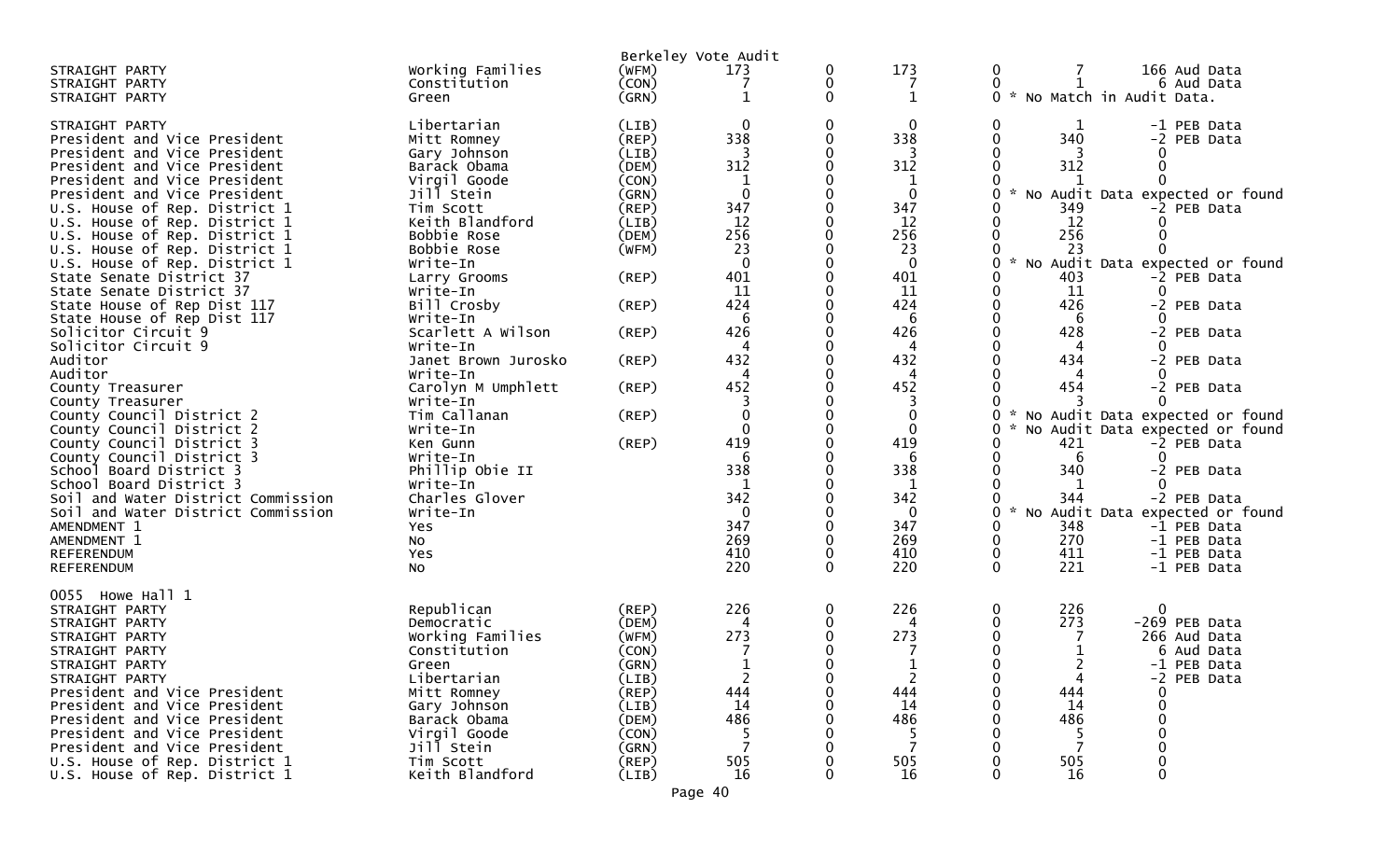| STRAIGHT PARTY                     | Working Families    | (WFM)       | Berkeley Vote Audit<br>173 | 0            | 173            | 166 Aud Data<br>$\bf{0}$             |
|------------------------------------|---------------------|-------------|----------------------------|--------------|----------------|--------------------------------------|
| STRAIGHT PARTY                     | Constitution        | (CON)       | 7                          | 0            | 7              | 6 Aud Data<br>0                      |
| STRAIGHT PARTY                     | Green               | (GRN)       | $\mathbf 1$                | $\mathbf{0}$ | $\mathbf{1}$   | No Match in Audit Data.<br>ი ∗       |
|                                    |                     |             |                            |              |                |                                      |
| STRAIGHT PARTY                     | Libertarian         | (LIB)       | $\mathbf{0}$               | 0            | 0              | -1 PEB Data<br>0                     |
| President and Vice President       | Mitt Romney         | (REF)       | 338                        | 0            | 338            | 340<br>0<br>-2 PEB Data              |
| President and Vice President       | Gary Johnson        | (LIB)       |                            |              |                |                                      |
| President and Vice President       | Barack Obama        | (DEM)       | 312                        |              | 312            | 312<br>0                             |
| President and Vice President       | Virgil Goode        | (CON)       | $\mathbf 1$                |              | $\mathbf 1$    |                                      |
| President and Vice President       | Jill Stein          | (GRN)       | $\mathbf 0$                |              | $\mathbf 0$    | No Audit Data expected or found<br>0 |
| U.S. House of Rep. District 1      | Tim Scott           | (REP)       | 347                        |              | 347            | 349<br>-2 PEB Data                   |
| U.S. House of Rep. District 1      | Keith Blandford     | (LIB)       | 12                         |              | 12             | 12                                   |
| U.S. House of Rep. District 1      | Bobbie Rose         | (DEM)       | 256                        |              | 256            | 256<br>0                             |
| U.S. House of Rep. District 1      | Bobbie Rose         | (WFM)       | 23                         |              | 23             | 23                                   |
| U.S. House of Rep. District 1      | Write-In            |             | $\overline{0}$             |              | $\mathbf 0$    | No Audit Data expected or found<br>0 |
| State Senate District 37           | Larry Grooms        | $($ REP $)$ | 401                        |              | 401            | 403<br>-2 PEB Data                   |
| State Senate District 37           | Write-In            |             | 11                         |              | 11             | 11<br>0                              |
| State House of Rep Dist 117        | Bill Crosby         | $($ REP $)$ | 424                        |              | 424            | 426<br>-2 PEB Data                   |
| State House of Rep Dist 117        | Write-In            |             | 6                          |              | 6              | 6                                    |
| Solicitor Circuit 9                | Scarlett A Wilson   | $($ REP $)$ | 426                        |              | 426            | 428<br>-2 PEB Data                   |
| Solicitor Circuit 9                | Write-In            |             | 4                          |              | 4              | 4                                    |
| Auditor                            | Janet Brown Jurosko | $($ REP $)$ | 432                        |              | 432            | 434<br>-2 PEB Data                   |
| Auditor                            | Write-In            |             | 4                          |              | 4              | 4                                    |
| County Treasurer                   | Carolyn M Umphlett  | $($ REP $)$ | 452                        |              | 452            | 454<br>-2 PEB Data                   |
| County Treasurer                   | Write-In            |             |                            |              | 3              |                                      |
| County Council District 2          | Tim Callanan        | (REP)       | 0                          |              | $\mathbf 0$    | No Audit Data expected or found<br>0 |
| County Council District 2          | Write-In            |             | $\Omega$                   |              | 0              | No Audit Data expected or found      |
| County Council District 3          | Ken Gunn            | (REP)       | 419                        |              | 419            | 421<br>-2 PEB Data                   |
| County Council District 3          | Write-In            |             | 6                          |              | 6              | 6<br>0                               |
| School Board District 3            | Phillip Obie II     |             | 338                        |              | 338            | 340<br>-2 PEB Data                   |
| School Board District 3            | Write-In            |             | 1                          |              | 1              |                                      |
| Soil and Water District Commission | Charles Glover      |             | 342                        |              | 342            | 344<br>-2 PEB Data                   |
| Soil and Water District Commission | Write-In            |             | 0                          |              | 0              | No Audit Data expected or found<br>0 |
| AMENDMENT 1                        | Yes                 |             | 347                        |              | 347            | 348<br>0<br>-1 PEB Data              |
| AMENDMENT 1                        | No                  |             | 269                        |              | 269            | 270<br>0<br>-1 PEB Data              |
| <b>REFERENDUM</b>                  | Yes                 |             | 410                        |              | 410            | 0<br>411<br>-1 PEB Data              |
| <b>REFERENDUM</b>                  | <b>NO</b>           |             | 220                        | $\Omega$     | 220            | $\Omega$<br>221<br>-1 PEB Data       |
|                                    |                     |             |                            |              |                |                                      |
| 0055 Howe Hall 1                   |                     |             |                            |              |                |                                      |
| STRAIGHT PARTY                     | Republican          | (REF)       | 226                        | 0            | 226            | 226<br>0<br>0                        |
| STRAIGHT PARTY                     | Democratic          | (DEM)       | 4                          |              | 4              | 273<br>-269 PEB Data                 |
| STRAIGHT PARTY                     | Working Families    | (WFM)       | 273                        |              | 273            | 266 Aud Data                         |
| STRAIGHT PARTY                     | Constitution        | (CON)       | 7                          |              | 7              | 0<br>6 Aud Data                      |
| STRAIGHT PARTY                     | Green               | (GRN)       | $\mathbf{1}$               | 0            | $\mathbf{1}$   | ∍<br>-1 PEB Data                     |
| STRAIGHT PARTY                     | Libertarian         | (LIB)       | $\overline{2}$             |              | $\overline{2}$ | 0<br>-2 PEB Data                     |
| President and Vice President       | Mitt Romney         | $($ REP $)$ | 444                        |              | 444            | 444<br>0                             |
| President and Vice President       | Gary Johnson        | (LIB)       | 14                         |              | 14             | 14                                   |
| President and Vice President       | Barack Obama        | (DEM)       | 486                        |              | 486            | 486                                  |
| President and Vice President       | Virgil Goode        | (CON)       | -5                         |              | -5             | 5                                    |
| President and Vice President       | Jill Stein          | (GRN)       |                            |              |                |                                      |
| U.S. House of Rep. District 1      | Tim Scott           | (REP)       | 505                        |              | 505            | 505                                  |
| U.S. House of Rep. District 1      | Keith Blandford     | (LIB)       | 16                         |              | 16             | 16                                   |
|                                    |                     |             |                            |              |                |                                      |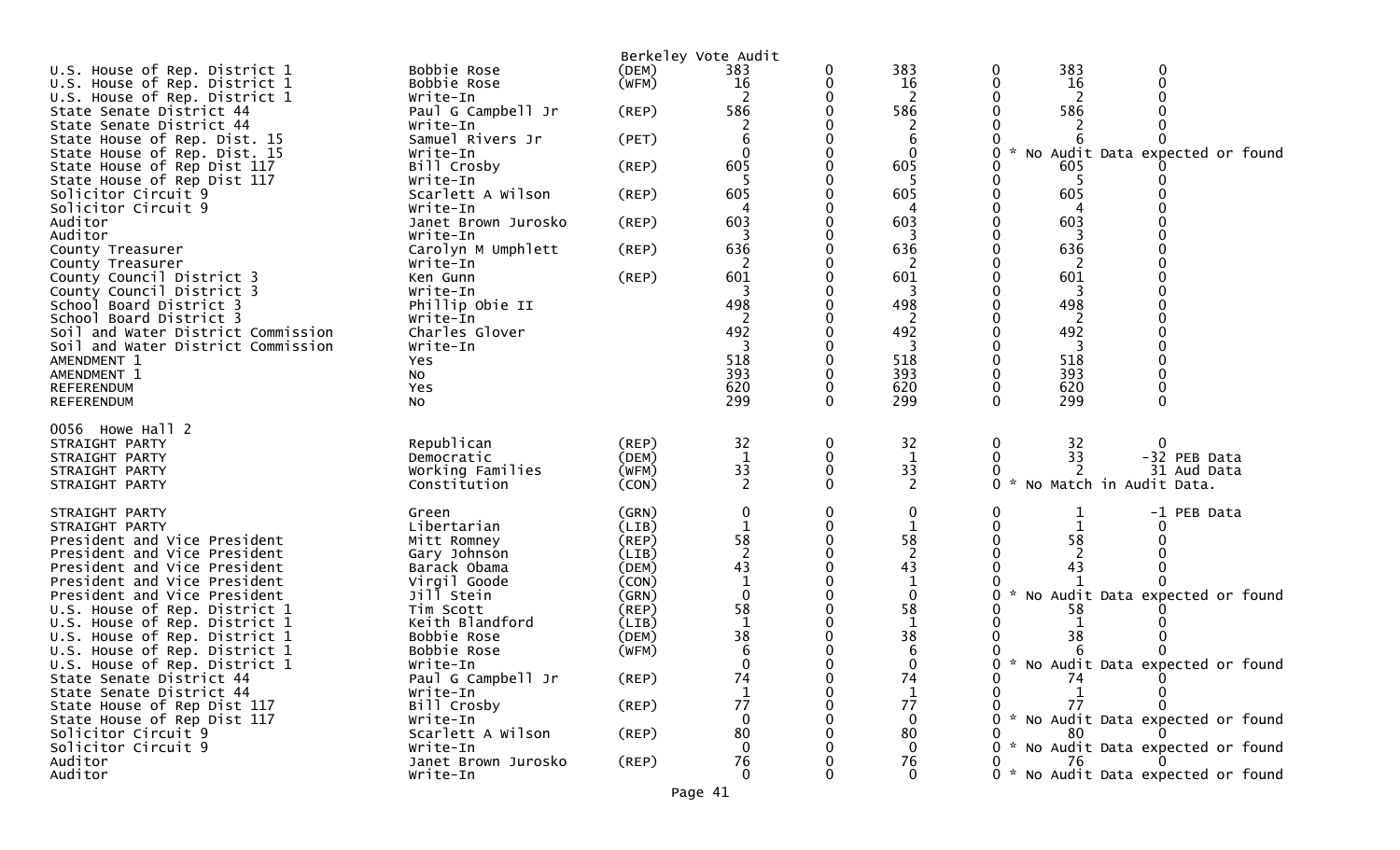| U.S. House of Rep. District 1                                                            | Bobbie Rose                                                  | Berkeley Vote Audit<br>(DEM)     | 383                | 383                          | 383<br>0<br>0                                                                       |
|------------------------------------------------------------------------------------------|--------------------------------------------------------------|----------------------------------|--------------------|------------------------------|-------------------------------------------------------------------------------------|
| U.S. House of Rep. District 1                                                            | Bobbie Rose                                                  | (WFM)                            | 16                 | 16                           | 16                                                                                  |
| U.S. House of Rep. District 1                                                            | Write-In                                                     |                                  |                    | 2                            | 2                                                                                   |
| State Senate District 44                                                                 | Paul G Campbell Jr                                           | (REP)                            | 586                | 586                          | 586                                                                                 |
| State Senate District 44                                                                 | Write-In                                                     |                                  |                    | 2                            |                                                                                     |
| State House of Rep. Dist. 15                                                             | Samuel Rivers Jr                                             | (PET)                            |                    | 6                            |                                                                                     |
| State House of Rep. Dist. 15                                                             | Write-In                                                     |                                  |                    | $\Omega$                     | No Audit Data expected or found                                                     |
| State House of Rep Dist 117                                                              | Bill Crosby                                                  | (REP)                            | 605                | 605                          | 605                                                                                 |
| State House of Rep Dist 117                                                              | Write-In                                                     |                                  |                    |                              | -5                                                                                  |
| Solicitor Circuit 9<br>Solicitor Circuit 9                                               | Scarlett A Wilson<br>Write-In                                | $($ REP $)$                      | 605                | 605<br>4                     | 605<br>4                                                                            |
| Auditor                                                                                  | Janet Brown Jurosko                                          | (REP)                            | 603                | 603                          | 603                                                                                 |
| Auditor                                                                                  | Write-In                                                     |                                  |                    |                              |                                                                                     |
| County Treasurer                                                                         | Carolyn M Umphlett                                           | (REP)                            | 636                | 636                          | 636                                                                                 |
| County Treasurer                                                                         | Write-In                                                     |                                  |                    |                              |                                                                                     |
| County Council District 3                                                                | Ken Gunn                                                     | $($ REP $)$                      | 601                | 601                          | 601                                                                                 |
| County Council District 3                                                                | Write-In                                                     |                                  |                    | 3                            | 3                                                                                   |
| School Board District 3                                                                  | Phillip Obie II                                              |                                  | 498                | 498                          | 498                                                                                 |
| School Board District 3                                                                  | Write-In                                                     |                                  |                    |                              |                                                                                     |
| Soil and Water District Commission<br>Soil and Water District Commission                 | Charles Glover<br>Write-In                                   |                                  | 492                | 492<br>3                     | 492                                                                                 |
| AMENDMENT 1                                                                              | Yes                                                          |                                  | 518                | 518                          | 518                                                                                 |
| AMENDMENT 1                                                                              | No                                                           |                                  | 393                | 393                          | 393                                                                                 |
| REFERENDUM                                                                               | Yes                                                          |                                  | 620                | 620                          | 620                                                                                 |
| REFERENDUM                                                                               | <b>NO</b>                                                    |                                  | 299                | 299                          | 299<br>$\Omega$<br>O                                                                |
| 0056 Howe Hall 2<br>STRAIGHT PARTY<br>STRAIGHT PARTY<br>STRAIGHT PARTY<br>STRAIGHT PARTY | Republican<br>Democratic<br>Working Families<br>Constitution | (REP)<br>(DEM)<br>(WFM)<br>(CON) | 32<br>1<br>33<br>2 | 32<br>$\mathbf 1$<br>33<br>2 | 32<br>0<br>33<br>-32 PEB Data<br>31 Aud Data<br>2<br>0<br>* No Match in Audit Data. |
| STRAIGHT PARTY                                                                           | Green                                                        | (GRN)                            |                    | 0                            | 0<br>-1 PEB Data<br>1                                                               |
| STRAIGHT PARTY                                                                           | Libertarian                                                  | (LIB)                            |                    | 1                            |                                                                                     |
| President and Vice President                                                             | Mitt Romney                                                  | (REP)                            | 58                 | 58                           | 58                                                                                  |
| President and Vice President                                                             | Gary Johnson                                                 | (LIB)                            |                    |                              |                                                                                     |
| President and Vice President                                                             | Barack Obama                                                 | (DEM)                            | 43                 | 43                           | 43                                                                                  |
| President and Vice President                                                             | Virgil Goode                                                 | (CON)                            |                    |                              |                                                                                     |
| President and Vice President                                                             | Jill Stein<br>Tim Scott                                      | (GRN)<br>(REP)                   | 58                 | $\Omega$<br>58               | No Audit Data expected or found                                                     |
| U.S. House of Rep. District 1<br>U.S. House of Rep. District 1                           | Keith Blandford                                              | (LIB)                            |                    |                              | 58                                                                                  |
| U.S. House of Rep. District 1                                                            | Bobbie Rose                                                  | (DEM)                            | 38                 | 38                           | 38                                                                                  |
| U.S. House of Rep. District 1                                                            | Bobbie Rose                                                  | (WFM)                            | 6                  |                              | 6                                                                                   |
| U.S. House of Rep. District 1                                                            | Write-In                                                     |                                  |                    |                              | 0 * No Audit Data expected or found                                                 |
| State Senate District 44                                                                 | Paul G Campbell Jr                                           | $($ REP $)$                      | 74                 | 74                           | 74                                                                                  |
| State Senate District 44                                                                 | Write-In                                                     |                                  |                    | 1                            |                                                                                     |
| State House of Rep Dist 117                                                              | Bill Crosby                                                  | (REP)                            | 77                 | 77                           | 77                                                                                  |
| State House of Rep Dist 117<br>Solicitor Circuit 9                                       | Write-In<br>Scarlett A Wilson                                | (REP)                            | 80                 | $\mathbf{0}$<br>80           | * No Audit Data expected or found<br>80                                             |
| Solicitor Circuit 9                                                                      | Write-In                                                     |                                  | $\Omega$           | $\mathbf{0}$                 | * No Audit Data expected or found                                                   |
| Auditor                                                                                  | Janet Brown Jurosko                                          | (REP)                            | 76                 | 76                           | 76                                                                                  |
| Auditor                                                                                  | Write-In                                                     |                                  | $\Omega$           | $\Omega$                     | 0 * No Audit Data expected or found                                                 |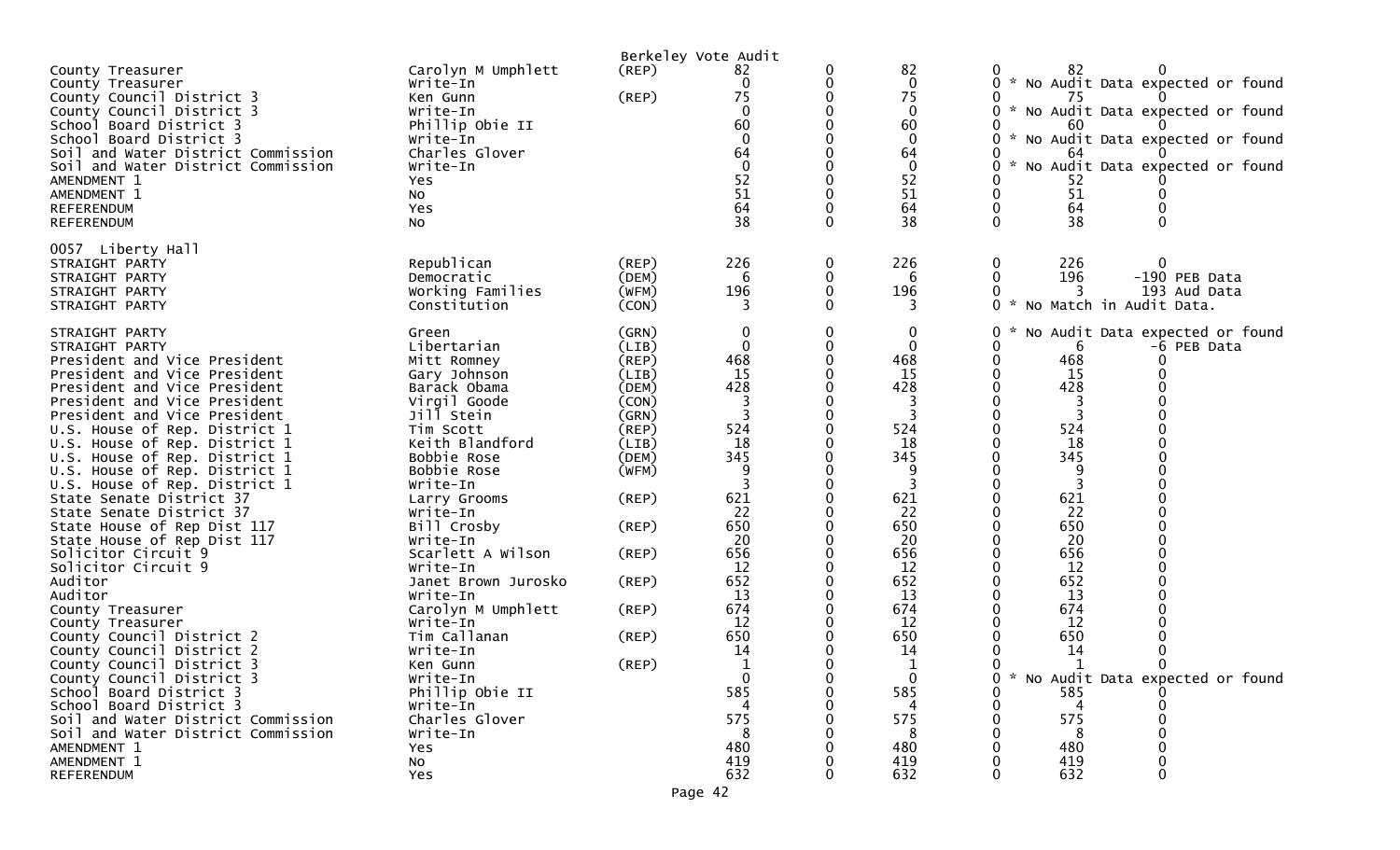|                                                                                                                                                                                                                                                                                                                                                                                                                                                                                                                                                                                                                                                                                                                             |                                                                                                                                                                                                                                                                                                                                                                                              |                                                                                                                                                                                  | Berkeley Vote Audit                                                                                                                                           |             |                                                                                                                                                                         |                                                                                                                                                                                                                                                                  |
|-----------------------------------------------------------------------------------------------------------------------------------------------------------------------------------------------------------------------------------------------------------------------------------------------------------------------------------------------------------------------------------------------------------------------------------------------------------------------------------------------------------------------------------------------------------------------------------------------------------------------------------------------------------------------------------------------------------------------------|----------------------------------------------------------------------------------------------------------------------------------------------------------------------------------------------------------------------------------------------------------------------------------------------------------------------------------------------------------------------------------------------|----------------------------------------------------------------------------------------------------------------------------------------------------------------------------------|---------------------------------------------------------------------------------------------------------------------------------------------------------------|-------------|-------------------------------------------------------------------------------------------------------------------------------------------------------------------------|------------------------------------------------------------------------------------------------------------------------------------------------------------------------------------------------------------------------------------------------------------------|
| County Treasurer<br>County Treasurer<br>County Council District 3<br>County Council District 3<br>School Board District 3<br>School Board District 3<br>Soil and Water District Commission<br>Soil and Water District Commission<br>AMENDMENT 1<br>AMENDMENT 1<br><b>REFERENDUM</b><br><b>REFERENDUM</b>                                                                                                                                                                                                                                                                                                                                                                                                                    | Carolyn M Umphlett<br>Write-In<br>Ken Gunn<br>Write-In<br>Phillip Obie II<br>Write-In<br>Charles Glover<br>Write-In<br>Yes<br>No<br>Yes<br><b>NO</b>                                                                                                                                                                                                                                         | $($ REP $)$<br>(REP)                                                                                                                                                             | 82<br>0<br>75<br>$\Omega$<br>60<br>$\Omega$<br>64<br>$\Omega$<br>52<br>51<br>64<br>38                                                                         | 0<br>0<br>0 | 82<br>$\mathbf 0$<br>75<br>$\mathbf 0$<br>60<br>$\Omega$<br>64<br>$\mathbf 0$<br>52<br>51<br>64<br>38                                                                   | 82<br>O<br>* No Audit Data expected or found<br>75<br>* No Audit Data expected or found<br>0<br>60<br>* No Audit Data expected or found<br>0<br>64<br>No Audit Data expected or found<br>$\mathcal{H}^{\mathcal{C}}$<br>52<br>51<br>0<br>64<br>$\Omega$<br>38    |
| 0057 Liberty Hall<br>STRAIGHT PARTY<br>STRAIGHT PARTY<br>STRAIGHT PARTY<br>STRAIGHT PARTY                                                                                                                                                                                                                                                                                                                                                                                                                                                                                                                                                                                                                                   | Republican<br>Democratic<br>Working Families<br>Constitution                                                                                                                                                                                                                                                                                                                                 | (REP)<br>(DEM)<br>(WFM)<br>(CON)                                                                                                                                                 | 226<br>6<br>196<br>3                                                                                                                                          | 0<br>0<br>0 | 226<br>6<br>196<br>3                                                                                                                                                    | 226<br>0<br>0<br>196<br>-190 PEB Data<br>0<br>193 Aud Data<br>0 * No Match in Audit Data.                                                                                                                                                                        |
| STRAIGHT PARTY<br>STRAIGHT PARTY<br>President and Vice President<br>President and Vice President<br>President and Vice President<br>President and Vice President<br>President and Vice President<br>U.S. House of Rep. District 1<br>U.S. House of Rep. District 1<br>U.S. House of Rep. District 1<br>U.S. House of Rep. District 1<br>U.S. House of Rep. District 1<br>State Senate District 37<br>State Senate District 37<br>State House of Rep Dist 117<br>State House of Rep Dist 117<br>Solicitor Circuit 9<br>Solicitor Circuit 9<br>Auditor<br>Auditor<br>County Treasurer<br>County Treasurer<br>County Council District 2<br>County Council District 2<br>County Council District 3<br>County Council District 3 | Green<br>Libertarian<br>Mitt Romney<br>Gary Johnson<br>Barack Obama<br>Virgil Goode<br>Jill Stein<br>Tim Scott<br>Keith Blandford<br>Bobbie Rose<br>Bobbie Rose<br>Write-In<br>Larry Grooms<br>Write-In<br>Bill Crosby<br>Write-In<br>Scarlett A Wilson<br>Write-In<br>Janet Brown Jurosko<br>Write-In<br>Carolyn M Umphlett<br>Write-In<br>Tim Callanan<br>Write-In<br>Ken Gunn<br>Write-In | (GRN)<br>(LIB)<br>(REP)<br>(LIB)<br>(DEM)<br>(CON)<br>(GRN)<br>(REP)<br>(LIB)<br>(DEM)<br>(WFM)<br>$($ REP $)$<br>$($ REP $)$<br>(REP)<br>(REP)<br>$($ REP $)$<br>(REP)<br>(REP) | 0<br>$\mathbf{0}$<br>468<br>15<br>428<br>524<br>18<br>345<br>-9<br>621<br>22<br>650<br>20<br>656<br>12<br>652<br>13<br>674<br>12<br>650<br>14<br>$\mathbf{0}$ | 0<br>0<br>0 | $\bf{0}$<br>$\mathbf 0$<br>468<br>15<br>428<br>3<br>524<br>18<br>345<br>9<br>621<br>22<br>650<br>20<br>656<br>12<br>652<br>13<br>674<br>12<br>650<br>14<br>$\mathbf{0}$ | No Audit Data expected or found<br>0<br>0<br>-6 PEB Data<br>6<br>468<br>0<br>15<br>0<br>428<br>0<br>3<br>0<br>524<br>18<br>345<br>9<br>621<br>0<br>22<br>650<br>20<br>656<br>12<br>652<br>13<br>674<br>12<br>650<br>14<br>0<br>* No Audit Data expected or found |
| School Board District 3<br>School Board District 3<br>Soil and Water District Commission<br>Soil and Water District Commission<br>AMENDMENT 1<br>AMENDMENT 1<br>REFERENDUM                                                                                                                                                                                                                                                                                                                                                                                                                                                                                                                                                  | Phillip Obie II<br>Write-In<br>Charles Glover<br>Write-In<br>Yes<br><b>NO</b><br>Yes                                                                                                                                                                                                                                                                                                         |                                                                                                                                                                                  | 585<br>575<br>480<br>419<br>632                                                                                                                               |             | 585<br>575<br>480<br>419<br>632                                                                                                                                         | 585<br>575<br>480<br>419<br>632                                                                                                                                                                                                                                  |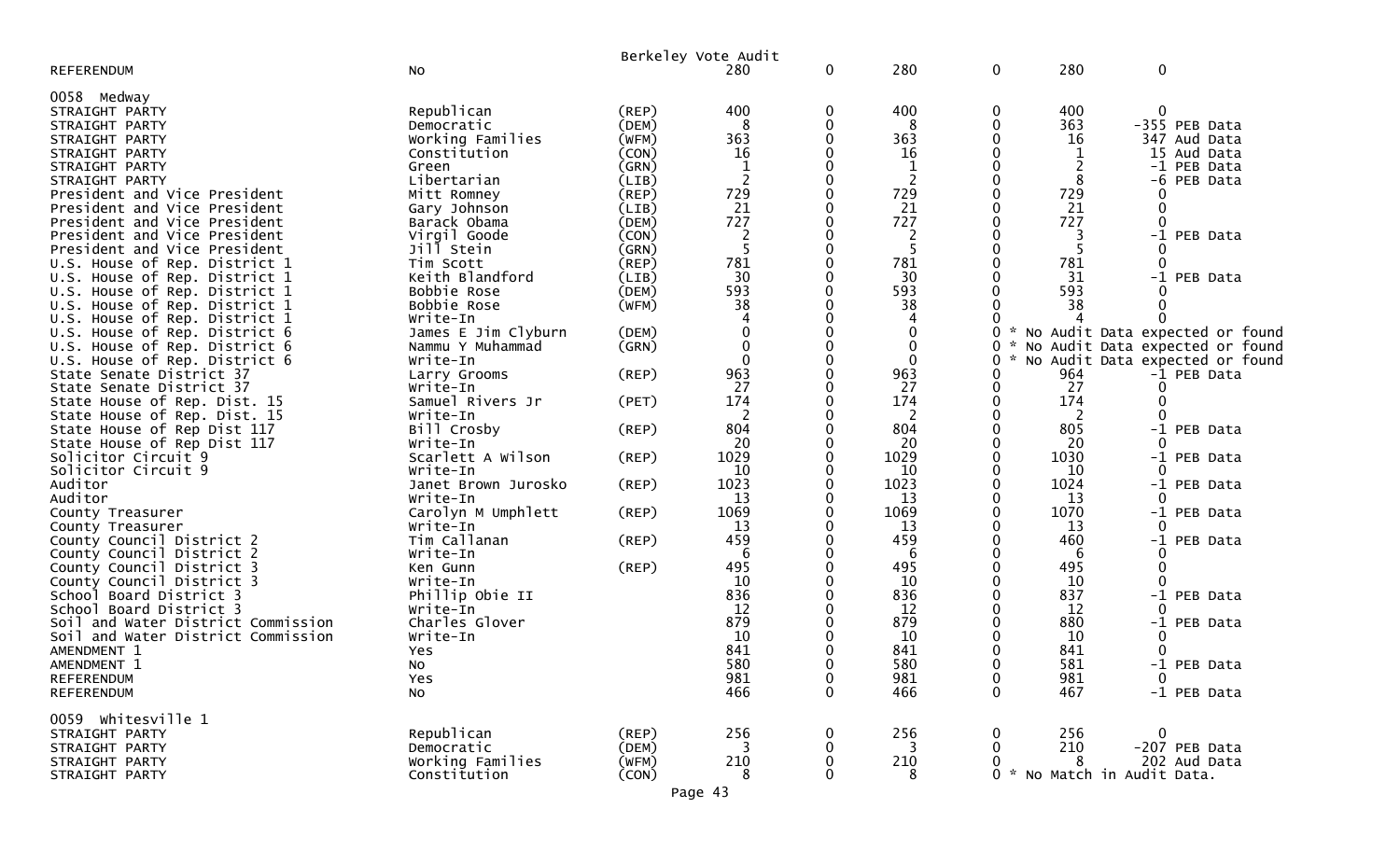|                                    |                     |             | Berkeley Vote Audit |   |                |             |               |                         |                                 |
|------------------------------------|---------------------|-------------|---------------------|---|----------------|-------------|---------------|-------------------------|---------------------------------|
| <b>REFERENDUM</b>                  | No                  |             | 280                 | 0 | 280            | 0           | 280           | $\mathbf 0$             |                                 |
| 0058 Medway                        |                     |             |                     |   |                |             |               |                         |                                 |
| STRAIGHT PARTY                     | Republican          | (REP)       | 400                 | 0 | 400            | 0           | 400           | $\Omega$                |                                 |
| STRAIGHT PARTY                     | Democratic          | (DEM)       | 8                   | 0 | 8              | 0           | 363           |                         | -355 PEB Data                   |
| STRAIGHT PARTY                     | Working Families    | (WFM)       | 363                 | 0 | 363            |             | 16            |                         | 347 Aud Data                    |
| STRAIGHT PARTY                     | Constitution        | (CON)       | 16                  |   | 16             |             | 1             |                         | 15 Aud Data                     |
| STRAIGHT PARTY                     | Green               | (GRN)       |                     |   | $\mathbf{1}$   | 0           |               |                         | -1 PEB Data                     |
| STRAIGHT PARTY                     | Libertarian         | (LIB)       | $\overline{2}$      | 0 | $\overline{c}$ |             | 8             |                         | -6 PEB Data                     |
| President and Vice President       | Mitt Romney         | (REP)       | 729                 | 0 | 729            |             | 729           |                         |                                 |
| President and Vice President       | Gary Johnson        | (LIB)       | 21                  |   | 21             |             | 21            | 0                       |                                 |
| President and Vice President       | Barack Obama        | (DEM)       | 727                 | 0 | 727            |             | 727           | $\Omega$                |                                 |
| President and Vice President       | Virgil Goode        | (CON)       | $\overline{2}$      |   | $\overline{2}$ |             | 3             |                         | -1 PEB Data                     |
| President and Vice President       | Jill Stein          | (GRN)       | 5                   |   | 5              | 0           | 5             |                         |                                 |
| U.S. House of Rep. District 1      | Tim Scott           | (REP)       | 781                 | 0 | 781            |             | 781           | 0                       |                                 |
| U.S. House of Rep. District 1      | Keith Blandford     | (LIB)       | 30                  |   | 30             |             | 31            | $-1$                    | PEB Data                        |
| U.S. House of Rep. District 1      | Bobbie Rose         | (DEM)       | 593                 | U | 593            |             | 593           |                         |                                 |
| U.S. House of Rep. District 1      | Bobbie Rose         | (WFM)       | 38                  | 0 | 38             |             | 38            |                         |                                 |
| U.S. House of Rep. District 1      | Write-In            |             |                     |   |                |             |               |                         |                                 |
| U.S. House of Rep. District 6      | James E Jim Clyburn | (DEM)       | 0                   | 0 | 0              | 0           | *             |                         | No Audit Data expected or found |
| U.S. House of Rep. District 6      | Nammu Y Muhammad    | (GRN)       | 0                   |   | 0              | 0           |               |                         | No Audit Data expected or found |
| U.S. House of Rep. District 6      | Write-In            |             | ∩                   |   | 0              | 0           |               |                         | No Audit Data expected or found |
| State Senate District 37           | Larry Grooms        | $($ REP $)$ | 963                 | 0 | 963            |             | 964           |                         | -1 PEB Data                     |
| State Senate District 37           | Write-In            |             | 27                  | 0 | 27             | 0           | 27            | 0                       |                                 |
| State House of Rep. Dist. 15       | Samuel Rivers Jr    | (PET)       | 174                 | 0 | 174            |             | 174           | $\Omega$                |                                 |
| State House of Rep. Dist. 15       | Write-In            |             | 2                   |   | 2              |             | 2             |                         |                                 |
| State House of Rep Dist 117        | Bill Crosby         | $($ REP $)$ | 804                 |   | 804            |             | 805           |                         | -1 PEB Data                     |
| State House of Rep Dist 117        | Write-In            |             | 20                  |   | 20             |             | 20            |                         |                                 |
| Solicitor Circuit 9                | Scarlett A Wilson   | $($ REP $)$ | 1029                | 0 | 1029           | 0           | 1030          |                         | -1 PEB Data                     |
| Solicitor Circuit 9                | Write-In            |             | 10                  | 0 | 10             |             | 10            |                         |                                 |
| Auditor                            | Janet Brown Jurosko | $($ REP $)$ | 1023                | 0 | 1023           | 0           | 1024          |                         | -1 PEB Data                     |
| Auditor                            | Write-In            |             | 13                  | 0 | 13             | 0           | 13            | $\Omega$                |                                 |
| County Treasurer                   | Carolyn M Umphlett  | (REP)       | 1069                |   | 1069           |             | 1070          |                         | -1 PEB Data                     |
| County Treasurer                   | Write-In            |             | 13                  |   | 13             |             | 13            |                         |                                 |
| County Council District 2          | Tim Callanan        | $($ REP $)$ | 459                 | O | 459            | 0           | 460           |                         | -1 PEB Data                     |
| County Council District 2          | Write-In            |             | 6                   |   | 6              |             | 6             |                         |                                 |
| County Council District 3          | Ken Gunn            | $($ REP $)$ | 495                 |   | 495            |             | 495           | 0                       |                                 |
| County Council District 3          | Write-In            |             | 10                  |   | 10             |             | 10            |                         |                                 |
| School Board District 3            | Phillip Obie II     |             | 836                 |   | 836            |             | 837           |                         | -1 PEB Data                     |
| School Board District 3            | Write-In            |             | 12                  |   | 12             |             | 12            |                         |                                 |
| Soil and Water District Commission | Charles Glover      |             | 879                 |   | 879            |             | 880           |                         | -1 PEB Data                     |
| Soil and Water District Commission | Write-In            |             | 10                  |   | 10             |             | 10            | 0                       |                                 |
| AMENDMENT 1                        | Yes                 |             | 841                 |   | 841            |             | 841           | 0                       |                                 |
| AMENDMENT 1                        | No                  |             | 580                 |   | 580            |             | 581           | $-1$                    | PEB Data                        |
| <b>REFERENDUM</b>                  | Yes                 |             | 981                 | 0 | 981            | 0           | 981           | $\mathbf 0$             |                                 |
| <b>REFERENDUM</b>                  | No                  |             | 466                 | 0 | 466            | $\mathbf 0$ | 467           |                         | -1 PEB Data                     |
| 0059 whitesville 1                 |                     |             |                     |   |                |             |               |                         |                                 |
| STRAIGHT PARTY                     | Republican          | (REP)       | 256                 | 0 | 256            | 0           | 256           | 0                       |                                 |
| STRAIGHT PARTY                     | Democratic          | (DEM)       | 3                   | 0 | 3              | $\mathbf 0$ | 210           |                         | -207 PEB Data                   |
| STRAIGHT PARTY                     | Working Families    | (WFM)       | 210                 | 0 | 210            | 0           | 8             |                         | 202 Aud Data                    |
| STRAIGHT PARTY                     | Constitution        | (CON)       | 8                   | 0 | 8              | $\Omega$    | $\mathcal{H}$ | No Match in Audit Data. |                                 |
|                                    |                     |             |                     |   |                |             |               |                         |                                 |

Page 43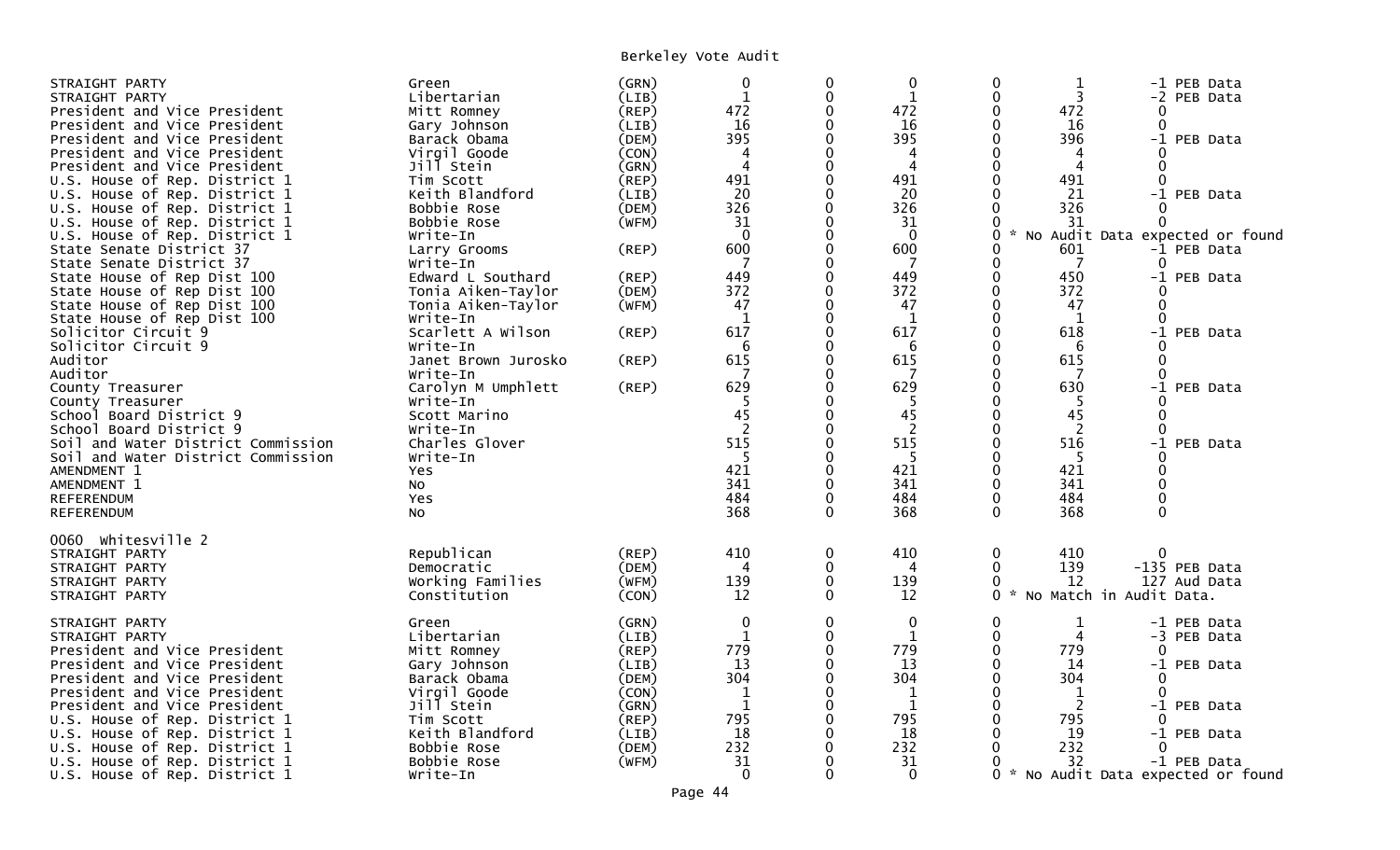| STRAIGHT PARTY<br>STRAIGHT PARTY<br>President and Vice President<br>President and Vice President<br>President and Vice President<br>President and Vice President<br>President and Vice President<br>U.S. House of Rep. District 1<br>U.S. House of Rep. District 1<br>U.S. House of Rep. District 1<br>U.S. House of Rep. District 1<br>U.S. House of Rep. District 1<br>State Senate District 37<br>State Senate District 37<br>State House of Rep Dist 100<br>State House of Rep Dist 100<br>State House of Rep Dist 100<br>State House of Rep Dist 100<br>Solicitor Circuit 9<br>Solicitor Circuit 9<br>Auditor<br>Auditor<br>County Treasurer<br>County Treasurer<br>School Board District 9<br>School Board District 9<br>Soil and Water District Commission<br>Soil and Water District Commission<br>AMENDMENT 1 | Green<br>Libertarian<br>Mitt Romney<br>Gary Johnson<br>Barack Obama<br>Virgil Goode<br>Jill Stein<br>Tim Scott<br>Keith Blandford<br>Bobbie Rose<br>Bobbie Rose<br>Write-In<br>Larry Grooms<br>Write-In<br>Edward L Southard<br>Tonia Aiken-Taylor<br>Tonia Aiken-Taylor<br>Write-In<br>Scarlett A Wilson<br>Write-In<br>Janet Brown Jurosko<br>Write-In<br>Carolyn M Umphlett<br>Write-In<br>Scott Marino<br>Write-In<br>Charles Glover<br>Write-In<br>Yes | (GRN)<br>(LIB)<br>(REP)<br>(LIB)<br>(DEM)<br>(CON)<br>(GRN)<br>(REP)<br>(LIB)<br>(DEM)<br>(WFM)<br>(REP)<br>(REP)<br>(DEM)<br>(WFM)<br>(REP)<br>(REP)<br>$($ REP $)$ | $\mathbf 0$<br>$\mathbf 1$<br>472<br>16<br>395<br>4<br>4<br>491<br>20<br>326<br>31<br>$\Omega$<br>600<br>7<br>449<br>372<br>47<br>$\mathbf{1}$<br>617<br>6<br>615<br>629<br>45<br>2<br>515<br>-5<br>421 | 0<br>$\mathbf 0$<br>$\mathbf 0$<br>$\Omega$<br>$\mathbf 0$<br>$\Omega$<br>$\Omega$<br>$\Omega$<br>$\Omega$<br>$\Omega$<br>0<br>0<br>0<br>$\Omega$<br>$\Omega$<br>0<br>$\mathbf 0$<br>$\Omega$<br>0<br>0<br>0<br>0<br>$\Omega$<br>0 | 0<br>$\mathbf{1}$<br>472<br>16<br>395<br>4<br>4<br>491<br>20<br>326<br>31<br>$\mathbf{0}$<br>600<br>7<br>449<br>372<br>47<br>1<br>617<br>6<br>615<br>629<br>5<br>45<br>2<br>515<br>5<br>421 | 0<br>$\Omega$<br>0<br>$\Omega$<br>$\Omega$<br>$\Omega$<br>$\Omega$<br>$\Omega$<br>$\Omega$<br>0<br>0<br>0<br>0<br>$\Omega$<br>0<br>$\Omega$<br>$\Omega$<br>$\Omega$<br>$\Omega$<br>0<br>0<br>$\Omega$<br>O<br>$\Omega$<br>$\Omega$<br>$\Omega$<br>$\Omega$<br>$\Omega$ | $\mathbf 1$<br>3<br>472<br>16<br>396<br>4<br>4<br>491<br>21<br>326<br>31<br>601<br>$\overline{7}$<br>450<br>372<br>47<br>1<br>618<br>6<br>615<br>-7<br>630<br>5<br>45<br>2<br>516<br>5<br>421 | 0<br>$\Omega$<br>$\Omega$<br>$\Omega$<br>0<br>0<br>0<br>$\Omega$<br>$\Omega$<br>0<br>0<br>0<br>$\Omega$<br>$\Omega$ | -1 PEB Data<br>-2 PEB Data<br>-1 PEB Data<br>-1 PEB Data<br>No Audit Data expected or found<br>-1 PEB Data<br>-1 PEB Data<br>-1 PEB Data<br>-1 PEB Data<br>-1 PEB Data |
|------------------------------------------------------------------------------------------------------------------------------------------------------------------------------------------------------------------------------------------------------------------------------------------------------------------------------------------------------------------------------------------------------------------------------------------------------------------------------------------------------------------------------------------------------------------------------------------------------------------------------------------------------------------------------------------------------------------------------------------------------------------------------------------------------------------------|-------------------------------------------------------------------------------------------------------------------------------------------------------------------------------------------------------------------------------------------------------------------------------------------------------------------------------------------------------------------------------------------------------------------------------------------------------------|----------------------------------------------------------------------------------------------------------------------------------------------------------------------|---------------------------------------------------------------------------------------------------------------------------------------------------------------------------------------------------------|------------------------------------------------------------------------------------------------------------------------------------------------------------------------------------------------------------------------------------|---------------------------------------------------------------------------------------------------------------------------------------------------------------------------------------------|------------------------------------------------------------------------------------------------------------------------------------------------------------------------------------------------------------------------------------------------------------------------|-----------------------------------------------------------------------------------------------------------------------------------------------------------------------------------------------|---------------------------------------------------------------------------------------------------------------------|------------------------------------------------------------------------------------------------------------------------------------------------------------------------|
| AMENDMENT 1<br><b>REFERENDUM</b><br><b>REFERENDUM</b><br>0060 Whitesville 2                                                                                                                                                                                                                                                                                                                                                                                                                                                                                                                                                                                                                                                                                                                                            | No<br>Yes<br>No                                                                                                                                                                                                                                                                                                                                                                                                                                             |                                                                                                                                                                      | 341<br>484<br>368                                                                                                                                                                                       | $\mathbf 0$<br>0<br>$\mathbf 0$                                                                                                                                                                                                    | 341<br>484<br>368                                                                                                                                                                           | $\Omega$<br>0<br>$\mathbf 0$                                                                                                                                                                                                                                           | 341<br>484<br>368                                                                                                                                                                             | 0                                                                                                                   |                                                                                                                                                                        |
| STRAIGHT PARTY<br>STRAIGHT PARTY<br>STRAIGHT PARTY<br>STRAIGHT PARTY                                                                                                                                                                                                                                                                                                                                                                                                                                                                                                                                                                                                                                                                                                                                                   | Republican<br>Democratic<br>Working Families<br>Constitution                                                                                                                                                                                                                                                                                                                                                                                                | (REP)<br>(DEM)<br>(WFM)<br>(CON)                                                                                                                                     | 410<br>4<br>139<br>12                                                                                                                                                                                   | $\mathbf 0$<br>0<br>$\mathbf 0$<br>0                                                                                                                                                                                               | 410<br>$\overline{4}$<br>139<br>12                                                                                                                                                          | 0<br>0<br>$\Omega$<br>$\Omega$                                                                                                                                                                                                                                         | 410<br>139<br>12                                                                                                                                                                              | 0<br>-135 PEB Data<br>127 Aud Data<br>* No Match in Audit Data.                                                     |                                                                                                                                                                        |
| STRAIGHT PARTY<br>STRAIGHT PARTY<br>President and Vice President<br>President and Vice President<br>President and Vice President<br>President and Vice President<br>President and Vice President<br>U.S. House of Rep. District 1<br>U.S. House of Rep. District 1<br>U.S. House of Rep. District 1<br>U.S. House of Rep. District 1<br>U.S. House of Rep. District 1                                                                                                                                                                                                                                                                                                                                                                                                                                                  | Green<br>Libertarian<br>Mitt Romney<br>Gary Johnson<br>Barack Obama<br>Virgil Goode<br>Jill Stein<br>Tim Scott<br>Keith Blandford<br>Bobbie Rose<br>Bobbie Rose<br>Write-In                                                                                                                                                                                                                                                                                 | (GRN)<br>(LIB)<br>(REP)<br>(LIB)<br>(DEM)<br>(CON)<br>(GRN)<br>(REP)<br>(LIB)<br>(DEM)<br>(WFM)                                                                      | 0<br>$\mathbf{1}$<br>779<br>13<br>304<br>$\mathbf 1$<br>$\mathbf{1}$<br>795<br>18<br>232<br>31<br>$\Omega$                                                                                              | $\mathbf 0$<br>$\mathbf 0$<br>$\Omega$<br>0<br>0<br>$\Omega$<br>0<br>0<br>0<br>0                                                                                                                                                   | $\mathbf 0$<br>$\mathbf{1}$<br>779<br>13<br>304<br>$\mathbf{1}$<br>$\mathbf{1}$<br>795<br>18<br>232<br>31<br>$\Omega$                                                                       | $\Omega$<br>$\mathbf 0$<br>0<br>0<br>$\Omega$<br>0<br>0<br>$\Omega$<br>$\Omega$<br>0<br>0<br>0                                                                                                                                                                         | $\mathbf 1$<br>4<br>779<br>14<br>304<br>1<br>2<br>795<br>19<br>232<br>32                                                                                                                      | $\Omega$<br>0<br>0<br>0<br>$\Omega$                                                                                 | -1 PEB Data<br>-3 PEB Data<br>-1 PEB Data<br>-1 PEB Data<br>-1 PEB Data<br>-1 PEB Data<br>* No Audit Data expected or found                                            |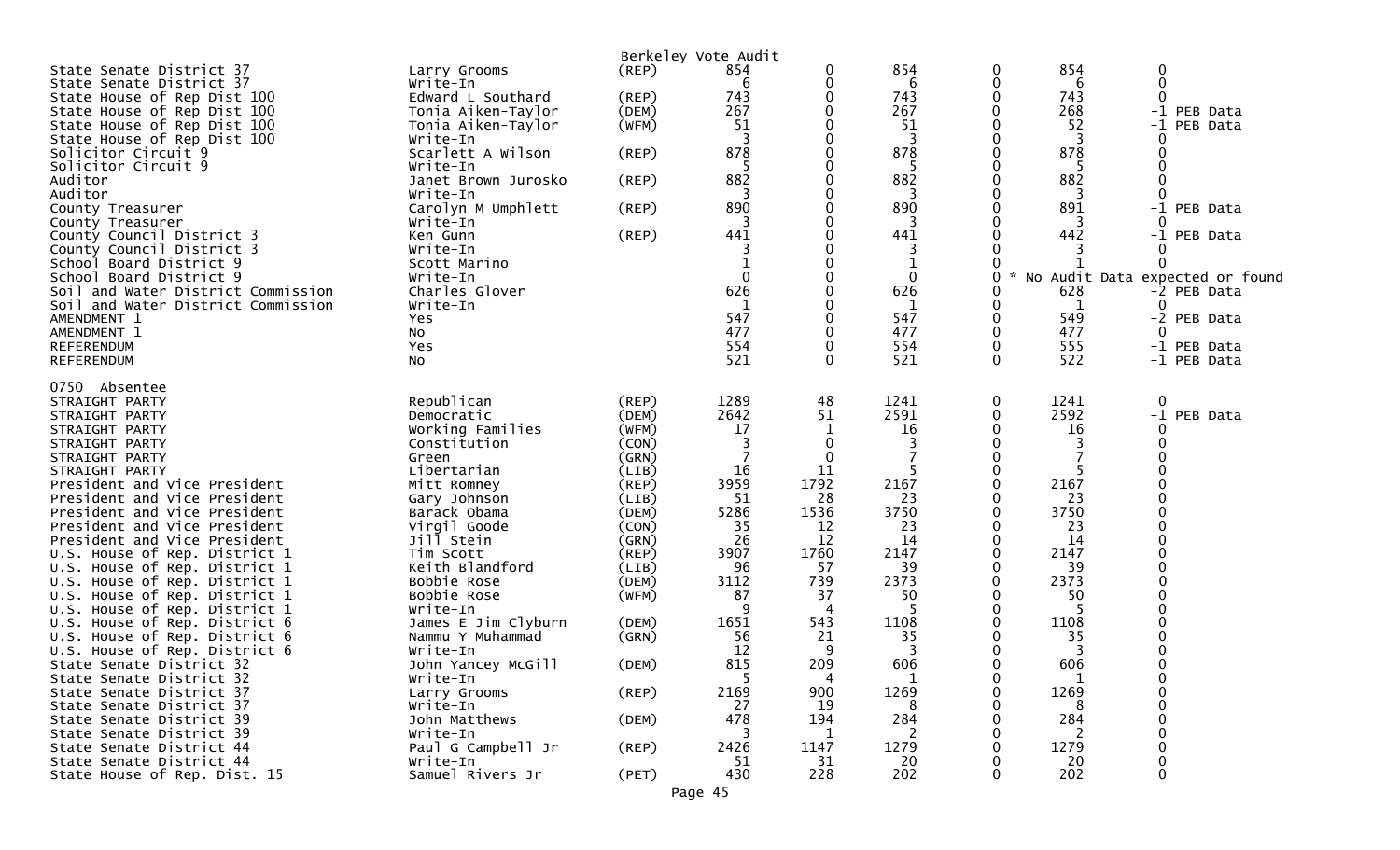|                                    |                                |                | Berkeley Vote Audit |      |            |          |            |                                 |
|------------------------------------|--------------------------------|----------------|---------------------|------|------------|----------|------------|---------------------------------|
| State Senate District 37           | Larry Grooms                   | $($ REP $)$    | 854                 | 0    | 854        | 0        | 854        | 0                               |
| State Senate District 37           | Write-In                       |                | 6                   | 0    | 6          | 0        | 6          | $\Omega$                        |
| State House of Rep Dist 100        | Edward L Southard              | (REP)          | 743                 | 0    | 743        | 0        | 743        |                                 |
| State House of Rep Dist 100        | Tonia Aiken-Taylor             | (DEM)          | 267                 | 0    | 267        | 0        | 268        | -1 PEB Data                     |
| State House of Rep Dist 100        | Tonia Aiken-Taylor             | (WFM)          | 51                  |      | 51         | 0        | 52         | $-1$<br>PEB Data                |
| State House of Rep Dist 100        | Write-In                       |                | 3                   |      | 3          |          | 3          |                                 |
| Solicitor Circuit 9                | Scarlett A Wilson              | (REP)          | 878                 |      | 878        |          | 878        |                                 |
| Solicitor Circuit 9                | Write-In                       |                | 5                   |      | 5          | 0        | -5         |                                 |
| Auditor                            | Janet Brown Jurosko            | (REP)          | 882                 |      | 882        |          | 882        |                                 |
| Auditor                            | Write-In                       |                | 3                   |      | 3          |          | 3          |                                 |
| County Treasurer                   | Carolyn M Umphlett             | (REP)          | 890                 |      | 890        |          | 891        | -1 PEB Data                     |
| County Treasurer                   | Write-In                       |                | 3                   |      | 3          |          | 3          |                                 |
| County Council District 3          | Ken Gunn                       | (REP)          | 441                 |      | 441        |          | 442        | -1 PEB Data                     |
| County Council District 3          | Write-In                       |                | 3                   |      | 3          |          |            |                                 |
| School Board District 9            | Scott Marino                   |                |                     |      | 1          |          |            |                                 |
| School Board District 9            | Write-In                       |                | $\mathbf{0}$        |      | 0          | 0        |            | No Audit Data expected or found |
| Soil and Water District Commission | Charles Glover                 |                | 626                 |      | 626        | 0        | 628        | -2 PEB Data                     |
| Soil and Water District Commission | Write-In                       |                |                     |      | 1          | 0        | 1          |                                 |
| AMENDMENT 1                        | Yes                            |                | 547                 | 0    | 547        | 0        | 549        | -2 PEB Data                     |
| AMENDMENT 1                        | No                             |                | 477                 |      | 477        | 0        | 477        |                                 |
| <b>REFERENDUM</b>                  | Yes                            |                | 554                 |      | 554        | 0        | 555        | -1 PEB Data                     |
| <b>REFERENDUM</b>                  | No                             |                | 521                 | 0    | 521        | $\Omega$ | 522        | -1 PEB Data                     |
|                                    |                                |                |                     |      |            |          |            |                                 |
| 0750 Absentee                      |                                |                |                     |      |            |          |            |                                 |
| STRAIGHT PARTY                     | Republican                     | (REF)          | 1289                | 48   | 1241       | 0<br>0   | 1241       | 0                               |
| STRAIGHT PARTY<br>STRAIGHT PARTY   | Democratic<br>Working Families | (DEM)<br>(WFM) | 2642<br>17          | 51   | 2591<br>16 | 0        | 2592<br>16 | $-1$<br>PEB Data                |
|                                    | Constitution                   | (CON)          | 3                   | 0    |            |          | 3          |                                 |
| STRAIGHT PARTY<br>STRAIGHT PARTY   | Green                          | (GRN)          | 7                   | 0    |            |          |            |                                 |
| STRAIGHT PARTY                     | Libertarian                    | (LIB)          | 16                  | 11   |            | 0        |            |                                 |
| President and Vice President       | Mitt Romney                    | (REP)          | 3959                | 1792 | 2167       | 0        | 2167       |                                 |
| President and Vice President       | Gary Johnson                   | (LIB)          | 51                  | 28   | 23         | 0        | 23         |                                 |
| President and Vice President       | Barack Obama                   | (DEM)          | 5286                | 1536 | 3750       | $\Omega$ | 3750       |                                 |
| President and Vice President       | Virgil Goode                   | (CON)          | 35                  | 12   | 23         | 0        | 23         |                                 |
| President and Vice President       | Jill Stein                     | (GRN)          | 26                  | 12   | 14         | 0        | 14         |                                 |
| U.S. House of Rep. District 1      | Tim Scott                      | (REP)          | 3907                | 1760 | 2147       | 0        | 2147       |                                 |
| U.S. House of Rep. District 1      | Keith Blandford                | (LIB)          | 96                  | 57   | 39         | 0        | 39         |                                 |
| U.S. House of Rep. District 1      | Bobbie Rose                    | (DEM)          | 3112                | 739  | 2373       |          | 2373       |                                 |
| U.S. House of Rep. District 1      | Bobbie Rose                    | (WFM)          | 87                  | 37   | 50         |          | 50         |                                 |
| U.S. House of Rep. District 1      | Write-In                       |                | 9                   | 4    | 5          |          |            |                                 |
| U.S. House of Rep. District 6      | James E Jim Clyburn            | (DEM)          | 1651                | 543  | 1108       | 0        | 1108       |                                 |
| U.S. House of Rep. District 6      | Nammu Y Muhammad               | (GRN)          | 56                  | 21   | 35         | 0        | 35         |                                 |
| U.S. House of Rep. District 6      | Write-In                       |                | 12                  | 9    | 3          |          | 3          |                                 |
| State Senate District 32           | John Yancey McGill             | (DEM)          | 815                 | 209  | 606        | 0        | 606        |                                 |
| State Senate District 32           | Write-In                       |                | 5                   | 4    | T.         | 0        |            |                                 |
| State Senate District 37           | Larry Grooms                   | $($ REP $)$    | 2169                | 900  | 1269       | 0        | 1269       |                                 |
| State Senate District 37           | Write-In                       |                | 27                  | 19   | 8          |          | 8          |                                 |
| State Senate District 39           | John Matthews                  | (DEM)          | 478                 | 194  | 284        |          | 284        |                                 |
| State Senate District 39           | Write-In                       |                | 3                   | 1    | 2          |          | 2          |                                 |
| State Senate District 44           | Paul G Campbell Jr             | $($ REP $)$    | 2426                | 1147 | 1279       |          | 1279       |                                 |
| State Senate District 44           | Write-In                       |                | 51                  | 31   | 20         |          | 20         | $\mathbf 0$                     |
| State House of Rep. Dist. 15       | Samuel Rivers Jr               | (PET)          | 430                 | 228  | 202        | 0        | 202        | 0                               |
|                                    |                                |                | Page 45             |      |            |          |            |                                 |
|                                    |                                |                |                     |      |            |          |            |                                 |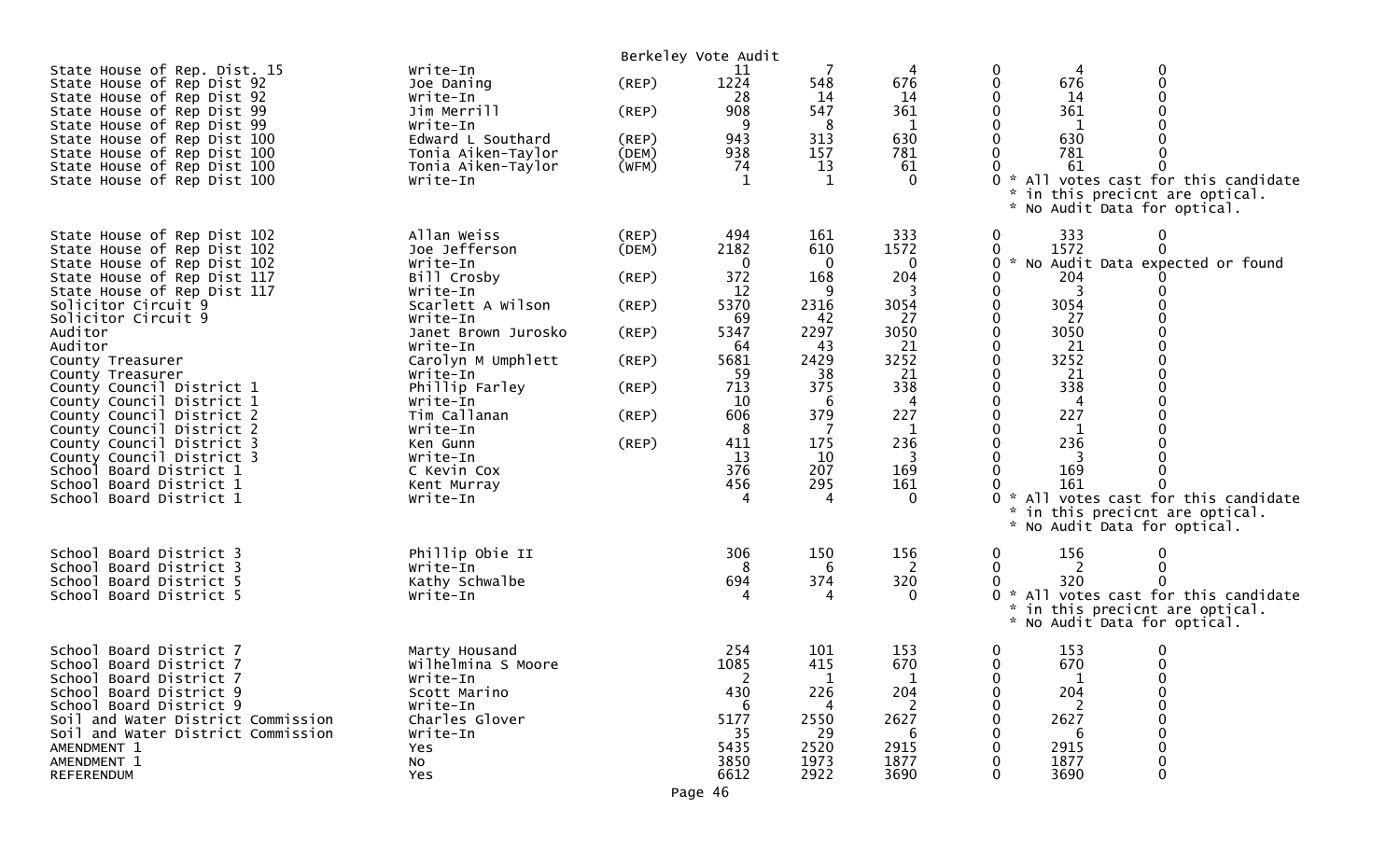| State House of Rep. Dist. 15<br>State House of Rep Dist 92<br>State House of Rep Dist 92<br>State House of Rep Dist 99<br>State House of Rep Dist 99<br>State House of Rep Dist 100<br>State House of Rep Dist 100<br>State House of Rep Dist 100<br>State House of Rep Dist 100                                                                                                                                                                                                                                                   | Write-In<br>Joe Daning<br>Write-In<br>Jim Merrill<br>Write-In<br>Edward L Southard<br>Tonia Aiken-Taylor<br>Tonia Aiken-Taylor<br>Write-In                                                                                                                                                            | (REP)<br>(REP)<br>(REP)<br>(DEM)<br>(WFM)                                     | Berkeley Vote Audit<br>11<br>1224<br>28<br>908<br>9<br>943<br>938<br>74<br>-1                                                     | 548<br>14<br>547<br>8<br>313<br>157<br>13<br>-1                                                                               | 676<br>14<br>361<br>1<br>630<br>781<br>61<br>$\Omega$                                                               | 0<br>0<br>676<br>0<br>14<br>0<br>361<br>0<br>1<br>630<br>781<br>61<br>* All votes cast for this candidate<br>in this precicnt are optical.<br>* No Audit Data for optical.                                                                                                                                                  |
|------------------------------------------------------------------------------------------------------------------------------------------------------------------------------------------------------------------------------------------------------------------------------------------------------------------------------------------------------------------------------------------------------------------------------------------------------------------------------------------------------------------------------------|-------------------------------------------------------------------------------------------------------------------------------------------------------------------------------------------------------------------------------------------------------------------------------------------------------|-------------------------------------------------------------------------------|-----------------------------------------------------------------------------------------------------------------------------------|-------------------------------------------------------------------------------------------------------------------------------|---------------------------------------------------------------------------------------------------------------------|-----------------------------------------------------------------------------------------------------------------------------------------------------------------------------------------------------------------------------------------------------------------------------------------------------------------------------|
| State House of Rep Dist 102<br>State House of Rep Dist 102<br>State House of Rep Dist 102<br>State House of Rep Dist 117<br>State House of Rep Dist 117<br>Solicitor Circuit 9<br>Solicitor Circuit 9<br>Auditor<br>Auditor<br>County Treasurer<br>County Treasurer<br>County Council District 1<br>County Council District 1<br>County Council District 2<br>County Council District 2<br>County Council District 3<br>County Council District 3<br>School Board District 1<br>School Board District 1<br>School Board District 1 | Allan Weiss<br>Joe Jefferson<br>Write-In<br>Bill Crosby<br>Write-In<br>Scarlett A Wilson<br>Write-In<br>Janet Brown Jurosko<br>Write-In<br>Carolyn M Umphlett<br>Write-In<br>Phillip Farley<br>Write-In<br>Tim Callanan<br>Write-In<br>Ken Gunn<br>Write-In<br>C Kevin Cox<br>Kent Murray<br>Write-In | (REP)<br>(DEM)<br>(REP)<br>(REP)<br>(REP)<br>(REP)<br>(REP)<br>(REP)<br>(REP) | 494<br>2182<br>0<br>372<br>12<br>5370<br>69<br>5347<br>-64<br>5681<br>59<br>713<br>10<br>606<br>8<br>411<br>13<br>376<br>456<br>4 | 161<br>610<br>0<br>168<br>9<br>2316<br>42<br>2297<br>43<br>2429<br>38<br>375<br>6<br>379<br>7<br>175<br>10<br>207<br>295<br>4 | 333<br>1572<br>0<br>204<br>3054<br>27<br>3050<br>21<br>3252<br>21<br>338<br>227<br>1<br>236<br>3<br>169<br>161<br>0 | 333<br>0<br>1572<br>0<br>0<br>0<br>* No Audit Data expected or found<br>204<br>0<br>0<br>3<br>0<br>3054<br>0<br>27<br>3050<br>0<br>21<br>3252<br>0<br>21<br>338<br>227<br>0<br>236<br>0<br>3<br>169<br>161<br>* All votes cast for this candidate<br>in this precicnt are optical.<br>*<br>No Audit Data for optical.<br>*. |
| School Board District 3<br>School Board District 3<br>School Board District 5<br>School Board District 5                                                                                                                                                                                                                                                                                                                                                                                                                           | Phillip Obie II<br>Write-In<br>Kathy Schwalbe<br>Write-In                                                                                                                                                                                                                                             |                                                                               | 306<br>694                                                                                                                        | 150<br>6<br>374                                                                                                               | 156<br>2<br>320                                                                                                     | 156<br>0<br>0<br>2<br>320<br>* All votes cast for this candidate<br>in this precicnt are optical.<br>* No Audit Data for optical.                                                                                                                                                                                           |
| School Board District 7<br>School Board District 7<br>School Board District 7<br>School Board District 9<br>School Board District 9<br>Soil and Water District Commission<br>Soil and Water District Commission<br>AMENDMENT 1<br>AMENDMENT 1<br><b>REFERENDUM</b>                                                                                                                                                                                                                                                                 | Marty Housand<br>Wilhelmina S Moore<br>Write-In<br>Scott Marino<br>Write-In<br>Charles Glover<br>Write-In<br>Yes<br><b>NO</b><br>Yes                                                                                                                                                                  |                                                                               | 254<br>1085<br>430<br>6<br>5177<br>-35<br>5435<br>3850<br>6612                                                                    | 101<br>415<br>226<br>4<br>2550<br>-29<br>2520<br>1973<br>2922                                                                 | 153<br>670<br>204<br>2<br>2627<br>b<br>2915<br>1877<br>3690                                                         | 153<br>0<br>0<br>$\mathbf 0$<br>670<br>$\Omega$<br>204<br>0<br>2627<br>2915<br>1877<br>3690<br>0                                                                                                                                                                                                                            |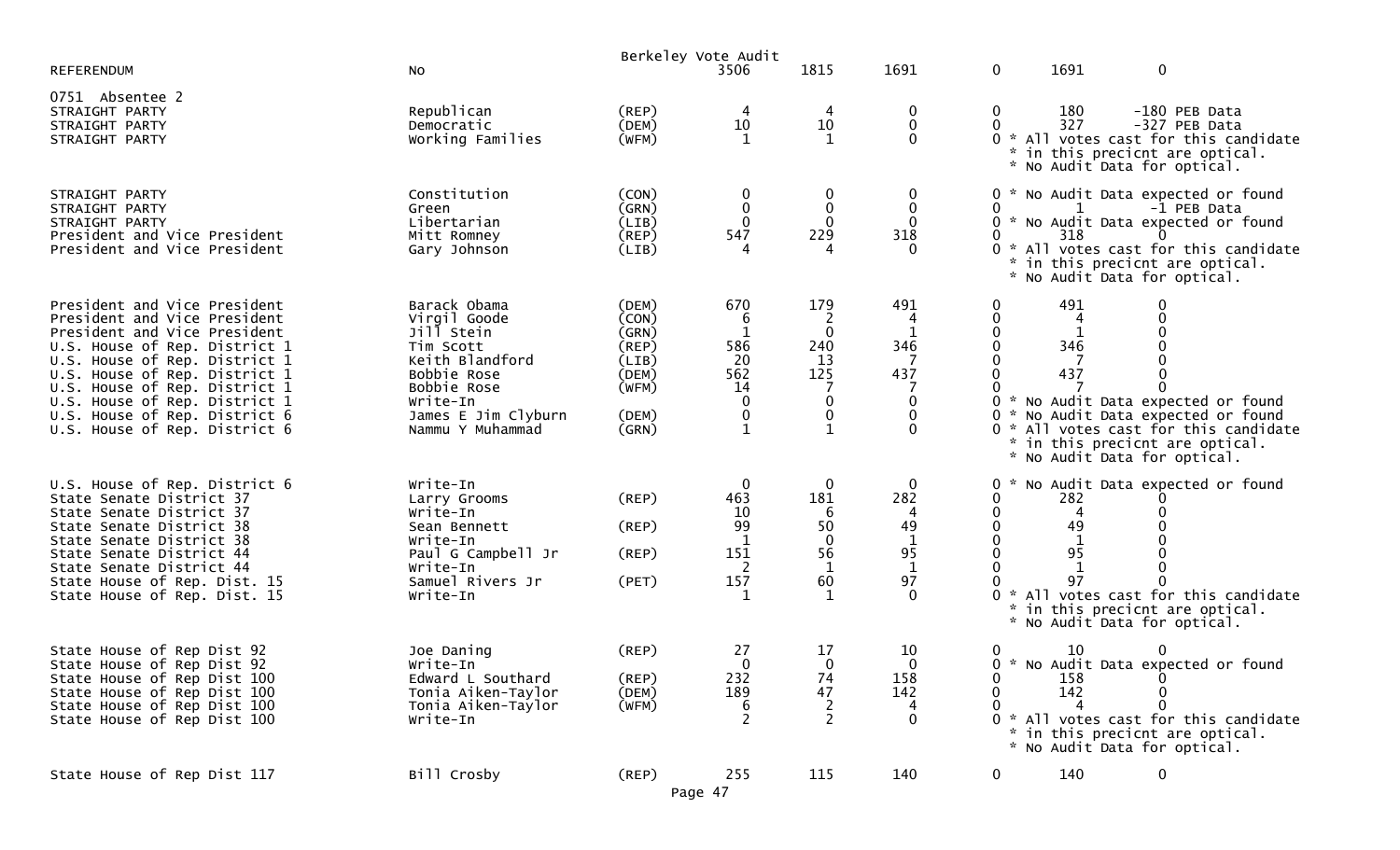|                                                                                                                                                                                                                                                                                                                                     |                                                                                                                                                                 |                                                                                     | Berkeley Vote Audit                                              |                                                                                      |                                                                                                   |                                                 |                             |                                                                                                                                                                                                          |
|-------------------------------------------------------------------------------------------------------------------------------------------------------------------------------------------------------------------------------------------------------------------------------------------------------------------------------------|-----------------------------------------------------------------------------------------------------------------------------------------------------------------|-------------------------------------------------------------------------------------|------------------------------------------------------------------|--------------------------------------------------------------------------------------|---------------------------------------------------------------------------------------------------|-------------------------------------------------|-----------------------------|----------------------------------------------------------------------------------------------------------------------------------------------------------------------------------------------------------|
| <b>REFERENDUM</b>                                                                                                                                                                                                                                                                                                                   | No                                                                                                                                                              |                                                                                     | 3506                                                             | 1815                                                                                 | 1691                                                                                              | 0                                               | 1691                        | $\mathbf 0$                                                                                                                                                                                              |
| 0751 Absentee 2<br>STRAIGHT PARTY<br>STRAIGHT PARTY<br>STRAIGHT PARTY                                                                                                                                                                                                                                                               | Republican<br>Democratic<br>Working Families                                                                                                                    | (REP)<br>(DEM)<br>(WFM)                                                             | 4<br>10<br>1                                                     | 4<br>10<br>1                                                                         | $\overline{0}$<br>$\mathbf 0$<br>$\Omega$                                                         | 0<br>$\mathbf{0}$                               | 180<br>327                  | -180 PEB Data<br>-327 PEB Data<br>0 * All votes cast for this candidate<br>* in this precicnt are optical.<br>* No Audit Data for optical.                                                               |
| STRAIGHT PARTY<br>STRAIGHT PARTY<br>STRAIGHT PARTY<br>President and Vice President<br>President and Vice President                                                                                                                                                                                                                  | Constitution<br>Green<br>Libertarian<br>Mitt Romney<br>Gary Johnson                                                                                             | (CON)<br>(GRN)<br>(LIB)<br>$($ REP $)$<br>(LIB)                                     | 0<br>$\mathbf 0$<br>0<br>547<br>4                                | 0<br>0<br>229                                                                        | $\bf{0}$<br>$\mathbf 0$<br>0<br>318<br>$\Omega$                                                   | 0<br>0<br>0                                     | 1<br>318                    | 0 * No Audit Data expected or found<br>-1 PEB Data<br>* No Audit Data expected or found<br>0<br>0 * All votes cast for this candidate<br>in this precicnt are optical.<br>* No Audit Data for optical.   |
| President and Vice President<br>President and Vice President<br>President and Vice President<br>U.S. House of Rep. District 1<br>U.S. House of Rep. District 1<br>U.S. House of Rep. District 1<br>U.S. House of Rep. District 1<br>U.S. House of Rep. District 1<br>U.S. House of Rep. District 6<br>U.S. House of Rep. District 6 | Barack Obama<br>Virgil Goode<br>Jill Stein<br>Tim Scott<br>Keith Blandford<br>Bobbie Rose<br>Bobbie Rose<br>Write-In<br>James E Jim Clyburn<br>Nammu Y Muhammad | (DEM)<br>(CON)<br>(GRN)<br>$($ REP $)$<br>(LIB)<br>(DEM)<br>(WFM)<br>(DEM)<br>(GRN) | 670<br>6<br>1<br>586<br>20<br>562<br>14<br>0<br>$\boldsymbol{0}$ | 179<br>2<br>$\mathbf 0$<br>240<br>13<br>125<br>0<br>$\boldsymbol{0}$<br>$\mathbf{1}$ | 491<br>4<br>346<br>437<br>0<br>0<br>0                                                             | 0                                               | 491<br>4<br>1<br>346<br>437 | $\mathbf 0$<br>∩<br>* No Audit Data expected or found<br>0 * No Audit Data expected or found<br>0 * All votes cast for this candidate<br>* in this precicnt are optical.<br>* No Audit Data for optical. |
| U.S. House of Rep. District 6<br>State Senate District 37<br>State Senate District 37<br>State Senate District 38<br>State Senate District 38<br>State Senate District 44<br>State Senate District 44<br>State House of Rep. Dist. 15<br>State House of Rep. Dist. 15                                                               | Write-In<br>Larry Grooms<br>Write-In<br>Sean Bennett<br>Write-In<br>Paul G Campbell Jr<br>Write-In<br>Samuel Rivers Jr<br>Write-In                              | $($ REP $)$<br>(REP)<br>(REP)<br>(PET)                                              | $\boldsymbol{0}$<br>463<br>10<br>99<br>1<br>151<br>2<br>157      | 0<br>181<br>6<br>50<br>$\mathbf{0}$<br>56<br>$\mathbf 1$<br>60                       | $\bf{0}$<br>282<br>49<br>$\begin{array}{c} 1 \\ 95 \end{array}$<br>$\mathbf{1}$<br>97<br>$\Omega$ |                                                 | 282<br>4<br>49<br>95<br>97  | No Audit Data expected or found<br>* All votes cast for this candidate<br>in this precicnt are optical.<br>* No Audit Data for optical.                                                                  |
| State House of Rep Dist 92<br>State House of Rep Dist 92<br>State House of Rep Dist 100<br>State House of Rep Dist 100<br>State House of Rep Dist 100<br>State House of Rep Dist 100                                                                                                                                                | Joe Daning<br>Write-In<br>Edward L Southard<br>Tonia Aiken-Taylor<br>Tonia Aiken-Taylor<br>Write-In                                                             | (REP)<br>(REP)<br>(DEM)<br>(WFM)                                                    | 27<br>$\mathbf{0}$<br>232<br>189<br>6<br>$\overline{2}$          | 17<br>0<br>74<br>47<br>$\frac{2}{2}$                                                 | 10<br>$\mathbf{0}$<br>158<br>142<br>4<br>$\mathbf 0$                                              | $\bf{0}$<br>0<br>0<br>$\Omega$<br>$\mathcal{H}$ | 10<br>158<br>142            | 0 * No Audit Data expected or found<br>$\bf{0}$<br>$\mathbf 0$<br>$\Omega$<br>All votes cast for this candidate<br>* in this precicnt are optical.<br>* No Audit Data for optical.                       |
| State House of Rep Dist 117                                                                                                                                                                                                                                                                                                         | Bill Crosby                                                                                                                                                     | (REP)                                                                               | 255<br>Page 47                                                   | 115                                                                                  | 140                                                                                               | $\mathbf 0$                                     | 140                         | $\mathbf 0$                                                                                                                                                                                              |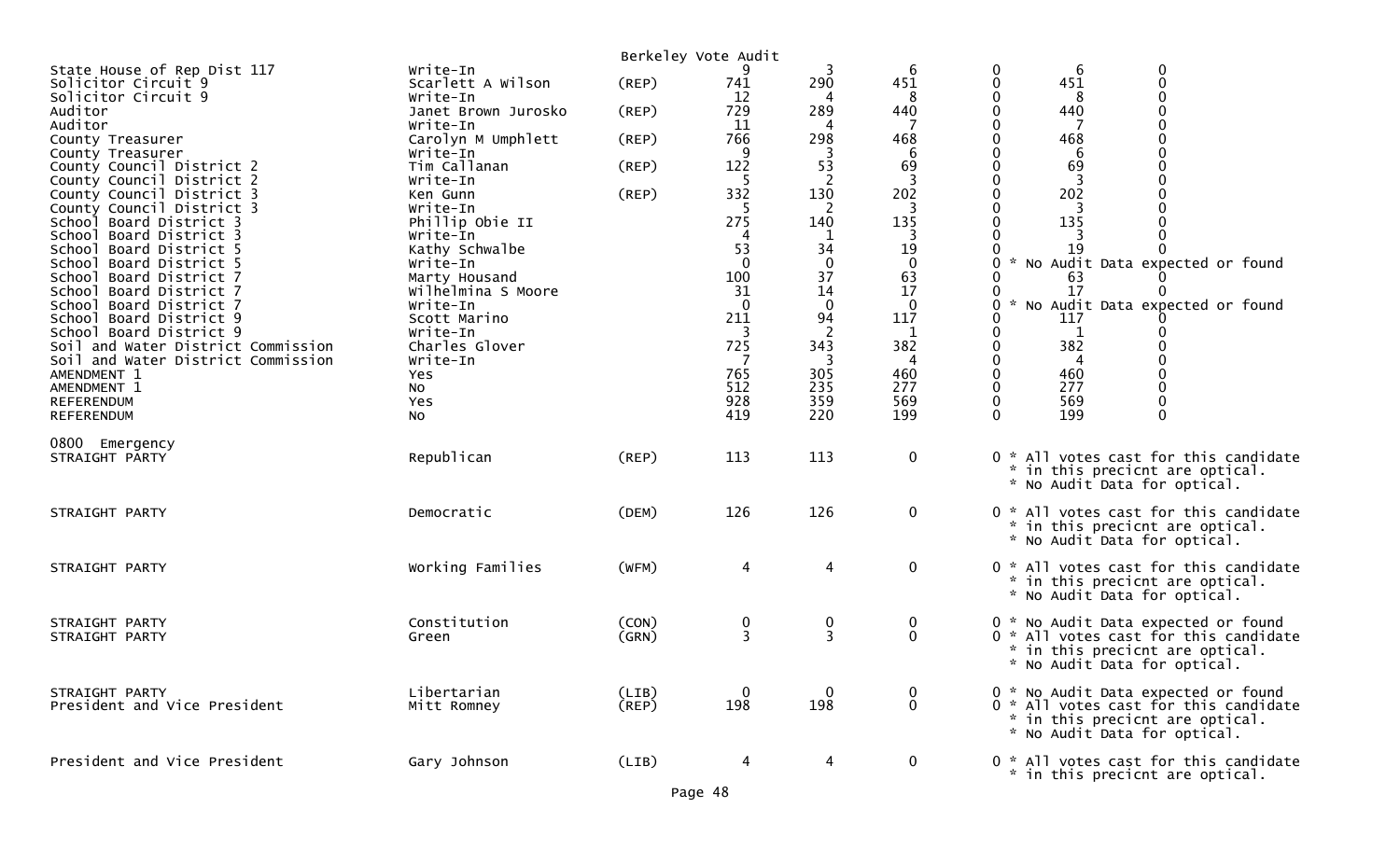|                                                    |                                 |             | Berkeley Vote Audit |                        |                    |                                                                 |
|----------------------------------------------------|---------------------------------|-------------|---------------------|------------------------|--------------------|-----------------------------------------------------------------|
| State House of Rep Dist 117                        | Write-In                        |             | 9                   | 3                      | 6                  | $\boldsymbol{0}$<br>0<br>6                                      |
| Solicitor Circuit 9                                | Scarlett A Wilson               | (REP)       | 741                 | 290                    | 451                | $\mathbf 0$<br>451<br>0                                         |
| Solicitor Circuit 9                                | Write-In                        |             | 12                  |                        | 8                  | 0                                                               |
| Auditor<br>Auditor                                 | Janet Brown Jurosko<br>Write-In | (REP)       | 729<br>11           | 289<br>4               | 440                | 440<br>0                                                        |
| County Treasurer                                   | Carolyn M Umphlett              | (REP)       | 766                 | 298                    | 468                | 468                                                             |
| County Treasurer                                   | Write-In                        |             | -9                  | 3                      | 6                  | 6                                                               |
| County Council District 2                          | Tim Callanan                    | (REP)       | 122                 | 53                     | 69                 | 69<br>0                                                         |
| County Council District 2                          | Write-In                        |             |                     | 2                      |                    |                                                                 |
| County Council District 3                          | Ken Gunn                        | (REP)       | 332                 | 130                    | 202                | 202                                                             |
| County Council District 3                          | Write-In                        |             |                     | 2                      |                    |                                                                 |
| School Board District 3                            | Phillip Obie II                 |             | 275                 | 140                    | 135                | 135                                                             |
| School Board District 3                            | Write-In                        |             | 4                   | 1                      | 3                  |                                                                 |
| School Board District 5                            | Kathy Schwalbe                  |             | 53                  | 34                     | 19                 | 19                                                              |
| School Board District 5                            | Write-In                        |             | $\Omega$            | $\mathbf 0$            | $\mathbf 0$        | * No Audit Data expected or found<br>0                          |
| School Board District 7                            | Marty Housand                   |             | 100                 | 37                     | 63                 | 0<br>63                                                         |
| School Board District 7                            | Wilhelmina S Moore              |             | 31                  | 14                     | 17                 | 17<br>0                                                         |
| School Board District 7                            | Write-In                        |             | $\Omega$<br>211     | $\boldsymbol{0}$<br>94 | $\mathbf 0$<br>117 | * No Audit Data expected or found<br>0<br>117<br>0              |
| School Board District 9<br>School Board District 9 | Scott Marino<br>Write-In        |             |                     | $\overline{2}$         |                    | 0                                                               |
| Soil and Water District Commission                 | Charles Glover                  |             | 725                 | 343                    | 382                | 382<br>0                                                        |
| Soil and Water District Commission                 | Write-In                        |             |                     | 3                      | 4                  | 0<br>4                                                          |
| AMENDMENT 1                                        | Yes                             |             | 765                 | 305                    | 460                | $\mathbf 0$<br>460                                              |
| AMENDMENT 1                                        | NO.                             |             | 512                 | 235                    | 277                | $\mathbf 0$<br>277                                              |
| REFERENDUM                                         | Yes                             |             | 928                 | 359                    | 569                | $\mathbf 0$<br>569<br>0                                         |
| <b>REFERENDUM</b>                                  | No                              |             | 419                 | 220                    | 199                | 0<br>$\mathbf 0$<br>199                                         |
|                                                    |                                 |             |                     |                        |                    |                                                                 |
| 0800 Emergency                                     |                                 |             |                     |                        |                    |                                                                 |
| STRAIGHT PARTY                                     | Republican                      | (REP)       | 113                 | 113                    | $\mathbf 0$        | 0 * All votes cast for this candidate                           |
|                                                    |                                 |             |                     |                        |                    | * in this precicnt are optical.<br>* No Audit Data for optical. |
|                                                    |                                 |             |                     |                        |                    |                                                                 |
| STRAIGHT PARTY                                     | Democratic                      | (DEM)       | 126                 | 126                    | $\mathbf 0$        | 0 * All votes cast for this candidate                           |
|                                                    |                                 |             |                     |                        |                    | * in this precicnt are optical.                                 |
|                                                    |                                 |             |                     |                        |                    | * No Audit Data for optical.                                    |
|                                                    |                                 |             |                     |                        |                    |                                                                 |
| STRAIGHT PARTY                                     | Working Families                | (WFM)       | 4                   | 4                      | $\mathbf 0$        | 0 * All votes cast for this candidate                           |
|                                                    |                                 |             |                     |                        |                    | * in this precicnt are optical.                                 |
|                                                    |                                 |             |                     |                        |                    | * No Audit Data for optical.                                    |
| STRAIGHT PARTY                                     | Constitution                    | (CON)       | 0                   | 0                      | $\bf{0}$           | 0 * No Audit Data expected or found                             |
| STRAIGHT PARTY                                     | Green                           | (GRN)       | 3                   | $\overline{3}$         | $\mathbf 0$        | 0 * All votes cast for this candidate                           |
|                                                    |                                 |             |                     |                        |                    | * in this precicnt are optical.                                 |
|                                                    |                                 |             |                     |                        |                    | * No Audit Data for optical.                                    |
|                                                    |                                 |             |                     |                        |                    |                                                                 |
| STRAIGHT PARTY                                     | Libertarian                     | (LIB)       | $\mathbf 0$         | 0                      | $\bf{0}$           | 0 * No Audit Data expected or found                             |
| President and Vice President                       | Mitt Romney                     | $($ REP $)$ | 198                 | 198                    | $\mathbf 0$        | 0 * All votes cast for this candidate                           |
|                                                    |                                 |             |                     |                        |                    | * in this precicnt are optical.<br>* No Audit Data for optical. |
|                                                    |                                 |             |                     |                        |                    |                                                                 |
| President and Vice President                       | Gary Johnson                    | (LIB)       | 4                   | 4                      | $\mathbf{0}$       | 0 * All votes cast for this candidate                           |
|                                                    |                                 |             |                     |                        |                    | * in this precicnt are optical.                                 |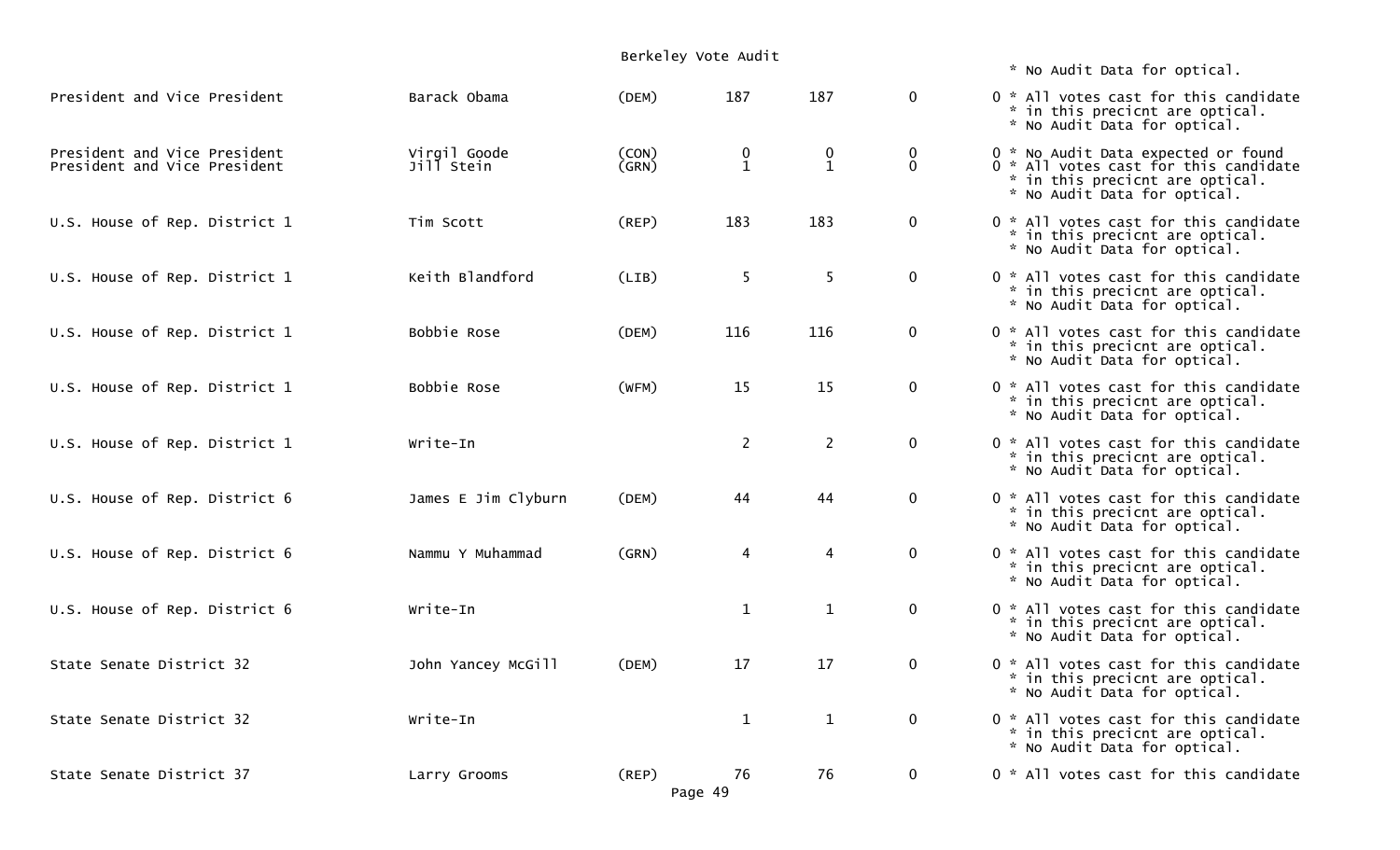|                                                              |                            | Berkeley Vote Audit    |                                               |                             |                             |                                                                                                                                                 |
|--------------------------------------------------------------|----------------------------|------------------------|-----------------------------------------------|-----------------------------|-----------------------------|-------------------------------------------------------------------------------------------------------------------------------------------------|
|                                                              |                            |                        |                                               |                             |                             | * No Audit Data for optical.                                                                                                                    |
| President and Vice President                                 | Barack Obama               | (DEM)                  | 187                                           | 187                         | $\mathbf 0$                 | 0 * All votes cast for this candidate<br>* in this precicnt are optical.<br>* No Audit Data for optical.                                        |
| President and Vice President<br>President and Vice President | Virgil Goode<br>Jill Stein | (CON)<br>(GRN)         | $\begin{smallmatrix} 0 \ 1 \end{smallmatrix}$ | $\mathbf 0$<br>$\mathbf{1}$ | $\mathbf 0$<br>$\mathbf{0}$ | 0 * No Audit Data expected or found<br>0 * All votes cast for this candidate<br>* in this precicnt are optical.<br>* No Audit Data for optical. |
| U.S. House of Rep. District 1                                | Tim Scott                  | (REP)                  | 183                                           | 183                         | $\mathbf 0$                 | 0 * All votes cast for this candidate<br>* in this precicnt are optical.<br>* No Audit Data for optical.                                        |
| U.S. House of Rep. District 1                                | Keith Blandford            | (LIB)                  | 5                                             | 5                           | $\mathbf 0$                 | 0 * All votes cast for this candidate<br>* in this precicnt are optical.<br>* No Audit Data for optical.                                        |
| U.S. House of Rep. District 1                                | Bobbie Rose                | (DEM)                  | 116                                           | 116                         | $\mathbf 0$                 | 0 * All votes cast for this candidate<br>* in this precicnt are optical.<br>* No Audit Data for optical.                                        |
| U.S. House of Rep. District 1                                | Bobbie Rose                | (WFM)                  | 15                                            | 15                          | $\mathbf 0$                 | 0 * All votes cast for this candidate<br>* in this precicnt are optical.<br>* No Audit Data for optical.                                        |
| U.S. House of Rep. District 1                                | Write-In                   |                        | $\overline{2}$                                | $\overline{2}$              | $\mathbf 0$                 | 0 * All votes cast for this candidate<br>* in this precicnt are optical.<br>* No Audit Data for optical.                                        |
| U.S. House of Rep. District 6                                | James E Jim Clyburn        | (DEM)                  | 44                                            | 44                          | $\mathbf 0$                 | 0 * All votes cast for this candidate<br>* in this precicnt are optical.<br>* No Audit Data for optical.                                        |
| U.S. House of Rep. District 6                                | Nammu Y Muhammad           | (GRN)                  | 4                                             | $\overline{4}$              | $\mathbf 0$                 | 0 * All votes cast for this candidate<br>* in this precicnt are optical.<br>* No Audit Data for optical.                                        |
| U.S. House of Rep. District 6                                | Write-In                   |                        | $\mathbf{1}$                                  | $\mathbf{1}$                | $\mathbf 0$                 | 0 * All votes cast for this candidate<br>* in this precicnt are optical.<br>* No Audit Data for optical.                                        |
| State Senate District 32                                     | John Yancey McGill         | (DEM)                  | 17                                            | 17                          | $\Omega$                    | 0 * All votes cast for this candidate<br>* in this precicnt are optical.<br>* No Audit Data for optical.                                        |
| State Senate District 32                                     | Write-In                   |                        | $\mathbf{1}$                                  | $\mathbf{1}$                | $\mathbf 0$                 | 0 * All votes cast for this candidate<br>* in this precicnt are optical.<br>* No Audit Data for optical.                                        |
| State Senate District 37                                     | Larry Grooms               | $($ REP $)$<br>Page 49 | 76                                            | 76                          | $\mathbf 0$                 | 0 * All votes cast for this candidate                                                                                                           |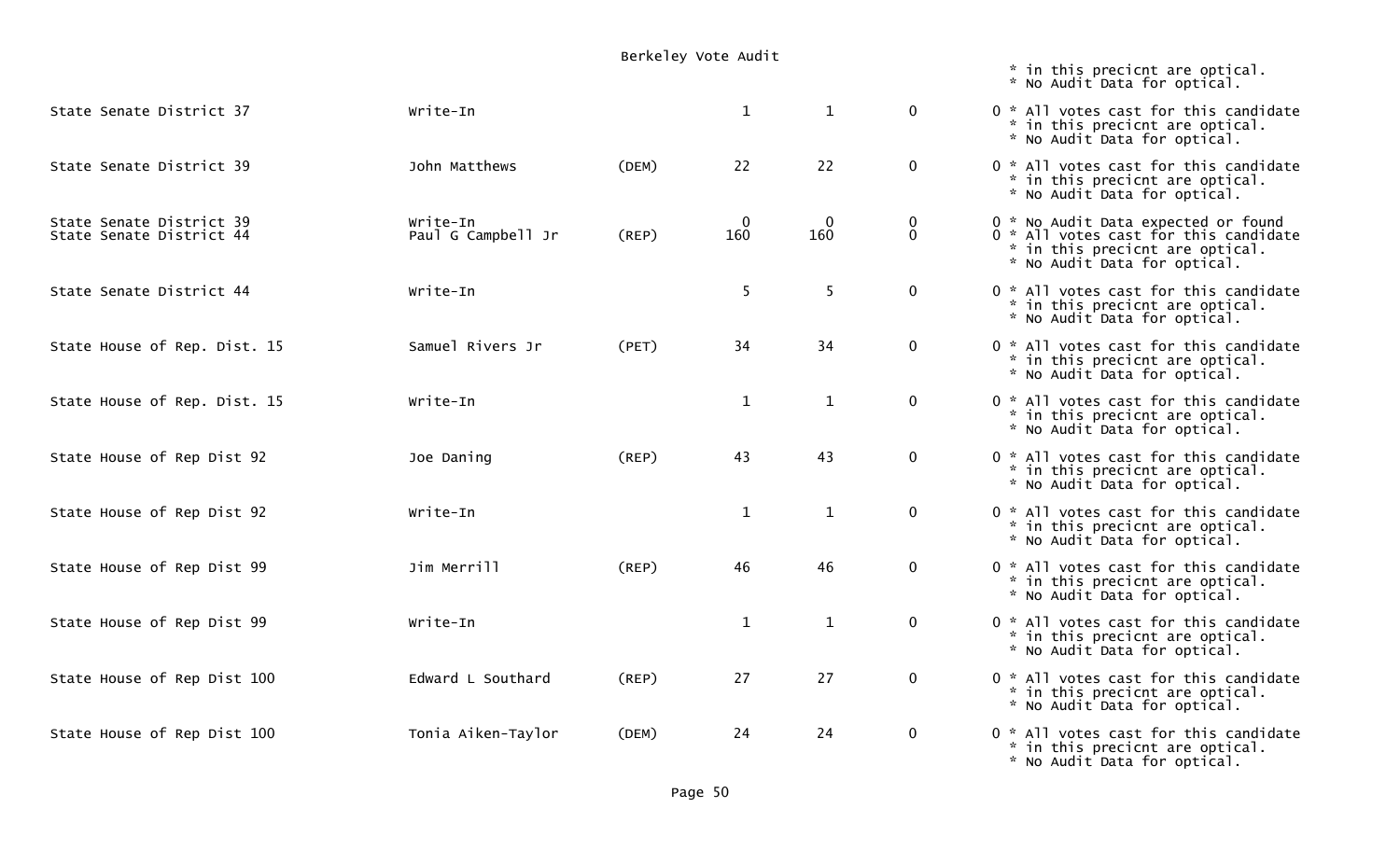|                                                      |                                | Berkeley Vote Audit |                    |                    |                             |                                                                                                                                                 |
|------------------------------------------------------|--------------------------------|---------------------|--------------------|--------------------|-----------------------------|-------------------------------------------------------------------------------------------------------------------------------------------------|
|                                                      |                                |                     |                    |                    |                             | * in this precicnt are optical.<br>* No Audit Data for optical.                                                                                 |
| State Senate District 37                             | Write-In                       |                     | $\mathbf{1}$       | $\mathbf{1}$       | $\overline{0}$              | 0 * All votes cast for this candidate<br>* in this precicnt are optical.<br>* No Audit Data for optical.                                        |
| State Senate District 39                             | John Matthews                  | (DEM)               | 22                 | 22                 | $\mathbf 0$                 | 0 * All votes cast for this candidate<br>* in this precicnt are optical.<br>* No Audit Data for optical.                                        |
| State Senate District 39<br>State Senate District 44 | Write-In<br>Paul G Campbell Jr | $($ REP $)$         | $\mathbf 0$<br>160 | $\mathbf 0$<br>160 | $\mathbf 0$<br>$\mathbf{0}$ | 0 * No Audit Data expected or found<br>0 * All votes cast for this candidate<br>* in this precicnt are optical.<br>* No Audit Data for optical. |
| State Senate District 44                             | Write-In                       |                     | 5                  | 5                  | $\mathbf 0$                 | 0 * All votes cast for this candidate<br>* in this precicnt are optical.<br>* No Audit Data for optical.                                        |
| State House of Rep. Dist. 15                         | Samuel Rivers Jr               | (PET)               | 34                 | 34                 | $\mathbf 0$                 | 0 * All votes cast for this candidate<br>* in this precicnt are optical.<br>* No Audit Data for optical.                                        |
| State House of Rep. Dist. 15                         | Write-In                       |                     | $\mathbf{1}$       | $\mathbf{1}$       | $\mathbf 0$                 | 0 * All votes cast for this candidate<br>* in this precicnt are optical.<br>* No Audit Data for optical.                                        |
| State House of Rep Dist 92                           | Joe Daning                     | (REP)               | 43                 | 43                 | $\mathbf 0$                 | 0 * All votes cast for this candidate<br>* in this precicnt are optical.<br>* No Audit Data for optical.                                        |
| State House of Rep Dist 92                           | Write-In                       |                     | $\mathbf{1}$       | $\mathbf{1}$       | $\mathbf 0$                 | 0 * All votes cast for this candidate<br>* in this precicnt are optical.<br>* No Audit Data for optical.                                        |
| State House of Rep Dist 99                           | Jim Merrill                    | (REP)               | 46                 | 46                 | $\mathbf 0$                 | 0 * All votes cast for this candidate<br>* in this precicnt are optical.<br>* No Audit Data for optical.                                        |
| State House of Rep Dist 99                           | Write-In                       |                     | $\mathbf{1}$       | $\mathbf{1}$       | $\mathbf 0$                 | 0 * All votes cast for this candidate<br>* in this precicnt are optical.<br>* No Audit Data for optical.                                        |
| State House of Rep Dist 100                          | Edward L Southard              | (REP)               | 27                 | 27                 | $\mathbf 0$                 | 0 * All votes cast for this candidate<br>* in this precicnt are optical.<br>* No Audit Data for optical.                                        |
| State House of Rep Dist 100                          | Tonia Aiken-Taylor             | (DEM)               | 24                 | 24                 | $\mathbf 0$                 | 0 * All votes cast for this candidate<br>* in this precicnt are optical.<br>* No Audit Data for optical.                                        |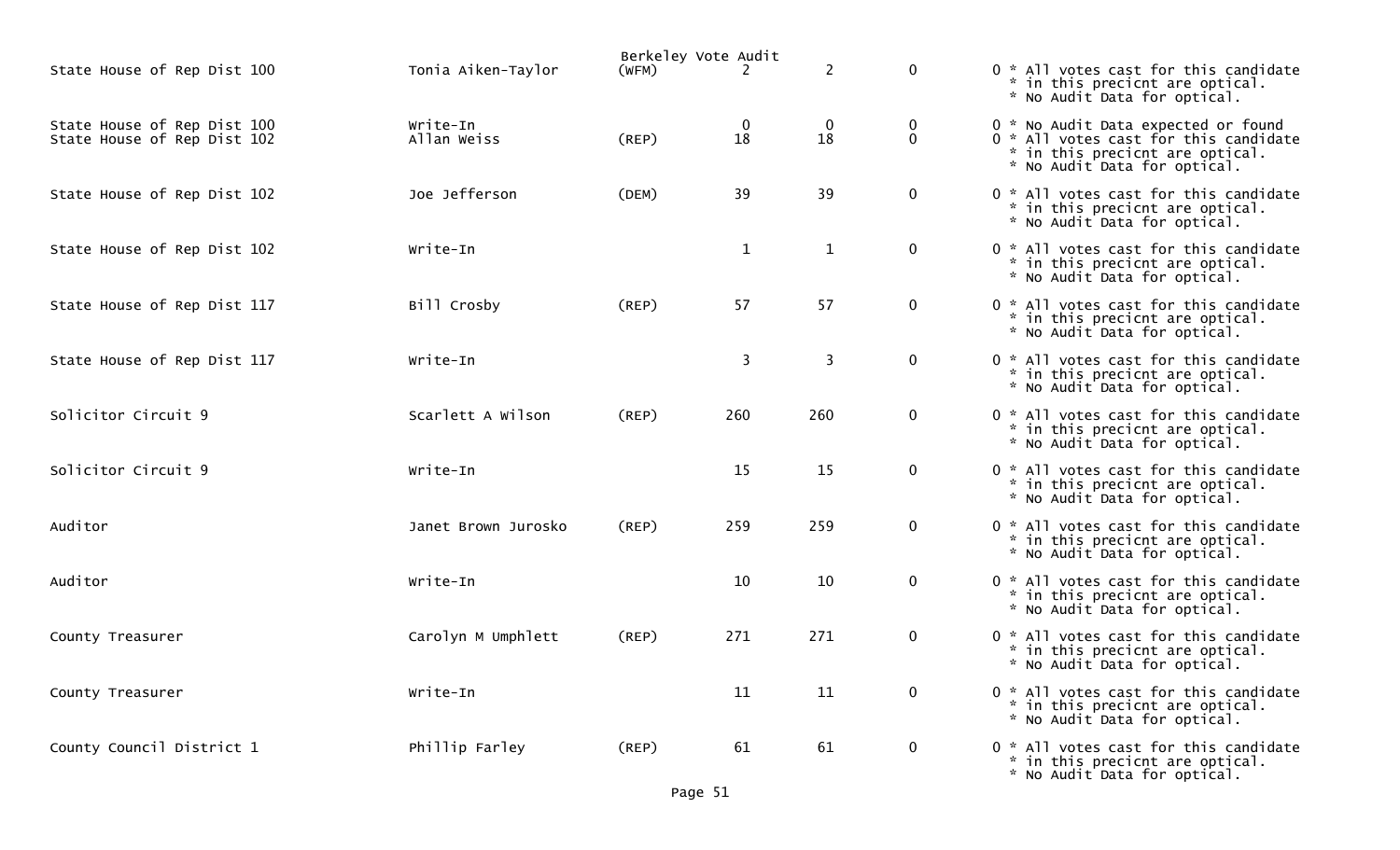|                                                            |                         |             | Berkeley Vote Audit |                    |                         |                                                                                                                                                 |
|------------------------------------------------------------|-------------------------|-------------|---------------------|--------------------|-------------------------|-------------------------------------------------------------------------------------------------------------------------------------------------|
| State House of Rep Dist 100                                | Tonia Aiken-Taylor      | (WFM)       | 2                   | $\overline{2}$     | $\mathbf{0}$            | 0 * All votes cast for this candidate<br>* in this precicnt are optical.<br>* No Audit Data for optical.                                        |
| State House of Rep Dist 100<br>State House of Rep Dist 102 | Write-In<br>Allan Weiss | (REP)       | 18                  | $\mathbf{0}$<br>18 | $\bf{0}$<br>$\mathbf 0$ | 0 * No Audit Data expected or found<br>0 * All votes cast for this candidate<br>* in this precicnt are optical.<br>* No Audit Data for optical. |
| State House of Rep Dist 102                                | Joe Jefferson           | (DEM)       | 39                  | 39                 | $\mathbf 0$             | 0 * All votes cast for this candidate<br>* in this precicnt are optical.<br>* No Audit Data for optical.                                        |
| State House of Rep Dist 102                                | Write-In                |             | $\mathbf{1}$        | $\mathbf{1}$       | $\mathbf{0}$            | 0 * All votes cast for this candidate<br>* in this precicnt are optical.<br>* No Audit Data for optical.                                        |
| State House of Rep Dist 117                                | Bill Crosby             | (REP)       | 57                  | 57                 | $\mathbf{0}$            | 0 * All votes cast for this candidate<br>* in this precicnt are optical.<br>* No Audit Data for optical.                                        |
| State House of Rep Dist 117                                | Write-In                |             | 3                   | 3                  | $\mathbf{0}$            | 0 * All votes cast for this candidate<br>* in this precicnt are optical.<br>* No Audit Data for optical.                                        |
| Solicitor Circuit 9                                        | Scarlett A Wilson       | (REP)       | 260                 | 260                | $\mathbf 0$             | 0 * All votes cast for this candidate<br>* in this precicnt are optical.<br>* No Audit Data for optical.                                        |
| Solicitor Circuit 9                                        | Write-In                |             | 15                  | 15                 | $\mathbf{0}$            | 0 * All votes cast for this candidate<br>* in this precicnt are optical.<br>* No Audit Data for optical.                                        |
| Auditor                                                    | Janet Brown Jurosko     | (REP)       | 259                 | 259                | $\mathbf 0$             | 0 * All votes cast for this candidate<br>* in this precicnt are optical.<br>* No Audit Data for optical.                                        |
| Auditor                                                    | Write-In                |             | 10                  | 10                 | $\mathbf{0}$            | 0 * All votes cast for this candidate<br>* in this precicnt are optical.<br>* No Audit Data for optical.                                        |
| County Treasurer                                           | Carolyn M Umphlett      | (REP)       | 271                 | 271                | $\mathbf 0$             | 0 * All votes cast for this candidate<br>* in this precicnt are optical.<br>* No Audit Data for optical.                                        |
| County Treasurer                                           | Write-In                |             | 11                  | 11                 | $\mathbf{0}$            | 0 * All votes cast for this candidate<br>* in this precicnt are optical.<br>* No Audit Data for optical.                                        |
| County Council District 1                                  | Phillip Farley          | $($ REP $)$ | 61                  | 61                 | $\mathbf{0}$            | 0 * All votes cast for this candidate<br>* in this precicnt are optical.<br>* No Audit Data for optical.                                        |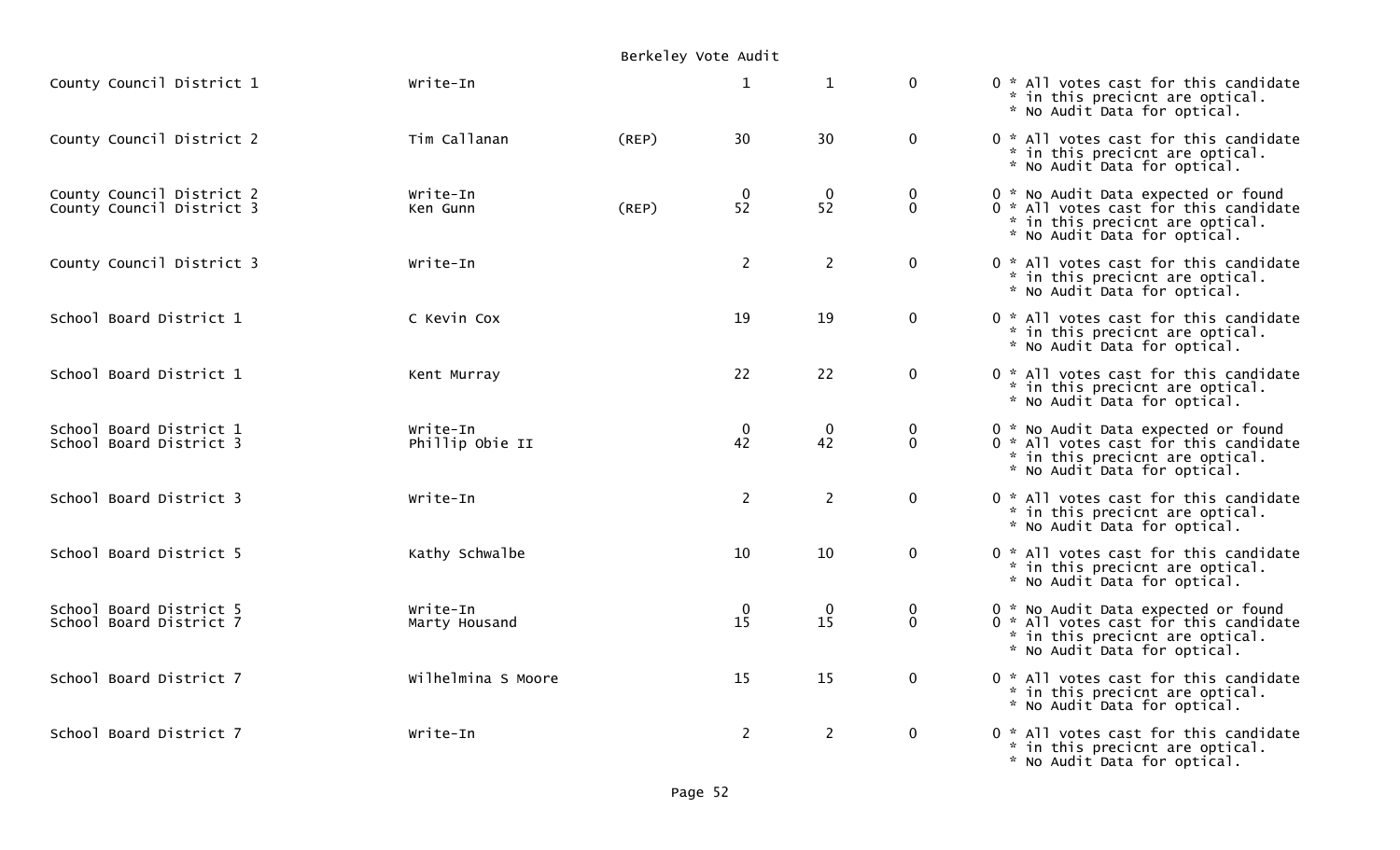|  |  |  |  | Berkeley Vote Audit |
|--|--|--|--|---------------------|
|--|--|--|--|---------------------|

| County Council District 1                              | Write-In                    |       | $\mathbf{1}$                               | $\mathbf{1}$      | $\mathbf 0$                    | 0 * All votes cast for this candidate<br>* in this precicnt are optical.<br>* No Audit Data for optical.                                        |
|--------------------------------------------------------|-----------------------------|-------|--------------------------------------------|-------------------|--------------------------------|-------------------------------------------------------------------------------------------------------------------------------------------------|
| County Council District 2                              | Tim Callanan                | (REP) | 30                                         | 30                | $\mathbf 0$                    | 0 * All votes cast for this candidate<br>* in this precicnt are optical.<br>* No Audit Data for optical.                                        |
| County Council District 2<br>County Council District 3 | Write-In<br>Ken Gunn        | (REP) | $\mathbf 0$<br>52                          | $\Omega$<br>52    | $\mathbf 0$<br>$\mathbf 0$     | 0 * No Audit Data expected or found<br>0 * All votes cast for this candidate<br>* in this precicnt are optical.<br>* No Audit Data for optical. |
| County Council District 3                              | Write-In                    |       | $\overline{2}$                             | $\overline{2}$    | $\mathbf 0$                    | 0 * All votes cast for this candidate<br>* in this precicnt are optical.<br>* No Audit Data for optical.                                        |
| School Board District 1                                | C Kevin Cox                 |       | 19                                         | 19                | $\mathbf 0$                    | 0 * All votes cast for this candidate<br>* in this precicnt are optical.<br>* No Audit Data for optical.                                        |
| School Board District 1                                | Kent Murray                 |       | 22                                         | 22                | $\mathbf 0$                    | 0 * All votes cast for this candidate<br>* in this precicnt are optical.<br>* No Audit Data for optical.                                        |
| School Board District 1<br>School Board District 3     | Write-In<br>Phillip Obie II |       | $\mathbf{0}$<br>42                         | $\mathbf 0$<br>42 | $\overline{0}$<br>$\mathbf{0}$ | 0 * No Audit Data expected or found<br>0 * All votes cast for this candidate<br>* in this precicnt are optical.<br>* No Audit Data for optical. |
| School Board District 3                                | Write-In                    |       | $2^{\circ}$                                | $\overline{2}$    | $\mathbf 0$                    | 0 * All votes cast for this candidate<br>* in this precicnt are optical.<br>* No Audit Data for optical.                                        |
| School Board District 5                                | Kathy Schwalbe              |       | 10                                         | 10                | $\mathbf 0$                    | 0 * All votes cast for this candidate<br>* in this precicnt are optical.<br>* No Audit Data for optical.                                        |
| School Board District 5<br>School Board District 7     | Write-In<br>Marty Housand   |       | $\begin{smallmatrix}0\15\end{smallmatrix}$ | $\Omega$<br>15    | $\mathbf 0$<br>$\Omega$        | 0 * No Audit Data expected or found<br>0 * All votes cast for this candidate<br>* in this precicnt are optical.<br>* No Audit Data for optical. |
| School Board District 7                                | Wilhelmina S Moore          |       | 15                                         | 15                | $\mathbf 0$                    | 0 * All votes cast for this candidate<br>* in this precicnt are optical.<br>* No Audit Data for optical.                                        |
| School Board District 7                                | Write-In                    |       | $\overline{2}$                             | $\overline{2}$    | $\mathbf 0$                    | 0 * All votes cast for this candidate<br>* in this precicnt are optical.<br>* No Audit Data for optical.                                        |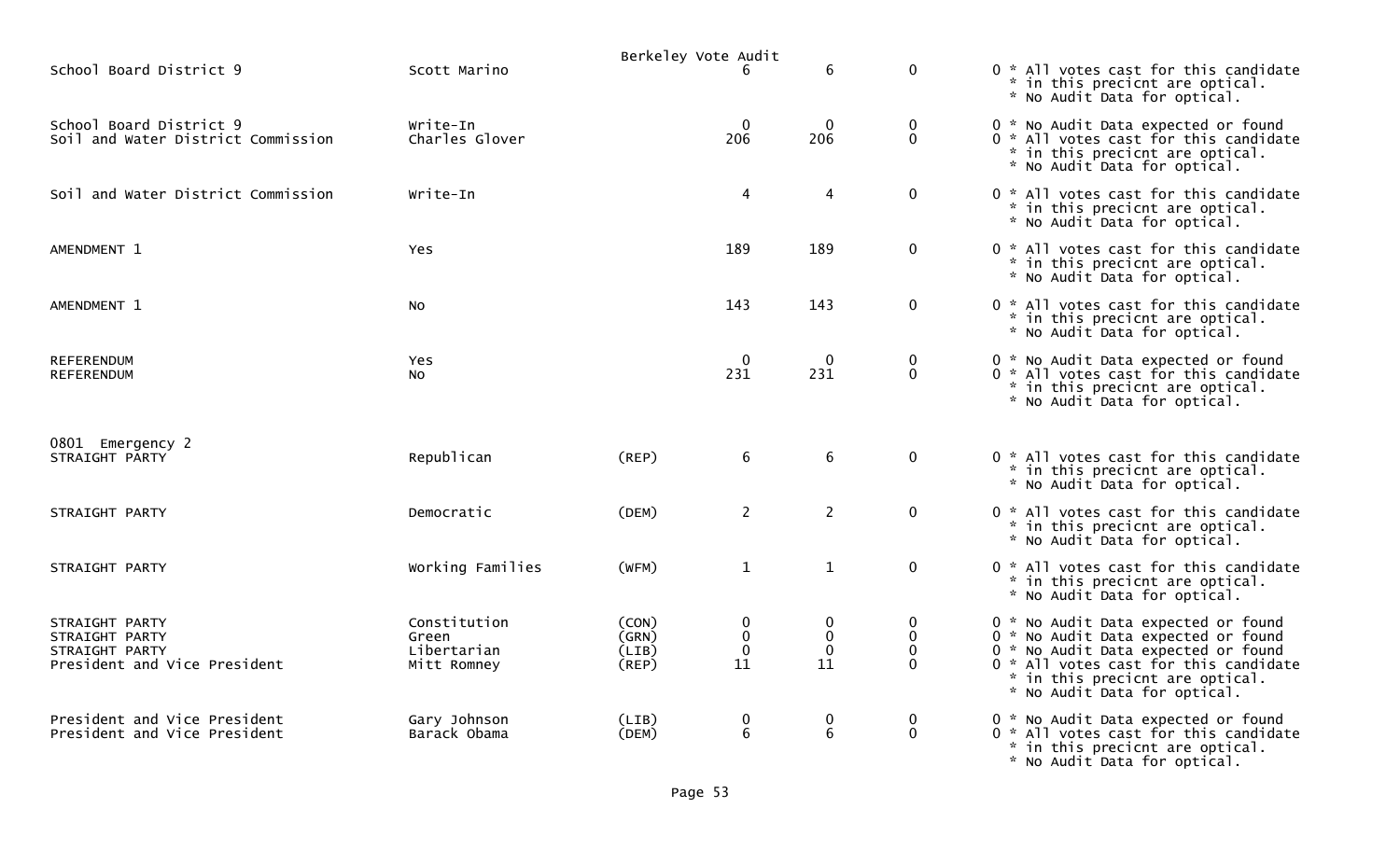|                                                                                    |                                                     | Berkeley Vote Audit              |                                       |                                       |                                                    |                                                                                                                                                                                                                               |
|------------------------------------------------------------------------------------|-----------------------------------------------------|----------------------------------|---------------------------------------|---------------------------------------|----------------------------------------------------|-------------------------------------------------------------------------------------------------------------------------------------------------------------------------------------------------------------------------------|
| School Board District 9                                                            | Scott Marino                                        |                                  | 6                                     | 6                                     | $\mathbf 0$                                        | 0 * All votes cast for this candidate<br>* in this precicnt are optical.<br>* No Audit Data for optical.                                                                                                                      |
| School Board District 9<br>Soil and Water District Commission                      | Write-In<br>Charles Glover                          |                                  | $\mathbf 0$<br>206                    | $\mathbf 0$<br>206                    | $\mathbf 0$<br>$\mathbf 0$                         | 0 * No Audit Data expected or found<br>0 * All votes cast for this candidate<br>* in this precicnt are optical.<br>* No Audit Data for optical.                                                                               |
| Soil and Water District Commission                                                 | Write-In                                            |                                  | $\overline{4}$                        | 4                                     | $\mathbf 0$                                        | 0 * All votes cast for this candidate<br>* in this precicnt are optical.<br>* No Audit Data for optical.                                                                                                                      |
| AMENDMENT 1                                                                        | <b>Yes</b>                                          |                                  | 189                                   | 189                                   | $\mathbf 0$                                        | 0 * All votes cast for this candidate<br>* in this precicnt are optical.<br>* No Audit Data for optical.                                                                                                                      |
| AMENDMENT 1                                                                        | No.                                                 |                                  | 143                                   | 143                                   | $\mathbf 0$                                        | 0 * All votes cast for this candidate<br>* in this precicnt are optical.<br>* No Audit Data for optical.                                                                                                                      |
| <b>REFERENDUM</b><br><b>REFERENDUM</b>                                             | <b>Yes</b><br>NO.                                   |                                  | $\mathbf{0}$<br>231                   | $\Omega$<br>231                       | $\mathbf{0}$<br>$\mathbf 0$                        | 0 * No Audit Data expected or found<br>0 * All votes cast for this candidate<br>* in this precicnt are optical.<br>* No Audit Data for optical.                                                                               |
| 0801 Emergency 2<br>STRAIGHT PARTY                                                 | Republican                                          | (REP)                            | 6                                     | 6                                     | $\mathbf 0$                                        | 0 * All votes cast for this candidate<br>* in this precicnt are optical.<br>* No Audit Data for optical.                                                                                                                      |
| STRAIGHT PARTY                                                                     | Democratic                                          | (DEM)                            | $\overline{2}$                        | $\overline{2}$                        | $\mathbf 0$                                        | 0 * All votes cast for this candidate<br>* in this precicnt are optical.<br>* No Audit Data for optical.                                                                                                                      |
| STRAIGHT PARTY                                                                     | Working Families                                    | (WFM)                            | $\mathbf{1}$                          | $\mathbf{1}$                          | $\mathbf 0$                                        | 0 * All votes cast for this candidate<br>* in this precicnt are optical.<br>* No Audit Data for optical.                                                                                                                      |
| STRAIGHT PARTY<br>STRAIGHT PARTY<br>STRAIGHT PARTY<br>President and Vice President | Constitution<br>Green<br>Libertarian<br>Mitt Romney | (CON)<br>(GRN)<br>(LIB)<br>(REP) | $\mathbf 0$<br>0<br>$\mathbf 0$<br>11 | 0<br>$\mathbf 0$<br>$\mathbf 0$<br>11 | $\mathbf 0$<br>$\mathbf 0$<br>$\Omega$<br>$\Omega$ | 0 * No Audit Data expected or found<br>0 * No Audit Data expected or found<br>0 * No Audit Data expected or found<br>0 * All votes cast for this candidate<br>* in this precicnt are optical.<br>* No Audit Data for optical. |
| President and Vice President<br>President and Vice President                       | Gary Johnson<br>Barack Obama                        | (LIB)<br>(DEM)                   | $\pmb{0}$<br>6                        | 0<br>6                                | $\mathbf 0$<br>$\mathbf 0$                         | 0 * No Audit Data expected or found<br>0 * All votes cast for this candidate<br>* in this precicnt are optical.<br>* No Audit Data for optical.                                                                               |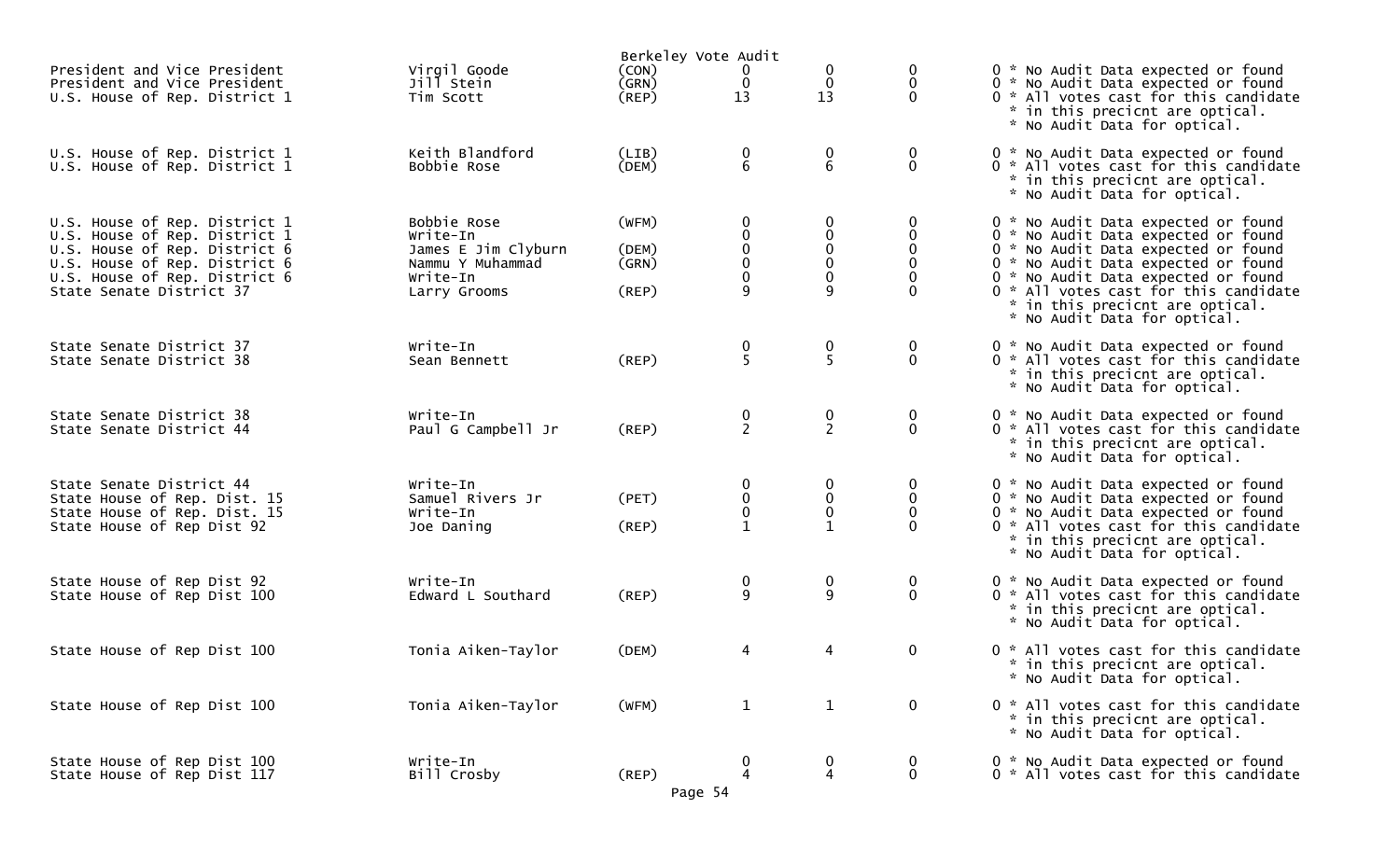|                                                                                                                                                                                               |                                                                                                |                                  | Berkeley Vote Audit                                  |                                                        |                                                  |                                                                                                                                                                                                                                                                                                             |
|-----------------------------------------------------------------------------------------------------------------------------------------------------------------------------------------------|------------------------------------------------------------------------------------------------|----------------------------------|------------------------------------------------------|--------------------------------------------------------|--------------------------------------------------|-------------------------------------------------------------------------------------------------------------------------------------------------------------------------------------------------------------------------------------------------------------------------------------------------------------|
| President and Vice President<br>President and Vice President<br>U.S. House of Rep. District 1                                                                                                 | Virgil Goode<br>Jill Stein<br>Tim Scott                                                        | (CON)<br>(GRN)<br>$($ REP $)$    | 0<br>$\mathbf 0$<br>13                               | $\mathbf 0$<br>13                                      | 0<br>0<br>$\Omega$                               | 0 * No Audit Data expected or found<br>0 * No Audit Data expected or found<br>0 * All votes cast for this candidate<br>* in this precicnt are optical.<br>* No Audit Data for optical.                                                                                                                      |
| U.S. House of Rep. District 1<br>U.S. House of Rep. District 1                                                                                                                                | Keith Blandford<br>Bobbie Rose                                                                 | (LIB)<br>(DEM)                   | $\begin{matrix} 0 \\ 6 \end{matrix}$                 | $\boldsymbol{0}$<br>$6\,$                              | $\boldsymbol{0}$<br>$\overline{0}$               | 0 * No Audit Data expected or found<br>0 * All votes cast for this candidate<br>* in this precicnt are optical.<br>* No Audit Data for optical.                                                                                                                                                             |
| U.S. House of Rep. District 1<br>U.S. House of Rep. District 1<br>U.S. House of Rep. District 6<br>U.S. House of Rep. District 6<br>U.S. House of Rep. District 6<br>State Senate District 37 | Bobbie Rose<br>Write-In<br>James E Jim Clyburn<br>Nammu Y Muhammad<br>Write-In<br>Larry Grooms | (WFM)<br>(DEM)<br>(GRN)<br>(REP) | $\mathbf 0$<br>0<br>$\pmb{0}$<br>$\pmb{0}$<br>0<br>9 | 0<br>$\mathbf 0$<br>$\pmb{0}$<br>$\mathbf 0$<br>0<br>9 | 0<br>0<br>0<br>0<br>$\mathbf{0}$                 | 0 * No Audit Data expected or found<br>0 * No Audit Data expected or found<br>0 * No Audit Data expected or found<br>0 * No Audit Data expected or found<br>0 * No Audit Data expected or found<br>0 * All votes cast for this candidate<br>* in this precicnt are optical.<br>* No Audit Data for optical. |
| State Senate District 37<br>State Senate District 38                                                                                                                                          | Write-In<br>Sean Bennett                                                                       | (REP)                            | $\frac{0}{5}$                                        | $\frac{0}{5}$                                          | 0<br>$\mathbf{0}$                                | 0 * No Audit Data expected or found<br>0 * All votes cast for this candidate<br>* in this precicnt are optical.<br>* No Audit Data for optical.                                                                                                                                                             |
| State Senate District 38<br>State Senate District 44                                                                                                                                          | Write-In<br>Paul G Campbell Jr                                                                 | (REP)                            | $\frac{0}{2}$                                        | $\frac{0}{2}$                                          | 0<br>$\mathbf{0}$                                | 0 * No Audit Data expected or found<br>0 * All votes cast for this candidate<br>* in this precicnt are optical.<br>* No Audit Data for optical.                                                                                                                                                             |
| State Senate District 44<br>State House of Rep. Dist. 15<br>State House of Rep. Dist. 15<br>State House of Rep Dist 92                                                                        | Write-In<br>Samuel Rivers Jr<br>Write-In<br>Joe Daning                                         | (PET)<br>(REP)                   | 0<br>$_{\rm 0}^{\rm 0}$<br>$\mathbf{1}$              | 0<br>0<br>$\pmb{0}$                                    | $\boldsymbol{0}$<br>0<br>$\mathbf 0$<br>$\Omega$ | 0 * No Audit Data expected or found<br>0 * No Audit Data expected or found<br>0 * No Audit Data expected or found<br>0 * All votes cast for this candidate<br>* in this precicnt are optical.<br>* No Audit Data for optical.                                                                               |
| State House of Rep Dist 92<br>State House of Rep Dist 100                                                                                                                                     | Write-In<br>Edward L Southard                                                                  | (REP)                            | 0<br>9                                               | $\boldsymbol{0}$<br>9                                  | $\bf{0}$<br>$\mathbf{0}$                         | 0 * No Audit Data expected or found<br>0 * All votes cast for this candidate<br>* in this precicnt are optical.<br>* No Audit Data for optical.                                                                                                                                                             |
| State House of Rep Dist 100                                                                                                                                                                   | Tonia Aiken-Taylor                                                                             | (DEM)                            | 4                                                    | 4                                                      | $\mathbf 0$                                      | 0 * All votes cast for this candidate<br>* in this precicnt are optical.<br>* No Audit Data for optical.                                                                                                                                                                                                    |
| State House of Rep Dist 100                                                                                                                                                                   | Tonia Aiken-Taylor                                                                             | (WFM)                            | $\mathbf{1}$                                         | $\mathbf{1}$                                           | $\mathbf 0$                                      | 0 * All votes cast for this candidate<br>* in this precicnt are optical.<br>* No Audit Data for optical.                                                                                                                                                                                                    |
| State House of Rep Dist 100<br>State House of Rep Dist 117                                                                                                                                    | Write-In<br>Bill Crosby                                                                        | $($ REP $)$                      | 0<br>4<br>Page 54                                    | 0<br>4                                                 | 0<br>$\mathbf 0$                                 | 0 * No Audit Data expected or found<br>0 * All votes cast for this candidate                                                                                                                                                                                                                                |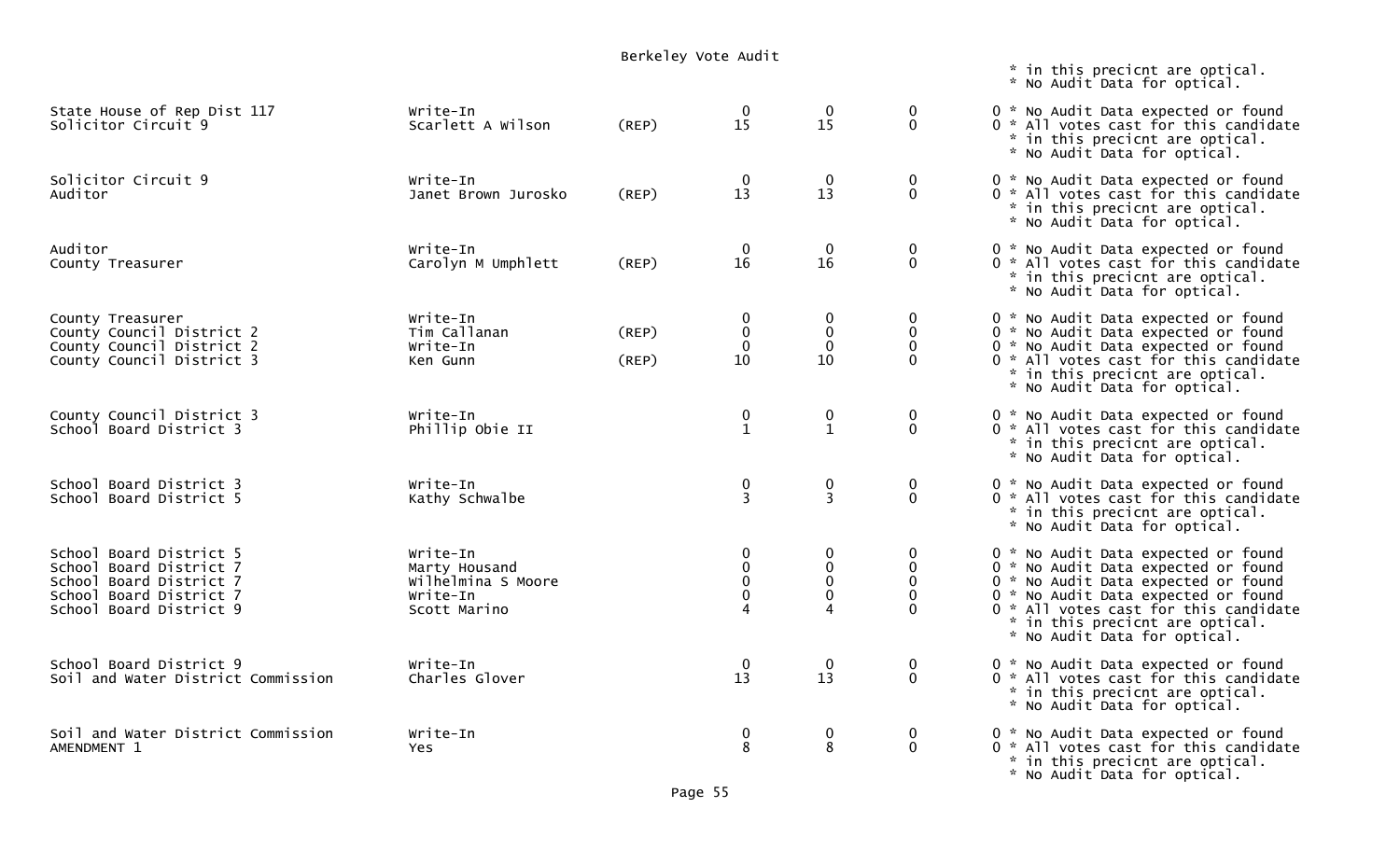|                                                                                                                                     |                                                                             | Berkeley Vote Audit |                                              |                                       |                                                 |                                                                                                                                                                                                                                                                      |
|-------------------------------------------------------------------------------------------------------------------------------------|-----------------------------------------------------------------------------|---------------------|----------------------------------------------|---------------------------------------|-------------------------------------------------|----------------------------------------------------------------------------------------------------------------------------------------------------------------------------------------------------------------------------------------------------------------------|
|                                                                                                                                     |                                                                             |                     |                                              |                                       |                                                 | * in this precicnt are optical.<br>* No Audit Data for optical.                                                                                                                                                                                                      |
| State House of Rep Dist 117<br>Solicitor Circuit 9                                                                                  | Write-In<br>Scarlett A Wilson                                               | (REP)               | $\mathbf{0}$<br>15                           | $\boldsymbol{0}$<br>15                | $\bf{0}$<br>$\mathbf 0$                         | 0 * No Audit Data expected or found<br>0 * All votes cast for this candidate<br>* in this precicnt are optical.<br>* No Audit Data for optical.                                                                                                                      |
| Solicitor Circuit 9<br>Auditor                                                                                                      | Write-In<br>Janet Brown Jurosko                                             | (REP)               | $\bf{0}$<br>13                               | $\bf{0}$<br>13                        | $\mathbf 0$<br>$\mathbf 0$                      | 0 * No Audit Data expected or found<br>0 * All votes cast for this candidate<br>* in this precicnt are optical.<br>* No Audit Data for optical.                                                                                                                      |
| Auditor<br>County Treasurer                                                                                                         | Write-In<br>Carolyn M Umphlett                                              | (REP)               | $\mathbf 0$<br>16                            | $\mathbf 0$<br>16                     | 0<br>$\mathbf 0$                                | 0 * No Audit Data expected or found<br>0 * All votes cast for this candidate<br>* in this precicnt are optical.<br>* No Audit Data for optical.                                                                                                                      |
| County Treasurer<br>County Council District 2<br>County Council District 2<br>County Council District 3                             | Write-In<br>Tim Callanan<br>Write-In<br>Ken Gunn                            | (REP)<br>(REP)      | $\bf{0}$<br>$\pmb{0}$<br>$\mathbf 0$<br>10   | $\boldsymbol{0}$<br>$\mathbf 0$<br>10 | 0<br>$\mathbf 0$<br>0<br>$\Omega$               | 0 * No Audit Data expected or found<br>0 * No Audit Data expected or found<br>0 * No Audit Data expected or found<br>0 * All votes cast for this candidate<br>* in this precicnt are optical.<br>* No Audit Data for optical.                                        |
| County Council District 3<br>School Board District 3                                                                                | Write-In<br>Phillip Obie II                                                 |                     | $\begin{smallmatrix} 0\\1 \end{smallmatrix}$ | 0<br>$\mathbf{1}$                     | $\mathbf 0$<br>$\mathbf{0}$                     | 0 * No Audit Data expected or found<br>0 * All votes cast for this candidate<br>* in this precicnt are optical.<br>* No Audit Data for optical.                                                                                                                      |
| School Board District 3<br>School Board District 5                                                                                  | Write-In<br>Kathy Schwalbe                                                  |                     | 0<br>$\overline{3}$                          | 0<br>$\overline{3}$                   | $\mathbf 0$<br>$\mathbf 0$                      | 0 * No Audit Data expected or found<br>0 * All votes cast for this candidate<br>* in this precicnt are optical.<br>* No Audit Data for optical.                                                                                                                      |
| School Board District 5<br>School Board District 7<br>School Board District 7<br>School Board District 7<br>School Board District 9 | Write-In<br>Marty Housand<br>Wilhelmina S Moore<br>Write-In<br>Scott Marino |                     | 0<br>$\mathbf{0}$<br>$\pmb{0}$               | 0<br>$\mathbf 0$<br>0                 | $\overline{0}$<br>$\mathbf{0}$<br>0<br>$\Omega$ | 0 * No Audit Data expected or found<br>0 * No Audit Data expected or found<br>0 * No Audit Data expected or found<br>0 * No Audit Data expected or found<br>0 * All votes cast for this candidate<br>* in this precicnt are optical.<br>* No Audit Data for optical. |
| School Board District 9<br>Soil and Water District Commission                                                                       | Write-In<br>Charles Glover                                                  |                     | $\overline{0}$<br>13                         | 13                                    | $\mathbf{0}$                                    | 0 * No Audit Data expected or found<br>0 * All votes cast for this candidate<br>* in this precicnt are optical.<br>* No Audit Data for optical.                                                                                                                      |
| Soil and Water District Commission<br>AMENDMENT 1                                                                                   | Write-In<br><b>Yes</b>                                                      |                     | 0<br>8                                       | 0<br>8                                | $\mathbf{0}$<br>$\mathbf{0}$                    | 0 * No Audit Data expected or found<br>0 * All votes cast for this candidate<br>* in this precicnt are optical.<br>* No Audit Data for optical.                                                                                                                      |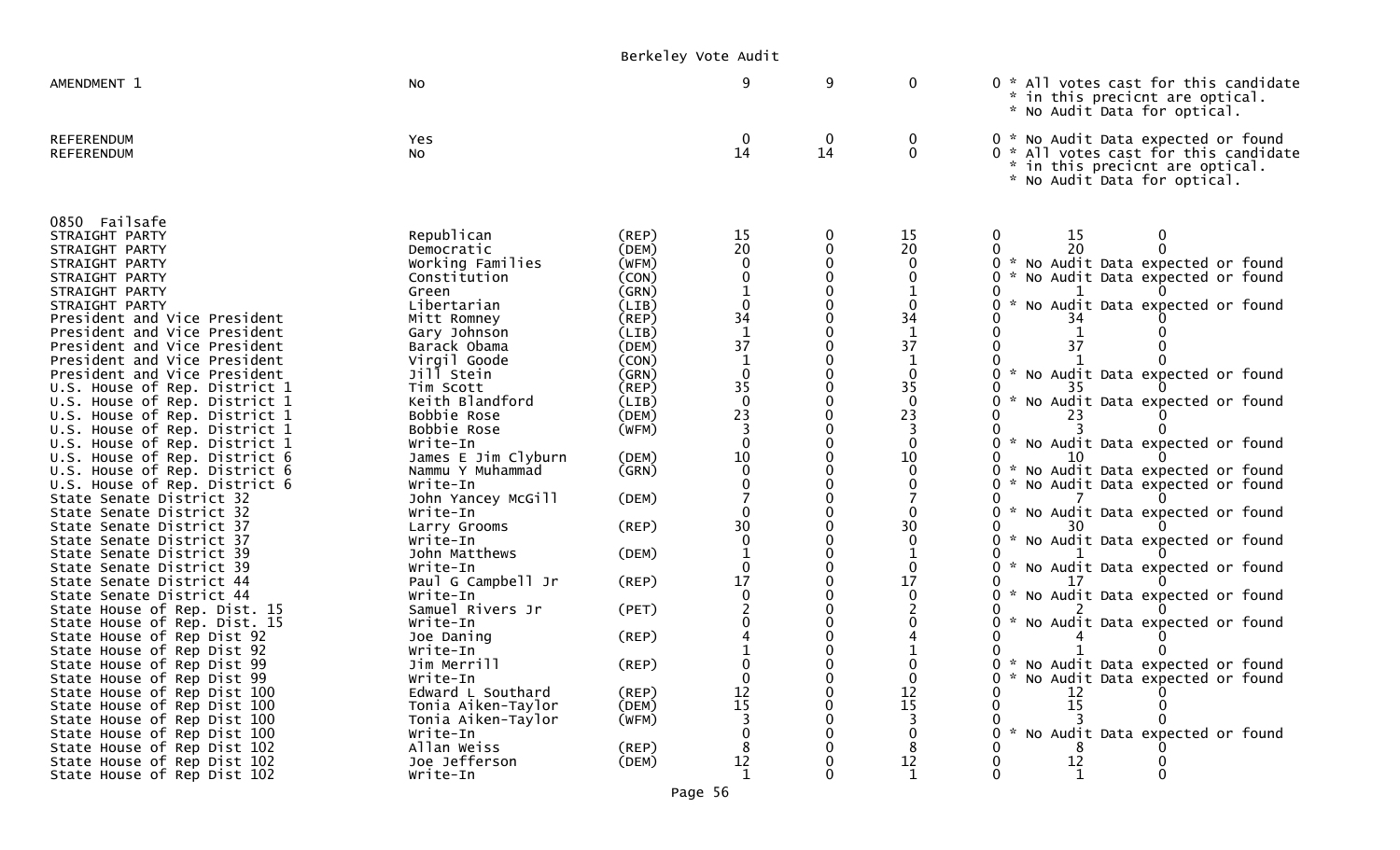|                                                                                                                                                                                                                                                                                                                                                                                                                                                                                                                                                                                                                                                                                                                                                                                                                                                                                                                                                                                                                                                         |                                                                                                                                                                                                                                                                                                                                                                                                                                                                                                                                                                 | Berkeley Vote Audit                                                                                                                                                                                                                          |                                                                                                                                                                                                                                                    |                                                                                                                                                                                                                                                      |                                                                                                                                                                                  |                                                                                                                                                                                                                                                                                                                                                                                                                                                                                                                                                                                                                                                                                           |  |
|---------------------------------------------------------------------------------------------------------------------------------------------------------------------------------------------------------------------------------------------------------------------------------------------------------------------------------------------------------------------------------------------------------------------------------------------------------------------------------------------------------------------------------------------------------------------------------------------------------------------------------------------------------------------------------------------------------------------------------------------------------------------------------------------------------------------------------------------------------------------------------------------------------------------------------------------------------------------------------------------------------------------------------------------------------|-----------------------------------------------------------------------------------------------------------------------------------------------------------------------------------------------------------------------------------------------------------------------------------------------------------------------------------------------------------------------------------------------------------------------------------------------------------------------------------------------------------------------------------------------------------------|----------------------------------------------------------------------------------------------------------------------------------------------------------------------------------------------------------------------------------------------|----------------------------------------------------------------------------------------------------------------------------------------------------------------------------------------------------------------------------------------------------|------------------------------------------------------------------------------------------------------------------------------------------------------------------------------------------------------------------------------------------------------|----------------------------------------------------------------------------------------------------------------------------------------------------------------------------------|-------------------------------------------------------------------------------------------------------------------------------------------------------------------------------------------------------------------------------------------------------------------------------------------------------------------------------------------------------------------------------------------------------------------------------------------------------------------------------------------------------------------------------------------------------------------------------------------------------------------------------------------------------------------------------------------|--|
| AMENDMENT 1                                                                                                                                                                                                                                                                                                                                                                                                                                                                                                                                                                                                                                                                                                                                                                                                                                                                                                                                                                                                                                             | No                                                                                                                                                                                                                                                                                                                                                                                                                                                                                                                                                              |                                                                                                                                                                                                                                              | 9                                                                                                                                                                                                                                                  | 9                                                                                                                                                                                                                                                    | $\mathbf 0$                                                                                                                                                                      | 0 * All votes cast for this candidate<br>* in this precicnt are optical.<br>* No Audit Data for optical.                                                                                                                                                                                                                                                                                                                                                                                                                                                                                                                                                                                  |  |
| <b>REFERENDUM</b><br><b>REFERENDUM</b>                                                                                                                                                                                                                                                                                                                                                                                                                                                                                                                                                                                                                                                                                                                                                                                                                                                                                                                                                                                                                  | Yes<br>No                                                                                                                                                                                                                                                                                                                                                                                                                                                                                                                                                       |                                                                                                                                                                                                                                              | $\bf{0}$<br>14                                                                                                                                                                                                                                     | $\bf{0}$<br>14                                                                                                                                                                                                                                       | $\bf{0}$<br>$\mathbf 0$                                                                                                                                                          | 0 * No Audit Data expected or found<br>0 * All votes cast for this candidate<br>* in this precicnt are optical.<br>* No Audit Data for optical.                                                                                                                                                                                                                                                                                                                                                                                                                                                                                                                                           |  |
| 0850 Failsafe<br>STRAIGHT PARTY<br>STRAIGHT PARTY<br>STRAIGHT PARTY<br>STRAIGHT PARTY<br>STRAIGHT PARTY<br>STRAIGHT PARTY<br>President and Vice President<br>President and Vice President<br>President and Vice President<br>President and Vice President<br>President and Vice President<br>U.S. House of Rep. District 1<br>U.S. House of Rep. District 1<br>U.S. House of Rep. District 1<br>U.S. House of Rep. District 1<br>U.S. House of Rep. District 1<br>U.S. House of Rep. District 6<br>U.S. House of Rep. District 6<br>U.S. House of Rep. District 6<br>State Senate District 32<br>State Senate District 32<br>State Senate District 37<br>State Senate District 37<br>State Senate District 39<br>State Senate District 39<br>State Senate District 44<br>State Senate District 44<br>State House of Rep. Dist. 15<br>State House of Rep. Dist. 15<br>State House of Rep Dist 92<br>State House of Rep Dist 92<br>State House of Rep Dist 99<br>State House of Rep Dist 99<br>State House of Rep Dist 100<br>State House of Rep Dist 100 | Republican<br>Democratic<br>Working Families<br>Constitution<br>Green<br>Libertarian<br>Mitt Romney<br>Gary Johnson<br>Barack Obama<br>Virgil Goode<br>Jill Stein<br>Tim Scott<br>Keith Blandford<br>Bobbie Rose<br>Bobbie Rose<br>Write-In<br>James E Jim Clyburn<br>Nammu Y Muhammad<br>Write-In<br>John Yancey McGill<br>Write-In<br>Larry Grooms<br>Write-In<br>John Matthews<br>Write-In<br>Paul G Campbell Jr<br>Write-In<br>Samuel Rivers Jr<br>Write-In<br>Joe Daning<br>Write-In<br>Jim Merrill<br>Write-In<br>Edward L Southard<br>Tonia Aiken-Taylor | (REP)<br>(DEM)<br>(WFM)<br>(CON)<br>(GRN)<br>(LIB)<br>(REP)<br>(LIB)<br>(DEM)<br>(CON)<br>(GRN)<br>(REP)<br>(LIB)<br>(DEM)<br>(WFM)<br>(DEM)<br>(GRN)<br>(DEM)<br>(REP)<br>(DEM)<br>(REP)<br>(PET)<br>(REP)<br>(REP)<br>$($ REP $)$<br>(DEM) | 15<br>20<br>0<br>$\mathbf 0$<br>$\begin{array}{c} 34 \\ 1 \end{array}$<br>37<br>$\mathbf{1}$<br>$\mathbf 0$<br>35<br>$\mathbf 0$<br>23<br>$\overline{\mathbf{3}}$<br>$\Omega$<br>10<br>$\Omega$<br>30<br>17<br>$\mathbf 0$<br>0<br>$\frac{12}{15}$ | $\boldsymbol{0}$<br>$\mathbf 0$<br>$\mathbf 0$<br>$\Omega$<br>$\mathbf 0$<br>$\Omega$<br>0<br>$\Omega$<br>$\Omega$<br>0<br>$\Omega$<br>0<br>0<br>$\Omega$<br>$\mathbf 0$<br>$\mathbf 0$<br>$\mathbf 0$<br>$\Omega$<br>$\Omega$<br>0<br>0<br>$\Omega$ | 15<br>20<br>0<br>0<br>34<br>1<br>37<br>1<br>$\mathbf 0$<br>35<br>$\mathbf{0}$<br>23<br>-3<br>0<br>10<br>$\Omega$<br>30<br>$\mathbf 0$<br>0<br>17<br>$\mathbf 0$<br>0<br>12<br>15 | 15<br>0<br>0<br>20<br>* No Audit Data expected or found<br>0<br>* No Audit Data expected or found<br>* No Audit Data expected or found<br>0<br>34<br>37<br>* No Audit Data expected or found<br>0<br>35<br>* No Audit Data expected or found<br>23<br>* No Audit Data expected or found<br>* No Audit Data expected or found<br>$\Omega$<br>* No Audit Data expected or found<br>0<br>* No Audit Data expected or found<br>30<br>* No Audit Data expected or found<br>0<br>* No Audit Data expected or found<br>0<br>* No Audit Data expected or found<br>No Audit Data expected or found<br>* No Audit Data expected or found<br>0<br>* No Audit Data expected or found<br>12<br>15<br>0 |  |
| State House of Rep Dist 100<br>State House of Rep Dist 100<br>State House of Rep Dist 102<br>State House of Rep Dist 102<br>State House of Rep Dist 102                                                                                                                                                                                                                                                                                                                                                                                                                                                                                                                                                                                                                                                                                                                                                                                                                                                                                                 | Tonia Aiken-Taylor<br>Write-In<br>Allan Weiss<br>Joe Jefferson<br>Write-In                                                                                                                                                                                                                                                                                                                                                                                                                                                                                      | (WFM)<br>$($ REP $)$<br>(DEM)                                                                                                                                                                                                                | 12                                                                                                                                                                                                                                                 | 0<br>$\Omega$<br>$\Omega$<br>0<br>$\Omega$                                                                                                                                                                                                           | 12                                                                                                                                                                               | $\mathbf 0$<br>* No Audit Data expected or found<br>$\Omega$<br>12<br>0                                                                                                                                                                                                                                                                                                                                                                                                                                                                                                                                                                                                                   |  |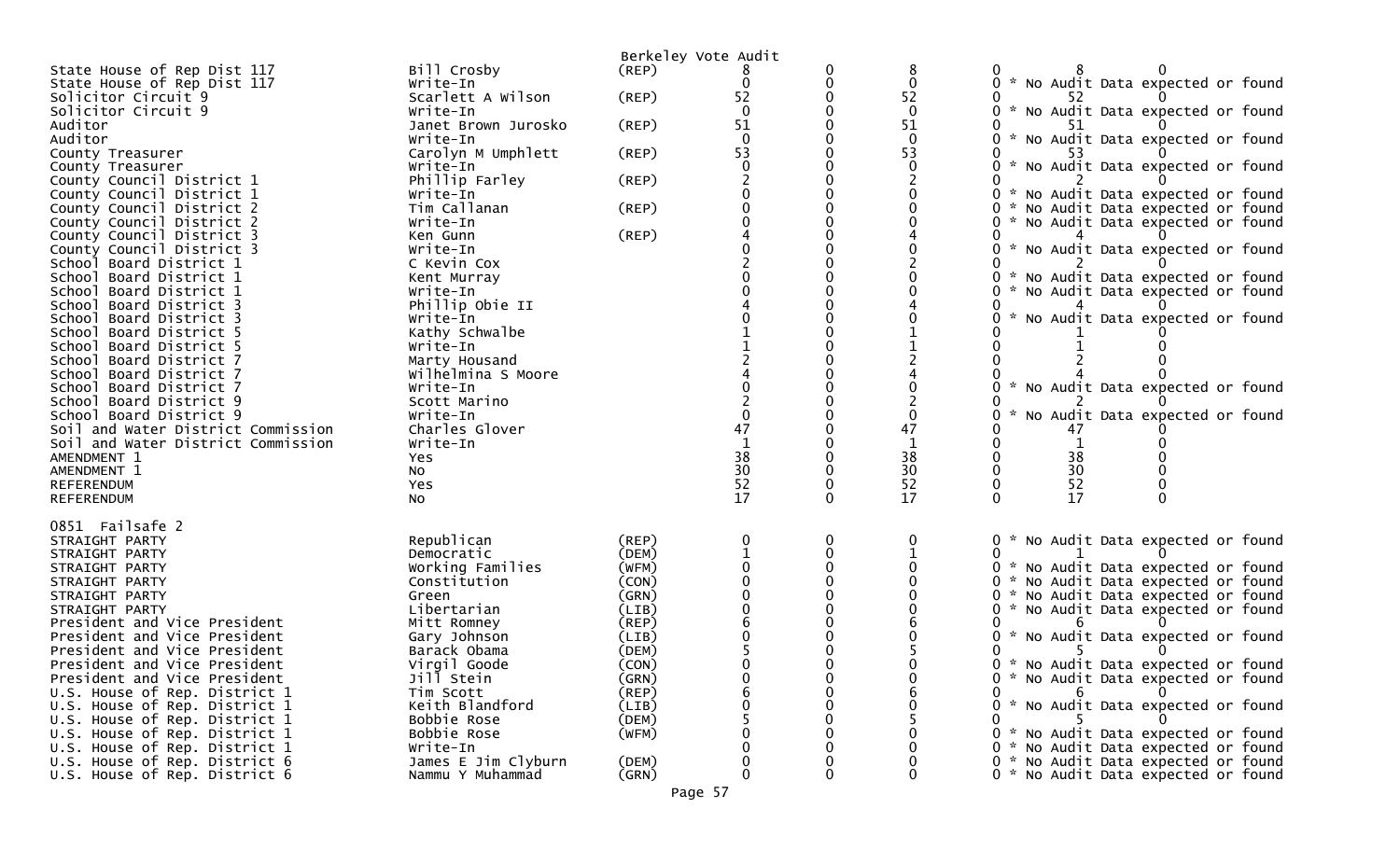|                                        |                     |       | Berkeley Vote Audit |             |             |                                                  |
|----------------------------------------|---------------------|-------|---------------------|-------------|-------------|--------------------------------------------------|
| State House of Rep Dist 117            | Bill Crosby         | (REP) |                     |             | 8           |                                                  |
| State House of Rep Dist 117            | Write-In            |       | 0                   | 0           | 0           | 0 * No Audit Data expected or found              |
| Solicitor Circuit 9                    | Scarlett A Wilson   | (REP) | 52                  | 0           | 52          |                                                  |
| Solicitor Circuit 9                    | Write-In            |       | $\Omega$            |             | $\mathbf 0$ | 0 * No Audit Data expected or found              |
| Auditor                                | Janet Brown Jurosko | (REP) | 51                  |             | 51          |                                                  |
| Auditor                                | Write-In            |       | $\Omega$            |             | $\Omega$    | * No Audit Data expected or found                |
| County Treasurer                       | Carolyn M Umphlett  | (REP) | 53                  |             | 53          |                                                  |
| County Treasurer                       | Write-In            |       |                     |             | 0           | No Audit Data expected or found<br>$\mathcal{H}$ |
| County Council District 1              | Phillip Farley      | (REP) |                     |             |             |                                                  |
| County Council District 1              | Write-In            |       |                     |             |             | 0 * No Audit Data expected or found              |
| County Council District 2              | Tim Callanan        | (REP) |                     |             |             | * No Audit Data expected or found                |
| County Council District 2              | Write-In            |       |                     |             |             | * No Audit Data expected or found                |
| County Council District 3              | Ken Gunn            | (REP) |                     |             |             |                                                  |
| County Council District 3              | Write-In            |       |                     |             |             | * No Audit Data expected or found                |
| School Board District 1                | C Kevin Cox         |       |                     |             |             |                                                  |
| School Board District 1                | Kent Murray         |       |                     |             |             | No Audit Data expected or found<br>- 22          |
| Board District 1<br>Schoo <sub>1</sub> | Write-In            |       |                     |             |             | No Audit Data expected or found                  |
| Board District 3<br>Schoo1             | Phillip Obie II     |       |                     |             |             |                                                  |
| School<br>Board District 3             | Write-In            |       |                     |             |             | *<br>No Audit Data expected or found             |
| Board District 5<br>School             | Kathy Schwalbe      |       |                     |             |             |                                                  |
| Board District 5<br>Schoo <sub>1</sub> | Write-In            |       |                     |             |             |                                                  |
| School Board District 7                | Marty Housand       |       |                     |             |             |                                                  |
| Board District 7<br>Schoo1             | Wilhelmina S Moore  |       |                     |             |             |                                                  |
| Board District 7<br>Schoo1             | Write-In            |       |                     |             |             | 0 * No Audit Data expected or found              |
| School Board District 9                | Scott Marino        |       |                     |             |             |                                                  |
| School Board District 9                | Write-In            |       | ∩                   |             | $\Omega$    | No Audit Data expected or found                  |
| Soil and Water District Commission     | Charles Glover      |       | 47                  |             | 47          | 47                                               |
| Soil and Water District Commission     | Write-In            |       |                     |             |             |                                                  |
| AMENDMENT 1                            | Yes                 |       | 38                  |             | 38          | 38<br>0                                          |
| AMENDMENT 1                            | No                  |       | 30<br>52            |             | 30<br>52    | 30                                               |
| <b>REFERENDUM</b>                      | Yes                 |       | 17                  | $\Omega$    | 17          | 52<br>17<br>0<br>0                               |
| <b>REFERENDUM</b>                      | No                  |       |                     |             |             |                                                  |
| 0851 Failsafe 2                        |                     |       |                     |             |             |                                                  |
| STRAIGHT PARTY                         | Republican          | (REP) |                     | 0           |             | 0 * No Audit Data expected or found              |
| STRAIGHT PARTY                         | Democratic          | (DEM) |                     | $\mathbf 0$ |             | 0                                                |
| STRAIGHT PARTY                         | Working Families    | (WFM) |                     |             |             | 0 * No Audit Data expected or found              |
| STRAIGHT PARTY                         | Constitution        | (CON) |                     |             |             | 0 * No Audit Data expected or found              |
| STRAIGHT PARTY                         | Green               | (GRN) |                     |             |             | 0 * No Audit Data expected or found              |
| STRAIGHT PARTY                         | Libertarian         | (LIB) |                     |             |             | 0 * No Audit Data expected or found              |
| President and Vice President           | Mitt Romney         | (REP) |                     |             |             |                                                  |
| President and Vice President           | Gary Johnson        | (LIB) |                     |             |             | 0 * No Audit Data expected or found              |
| President and Vice President           | Barack Obama        | (DEM) |                     |             |             |                                                  |
| President and Vice President           | Virgil Goode        | (CON) |                     |             |             | 0 * No Audit Data expected or found              |
| President and Vice President           | Jill Stein          | (GRN) |                     |             |             | 0 * No Audit Data expected or found              |
| U.S. House of Rep. District 1          | Tim Scott           | (REP) |                     |             |             | 0<br>6                                           |
| U.S. House of Rep. District 1          | Keith Blandford     | (LIB) |                     |             | 0           | 0 * No Audit Data expected or found              |
| U.S. House of Rep. District 1          | Bobbie Rose         | (DEM) |                     |             |             | O.                                               |
| U.S. House of Rep. District 1          | Bobbie Rose         | (WFM) |                     |             |             | 0 * No Audit Data expected or found              |
| U.S. House of Rep. District 1          | Write-In            |       |                     |             |             | 0 * No Audit Data expected or found              |
| U.S. House of Rep. District 6          | James E Jim Clyburn | (DEM) |                     |             | 0           | 0 * No Audit Data expected or found              |
| U.S. House of Rep. District 6          | Nammu Y Muhammad    | (GRN) | $\mathbf 0$         | 0           | 0           | 0 * No Audit Data expected or found              |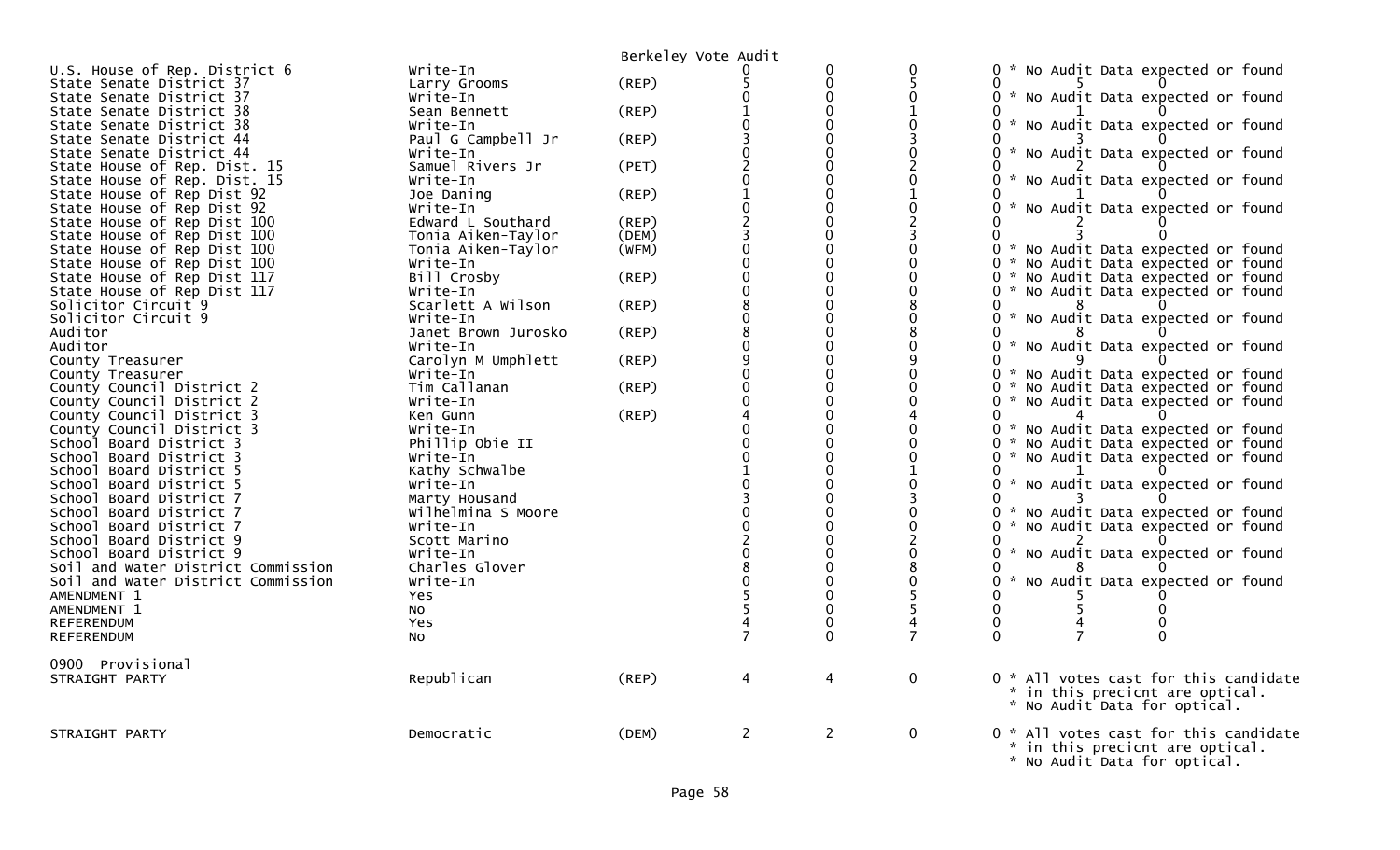|                                    |                     | Berkeley Vote Audit |              |                |                          |                                                                          |
|------------------------------------|---------------------|---------------------|--------------|----------------|--------------------------|--------------------------------------------------------------------------|
| U.S. House of Rep. District 6      | Write-In            |                     |              | 0              | $\mathbf 0$              | 0 * No Audit Data expected or found                                      |
| State Senate District 37           | Larry Grooms        | (REP)               |              | 0              |                          | 0                                                                        |
| State Senate District 37           | Write-In            |                     |              | $\Omega$       | 0                        | 0 * No Audit Data expected or found                                      |
| State Senate District 38           | Sean Bennett        | (REP)               |              | $\Omega$       |                          | 0                                                                        |
| State Senate District 38           | Write-In            |                     |              | $\Omega$       | $\Omega$                 | * No Audit Data expected or found                                        |
| State Senate District 44           | Paul G Campbell Jr  | $($ REP $)$         |              | $\Omega$       |                          |                                                                          |
| State Senate District 44           | Write-In            |                     |              | $\Omega$       |                          | 0 * No Audit Data expected or found                                      |
| State House of Rep. Dist. 15       | Samuel Rivers Jr    | (PET)               |              | $\Omega$       |                          |                                                                          |
| State House of Rep. Dist. 15       | Write-In            |                     |              | $\Omega$       | $\Omega$                 | 0 * No Audit Data expected or found                                      |
| State House of Rep Dist 92         | Joe Daning          | (REP)               |              | $\Omega$       |                          |                                                                          |
| State House of Rep Dist 92         | Write-In            |                     |              | $\Omega$       | $\mathbf 0$              | 0 * No Audit Data expected or found                                      |
| State House of Rep Dist 100        | Edward L Southard   | (REP)               |              | $\Omega$       | $\overline{\phantom{0}}$ | 0                                                                        |
| State House of Rep Dist 100        | Tonia Aiken-Taylor  | (DEM)               |              | $\Omega$       |                          | 0                                                                        |
| State House of Rep Dist 100        | Tonia Aiken-Taylor  | (WFM)               |              | 0              |                          | 0 * No Audit Data expected or found                                      |
| State House of Rep Dist 100        | Write-In            |                     |              | $\Omega$       | $\Omega$                 | 0 * No Audit Data expected or found                                      |
| State House of Rep Dist 117        | Bill Crosby         | (REP)               |              | 0              | $\Omega$                 | 0 * No Audit Data expected or found                                      |
| State House of Rep Dist 117        | Write-In            |                     |              | $\Omega$       | $\Omega$                 | 0 * No Audit Data expected or found                                      |
| Solicitor Circuit 9                | Scarlett A Wilson   | $($ REP $)$         |              | $\Omega$       |                          | 0                                                                        |
| Solicitor Circuit 9                | Write-In            |                     |              | $\Omega$       | $\mathbf{0}$             | * No Audit Data expected or found                                        |
| Auditor                            | Janet Brown Jurosko | $($ REP $)$         |              | $\Omega$       |                          | 0                                                                        |
| Auditor                            | Write-In            |                     |              | $\Omega$       |                          | 0 * No Audit Data expected or found                                      |
| County Treasurer                   | Carolyn M Umphlett  | (REP)               |              |                | q                        | 0                                                                        |
| County Treasurer                   | Write-In            |                     |              | $\Omega$       | $\Omega$                 | 0 * No Audit Data expected or found                                      |
| County Council District 2          | Tim Callanan        | (REP)               |              | 0              | 0                        | 0 * No Audit Data expected or found                                      |
| County Council District 2          | Write-In            |                     |              | $\Omega$       | ∩                        | 0 * No Audit Data expected or found                                      |
| County Council District 3          | Ken Gunn            | (REP)               |              | $\Omega$       |                          | 0                                                                        |
| County Council District 3          | Write-In            |                     |              | $\Omega$       | $\Omega$                 | 0 * No Audit Data expected or found                                      |
| School Board District 3            | Phillip Obie II     |                     |              |                | $\Omega$                 | 0 * No Audit Data expected or found                                      |
| School Board District 3            | Write-In            |                     |              |                | $\Omega$                 | 0 * No Audit Data expected or found                                      |
| School Board District 5            | Kathy Schwalbe      |                     |              |                |                          | 0                                                                        |
| School Board District 5            | Write-In            |                     |              |                | $\Omega$                 | 0 * No Audit Data expected or found                                      |
| School Board District 7            | Marty Housand       |                     |              | $\Omega$       |                          | 0                                                                        |
| School Board District 7            | Wilhelmina S Moore  |                     |              |                | $\Omega$                 | 0 * No Audit Data expected or found                                      |
| School Board District 7            | Write-In            |                     |              |                | $\Omega$                 | 0 * No Audit Data expected or found                                      |
| School Board District 9            | Scott Marino        |                     |              | $\Omega$       |                          |                                                                          |
| School Board District 9            | Write-In            |                     |              |                | $\Omega$                 | 0 * No Audit Data expected or found                                      |
| Soil and Water District Commission | Charles Glover      |                     |              |                |                          | 0                                                                        |
| Soil and Water District Commission | Write-In            |                     |              | 0              | $\Omega$                 | 0 * No Audit Data expected or found                                      |
| AMENDMENT 1                        | <b>Yes</b>          |                     |              | $\Omega$       |                          | 0                                                                        |
| AMENDMENT 1                        | NO.                 |                     |              | 0              |                          | $\Omega$                                                                 |
| <b>REFERENDUM</b>                  | <b>Yes</b>          |                     |              |                |                          | 0<br>0                                                                   |
| <b>REFERENDUM</b>                  | NO.                 |                     |              |                |                          | $\Omega$<br>0                                                            |
| 0900 Provisional                   |                     |                     |              |                |                          |                                                                          |
| STRAIGHT PARTY                     | Republican          | (REP)               | 4            | 4              | $\mathbf 0$              | 0 * All votes cast for this candidate                                    |
|                                    |                     |                     |              |                |                          | * in this precicnt are optical.                                          |
|                                    |                     |                     |              |                |                          | * No Audit Data for optical.                                             |
|                                    |                     |                     |              |                |                          |                                                                          |
| STRAIGHT PARTY                     | Democratic          | (DEM)               | $\mathbf{2}$ | $\overline{2}$ | $\mathbf{0}$             | 0 * All votes cast for this candidate<br>* in this precicnt are optical. |
|                                    |                     |                     |              |                |                          |                                                                          |
|                                    |                     |                     |              |                |                          | * No Audit Data for optical.                                             |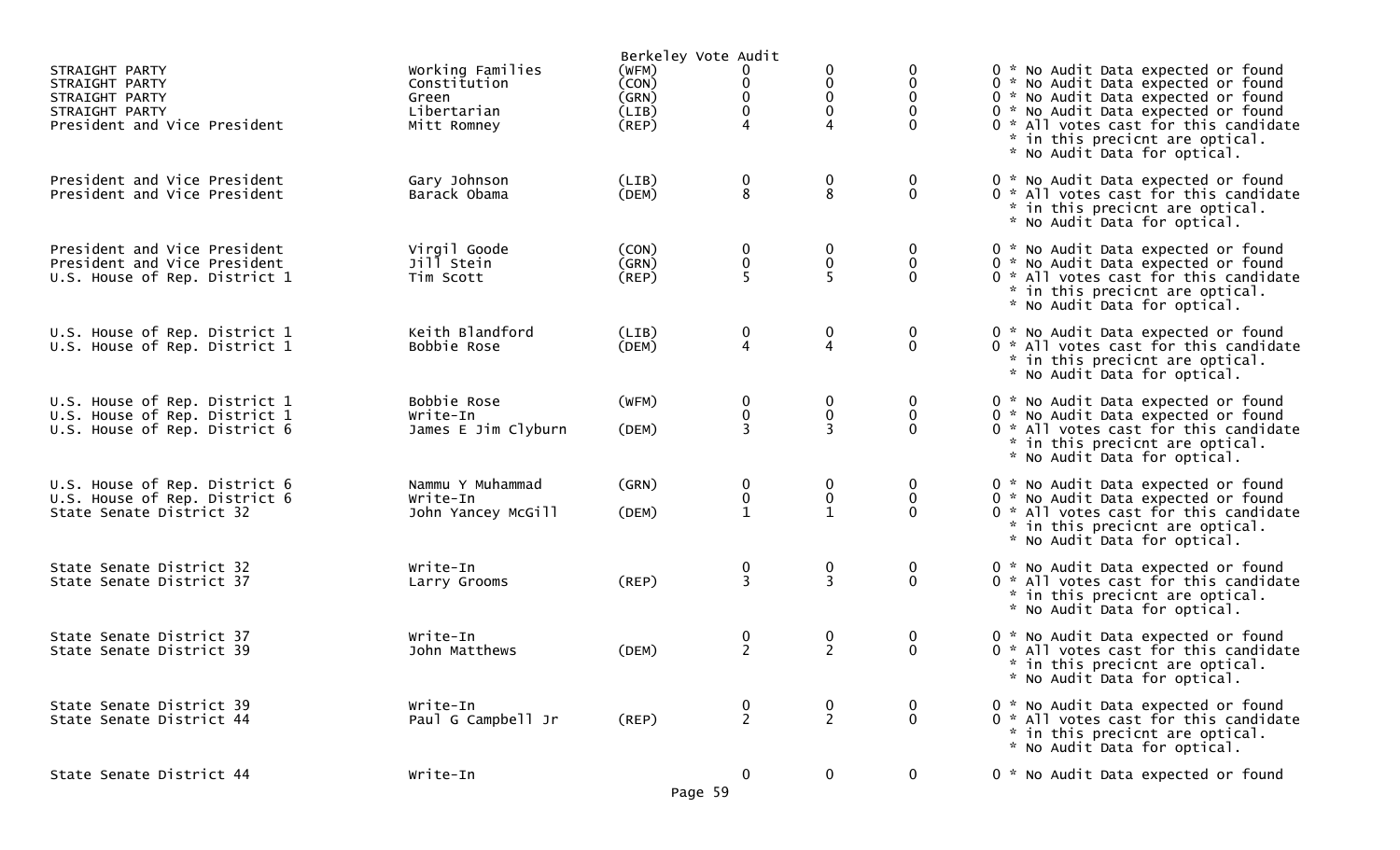|                                                                                                      |                                                                         | Berkeley Vote Audit                             |                                    |                                    |                         |                                                                                                                                                                                                                                                                      |
|------------------------------------------------------------------------------------------------------|-------------------------------------------------------------------------|-------------------------------------------------|------------------------------------|------------------------------------|-------------------------|----------------------------------------------------------------------------------------------------------------------------------------------------------------------------------------------------------------------------------------------------------------------|
| STRAIGHT PARTY<br>STRAIGHT PARTY<br>STRAIGHT PARTY<br>STRAIGHT PARTY<br>President and Vice President | Working Families<br>Constitution<br>Green<br>Libertarian<br>Mitt Romney | (WFM)<br>(CON)<br>(GRN)<br>(LIB)<br>$($ REP $)$ | 0<br>$\pmb{0}$<br>$\mathbf 0$<br>4 | 0<br>$\mathbf 0$<br>0<br>0<br>4    |                         | 0 * No Audit Data expected or found<br>0 * No Audit Data expected or found<br>0 * No Audit Data expected or found<br>0 * No Audit Data expected or found<br>0 * All votes cast for this candidate<br>* in this precicnt are optical.<br>* No Audit Data for optical. |
| President and Vice President<br>President and Vice President                                         | Gary Johnson<br>Barack Obama                                            | (LIB)<br>(DEM)                                  | 0<br>8                             | 0<br>8                             | 0<br>$\mathbf{0}$       | 0 * No Audit Data expected or found<br>0 * All votes cast for this candidate<br>* in this precicnt are optical.<br>* No Audit Data for optical.                                                                                                                      |
| President and Vice President<br>President and Vice President<br>U.S. House of Rep. District 1        | Virgil Goode<br>Jill Stein<br>Tim Scott                                 | (CON)<br>(GRN)<br>(REP)                         | $\boldsymbol{0}$<br>$\pmb{0}$<br>5 | 0<br>0<br>5                        | 0<br>0<br>$\Omega$      | 0 * No Audit Data expected or found<br>0 * No Audit Data expected or found<br>0 * All votes cast for this candidate<br>* in this precicnt are optical.<br>* No Audit Data for optical.                                                                               |
| U.S. House of Rep. District 1<br>U.S. House of Rep. District 1                                       | Keith Blandford<br>Bobbie Rose                                          | (LIB)<br>(DEM)                                  | 0<br>4                             | $\boldsymbol{0}$<br>$\overline{4}$ | 0<br>$\mathbf 0$        | 0 * No Audit Data expected or found<br>0 * All votes cast for this candidate<br>* in this precicnt are optical.<br>* No Audit Data for optical.                                                                                                                      |
| U.S. House of Rep. District 1<br>U.S. House of Rep. District 1<br>U.S. House of Rep. District 6      | Bobbie Rose<br>Write-In<br>James E Jim Clyburn                          | (WFM)<br>(DEM)                                  | 0<br>0<br>$\overline{3}$           | 0<br>0<br>3                        | 0<br>$\Omega$           | 0 * No Audit Data expected or found<br>0 * No Audit Data expected or found<br>0 * All votes cast for this candidate<br>* in this precicnt are optical.<br>* No Audit Data for optical.                                                                               |
| U.S. House of Rep. District 6<br>U.S. House of Rep. District 6<br>State Senate District 32           | Nammu Y Muhammad<br>Write-In<br>John Yancey McGill                      | (GRN)<br>(DEM)                                  | 0<br>0<br>$\mathbf{1}$             | 0<br>0<br>$\mathbf{1}$             | 0<br>$\Omega$           | 0 * No Audit Data expected or found<br>0 * No Audit Data expected or found<br>0 * All votes cast for this candidate<br>* in this precicnt are optical.<br>* No Audit Data for optical.                                                                               |
| State Senate District 32<br>State Senate District 37                                                 | Write-In<br>Larry Grooms                                                | (REP)                                           | $\frac{0}{3}$                      | $\frac{0}{3}$                      | $\bf{0}$<br>$\mathbf 0$ | 0 * No Audit Data expected or found<br>0 * All votes cast for this candidate<br>* in this precicnt are optical.<br>* No Audit Data for optical.                                                                                                                      |
| State Senate District 37<br>State Senate District 39                                                 | Write-In<br>John Matthews                                               | (DEM)                                           | 0<br>$\overline{2}$                | 0<br>$\overline{2}$                | $\bf{0}$<br>$\Omega$    | 0 * No Audit Data expected or found<br>0 * All votes cast for this candidate<br>* in this precicnt are optical.<br>* No Audit Data for optical.                                                                                                                      |
| State Senate District 39<br>State Senate District 44                                                 | Write-In<br>Paul G Campbell Jr                                          | $($ REP $)$                                     | $\frac{0}{2}$                      | 0<br>$\overline{2}$                | $\bf{0}$<br>$\mathbf 0$ | 0 * No Audit Data expected or found<br>0 * All votes cast for this candidate<br>* in this precicnt are optical.<br>* No Audit Data for optical.                                                                                                                      |
| State Senate District 44                                                                             | Write-In                                                                | Page 59                                         | $\mathbf 0$                        | $\mathbf 0$                        | $\mathbf 0$             | 0 * No Audit Data expected or found                                                                                                                                                                                                                                  |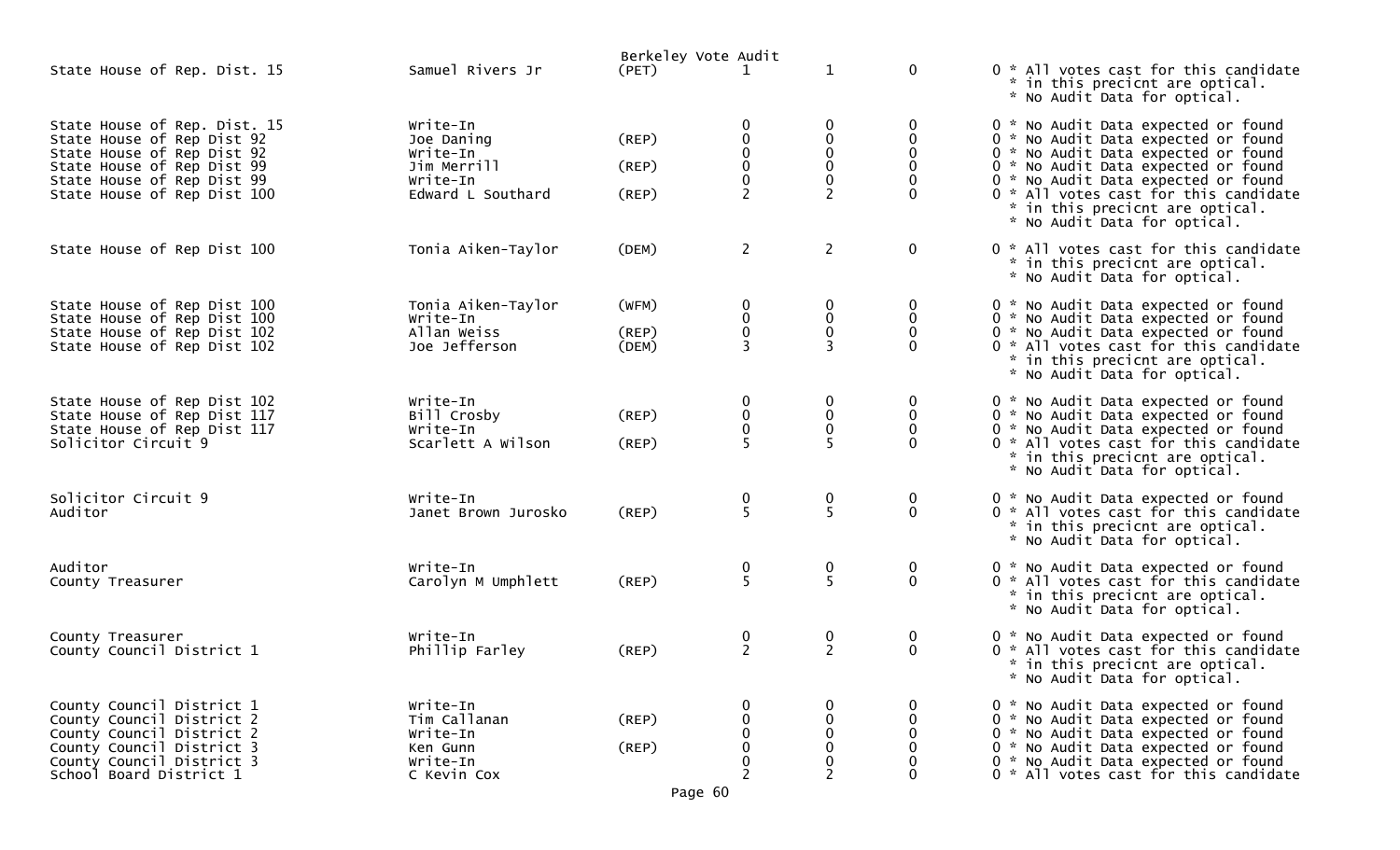|                                                                                                                                                                                     |                                                                                    | Berkeley Vote Audit                 |                                               |                                                            |                                     |                                                                                                                                                                                                                                                                                                             |
|-------------------------------------------------------------------------------------------------------------------------------------------------------------------------------------|------------------------------------------------------------------------------------|-------------------------------------|-----------------------------------------------|------------------------------------------------------------|-------------------------------------|-------------------------------------------------------------------------------------------------------------------------------------------------------------------------------------------------------------------------------------------------------------------------------------------------------------|
| State House of Rep. Dist. 15                                                                                                                                                        | Samuel Rivers Jr                                                                   | (PET)                               |                                               | $\mathbf 1$                                                | $\mathbf 0$                         | 0 * All votes cast for this candidate<br>* in this precicnt are optical.<br>* No Audit Data for optical.                                                                                                                                                                                                    |
| State House of Rep. Dist. 15<br>State House of Rep Dist 92<br>State House of Rep Dist 92<br>State House of Rep Dist 99<br>State House of Rep Dist 99<br>State House of Rep Dist 100 | Write-In<br>Joe Daning<br>Write-In<br>Jim Merrill<br>Write-In<br>Edward L Southard | $($ REP $)$<br>$($ REP $)$<br>(REP) | 0<br>$\pmb{0}$<br>$\pmb{0}$<br>$\overline{2}$ | 0<br>$\pmb{0}$<br>$\pmb{0}$<br>$\pmb{0}$<br>$\overline{2}$ | 0<br>0<br>$\mathbf{0}$<br>0         | 0 * No Audit Data expected or found<br>0 * No Audit Data expected or found<br>0 * No Audit Data expected or found<br>0 * No Audit Data expected or found<br>0 * No Audit Data expected or found<br>0 * All votes cast for this candidate<br>* in this precicnt are optical.<br>* No Audit Data for optical. |
| State House of Rep Dist 100                                                                                                                                                         | Tonia Aiken-Taylor                                                                 | (DEM)                               | $\overline{2}$                                | $\mathbf{2}$                                               | $\mathbf 0$                         | 0 * All votes cast for this candidate<br>* in this precicnt are optical.<br>* No Audit Data for optical.                                                                                                                                                                                                    |
| State House of Rep Dist 100<br>State House of Rep Dist 100<br>State House of Rep Dist 102<br>State House of Rep Dist 102                                                            | Tonia Aiken-Taylor<br>Write-In<br>Allan Weiss<br>Joe Jefferson                     | (WFM)<br>(REP)<br>(DEM)             | 0<br>0<br>$\pmb{0}$                           | $\bf{0}$<br>$\pmb{0}$<br>$\pmb{0}$                         | 0<br>$\mathbf 0$<br>$\mathbf{0}$    | 0 * No Audit Data expected or found<br>0 * No Audit Data expected or found<br>0 * No Audit Data expected or found<br>0 * All votes cast for this candidate<br>* in this precicnt are optical.<br>* No Audit Data for optical.                                                                               |
| State House of Rep Dist 102<br>State House of Rep Dist 117<br>State House of Rep Dist 117<br>Solicitor Circuit 9                                                                    | Write-In<br>Bill Crosby<br>Write-In<br>Scarlett A Wilson                           | $($ REP $)$<br>(REP)                | 0<br>0<br>$\mathbf 0$<br>5                    | $\bf{0}$<br>$\pmb{0}$<br>0                                 | $\bf{0}$<br>$\mathbf 0$<br>$\Omega$ | 0 * No Audit Data expected or found<br>0 * No Audit Data expected or found<br>0 * No Audit Data expected or found<br>0 * All votes cast for this candidate<br>* in this precicnt are optical.<br>* No Audit Data for optical.                                                                               |
| Solicitor Circuit 9<br>Auditor                                                                                                                                                      | Write-In<br>Janet Brown Jurosko                                                    | (REP)                               | $\frac{0}{5}$                                 | $\frac{0}{5}$                                              | $\boldsymbol{0}$<br>$\mathbf 0$     | 0 * No Audit Data expected or found<br>0 * All votes cast for this candidate<br>* in this precicnt are optical.<br>* No Audit Data for optical.                                                                                                                                                             |
| Auditor<br>County Treasurer                                                                                                                                                         | Write-In<br>Carolyn M Umphlett                                                     | (REP)                               | $\frac{0}{5}$                                 | 0<br>5                                                     | 0<br>$\mathbf 0$                    | 0 * No Audit Data expected or found<br>0 * All votes cast for this candidate<br>* in this precicnt are optical.<br>* No Audit Data for optical.                                                                                                                                                             |
| County Treasurer<br>County Council District 1                                                                                                                                       | Write-In<br>Phillip Farley                                                         | (REP)                               | $\boldsymbol{0}$<br>$\overline{2}$            | 0<br>$\overline{2}$                                        | 0<br>$\mathbf{0}$                   | 0 * No Audit Data expected or found<br>0 * All votes cast for this candidate<br>* in this precicnt are optical.<br>* No Audit Data for optical.                                                                                                                                                             |
| County Council District 1<br>County Council District 2<br>County Council District 2<br>County Council District 3<br>County Council District 3<br>School Board District 1            | Write-In<br>Tim Callanan<br>Write-In<br>Ken Gunn<br>Write-In<br>C Kevin Cox        | (REP)<br>(REP)<br>Page 60           | 2                                             | 0<br>0<br>0<br>0<br>2                                      | 0                                   | 0 * No Audit Data expected or found<br>0 * No Audit Data expected or found<br>0 * No Audit Data expected or found<br>0 * No Audit Data expected or found<br>0 * No Audit Data expected or found<br>0 * All votes cast for this candidate                                                                    |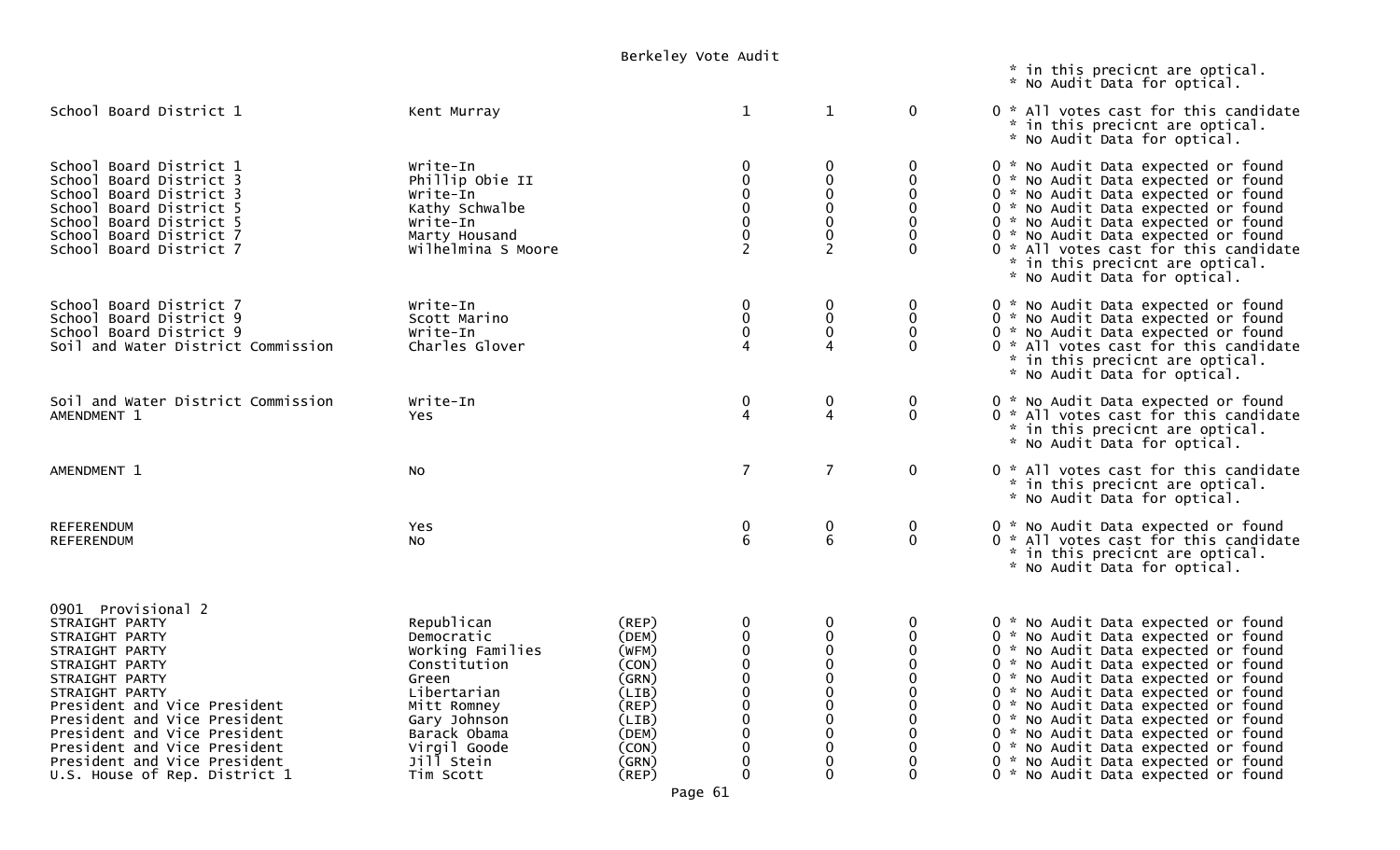|                                                                                                                                                                                                                                                                                                                                 | DEINEIEY VULE AUUIL                                                                                                                                                            |                                                                                                                      |                                                                                          |                                                                                                                                                               | * in this precicnt are optical.<br>* No Audit Data for optical.                                                                          |                                                                                                                                                                                                                                                                                                                                                                                                                                                                                     |
|---------------------------------------------------------------------------------------------------------------------------------------------------------------------------------------------------------------------------------------------------------------------------------------------------------------------------------|--------------------------------------------------------------------------------------------------------------------------------------------------------------------------------|----------------------------------------------------------------------------------------------------------------------|------------------------------------------------------------------------------------------|---------------------------------------------------------------------------------------------------------------------------------------------------------------|------------------------------------------------------------------------------------------------------------------------------------------|-------------------------------------------------------------------------------------------------------------------------------------------------------------------------------------------------------------------------------------------------------------------------------------------------------------------------------------------------------------------------------------------------------------------------------------------------------------------------------------|
| School Board District 1                                                                                                                                                                                                                                                                                                         | Kent Murray                                                                                                                                                                    |                                                                                                                      | $\mathbf{1}$                                                                             | $\mathbf{1}$                                                                                                                                                  | $\mathbf 0$                                                                                                                              | 0 * All votes cast for this candidate<br>* in this precicnt are optical.<br>* No Audit Data for optical.                                                                                                                                                                                                                                                                                                                                                                            |
| School Board District 1<br>School Board District 3<br>School Board District 3<br>School Board District 5<br>School Board District 5<br>School Board District 7<br>School Board District 7                                                                                                                                       | Write-In<br>Phillip Obie II<br>Write-In<br>Kathy Schwalbe<br>Write-In<br>Marty Housand<br>Wilhelmina S Moore                                                                   |                                                                                                                      | $\mathbf 0$<br>0<br>$\mathbf 0$<br>$\mathbf{0}$<br>$\mathbf 0$<br>0<br>$\overline{2}$    | $\mathbf 0$<br>$\mathbf 0$<br>$\mathbf 0$<br>$\mathbf 0$<br>$\pmb{0}$<br>$\mathbf 0$<br>$\overline{2}$                                                        | 0<br>$\Omega$<br>0<br>$\mathbf 0$<br>$\mathbf 0$<br>$\Omega$<br>$\Omega$                                                                 | 0 * No Audit Data expected or found<br>0 * No Audit Data expected or found<br>0 * No Audit Data expected or found<br>0 * No Audit Data expected or found<br>0 * No Audit Data expected or found<br>0 * No Audit Data expected or found<br>0 * All votes cast for this candidate<br>* in this precicnt are optical.<br>* No Audit Data for optical.                                                                                                                                  |
| School Board District 7<br>School Board District 9<br>School Board District 9<br>Soil and Water District Commission                                                                                                                                                                                                             | Write-In<br>Scott Marino<br>Write-In<br>Charles Glover                                                                                                                         |                                                                                                                      | $\mathbf 0$<br>$\mathbf 0$<br>0<br>4                                                     | $\mathbf 0$<br>$\pmb{0}$<br>$\mathbf 0$<br>$\boldsymbol{\Lambda}$                                                                                             | 0<br>$\boldsymbol{0}$<br>$\Omega$<br>$\Omega$                                                                                            | 0 * No Audit Data expected or found<br>0 * No Audit Data expected or found<br>0 * No Audit Data expected or found<br>0 * All votes cast for this candidate<br>* in this precicnt are optical.<br>* No Audit Data for optical.                                                                                                                                                                                                                                                       |
| Soil and Water District Commission<br>AMENDMENT 1                                                                                                                                                                                                                                                                               | Write-In<br><b>Yes</b>                                                                                                                                                         |                                                                                                                      | 0<br>4                                                                                   | 0<br>$\overline{4}$                                                                                                                                           | $\mathbf 0$<br>$\mathbf{0}$                                                                                                              | 0 * No Audit Data expected or found<br>0 * All votes cast for this candidate<br>* in this precicnt are optical.<br>* No Audit Data for optical.                                                                                                                                                                                                                                                                                                                                     |
| AMENDMENT 1                                                                                                                                                                                                                                                                                                                     | No                                                                                                                                                                             |                                                                                                                      | $\overline{7}$                                                                           | $\overline{7}$                                                                                                                                                | $\mathbf 0$                                                                                                                              | 0 * All votes cast for this candidate<br>* in this precicnt are optical.<br>* No Audit Data for optical.                                                                                                                                                                                                                                                                                                                                                                            |
| <b>REFERENDUM</b><br><b>REFERENDUM</b>                                                                                                                                                                                                                                                                                          | Yes<br>No                                                                                                                                                                      |                                                                                                                      | 0<br>6                                                                                   | $\mathbf 0$<br>6                                                                                                                                              | 0<br>$\mathbf 0$                                                                                                                         | 0 * No Audit Data expected or found<br>0 * All votes cast for this candidate<br>* in this precicnt are optical.<br>* No Audit Data for optical.                                                                                                                                                                                                                                                                                                                                     |
| 0901 Provisional 2<br>STRAIGHT PARTY<br>STRAIGHT PARTY<br>STRAIGHT PARTY<br>STRAIGHT PARTY<br>STRAIGHT PARTY<br>STRAIGHT PARTY<br>President and Vice President<br>President and Vice President<br>President and Vice President<br>President and Vice President<br>President and Vice President<br>U.S. House of Rep. District 1 | Republican<br>Democratic<br>Working Families<br>Constitution<br>Green<br>Libertarian<br>Mitt Romney<br>Gary Johnson<br>Barack Obama<br>Virgil Goode<br>Jill Stein<br>Tim Scott | $($ REP $)$<br>(DEM)<br>(WFM)<br>(CON)<br>(GRN)<br>(LIB)<br>$($ REP $)$<br>(LIB)<br>(DEM)<br>(CON)<br>(GRN)<br>(REP) | 0<br>$\mathbf 0$<br>0<br>0<br>0<br>0<br>$\pmb{0}$<br>0<br>0<br>$\Omega$<br>0<br>$\Omega$ | 0<br>$\mathbf 0$<br>$\mathbf 0$<br>$\pmb{0}$<br>$\mathbf 0$<br>$\mathbf 0$<br>$\boldsymbol{0}$<br>$\mathbf 0$<br>0<br>$\mathbf{0}$<br>$\mathbf 0$<br>$\Omega$ | $\Omega$<br>$\Omega$<br>$\Omega$<br>$\Omega$<br>$\Omega$<br>$\boldsymbol{0}$<br>$\Omega$<br>$\Omega$<br>$\Omega$<br>$\Omega$<br>$\Omega$ | 0 * No Audit Data expected or found<br>0 * No Audit Data expected or found<br>0 * No Audit Data expected or found<br>0 * No Audit Data expected or found<br>* No Audit Data expected or found<br>0<br>0 * No Audit Data expected or found<br>0 * No Audit Data expected or found<br>0 * No Audit Data expected or found<br>0 * No Audit Data expected or found<br>0 * No Audit Data expected or found<br>0 * No Audit Data expected or found<br>0 * No Audit Data expected or found |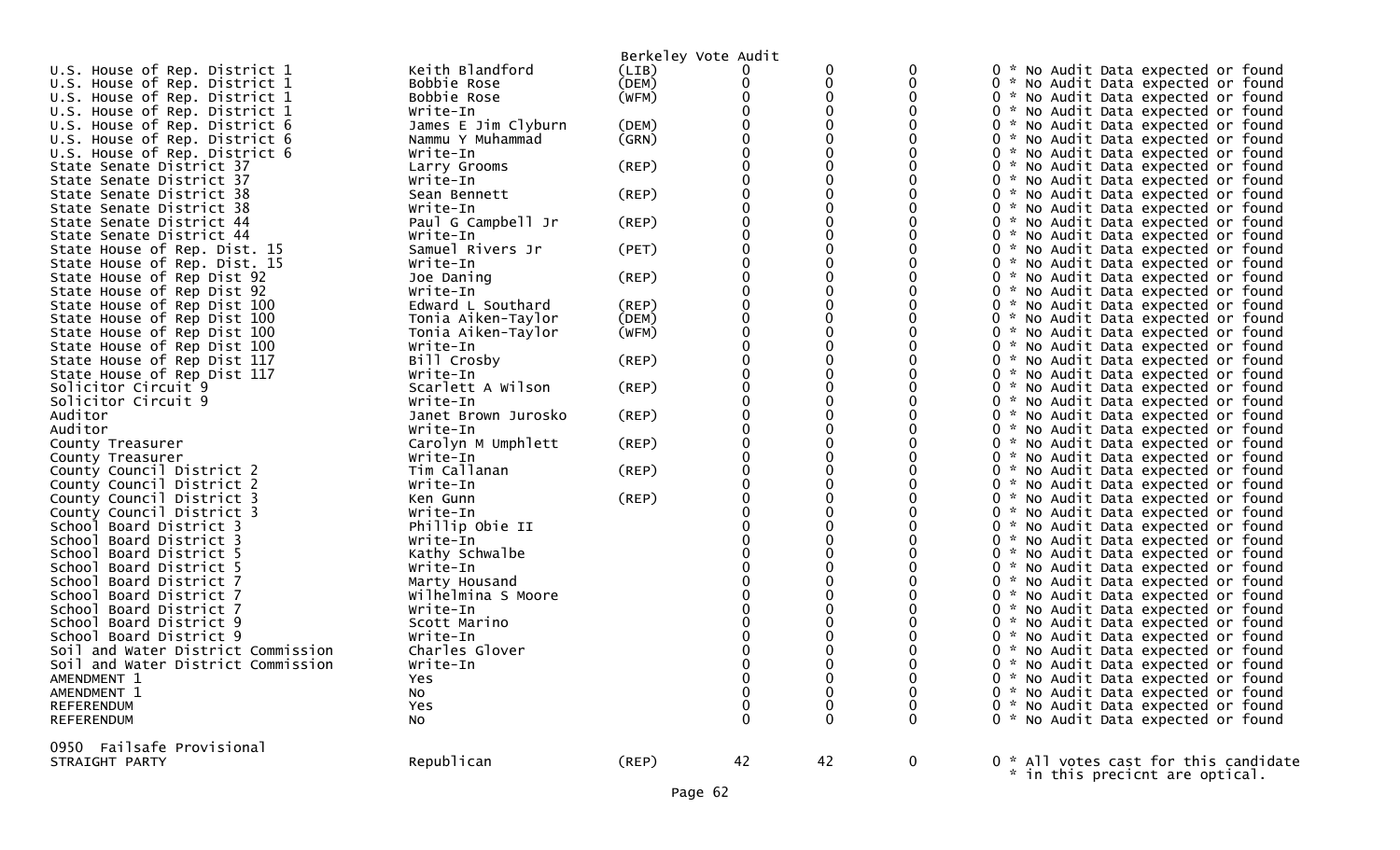|                                    |                     | Berkeley Vote Audit |    |              |              |                                       |
|------------------------------------|---------------------|---------------------|----|--------------|--------------|---------------------------------------|
| U.S. House of Rep. District 1      | Keith Blandford     | (LIB)               | 0  |              |              | 0 * No Audit Data expected or found   |
| U.S. House of Rep. District 1      | Bobbie Rose         | (DEM)               |    |              |              | 0 * No Audit Data expected or found   |
| U.S. House of Rep. District 1      | Bobbie Rose         | (WFM)               |    |              |              | 0 * No Audit Data expected or found   |
| U.S. House of Rep. District 1      | Write-In            |                     |    |              |              | 0 * No Audit Data expected or found   |
| U.S. House of Rep. District 6      | James E Jim Clyburn | (DEM)               |    |              |              | 0 * No Audit Data expected or found   |
| U.S. House of Rep. District 6      | Nammu Y Muhammad    | (GRN)               |    |              |              | 0 * No Audit Data expected or found   |
| U.S. House of Rep. District 6      | Write-In            |                     |    |              |              | 0 * No Audit Data expected or found   |
| State Senate District 37           | Larry Grooms        | $($ REP $)$         |    |              |              | 0 * No Audit Data expected or found   |
| State Senate District 37           | Write-In            |                     |    |              |              | 0 * No Audit Data expected or found   |
| State Senate District 38           | Sean Bennett        | $($ REP $)$         |    |              |              | 0 * No Audit Data expected or found   |
|                                    |                     |                     |    |              |              |                                       |
| State Senate District 38           | Write-In            |                     |    |              |              | 0 * No Audit Data expected or found   |
| State Senate District 44           | Paul G Campbell Jr  | $($ REP $)$         |    |              |              | 0 * No Audit Data expected or found   |
| State Senate District 44           | Write-In            |                     |    |              |              | 0 * No Audit Data expected or found   |
| State House of Rep. Dist. 15       | Samuel Rivers Jr    | (PET)               |    |              |              | 0 * No Audit Data expected or found   |
| State House of Rep. Dist. 15       | Write-In            |                     |    |              |              | 0 * No Audit Data expected or found   |
| State House of Rep Dist 92         | Joe Daning          | (REP)               |    |              |              | 0 * No Audit Data expected or found   |
| State House of Rep Dist 92         | Write-In            |                     |    |              |              | 0 * No Audit Data expected or found   |
| State House of Rep Dist 100        | Edward L Southard   | $($ REP $)$         |    |              |              | 0 * No Audit Data expected or found   |
| State House of Rep Dist 100        | Tonia Aiken-Taylor  | (DEM)               |    |              |              | 0 * No Audit Data expected or found   |
| State House of Rep Dist 100        | Tonia Aiken-Taylor  | (WFM)               | 0  |              |              | 0 * No Audit Data expected or found   |
| State House of Rep Dist 100        | Write-In            |                     |    |              |              | 0 * No Audit Data expected or found   |
| State House of Rep Dist 117        | Bill Crosby         | (REP)               |    |              |              | 0 * No Audit Data expected or found   |
| State House of Rep Dist 117        | Write-In            |                     |    |              |              | 0 * No Audit Data expected or found   |
| Solicitor Circuit 9                | Scarlett A Wilson   | $($ REP $)$         |    |              |              | 0 * No Audit Data expected or found   |
| Solicitor Circuit 9                | Write-In            |                     |    |              |              | 0 * No Audit Data expected or found   |
| Auditor                            | Janet Brown Jurosko | (REP)               |    |              |              | 0 * No Audit Data expected or found   |
| Auditor                            | Write-In            |                     |    |              |              | 0 * No Audit Data expected or found   |
| County Treasurer                   | Carolyn M Umphlett  | (REP)               |    |              |              | 0 * No Audit Data expected or found   |
| County Treasurer                   | Write-In            |                     |    |              |              | 0 * No Audit Data expected or found   |
| County Council District 2          | Tim Callanan        | $($ REP $)$         |    |              |              | 0 * No Audit Data expected or found   |
| County Council District 2          | Write-In            |                     |    |              |              | 0 * No Audit Data expected or found   |
| County Council District 3          | Ken Gunn            | $($ REP $)$         |    |              |              | 0 * No Audit Data expected or found   |
| County Council District 3          | Write-In            |                     |    |              |              | 0 * No Audit Data expected or found   |
| School Board District 3            | Phillip Obie II     |                     |    |              |              | 0 * No Audit Data expected or found   |
| School Board District 3            | Write-In            |                     |    |              |              | 0 * No Audit Data expected or found   |
| School Board District 5            | Kathy Schwalbe      |                     |    |              |              | 0 * No Audit Data expected or found   |
| School Board District 5            | Write-In            |                     |    |              |              | 0 * No Audit Data expected or found   |
| School Board District 7            | Marty Housand       |                     |    |              |              | 0 * No Audit Data expected or found   |
| School Board District 7            | Wilhelmina S Moore  |                     |    |              |              | 0 * No Audit Data expected or found   |
| School Board District 7            | Write-In            |                     |    |              |              | 0 * No Audit Data expected or found   |
| School Board District 9            | Scott Marino        |                     |    |              |              | 0 * No Audit Data expected or found   |
| School Board District 9            | Write-In            |                     |    |              |              | 0 * No Audit Data expected or found   |
| Soil and Water District Commission | Charles Glover      |                     |    |              |              | 0 * No Audit Data expected or found   |
|                                    |                     |                     |    |              |              |                                       |
| Soil and Water District Commission | Write-In            |                     |    |              |              | 0 * No Audit Data expected or found   |
| AMENDMENT 1                        | Yes                 |                     | 0  |              | 0            | 0 * No Audit Data expected or found   |
| AMENDMENT 1                        | No                  |                     | 0  |              |              | 0 * No Audit Data expected or found   |
| REFERENDUM                         | Yes                 |                     | 0  | 0            | 0            | 0 * No Audit Data expected or found   |
| REFERENDUM                         | No                  |                     | 0  | $\mathbf{0}$ | $\mathbf{0}$ | 0 * No Audit Data expected or found   |
| 0950 Failsafe Provisional          |                     |                     |    |              |              |                                       |
| STRAIGHT PARTY                     | Republican          | (REP)               | 42 | 42           | $\mathbf{0}$ | 0 * All votes cast for this candidate |
|                                    |                     |                     |    |              |              | * in this precicnt are optical.       |
|                                    |                     |                     |    |              |              |                                       |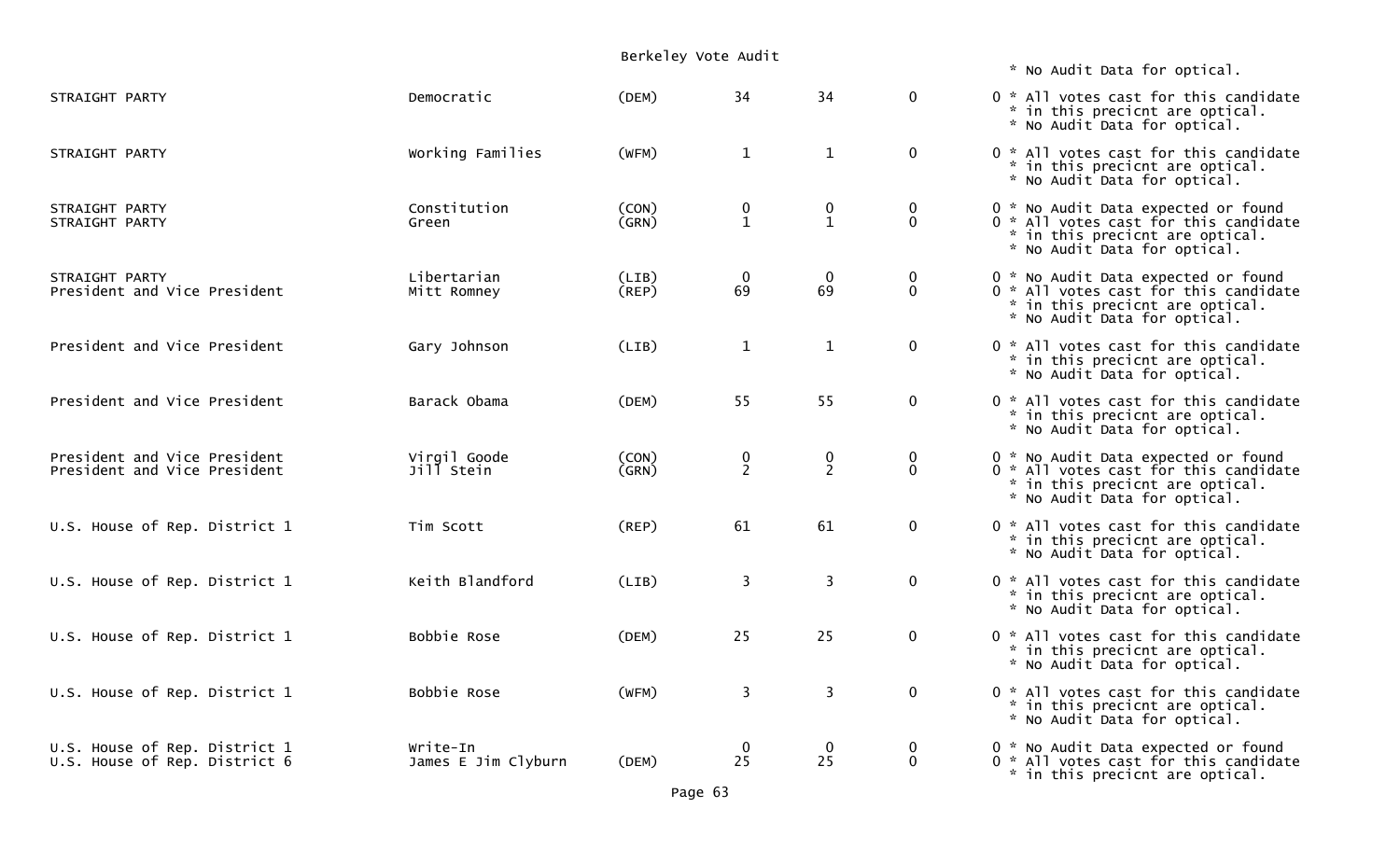|                                                                |                                 | Berkeley Vote Audit  |                                               |                                    |                            |                                                                                                                                                 |
|----------------------------------------------------------------|---------------------------------|----------------------|-----------------------------------------------|------------------------------------|----------------------------|-------------------------------------------------------------------------------------------------------------------------------------------------|
|                                                                |                                 |                      |                                               |                                    |                            | * No Audit Data for optical.                                                                                                                    |
| STRAIGHT PARTY                                                 | Democratic                      | (DEM)                | 34                                            | 34                                 | $\mathbf 0$                | 0 * All votes cast for this candidate<br>* in this precicnt are optical.<br>* No Audit Data for optical.                                        |
| STRAIGHT PARTY                                                 | Working Families                | (WFM)                | $\mathbf{1}$                                  | $\mathbf{1}$                       | $\mathbf 0$                | 0 * All votes cast for this candidate<br>* in this precicnt are optical.<br>* No Audit Data for optical.                                        |
| STRAIGHT PARTY<br>STRAIGHT PARTY                               | Constitution<br>Green           | (CON)<br>(GRN)       | $\begin{smallmatrix} 0 \ 1 \end{smallmatrix}$ | 0<br>$\mathbf{1}$                  | 0<br>$\mathbf 0$           | 0 * No Audit Data expected or found<br>0 * All votes cast for this candidate<br>* in this precicnt are optical.<br>* No Audit Data for optical. |
| STRAIGHT PARTY<br>President and Vice President                 | Libertarian<br>Mitt Romney      | (LIB)<br>$($ REP $)$ | $\begin{array}{c} 0 \\ 69 \end{array}$        | $\boldsymbol{0}$<br>69             | $\mathbf 0$<br>$\mathbf 0$ | 0 * No Audit Data expected or found<br>0 * All votes cast for this candidate<br>* in this precicnt are optical.<br>* No Audit Data for optical. |
| President and Vice President                                   | Gary Johnson                    | (LIB)                | $\mathbf{1}$                                  | $\mathbf{1}$                       | $\mathbf 0$                | 0 * All votes cast for this candidate<br>* in this precicnt are optical.<br>* No Audit Data for optical.                                        |
| President and Vice President                                   | Barack Obama                    | (DEM)                | 55                                            | 55                                 | $\mathbf 0$                | 0 * All votes cast for this candidate<br>* in this precicnt are optical.<br>* No Audit Data for optical.                                        |
| President and Vice President<br>President and Vice President   | Virgil Goode<br>Jill Stein      | (CON)<br>(GRN)       | $\frac{0}{2}$                                 | $\boldsymbol{0}$<br>$\overline{2}$ | 0<br>$\mathbf 0$           | 0 * No Audit Data expected or found<br>0 * All votes cast for this candidate<br>* in this precicnt are optical.<br>* No Audit Data for optical. |
| U.S. House of Rep. District 1                                  | Tim Scott                       | (REP)                | 61                                            | 61                                 | $\mathbf 0$                | 0 * All votes cast for this candidate<br>* in this precicnt are optical.<br>* No Audit Data for optical.                                        |
| U.S. House of Rep. District 1                                  | Keith Blandford                 | (LIB)                | $\overline{\mathbf{3}}$                       | 3                                  | $\mathbf 0$                | 0 * All votes cast for this candidate<br>* in this precicnt are optical.<br>* No Audit Data for optical.                                        |
| U.S. House of Rep. District 1                                  | Bobbie Rose                     | (DEM)                | 25                                            | 25                                 | $\bf{0}$                   | 0 * All votes cast for this candidate<br>* in this precicnt are optical.<br>* No Audit Data for optical.                                        |
| U.S. House of Rep. District 1                                  | Bobbie Rose                     | (WFM)                | 3                                             | 3                                  | $\mathbf 0$                | 0 * All votes cast for this candidate<br>* in this precicnt are optical.<br>* No Audit Data for optical.                                        |
| U.S. House of Rep. District 1<br>U.S. House of Rep. District 6 | Write-In<br>James E Jim Clyburn | (DEM)                | $\overline{0}$<br>25                          | $\mathbf 0$<br>25                  | 0<br>$\mathbf 0$           | 0 * No Audit Data expected or found<br>0 * All votes cast for this candidate<br>* in this precicnt are optical.                                 |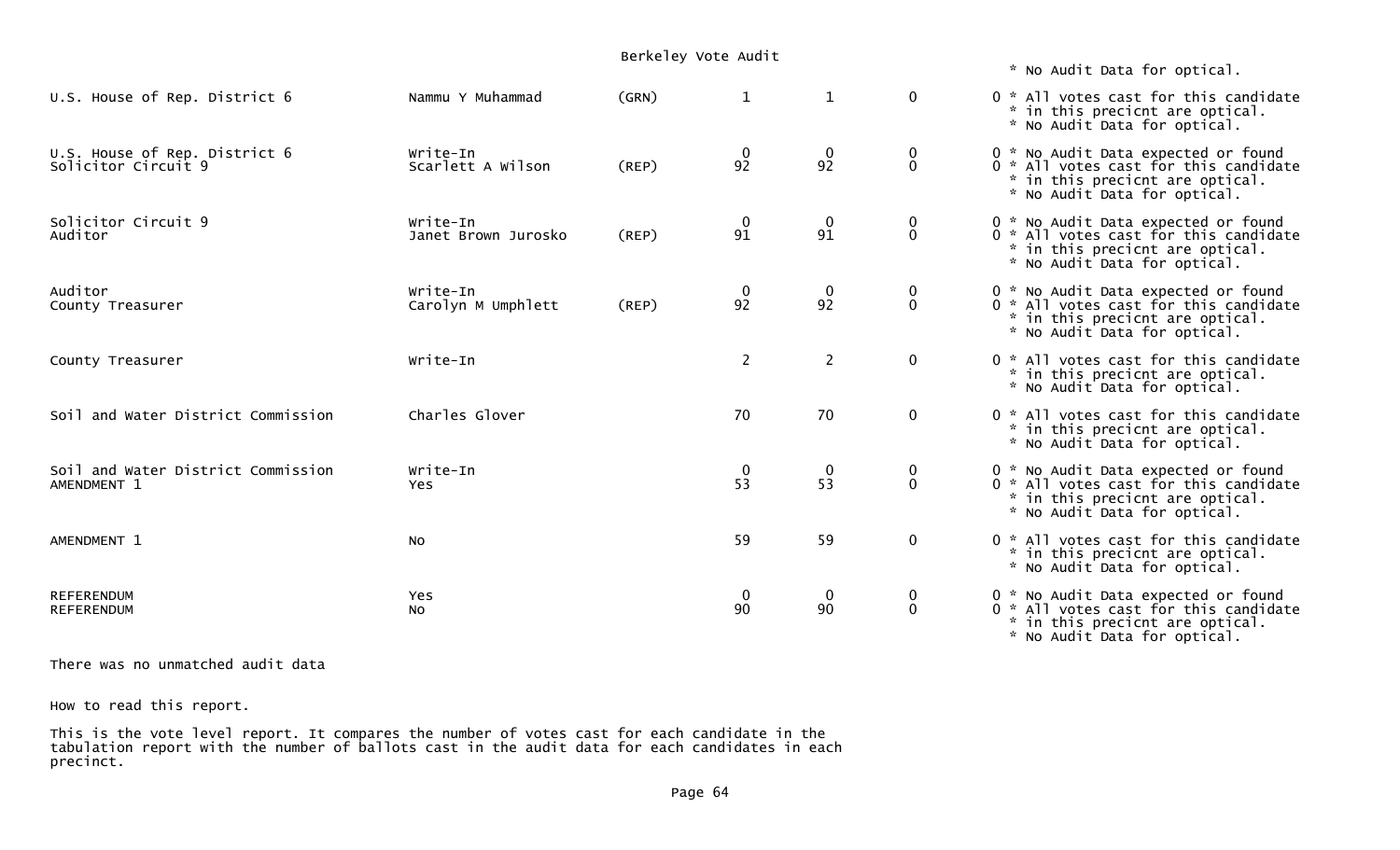|                                                      |                                 | Berkeley Vote Audit |                                             |                        |                          | * No Audit Data for optical.                                                                                                                      |
|------------------------------------------------------|---------------------------------|---------------------|---------------------------------------------|------------------------|--------------------------|---------------------------------------------------------------------------------------------------------------------------------------------------|
| U.S. House of Rep. District 6                        | Nammu Y Muhammad                | (GRN)               | $\mathbf{1}$                                | $\mathbf{1}$           | $\mathbf{0}$             | 0 * All votes cast for this candidate<br>* in this precicnt are optical.<br>* No Audit Data for optical.                                          |
| U.S. House of Rep. District 6<br>Solicitor Circuit 9 | Write-In<br>Scarlett A Wilson   | (REP)               | $\bf{0}$<br>92                              | $\boldsymbol{0}$<br>92 | $\bf{0}$<br>$\mathbf 0$  | 0 * No Audit Data expected or found<br>$0$ * All votes cast for this candidate<br>* in this precicnt are optical.<br>* No Audit Data for optical. |
| Solicitor Circuit 9<br>Auditor                       | Write-In<br>Janet Brown Jurosko | (REP)               | $\mathbf 0$<br>91                           | $\mathbf 0$<br>91      | $\bf{0}$<br>$\mathbf 0$  | 0 * No Audit Data expected or found<br>0 * All votes cast for this candidate<br>* in this precicnt are optical.<br>* No Audit Data for optical.   |
| Auditor<br>County Treasurer                          | Write-In<br>Carolyn M Umphlett  | (REP)               | $\frac{0}{92}$                              | $\boldsymbol{0}$<br>92 | 0<br>$\mathbf{0}$        | 0 * No Audit Data expected or found<br>0 * All votes cast for this candidate<br>* in this precicnt are optical.<br>* No Audit Data for optical.   |
| County Treasurer                                     | Write-In                        |                     | $\overline{2}$                              | $\overline{2}$         | $\mathbf{0}$             | 0 * All votes cast for this candidate<br>* in this precicnt are optical.<br>* No Audit Data for optical.                                          |
| Soil and Water District Commission                   | Charles Glover                  |                     | 70                                          | 70                     | $\mathbf 0$              | 0 * All votes cast for this candidate<br>* in this precicnt are optical.<br>* No Audit Data for optical.                                          |
| Soil and Water District Commission<br>AMENDMENT 1    | Write-In<br><b>Yes</b>          |                     | $\begin{smallmatrix}0\\53\end{smallmatrix}$ | $\boldsymbol{0}$<br>53 | $\bf{0}$<br>$\mathbf 0$  | 0 * No Audit Data expected or found<br>0 * All votes cast for this candidate<br>* in this precicnt are optical.<br>* No Audit Data for optical.   |
| AMENDMENT 1                                          | <b>NO</b>                       |                     | 59                                          | 59                     | $\mathbf 0$              | 0 * All votes cast for this candidate<br>* in this precicnt are optical.<br>* No Audit Data for optical.                                          |
| <b>REFERENDUM</b><br><b>REFERENDUM</b>               | Yes<br>NO.                      |                     | $\mathbf 0$<br>90                           | $\mathbf 0$<br>90      | $\bf{0}$<br>$\mathbf{0}$ | 0 * No Audit Data expected or found<br>0 * All votes cast for this candidate<br>* in this precicnt are optical.<br>* No Audit Data for optical.   |

There was no unmatched audit data

How to read this report.

This is the vote level report. It compares the number of votes cast for each candidate in the tabulation report with the number of ballots cast in the audit data for each candidates in each precinct.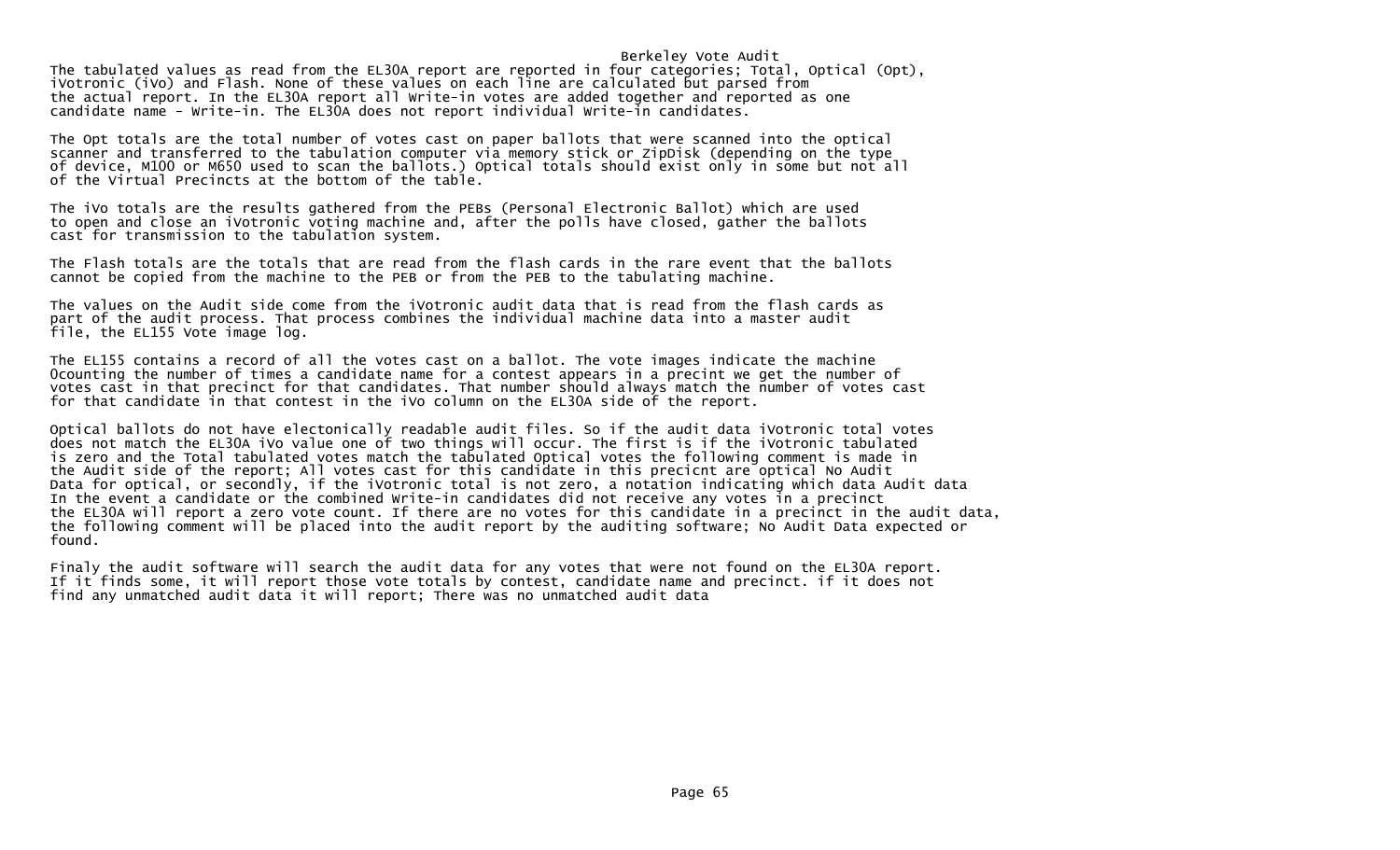## Berkeley Vote Audit

The tabulated values as read from the EL30A report are reported in four categories; Total, Optical (Opt), iVotronic (iVo) and Flash. None of these values on each line are calculated but parsed from the actual report. In the EL30A report all Write-in votes are added together and reported as one candidate name - Write-in. The EL30A does not report individual Write-in candidates.

The Opt totals are the total number of votes cast on paper ballots that were scanned into the optical scanner and transferred to the tabulation computer via memory stick or ZipDisk (depending on the type of device, M100 or M650 used to scan the ballots.) Optical totals should exist only in some but not all of the Virtual Precincts at the bottom of the table.

The iVo totals are the results gathered from the PEBs (Personal Electronic Ballot) which are used to open and close an iVotronic voting machine and, after the polls have closed, gather the ballots cast for transmission to the tabulation system.

The Flash totals are the totals that are read from the flash cards in the rare event that the ballots cannot be copied from the machine to the PEB or from the PEB to the tabulating machine.

The values on the Audit side come from the iVotronic audit data that is read from the flash cards as part of the audit process. That process combines the individual machine data into a master audit file, the EL155 Vote image log.

The EL155 contains a record of all the votes cast on a ballot. The vote images indicate the machine 0counting the number of times a candidate name for a contest appears in a precint we get the number of votes cast in that precinct for that candidates. That number should always match the number of votes cast for that candidate in that contest in the iVo column on the EL30A side of the report.

Optical ballots do not have electonically readable audit files. So if the audit data iVotronic total votes does not match the EL30A iVo value one of two things will occur. The first is if the iVotronic tabulated is zero and the Total tabulated votes match the tabulated Optical votes the following comment is made in the Audit side of the report; All votes cast for this candidate in this precicnt are optical No Audit Data for optical, or secondly, if the iVotronic total is not zero, a notation indicating which data Audit data In the event a candidate or the combined Write-in candidates did not receive any votes in a precinct the EL30A will report a zero vote count. If there are no votes for this candidate in a precinct in the audit data, the following comment will be placed into the audit report by the auditing software; No Audit Data expected or found.

Finaly the audit software will search the audit data for any votes that were not found on the EL30A report. If it finds some, it will report those vote totals by contest, candidate name and precinct. if it does not find any unmatched audit data it will report; There was no unmatched audit data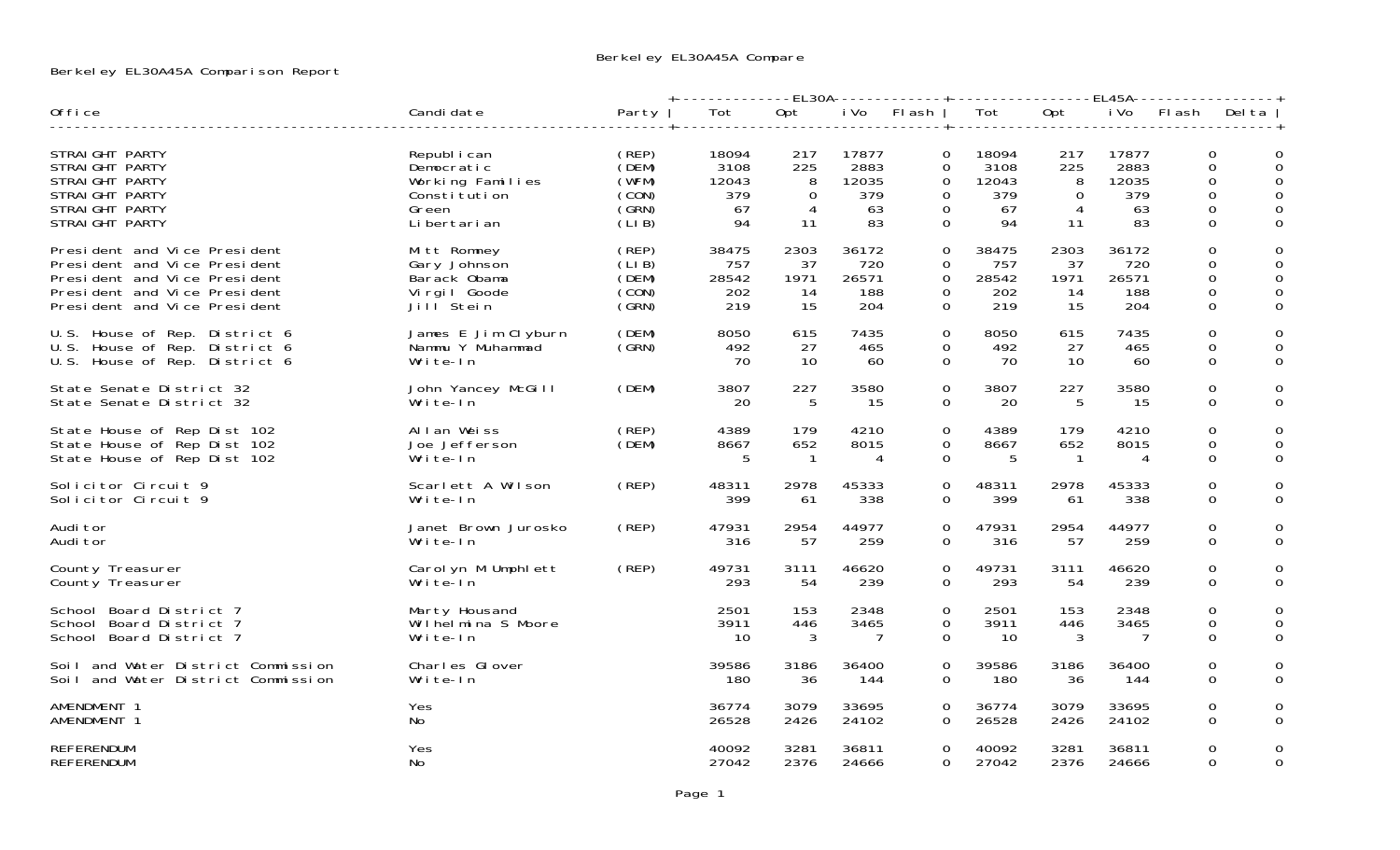## Berkeley EL30A45A Comparison Report

|                                                                                                                                                              |                                                                                          |                                                    | +-------------EL30A-------------+------------------EL45A- |                                        |                                           |                                                               |                                           |                                        |                                           |                                                 |                                                          |
|--------------------------------------------------------------------------------------------------------------------------------------------------------------|------------------------------------------------------------------------------------------|----------------------------------------------------|-----------------------------------------------------------|----------------------------------------|-------------------------------------------|---------------------------------------------------------------|-------------------------------------------|----------------------------------------|-------------------------------------------|-------------------------------------------------|----------------------------------------------------------|
| Office                                                                                                                                                       | Candi date                                                                               | Party                                              | Tot                                                       | Opt                                    |                                           | i Vo Flash                                                    | Tot                                       | Opt                                    | i Vo                                      | Flash Delta                                     |                                                          |
| STRAIGHT PARTY<br>STRAIGHT PARTY<br>STRAIGHT PARTY<br>STRAIGHT PARTY<br>STRAIGHT PARTY<br>STRAIGHT PARTY                                                     | Republ i can<br>Democratic<br>Working Families<br>Constitution<br>Green<br>Li bertari an | (REP)<br>(DEM)<br>(WFM)<br>(CON)<br>(GRN)<br>(LIB) | 18094<br>3108<br>12043<br>379<br>67<br>94                 | 217<br>225<br>8<br>$\Omega$<br>4<br>11 | 17877<br>2883<br>12035<br>379<br>63<br>83 | $\Omega$<br>0<br>$\Omega$<br>$\Omega$<br>$\Omega$<br>$\Omega$ | 18094<br>3108<br>12043<br>379<br>67<br>94 | 217<br>225<br>8<br>$\Omega$<br>4<br>11 | 17877<br>2883<br>12035<br>379<br>63<br>83 | $\Omega$<br>0<br>0<br>$\Omega$<br>0<br>$\Omega$ | 0<br>$\Omega$<br>$\Omega$<br>$\Omega$<br>0<br>$\Omega$   |
| President and Vice President<br>President and Vice President<br>President and Vice President<br>President and Vice President<br>President and Vice President | Mitt Romney<br>Gary Johnson<br>Barack Obama<br>Virgil Goode<br>Jill <sup>Stein</sup>     | (REP)<br>(LIB)<br>(DEM)<br>(CON)<br>(GRN)          | 38475<br>757<br>28542<br>202<br>219                       | 2303<br>37<br>1971<br>14<br>15         | 36172<br>720<br>26571<br>188<br>204       | $\mathbf 0$<br>$\Omega$<br>$\Omega$<br>0<br>$\mathbf 0$       | 38475<br>757<br>28542<br>202<br>219       | 2303<br>37<br>1971<br>14<br>15         | 36172<br>720<br>26571<br>188<br>204       | $\mathbf 0$<br>0<br>$\Omega$<br>0<br>0          | $\Omega$<br>$\Omega$<br>$\Omega$<br>$\Omega$<br>$\Omega$ |
| U.S. House of Rep. District 6<br>U.S. House of Rep. District 6<br>U.S. House of Rep. District 6                                                              | James E Jim Clyburn<br>Nammu Y Muhammad<br>Write-In                                      | (DEM)<br>(SRN)                                     | 8050<br>492<br>70                                         | 615<br>27<br>10                        | 7435<br>465<br>60                         | 0<br>$\Omega$<br>$\Omega$                                     | 8050<br>492<br>70                         | 615<br>27<br>10                        | 7435<br>465<br>60                         | 0<br>0<br>0                                     | $\Omega$<br>$\Omega$<br>$\Omega$                         |
| State Senate District 32<br>State Senate District 32                                                                                                         | John Yancey McGill<br>Write-In                                                           | (DEM)                                              | 3807<br><b>20</b>                                         | 227<br>-5                              | 3580<br>15                                | $\overline{0}$<br>$\mathbf{O}$                                | 3807<br><b>20</b>                         | 227<br>-5                              | 3580<br>-15                               | $\overline{0}$<br>$\Omega$                      | 0<br>$\Omega$                                            |
| State House of Rep Dist 102<br>State House of Rep Dist 102<br>State House of Rep Dist 102                                                                    | Allan Weiss<br>Joe Jefferson<br>Write-In                                                 | (REP)<br>(DEM)                                     | 4389<br>8667<br>-5                                        | 179<br>652<br>$\overline{1}$           | 4210<br>8015<br>4                         | $\mathsf{O}$<br>$\overline{0}$<br>$\mathbf{O}$                | 4389<br>8667<br>-5                        | 179<br>652<br>$\overline{1}$           | 4210<br>8015<br>4                         | 0<br>0<br>$\mathbf 0$                           | 0<br>$\Omega$<br>$\Omega$                                |
| Solicitor Circuit 9<br>Solicitor Circuit 9                                                                                                                   | Scarlett A Wilson<br>Write-In                                                            | (REP)                                              | 48311<br>399                                              | 2978<br>61                             | 45333<br>338                              | 0<br>$\Omega$                                                 | 48311<br>399                              | 2978<br>61                             | 45333<br>338                              | 0<br>$\Omega$                                   | $\Omega$                                                 |
| Audi tor<br>Audi tor                                                                                                                                         | Janet Brown Jurosko<br>Write-In                                                          | (REP)                                              | 47931<br>316                                              | 2954<br>57                             | 44977<br>259                              | $\Omega$<br>$\Omega$                                          | 47931<br>316                              | 2954<br>-57                            | 44977<br>259                              | $\Omega$<br>$\Omega$                            | $\Omega$<br>$\Omega$                                     |
| County Treasurer<br>County Treasurer                                                                                                                         | Carolyn M Umphlett<br>Write-In                                                           | (REP)                                              | 49731<br>293                                              | 3111<br>54                             | 46620<br>239                              | $\Omega$<br>$\Omega$                                          | 49731<br>293                              | 3111<br>54                             | 46620<br>239                              | 0<br>$\mathbf{O}$                               | 0<br>$\Omega$                                            |
| School Board District 7<br>School Board District 7<br>School Board District 7                                                                                | Marty Housand<br>Wilhelmina S Moore<br>Write-In                                          |                                                    | 2501<br>3911<br>10                                        | 153<br>446<br>3                        | 2348<br>3465<br>7                         | $\overline{0}$<br>$\Omega$<br>$\mathbf{0}$                    | 2501<br>3911<br>10                        | 153<br>446<br>3                        | 2348<br>3465                              | $\mathsf{O}$<br>0<br>$\mathbf 0$                | $\Omega$<br>$\Omega$<br>$\Omega$                         |
| Soil and Water District Commission<br>Soil and Water District Commission                                                                                     | Charles Glover<br>Write-In                                                               |                                                    | 39586<br>180                                              | 3186<br>36                             | 36400<br>144                              | $\mathbf 0$<br>$\Omega$                                       | 39586<br>180                              | 3186<br>36                             | 36400<br>144                              | 0<br>$\Omega$                                   | $\Omega$                                                 |
| AMENDMENT 1<br>AMENDMENT 1                                                                                                                                   | Yes<br>No                                                                                |                                                    | 36774<br>26528                                            | 3079<br>2426                           | 33695<br>24102                            | $\Omega$<br>$\mathbf{O}$                                      | 36774<br>26528                            | 3079<br>2426                           | 33695<br>24102                            | $\Omega$<br>0                                   | 0<br>$\Omega$                                            |
| <b>REFERENDUM</b><br>REFERENDUM                                                                                                                              | Yes<br>No                                                                                |                                                    | 40092<br>27042                                            | 3281<br>2376                           | 36811<br>24666                            | $\mathbf{0}$<br>$\Omega$                                      | 40092<br>27042                            | 3281<br>2376                           | 36811<br>24666                            | 0<br>$\Omega$                                   | 0                                                        |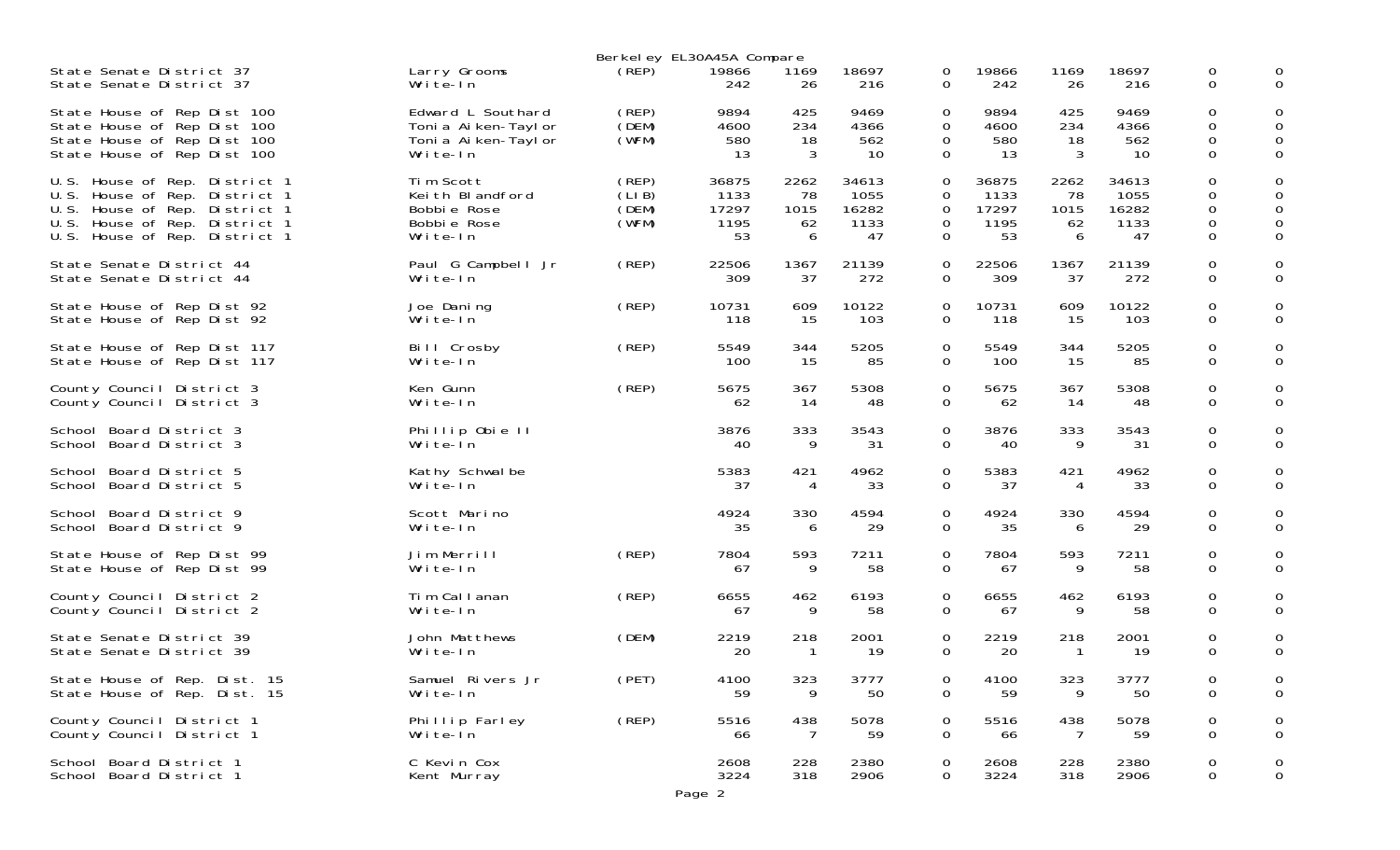|                                                                                                                                                                               |                                                                                 | Berkel ey EL30A45A Compare       |                                      |                               |                                      |                                 |                                      |                               |                                      |                                         |                       |
|-------------------------------------------------------------------------------------------------------------------------------------------------------------------------------|---------------------------------------------------------------------------------|----------------------------------|--------------------------------------|-------------------------------|--------------------------------------|---------------------------------|--------------------------------------|-------------------------------|--------------------------------------|-----------------------------------------|-----------------------|
| State Senate District 37                                                                                                                                                      | Larry Grooms                                                                    | (REP)                            | 19866                                | 1169                          | 18697                                | 0                               | 19866                                | 1169                          | 18697                                | 0                                       | 0                     |
| State Senate District 37                                                                                                                                                      | Write-In                                                                        |                                  | 242                                  | 26                            | 216                                  | 0                               | 242                                  | 26                            | 216                                  | $\mathbf 0$                             | $\Omega$              |
| State House of Rep Dist 100<br>State House of Rep Dist 100<br>State House of Rep Dist 100<br>State House of Rep Dist 100                                                      | Edward L Southard<br>Toni a Ai ken-Tayl or<br>Toni a Ai ken-Tayl or<br>Write-In | (REP)<br>(DEM)<br>(WFM)          | 9894<br>4600<br>580<br>13            | 425<br>234<br>18<br>3         | 9469<br>4366<br>562<br>10            | 0<br>0<br>0<br>$\overline{0}$   | 9894<br>4600<br>580<br>13            | 425<br>234<br>18<br>3         | 9469<br>4366<br>562<br>10            | $\mathbf 0$<br>0<br>0<br>$\overline{0}$ | 0<br>0<br>0<br>0      |
| House of Rep. District 1<br>U.S.<br>U.S.<br>House of Rep. District 1<br>House of Rep. District 1<br>U.S.<br>House of Rep. District 1<br>U.S.<br>U.S. House of Rep. District 1 | Tim Scott<br>Keith Blandford<br>Bobbie Rose<br>Bobbie Rose<br>Write-In          | (REP)<br>(LIB)<br>(DEM)<br>(WFM) | 36875<br>1133<br>17297<br>1195<br>53 | 2262<br>78<br>1015<br>62<br>6 | 34613<br>1055<br>16282<br>1133<br>47 | 0<br>0<br>0<br>0<br>$\mathbf 0$ | 36875<br>1133<br>17297<br>1195<br>53 | 2262<br>78<br>1015<br>62<br>6 | 34613<br>1055<br>16282<br>1133<br>47 | 0<br>0<br>0<br>0<br>$\Omega$            | 0<br>0<br>0<br>0<br>0 |
| State Senate District 44                                                                                                                                                      | Paul G Campbell Jr                                                              | (REP)                            | 22506                                | 1367                          | 21139                                | 0                               | 22506                                | 1367                          | 21139                                | $\mathbf 0$                             | 0                     |
| State Senate District 44                                                                                                                                                      | Write-In                                                                        |                                  | 309                                  | 37                            | 272                                  | 0                               | 309                                  | 37                            | 272                                  | 0                                       | $\Omega$              |
| State House of Rep Dist 92                                                                                                                                                    | Joe Daning                                                                      | (REP)                            | 10731                                | 609                           | 10122                                | 0                               | 10731                                | 609                           | 10122                                | $\mathbf 0$                             | 0                     |
| State House of Rep Dist 92                                                                                                                                                    | Write-In                                                                        |                                  | 118                                  | 15                            | 103                                  | 0                               | 118                                  | 15                            | 103                                  | 0                                       | $\mathbf 0$           |
| State House of Rep Dist 117                                                                                                                                                   | Bill Crosby                                                                     | (REP)                            | 5549                                 | 344                           | 5205                                 | 0                               | 5549                                 | 344                           | 5205                                 | $\mathbf 0$                             | 0                     |
| State House of Rep Dist 117                                                                                                                                                   | Write-In                                                                        |                                  | 100                                  | 15                            | 85                                   | 0                               | 100                                  | 15                            | 85                                   | $\Omega$                                | $\Omega$              |
| County Council District 3                                                                                                                                                     | Ken Gunn                                                                        | (REP)                            | 5675                                 | 367                           | 5308                                 | $\mathbf 0$                     | 5675                                 | 367                           | 5308                                 | $\mathbf 0$                             | 0                     |
| County Council District 3                                                                                                                                                     | Write-In                                                                        |                                  | 62                                   | 14                            | 48                                   | 0                               | 62                                   | 14                            | 48                                   | $\mathbf 0$                             | $\overline{0}$        |
| School Board District 3                                                                                                                                                       | Phillip Obie II                                                                 |                                  | 3876                                 | 333                           | 3543                                 | 0                               | 3876                                 | 333                           | 3543                                 | 0                                       | 0                     |
| School Board District 3                                                                                                                                                       | Write-In                                                                        |                                  | 40                                   | 9                             | 31                                   | $\mathbf 0$                     | 40                                   | 9                             | 31                                   | $\Omega$                                | $\Omega$              |
| School Board District 5                                                                                                                                                       | Kathy Schwalbe                                                                  |                                  | 5383                                 | 421                           | 4962                                 | $\mathbf 0$                     | 5383                                 | 421                           | 4962                                 | $\mathbf 0$                             | 0                     |
| School Board District 5                                                                                                                                                       | Write-In                                                                        |                                  | 37                                   | 4                             | 33                                   | 0                               | 37                                   | 4                             | 33                                   | $\mathbf 0$                             | $\mathbf 0$           |
| School Board District 9                                                                                                                                                       | Scott Marino                                                                    |                                  | 4924                                 | 330                           | 4594                                 | 0                               | 4924                                 | 330                           | 4594                                 | $\mathbf 0$                             | 0                     |
| School Board District 9                                                                                                                                                       | Write-In                                                                        |                                  | 35                                   | 6                             | 29                                   | 0                               | 35                                   | 6                             | 29                                   | $\mathbf 0$                             | $\overline{0}$        |
| State House of Rep Dist 99                                                                                                                                                    | Jim Merrill                                                                     | (REP)                            | 7804                                 | 593                           | 7211                                 | $\mathbf 0$                     | 7804                                 | 593                           | 7211                                 | $\mathbf 0$                             | 0                     |
| State House of Rep Dist 99                                                                                                                                                    | Write-In                                                                        |                                  | 67                                   | 9                             | 58                                   | 0                               | 67                                   | 9                             | 58                                   | $\mathbf 0$                             | $\mathbf 0$           |
| County Council District 2                                                                                                                                                     | Tim Callanan                                                                    | (REP)                            | 6655                                 | 462                           | 6193                                 | 0                               | 6655                                 | 462                           | 6193                                 | $\mathbf 0$                             | 0                     |
| County Council District 2                                                                                                                                                     | Write-In                                                                        |                                  | 67                                   | 9                             | 58                                   | 0                               | 67                                   | 9                             | 58                                   | $\mathbf 0$                             | $\mathbf 0$           |
| State Senate District 39                                                                                                                                                      | John Matthews                                                                   | (DEM)                            | 2219                                 | 218                           | 2001                                 | 0                               | 2219                                 | 218                           | 2001                                 | 0                                       | 0                     |
| State Senate District 39                                                                                                                                                      | Write-In                                                                        |                                  | 20                                   | -1                            | 19                                   | 0                               | 20                                   | -1                            | 19                                   | 0                                       | $\Omega$              |
| State House of Rep. Dist. 15<br>State House of Rep. Dist. 15                                                                                                                  | Samuel Rivers Jr<br>Write-In                                                    | (PET)                            | 4100<br>59                           | 323<br>9                      | 3777<br>50                           | 0<br>$\mathbf 0$                | 4100<br>59                           | 323<br>9                      | 3777<br>50                           | 0<br>$\mathbf 0$                        | 0                     |
| County Council District 1                                                                                                                                                     | Phillip Farley                                                                  | (REP)                            | 5516                                 | 438                           | 5078                                 | 0                               | 5516                                 | 438                           | 5078                                 | 0                                       | 0                     |
| County Council District 1                                                                                                                                                     | Write-In                                                                        |                                  | 66                                   | 7                             | 59                                   | $\mathbf 0$                     | 66                                   | 7                             | 59                                   | $\mathsf{O}$                            | 0                     |
| School Board District 1<br>School Board District 1                                                                                                                            | C Kevin Cox<br>Kent Murray                                                      |                                  | 2608<br>3224<br>Page 2               | 228<br>318                    | 2380<br>2906                         | 0<br>$\mathbf 0$                | 2608<br>3224                         | 228<br>318                    | 2380<br>2906                         | 0<br>0                                  | 0<br>0                |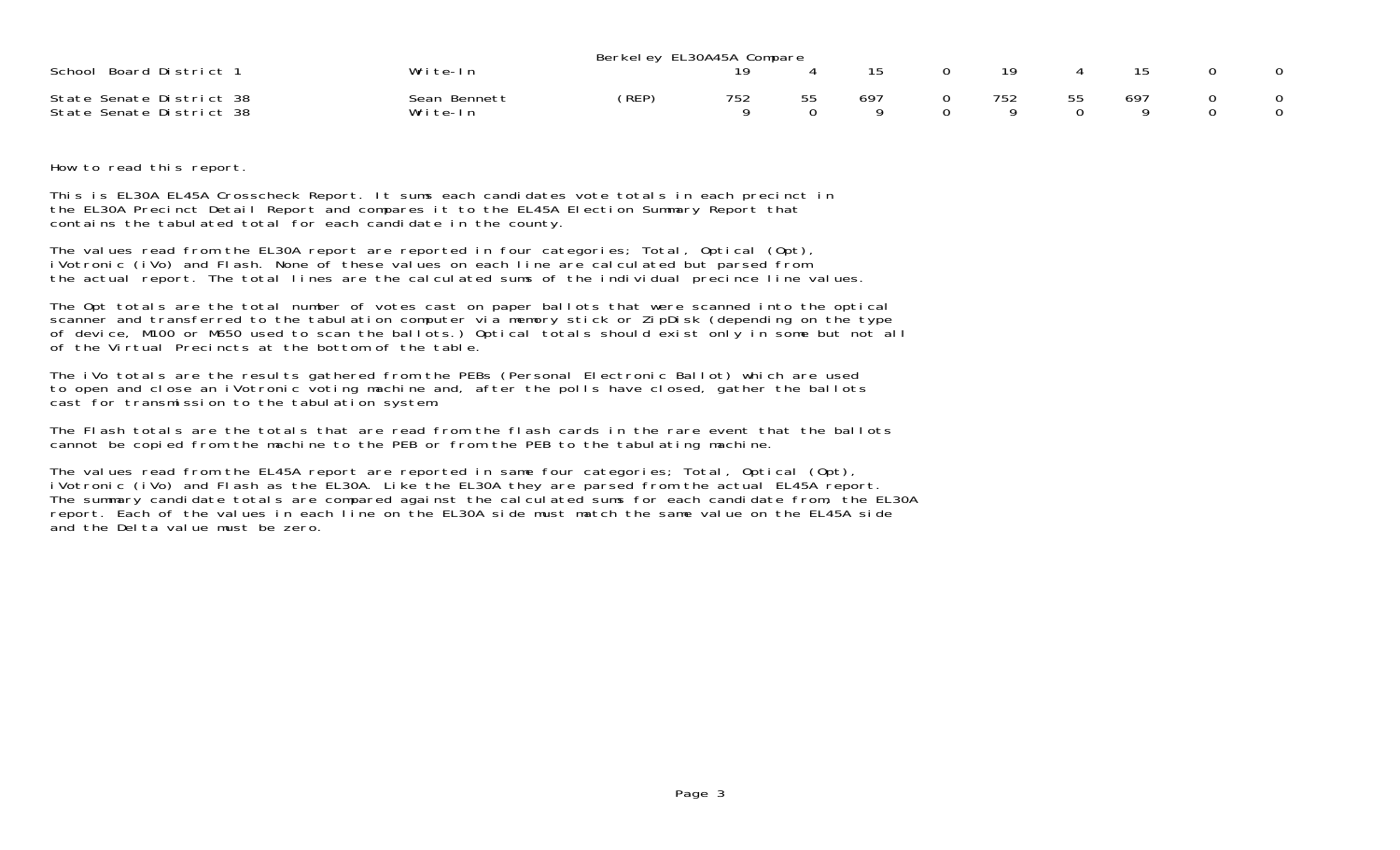|                                                      |                          | Berkeley EL30A45A Compare |     |     |     |    |     |  |
|------------------------------------------------------|--------------------------|---------------------------|-----|-----|-----|----|-----|--|
| School Board District 1                              | Write-In                 |                           |     |     | 19  |    |     |  |
| State Senate District 38<br>State Senate District 38 | Sean Bennett<br>Write-In | (REP)                     | 752 | 697 | 752 | 55 | 697 |  |

How to read this report.

This is EL30A EL45A Crosscheck Report. It sums each candidates vote totals in each precinct in the EL30A Precinct Detail Report and compares it to the EL45A Election Summary Report that contains the tabulated total for each candidate in the county.

The values read from the EL30A report are reported in four categories; Total, Optical (Opt), iVotronic (iVo) and Flash. None of these values on each line are calculated but parsed from the actual report. The total lines are the calculated sums of the individual precince line values.

The Opt totals are the total number of votes cast on paper ballots that were scanned into the optical scanner and transferred to the tabulation computer via memory stick or ZipDisk (depending on the type of device, M100 or M650 used to scan the ballots.) Optical totals should exist only in some but not all of the Virtual Precincts at the bottom of the table.

The iVo totals are the results gathered from the PEBs (Personal Electronic Ballot) which are used to open and close an iVotronic voting machine and, after the polls have closed, gather the ballots cast for transmission to the tabulation system.

The Flash totals are the totals that are read from the flash cards in the rare event that the ballots cannot be copied from the machine to the PEB or from the PEB to the tabulating machine.

The values read from the EL45A report are reported in same four categories; Total, Optical (Opt), iVotronic (iVo) and Flash as the EL30A. Like the EL30A they are parsed from the actual EL45A report. The summary candidate totals are compared against the calculated sums for each candidate from, the EL30A report. Each of the values in each line on the EL30A side must match the same value on the EL45A side and the Delta value must be zero.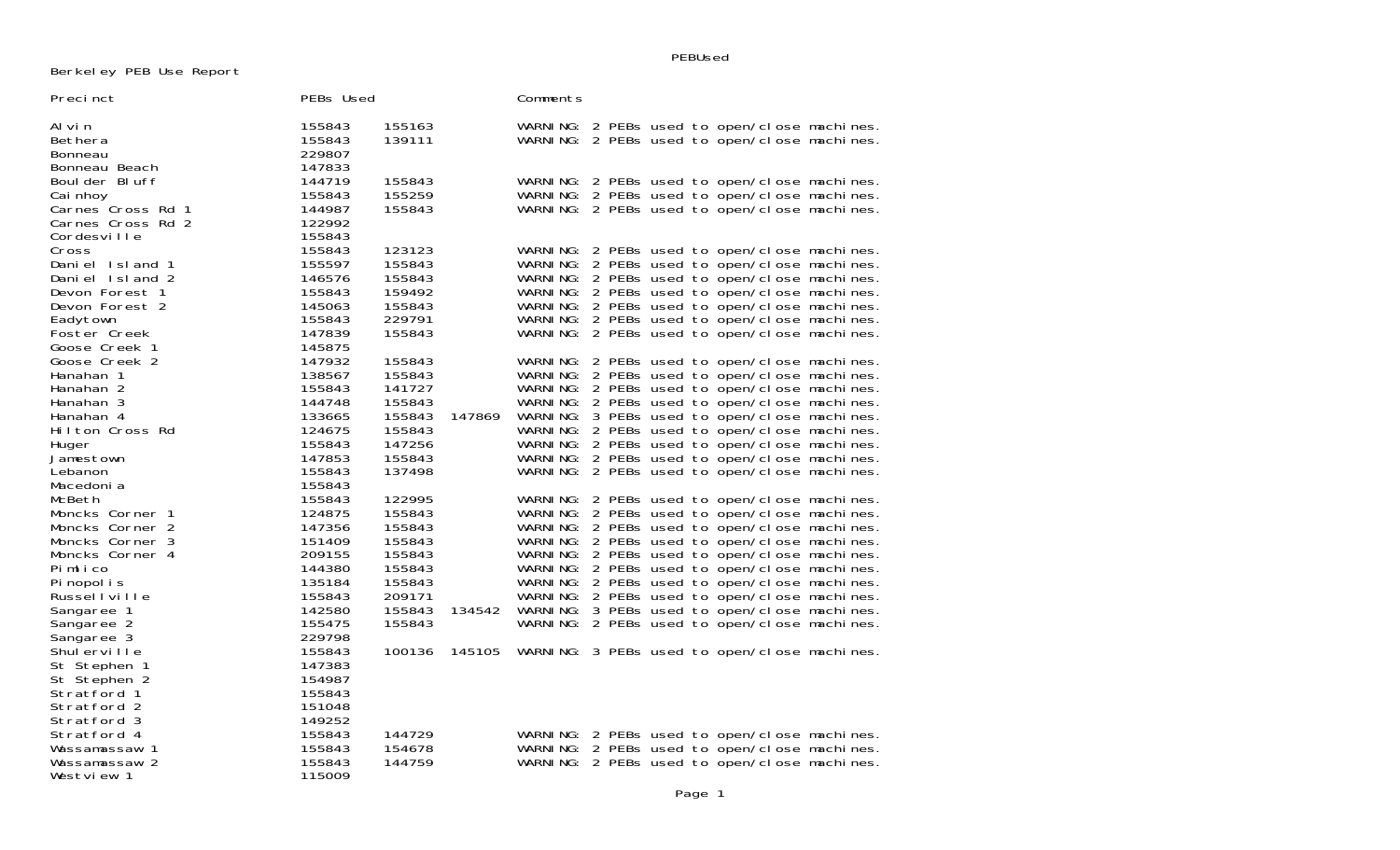PEBUsed

Berkeley PEB Use Report

| Precinct                           | PEBs Used        |                  |        | Comments |  |  |  |                                                                                              |
|------------------------------------|------------------|------------------|--------|----------|--|--|--|----------------------------------------------------------------------------------------------|
| Al vi n                            | 155843           | 155163           |        |          |  |  |  | WARNING: 2 PEBs used to open/close machines.                                                 |
| Bethera                            | 155843           | 139111           |        |          |  |  |  | WARNING: 2 PEBs used to open/close machines.                                                 |
| Bonneau                            | 229807           |                  |        |          |  |  |  |                                                                                              |
| Bonneau Beach                      | 147833           |                  |        |          |  |  |  |                                                                                              |
| Boul der Bluff                     | 144719           | 155843           |        |          |  |  |  | WARNING: 2 PEBs used to open/close machines.                                                 |
| Cai nhoy                           | 155843           | 155259           |        |          |  |  |  | WARNING: 2 PEBs used to open/close machines.                                                 |
| Carnes Cross Rd 1                  | 144987           | 155843           |        |          |  |  |  | WARNING: 2 PEBs used to open/close machines.                                                 |
| Carnes Cross Rd 2                  | 122992<br>155843 |                  |        |          |  |  |  |                                                                                              |
| Cordesville                        | 155843           | 123123           |        |          |  |  |  |                                                                                              |
| Cross<br>Daniel Island 1           | 155597           | 155843           |        |          |  |  |  | WARNING: 2 PEBs used to open/close machines.<br>WARNING: 2 PEBs used to open/close machines. |
| Daniel Island 2                    | 146576           | 155843           |        |          |  |  |  | WARNING: 2 PEBs used to open/close machines.                                                 |
| Devon Forest 1                     | 155843           | 159492           |        |          |  |  |  | WARNING: 2 PEBs used to open/close machines.                                                 |
| Devon Forest 2                     | 145063           | 155843           |        |          |  |  |  | WARNING: 2 PEBs used to open/close machines.                                                 |
| Eadytown                           | 155843           | 229791           |        |          |  |  |  | WARNING: 2 PEBs used to open/close machines.                                                 |
| Foster Creek                       | 147839           | 155843           |        |          |  |  |  | WARNING: 2 PEBs used to open/close machines.                                                 |
| Goose Creek 1                      | 145875           |                  |        |          |  |  |  |                                                                                              |
| Goose Creek 2                      | 147932           | 155843           |        |          |  |  |  | WARNING: 2 PEBs used to open/close machines.                                                 |
| Hanahan 1                          | 138567           | 155843           |        |          |  |  |  | WARNING: 2 PEBs used to open/close machines.                                                 |
| Hanahan 2                          | 155843           | 141727           |        |          |  |  |  | WARNING: 2 PEBs used to open/close machines.                                                 |
| Hanahan 3                          | 144748           | 155843           |        |          |  |  |  | WARNING: 2 PEBs used to open/close machines.                                                 |
| Hanahan 4                          | 133665           | 155843           | 147869 |          |  |  |  | WARNING: 3 PEBs used to open/close machines.                                                 |
| Hilton Cross Rd                    | 124675           | 155843           |        |          |  |  |  | WARNING: 2 PEBs used to open/close machines.                                                 |
| Huger                              | 155843           | 147256           |        |          |  |  |  | WARNING: 2 PEBs used to open/close machines.                                                 |
| Jamestown                          | 147853           | 155843           |        |          |  |  |  | WARNING: 2 PEBs used to open/close machines.                                                 |
| Lebanon                            | 155843           | 137498           |        |          |  |  |  | WARNING: 2 PEBs used to open/close machines.                                                 |
| Macedoni a                         | 155843           |                  |        |          |  |  |  |                                                                                              |
| McBeth                             | 155843           | 122995           |        |          |  |  |  | WARNING: 2 PEBs used to open/close machines.                                                 |
| Moncks Corner 1                    | 124875           | 155843           |        |          |  |  |  | WARNING: 2 PEBs used to open/close machines.                                                 |
| Moncks Corner 2                    | 147356           | 155843           |        |          |  |  |  | WARNING: 2 PEBs used to open/close machines.                                                 |
| Moncks Corner 3<br>Moncks Corner 4 | 151409<br>209155 | 155843           |        |          |  |  |  | WARNING: 2 PEBs used to open/close machines.                                                 |
| Pimlico                            | 144380           | 155843<br>155843 |        |          |  |  |  | WARNING: 2 PEBs used to open/close machines.<br>WARNING: 2 PEBs used to open/close machines. |
| Pi nopol i s                       | 135184           | 155843           |        |          |  |  |  | WARNING: 2 PEBs used to open/close machines.                                                 |
| Russellville                       | 155843           | 209171           |        |          |  |  |  | WARNING: 2 PEBs used to open/close machines.                                                 |
| Sangaree 1                         | 142580           | 155843           | 134542 |          |  |  |  | WARNING: 3 PEBs used to open/close machines.                                                 |
| Sangaree 2                         | 155475           | 155843           |        |          |  |  |  | WARNING: 2 PEBs used to open/close machines.                                                 |
| Sangaree 3                         | 229798           |                  |        |          |  |  |  |                                                                                              |
| Shulerville                        | 155843           | 100136           | 145105 |          |  |  |  | WARNING: 3 PEBs used to open/close machines.                                                 |
| St Stephen 1                       | 147383           |                  |        |          |  |  |  |                                                                                              |
| St Stephen 2                       | 154987           |                  |        |          |  |  |  |                                                                                              |
| Stratford 1                        | 155843           |                  |        |          |  |  |  |                                                                                              |
| Stratford 2                        | 151048           |                  |        |          |  |  |  |                                                                                              |
| Stratford 3                        | 149252           |                  |        |          |  |  |  |                                                                                              |
| Stratford 4                        | 155843           | 144729           |        |          |  |  |  | WARNING: 2 PEBs used to open/close machines.                                                 |
| Wassamassaw 1                      | 155843           | 154678           |        |          |  |  |  | WARNING: 2 PEBs used to open/close machines.                                                 |
| Wassamassaw 2                      | 155843           | 144759           |        |          |  |  |  | WARNING: 2 PEBs used to open/close machines.                                                 |
| Westview 1                         | 115009           |                  |        |          |  |  |  |                                                                                              |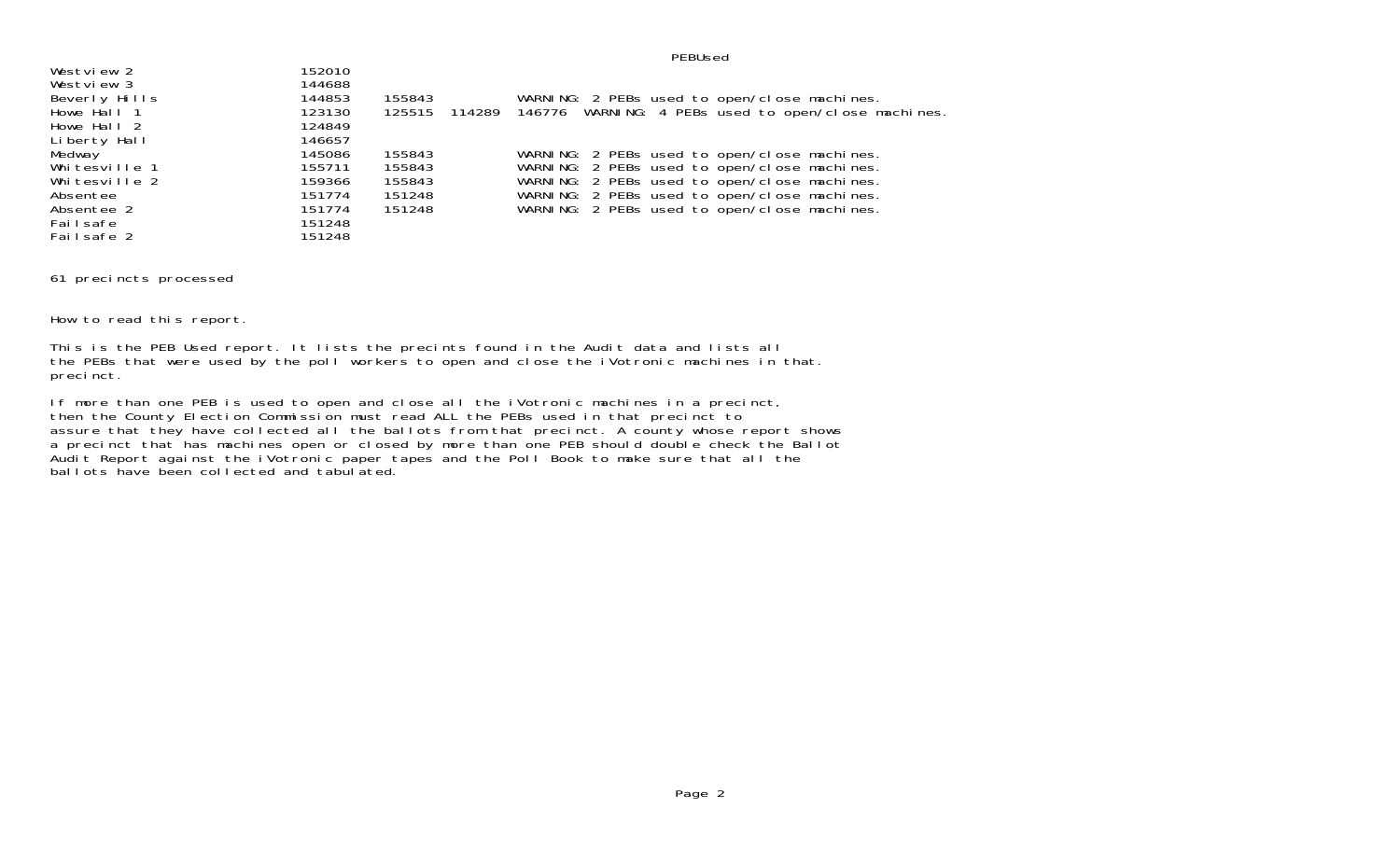| Westview 2    | 152010 |        |                                                            |
|---------------|--------|--------|------------------------------------------------------------|
| Westview 3    | 144688 |        |                                                            |
| Beverly Hills | 144853 | 155843 | WARNING: 2 PEBs used to open/close machines.               |
| Howe Hall 1   | 123130 | 125515 | 114289 146776 WARNING: 4 PEBs used to open/close machines. |
| Howe Hall 2   | 124849 |        |                                                            |
| Liberty Hall  | 146657 |        |                                                            |
| Medway        | 145086 | 155843 | WARNING: 2 PEBs used to open/close machines.               |
| Whitesville 1 | 155711 | 155843 | WARNING: 2 PEBs used to open/close machines.               |
| Whitesville 2 | 159366 | 155843 | WARNING: 2 PEBs used to open/close machines.               |
| Absentee      | 151774 | 151248 | WARNING: 2 PEBs used to open/close machines.               |
| Absentee 2    | 151774 | 151248 | WARNING: 2 PEBs used to open/close machines.               |
| Failsafe      | 151248 |        |                                                            |
| Failsafe 2    | 151248 |        |                                                            |

61 precincts processed

How to read this report.

This is the PEB Used report. It lists the precints found in the Audit data and lists all the PEBs that were used by the poll workers to open and close the iVotronic machines in that. precinct.

If more than one PEB is used to open and close all the iVotronic machines in a precinct, then the County Election Commission must read ALL the PEBs used in that precinct to assure that they have collected all the ballots from that precinct. A county whose report shows a precinct that has machines open or closed by more than one PEB should double check the Ballot Audit Report against the iVotronic paper tapes and the Poll Book to make sure that all the ballots have been collected and tabulated.

PEBUsed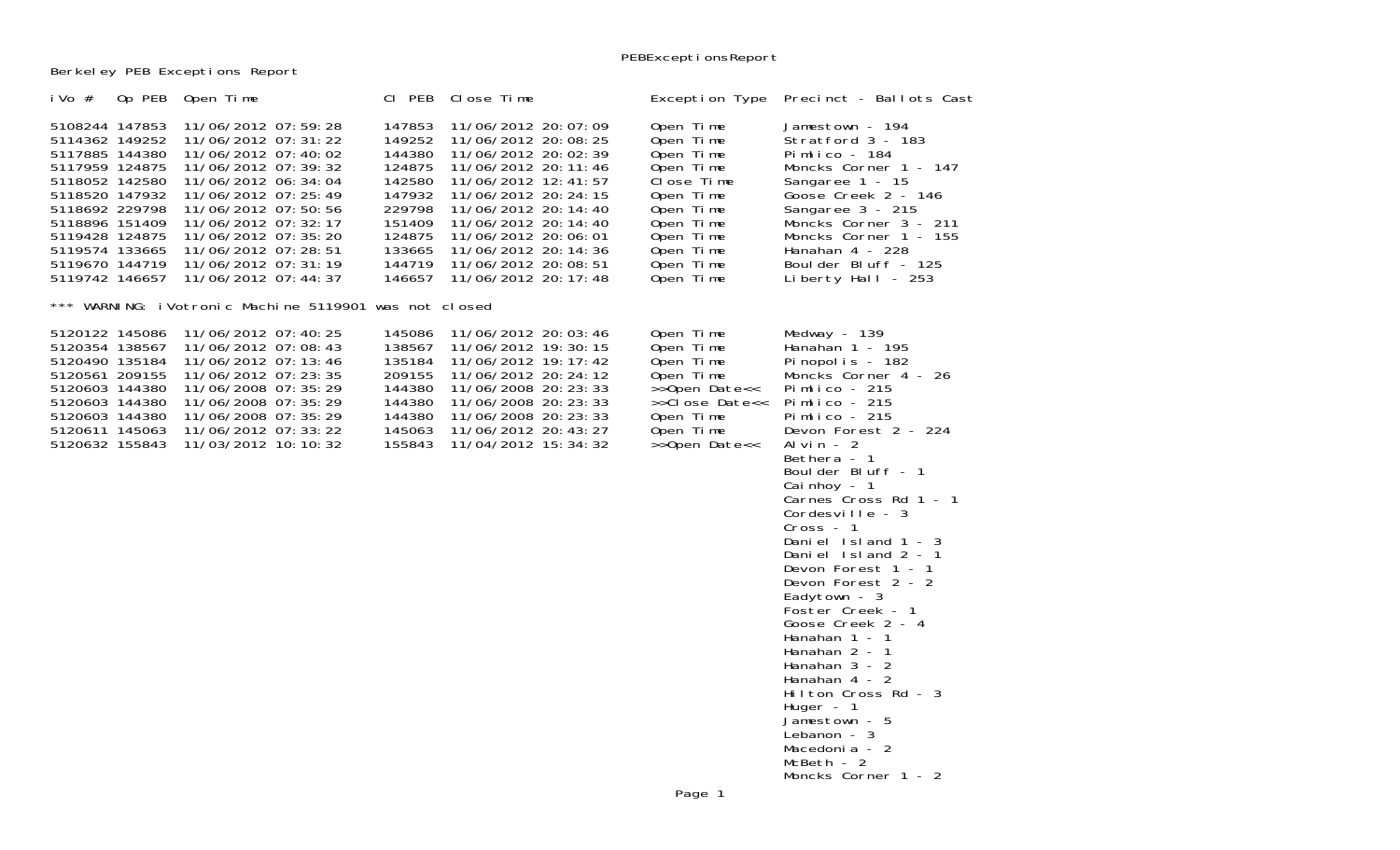Berkeley PEB Exceptions Report

| i Vo $#$                                                                                                                                                                                                             | Op PEB Open Time                                                                                                                                                                                                                                                                             | CI PEB                                                                                                               | Close Time                                                                                                                                                                                                                                                                                         |                                                                                                                                                           | Exception Type Precinct - Ballots Cast                                                                                                                                                                                                                                                                                                                                                                                                                                                                                                                                                                                                      |
|----------------------------------------------------------------------------------------------------------------------------------------------------------------------------------------------------------------------|----------------------------------------------------------------------------------------------------------------------------------------------------------------------------------------------------------------------------------------------------------------------------------------------|----------------------------------------------------------------------------------------------------------------------|----------------------------------------------------------------------------------------------------------------------------------------------------------------------------------------------------------------------------------------------------------------------------------------------------|-----------------------------------------------------------------------------------------------------------------------------------------------------------|---------------------------------------------------------------------------------------------------------------------------------------------------------------------------------------------------------------------------------------------------------------------------------------------------------------------------------------------------------------------------------------------------------------------------------------------------------------------------------------------------------------------------------------------------------------------------------------------------------------------------------------------|
| 5108244 147853<br>5114362 149252<br>5117885 144380<br>5117959 124875<br>5118052 142580<br>5118520 147932<br>5118692 229798<br>5118896 151409<br>5119428 124875<br>5119574 133665<br>5119670 144719<br>5119742 146657 | 11/06/2012 07:59:28<br>11/06/2012 07: 31: 22<br>11/06/2012 07:40:02<br>11/06/2012 07:39:32<br>11/06/2012 06: 34: 04<br>11/06/2012 07: 25: 49<br>11/06/2012 07:50:56<br>11/06/2012 07: 32: 17<br>11/06/2012 07: 35: 20<br>11/06/2012 07:28:51<br>11/06/2012 07: 31: 19<br>11/06/2012 07:44:37 | 147853<br>149252<br>144380<br>124875<br>142580<br>147932<br>229798<br>151409<br>124875<br>133665<br>144719<br>146657 | 11/06/2012 20: 07: 09<br>11/06/2012 20:08:25<br>11/06/2012 20: 02: 39<br>11/06/2012 20: 11: 46<br>11/06/2012 12: 41: 57<br>11/06/2012 20: 24: 15<br>11/06/2012 20: 14: 40<br>11/06/2012 20: 14: 40<br>11/06/2012 20:06:01<br>11/06/2012 20: 14: 36<br>11/06/2012 20:08:51<br>11/06/2012 20: 17: 48 | Open Time<br>Open Time<br>Open Time<br>Open Time<br>Close Time<br>Open Time<br>Open Time<br>Open Time<br>Open Time<br>Open Time<br>Open Time<br>Open Time | Jamestown - 194<br>Stratford 3 - 183<br>Pimlico - 184<br>Moncks Corner 1 - 147<br>Sangaree 1 - 15<br>Goose Creek 2 - 146<br>Sangaree 3 - 215<br>Moncks Corner 3 - 211<br>Moncks Corner 1 - 155<br>Hanahan $4 - 228$<br>Boulder Bluff - 125<br>Liberty Hall - $253$                                                                                                                                                                                                                                                                                                                                                                          |
|                                                                                                                                                                                                                      | *** WARNING: iVotronic Machine 5119901 was not closed                                                                                                                                                                                                                                        |                                                                                                                      |                                                                                                                                                                                                                                                                                                    |                                                                                                                                                           |                                                                                                                                                                                                                                                                                                                                                                                                                                                                                                                                                                                                                                             |
| 5120122 145086<br>5120354 138567<br>5120490 135184<br>5120561 209155<br>5120603 144380<br>5120603 144380<br>5120603 144380<br>5120611 145063<br>5120632 155843                                                       | 11/06/2012 07:40:25<br>11/06/2012 07:08:43<br>11/06/2012 07: 13: 46<br>11/06/2012 07: 23: 35<br>11/06/2008 07: 35: 29<br>11/06/2008 07:35:29<br>11/06/2008 07:35:29<br>11/06/2012 07: 33: 22<br>11/03/2012 10: 10: 32                                                                        | 145086<br>138567<br>135184<br>209155<br>144380<br>144380<br>144380<br>145063<br>155843                               | 11/06/2012 20: 03: 46<br>11/06/2012 19: 30: 15<br>11/06/2012 19: 17: 42<br>11/06/2012 20: 24: 12<br>11/06/2008 20: 23: 33<br>11/06/2008 20: 23: 33<br>11/06/2008 20: 23: 33<br>11/06/2012 20: 43: 27<br>11/04/2012 15: 34: 32                                                                      | Open Time<br>Open Time<br>Open Time<br>Open Time<br>>>Open Date<<<br>>>Close Date<<<br>Open Time<br>Open Time<br>>>Open Date<<                            | Medway - 139<br>Hanahan 1 - 195<br>Pinopolis - 182<br>Moncks Corner 4 - 26<br>Pimlico - 215<br>Pimlico - 215<br>Pimlico - 215<br>Devon Forest 2 - 224<br>Al vin - $2$<br>Bethera - 1<br>Boulder Bluff - 1<br>Cai nhoy $-1$<br>Carnes Cross Rd 1 - 1<br>Cordesville - 3<br>$Cross - 1$<br>Daniel Island 1 - 3<br>Daniel Island 2 - 1<br>Devon Forest 1 - 1<br>Devon Forest 2 - 2<br>Eadytown - 3<br>Foster Creek - 1<br>Goose Creek 2 - 4<br>Hanahan 1 - 1<br>Hanahan 2 - 1<br>Hanahan $3 - 2$<br>Hanahan 4 - 2<br>Hilton Cross Rd - 3<br>Huger $-1$<br>Jamestown - 5<br>Lebanon - 3<br>Macedonia - 2<br>$McBeth - 2$<br>Moncks Corner 1 - 2 |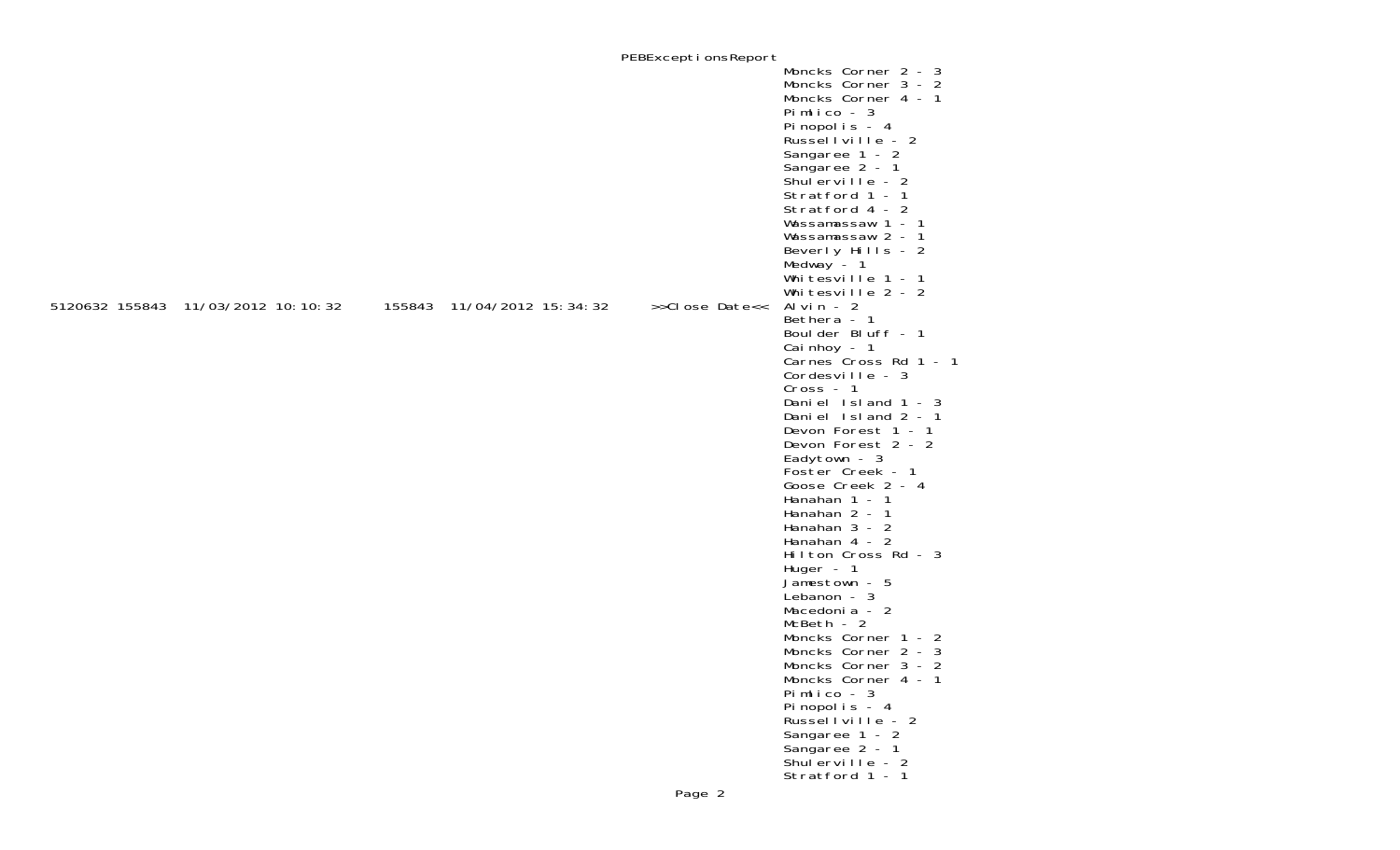|                                    |                            | PEBExceptionsReport      |                                                                                                                                                                                                                                                                                                                                                                                                                                                                                                                 |
|------------------------------------|----------------------------|--------------------------|-----------------------------------------------------------------------------------------------------------------------------------------------------------------------------------------------------------------------------------------------------------------------------------------------------------------------------------------------------------------------------------------------------------------------------------------------------------------------------------------------------------------|
|                                    |                            |                          | Moncks Corner 2 - 3<br>Moncks Corner 3 - 2<br>Moncks Corner 4 - 1<br>Pimlico - $3$<br>Pinopolis - 4<br>Russellville - 2<br>Sangaree 1 - 2<br>Sangaree 2 - 1<br>Shulerville - 2<br>Stratford 1 - 1<br>Stratford 4 - 2<br>Wassamassaw 1 - 1<br>Wassamassaw 2 - 1<br>Beverly Hills - 2<br>Medway - 1<br>Whitesville 1 - 1<br>Whitesville 2 - 2                                                                                                                                                                     |
| 5120632 155843 11/03/2012 10:10:32 | 155843 11/04/2012 15:34:32 | >>Close Date<< Alvin - 2 |                                                                                                                                                                                                                                                                                                                                                                                                                                                                                                                 |
|                                    |                            |                          | Bethera - 1<br>Boulder Bluff - 1<br>Cai nhoy $-1$<br>Carnes Cross Rd 1 - 1<br>Cordesville - 3<br>$Cross - 1$<br>Daniel Island 1 - 3<br>Daniel Island 2 - 1<br>Devon Forest 1 - 1<br>Devon Forest 2 - 2<br>Eadytown - 3<br>Foster Creek - 1<br>Goose Creek 2 - 4<br>Hanahan $1 - 1$<br>Hanahan 2 - 1<br>Hanahan $3 - 2$<br>Hanahan 4 - 2<br>Hilton Cross Rd - 3<br>Huger - 1<br>Jamestown - 5<br>Lebanon - 3<br>Macedonia - 2<br>McBeth - 2<br>Moncks Corner 1 - 2<br>Moncks Corner 2 - 3<br>Moncks Corner 3 - 2 |
|                                    |                            |                          | Moncks Corner 4 - 1<br>Pimlico - 3<br>Pinopolis - 4<br>Russellville - 2<br>Sangaree 1 - 2<br>Sangaree 2 - 1<br>Shulerville - $2$<br>Stratford 1 - 1                                                                                                                                                                                                                                                                                                                                                             |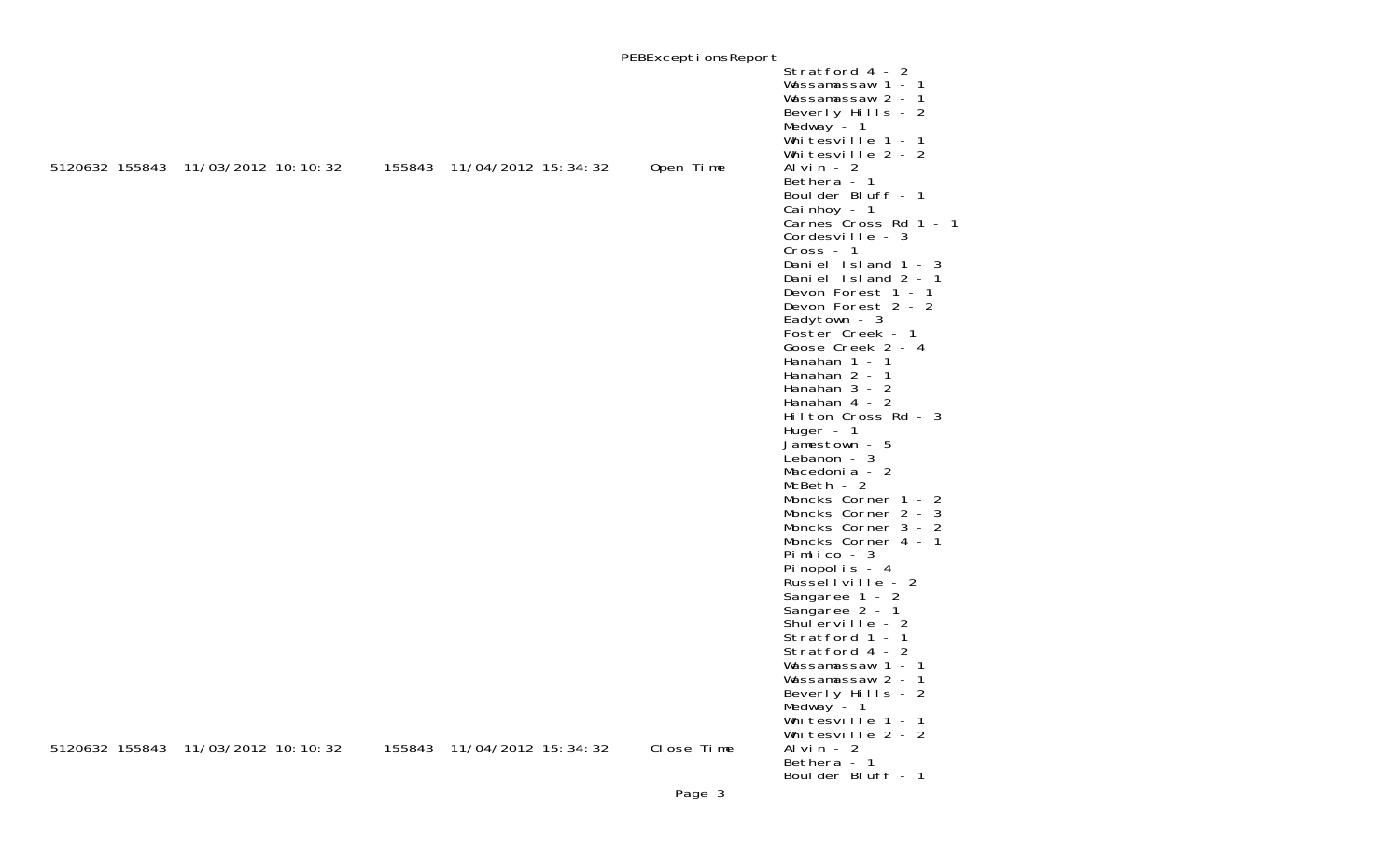|                                    |                            | PEBExceptionsReport |                                                                                                                                                                                                                                                                                                                                                                                                                                                                                                                                                                                                                                                                                                                                                                                                                                                  |
|------------------------------------|----------------------------|---------------------|--------------------------------------------------------------------------------------------------------------------------------------------------------------------------------------------------------------------------------------------------------------------------------------------------------------------------------------------------------------------------------------------------------------------------------------------------------------------------------------------------------------------------------------------------------------------------------------------------------------------------------------------------------------------------------------------------------------------------------------------------------------------------------------------------------------------------------------------------|
|                                    |                            |                     | Stratford 4 - 2<br>Wassamassaw 1 - 1<br>Wassamassaw 2 - 1<br>Beverly Hills - 2<br>Medway - 1<br>Whitesville 1 - 1<br>Whitesville 2 - 2                                                                                                                                                                                                                                                                                                                                                                                                                                                                                                                                                                                                                                                                                                           |
| 5120632 155843 11/03/2012 10:10:32 | 155843 11/04/2012 15:34:32 | Open Time           | Al vin $-2$<br>Bethera - 1<br>Boulder Bluff - 1<br>Cai nhoy - 1<br>Carnes Cross Rd 1 - 1<br>Cordesville - 3<br>$Cross - 1$<br>Daniel Island 1 - 3<br>Daniel Island 2 - 1<br>Devon Forest 1 - 1<br>Devon Forest 2 - 2<br>Eadytown - 3<br>Foster Creek - 1<br>Goose Creek 2 - 4<br>Hanahan 1 - 1<br>Hanahan 2 - 1<br>Hanahan $3 - 2$<br>Hanahan 4 - 2<br>Hilton Cross Rd - 3<br>Huger $-1$<br>Jamestown - 5<br>Lebanon - 3<br>Macedonia - 2<br>$McBeth - 2$<br>Moncks Corner 1 - 2<br>Moncks Corner 2 - 3<br>Moncks Corner 3 - 2<br>Moncks Corner 4 - 1<br>Pimlico - $3$<br>Pinopolis - 4<br>Russellville - 2<br>Sangaree 1 - 2<br>Sangaree 2 - 1<br>Shulerville - 2<br>Stratford 1 - 1<br>Stratford 4 - 2<br>Wassamassaw 1 - 1<br>Wassamassaw 2 - 1<br>Beverly Hills - 2<br>Medway $-1$<br>Whitesville 1 - 1<br>Whitesville 2 - 2<br>Al vin - $2$ |
| 5120632 155843 11/03/2012 10:10:32 | 155843 11/04/2012 15:34:32 | Close Time          | Bethera - 1<br>Boulder Bluff - 1                                                                                                                                                                                                                                                                                                                                                                                                                                                                                                                                                                                                                                                                                                                                                                                                                 |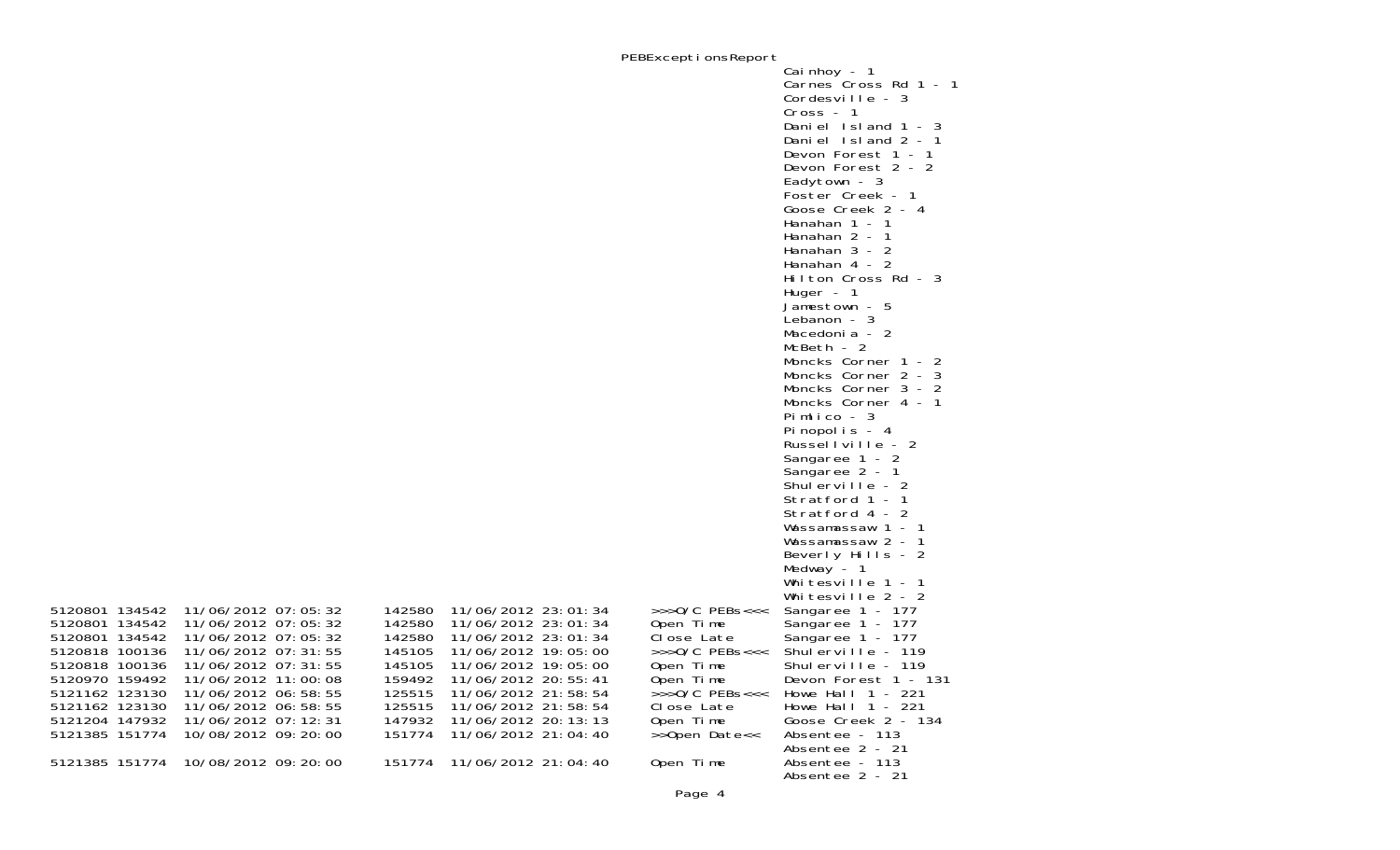PEBExceptionsReport

|                                                                                                          |                                                                                                                                            |                                                          |                                                                                                                                          |                                                                                             | Cai nhoy - 1<br>Carnes Cross Rd 1 - 1<br>Cordesville - 3<br>$Cross - 1$<br>Daniel Island 1 - 3<br>Daniel Island $2 - 1$<br>Devon Forest 1 - 1<br>Devon Forest 2 - 2<br>Eadytown - 3<br>Foster Creek - 1<br>Goose Creek 2 - 4<br>Hanahan 1 - 1<br>Hanahan 2 - 1<br>Hanahan 3 - 2<br>Hanahan 4 - 2<br>Hilton Cross Rd - 3<br>Huger - 1<br>Jamestown - 5<br>Lebanon - 3<br>Macedonia - 2<br>$McBeth - 2$<br>Moncks Corner 1 - 2<br>Moncks Corner 2 - 3<br>Moncks Corner 3 - 2<br>Moncks Corner 4 - 1 |
|----------------------------------------------------------------------------------------------------------|--------------------------------------------------------------------------------------------------------------------------------------------|----------------------------------------------------------|------------------------------------------------------------------------------------------------------------------------------------------|---------------------------------------------------------------------------------------------|---------------------------------------------------------------------------------------------------------------------------------------------------------------------------------------------------------------------------------------------------------------------------------------------------------------------------------------------------------------------------------------------------------------------------------------------------------------------------------------------------|
|                                                                                                          |                                                                                                                                            |                                                          |                                                                                                                                          |                                                                                             | Pimlico - 3<br>Pinopolis - 4<br>Russellville - 2<br>Sangaree 1 - 2<br>Sangaree 2 - 1                                                                                                                                                                                                                                                                                                                                                                                                              |
|                                                                                                          |                                                                                                                                            |                                                          |                                                                                                                                          |                                                                                             | Shulerville - 2<br>Stratford 1 - 1<br>Stratford 4 - 2<br>Wassamassaw 1 - 1<br>Wassamassaw 2 - 1                                                                                                                                                                                                                                                                                                                                                                                                   |
|                                                                                                          |                                                                                                                                            |                                                          |                                                                                                                                          |                                                                                             | Beverly Hills - 2<br>Medway $-1$<br>Whitesville 1 - 1<br>Whitesville 2 - 2                                                                                                                                                                                                                                                                                                                                                                                                                        |
| 5120801 134542<br>5120801 134542<br>5120801 134542<br>5120818 100136<br>5120818 100136<br>5120970 159492 | 11/06/2012 07:05:32<br>11/06/2012 07:05:32<br>11/06/2012 07:05:32<br>11/06/2012 07: 31: 55<br>11/06/2012 07: 31: 55<br>11/06/2012 11:00:08 | 142580<br>142580<br>142580<br>145105<br>145105<br>159492 | 11/06/2012 23:01:34<br>11/06/2012 23:01:34<br>11/06/2012 23:01:34<br>11/06/2012 19:05:00<br>11/06/2012 19:05:00<br>11/06/2012 20: 55: 41 | $>>$ >0/C PEBs<<<<br>Open Time<br>Close Late<br>$>>$ >O/C PEBs<<<<br>Open Time<br>Open Time | Sangaree 1 - 177<br>Sangaree 1 - 177<br>Sangaree 1 - 177<br>Shulerville - 119<br>Shulerville - 119<br>Devon Forest 1 - 131                                                                                                                                                                                                                                                                                                                                                                        |
| 5121162 123130<br>5121162 123130<br>5121204 147932<br>5121385 151774                                     | 11/06/2012 06:58:55<br>11/06/2012 06: 58: 55<br>11/06/2012 07: 12: 31<br>10/08/2012 09: 20: 00                                             | 125515<br>125515<br>147932<br>151774                     | 11/06/2012 21:58:54<br>11/06/2012 21:58:54<br>11/06/2012 20: 13: 13<br>11/06/2012 21:04:40                                               | $\rightarrow$ >>0/C PEBs<<<<br>Close Late<br>Open Time<br>>>Open Date<<                     | Howe Hall $1 - 221$<br>Howe Hall $1 - 221$<br>Goose Creek 2 - 134<br>Absentee - 113                                                                                                                                                                                                                                                                                                                                                                                                               |
| 5121385 151774                                                                                           | 10/08/2012 09: 20: 00                                                                                                                      | 151774                                                   | 11/06/2012 21:04:40                                                                                                                      | Open Time                                                                                   | Absentee 2 - 21<br>Absentee - 113<br>Absentee 2 - 21                                                                                                                                                                                                                                                                                                                                                                                                                                              |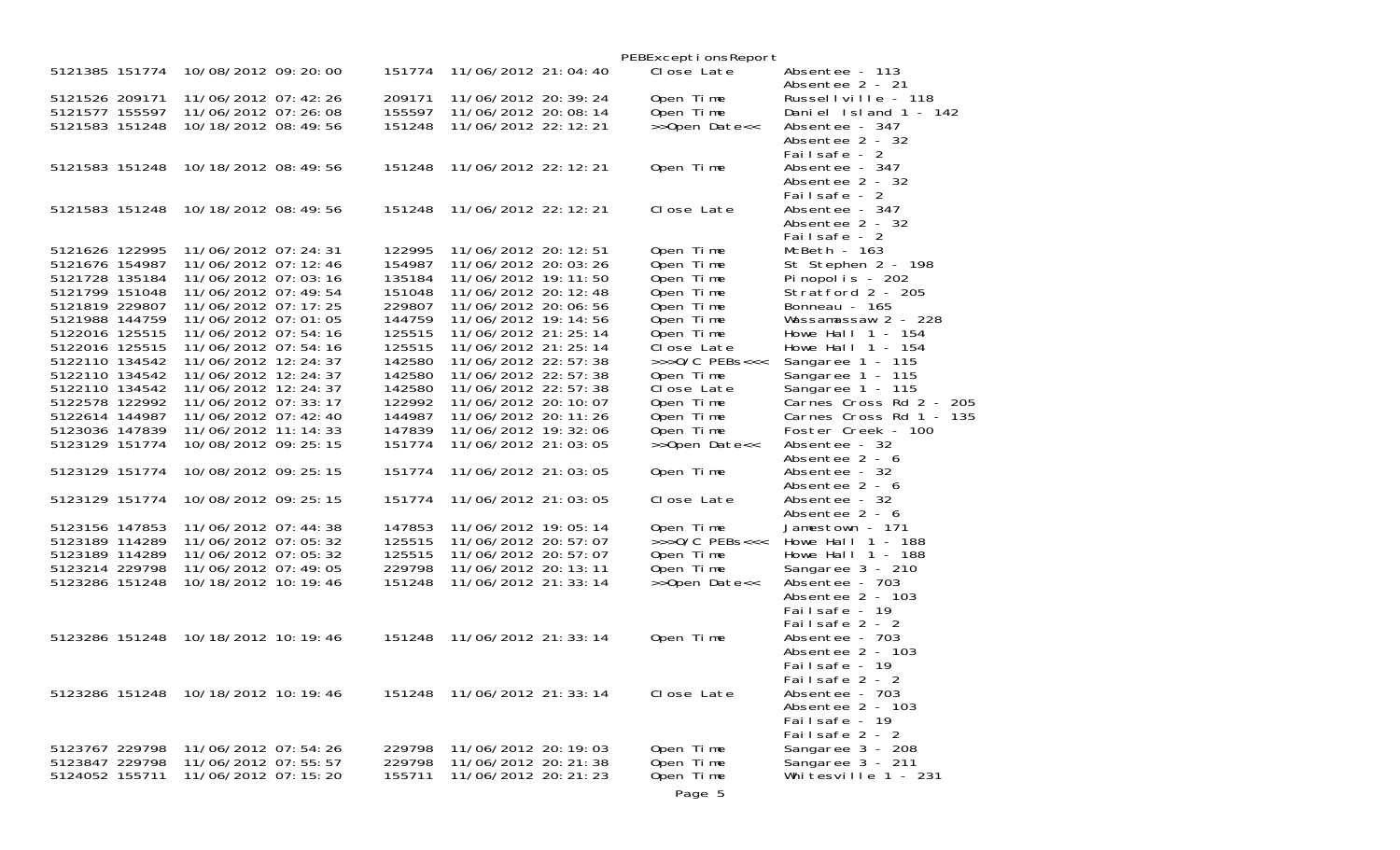|                                  |                                                |  |                  |                                                |  | PEBExceptionsReport         |                                               |
|----------------------------------|------------------------------------------------|--|------------------|------------------------------------------------|--|-----------------------------|-----------------------------------------------|
| 5121385 151774                   | 10/08/2012 09: 20: 00                          |  | 151774           | 11/06/2012 21:04:40                            |  | Close Late                  | Absentee - 113<br>Absentee 2 - 21             |
| 5121526 209171                   | 11/06/2012 07: 42: 26                          |  | 209171           | 11/06/2012 20: 39: 24                          |  | Open Time                   | Russellville - 118                            |
| 5121577 155597                   | 11/06/2012 07:26:08                            |  | 155597           | 11/06/2012 20:08:14                            |  | Open Time                   | Daniel Island 1 - 142                         |
| 5121583 151248                   | 10/18/2012 08:49:56                            |  | 151248           | 11/06/2012 22: 12: 21                          |  | >>Open Date<<               | Absentee - 347                                |
|                                  |                                                |  |                  |                                                |  |                             | Absentee 2 - 32                               |
|                                  |                                                |  |                  |                                                |  |                             | Failsafe - 2                                  |
| 5121583 151248                   | 10/18/2012 08:49:56                            |  | 151248           | 11/06/2012 22: 12: 21                          |  | Open Time                   | Absentee - 347                                |
|                                  |                                                |  |                  |                                                |  |                             | Absentee 2 - 32                               |
|                                  |                                                |  |                  |                                                |  |                             | Failsafe - 2                                  |
| 5121583 151248                   | 10/18/2012 08:49:56                            |  | 151248           | 11/06/2012 22: 12: 21                          |  | Close Late                  | Absentee - 347                                |
|                                  |                                                |  |                  |                                                |  |                             | Absentee 2 - 32                               |
|                                  |                                                |  |                  |                                                |  |                             | Failsafe - 2                                  |
| 5121626 122995                   | 11/06/2012 07: 24: 31                          |  | 122995           | 11/06/2012 20: 12: 51                          |  | Open Time                   | McBeth - 163                                  |
| 5121676 154987                   | 11/06/2012 07: 12: 46                          |  | 154987           | 11/06/2012 20: 03: 26                          |  | Open Time                   | St Stephen 2 - 198                            |
| 5121728 135184                   | 11/06/2012 07:03:16                            |  | 135184           | 11/06/2012 19: 11: 50                          |  | Open Time                   | Pinopolis - 202                               |
| 5121799 151048                   | 11/06/2012 07: 49: 54                          |  | 151048           | 11/06/2012 20: 12: 48                          |  | Open Time                   | Stratford 2 - 205                             |
| 5121819 229807                   | 11/06/2012 07: 17: 25                          |  | 229807           | 11/06/2012 20:06:56                            |  | Open Time                   | Bonneau - 165                                 |
| 5121988 144759                   | 11/06/2012 07:01:05                            |  | 144759           | 11/06/2012 19: 14: 56                          |  | Open Time                   | Wassamassaw 2 - 228                           |
| 5122016 125515                   | 11/06/2012 07:54:16                            |  | 125515           | 11/06/2012 21: 25: 14                          |  | Open Time                   | Howe Hall $1 - 154$                           |
| 5122016 125515                   | 11/06/2012 07:54:16                            |  | 125515           | 11/06/2012 21: 25: 14                          |  | Close Late                  | Howe Hall $1 - 154$                           |
| 5122110 134542                   | 11/06/2012 12: 24: 37                          |  | 142580           | 11/06/2012 22: 57: 38                          |  | $\rightarrow$ >>0/C PEBs<<< | Sangaree 1 - 115                              |
| 5122110 134542                   | 11/06/2012 12:24:37                            |  | 142580           | 11/06/2012 22: 57: 38                          |  | Open Time                   | Sangaree 1 - 115                              |
| 5122110 134542                   | 11/06/2012 12: 24: 37                          |  | 142580           | 11/06/2012 22:57:38                            |  | Close Late                  | Sangaree 1 - 115                              |
| 5122578 122992                   | 11/06/2012 07: 33: 17                          |  | 122992           | 11/06/2012 20: 10: 07                          |  | Open Time                   | Carnes Cross Rd 2 - 205                       |
| 5122614 144987<br>5123036 147839 | 11/06/2012 07: 42: 40<br>11/06/2012 11: 14: 33 |  | 144987<br>147839 | 11/06/2012 20: 11: 26<br>11/06/2012 19: 32: 06 |  | Open Time<br>Open Time      | Carnes Cross Rd 1 - 135<br>Foster Creek - 100 |
| 5123129 151774                   | 10/08/2012 09: 25: 15                          |  | 151774           | 11/06/2012 21:03:05                            |  |                             | Absentee - 32                                 |
|                                  |                                                |  |                  |                                                |  | >>Open Date<<               | Absentee 2 - 6                                |
| 5123129 151774                   | 10/08/2012 09: 25: 15                          |  | 151774           | 11/06/2012 21:03:05                            |  | Open Time                   | Absentee - 32                                 |
|                                  |                                                |  |                  |                                                |  |                             | Absentee 2 - 6                                |
| 5123129 151774                   | 10/08/2012 09: 25: 15                          |  | 151774           | 11/06/2012 21:03:05                            |  | Close Late                  | Absentee - 32                                 |
|                                  |                                                |  |                  |                                                |  |                             | Absentee 2 - 6                                |
| 5123156 147853                   | 11/06/2012 07:44:38                            |  | 147853           | 11/06/2012 19:05:14                            |  | Open Time                   | Jamestown - 171                               |
| 5123189 114289                   | 11/06/2012 07:05:32                            |  | 125515           | 11/06/2012 20: 57: 07                          |  | $>>$ >0/C PEBs<<<           | Howe Hall $1 - 188$                           |
| 5123189 114289                   | 11/06/2012 07:05:32                            |  | 125515           | 11/06/2012 20: 57: 07                          |  | Open Time                   | Howe Hall $1 - 188$                           |
| 5123214 229798                   | 11/06/2012 07:49:05                            |  | 229798           | 11/06/2012 20: 13: 11                          |  | Open Time                   | Sangaree 3 - 210                              |
| 5123286 151248                   | 10/18/2012 10: 19: 46                          |  | 151248           | 11/06/2012 21: 33: 14                          |  | >>Open Date<<               | Absentee - 703                                |
|                                  |                                                |  |                  |                                                |  |                             | Absentee 2 - 103                              |
|                                  |                                                |  |                  |                                                |  |                             | Failsafe - 19                                 |
|                                  |                                                |  |                  |                                                |  |                             | Failsafe 2 - 2                                |
|                                  | 5123286 151248 10/18/2012 10:19:46             |  | 151248           | 11/06/2012 21: 33: 14                          |  | Open Time                   | Absentee - 703                                |
|                                  |                                                |  |                  |                                                |  |                             | Absentee 2 - 103                              |
|                                  |                                                |  |                  |                                                |  |                             | Failsafe - 19                                 |
|                                  |                                                |  |                  |                                                |  |                             | Failsafe 2 - 2                                |
|                                  | 5123286 151248 10/18/2012 10:19:46             |  | 151248           | 11/06/2012 21: 33: 14                          |  | Close Late                  | Absentee - 703                                |
|                                  |                                                |  |                  |                                                |  |                             | Absentee 2 - 103                              |
|                                  |                                                |  |                  |                                                |  |                             | Failsafe - 19                                 |
|                                  |                                                |  |                  |                                                |  |                             | Failsafe 2 - 2                                |
| 5123767 229798                   | 11/06/2012 07:54:26                            |  | 229798           | 11/06/2012 20: 19: 03                          |  | Open Time                   | Sangaree 3 - 208                              |
| 5123847 229798                   | 11/06/2012 07:55:57                            |  | 229798           | 11/06/2012 20: 21: 38                          |  | Open Time                   | Sangaree 3 - 211                              |
| 5124052 155711                   | 11/06/2012 07:15:20                            |  | 155711           | 11/06/2012 20: 21: 23                          |  | Open Time                   | Whitesville $1 - 231$                         |
|                                  |                                                |  |                  |                                                |  | Page 5                      |                                               |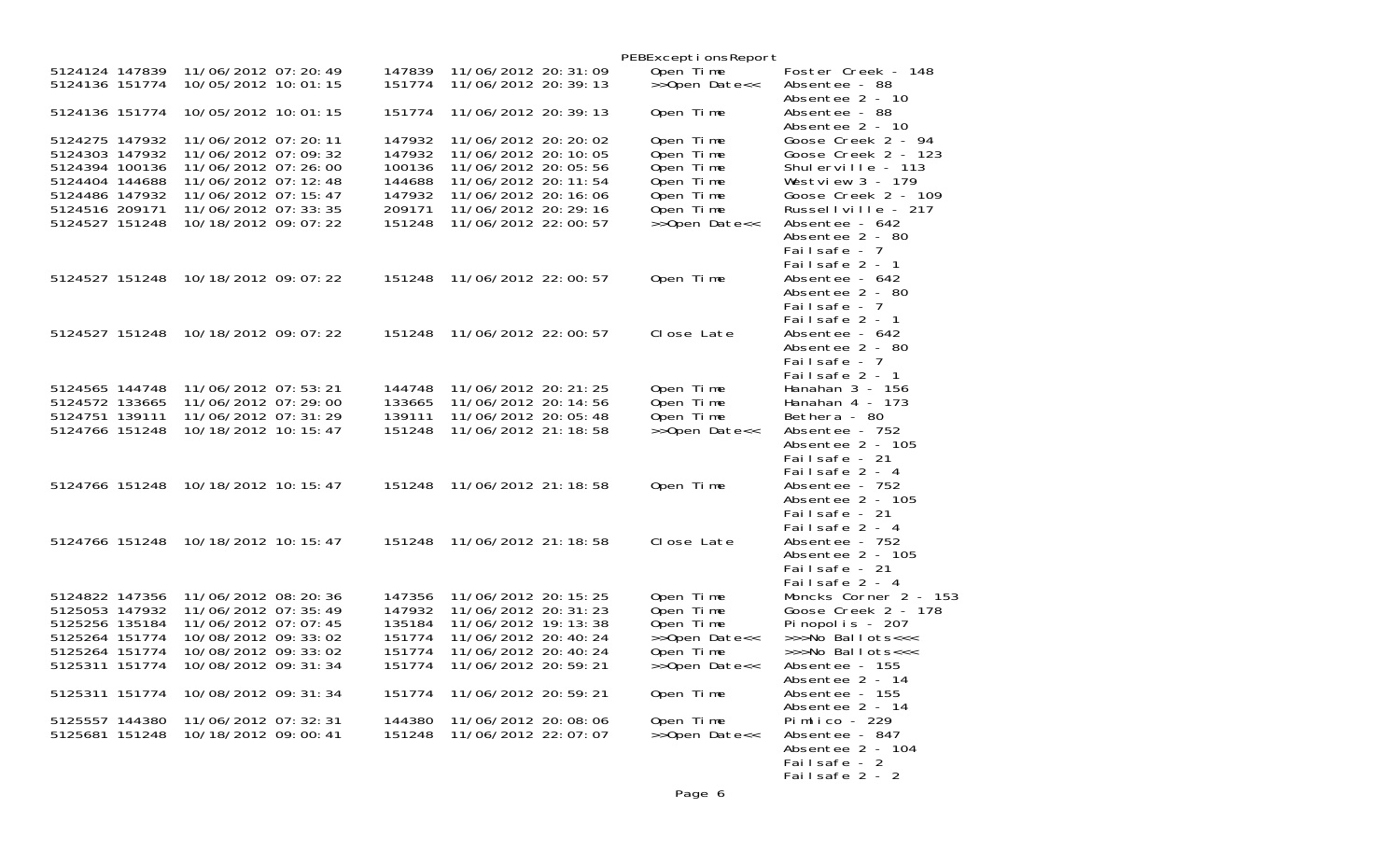|                                                                      |                                                                                            |                                      |                                                                                                  | PEBExceptionsReport                              |                                                                                                                  |
|----------------------------------------------------------------------|--------------------------------------------------------------------------------------------|--------------------------------------|--------------------------------------------------------------------------------------------------|--------------------------------------------------|------------------------------------------------------------------------------------------------------------------|
| 5124124 147839<br>5124136 151774                                     | 11/06/2012 07: 20: 49<br>10/05/2012 10:01:15                                               | 147839<br>151774                     | 11/06/2012 20: 31: 09<br>11/06/2012 20: 39: 13                                                   | Open Time<br>>>Open Date<<                       | Foster Creek - 148<br>Absentee - 88                                                                              |
| 5124136 151774                                                       | 10/05/2012 10:01:15                                                                        | 151774                               | 11/06/2012 20: 39: 13                                                                            | Open Time                                        | Absentee 2 - 10<br>Absentee - 88<br>Absentee 2 - 10                                                              |
| 5124275 147932<br>5124303 147932<br>5124394 100136<br>5124404 144688 | 11/06/2012 07:20:11<br>11/06/2012 07:09:32<br>11/06/2012 07:26:00<br>11/06/2012 07: 12: 48 | 147932<br>147932<br>100136<br>144688 | 11/06/2012 20: 20: 02<br>11/06/2012 20: 10: 05<br>11/06/2012 20: 05: 56<br>11/06/2012 20: 11: 54 | Open Time<br>Open Time<br>Open Time<br>Open Time | Goose Creek 2 - 94<br>Goose Creek 2 - 123<br>Shulerville - 113<br>Westview $3 - 179$                             |
| 5124486 147932<br>5124516 209171<br>5124527 151248                   | 11/06/2012 07: 15: 47<br>11/06/2012 07: 33: 35<br>10/18/2012 09:07:22                      | 147932<br>209171<br>151248           | 11/06/2012 20: 16: 06<br>11/06/2012 20: 29: 16<br>11/06/2012 22:00:57                            | Open Time<br>Open Time<br>>>Open Date<<          | Goose Creek 2 - 109<br>Russellville - 217<br>Absentee - 642<br>Absentee 2 - 80<br>Failsafe - 7<br>Failsafe 2 - 1 |
|                                                                      | 5124527 151248 10/18/2012 09:07:22                                                         | 151248                               | 11/06/2012 22:00:57                                                                              | Open Time                                        | Absentee - 642<br>Absentee 2 - 80<br>Failsafe - 7<br>Failsafe 2 - 1                                              |
|                                                                      | 5124527 151248 10/18/2012 09:07:22                                                         | 151248                               | 11/06/2012 22:00:57                                                                              | Close Late                                       | Absentee - 642<br>Absentee 2 - 80<br>Failsafe - 7<br>Failsafe 2 - 1                                              |
| 5124565 144748<br>5124572 133665                                     | 11/06/2012 07:53:21<br>11/06/2012 07: 29: 00                                               | 144748<br>133665                     | 11/06/2012 20: 21: 25<br>11/06/2012 20: 14: 56                                                   | Open Time<br>Open Time                           | Hanahan 3 - 156<br>Hanahan $4 - 173$                                                                             |
| 5124751 139111<br>5124766 151248                                     | 11/06/2012 07: 31: 29<br>10/18/2012 10: 15: 47                                             | 139111<br>151248                     | 11/06/2012 20: 05: 48<br>11/06/2012 21: 18: 58                                                   | Open Time<br>>>Open Date<<                       | Bethera - 80<br>Absentee - 752<br>Absentee 2 - 105<br>Failsafe - 21<br>Failsafe 2 - 4                            |
| 5124766 151248                                                       | 10/18/2012 10: 15: 47                                                                      | 151248                               | 11/06/2012 21: 18: 58                                                                            | Open Time                                        | Absentee - 752<br>Absentee 2 - 105<br>Failsafe - 21<br>Failsafe 2 - 4                                            |
|                                                                      | 5124766 151248 10/18/2012 10:15:47                                                         | 151248                               | 11/06/2012 21: 18: 58                                                                            | Close Late                                       | Absentee - 752<br>Absentee 2 - 105<br>Failsafe - 21<br>Failsafe 2 - 4                                            |
| 5124822 147356<br>5125053 147932<br>5125256 135184                   | 11/06/2012 08:20:36<br>11/06/2012 07: 35: 49<br>11/06/2012 07:07:45                        | 147356<br>147932<br>135184           | 11/06/2012 20: 15: 25<br>11/06/2012 20: 31: 23<br>11/06/2012 19: 13: 38                          | Open Time<br>Open Time<br>Open Time              | Moncks Corner 2 - 153<br>Goose Creek 2 - 178<br>Pinopolis - 207                                                  |
| 5125264 151774<br>5125264 151774                                     | 10/08/2012 09: 33: 02<br>10/08/2012 09: 33: 02                                             | 151774<br>151774                     | 11/06/2012 20: 40: 24<br>11/06/2012 20: 40: 24                                                   | >>Open Date<<<br>Open Time                       | >>>No Ballots<<<<br>>>>No Ballots<<<                                                                             |
| 5125311 151774                                                       | 10/08/2012 09: 31: 34                                                                      | 151774                               | 11/06/2012 20: 59: 21                                                                            | >>Open Date<<                                    | Absentee - 155<br>Absentee 2 - 14                                                                                |
| 5125311 151774                                                       | 10/08/2012 09: 31: 34                                                                      | 151774                               | 11/06/2012 20:59:21                                                                              | Open Time                                        | Absentee - 155<br>Absentee 2 - 14                                                                                |
| 5125557 144380<br>5125681 151248                                     | 11/06/2012 07: 32: 31<br>10/18/2012 09:00:41                                               | 144380<br>151248                     | 11/06/2012 20:08:06<br>11/06/2012 22:07:07                                                       | Open Time<br>>>Open Date<<                       | Pimlico - 229<br>Absentee - 847<br>Absentee 2 - 104<br>Failsafe - 2<br>Failsafe 2 - 2                            |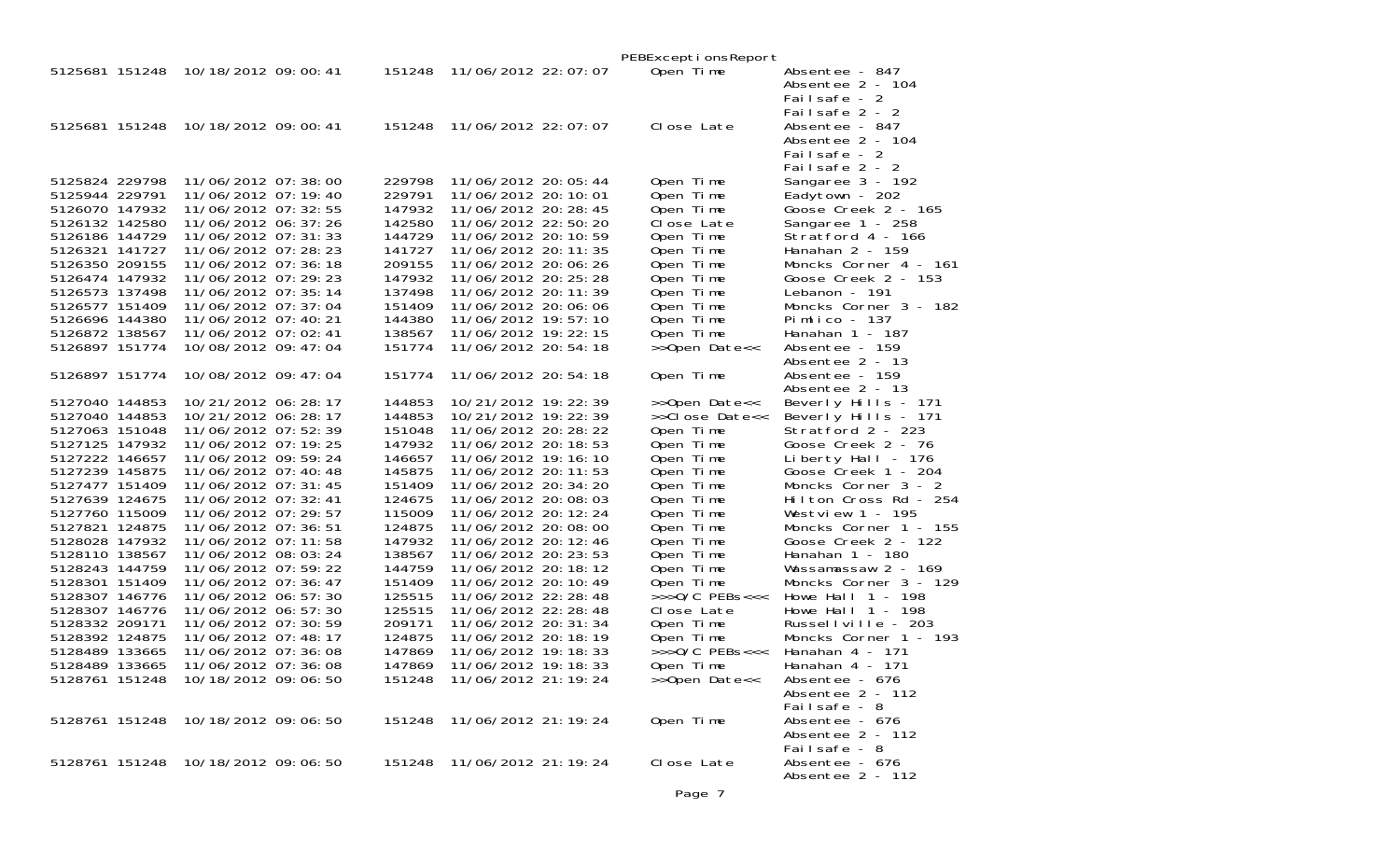|                                  |                                              |                  |                                                | PEBExceptionsReport                      |                                          |
|----------------------------------|----------------------------------------------|------------------|------------------------------------------------|------------------------------------------|------------------------------------------|
| 5125681 151248                   | 10/18/2012 09:00:41                          | 151248           | 11/06/2012 22:07:07                            | Open Time                                | Absentee - 847<br>Absentee 2 - 104       |
|                                  |                                              |                  |                                                |                                          | Failsafe - 2                             |
|                                  |                                              |                  |                                                |                                          | Failsafe 2 - 2                           |
|                                  | 5125681 151248 10/18/2012 09:00:41           | 151248           | 11/06/2012 22:07:07                            | Close Late                               | Absentee - 847                           |
|                                  |                                              |                  |                                                |                                          | Absentee 2 - 104                         |
|                                  |                                              |                  |                                                |                                          | Failsafe - 2                             |
|                                  |                                              |                  |                                                |                                          | Failsafe 2 - 2                           |
| 5125824 229798<br>5125944 229791 | 11/06/2012 07:38:00<br>11/06/2012 07:19:40   | 229798<br>229791 | 11/06/2012 20: 05: 44<br>11/06/2012 20: 10: 01 | Open Time<br>Open Time                   | Sangaree 3 - 192<br>Eadytown - 202       |
| 5126070 147932                   | 11/06/2012 07: 32: 55                        | 147932           | 11/06/2012 20: 28: 45                          | Open Time                                | Goose Creek 2 - 165                      |
| 5126132 142580                   | 11/06/2012 06: 37: 26                        | 142580           | 11/06/2012 22:50:20                            | Close Late                               | Sangaree 1 - 258                         |
| 5126186 144729                   | 11/06/2012 07: 31: 33                        | 144729           | 11/06/2012 20: 10: 59                          | Open Time                                | Stratford 4 - 166                        |
| 5126321 141727                   | 11/06/2012 07: 28: 23                        | 141727           | 11/06/2012 20: 11: 35                          | Open Time                                | Hanahan $2 - 159$                        |
| 5126350 209155                   | 11/06/2012 07:36:18                          | 209155           | 11/06/2012 20:06:26                            | Open Time                                | Moncks Corner 4 - 161                    |
| 5126474 147932                   | 11/06/2012 07:29:23                          | 147932           | 11/06/2012 20: 25: 28                          | Open Time                                | Goose Creek 2 - 153                      |
| 5126573 137498                   | 11/06/2012 07: 35: 14                        | 137498           | 11/06/2012 20: 11: 39                          | Open Time                                | Lebanon - 191                            |
| 5126577 151409<br>5126696 144380 | 11/06/2012 07: 37: 04<br>11/06/2012 07:40:21 | 151409<br>144380 | 11/06/2012 20:06:06<br>11/06/2012 19:57:10     | Open Time<br>Open Time                   | Moncks Corner 3 - 182<br>Pimlico - 137   |
| 5126872 138567                   | 11/06/2012 07:02:41                          | 138567           | 11/06/2012 19: 22: 15                          | Open Time                                | Hanahan 1 - 187                          |
| 5126897 151774                   | 10/08/2012 09:47:04                          | 151774           | 11/06/2012 20: 54: 18                          | >>Open Date<<                            | Absentee - 159                           |
|                                  |                                              |                  |                                                |                                          | Absentee 2 - 13                          |
| 5126897 151774                   | 10/08/2012 09: 47: 04                        | 151774           | 11/06/2012 20: 54: 18                          | Open Time                                | Absentee - 159                           |
|                                  |                                              |                  |                                                |                                          | Absentee 2 - 13                          |
| 5127040 144853                   | 10/21/2012 06: 28: 17                        | 144853           | 10/21/2012 19: 22: 39                          | >>Open Date<<                            | Beverly Hills - 171                      |
| 5127040 144853<br>5127063 151048 | 10/21/2012 06: 28: 17<br>11/06/2012 07:52:39 | 144853<br>151048 | 10/21/2012 19: 22: 39<br>11/06/2012 20: 28: 22 | >>Close Date<<                           | Beverly Hills - 171<br>Stratford 2 - 223 |
| 5127125 147932                   | 11/06/2012 07:19:25                          | 147932           | 11/06/2012 20: 18: 53                          | Open Time<br>Open Time                   | Goose Creek 2 - 76                       |
| 5127222 146657                   | 11/06/2012 09:59:24                          | 146657           | 11/06/2012 19: 16: 10                          | Open Time                                | Liberty Hall - $176$                     |
| 5127239 145875                   | 11/06/2012 07:40:48                          | 145875           | 11/06/2012 20: 11: 53                          | Open Time                                | Goose Creek 1 - 204                      |
| 5127477 151409                   | 11/06/2012 07: 31: 45                        | 151409           | 11/06/2012 20: 34: 20                          | Open Time                                | Moncks Corner 3 - 2                      |
| 5127639 124675                   | 11/06/2012 07: 32: 41                        | 124675           | 11/06/2012 20:08:03                            | Open Time                                | Hilton Cross Rd - 254                    |
| 5127760 115009                   | 11/06/2012 07: 29: 57                        | 115009           | 11/06/2012 20: 12: 24                          | Open Time                                | Westview $1 - 195$                       |
| 5127821 124875                   | 11/06/2012 07:36:51                          | 124875           | 11/06/2012 20:08:00                            | Open Time                                | Moncks Corner 1 - 155                    |
| 5128028 147932<br>5128110 138567 | 11/06/2012 07: 11: 58<br>11/06/2012 08:03:24 | 147932<br>138567 | 11/06/2012 20: 12: 46<br>11/06/2012 20: 23: 53 | Open Time<br>Open Time                   | Goose Creek 2 - 122<br>Hanahan 1 - 180   |
| 5128243 144759                   | 11/06/2012 07:59:22                          | 144759           | 11/06/2012 20: 18: 12                          | Open Time                                | Wassamassaw 2 - 169                      |
| 5128301 151409                   | 11/06/2012 07:36:47                          | 151409           | 11/06/2012 20: 10: 49                          | Open Time                                | Moncks Corner 3 - 129                    |
| 5128307 146776                   | 11/06/2012 06: 57: 30                        | 125515           | 11/06/2012 22: 28: 48                          | $>>$ >O/C PEBs<<<                        | Howe Hall $1 - 198$                      |
| 5128307 146776                   | 11/06/2012 06: 57: 30                        | 125515           | 11/06/2012 22: 28: 48                          | Close Late                               | Howe Hall $1 - 198$                      |
| 5128332 209171                   | 11/06/2012 07:30:59                          | 209171           | 11/06/2012 20: 31: 34                          | Open Time                                | Russellville - 203                       |
| 5128392 124875                   | 11/06/2012 07:48:17                          | 124875           | 11/06/2012 20: 18: 19                          | Open Time                                | Moncks Corner 1 - 193                    |
| 5128489 133665<br>5128489 133665 | 11/06/2012 07:36:08<br>11/06/2012 07:36:08   | 147869<br>147869 | 11/06/2012 19: 18: 33<br>11/06/2012 19: 18: 33 | $\rightarrow$ >>0/C PEBs<<<<br>Open Time | Hanahan $4 - 171$<br>Hanahan 4 - 171     |
|                                  | 5128761 151248 10/18/2012 09:06:50           | 151248           | 11/06/2012 21: 19: 24                          | >>Open Date<<                            | Absentee - 676                           |
|                                  |                                              |                  |                                                |                                          | Absentee 2 - 112                         |
|                                  |                                              |                  |                                                |                                          | Failsafe - 8                             |
|                                  | 5128761 151248 10/18/2012 09:06:50           |                  | 151248 11/06/2012 21: 19: 24                   | Open Time                                | Absentee - 676                           |
|                                  |                                              |                  |                                                |                                          | Absentee 2 - 112                         |
|                                  |                                              |                  |                                                |                                          | Failsafe - 8                             |
|                                  | 5128761 151248 10/18/2012 09:06:50           | 151248           | 11/06/2012 21: 19: 24                          | Close Late                               | Absentee - 676<br>Absentee 2 - 112       |
|                                  |                                              |                  |                                                |                                          |                                          |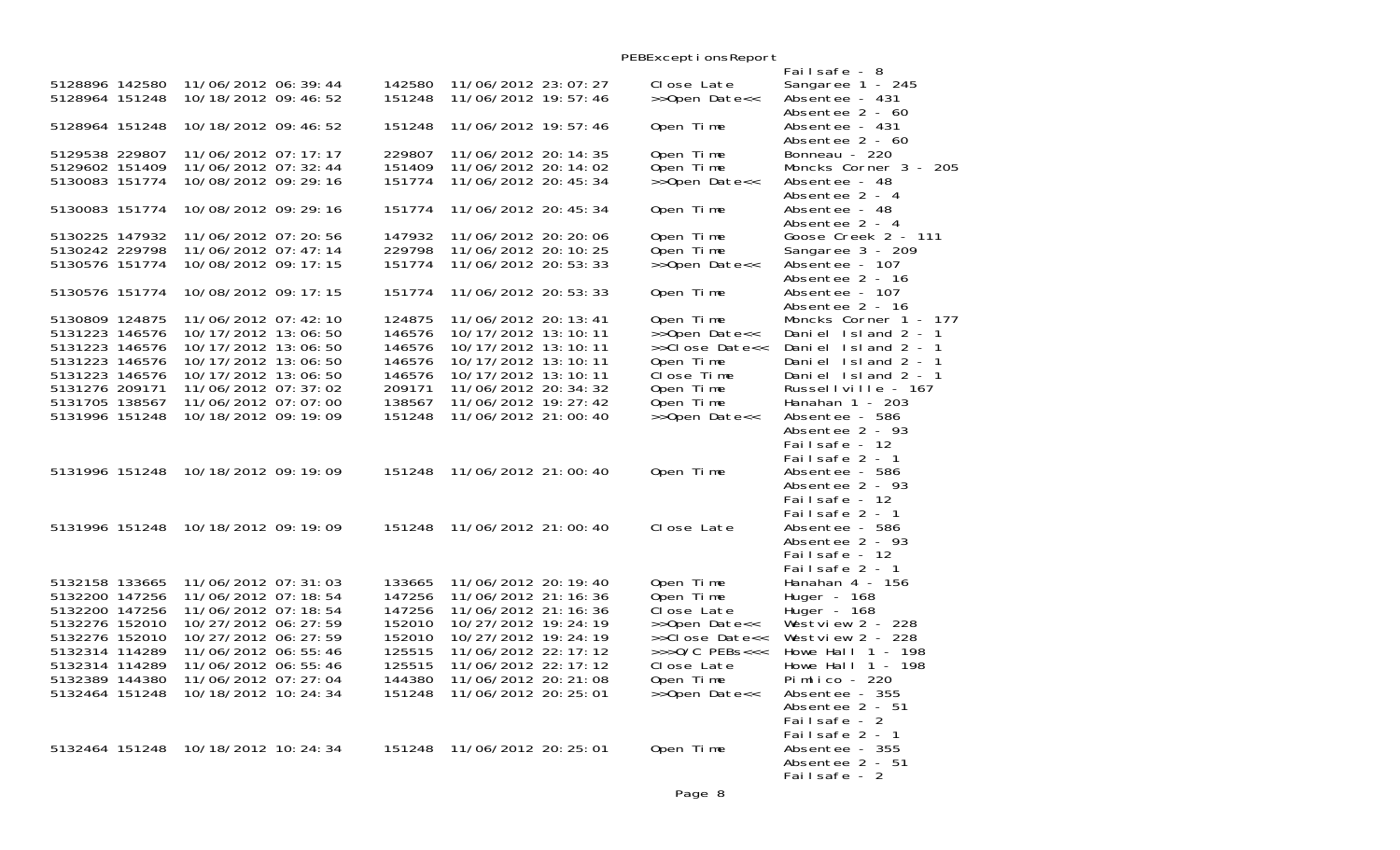|                                  |                                            |  |                  |                                            | PEBExceptionsReport             |                                            |
|----------------------------------|--------------------------------------------|--|------------------|--------------------------------------------|---------------------------------|--------------------------------------------|
|                                  |                                            |  |                  |                                            |                                 | Failsafe - 8                               |
| 5128896 142580                   | 11/06/2012 06:39:44                        |  | 142580           | 11/06/2012 23: 07: 27                      | Close Late                      | Sangaree 1 - 245                           |
| 5128964 151248                   | 10/18/2012 09:46:52                        |  | 151248           | 11/06/2012 19:57:46                        | >>Open Date<<                   | Absentee - 431                             |
|                                  |                                            |  |                  |                                            |                                 | Absentee 2 - 60                            |
| 5128964 151248                   | 10/18/2012 09:46:52                        |  | 151248           | 11/06/2012 19: 57: 46                      | Open Time                       | Absentee - 431                             |
|                                  |                                            |  |                  |                                            |                                 | Absentee 2 - 60                            |
| 5129538 229807                   | 11/06/2012 07: 17: 17                      |  | 229807           | 11/06/2012 20: 14: 35                      | Open Time                       | Bonneau - 220                              |
| 5129602 151409                   | 11/06/2012 07: 32: 44                      |  | 151409           | 11/06/2012 20: 14: 02                      | Open Time                       | Moncks Corner 3 - 205                      |
| 5130083 151774                   | 10/08/2012 09: 29: 16                      |  | 151774           | 11/06/2012 20: 45: 34                      | >>Open Date<<                   | Absentee - 48                              |
|                                  |                                            |  |                  |                                            |                                 | Absentee 2 - 4                             |
| 5130083 151774                   | 10/08/2012 09: 29: 16                      |  | 151774           | 11/06/2012 20: 45: 34                      | Open Time                       | Absentee - 48                              |
|                                  |                                            |  |                  |                                            |                                 | Absentee 2 - 4                             |
| 5130225 147932                   | 11/06/2012 07:20:56                        |  | 147932           | 11/06/2012 20: 20: 06                      | Open Time                       | Goose Creek 2 - 111                        |
| 5130242 229798                   | 11/06/2012 07:47:14                        |  | 229798           | 11/06/2012 20: 10: 25                      | Open Time                       | Sangaree 3 - 209                           |
| 5130576 151774                   | 10/08/2012 09: 17: 15                      |  | 151774           | 11/06/2012 20: 53: 33                      | >>Open Date<<                   | Absentee - 107                             |
|                                  |                                            |  |                  |                                            |                                 | Absentee 2 - 16                            |
| 5130576 151774                   | 10/08/2012 09: 17: 15                      |  | 151774           | 11/06/2012 20: 53: 33                      | Open Time                       | Absentee - 107                             |
| 5130809 124875                   |                                            |  |                  |                                            |                                 | Absentee 2 - 16                            |
|                                  | 11/06/2012 07:42:10                        |  | 124875           | 11/06/2012 20: 13: 41                      | Open Time                       | Moncks Corner 1 - 177                      |
| 5131223 146576<br>5131223 146576 | 10/17/2012 13:06:50<br>10/17/2012 13:06:50 |  | 146576<br>146576 | 10/17/2012 13:10:11<br>10/17/2012 13:10:11 | >>Open Date<<<br>>>Close Date<< | Daniel Island 2 - 1<br>Daniel Island 2 - 1 |
| 5131223 146576                   | 10/17/2012 13:06:50                        |  | 146576           | 10/17/2012 13:10:11                        | Open Time                       | Daniel Island 2 - 1                        |
| 5131223 146576                   | 10/17/2012 13:06:50                        |  | 146576           | 10/17/2012 13:10:11                        | Close Time                      | Daniel Island 2 - 1                        |
| 5131276 209171                   | 11/06/2012 07:37:02                        |  | 209171           | 11/06/2012 20: 34: 32                      | Open Time                       | Russellville - 167                         |
| 5131705 138567                   | 11/06/2012 07:07:00                        |  | 138567           | 11/06/2012 19: 27: 42                      | Open Time                       | Hanahan $1 - 203$                          |
| 5131996 151248                   | 10/18/2012 09:19:09                        |  | 151248           | 11/06/2012 21:00:40                        | >>Open Date<<                   | Absentee - 586                             |
|                                  |                                            |  |                  |                                            |                                 | Absentee 2 - 93                            |
|                                  |                                            |  |                  |                                            |                                 | Failsafe - 12                              |
|                                  |                                            |  |                  |                                            |                                 | Failsafe 2 - 1                             |
| 5131996 151248                   | 10/18/2012 09: 19: 09                      |  | 151248           | 11/06/2012 21:00:40                        | Open Time                       | Absentee - 586                             |
|                                  |                                            |  |                  |                                            |                                 | Absentee 2 - 93                            |
|                                  |                                            |  |                  |                                            |                                 | Failsafe - 12                              |
|                                  |                                            |  |                  |                                            |                                 | Failsafe 2 - 1                             |
| 5131996 151248                   | 10/18/2012 09: 19: 09                      |  | 151248           | 11/06/2012 21:00:40                        | Close Late                      | Absentee - 586                             |
|                                  |                                            |  |                  |                                            |                                 | Absentee 2 - 93                            |
|                                  |                                            |  |                  |                                            |                                 | Failsafe - 12                              |
|                                  |                                            |  |                  |                                            |                                 | Failsafe 2 - 1                             |
| 5132158 133665                   | 11/06/2012 07:31:03                        |  | 133665           | 11/06/2012 20: 19: 40                      | Open Time                       | Hanahan 4 - 156                            |
| 5132200 147256                   | 11/06/2012 07: 18: 54                      |  | 147256           | 11/06/2012 21: 16: 36                      | Open Time                       | Huger - $168$                              |
| 5132200 147256                   | 11/06/2012 07: 18: 54                      |  | 147256           | 11/06/2012 21: 16: 36                      | Close Late                      | Huger - 168                                |
| 5132276 152010                   | 10/27/2012 06: 27: 59                      |  | 152010           | 10/27/2012 19: 24: 19                      | >>Open Date<<                   | Westview $2 - 228$                         |
| 5132276 152010                   | 10/27/2012 06: 27: 59                      |  | 152010           | 10/27/2012 19: 24: 19                      | >>Close Date<<                  | Westview $2 - 228$                         |
| 5132314 114289                   | 11/06/2012 06:55:46                        |  | 125515           | 11/06/2012 22: 17: 12                      | $>>$ >O/C PEBs<<<               | Howe Hall $1 - 198$                        |
| 5132314 114289                   | 11/06/2012 06:55:46                        |  | 125515           | 11/06/2012 22: 17: 12                      | Close Late                      | Howe Hall $1 - 198$                        |
| 5132389 144380                   | 11/06/2012 07: 27: 04                      |  | 144380           | 11/06/2012 20: 21: 08                      | Open Time                       | Pimlico - $220$                            |
| 5132464 151248                   | 10/18/2012 10: 24: 34                      |  | 151248           | 11/06/2012 20: 25: 01                      | >>Open Date<<                   | Absentee - 355                             |
|                                  |                                            |  |                  |                                            |                                 | Absentee 2 - 51                            |
|                                  |                                            |  |                  |                                            |                                 | Failsafe - 2                               |
|                                  |                                            |  |                  |                                            |                                 | Failsafe 2 - 1                             |
| 5132464 151248                   | 10/18/2012 10: 24: 34                      |  | 151248           | 11/06/2012 20: 25: 01                      | Open Time                       | Absentee - 355                             |
|                                  |                                            |  |                  |                                            |                                 | Absentee 2 - 51                            |
|                                  |                                            |  |                  |                                            |                                 | Failsafe - 2                               |